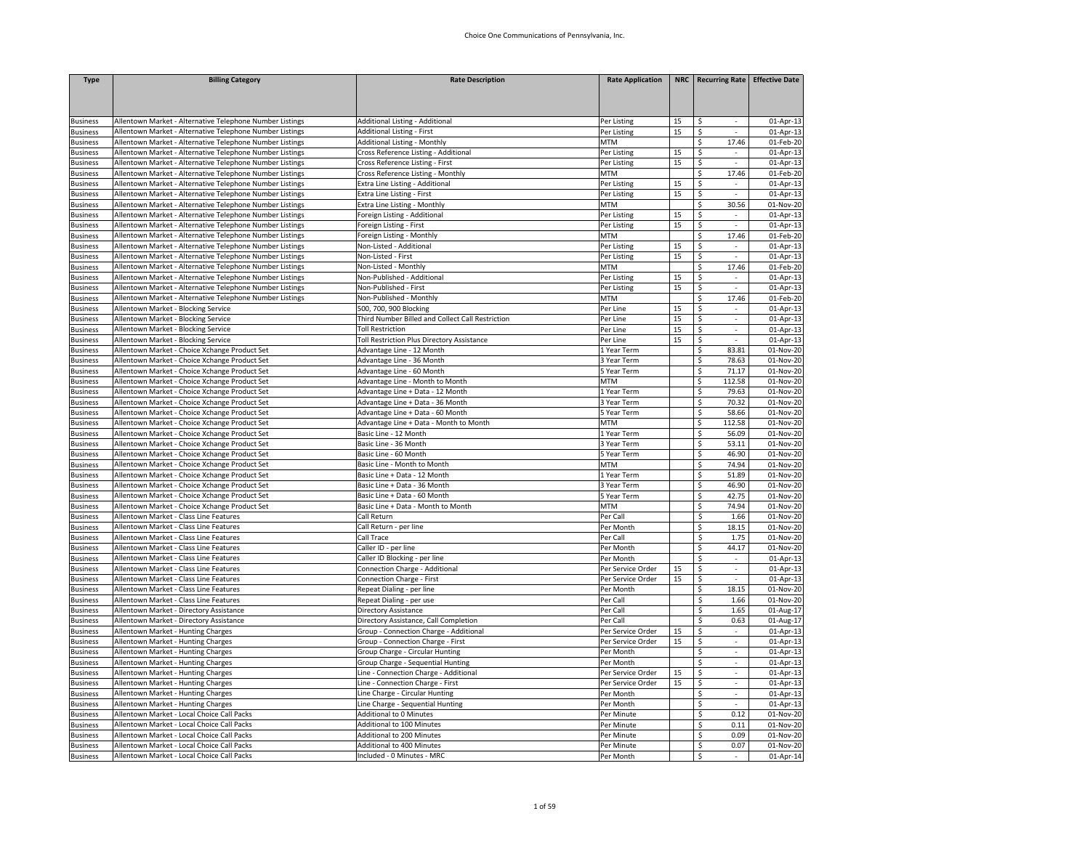| <b>Type</b>                        | <b>Billing Category</b>                                                                                              | <b>Rate Description</b>                                                  | <b>Rate Application</b> |          | NRC   Recurring Rate   Effective Date |                        |
|------------------------------------|----------------------------------------------------------------------------------------------------------------------|--------------------------------------------------------------------------|-------------------------|----------|---------------------------------------|------------------------|
|                                    |                                                                                                                      |                                                                          |                         |          |                                       |                        |
|                                    |                                                                                                                      |                                                                          |                         |          |                                       |                        |
| <b>Business</b>                    | Allentown Market - Alternative Telephone Number Listings                                                             | Additional Listing - Additional                                          | Per Listing             | 15<br>15 | $\sim$<br>-Ŝ<br>\$<br>÷.              | 01-Apr-13              |
| <b>Business</b><br><b>Business</b> | Allentown Market - Alternative Telephone Number Listings<br>Allentown Market - Alternative Telephone Number Listings | <b>Additional Listing - First</b><br><b>Additional Listing - Monthly</b> | Per Listing<br>MTM      |          | \$<br>17.46                           | 01-Apr-13              |
| <b>Business</b>                    | Allentown Market - Alternative Telephone Number Listings                                                             | Cross Reference Listing - Additional                                     | Per Listing             | 15       | \$<br>$\overline{\phantom{a}}$        | 01-Feb-20<br>01-Apr-13 |
| <b>Business</b>                    | Allentown Market - Alternative Telephone Number Listings                                                             | Cross Reference Listing - First                                          | Per Listing             | 15       | Ŝ.<br>$\sim$                          | 01-Apr-13              |
| <b>Business</b>                    | Allentown Market - Alternative Telephone Number Listings                                                             | Cross Reference Listing - Monthly                                        | MTM                     |          | \$<br>17.46                           | 01-Feb-20              |
| <b>Business</b>                    | Allentown Market - Alternative Telephone Number Listings                                                             | Extra Line Listing - Additional                                          | Per Listing             | 15       | \$                                    | 01-Apr-13              |
| <b>Business</b>                    | Allentown Market - Alternative Telephone Number Listings                                                             | Extra Line Listing - First                                               | Per Listing             | 15       | \$<br>$\sim$                          | 01-Apr-13              |
| <b>Business</b>                    | Allentown Market - Alternative Telephone Number Listings                                                             | <b>Extra Line Listing - Monthly</b>                                      | MTM                     |          | Ŝ.<br>30.56                           | 01-Nov-20              |
| <b>Business</b>                    | Allentown Market - Alternative Telephone Number Listings                                                             | Foreign Listing - Additional                                             | Per Listing             | 15       | \$<br>$\overline{\phantom{a}}$        | 01-Apr-13              |
| <b>Business</b>                    | Allentown Market - Alternative Telephone Number Listings                                                             | Foreign Listing - First                                                  | Per Listing             | 15       | \$                                    | 01-Apr-13              |
| <b>Business</b>                    | Allentown Market - Alternative Telephone Number Listings                                                             | Foreign Listing - Monthly                                                | MTM                     |          | 17.46<br>\$                           | 01-Feb-20              |
| <b>Business</b>                    | Allentown Market - Alternative Telephone Number Listings                                                             | Non-Listed - Additional                                                  | Per Listing             | 15       | \$                                    | 01-Apr-13              |
| <b>Business</b>                    | Allentown Market - Alternative Telephone Number Listings                                                             | Non-Listed - First                                                       | Per Listing             | 15       | $\overline{\mathcal{S}}$<br>÷         | 01-Apr-13              |
| <b>Business</b>                    | Allentown Market - Alternative Telephone Number Listings                                                             | Non-Listed - Monthly                                                     | MTM                     |          | \$<br>17.46                           | 01-Feb-20              |
| <b>Business</b>                    | Allentown Market - Alternative Telephone Number Listings                                                             | Non-Published - Additional                                               | Per Listing             | 15       | \$<br>$\sim$                          | 01-Apr-13              |
| <b>Business</b>                    | Allentown Market - Alternative Telephone Number Listings                                                             | Non-Published - First                                                    | Per Listing             | 15       | \$<br>÷                               | 01-Apr-13              |
| <b>Business</b>                    | Allentown Market - Alternative Telephone Number Listings                                                             | Non-Published - Monthly                                                  | MTM                     |          | \$<br>17.46                           | 01-Feb-20              |
| <b>Business</b>                    | Allentown Market - Blocking Service                                                                                  | 500, 700, 900 Blocking                                                   | Per Line                | 15       | \$<br>$\sim$                          | 01-Apr-13              |
| <b>Business</b>                    | Allentown Market - Blocking Service                                                                                  | Third Number Billed and Collect Call Restriction                         | Per Line                | 15       | \$<br>$\sim$                          | 01-Apr-13              |
| <b>Business</b>                    | Allentown Market - Blocking Service                                                                                  | <b>Toll Restriction</b>                                                  | Per Line                | 15       | \$<br>÷.                              | 01-Apr-13              |
| <b>Business</b>                    | Allentown Market - Blocking Service                                                                                  | Toll Restriction Plus Directory Assistance                               | Per Line                | 15       | \$                                    | 01-Apr-13              |
| <b>Business</b>                    | Allentown Market - Choice Xchange Product Set                                                                        | Advantage Line - 12 Month                                                | 1 Year Term             |          | \$<br>83.81                           | 01-Nov-20              |
| <b>Business</b>                    | Allentown Market - Choice Xchange Product Set                                                                        | Advantage Line - 36 Month                                                | 3 Year Term             |          | \$<br>78.63                           | 01-Nov-20              |
| <b>Business</b>                    | Allentown Market - Choice Xchange Product Set                                                                        | Advantage Line - 60 Month                                                | 5 Year Term             |          | \$<br>71.17                           | 01-Nov-20              |
| <b>Business</b>                    | Allentown Market - Choice Xchange Product Set                                                                        | Advantage Line - Month to Month                                          | <b>MTM</b>              |          | \$<br>112.58                          | 01-Nov-20              |
| <b>Business</b>                    | Allentown Market - Choice Xchange Product Set                                                                        | Advantage Line + Data - 12 Month                                         | 1 Year Term             |          | \$<br>79.63                           | 01-Nov-20              |
| Business                           | Allentown Market - Choice Xchange Product Set                                                                        | Advantage Line + Data - 36 Month                                         | 3 Year Term             |          | 70.32<br>\$                           | 01-Nov-20              |
| Business                           | Allentown Market - Choice Xchange Product Set                                                                        | Advantage Line + Data - 60 Month                                         | S Year Term             |          | \$<br>58.66                           | 01-Nov-20              |
| <b>Business</b>                    | Allentown Market - Choice Xchange Product Set                                                                        | Advantage Line + Data - Month to Month                                   | MTM                     |          | \$<br>112.58                          | 01-Nov-20              |
| <b>Business</b>                    | Allentown Market - Choice Xchange Product Set                                                                        | Basic Line - 12 Month                                                    | 1 Year Term             |          | Ŝ.<br>56.09                           | 01-Nov-20              |
| <b>Business</b>                    | Allentown Market - Choice Xchange Product Set                                                                        | Basic Line - 36 Month                                                    | 3 Year Term             |          | \$<br>53.11                           | 01-Nov-20              |
| <b>Business</b>                    | Allentown Market - Choice Xchange Product Set                                                                        | Basic Line - 60 Month                                                    | 5 Year Term             |          | \$<br>46.90                           | 01-Nov-20              |
| <b>Business</b>                    | Allentown Market - Choice Xchange Product Set                                                                        | Basic Line - Month to Month                                              | <b>MTM</b>              |          | \$<br>74.94                           | 01-Nov-20              |
| <b>Business</b>                    | Allentown Market - Choice Xchange Product Set                                                                        | Basic Line + Data - 12 Month                                             | 1 Year Term             |          | \$<br>51.89                           | 01-Nov-20              |
| <b>Business</b>                    | Allentown Market - Choice Xchange Product Set                                                                        | Basic Line + Data - 36 Month                                             | 3 Year Term             |          | \$<br>46.90                           | 01-Nov-20              |
| <b>Business</b>                    | Allentown Market - Choice Xchange Product Set                                                                        | Basic Line + Data - 60 Month                                             | 5 Year Term             |          | \$<br>42.75                           | 01-Nov-20              |
| <b>Business</b>                    | Allentown Market - Choice Xchange Product Set                                                                        | Basic Line + Data - Month to Month                                       | MTM                     |          | \$<br>74.94                           | 01-Nov-20              |
| <b>Business</b>                    | Allentown Market - Class Line Features                                                                               | Call Return                                                              | Per Call                |          | \$<br>1.66                            | 01-Nov-20              |
| <b>Business</b>                    | Allentown Market - Class Line Features                                                                               | Call Return - per line                                                   | Per Month               |          | \$<br>18.15                           | 01-Nov-20              |
| <b>Business</b>                    | Allentown Market - Class Line Features                                                                               | Call Trace                                                               | Per Call                |          | \$<br>1.75                            | 01-Nov-20              |
| <b>Business</b>                    | Allentown Market - Class Line Features                                                                               | Caller ID - per line                                                     | Per Month               |          | \$<br>44.17                           | 01-Nov-20              |
| <b>Business</b>                    | Allentown Market - Class Line Features                                                                               | Caller ID Blocking - per line                                            | Per Month               |          | \$<br>$\overline{\phantom{a}}$        | 01-Apr-13              |
| Business                           | Allentown Market - Class Line Features                                                                               | Connection Charge - Additional                                           | Per Service Order       | 15       | \$<br>$\overline{\phantom{a}}$        | 01-Apr-13              |
| <b>Business</b>                    | Allentown Market - Class Line Features                                                                               | Connection Charge - First                                                | Per Service Order       | 15       | \$<br>$\sim$                          | 01-Apr-13              |
| <b>Business</b>                    | Allentown Market - Class Line Features                                                                               | Repeat Dialing - per line                                                | Per Month               |          | \$<br>18.15                           | 01-Nov-20              |
| <b>Business</b>                    | Allentown Market - Class Line Features                                                                               | Repeat Dialing - per use                                                 | Per Call                |          | \$<br>1.66                            | 01-Nov-20              |
| <b>Business</b>                    | Allentown Market - Directory Assistance                                                                              | Directory Assistance                                                     | Per Call                |          | \$<br>1.65                            | 01-Aug-17              |
| <b>Business</b>                    | Allentown Market - Directory Assistance                                                                              | Directory Assistance, Call Completion                                    | Per Call                |          | 0.63<br>\$                            | 01-Aug-17              |
| Business                           | Allentown Market - Hunting Charges                                                                                   | Group - Connection Charge - Additional                                   | Per Service Order       | 15       | \$                                    | 01-Apr-13              |
| <b>Business</b>                    | Allentown Market - Hunting Charges                                                                                   | Group - Connection Charge - First                                        | Per Service Order       | 15       | \$                                    | 01-Apr-13              |
| <b>Business</b>                    | Allentown Market - Hunting Charges                                                                                   | Group Charge - Circular Hunting                                          | Per Month               |          | \$<br>÷.                              | 01-Apr-13              |
| <b>Business</b>                    | Allentown Market - Hunting Charges                                                                                   | Group Charge - Sequential Hunting                                        | Per Month               |          | \$<br>ä,                              | 01-Apr-13              |
| <b>Business</b>                    | Allentown Market - Hunting Charges                                                                                   | Line - Connection Charge - Additional                                    | Per Service Order       | 15       | \$<br>÷.                              | 01-Apr-13              |
| <b>Business</b>                    | Allentown Market - Hunting Charges                                                                                   | Line - Connection Charge - First                                         | Per Service Order       | 15       | \$<br>÷.                              | 01-Apr-13              |
| <b>Business</b>                    | Allentown Market - Hunting Charges                                                                                   | Line Charge - Circular Hunting                                           | Per Month               |          | \$<br>$\mathcal{L}_{\mathcal{A}}$     | 01-Apr-13              |
| <b>Business</b>                    | Allentown Market - Hunting Charges                                                                                   | Line Charge - Sequential Hunting                                         | Per Month               |          | \$                                    | 01-Apr-13              |
| <b>Business</b>                    | Allentown Market - Local Choice Call Packs                                                                           | <b>Additional to 0 Minutes</b>                                           | Per Minute              |          | \$<br>0.12                            | 01-Nov-20              |
| <b>Business</b>                    | Allentown Market - Local Choice Call Packs                                                                           | <b>Additional to 100 Minutes</b>                                         | Per Minute              |          | 0.11<br>\$                            | 01-Nov-20              |
| <b>Business</b>                    | Allentown Market - Local Choice Call Packs                                                                           | <b>Additional to 200 Minutes</b>                                         | Per Minute              |          | \$<br>0.09                            | 01-Nov-20              |
| <b>Business</b>                    | Allentown Market - Local Choice Call Packs<br>Allentown Market - Local Choice Call Packs                             | Additional to 400 Minutes<br>Included - 0 Minutes - MRC                  | Per Minute              |          | 0.07<br>\$<br>Ŝ.                      | 01-Nov-20              |
| <b>Business</b>                    |                                                                                                                      |                                                                          | Per Month               |          |                                       | 01-Apr-14              |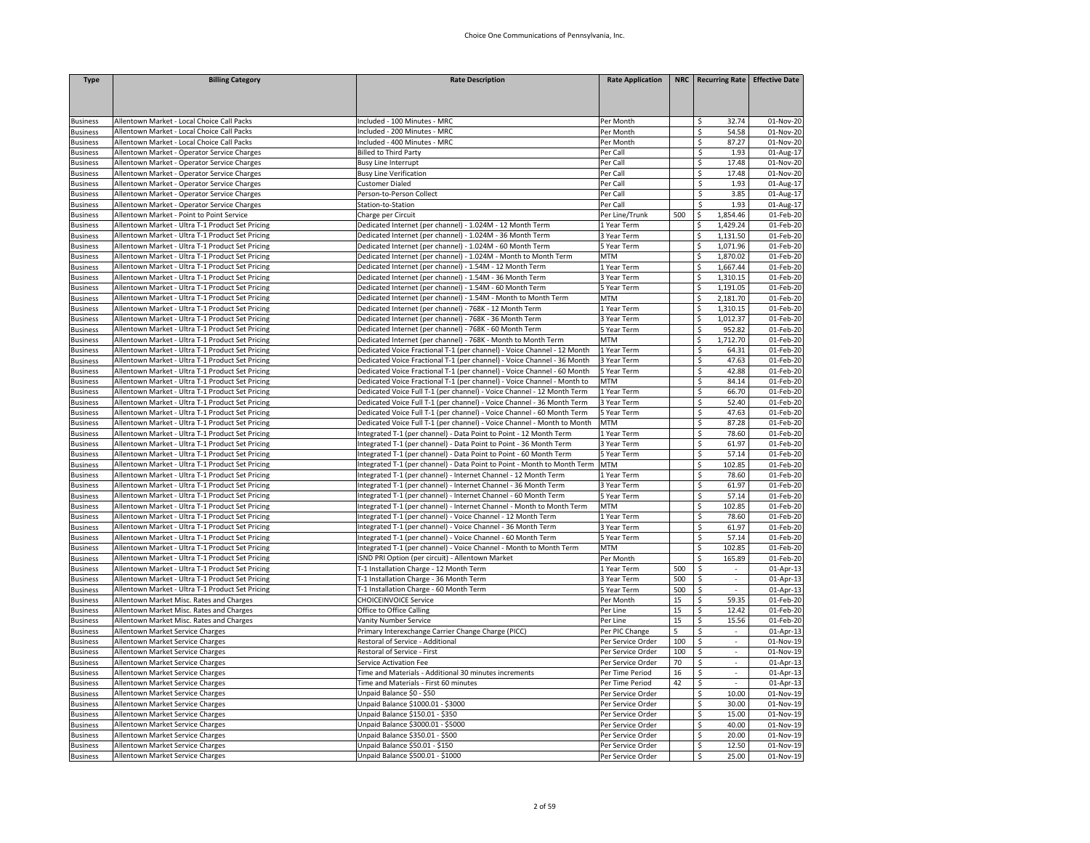| <b>Type</b>                        | <b>Billing Category</b>                                                                              | <b>Rate Description</b>                                                                                                                     | <b>Rate Application</b>    |     | NRC   Recurring Rate   Effective Date |                           |
|------------------------------------|------------------------------------------------------------------------------------------------------|---------------------------------------------------------------------------------------------------------------------------------------------|----------------------------|-----|---------------------------------------|---------------------------|
|                                    |                                                                                                      |                                                                                                                                             |                            |     |                                       |                           |
|                                    |                                                                                                      |                                                                                                                                             |                            |     |                                       |                           |
| <b>Business</b>                    | Allentown Market - Local Choice Call Packs                                                           | Included - 100 Minutes - MRC                                                                                                                | Per Month                  |     | 32.74<br>\$                           | 01-Nov-20                 |
| <b>Business</b>                    | Allentown Market - Local Choice Call Packs                                                           | Included - 200 Minutes - MRC                                                                                                                | Per Month                  |     | \$<br>54.58                           | 01-Nov-20                 |
| <b>Business</b>                    | Allentown Market - Local Choice Call Packs                                                           | Included - 400 Minutes - MRC                                                                                                                | Per Month                  |     | \$<br>87.27                           | 01-Nov-20                 |
| <b>Business</b>                    | Allentown Market - Operator Service Charges                                                          | <b>Billed to Third Party</b>                                                                                                                | Per Call                   |     | \$<br>1.93                            | 01-Aug-17                 |
| <b>Business</b>                    | Allentown Market - Operator Service Charges                                                          | <b>Busy Line Interrupt</b>                                                                                                                  | Per Call                   |     | \$<br>17.48                           | 01-Nov-20                 |
| <b>Business</b>                    | Allentown Market - Operator Service Charges                                                          | <b>Busy Line Verification</b>                                                                                                               | Per Call                   |     | \$<br>17.48                           | 01-Nov-20                 |
| Business                           | Allentown Market - Operator Service Charges                                                          | Customer Dialed                                                                                                                             | Per Call                   |     | $\overline{\varsigma}$<br>1.93        | 01-Aug-17                 |
| <b>Business</b>                    | Allentown Market - Operator Service Charges                                                          | Person-to-Person Collect                                                                                                                    | Per Call                   |     | \$<br>3.85                            | 01-Aug-17                 |
| <b>Business</b>                    | Allentown Market - Operator Service Charges                                                          | Station-to-Station                                                                                                                          | Per Call                   |     | \$<br>1.93                            | 01-Aug-17                 |
| <b>Business</b>                    | Allentown Market - Point to Point Service                                                            | Charge per Circuit                                                                                                                          | Per Line/Trunk             | 500 | \$<br>1,854.46                        | 01-Feb-20                 |
| <b>Business</b>                    | Allentown Market - Ultra T-1 Product Set Pricing                                                     | Dedicated Internet (per channel) - 1.024M - 12 Month Term                                                                                   | 1 Year Term                |     | \$<br>1,429.24                        | $01$ -Feb-20              |
| <b>Business</b>                    | Allentown Market - Ultra T-1 Product Set Pricing                                                     | Dedicated Internet (per channel) - 1.024M - 36 Month Term                                                                                   | 3 Year Term                |     | \$<br>1,131.50                        | 01-Feb-20                 |
| <b>Business</b>                    | Allentown Market - Ultra T-1 Product Set Pricing                                                     | Dedicated Internet (per channel) - 1.024M - 60 Month Term                                                                                   | 5 Year Term                |     | 1,071.96<br>Ś                         | 01-Feb-20                 |
| Business                           | Allentown Market - Ultra T-1 Product Set Pricing                                                     | Dedicated Internet (per channel) - 1.024M - Month to Month Term                                                                             | <b>MTM</b>                 |     | \$<br>1,870.02                        | 01-Feb-20                 |
| Business                           | Allentown Market - Ultra T-1 Product Set Pricing                                                     | Dedicated Internet (per channel) - 1.54M - 12 Month Term                                                                                    | 1 Year Term                |     | \$<br>1,667.44                        | 01-Feb-20                 |
| <b>Business</b>                    | Allentown Market - Ultra T-1 Product Set Pricing                                                     | Dedicated Internet (per channel) - 1.54M - 36 Month Term                                                                                    | 3 Year Term                |     | 1,310.15<br>\$                        | 01-Feb-20                 |
| <b>Business</b>                    | Allentown Market - Ultra T-1 Product Set Pricing                                                     | Dedicated Internet (per channel) - 1.54M - 60 Month Term                                                                                    | 5 Year Term                |     | 1,191.05<br>\$                        | 01-Feb-20                 |
| <b>Business</b>                    | Allentown Market - Ultra T-1 Product Set Pricing                                                     | Dedicated Internet (per channel) - 1.54M - Month to Month Term                                                                              | <b>MTM</b>                 |     | \$<br>2,181.70                        | 01-Feb-20                 |
| <b>Business</b>                    | Allentown Market - Ultra T-1 Product Set Pricing                                                     | Dedicated Internet (per channel) - 768K - 12 Month Term                                                                                     | 1 Year Term                |     | \$<br>1,310.15                        | 01-Feb-20                 |
| <b>Business</b>                    | Allentown Market - Ultra T-1 Product Set Pricing                                                     | Dedicated Internet (per channel) - 768K - 36 Month Term                                                                                     | 3 Year Term                |     | 1,012.37<br>\$                        | 01-Feb-20                 |
| <b>Business</b>                    | Allentown Market - Ultra T-1 Product Set Pricing                                                     | Dedicated Internet (per channel) - 768K - 60 Month Term                                                                                     | 5 Year Term                |     | \$<br>952.82                          | 01-Feb-20                 |
| <b>Business</b>                    | Allentown Market - Ultra T-1 Product Set Pricing                                                     | Dedicated Internet (per channel) - 768K - Month to Month Term                                                                               | MTM                        |     | \$<br>1,712.70                        | 01-Feb-20                 |
| <b>Business</b>                    | Allentown Market - Ultra T-1 Product Set Pricing                                                     | Dedicated Voice Fractional T-1 (per channel) - Voice Channel - 12 Month                                                                     | 1 Year Term                |     | \$<br>64.31                           | 01-Feb-20                 |
| Business                           | Allentown Market - Ultra T-1 Product Set Pricing                                                     | Dedicated Voice Fractional T-1 (per channel) - Voice Channel - 36 Month                                                                     | 3 Year Term                |     | \$<br>47.63                           | 01-Feb-20                 |
| <b>Business</b>                    | Allentown Market - Ultra T-1 Product Set Pricing                                                     | Dedicated Voice Fractional T-1 (per channel) - Voice Channel - 60 Month                                                                     | S Year Term                |     | \$<br>42.88                           | 01-Feb-20                 |
| <b>Business</b>                    | Allentown Market - Ultra T-1 Product Set Pricing                                                     | Dedicated Voice Fractional T-1 (per channel) - Voice Channel - Month to                                                                     | <b>MTM</b>                 |     | \$<br>84.14                           | 01-Feb-20                 |
| <b>Business</b>                    | Allentown Market - Ultra T-1 Product Set Pricing                                                     | Dedicated Voice Full T-1 (per channel) - Voice Channel - 12 Month Term                                                                      | 1 Year Term                |     | \$<br>66.70                           | 01-Feb-20                 |
| <b>Business</b>                    | Allentown Market - Ultra T-1 Product Set Pricing                                                     | Dedicated Voice Full T-1 (per channel) - Voice Channel - 36 Month Term                                                                      | 3 Year Term                |     | 52.40<br>\$                           | 01-Feb-20                 |
| <b>Business</b>                    | Allentown Market - Ultra T-1 Product Set Pricing                                                     | Dedicated Voice Full T-1 (per channel) - Voice Channel - 60 Month Term                                                                      | 5 Year Term                |     | \$<br>47.63                           | 01-Feb-20                 |
| <b>Business</b>                    | Allentown Market - Ultra T-1 Product Set Pricing                                                     | Dedicated Voice Full T-1 (per channel) - Voice Channel - Month to Month                                                                     | <b>MTM</b>                 |     | \$<br>87.28                           | 01-Feb-20                 |
| <b>Business</b>                    | Allentown Market - Ultra T-1 Product Set Pricing                                                     | Integrated T-1 (per channel) - Data Point to Point - 12 Month Term                                                                          | 1 Year Term                |     | \$<br>78.60                           | 01-Feb-20                 |
| <b>Business</b>                    | Allentown Market - Ultra T-1 Product Set Pricing                                                     | Integrated T-1 (per channel) - Data Point to Point - 36 Month Term                                                                          | 3 Year Term                |     | \$<br>61.97                           | 01-Feb-20<br>$01$ -Feb-20 |
| <b>Business</b>                    | Allentown Market - Ultra T-1 Product Set Pricing                                                     | Integrated T-1 (per channel) - Data Point to Point - 60 Month Term                                                                          | 5 Year Term                |     | \$<br>57.14                           |                           |
| <b>Business</b>                    | Allentown Market - Ultra T-1 Product Set Pricing<br>Allentown Market - Ultra T-1 Product Set Pricing | Integrated T-1 (per channel) - Data Point to Point - Month to Month Term<br>Integrated T-1 (per channel) - Internet Channel - 12 Month Term | <b>MTM</b>                 |     | \$<br>102.85<br>\$<br>78.60           | 01-Feb-20<br>01-Feb-20    |
| Business                           | Allentown Market - Ultra T-1 Product Set Pricing                                                     | Integrated T-1 (per channel) - Internet Channel - 36 Month Term                                                                             | L Year Term<br>3 Year Term |     | $\overline{\mathsf{S}}$<br>61.97      | 01-Feb-20                 |
| <b>Business</b><br><b>Business</b> | Allentown Market - Ultra T-1 Product Set Pricing                                                     | Integrated T-1 (per channel) - Internet Channel - 60 Month Term                                                                             | S Year Term                |     | Ś<br>57.14                            | 01-Feb-20                 |
| <b>Business</b>                    | Allentown Market - Ultra T-1 Product Set Pricing                                                     | Integrated T-1 (per channel) - Internet Channel - Month to Month Term                                                                       | <b>MTM</b>                 |     | \$<br>102.85                          | 01-Feb-20                 |
| <b>Business</b>                    | Allentown Market - Ultra T-1 Product Set Pricing                                                     | Integrated T-1 (per channel) - Voice Channel - 12 Month Term                                                                                | 1 Year Term                |     | \$<br>78.60                           | 01-Feb-20                 |
| <b>Business</b>                    | Allentown Market - Ultra T-1 Product Set Pricing                                                     | Integrated T-1 (per channel) - Voice Channel - 36 Month Term                                                                                | 3 Year Term                |     | \$<br>61.97                           | 01-Feb-20                 |
| <b>Business</b>                    | Allentown Market - Ultra T-1 Product Set Pricing                                                     | Integrated T-1 (per channel) - Voice Channel - 60 Month Term                                                                                | 5 Year Term                |     | \$<br>57.14                           | 01-Feb-20                 |
| <b>Business</b>                    | Allentown Market - Ultra T-1 Product Set Pricing                                                     | Integrated T-1 (per channel) - Voice Channel - Month to Month Term                                                                          | <b>MTM</b>                 |     | \$<br>102.85                          | 01-Feb-20                 |
| <b>Business</b>                    | Allentown Market - Ultra T-1 Product Set Pricing                                                     | <b>SND PRI Option (per circuit) - Allentown Market</b>                                                                                      | Per Month                  |     | \$<br>165.89                          | 01-Feb-20                 |
| <b>Business</b>                    | Allentown Market - Ultra T-1 Product Set Pricing                                                     | T-1 Installation Charge - 12 Month Term                                                                                                     | 1 Year Term                | 500 | \$<br>$\overline{\phantom{a}}$        | 01-Apr-13                 |
| <b>Business</b>                    | Allentown Market - Ultra T-1 Product Set Pricing                                                     | T-1 Installation Charge - 36 Month Term                                                                                                     | 3 Year Term                | 500 | \$<br>$\sim$                          | 01-Apr-13                 |
| <b>Business</b>                    | Allentown Market - Ultra T-1 Product Set Pricing                                                     | T-1 Installation Charge - 60 Month Term                                                                                                     | 5 Year Term                | 500 | \$                                    | 01-Apr-13                 |
| <b>Business</b>                    | Allentown Market Misc. Rates and Charges                                                             | <b>CHOICEINVOICE Service</b>                                                                                                                | Per Month                  | 15  | \$<br>59.35                           | 01-Feb-20                 |
| <b>Business</b>                    | Allentown Market Misc. Rates and Charges                                                             | Office to Office Calling                                                                                                                    | Per Line                   | 15  | \$<br>12.42                           | 01-Feb-20                 |
| <b>Business</b>                    | Allentown Market Misc. Rates and Charges                                                             | Vanity Number Service                                                                                                                       | Per Line                   | 15  | \$<br>15.56                           | 01-Feb-20                 |
| <b>Business</b>                    | Allentown Market Service Charges                                                                     | Primary Interexchange Carrier Change Charge (PICC)                                                                                          | Per PIC Change             | 5   | \$                                    | 01-Apr-13                 |
| <b>Business</b>                    | Allentown Market Service Charges                                                                     | Restoral of Service - Additional                                                                                                            | Per Service Order          | 100 | \$                                    | 01-Nov-19                 |
| <b>Business</b>                    | Allentown Market Service Charges                                                                     | Restoral of Service - First                                                                                                                 | Per Service Order          | 100 | \$<br>$\overline{\phantom{a}}$        | 01-Nov-19                 |
| <b>Business</b>                    | Allentown Market Service Charges                                                                     | Service Activation Fee                                                                                                                      | Per Service Order          | 70  | \$<br>ä,                              | 01-Apr-13                 |
| <b>Business</b>                    | Allentown Market Service Charges                                                                     | Time and Materials - Additional 30 minutes increments                                                                                       | Per Time Period            | 16  | \$<br>÷                               | 01-Apr-13                 |
| Business                           | Allentown Market Service Charges                                                                     | Time and Materials - First 60 minutes                                                                                                       | Per Time Period            | 42  | \$                                    | 01-Apr-13                 |
| <b>Business</b>                    | Allentown Market Service Charges                                                                     | Unpaid Balance \$0 - \$50                                                                                                                   | Per Service Order          |     | \$<br>10.00                           | 01-Nov-19                 |
| <b>Business</b>                    | Allentown Market Service Charges                                                                     | Unpaid Balance \$1000.01 - \$3000                                                                                                           | Per Service Order          |     | \$<br>30.00                           | 01-Nov-19                 |
| <b>Business</b>                    | Allentown Market Service Charges                                                                     | Unpaid Balance \$150.01 - \$350                                                                                                             | Per Service Order          |     | \$<br>15.00                           | 01-Nov-19                 |
| <b>Business</b>                    | Allentown Market Service Charges                                                                     | Unpaid Balance \$3000.01 - \$5000                                                                                                           | Per Service Order          |     | \$<br>40.00                           | 01-Nov-19                 |
| <b>Business</b>                    | Allentown Market Service Charges                                                                     | Unpaid Balance \$350.01 - \$500                                                                                                             | Per Service Order          |     | \$<br>20.00                           | 01-Nov-19                 |
| <b>Business</b>                    | Allentown Market Service Charges                                                                     | Unpaid Balance \$50.01 - \$150                                                                                                              | Per Service Order          |     | \$<br>12.50                           | 01-Nov-19                 |
| <b>Business</b>                    | Allentown Market Service Charges                                                                     | Unpaid Balance \$500.01 - \$1000                                                                                                            | Per Service Order          |     | \$<br>25.00                           | 01-Nov-19                 |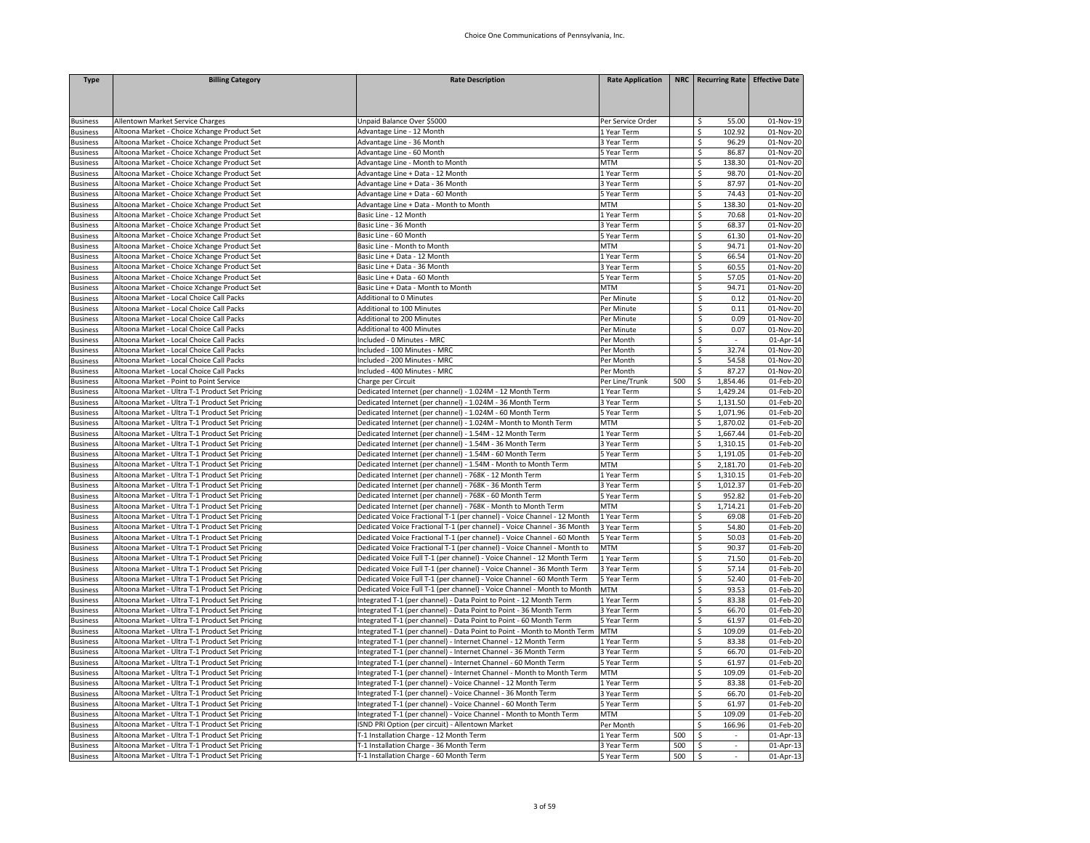| <b>Type</b>                        | <b>Billing Category</b>                                                                          | <b>Rate Description</b>                                                                                                                        | <b>Rate Application</b>    |     | NRC   Recurring Rate   Effective Date |                         |
|------------------------------------|--------------------------------------------------------------------------------------------------|------------------------------------------------------------------------------------------------------------------------------------------------|----------------------------|-----|---------------------------------------|-------------------------|
|                                    |                                                                                                  |                                                                                                                                                |                            |     |                                       |                         |
|                                    |                                                                                                  |                                                                                                                                                |                            |     |                                       |                         |
| <b>Business</b>                    | Allentown Market Service Charges                                                                 | Unpaid Balance Over \$5000                                                                                                                     | Per Service Order          |     | 55.00<br>\$                           | 01-Nov-19               |
| <b>Business</b>                    | Altoona Market - Choice Xchange Product Set                                                      | Advantage Line - 12 Month                                                                                                                      | 1 Year Term                |     | \$<br>102.92                          | 01-Nov-20               |
| <b>Business</b>                    | Altoona Market - Choice Xchange Product Set                                                      | Advantage Line - 36 Month                                                                                                                      | 3 Year Term                |     | \$<br>96.29                           | 01-Nov-20               |
| <b>Business</b>                    | Altoona Market - Choice Xchange Product Set                                                      | Advantage Line - 60 Month                                                                                                                      | 5 Year Term                |     | \$<br>86.87                           | $\overline{01}$ -Nov-20 |
| <b>Business</b>                    | Altoona Market - Choice Xchange Product Set                                                      | Advantage Line - Month to Month                                                                                                                | MTM                        |     | \$<br>138.30                          | 01-Nov-20               |
| <b>Business</b>                    | Altoona Market - Choice Xchange Product Set                                                      | Advantage Line + Data - 12 Month                                                                                                               | 1 Year Term                |     | \$<br>98.70                           | 01-Nov-20               |
| <b>Business</b>                    | Altoona Market - Choice Xchange Product Set                                                      | Advantage Line + Data - 36 Month                                                                                                               | 3 Year Term                |     | \$<br>87.97                           | 01-Nov-20               |
| <b>Business</b>                    | Altoona Market - Choice Xchange Product Set                                                      | Advantage Line + Data - 60 Month                                                                                                               | 5 Year Term                |     | \$<br>74.43                           | 01-Nov-20               |
| <b>Business</b>                    | Altoona Market - Choice Xchange Product Set                                                      | Advantage Line + Data - Month to Month                                                                                                         | MTM                        |     | \$<br>138.30                          | 01-Nov-20               |
| <b>Business</b>                    | Altoona Market - Choice Xchange Product Set                                                      | Basic Line - 12 Month                                                                                                                          | 1 Year Term                |     | \$<br>70.68                           | 01-Nov-20               |
| <b>Business</b>                    | Altoona Market - Choice Xchange Product Set                                                      | Basic Line - 36 Month                                                                                                                          | 3 Year Term                |     | \$<br>68.37                           | 01-Nov-20               |
| <b>Business</b>                    | Altoona Market - Choice Xchange Product Set                                                      | Basic Line - 60 Month                                                                                                                          | 5 Year Term                |     | \$<br>61.30                           | 01-Nov-20               |
| <b>Business</b>                    | Altoona Market - Choice Xchange Product Set                                                      | Basic Line - Month to Month                                                                                                                    | <b>MTM</b>                 |     | \$<br>94.71                           | 01-Nov-20               |
| <b>Business</b>                    | Altoona Market - Choice Xchange Product Set                                                      | Basic Line + Data - 12 Month                                                                                                                   | Year Term                  |     | \$<br>66.54                           | 01-Nov-20               |
| <b>Business</b>                    | Altoona Market - Choice Xchange Product Set                                                      | Basic Line + Data - 36 Month                                                                                                                   | 3 Year Term                |     | \$<br>60.55                           | 01-Nov-20               |
| <b>Business</b>                    | Altoona Market - Choice Xchange Product Set                                                      | Basic Line + Data - 60 Month                                                                                                                   | S Year Term                |     | \$<br>57.05                           | 01-Nov-20               |
| <b>Business</b>                    | Altoona Market - Choice Xchange Product Set                                                      | Basic Line + Data - Month to Month                                                                                                             | MTM                        |     | \$<br>94.71                           | 01-Nov-20               |
| <b>Business</b>                    | Altoona Market - Local Choice Call Packs                                                         | <b>Additional to 0 Minutes</b>                                                                                                                 | Per Minute                 |     | \$<br>0.12                            | 01-Nov-20               |
| <b>Business</b>                    | Altoona Market - Local Choice Call Packs                                                         | Additional to 100 Minutes                                                                                                                      | Per Minute                 |     | \$<br>0.11                            | 01-Nov-20               |
| <b>Business</b>                    | Altoona Market - Local Choice Call Packs                                                         | Additional to 200 Minutes                                                                                                                      | Per Minute                 |     | \$<br>0.09                            | 01-Nov-20               |
| <b>Business</b>                    | Altoona Market - Local Choice Call Packs                                                         | Additional to 400 Minutes                                                                                                                      | Per Minute                 |     | \$<br>0.07                            | 01-Nov-20               |
| <b>Business</b>                    | Altoona Market - Local Choice Call Packs                                                         | Included - 0 Minutes - MRC                                                                                                                     | Per Month                  |     | \$                                    | 01-Apr-14               |
| <b>Business</b>                    | Altoona Market - Local Choice Call Packs                                                         | Included - 100 Minutes - MRC                                                                                                                   | Per Month                  |     | \$<br>32.74                           | 01-Nov-20               |
| <b>Business</b>                    | Altoona Market - Local Choice Call Packs                                                         | Included - 200 Minutes - MRC                                                                                                                   | Per Month                  |     | $\mathsf{\hat{S}}$<br>54.58           | 01-Nov-20               |
| <b>Business</b>                    | Altoona Market - Local Choice Call Packs                                                         | Included - 400 Minutes - MRC                                                                                                                   | Per Month                  |     | \$<br>87.27                           | 01-Nov-20               |
| <b>Business</b>                    | Altoona Market - Point to Point Service                                                          | Charge per Circuit                                                                                                                             | Per Line/Trunk             | 500 | \$<br>1,854.46                        | 01-Feb-20               |
| <b>Business</b>                    | Altoona Market - Ultra T-1 Product Set Pricing                                                   | Dedicated Internet (per channel) - 1.024M - 12 Month Term                                                                                      | 1 Year Term                |     | \$<br>1,429.24                        | 01-Feb-20               |
| <b>Business</b>                    | Altoona Market - Ultra T-1 Product Set Pricing                                                   | Dedicated Internet (per channel) - 1.024M - 36 Month Term                                                                                      | 3 Year Term                |     | \$<br>1,131.50                        | 01-Feb-20               |
| <b>Business</b>                    | Altoona Market - Ultra T-1 Product Set Pricing                                                   | Dedicated Internet (per channel) - 1.024M - 60 Month Term                                                                                      | SYear Term                 |     | \$<br>1,071.96                        | 01-Feb-20               |
| <b>Business</b>                    | Altoona Market - Ultra T-1 Product Set Pricing                                                   | Dedicated Internet (per channel) - 1.024M - Month to Month Term                                                                                | MTM                        |     | \$<br>1,870.02                        | 01-Feb-20               |
| <b>Business</b>                    | Altoona Market - Ultra T-1 Product Set Pricing                                                   | Dedicated Internet (per channel) - 1.54M - 12 Month Term                                                                                       | 1 Year Term                |     | \$<br>1,667.44                        | 01-Feb-20               |
| <b>Business</b>                    | Altoona Market - Ultra T-1 Product Set Pricing                                                   | Dedicated Internet (per channel) - 1.54M - 36 Month Term                                                                                       | 3 Year Term                |     | \$<br>1,310.15                        | 01-Feb-20               |
| <b>Business</b>                    | Altoona Market - Ultra T-1 Product Set Pricing                                                   | Dedicated Internet (per channel) - 1.54M - 60 Month Term                                                                                       | 5 Year Term                |     | \$<br>1,191.05                        | 01-Feb-20               |
| <b>Business</b>                    | Altoona Market - Ultra T-1 Product Set Pricing                                                   | Dedicated Internet (per channel) - 1.54M - Month to Month Term                                                                                 | MTM                        |     | 2,181.70<br>\$                        | 01-Feb-20               |
| <b>Business</b>                    | Altoona Market - Ultra T-1 Product Set Pricing                                                   | Dedicated Internet (per channel) - 768K - 12 Month Term                                                                                        | 1 Year Term                |     | \$<br>1,310.15                        | 01-Feb-20               |
| <b>Business</b>                    | Altoona Market - Ultra T-1 Product Set Pricing                                                   | Dedicated Internet (per channel) - 768K - 36 Month Term                                                                                        | 3 Year Term                |     | \$<br>1,012.37                        | 01-Feb-20               |
| <b>Business</b>                    | Altoona Market - Ultra T-1 Product Set Pricing                                                   | Dedicated Internet (per channel) - 768K - 60 Month Term                                                                                        | Year Term                  |     | \$<br>952.82                          | 01-Feb-20               |
| <b>Business</b>                    | Altoona Market - Ultra T-1 Product Set Pricing                                                   | Dedicated Internet (per channel) - 768K - Month to Month Term                                                                                  | MTM                        |     | \$<br>1,714.21                        | 01-Feb-20               |
| <b>Business</b>                    | Altoona Market - Ultra T-1 Product Set Pricing                                                   | Dedicated Voice Fractional T-1 (per channel) - Voice Channel - 12 Month                                                                        | 1 Year Term                |     | \$<br>69.08                           | 01-Feb-20               |
| <b>Business</b>                    | Altoona Market - Ultra T-1 Product Set Pricing                                                   | Dedicated Voice Fractional T-1 (per channel) - Voice Channel - 36 Month                                                                        | 3 Year Term                |     | \$<br>54.80                           | 01-Feb-20               |
| <b>Business</b>                    | Altoona Market - Ultra T-1 Product Set Pricing                                                   | Dedicated Voice Fractional T-1 (per channel) - Voice Channel - 60 Month                                                                        | 5 Year Term                |     | \$<br>50.03                           | 01-Feb-20               |
| <b>Business</b>                    | Altoona Market - Ultra T-1 Product Set Pricing                                                   | Dedicated Voice Fractional T-1 (per channel) - Voice Channel - Month to                                                                        | <b>MTM</b>                 |     | \$<br>90.37                           | 01-Feb-20               |
| <b>Business</b>                    | Altoona Market - Ultra T-1 Product Set Pricing                                                   | Dedicated Voice Full T-1 (per channel) - Voice Channel - 12 Month Term                                                                         | Year Term                  |     | \$<br>71.50                           | 01-Feb-20               |
| <b>Business</b>                    | Altoona Market - Ultra T-1 Product Set Pricing                                                   | Dedicated Voice Full T-1 (per channel) - Voice Channel - 36 Month Term                                                                         | 3 Year Term                |     | \$<br>57.14                           | 01-Feb-20               |
| <b>Business</b>                    | Altoona Market - Ultra T-1 Product Set Pricing                                                   | Dedicated Voice Full T-1 (per channel) - Voice Channel - 60 Month Term                                                                         | 5 Year Term                |     | \$<br>52.40<br>$\mathsf{\hat{S}}$     | 01-Feb-20               |
| <b>Business</b>                    | Altoona Market - Ultra T-1 Product Set Pricing                                                   | Dedicated Voice Full T-1 (per channel) - Voice Channel - Month to Month                                                                        | <b>MTM</b>                 |     | 93.53                                 | 01-Feb-20               |
| <b>Business</b>                    | Altoona Market - Ultra T-1 Product Set Pricing                                                   | Integrated T-1 (per channel) - Data Point to Point - 12 Month Term                                                                             | LYear Term                 |     | \$<br>83.38                           | 01-Feb-20               |
| <b>Business</b>                    | Altoona Market - Ultra T-1 Product Set Pricing                                                   | Integrated T-1 (per channel) - Data Point to Point - 36 Month Term                                                                             | 3 Year Term                |     | \$<br>66.70                           | 01-Feb-20               |
| <b>Business</b>                    | Altoona Market - Ultra T-1 Product Set Pricing<br>Altoona Market - Ultra T-1 Product Set Pricing | Integrated T-1 (per channel) - Data Point to Point - 60 Month Term<br>Integrated T-1 (per channel) - Data Point to Point - Month to Month Term | 5 Year Term<br><b>MTM</b>  |     | \$<br>61.97<br>\$<br>109.09           | 01-Feb-20<br>01-Feb-20  |
| <b>Business</b><br><b>Business</b> | Altoona Market - Ultra T-1 Product Set Pricing                                                   | Integrated T-1 (per channel) - Internet Channel - 12 Month Term                                                                                | L Year Term                |     | \$<br>83.38                           | 01-Feb-20               |
|                                    |                                                                                                  |                                                                                                                                                |                            |     | \$<br>66.70                           | 01-Feb-20               |
| <b>Business</b>                    | Altoona Market - Ultra T-1 Product Set Pricing<br>Altoona Market - Ultra T-1 Product Set Pricing | Integrated T-1 (per channel) - Internet Channel - 36 Month Term<br>Integrated T-1 (per channel) - Internet Channel - 60 Month Term             | 3 Year Term<br>5 Year Term |     | \$<br>61.97                           | 01-Feb-20               |
| <b>Business</b><br><b>Business</b> | Altoona Market - Ultra T-1 Product Set Pricing                                                   | Integrated T-1 (per channel) - Internet Channel - Month to Month Term                                                                          | MTM                        |     | $\overline{\mathsf{S}}$<br>109.09     | 01-Feb-20               |
|                                    | Altoona Market - Ultra T-1 Product Set Pricing                                                   | Integrated T-1 (per channel) - Voice Channel - 12 Month Term                                                                                   | LYear Term                 |     | \$<br>83.38                           | 01-Feb-20               |
| <b>Business</b><br><b>Business</b> | Altoona Market - Ultra T-1 Product Set Pricing                                                   | Integrated T-1 (per channel) - Voice Channel - 36 Month Term                                                                                   | 3 Year Term                |     | \$<br>66.70                           | 01-Feb-20               |
| <b>Business</b>                    | Altoona Market - Ultra T-1 Product Set Pricing                                                   | Integrated T-1 (per channel) - Voice Channel - 60 Month Term                                                                                   | 5 Year Term                |     | \$<br>61.97                           | $01$ -Feb-20            |
| <b>Business</b>                    | Altoona Market - Ultra T-1 Product Set Pricing                                                   | Integrated T-1 (per channel) - Voice Channel - Month to Month Term                                                                             | MTM                        |     | \$<br>109.09                          | 01-Feb-20               |
| <b>Business</b>                    | Altoona Market - Ultra T-1 Product Set Pricing                                                   | <b>ISND PRI Option (per circuit) - Allentown Market</b>                                                                                        | Per Month                  |     | \$<br>166.96                          | 01-Feb-20               |
| <b>Business</b>                    | Altoona Market - Ultra T-1 Product Set Pricing                                                   | T-1 Installation Charge - 12 Month Term                                                                                                        | 1 Year Term                | 500 | \$                                    | 01-Apr-13               |
| <b>Business</b>                    | Altoona Market - Ultra T-1 Product Set Pricing                                                   | T-1 Installation Charge - 36 Month Term                                                                                                        | 3 Year Term                | 500 | \$<br>$\mathcal{L}_{\mathcal{A}}$     | 01-Apr-13               |
| <b>Business</b>                    | Altoona Market - Ultra T-1 Product Set Pricing                                                   | T-1 Installation Charge - 60 Month Term                                                                                                        | 5 Year Term                | 500 | \$                                    | 01-Apr-13               |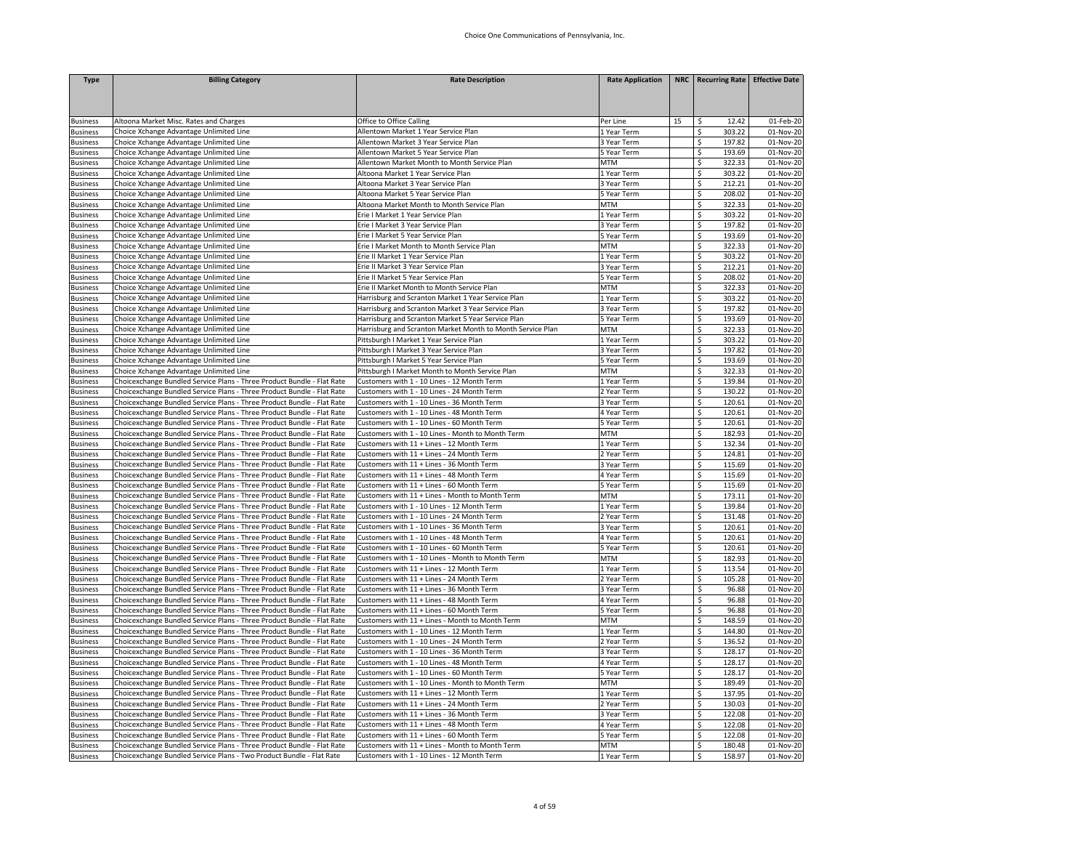| <b>Type</b>                        | <b>Billing Category</b>                                                                                                                          | <b>Rate Description</b>                                                                | <b>Rate Application</b>   |    | NRC   Recurring Rate   Effective Date |                         |
|------------------------------------|--------------------------------------------------------------------------------------------------------------------------------------------------|----------------------------------------------------------------------------------------|---------------------------|----|---------------------------------------|-------------------------|
|                                    |                                                                                                                                                  |                                                                                        |                           |    |                                       |                         |
| <b>Business</b>                    | Altoona Market Misc. Rates and Charges                                                                                                           | Office to Office Calling                                                               | Per Line                  | 15 | 12.42<br>\$                           | 01-Feb-20               |
| <b>Business</b>                    | Choice Xchange Advantage Unlimited Line                                                                                                          | Allentown Market 1 Year Service Plan                                                   | 1 Year Term               |    | \$<br>303.22                          | 01-Nov-20               |
| <b>Business</b>                    | Choice Xchange Advantage Unlimited Line                                                                                                          | Allentown Market 3 Year Service Plan                                                   | 3 Year Term               |    | 197.82<br>\$                          | 01-Nov-20               |
| <b>Business</b>                    | Choice Xchange Advantage Unlimited Line                                                                                                          | Allentown Market 5 Year Service Plan                                                   | 5 Year Term               |    | 193.69<br>\$                          | 01-Nov-20               |
| <b>Business</b>                    | Choice Xchange Advantage Unlimited Line                                                                                                          | Allentown Market Month to Month Service Plan                                           | MTM                       |    | \$<br>322.33                          | 01-Nov-20               |
| <b>Business</b>                    | Choice Xchange Advantage Unlimited Line                                                                                                          | Altoona Market 1 Year Service Plan                                                     | 1 Year Term               |    | \$<br>303.22                          | 01-Nov-20               |
| <b>Business</b>                    | Choice Xchange Advantage Unlimited Line                                                                                                          | Altoona Market 3 Year Service Plan                                                     | 3 Year Term               |    | \$<br>212.21                          | 01-Nov-20               |
| <b>Business</b>                    | Choice Xchange Advantage Unlimited Line                                                                                                          | Altoona Market 5 Year Service Plan                                                     | 5 Year Term               |    | \$<br>208.02                          | 01-Nov-20               |
| <b>Business</b>                    | Choice Xchange Advantage Unlimited Line                                                                                                          | Altoona Market Month to Month Service Plan                                             | <b>MTM</b>                |    | \$<br>322.33                          | 01-Nov-20               |
| <b>Business</b>                    | Choice Xchange Advantage Unlimited Line                                                                                                          | Erie I Market 1 Year Service Plan                                                      | 1 Year Term               |    | \$<br>303.22                          | 01-Nov-20               |
| <b>Business</b>                    | Choice Xchange Advantage Unlimited Line                                                                                                          | Erie I Market 3 Year Service Plan                                                      | 3 Year Term               |    | \$<br>197.82                          | 01-Nov-20               |
| <b>Business</b>                    | Choice Xchange Advantage Unlimited Line                                                                                                          | Erie I Market 5 Year Service Plan                                                      | 5 Year Term               |    | \$<br>193.69                          | 01-Nov-20               |
| <b>Business</b>                    | Choice Xchange Advantage Unlimited Line                                                                                                          | Erie I Market Month to Month Service Plan                                              | <b>MTM</b>                |    | Ŝ.<br>322.33                          | 01-Nov-20               |
| Business                           | Choice Xchange Advantage Unlimited Line                                                                                                          | Erie II Market 1 Year Service Plan                                                     | 1 Year Term               |    | \$<br>303.22                          | 01-Nov-20               |
| Business                           | Choice Xchange Advantage Unlimited Line                                                                                                          | Erie II Market 3 Year Service Plan                                                     | 3 Year Term               |    | \$<br>212.21                          | $\overline{01}$ -Nov-20 |
| <b>Business</b>                    | Choice Xchange Advantage Unlimited Line                                                                                                          | Erie II Market 5 Year Service Plan                                                     | 5 Year Term               |    | \$<br>208.02                          | 01-Nov-20               |
| <b>Business</b>                    | Choice Xchange Advantage Unlimited Line                                                                                                          | Erie II Market Month to Month Service Plan                                             | MTM                       |    | \$<br>322.33                          | 01-Nov-20               |
| <b>Business</b>                    | Choice Xchange Advantage Unlimited Line                                                                                                          | Harrisburg and Scranton Market 1 Year Service Plan                                     | 1 Year Term               |    | \$<br>303.22                          | 01-Nov-20               |
| <b>Business</b>                    | Choice Xchange Advantage Unlimited Line                                                                                                          | Harrisburg and Scranton Market 3 Year Service Plan                                     | 3 Year Term               |    | \$<br>197.82                          | 01-Nov-20               |
| <b>Business</b>                    | Choice Xchange Advantage Unlimited Line                                                                                                          | Harrisburg and Scranton Market 5 Year Service Plan                                     | 5 Year Term               |    | Ŝ.<br>193.69                          | 01-Nov-20               |
| Business                           | Choice Xchange Advantage Unlimited Line                                                                                                          | Harrisburg and Scranton Market Month to Month Service Plan                             | MTM                       |    | \$<br>322.33                          | 01-Nov-20               |
| <b>Business</b>                    | Choice Xchange Advantage Unlimited Line                                                                                                          | Pittsburgh I Market 1 Year Service Plan                                                | 1 Year Term               |    | \$<br>303.22                          | $\overline{01}$ -Nov-20 |
| <b>Business</b>                    | Choice Xchange Advantage Unlimited Line                                                                                                          | Pittsburgh I Market 3 Year Service Plan                                                | 3 Year Term               |    | \$<br>197.82                          | 01-Nov-20               |
| <b>Business</b>                    | Choice Xchange Advantage Unlimited Line                                                                                                          | Pittsburgh I Market 5 Year Service Plan                                                | 5 Year Term               |    | \$<br>193.69                          | 01-Nov-20               |
| <b>Business</b>                    | Choice Xchange Advantage Unlimited Line                                                                                                          | Pittsburgh I Market Month to Month Service Plan                                        | MTM                       |    | \$<br>322.33                          | 01-Nov-20               |
| <b>Business</b>                    | Choicexchange Bundled Service Plans - Three Product Bundle - Flat Rate                                                                           | Customers with 1 - 10 Lines - 12 Month Term                                            | 1 Year Term               |    | \$<br>139.84                          | $\overline{01}$ -Nov-20 |
| <b>Business</b>                    | Choicexchange Bundled Service Plans - Three Product Bundle - Flat Rate                                                                           | Customers with 1 - 10 Lines - 24 Month Term                                            | 2 Year Term               |    | \$<br>130.22                          | 01-Nov-20               |
| <b>Business</b>                    | Choicexchange Bundled Service Plans - Three Product Bundle - Flat Rate                                                                           | Customers with 1 - 10 Lines - 36 Month Term                                            | 3 Year Term               |    | \$<br>120.61                          | 01-Nov-20               |
| <b>Business</b>                    | Choicexchange Bundled Service Plans - Three Product Bundle - Flat Rate                                                                           | Customers with 1 - 10 Lines - 48 Month Term                                            | 4 Year Term               |    | \$<br>120.61                          | 01-Nov-20               |
| <b>Business</b>                    | Choicexchange Bundled Service Plans - Three Product Bundle - Flat Rate                                                                           | Customers with 1 - 10 Lines - 60 Month Term                                            | 5 Year Term               |    | \$<br>120.61                          | 01-Nov-20               |
| <b>Business</b>                    | Choicexchange Bundled Service Plans - Three Product Bundle - Flat Rate                                                                           | Customers with 1 - 10 Lines - Month to Month Term                                      | MTM                       |    | \$<br>182.93                          | 01-Nov-20               |
| <b>Business</b>                    | Choicexchange Bundled Service Plans - Three Product Bundle - Flat Rate                                                                           | Customers with 11 + Lines - 12 Month Term                                              | 1 Year Term               |    | \$<br>132.34                          | 01-Nov-20               |
| <b>Business</b>                    | Choicexchange Bundled Service Plans - Three Product Bundle - Flat Rate                                                                           | Customers with 11 + Lines - 24 Month Term                                              | 2 Year Term               |    | \$<br>124.81                          | 01-Nov-20               |
| <b>Business</b>                    | Choicexchange Bundled Service Plans - Three Product Bundle - Flat Rate                                                                           | Customers with 11 + Lines - 36 Month Term                                              | 3 Year Term               |    | \$<br>115.69                          | 01-Nov-20               |
| <b>Business</b>                    | Choicexchange Bundled Service Plans - Three Product Bundle - Flat Rate                                                                           | Customers with 11 + Lines - 48 Month Term                                              | 4 Year Term               |    | \$<br>115.69                          | 01-Nov-20               |
| <b>Business</b>                    | Choicexchange Bundled Service Plans - Three Product Bundle - Flat Rate                                                                           | Customers with 11 + Lines - 60 Month Term                                              | 5 Year Term               |    | \$<br>115.69                          | 01-Nov-20               |
| <b>Business</b>                    | Choicexchange Bundled Service Plans - Three Product Bundle - Flat Rate                                                                           | Customers with 11 + Lines - Month to Month Term                                        | MTM                       |    | \$<br>173.11                          | 01-Nov-20               |
| <b>Business</b>                    | Choicexchange Bundled Service Plans - Three Product Bundle - Flat Rate                                                                           | Customers with 1 - 10 Lines - 12 Month Term                                            | 1 Year Term               |    | Ŝ.<br>139.84                          | 01-Nov-20               |
| <b>Business</b>                    | Choicexchange Bundled Service Plans - Three Product Bundle - Flat Rate                                                                           | Customers with 1 - 10 Lines - 24 Month Term                                            | 2 Year Term               |    | \$<br>131.48                          | 01-Nov-20               |
| <b>Business</b>                    | Choicexchange Bundled Service Plans - Three Product Bundle - Flat Rate                                                                           | Customers with 1 - 10 Lines - 36 Month Term                                            | 3 Year Term               |    | \$<br>120.61                          | 01-Nov-20               |
| <b>Business</b>                    | Choicexchange Bundled Service Plans - Three Product Bundle - Flat Rate                                                                           | Customers with 1 - 10 Lines - 48 Month Term                                            | 4 Year Term               |    | \$<br>120.61                          | 01-Nov-20               |
| Business                           | Choicexchange Bundled Service Plans - Three Product Bundle - Flat Rate                                                                           | Customers with 1 - 10 Lines - 60 Month Term                                            | 5 Year Term               |    | \$<br>120.61                          | 01-Nov-20               |
| <b>Business</b>                    | Choicexchange Bundled Service Plans - Three Product Bundle - Flat Rate                                                                           | Customers with 1 - 10 Lines - Month to Month Term                                      | MTM                       |    | \$<br>182.93                          | 01-Nov-20               |
| Business                           | Choicexchange Bundled Service Plans - Three Product Bundle - Flat Rate                                                                           | Customers with 11 + Lines - 12 Month Term                                              | 1 Year Term               |    | \$<br>113.54                          | $\overline{01}$ -Nov-20 |
| <b>Business</b>                    | Choicexchange Bundled Service Plans - Three Product Bundle - Flat Rate                                                                           | Customers with 11 + Lines - 24 Month Term                                              | 2 Year Term               |    | \$<br>105.28                          | 01-Nov-20               |
| <b>Business</b>                    | Choicexchange Bundled Service Plans - Three Product Bundle - Flat Rate                                                                           | Customers with 11 + Lines - 36 Month Term                                              | 3 Year Term               |    | \$<br>96.88                           | 01-Nov-20               |
| <b>Business</b>                    | Choicexchange Bundled Service Plans - Three Product Bundle - Flat Rate                                                                           | Customers with 11 + Lines - 48 Month Term                                              | 4 Year Term               |    | \$<br>96.88                           | 01-Nov-20               |
| <b>Business</b>                    | Choicexchange Bundled Service Plans - Three Product Bundle - Flat Rate                                                                           | Customers with 11 + Lines - 60 Month Term                                              | 5 Year Term               |    | \$<br>96.88                           | 01-Nov-20               |
| <b>Business</b>                    | Choicexchange Bundled Service Plans - Three Product Bundle - Flat Rate                                                                           | Customers with 11 + Lines - Month to Month Term                                        | <b>MTM</b>                |    | \$<br>148.59                          | 01-Nov-20               |
| <b>Business</b>                    | Choicexchange Bundled Service Plans - Three Product Bundle - Flat Rate                                                                           | Customers with 1 - 10 Lines - 12 Month Term                                            | 1 Year Term               |    | \$<br>144.80                          | 01-Nov-20               |
| <b>Business</b>                    | Choicexchange Bundled Service Plans - Three Product Bundle - Flat Rate                                                                           | Customers with 1 - 10 Lines - 24 Month Term                                            | 2 Year Term               |    | \$<br>136.52                          | 01-Nov-20               |
| <b>Business</b>                    | Choicexchange Bundled Service Plans - Three Product Bundle - Flat Rate                                                                           | Customers with 1 - 10 Lines - 36 Month Term                                            | 3 Year Term               |    | \$<br>128.17                          | 01-Nov-20               |
| <b>Business</b>                    | Choicexchange Bundled Service Plans - Three Product Bundle - Flat Rate                                                                           | Customers with 1 - 10 Lines - 48 Month Term                                            | 4 Year Term               |    | \$<br>128.17                          | 01-Nov-20               |
| <b>Business</b>                    | Choicexchange Bundled Service Plans - Three Product Bundle - Flat Rate                                                                           | Customers with 1 - 10 Lines - 60 Month Term                                            | 5 Year Term               |    | \$<br>128.17                          | 01-Nov-20               |
| <b>Business</b>                    | Choicexchange Bundled Service Plans - Three Product Bundle - Flat Rate                                                                           | Customers with 1 - 10 Lines - Month to Month Term                                      | MTM                       |    | \$<br>189.49                          | 01-Nov-20               |
| <b>Business</b>                    | Choicexchange Bundled Service Plans - Three Product Bundle - Flat Rate                                                                           | Customers with 11 + Lines - 12 Month Term                                              | 1 Year Term               |    | \$<br>137.95                          | 01-Nov-20               |
| <b>Business</b>                    | Choicexchange Bundled Service Plans - Three Product Bundle - Flat Rate                                                                           | Customers with 11 + Lines - 24 Month Term                                              | 2 Year Term               |    | \$<br>130.03<br>122.08                | 01-Nov-20               |
| <b>Business</b>                    | Choicexchange Bundled Service Plans - Three Product Bundle - Flat Rate                                                                           | Customers with 11 + Lines - 36 Month Term                                              | 3 Year Term               |    | \$                                    | 01-Nov-20               |
| <b>Business</b>                    | Choicexchange Bundled Service Plans - Three Product Bundle - Flat Rate<br>Choicexchange Bundled Service Plans - Three Product Bundle - Flat Rate | Customers with 11 + Lines - 48 Month Term<br>Customers with 11 + Lines - 60 Month Term | 4 Year Term               |    | \$<br>122.08<br>\$                    | 01-Nov-20               |
| <b>Business</b><br><b>Business</b> | Choicexchange Bundled Service Plans - Three Product Bundle - Flat Rate                                                                           | Customers with 11 + Lines - Month to Month Term                                        | 5 Year Term<br><b>MTM</b> |    | 122.08<br>\$<br>180.48                | 01-Nov-20<br>01-Nov-20  |
| <b>Business</b>                    | Choicexchange Bundled Service Plans - Two Product Bundle - Flat Rate                                                                             | Customers with 1 - 10 Lines - 12 Month Term                                            | 1 Year Term               |    | \$<br>158.97                          | 01-Nov-20               |
|                                    |                                                                                                                                                  |                                                                                        |                           |    |                                       |                         |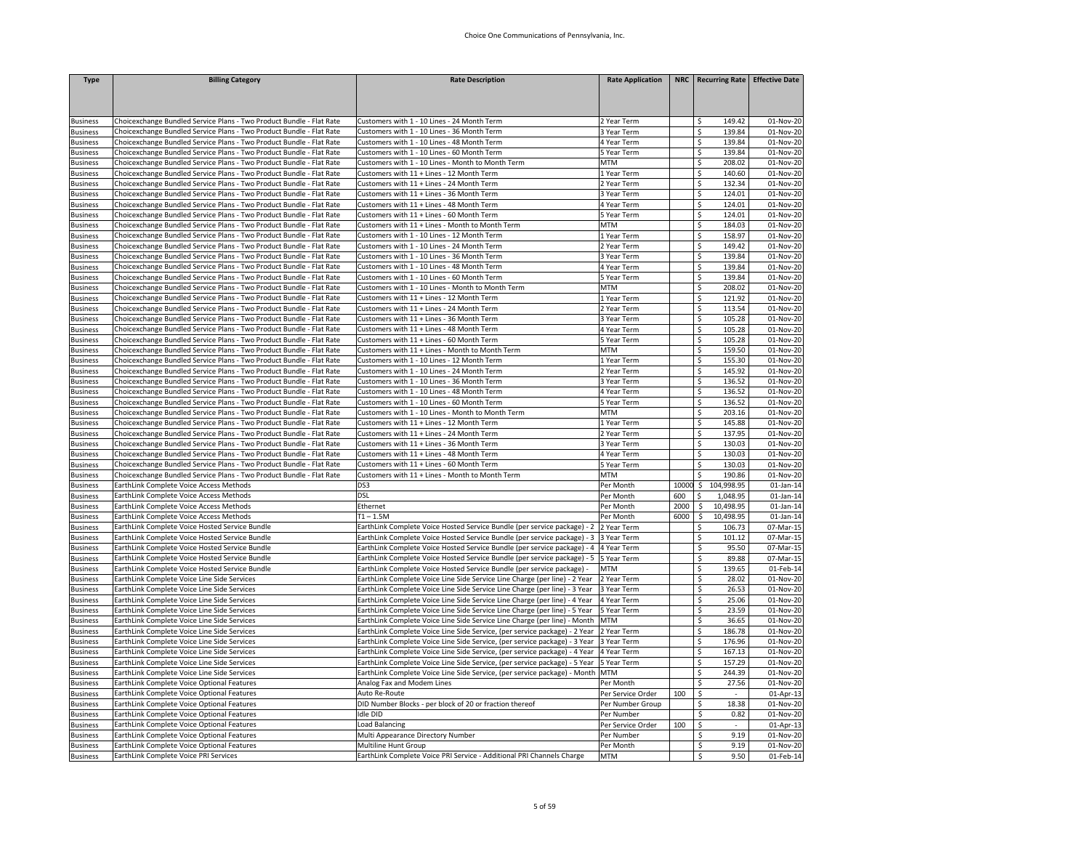| <b>Type</b>     | <b>Billing Category</b>                                              | <b>Rate Description</b>                                                              | <b>Rate Application</b> |       | NRC   Recurring Rate   Effective Date |                 |
|-----------------|----------------------------------------------------------------------|--------------------------------------------------------------------------------------|-------------------------|-------|---------------------------------------|-----------------|
|                 |                                                                      |                                                                                      |                         |       |                                       |                 |
|                 |                                                                      |                                                                                      |                         |       |                                       |                 |
|                 |                                                                      |                                                                                      |                         |       |                                       |                 |
| <b>Business</b> | Choicexchange Bundled Service Plans - Two Product Bundle - Flat Rate | Customers with 1 - 10 Lines - 24 Month Term                                          | 2 Year Term             |       | 149.42<br>Ŝ                           | 01-Nov-20       |
| <b>Business</b> | Choicexchange Bundled Service Plans - Two Product Bundle - Flat Rate | Customers with 1 - 10 Lines - 36 Month Term                                          | 3 Year Term             |       | \$<br>139.84                          | 01-Nov-20       |
| <b>Business</b> | Choicexchange Bundled Service Plans - Two Product Bundle - Flat Rate | Customers with 1 - 10 Lines - 48 Month Term                                          | 4 Year Term             |       | \$<br>139.84                          | 01-Nov-20       |
| <b>Business</b> | Choicexchange Bundled Service Plans - Two Product Bundle - Flat Rate | Customers with 1 - 10 Lines - 60 Month Term                                          | 5 Year Term             |       | \$<br>139.84                          | 01-Nov-20       |
| <b>Business</b> | Choicexchange Bundled Service Plans - Two Product Bundle - Flat Rate | Customers with 1 - 10 Lines - Month to Month Term                                    | <b>MTM</b>              |       | 208.02<br>\$                          | 01-Nov-20       |
| <b>Business</b> | Choicexchange Bundled Service Plans - Two Product Bundle - Flat Rate | Customers with 11 + Lines - 12 Month Term                                            | 1 Year Term             |       | \$<br>140.60                          | 01-Nov-20       |
| <b>Business</b> | Choicexchange Bundled Service Plans - Two Product Bundle - Flat Rate | Customers with 11 + Lines - 24 Month Term                                            | 2 Year Term             |       | \$<br>132.34                          | 01-Nov-20       |
| <b>Business</b> | Choicexchange Bundled Service Plans - Two Product Bundle - Flat Rate | Customers with 11 + Lines - 36 Month Term                                            | 3 Year Term             |       | \$<br>124.01                          | 01-Nov-20       |
| <b>Business</b> | Choicexchange Bundled Service Plans - Two Product Bundle - Flat Rate | Customers with 11 + Lines - 48 Month Term                                            | 4 Year Term             |       | \$<br>124.01                          | 01-Nov-20       |
| <b>Business</b> | Choicexchange Bundled Service Plans - Two Product Bundle - Flat Rate | Customers with 11 + Lines - 60 Month Term                                            | 5 Year Term             |       | \$<br>124.01                          | 01-Nov-20       |
| <b>Business</b> | Choicexchange Bundled Service Plans - Two Product Bundle - Flat Rate | Customers with 11 + Lines - Month to Month Term                                      | <b>MTM</b>              |       | \$<br>184.03                          | 01-Nov-20       |
| <b>Business</b> | Choicexchange Bundled Service Plans - Two Product Bundle - Flat Rate | Customers with 1 - 10 Lines - 12 Month Term                                          | 1 Year Term             |       | \$<br>158.97                          | 01-Nov-20       |
| <b>Business</b> | Choicexchange Bundled Service Plans - Two Product Bundle - Flat Rate | Customers with 1 - 10 Lines - 24 Month Term                                          | 2 Year Term             |       | \$<br>149.42                          | 01-Nov-20       |
| <b>Business</b> | Choicexchange Bundled Service Plans - Two Product Bundle - Flat Rate | Customers with 1 - 10 Lines - 36 Month Term                                          | 3 Year Term             |       | \$<br>139.84                          | 01-Nov-20       |
| <b>Business</b> | Choicexchange Bundled Service Plans - Two Product Bundle - Flat Rate | Customers with 1 - 10 Lines - 48 Month Term                                          | 4 Year Term             |       | \$<br>139.84                          | 01-Nov-20       |
| <b>Business</b> | Choicexchange Bundled Service Plans - Two Product Bundle - Flat Rate | Customers with 1 - 10 Lines - 60 Month Term                                          | 5 Year Term             |       | Ŝ.<br>139.84                          | 01-Nov-20       |
| <b>Business</b> | Choicexchange Bundled Service Plans - Two Product Bundle - Flat Rate | Customers with 1 - 10 Lines - Month to Month Term                                    | <b>MTM</b>              |       | \$<br>208.02                          | 01-Nov-20       |
| <b>Business</b> | Choicexchange Bundled Service Plans - Two Product Bundle - Flat Rate | Customers with 11 + Lines - 12 Month Term                                            | 1 Year Term             |       | 121.92<br>\$                          | 01-Nov-20       |
| <b>Business</b> | Choicexchange Bundled Service Plans - Two Product Bundle - Flat Rate | Customers with 11 + Lines - 24 Month Term                                            | 2 Year Term             |       | \$<br>113.54                          | 01-Nov-20       |
| <b>Business</b> | Choicexchange Bundled Service Plans - Two Product Bundle - Flat Rate | Customers with 11 + Lines - 36 Month Term                                            | 3 Year Term             |       | \$<br>105.28                          | 01-Nov-20       |
| <b>Business</b> | Choicexchange Bundled Service Plans - Two Product Bundle - Flat Rate | Customers with 11 + Lines - 48 Month Term                                            | 4 Year Term             |       | \$<br>105.28                          | 01-Nov-20       |
| <b>Business</b> | Choicexchange Bundled Service Plans - Two Product Bundle - Flat Rate | Customers with 11 + Lines - 60 Month Term                                            | 5 Year Term             |       | \$<br>105.28                          | 01-Nov-20       |
| <b>Business</b> | Choicexchange Bundled Service Plans - Two Product Bundle - Flat Rate | Customers with 11 + Lines - Month to Month Term                                      | <b>MTM</b>              |       | \$<br>159.50                          | 01-Nov-20       |
| <b>Business</b> | Choicexchange Bundled Service Plans - Two Product Bundle - Flat Rate | Customers with 1 - 10 Lines - 12 Month Term                                          | 1 Year Term             |       | \$<br>155.30                          | 01-Nov-20       |
| <b>Business</b> | Choicexchange Bundled Service Plans - Two Product Bundle - Flat Rate | Customers with 1 - 10 Lines - 24 Month Term                                          | 2 Year Term             |       | \$<br>145.92                          | 01-Nov-20       |
| <b>Business</b> | Choicexchange Bundled Service Plans - Two Product Bundle - Flat Rate | Customers with 1 - 10 Lines - 36 Month Term                                          | 3 Year Term             |       | \$<br>136.52                          | 01-Nov-20       |
| <b>Business</b> | Choicexchange Bundled Service Plans - Two Product Bundle - Flat Rate | Customers with 1 - 10 Lines - 48 Month Term                                          | 4 Year Term             |       | 136.52<br>\$                          | 01-Nov-20       |
| <b>Business</b> | Choicexchange Bundled Service Plans - Two Product Bundle - Flat Rate | Customers with 1 - 10 Lines - 60 Month Term                                          | 5 Year Term             |       | \$<br>136.52                          | 01-Nov-20       |
| <b>Business</b> | Choicexchange Bundled Service Plans - Two Product Bundle - Flat Rate | Customers with 1 - 10 Lines - Month to Month Term                                    | <b>MTM</b>              |       | \$<br>203.16                          | 01-Nov-20       |
| <b>Business</b> | Choicexchange Bundled Service Plans - Two Product Bundle - Flat Rate | Customers with 11 + Lines - 12 Month Term                                            | 1 Year Term             |       | \$<br>145.88                          | 01-Nov-20       |
| <b>Business</b> | Choicexchange Bundled Service Plans - Two Product Bundle - Flat Rate | Customers with 11 + Lines - 24 Month Term                                            | 2 Year Term             |       | \$<br>137.95                          | 01-Nov-20       |
| <b>Business</b> | Choicexchange Bundled Service Plans - Two Product Bundle - Flat Rate | Customers with 11 + Lines - 36 Month Term                                            | 3 Year Term             |       | \$<br>130.03                          | 01-Nov-20       |
| <b>Business</b> | Choicexchange Bundled Service Plans - Two Product Bundle - Flat Rate | Customers with 11 + Lines - 48 Month Term                                            | 4 Year Term             |       | \$<br>130.03                          | 01-Nov-20       |
| <b>Business</b> | Choicexchange Bundled Service Plans - Two Product Bundle - Flat Rate | Customers with 11 + Lines - 60 Month Term                                            | 5 Year Term             |       | 130.03<br>\$                          | 01-Nov-20       |
| <b>Business</b> | Choicexchange Bundled Service Plans - Two Product Bundle - Flat Rate | Customers with 11 + Lines - Month to Month Term                                      | MTM                     |       | Ś<br>190.86                           | 01-Nov-20       |
| <b>Business</b> | EarthLink Complete Voice Access Methods                              | DS3                                                                                  | Per Month               | 10000 | \$<br>104,998.95                      | $01$ -Jan-14    |
| <b>Business</b> | EarthLink Complete Voice Access Methods                              | DSL                                                                                  | Per Month               | 600   | 1,048.95<br>\$                        | $01$ -Jan- $14$ |
| <b>Business</b> | EarthLink Complete Voice Access Methods                              | Ethernet                                                                             | Per Month               | 2000  | 10.498.95<br>\$                       | $01$ -Jan-14    |
| <b>Business</b> | EarthLink Complete Voice Access Methods                              | $T1 - 1.5M$                                                                          | Per Month               | 6000  | \$<br>10,498.95                       | 01-Jan-14       |
| <b>Business</b> | EarthLink Complete Voice Hosted Service Bundle                       | EarthLink Complete Voice Hosted Service Bundle (per service package) - 2 2 Year Term |                         |       | 106.73<br>\$                          | 07-Mar-15       |
| <b>Business</b> | EarthLink Complete Voice Hosted Service Bundle                       | EarthLink Complete Voice Hosted Service Bundle (per service package) - 3 3 Year Term |                         |       | 101.12<br>\$                          | 07-Mar-15       |
| <b>Business</b> | EarthLink Complete Voice Hosted Service Bundle                       | EarthLink Complete Voice Hosted Service Bundle (per service package) - 4 4 Year Term |                         |       | \$<br>95.50                           | 07-Mar-15       |
| <b>Business</b> | EarthLink Complete Voice Hosted Service Bundle                       | EarthLink Complete Voice Hosted Service Bundle (per service package) - 5 S Year Term |                         |       | \$<br>89.88                           | 07-Mar-15       |
| <b>Business</b> | EarthLink Complete Voice Hosted Service Bundle                       | EarthLink Complete Voice Hosted Service Bundle (per service package) -               | MTM                     |       | \$<br>139.65                          | 01-Feb-14       |
| <b>Business</b> | EarthLink Complete Voice Line Side Services                          | EarthLink Complete Voice Line Side Service Line Charge (per line) - 2 Year           | 2 Year Term             |       | \$<br>28.02                           | 01-Nov-20       |
| <b>Business</b> | EarthLink Complete Voice Line Side Services                          | EarthLink Complete Voice Line Side Service Line Charge (per line) - 3 Year           | 3 Year Term             |       | \$<br>26.53                           | 01-Nov-20       |
| <b>Business</b> | EarthLink Complete Voice Line Side Services                          | EarthLink Complete Voice Line Side Service Line Charge (per line) - 4 Year           | 4 Year Term             |       | \$<br>25.06                           | 01-Nov-20       |
| <b>Business</b> | EarthLink Complete Voice Line Side Services                          | EarthLink Complete Voice Line Side Service Line Charge (per line) - 5 Year           | 5 Year Term             |       | \$<br>23.59                           | 01-Nov-20       |
| <b>Business</b> | EarthLink Complete Voice Line Side Services                          | EarthLink Complete Voice Line Side Service Line Charge (per line) - Month            | <b>MTM</b>              |       | \$<br>36.65                           | 01-Nov-20       |
| <b>Business</b> | EarthLink Complete Voice Line Side Services                          | EarthLink Complete Voice Line Side Service, (per service package) - 2 Year           | 2 Year Term             |       | \$<br>186.78                          | 01-Nov-20       |
| <b>Business</b> | EarthLink Complete Voice Line Side Services                          | EarthLink Complete Voice Line Side Service, (per service package) - 3 Year           | 3 Year Term             |       | \$<br>176.96                          | 01-Nov-20       |
| <b>Business</b> | EarthLink Complete Voice Line Side Services                          | EarthLink Complete Voice Line Side Service, (per service package) - 4 Year           | 4 Year Term             |       | \$<br>167.13                          | 01-Nov-20       |
| <b>Business</b> | EarthLink Complete Voice Line Side Services                          | EarthLink Complete Voice Line Side Service, (per service package) - 5 Year           | 5 Year Term             |       | Ś<br>157.29                           | 01-Nov-20       |
| <b>Business</b> | EarthLink Complete Voice Line Side Services                          | EarthLink Complete Voice Line Side Service, (per service package) - Month MTM        |                         |       | \$<br>244.39                          | 01-Nov-20       |
| <b>Business</b> | EarthLink Complete Voice Optional Features                           | Analog Fax and Modem Lines                                                           | Per Month               |       | 27.56<br>\$                           | 01-Nov-20       |
| <b>Business</b> | EarthLink Complete Voice Optional Features                           | Auto Re-Route                                                                        | Per Service Order       | 100   | \$                                    | 01-Apr-13       |
| <b>Business</b> | EarthLink Complete Voice Optional Features                           | DID Number Blocks - per block of 20 or fraction thereof                              | Per Number Group        |       | \$<br>18.38                           | 01-Nov-20       |
| <b>Business</b> | EarthLink Complete Voice Optional Features                           | Idle DID                                                                             | Per Number              |       | \$<br>0.82                            | 01-Nov-20       |
| <b>Business</b> | EarthLink Complete Voice Optional Features                           | Load Balancing                                                                       | Per Service Order       | 100   | \$<br>$\sim$                          | 01-Apr-13       |
| <b>Business</b> | EarthLink Complete Voice Optional Features                           | Multi Appearance Directory Number                                                    | Per Number              |       | Ś<br>9.19                             | 01-Nov-20       |
| <b>Business</b> | EarthLink Complete Voice Optional Features                           | Multiline Hunt Group                                                                 | Per Month               |       | \$<br>9.19                            | 01-Nov-20       |
| <b>Business</b> | EarthLink Complete Voice PRI Services                                | EarthLink Complete Voice PRI Service - Additional PRI Channels Charge                | <b>MTM</b>              |       | \$<br>9.50                            | 01-Feb-14       |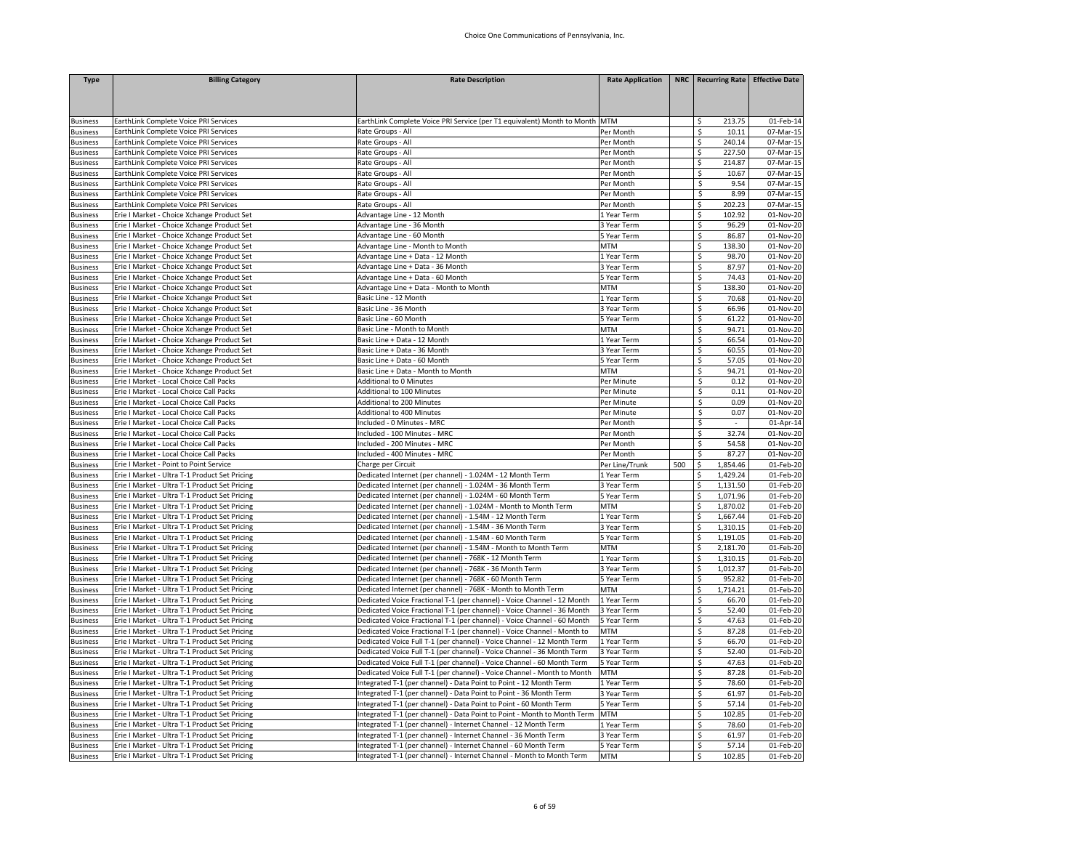| <b>Type</b>     | <b>Billing Category</b>                       | <b>Rate Description</b>                                                     | <b>Rate Application</b> |     | NRC   Recurring Rate   Effective Date |             |
|-----------------|-----------------------------------------------|-----------------------------------------------------------------------------|-------------------------|-----|---------------------------------------|-------------|
|                 |                                               |                                                                             |                         |     |                                       |             |
|                 |                                               |                                                                             |                         |     |                                       |             |
| Business        | EarthLink Complete Voice PRI Services         | EarthLink Complete Voice PRI Service (per T1 equivalent) Month to Month MTM |                         |     | 213.75<br>\$                          | 01-Feb-14   |
| <b>Business</b> | EarthLink Complete Voice PRI Services         | Rate Groups - All                                                           | Per Month               |     | \$<br>10.11                           | 07-Mar-15   |
| <b>Business</b> | EarthLink Complete Voice PRI Services         | Rate Groups - All                                                           | Per Month               |     | \$<br>240.14                          | 07-Mar-15   |
| <b>Business</b> | EarthLink Complete Voice PRI Services         | Rate Groups - All                                                           | Per Month               |     | \$<br>227.50                          | $07-Mar-15$ |
| <b>Business</b> | EarthLink Complete Voice PRI Services         | Rate Groups - All                                                           | Per Month               |     | \$<br>214.87                          | 07-Mar-15   |
| <b>Business</b> | EarthLink Complete Voice PRI Services         | Rate Groups - All                                                           | Per Month               |     | \$<br>10.67                           | 07-Mar-15   |
| <b>Business</b> | EarthLink Complete Voice PRI Services         | Rate Groups - All                                                           | Per Month               |     | \$<br>9.54                            | 07-Mar-15   |
| <b>Business</b> | EarthLink Complete Voice PRI Services         | Rate Groups - All                                                           | Per Month               |     | \$<br>8.99                            | 07-Mar-15   |
| <b>Business</b> | EarthLink Complete Voice PRI Services         | Rate Groups - All                                                           | Per Month               |     | \$<br>202.23                          | 07-Mar-15   |
| <b>Business</b> | Erie I Market - Choice Xchange Product Set    | Advantage Line - 12 Month                                                   | 1 Year Term             |     | \$<br>102.92                          | 01-Nov-20   |
| <b>Business</b> | Erie I Market - Choice Xchange Product Set    | Advantage Line - 36 Month                                                   | 3 Year Term             |     | \$<br>96.29                           | 01-Nov-20   |
| <b>Business</b> | Erie I Market - Choice Xchange Product Set    | Advantage Line - 60 Month                                                   | 5 Year Term             |     | \$<br>86.87                           | 01-Nov-20   |
| <b>Business</b> | Erie I Market - Choice Xchange Product Set    | Advantage Line - Month to Month                                             | <b>MTM</b>              |     | \$<br>138.30                          | 01-Nov-20   |
| Business        | Erie I Market - Choice Xchange Product Set    | Advantage Line + Data - 12 Month                                            | Year Term               |     | \$<br>98.70                           | 01-Nov-20   |
| Business        | Erie I Market - Choice Xchange Product Set    | Advantage Line + Data - 36 Month                                            | 3 Year Term             |     | \$<br>87.97                           | 01-Nov-20   |
| <b>Business</b> | Erie I Market - Choice Xchange Product Set    | Advantage Line + Data - 60 Month                                            | S Year Term             |     | \$<br>74.43                           | 01-Nov-20   |
| <b>Business</b> | Erie I Market - Choice Xchange Product Set    | Advantage Line + Data - Month to Month                                      | MTM                     |     | \$<br>138.30                          | 01-Nov-20   |
| <b>Business</b> | Erie I Market - Choice Xchange Product Set    | Basic Line - 12 Month                                                       | 1 Year Term             |     | \$<br>70.68                           | 01-Nov-20   |
| <b>Business</b> | Erie I Market - Choice Xchange Product Set    | Basic Line - 36 Month                                                       | 3 Year Term             |     | \$<br>66.96                           | 01-Nov-20   |
| <b>Business</b> | Erie I Market - Choice Xchange Product Set    | Basic Line - 60 Month                                                       | 5 Year Term             |     | \$<br>61.22                           | 01-Nov-20   |
| Business        | Erie I Market - Choice Xchange Product Set    | Basic Line - Month to Month                                                 | MTM                     |     | \$<br>94.71                           | 01-Nov-20   |
| <b>Business</b> | Erie I Market - Choice Xchange Product Set    | Basic Line + Data - 12 Month                                                | Year Term               |     | \$<br>66.54                           | 01-Nov-20   |
| <b>Business</b> | Erie I Market - Choice Xchange Product Set    | Basic Line + Data - 36 Month                                                | 3 Year Term             |     | \$<br>60.55                           | 01-Nov-20   |
| <b>Business</b> | Erie I Market - Choice Xchange Product Set    | Basic Line + Data - 60 Month                                                | S Year Term             |     | \$<br>57.05                           | 01-Nov-20   |
| <b>Business</b> | Erie I Market - Choice Xchange Product Set    | Basic Line + Data - Month to Month                                          | MTM                     |     | \$<br>94.71                           | 01-Nov-20   |
| <b>Business</b> | Erie I Market - Local Choice Call Packs       | <b>Additional to 0 Minutes</b>                                              | Per Minute              |     | \$<br>0.12                            | 01-Nov-20   |
| <b>Business</b> | Erie I Market - Local Choice Call Packs       | <b>Additional to 100 Minutes</b>                                            | Per Minute              |     | \$<br>0.11                            | 01-Nov-20   |
| <b>Business</b> | Erie I Market - Local Choice Call Packs       | <b>Additional to 200 Minutes</b>                                            | Per Minute              |     | \$<br>0.09                            | 01-Nov-20   |
| <b>Business</b> | Erie I Market - Local Choice Call Packs       | <b>Additional to 400 Minutes</b>                                            | Per Minute              |     | \$<br>0.07                            | 01-Nov-20   |
| <b>Business</b> | Erie I Market - Local Choice Call Packs       | Included - 0 Minutes - MRC                                                  | Per Month               |     | \$<br>$\sim$                          | 01-Apr-14   |
| <b>Business</b> | Erie I Market - Local Choice Call Packs       | Included - 100 Minutes - MRC                                                | Per Month               |     | \$<br>32.74                           | 01-Nov-20   |
| <b>Business</b> | Erie I Market - Local Choice Call Packs       | Included - 200 Minutes - MRC                                                | Per Month               |     | \$<br>54.58                           | 01-Nov-20   |
| <b>Business</b> | Erie I Market - Local Choice Call Packs       | Included - 400 Minutes - MRC                                                | Per Month               |     | \$<br>87.27                           | 01-Nov-20   |
| <b>Business</b> | Erie I Market - Point to Point Service        | Charge per Circuit                                                          | Per Line/Trunk          | 500 | \$<br>1,854.46                        | 01-Feb-20   |
| <b>Business</b> | Erie I Market - Ultra T-1 Product Set Pricing | Dedicated Internet (per channel) - 1.024M - 12 Month Term                   | l Year Term             |     | \$<br>1,429.24                        | 01-Feb-20   |
| <b>Business</b> | Erie I Market - Ultra T-1 Product Set Pricing | Dedicated Internet (per channel) - 1.024M - 36 Month Term                   | 3 Year Term             |     | \$<br>1,131.50                        | 01-Feb-20   |
| <b>Business</b> | Erie I Market - Ultra T-1 Product Set Pricing | Dedicated Internet (per channel) - 1.024M - 60 Month Term                   | 5 Year Term             |     | 1,071.96<br>\$                        | 01-Feb-20   |
| <b>Business</b> | Erie I Market - Ultra T-1 Product Set Pricing | Dedicated Internet (per channel) - 1.024M - Month to Month Term             | MTM                     |     | 1,870.02<br>\$                        | 01-Feb-20   |
| <b>Business</b> | Erie I Market - Ultra T-1 Product Set Pricing | Dedicated Internet (per channel) - 1.54M - 12 Month Term                    | Year Term               |     | \$<br>1,667.44                        | 01-Feb-20   |
| <b>Business</b> | Erie I Market - Ultra T-1 Product Set Pricing | Dedicated Internet (per channel) - 1.54M - 36 Month Term                    | 3 Year Term             |     | \$<br>1,310.15                        | 01-Feb-20   |
| <b>Business</b> | Erie I Market - Ultra T-1 Product Set Pricing | Dedicated Internet (per channel) - 1.54M - 60 Month Term                    | S Year Term             |     | \$<br>1,191.05                        | 01-Feb-20   |
| <b>Business</b> | Erie I Market - Ultra T-1 Product Set Pricing | Dedicated Internet (per channel) - 1.54M - Month to Month Term              | <b>MTM</b>              |     | \$<br>2,181.70                        | 01-Feb-20   |
| <b>Business</b> | Erie I Market - Ultra T-1 Product Set Pricing | Dedicated Internet (per channel) - 768K - 12 Month Term                     | Year Term               |     | \$<br>1,310.15                        | 01-Feb-20   |
| <b>Business</b> | Erie I Market - Ultra T-1 Product Set Pricing | Dedicated Internet (per channel) - 768K - 36 Month Term                     | 3 Year Term             |     | \$<br>1,012.37                        | 01-Feb-20   |
| <b>Business</b> | Erie I Market - Ultra T-1 Product Set Pricing | Dedicated Internet (per channel) - 768K - 60 Month Term                     | S Year Term             |     | \$<br>952.82                          | 01-Feb-20   |
| <b>Business</b> | Erie I Market - Ultra T-1 Product Set Pricing | Dedicated Internet (per channel) - 768K - Month to Month Term               | MTM                     |     | \$<br>1,714.21                        | 01-Feb-20   |
| <b>Business</b> | Erie I Market - Ultra T-1 Product Set Pricing | Dedicated Voice Fractional T-1 (per channel) - Voice Channel - 12 Month     | 1 Year Term             |     | \$<br>66.70                           | 01-Feb-20   |
| <b>Business</b> | Erie I Market - Ultra T-1 Product Set Pricing | Dedicated Voice Fractional T-1 (per channel) - Voice Channel - 36 Month     | 3 Year Term             |     | \$<br>52.40                           | 01-Feb-20   |
| <b>Business</b> | Erie I Market - Ultra T-1 Product Set Pricing | Dedicated Voice Fractional T-1 (per channel) - Voice Channel - 60 Month     | 5 Year Term             |     | \$<br>47.63                           | 01-Feb-20   |
| <b>Business</b> | Erie I Market - Ultra T-1 Product Set Pricing | Dedicated Voice Fractional T-1 (per channel) - Voice Channel - Month to     | MTM                     |     | \$<br>87.28                           | 01-Feb-20   |
| <b>Business</b> | Erie I Market - Ultra T-1 Product Set Pricing | Dedicated Voice Full T-1 (per channel) - Voice Channel - 12 Month Term      | 1 Year Term             |     | \$<br>66.70                           | 01-Feb-20   |
| <b>Business</b> | Erie I Market - Ultra T-1 Product Set Pricing | Dedicated Voice Full T-1 (per channel) - Voice Channel - 36 Month Term      | 3 Year Term             |     | \$<br>52.40                           | 01-Feb-20   |
| <b>Business</b> | Erie I Market - Ultra T-1 Product Set Pricing | Dedicated Voice Full T-1 (per channel) - Voice Channel - 60 Month Term      | 5 Year Term             |     | \$<br>47.63                           | 01-Feb-20   |
| <b>Business</b> | Erie I Market - Ultra T-1 Product Set Pricing | Dedicated Voice Full T-1 (per channel) - Voice Channel - Month to Month     | MTM                     |     | \$<br>87.28                           | 01-Feb-20   |
| <b>Business</b> | Erie I Market - Ultra T-1 Product Set Pricing | Integrated T-1 (per channel) - Data Point to Point - 12 Month Term          | 1 Year Term             |     | \$<br>78.60                           | 01-Feb-20   |
| <b>Business</b> | Erie I Market - Ultra T-1 Product Set Pricing | Integrated T-1 (per channel) - Data Point to Point - 36 Month Term          | 3 Year Term             |     | \$<br>61.97                           | 01-Feb-20   |
| Business        | Erie I Market - Ultra T-1 Product Set Pricing | ntegrated T-1 (per channel) - Data Point to Point - 60 Month Term           | 5 Year Term             |     | \$<br>57.14                           | 01-Feb-20   |
| <b>Business</b> | Erie I Market - Ultra T-1 Product Set Pricing | Integrated T-1 (per channel) - Data Point to Point - Month to Month Term    | <b>MTM</b>              |     | \$<br>102.85                          | 01-Feb-20   |
| <b>Business</b> | Erie I Market - Ultra T-1 Product Set Pricing | Integrated T-1 (per channel) - Internet Channel - 12 Month Term             | Year Term               |     | \$<br>78.60                           | 01-Feb-20   |
| <b>Business</b> | Erie I Market - Ultra T-1 Product Set Pricing | Integrated T-1 (per channel) - Internet Channel - 36 Month Term             | 3 Year Term             |     | \$<br>61.97                           | 01-Feb-20   |
| <b>Business</b> | Erie I Market - Ultra T-1 Product Set Pricing | Integrated T-1 (per channel) - Internet Channel - 60 Month Term             | 5 Year Term             |     | \$<br>57.14                           | 01-Feb-20   |
| <b>Business</b> | Erie I Market - Ultra T-1 Product Set Pricing | Integrated T-1 (per channel) - Internet Channel - Month to Month Term       | <b>MTM</b>              |     | \$<br>102.85                          | 01-Feb-20   |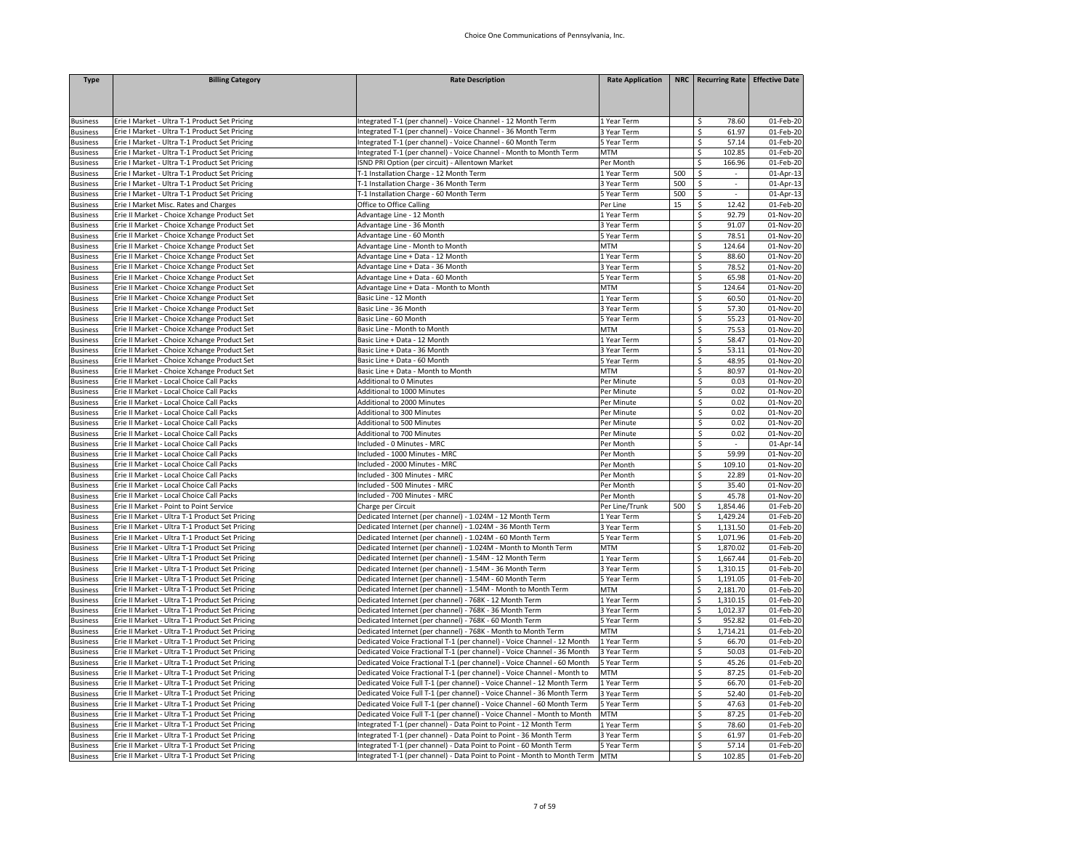| <b>Type</b>     | <b>Billing Category</b>                        | <b>Rate Description</b>                                                       | <b>Rate Application</b> |     | NRC   Recurring Rate   Effective Date |              |
|-----------------|------------------------------------------------|-------------------------------------------------------------------------------|-------------------------|-----|---------------------------------------|--------------|
|                 |                                                |                                                                               |                         |     |                                       |              |
|                 |                                                |                                                                               |                         |     |                                       |              |
| <b>Business</b> | Erie I Market - Ultra T-1 Product Set Pricing  | ntegrated T-1 (per channel) - Voice Channel - 12 Month Term                   | 1 Year Term             |     | \$<br>78.60                           | 01-Feb-20    |
| <b>Business</b> | Erie I Market - Ultra T-1 Product Set Pricing  | ntegrated T-1 (per channel) - Voice Channel - 36 Month Term                   | 3 Year Term             |     | \$<br>61.97                           | 01-Feb-20    |
| <b>Business</b> | Erie I Market - Ultra T-1 Product Set Pricing  | ntegrated T-1 (per channel) - Voice Channel - 60 Month Term                   | S Year Term             |     | \$<br>57.14                           | 01-Feb-20    |
| <b>Business</b> | Erie I Market - Ultra T-1 Product Set Pricing  | ntegrated T-1 (per channel) - Voice Channel - Month to Month Term             | MTM                     |     | \$<br>102.85                          | $01$ -Feb-20 |
| <b>Business</b> | Erie I Market - Ultra T-1 Product Set Pricing  | <b>ISND PRI Option (per circuit) - Allentown Market</b>                       | Per Month               |     | \$<br>166.96                          | 01-Feb-20    |
| <b>Business</b> | Erie I Market - Ultra T-1 Product Set Pricing  | T-1 Installation Charge - 12 Month Term                                       | 1 Year Term             | 500 | \$                                    | 01-Apr-13    |
| <b>Business</b> | Erie I Market - Ultra T-1 Product Set Pricing  | F-1 Installation Charge - 36 Month Term                                       | 3 Year Term             | 500 | \$<br>÷.                              | 01-Apr-13    |
| <b>Business</b> | Erie I Market - Ultra T-1 Product Set Pricing  | T-1 Installation Charge - 60 Month Term                                       | 5 Year Term             | 500 | \$                                    | 01-Apr-13    |
| <b>Business</b> | Erie I Market Misc. Rates and Charges          | Office to Office Calling                                                      | Per Line                | 15  | \$<br>12.42                           | 01-Feb-20    |
| <b>Business</b> | Erie II Market - Choice Xchange Product Set    | Advantage Line - 12 Month                                                     | 1 Year Term             |     | \$<br>92.79                           | 01-Nov-20    |
| <b>Business</b> | Erie II Market - Choice Xchange Product Set    | Advantage Line - 36 Month                                                     | 3 Year Term             |     | \$<br>91.07                           | 01-Nov-20    |
| <b>Business</b> | Erie II Market - Choice Xchange Product Set    | Advantage Line - 60 Month                                                     | 5 Year Term             |     | \$<br>78.51                           | 01-Nov-20    |
| <b>Business</b> | Erie II Market - Choice Xchange Product Set    | Advantage Line - Month to Month                                               | <b>MTM</b>              |     | \$<br>124.64                          | 01-Nov-20    |
| <b>Business</b> | Erie II Market - Choice Xchange Product Set    | Advantage Line + Data - 12 Month                                              | L Year Term             |     | $\overline{\mathsf{S}}$<br>88.60      | 01-Nov-20    |
| <b>Business</b> | Erie II Market - Choice Xchange Product Set    | Advantage Line + Data - 36 Month                                              | 3 Year Term             |     | \$<br>78.52                           | 01-Nov-20    |
| <b>Business</b> | Erie II Market - Choice Xchange Product Set    | Advantage Line + Data - 60 Month                                              | S Year Term             |     | \$<br>65.98                           | 01-Nov-20    |
| <b>Business</b> | Erie II Market - Choice Xchange Product Set    | Advantage Line + Data - Month to Month                                        | <b>MTM</b>              |     | \$<br>124.64                          | 01-Nov-20    |
| <b>Business</b> | Erie II Market - Choice Xchange Product Set    | Basic Line - 12 Month                                                         | 1 Year Term             |     | \$<br>60.50                           | 01-Nov-20    |
| <b>Business</b> | Erie II Market - Choice Xchange Product Set    | Basic Line - 36 Month                                                         | 3 Year Term             |     | \$<br>57.30                           | 01-Nov-20    |
| <b>Business</b> | Erie II Market - Choice Xchange Product Set    | Basic Line - 60 Month                                                         | 5 Year Term             |     | \$<br>55.23                           | 01-Nov-20    |
| <b>Business</b> | Erie II Market - Choice Xchange Product Set    | Basic Line - Month to Month                                                   | MTM                     |     | \$<br>75.53                           | 01-Nov-20    |
| <b>Business</b> | Erie II Market - Choice Xchange Product Set    | Basic Line + Data - 12 Month                                                  | 1 Year Term             |     | \$<br>58.47                           | 01-Nov-20    |
| <b>Business</b> | Erie II Market - Choice Xchange Product Set    | Basic Line + Data - 36 Month                                                  | 3 Year Term             |     | \$<br>53.11                           | 01-Nov-20    |
| <b>Business</b> | Erie II Market - Choice Xchange Product Set    | Basic Line + Data - 60 Month                                                  | 5 Year Term             |     | \$<br>48.95                           | 01-Nov-20    |
| <b>Business</b> | Erie II Market - Choice Xchange Product Set    | Basic Line + Data - Month to Month                                            | MTM                     |     | \$<br>80.97                           | 01-Nov-20    |
| <b>Business</b> | Erie II Market - Local Choice Call Packs       | <b>Additional to 0 Minutes</b>                                                | Per Minute              |     | \$<br>0.03                            | 01-Nov-20    |
| <b>Business</b> | Erie II Market - Local Choice Call Packs       | Additional to 1000 Minutes                                                    | Per Minute              |     | \$<br>0.02                            | 01-Nov-20    |
| <b>Business</b> | Erie II Market - Local Choice Call Packs       | <b>Additional to 2000 Minutes</b>                                             | Per Minute              |     | \$<br>0.02                            | 01-Nov-20    |
| <b>Business</b> | Erie II Market - Local Choice Call Packs       | <b>Additional to 300 Minutes</b>                                              | Per Minute              |     | \$<br>0.02                            | 01-Nov-20    |
| <b>Business</b> | Erie II Market - Local Choice Call Packs       | <b>Additional to 500 Minutes</b>                                              | Per Minute              |     | \$<br>0.02                            | 01-Nov-20    |
| <b>Business</b> | Erie II Market - Local Choice Call Packs       | Additional to 700 Minutes                                                     | Per Minute              |     | \$<br>0.02                            | 01-Nov-20    |
| <b>Business</b> | Erie II Market - Local Choice Call Packs       | Included - 0 Minutes - MRC                                                    | Per Month               |     | \$<br>$\sim$                          | 01-Apr-14    |
| <b>Business</b> | Erie II Market - Local Choice Call Packs       | ncluded - 1000 Minutes - MRC                                                  | Per Month               |     | \$<br>59.99                           | 01-Nov-20    |
| <b>Business</b> | Erie II Market - Local Choice Call Packs       | Included - 2000 Minutes - MRC                                                 | Per Month               |     | \$<br>109.10                          | 01-Nov-20    |
| <b>Business</b> | Erie II Market - Local Choice Call Packs       | ncluded - 300 Minutes - MRC                                                   | Per Month               |     | \$<br>22.89                           | 01-Nov-20    |
| <b>Business</b> | Erie II Market - Local Choice Call Packs       | ncluded - 500 Minutes - MRC                                                   | Per Month               |     | $\ddot{\mathsf{s}}$<br>35.40          | 01-Nov-20    |
| <b>Business</b> | Erie II Market - Local Choice Call Packs       | Included - 700 Minutes - MRC                                                  | Per Month               |     | \$<br>45.78                           | 01-Nov-20    |
| <b>Business</b> | Erie II Market - Point to Point Service        | Charge per Circuit                                                            | Per Line/Trunk          | 500 | \$<br>1,854.46                        | 01-Feb-20    |
| <b>Business</b> | Erie II Market - Ultra T-1 Product Set Pricing | Dedicated Internet (per channel) - 1.024M - 12 Month Term                     | L Year Term             |     | \$<br>1,429.24                        | 01-Feb-20    |
| <b>Business</b> | Erie II Market - Ultra T-1 Product Set Pricing | Dedicated Internet (per channel) - 1.024M - 36 Month Term                     | 3 Year Term             |     | \$<br>1,131.50                        | 01-Feb-20    |
| <b>Business</b> | Erie II Market - Ultra T-1 Product Set Pricing | Dedicated Internet (per channel) - 1.024M - 60 Month Term                     | S Year Term             |     | \$<br>1,071.96                        | 01-Feb-20    |
| <b>Business</b> | Erie II Market - Ultra T-1 Product Set Pricing | Dedicated Internet (per channel) - 1.024M - Month to Month Term               | <b>MTM</b>              |     | \$<br>1,870.02                        | 01-Feb-20    |
| <b>Business</b> | Erie II Market - Ultra T-1 Product Set Pricing | Dedicated Internet (per channel) - 1.54M - 12 Month Term                      | L Year Term             |     | \$<br>1,667.44                        | 01-Feb-20    |
| <b>Business</b> | Erie II Market - Ultra T-1 Product Set Pricing | Dedicated Internet (per channel) - 1.54M - 36 Month Term                      | 3 Year Term             |     | \$<br>1,310.15                        | 01-Feb-20    |
| <b>Business</b> | Erie II Market - Ultra T-1 Product Set Pricing | Dedicated Internet (per channel) - 1.54M - 60 Month Term                      | S Year Term             |     | \$<br>1,191.05                        | 01-Feb-20    |
| <b>Business</b> | Erie II Market - Ultra T-1 Product Set Pricing | Dedicated Internet (per channel) - 1.54M - Month to Month Term                | <b>MTM</b>              |     | \$<br>2,181.70                        | 01-Feb-20    |
| <b>Business</b> | Erie II Market - Ultra T-1 Product Set Pricing | Dedicated Internet (per channel) - 768K - 12 Month Term                       | 1 Year Term             |     | \$<br>1,310.15                        | 01-Feb-20    |
| <b>Business</b> | Erie II Market - Ultra T-1 Product Set Pricing | Dedicated Internet (per channel) - 768K - 36 Month Term                       | 3 Year Term             |     | 1,012.37<br>\$                        | 01-Feb-20    |
| <b>Business</b> | Erie II Market - Ultra T-1 Product Set Pricing | Dedicated Internet (per channel) - 768K - 60 Month Term                       | 5 Year Term             |     | \$<br>952.82                          | 01-Feb-20    |
| <b>Business</b> | Erie II Market - Ultra T-1 Product Set Pricing | Dedicated Internet (per channel) - 768K - Month to Month Term                 | MTM                     |     | \$<br>1,714.21                        | 01-Feb-20    |
| <b>Business</b> | Erie II Market - Ultra T-1 Product Set Pricing | Dedicated Voice Fractional T-1 (per channel) - Voice Channel - 12 Month       | 1 Year Term             |     | \$<br>66.70                           | 01-Feb-20    |
| <b>Business</b> | Erie II Market - Ultra T-1 Product Set Pricing | Dedicated Voice Fractional T-1 (per channel) - Voice Channel - 36 Month       | 3 Year Term             |     | \$<br>50.03                           | 01-Feb-20    |
| <b>Business</b> | Erie II Market - Ultra T-1 Product Set Pricing | Dedicated Voice Fractional T-1 (per channel) - Voice Channel - 60 Month       | 5 Year Term             |     | \$<br>45.26                           | 01-Feb-20    |
| <b>Business</b> | Erie II Market - Ultra T-1 Product Set Pricing | Dedicated Voice Fractional T-1 (per channel) - Voice Channel - Month to       | <b>MTM</b>              |     | \$<br>87.25                           | 01-Feb-20    |
| <b>Business</b> | Erie II Market - Ultra T-1 Product Set Pricing | Dedicated Voice Full T-1 (per channel) - Voice Channel - 12 Month Term        | 1 Year Term             |     | \$<br>66.70                           | 01-Feb-20    |
| <b>Business</b> | Erie II Market - Ultra T-1 Product Set Pricing | Dedicated Voice Full T-1 (per channel) - Voice Channel - 36 Month Term        | 3 Year Term             |     | \$<br>52.40                           | 01-Feb-20    |
| <b>Business</b> | Erie II Market - Ultra T-1 Product Set Pricing | Dedicated Voice Full T-1 (per channel) - Voice Channel - 60 Month Term        | 5 Year Term             |     | $\overline{\mathsf{S}}$<br>47.63      | 01-Feb-20    |
| <b>Business</b> | Erie II Market - Ultra T-1 Product Set Pricing | Dedicated Voice Full T-1 (per channel) - Voice Channel - Month to Month       | <b>MTM</b>              |     | \$<br>87.25                           | 01-Feb-20    |
| <b>Business</b> | Erie II Market - Ultra T-1 Product Set Pricing | Integrated T-1 (per channel) - Data Point to Point - 12 Month Term            | 1 Year Term             |     | \$<br>78.60                           | 01-Feb-20    |
| <b>Business</b> | Erie II Market - Ultra T-1 Product Set Pricing | Integrated T-1 (per channel) - Data Point to Point - 36 Month Term            | 3 Year Term             |     | \$<br>61.97                           | 01-Feb-20    |
| <b>Business</b> | Erie II Market - Ultra T-1 Product Set Pricing | Integrated T-1 (per channel) - Data Point to Point - 60 Month Term            | 5 Year Term             |     | $\ddot{\mathsf{S}}$<br>57.14          | 01-Feb-20    |
| <b>Business</b> | Erie II Market - Ultra T-1 Product Set Pricing | Integrated T-1 (per channel) - Data Point to Point - Month to Month Term IMTM |                         |     | \$<br>102.85                          | 01-Feb-20    |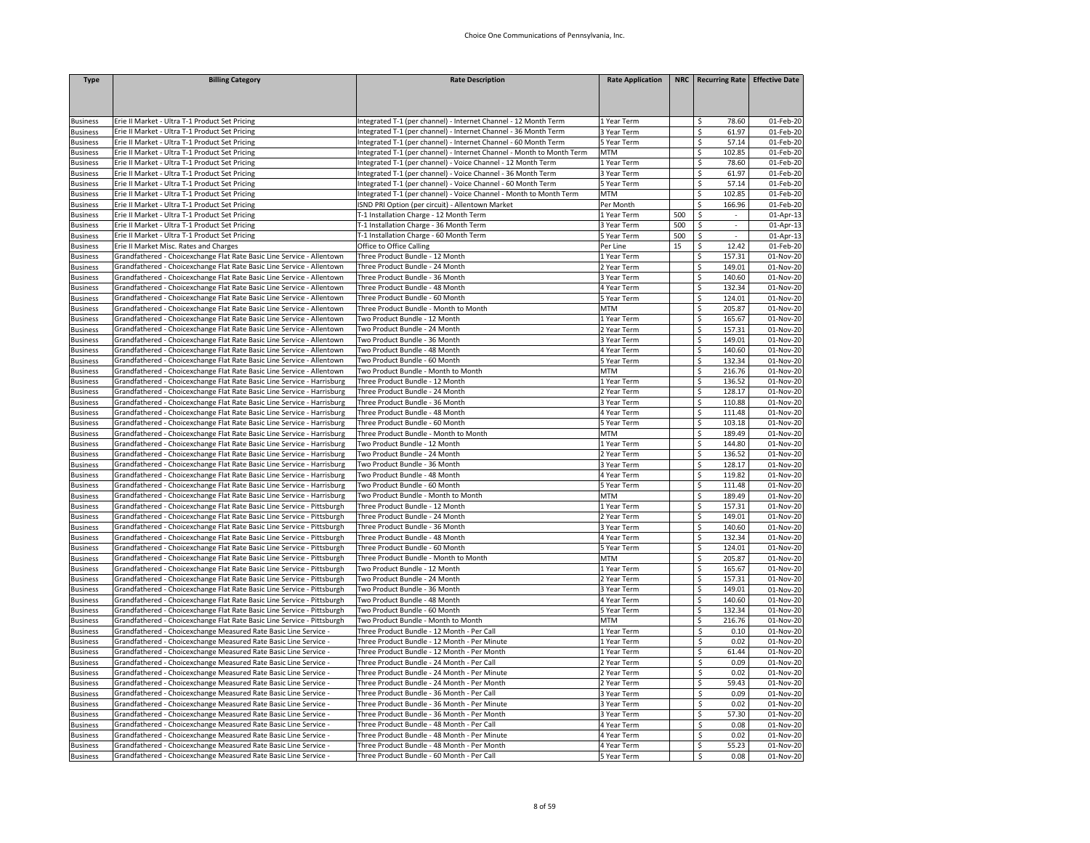| <b>Type</b>                        | <b>Billing Category</b>                                                                          | <b>Rate Description</b>                                                                                                            | <b>Rate Application</b>    |     | NRC   Recurring Rate   Effective Date |                         |
|------------------------------------|--------------------------------------------------------------------------------------------------|------------------------------------------------------------------------------------------------------------------------------------|----------------------------|-----|---------------------------------------|-------------------------|
|                                    |                                                                                                  |                                                                                                                                    |                            |     |                                       |                         |
|                                    |                                                                                                  |                                                                                                                                    |                            |     |                                       |                         |
|                                    |                                                                                                  |                                                                                                                                    |                            |     |                                       |                         |
| <b>Business</b>                    | Erie II Market - Ultra T-1 Product Set Pricing<br>Erie II Market - Ultra T-1 Product Set Pricing | Integrated T-1 (per channel) - Internet Channel - 12 Month Term<br>Integrated T-1 (per channel) - Internet Channel - 36 Month Term | L Year Term<br>3 Year Term |     | \$<br>78.60<br>\$<br>61.97            | 01-Feb-20<br>01-Feb-20  |
| <b>Business</b>                    | Erie II Market - Ultra T-1 Product Set Pricing                                                   | Integrated T-1 (per channel) - Internet Channel - 60 Month Term                                                                    |                            |     | \$<br>57.14                           | 01-Feb-20               |
| <b>Business</b><br><b>Business</b> | Erie II Market - Ultra T-1 Product Set Pricing                                                   | Integrated T-1 (per channel) - Internet Channel - Month to Month Term                                                              | S Year Term<br>MTM         |     | \$<br>102.85                          | $\overline{01}$ -Feb-20 |
| <b>Business</b>                    | Erie II Market - Ultra T-1 Product Set Pricing                                                   | Integrated T-1 (per channel) - Voice Channel - 12 Month Term                                                                       | 1 Year Term                |     | \$<br>78.60                           | 01-Feb-20               |
| <b>Business</b>                    | Erie II Market - Ultra T-1 Product Set Pricing                                                   | Integrated T-1 (per channel) - Voice Channel - 36 Month Term                                                                       | 3 Year Term                |     | \$<br>61.97                           | 01-Feb-20               |
| Business                           | Erie II Market - Ultra T-1 Product Set Pricing                                                   | ntegrated T-1 (per channel) - Voice Channel - 60 Month Term                                                                        | 5 Year Term                |     | \$<br>57.14                           | 01-Feb-20               |
| <b>Business</b>                    | Erie II Market - Ultra T-1 Product Set Pricing                                                   | Integrated T-1 (per channel) - Voice Channel - Month to Month Term                                                                 | <b>MTM</b>                 |     | \$<br>102.85                          | 01-Feb-20               |
| <b>Business</b>                    | Erie II Market - Ultra T-1 Product Set Pricing                                                   | ISND PRI Option (per circuit) - Allentown Market                                                                                   | Per Month                  |     | \$<br>166.96                          | 01-Feb-20               |
| <b>Business</b>                    | Erie II Market - Ultra T-1 Product Set Pricing                                                   | T-1 Installation Charge - 12 Month Term                                                                                            | L Year Term                | 500 | \$<br>÷                               | 01-Apr-13               |
| <b>Business</b>                    | Erie II Market - Ultra T-1 Product Set Pricing                                                   | T-1 Installation Charge - 36 Month Term                                                                                            | 3 Year Term                | 500 | \$<br>$\sim$                          | 01-Apr-13               |
| <b>Business</b>                    | Erie II Market - Ultra T-1 Product Set Pricing                                                   | T-1 Installation Charge - 60 Month Term                                                                                            | 5 Year Term                | 500 | \$<br>$\sim$                          | 01-Apr-13               |
| <b>Business</b>                    | Erie II Market Misc. Rates and Charges                                                           | Office to Office Calling                                                                                                           | Per Line                   | 15  | \$<br>12.42                           | 01-Feb-20               |
| <b>Business</b>                    | Grandfathered - Choicexchange Flat Rate Basic Line Service - Allentown                           | Three Product Bundle - 12 Month                                                                                                    | Year Term                  |     | \$<br>157.31                          | 01-Nov-20               |
| <b>Business</b>                    | Grandfathered - Choicexchange Flat Rate Basic Line Service - Allentown                           | Three Product Bundle - 24 Month                                                                                                    | Year Term                  |     | \$<br>149.01                          | 01-Nov-20               |
| <b>Business</b>                    | Grandfathered - Choicexchange Flat Rate Basic Line Service - Allentown                           | Three Product Bundle - 36 Month                                                                                                    | Year Term                  |     | \$<br>140.60                          | 01-Nov-20               |
| <b>Business</b>                    | Grandfathered - Choicexchange Flat Rate Basic Line Service - Allentown                           | Three Product Bundle - 48 Month                                                                                                    | 4 Year Term                |     | \$<br>132.34                          | 01-Nov-20               |
| <b>Business</b>                    | Grandfathered - Choicexchange Flat Rate Basic Line Service - Allentown                           | Three Product Bundle - 60 Month                                                                                                    | 5 Year Term                |     | \$<br>124.01                          | 01-Nov-20               |
| <b>Business</b>                    | Grandfathered - Choicexchange Flat Rate Basic Line Service - Allentown                           | Three Product Bundle - Month to Month                                                                                              | <b>MTM</b>                 |     | \$<br>205.87                          | 01-Nov-20               |
| <b>Business</b>                    | Grandfathered - Choicexchange Flat Rate Basic Line Service - Allentown                           | Two Product Bundle - 12 Month                                                                                                      | 1 Year Term                |     | \$<br>165.67                          | 01-Nov-20               |
| <b>Business</b>                    | Grandfathered - Choicexchange Flat Rate Basic Line Service - Allentown                           | Two Product Bundle - 24 Month                                                                                                      | 2 Year Term                |     | \$<br>157.31                          | 01-Nov-20               |
| <b>Business</b>                    | Grandfathered - Choicexchange Flat Rate Basic Line Service - Allentown                           | Two Product Bundle - 36 Month                                                                                                      | 3 Year Term                |     | \$<br>149.01                          | 01-Nov-20               |
| <b>Business</b>                    | Grandfathered - Choicexchange Flat Rate Basic Line Service - Allentown                           | Two Product Bundle - 48 Month                                                                                                      | 4 Year Term                |     | \$<br>140.60                          | 01-Nov-20               |
| <b>Business</b>                    | Grandfathered - Choicexchange Flat Rate Basic Line Service - Allentown                           | Two Product Bundle - 60 Month                                                                                                      | 5 Year Term                |     | \$<br>132.34                          | 01-Nov-20               |
| <b>Business</b>                    | Grandfathered - Choicexchange Flat Rate Basic Line Service - Allentown                           | Two Product Bundle - Month to Month                                                                                                | MTM                        |     | \$<br>216.76                          | 01-Nov-20               |
| <b>Business</b>                    | Grandfathered - Choicexchange Flat Rate Basic Line Service - Harrisburg                          | Three Product Bundle - 12 Month                                                                                                    | 1 Year Term                |     | \$<br>136.52                          | 01-Nov-20               |
| <b>Business</b>                    | Grandfathered - Choicexchange Flat Rate Basic Line Service - Harrisburg                          | Three Product Bundle - 24 Month                                                                                                    | 2 Year Term                |     | \$<br>128.17                          | 01-Nov-20               |
| <b>Business</b>                    | Grandfathered - Choicexchange Flat Rate Basic Line Service - Harrisburg                          | Three Product Bundle - 36 Month                                                                                                    | 3 Year Term                |     | \$<br>110.88                          | 01-Nov-20               |
| <b>Business</b>                    | Grandfathered - Choicexchange Flat Rate Basic Line Service - Harrisburg                          | Three Product Bundle - 48 Month                                                                                                    | 4 Year Term                |     | \$<br>111.48                          | 01-Nov-20               |
| <b>Business</b>                    | Grandfathered - Choicexchange Flat Rate Basic Line Service - Harrisburg                          | Three Product Bundle - 60 Month                                                                                                    | 5 Year Term                |     | \$<br>103.18                          | 01-Nov-20               |
| <b>Business</b>                    | Grandfathered - Choicexchange Flat Rate Basic Line Service - Harrisburg                          | Three Product Bundle - Month to Month                                                                                              | MTM                        |     | \$<br>189.49                          | 01-Nov-20               |
| <b>Business</b>                    | Grandfathered - Choicexchange Flat Rate Basic Line Service - Harrisburg                          | Two Product Bundle - 12 Month                                                                                                      | Year Term                  |     | \$<br>144.80                          | 01-Nov-20               |
| <b>Business</b>                    | Grandfathered - Choicexchange Flat Rate Basic Line Service - Harrisburg                          | Two Product Bundle - 24 Month                                                                                                      | 2 Year Term                |     | \$<br>136.52                          | 01-Nov-20               |
| <b>Business</b>                    | Grandfathered - Choicexchange Flat Rate Basic Line Service - Harrisburg                          | Two Product Bundle - 36 Month                                                                                                      | 3 Year Term                |     | \$<br>128.17                          | 01-Nov-20               |
| <b>Business</b>                    | Grandfathered - Choicexchange Flat Rate Basic Line Service - Harrisburg                          | Two Product Bundle - 48 Month                                                                                                      | 4 Year Term                |     | \$<br>119.82                          | 01-Nov-20               |
| <b>Business</b>                    | Grandfathered - Choicexchange Flat Rate Basic Line Service - Harrisburg                          | Two Product Bundle - 60 Month                                                                                                      | S Year Term                |     | \$<br>111.48                          | 01-Nov-20               |
| <b>Business</b>                    | Grandfathered - Choicexchange Flat Rate Basic Line Service - Harrisburg                          | Two Product Bundle - Month to Month                                                                                                | MTM                        |     | \$<br>189.49                          | 01-Nov-20               |
| <b>Business</b>                    | Grandfathered - Choicexchange Flat Rate Basic Line Service - Pittsburgh                          | Three Product Bundle - 12 Month                                                                                                    | 1 Year Term                |     | \$<br>157.31                          | 01-Nov-20               |
| <b>Business</b>                    | Grandfathered - Choicexchange Flat Rate Basic Line Service - Pittsburgh                          | Three Product Bundle - 24 Month                                                                                                    | 2 Year Term                |     | \$<br>149.01                          | 01-Nov-20               |
| <b>Business</b>                    | Grandfathered - Choicexchange Flat Rate Basic Line Service - Pittsburgh                          | Three Product Bundle - 36 Month                                                                                                    | 3 Year Term                |     | \$<br>140.60                          | 01-Nov-20               |
| <b>Business</b>                    | Grandfathered - Choicexchange Flat Rate Basic Line Service - Pittsburgh                          | Three Product Bundle - 48 Month                                                                                                    | 4 Year Term                |     | \$<br>132.34                          | 01-Nov-20               |
| <b>Business</b>                    | Grandfathered - Choicexchange Flat Rate Basic Line Service - Pittsburgh                          | Three Product Bundle - 60 Month                                                                                                    | 5 Year Term                |     | \$<br>124.01                          | 01-Nov-20               |
| <b>Business</b>                    | Grandfathered - Choicexchange Flat Rate Basic Line Service - Pittsburgh                          | Three Product Bundle - Month to Month                                                                                              | MTM                        |     | \$<br>205.87                          | 01-Nov-20               |
| <b>Business</b>                    | Grandfathered - Choicexchange Flat Rate Basic Line Service - Pittsburgh                          | Two Product Bundle - 12 Month                                                                                                      | 1 Year Term                |     | \$<br>165.67                          | 01-Nov-20               |
| <b>Business</b>                    | Grandfathered - Choicexchange Flat Rate Basic Line Service - Pittsburgh                          | Two Product Bundle - 24 Month                                                                                                      | 2 Year Term                |     | \$<br>157.31                          | 01-Nov-20               |
| <b>Business</b>                    | Grandfathered - Choicexchange Flat Rate Basic Line Service - Pittsburgh                          | Two Product Bundle - 36 Month                                                                                                      | 3 Year Term                |     | \$<br>149.01                          | 01-Nov-20               |
| <b>Business</b>                    | Grandfathered - Choicexchange Flat Rate Basic Line Service - Pittsburgh                          | Two Product Bundle - 48 Month                                                                                                      | 4 Year Term                |     | \$<br>140.60                          | 01-Nov-20               |
| <b>Business</b>                    | Grandfathered - Choicexchange Flat Rate Basic Line Service - Pittsburgh                          | Two Product Bundle - 60 Month                                                                                                      | 5 Year Term                |     | \$<br>132.34                          | 01-Nov-20               |
| <b>Business</b>                    | Grandfathered - Choicexchange Flat Rate Basic Line Service - Pittsburgh                          | Two Product Bundle - Month to Month                                                                                                | <b>MTM</b>                 |     | \$<br>216.76                          | 01-Nov-20               |
| <b>Business</b>                    | Grandfathered - Choicexchange Measured Rate Basic Line Service                                   | Three Product Bundle - 12 Month - Per Call                                                                                         | Year Term                  |     | \$<br>0.10                            | 01-Nov-20               |
| <b>Business</b>                    | Grandfathered - Choicexchange Measured Rate Basic Line Service -                                 | Three Product Bundle - 12 Month - Per Minute                                                                                       | 1 Year Term                |     | \$<br>0.02                            | 01-Nov-20               |
| <b>Business</b>                    | Grandfathered - Choicexchange Measured Rate Basic Line Service -                                 | Three Product Bundle - 12 Month - Per Month                                                                                        | Year Term                  |     | \$<br>61.44                           | 01-Nov-20               |
| <b>Business</b>                    | Grandfathered - Choicexchange Measured Rate Basic Line Service -                                 | Three Product Bundle - 24 Month - Per Call                                                                                         | Year Term                  |     | \$<br>0.09                            | 01-Nov-20               |
| <b>Business</b>                    | Grandfathered - Choicexchange Measured Rate Basic Line Service -                                 | Three Product Bundle - 24 Month - Per Minute                                                                                       | Year Term                  |     | \$<br>0.02                            | 01-Nov-20               |
| <b>Business</b>                    | Grandfathered - Choicexchange Measured Rate Basic Line Service -                                 | Three Product Bundle - 24 Month - Per Month                                                                                        | 2 Year Term                |     | \$<br>59.43                           | 01-Nov-20               |
| <b>Business</b>                    | Grandfathered - Choicexchange Measured Rate Basic Line Service -                                 | Three Product Bundle - 36 Month - Per Call                                                                                         | 3 Year Term                |     | \$<br>0.09                            | 01-Nov-20               |
| <b>Business</b>                    | Grandfathered - Choicexchange Measured Rate Basic Line Service -                                 | Three Product Bundle - 36 Month - Per Minute                                                                                       | 3 Year Term                |     | \$<br>0.02                            | 01-Nov-20               |
| <b>Business</b>                    | Grandfathered - Choicexchange Measured Rate Basic Line Service -                                 | Three Product Bundle - 36 Month - Per Month                                                                                        | 3 Year Term                |     | \$<br>57.30                           | 01-Nov-20               |
| <b>Business</b>                    | Grandfathered - Choicexchange Measured Rate Basic Line Service -                                 | Three Product Bundle - 48 Month - Per Call                                                                                         | 4 Year Term                |     | \$<br>0.08                            | 01-Nov-20               |
| <b>Business</b>                    | Grandfathered - Choicexchange Measured Rate Basic Line Service -                                 | Three Product Bundle - 48 Month - Per Minute                                                                                       | 4 Year Term                |     | \$<br>0.02                            | 01-Nov-20               |
| <b>Business</b>                    | Grandfathered - Choicexchange Measured Rate Basic Line Service -                                 | Three Product Bundle - 48 Month - Per Month<br>Three Product Bundle - 60 Month - Per Call                                          | 4 Year Term                |     | \$<br>55.23<br>\$<br>0.08             | 01-Nov-20               |
| <b>Business</b>                    | Grandfathered - Choicexchange Measured Rate Basic Line Service -                                 |                                                                                                                                    | 5 Year Term                |     |                                       | 01-Nov-20               |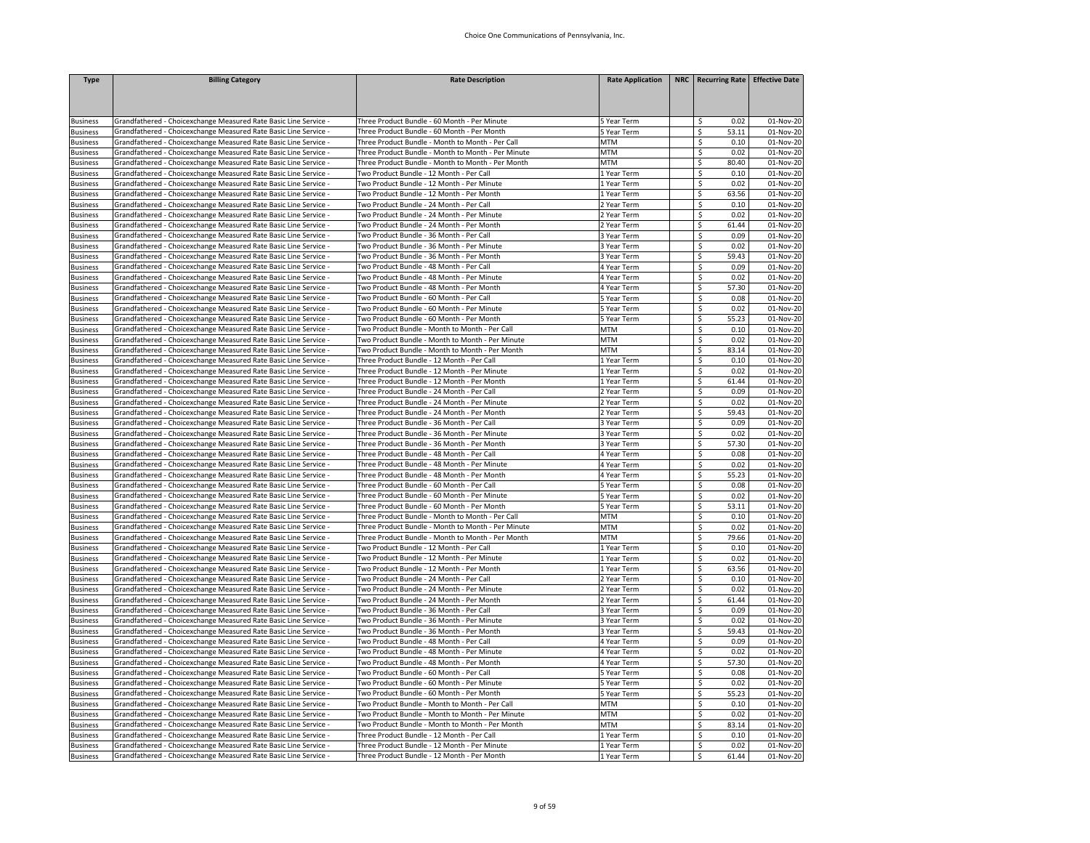| <b>Type</b>     | <b>Billing Category</b>                                          | <b>Rate Description</b>                            | <b>Rate Application</b> | NRC   Recurring Rate   Effective Date |           |
|-----------------|------------------------------------------------------------------|----------------------------------------------------|-------------------------|---------------------------------------|-----------|
|                 |                                                                  |                                                    |                         |                                       |           |
|                 |                                                                  |                                                    |                         |                                       |           |
|                 |                                                                  |                                                    |                         |                                       |           |
| <b>Business</b> | Grandfathered - Choicexchange Measured Rate Basic Line Service - | Three Product Bundle - 60 Month - Per Minute       | 5 Year Term             | 0.02<br>Ŝ                             | 01-Nov-20 |
| <b>Business</b> | Grandfathered - Choicexchange Measured Rate Basic Line Service - | Three Product Bundle - 60 Month - Per Month        | 5 Year Term             | \$<br>53.11                           | 01-Nov-20 |
| <b>Business</b> | Grandfathered - Choicexchange Measured Rate Basic Line Service - | Three Product Bundle - Month to Month - Per Call   | <b>MTM</b>              | \$<br>0.10                            | 01-Nov-20 |
| <b>Business</b> | Grandfathered - Choicexchange Measured Rate Basic Line Service - | Three Product Bundle - Month to Month - Per Minute | <b>MTM</b>              | 0.02<br>\$                            | 01-Nov-20 |
| <b>Business</b> | Grandfathered - Choicexchange Measured Rate Basic Line Service - | Three Product Bundle - Month to Month - Per Month  | <b>MTM</b>              | 80.40<br>\$                           | 01-Nov-20 |
| <b>Business</b> | Grandfathered - Choicexchange Measured Rate Basic Line Service - | Two Product Bundle - 12 Month - Per Call           | 1 Year Term             | \$<br>0.10                            | 01-Nov-20 |
| <b>Business</b> | Grandfathered - Choicexchange Measured Rate Basic Line Service - | Two Product Bundle - 12 Month - Per Minute         | 1 Year Term             | \$<br>0.02                            | 01-Nov-20 |
| <b>Business</b> | Grandfathered - Choicexchange Measured Rate Basic Line Service - | Two Product Bundle - 12 Month - Per Month          | 1 Year Term             | \$<br>63.56                           | 01-Nov-20 |
| <b>Business</b> | Grandfathered - Choicexchange Measured Rate Basic Line Service - | Two Product Bundle - 24 Month - Per Call           | 2 Year Term             | \$<br>0.10                            | 01-Nov-20 |
| <b>Business</b> | Grandfathered - Choicexchange Measured Rate Basic Line Service - | Two Product Bundle - 24 Month - Per Minute         | 2 Year Term             | \$<br>0.02                            | 01-Nov-20 |
| <b>Business</b> | Grandfathered - Choicexchange Measured Rate Basic Line Service - | Two Product Bundle - 24 Month - Per Month          | 2 Year Term             | \$<br>61.44                           | 01-Nov-20 |
| <b>Business</b> | Grandfathered - Choicexchange Measured Rate Basic Line Service - | Two Product Bundle - 36 Month - Per Call           | 3 Year Term             | \$<br>0.09                            | 01-Nov-20 |
| <b>Business</b> | Grandfathered - Choicexchange Measured Rate Basic Line Service - | Two Product Bundle - 36 Month - Per Minute         | 3 Year Term             | \$<br>0.02                            | 01-Nov-20 |
| <b>Business</b> | Grandfathered - Choicexchange Measured Rate Basic Line Service - | Two Product Bundle - 36 Month - Per Month          | 3 Year Term             | \$<br>59.43                           | 01-Nov-20 |
| <b>Business</b> | Grandfathered - Choicexchange Measured Rate Basic Line Service - | Two Product Bundle - 48 Month - Per Call           | 4 Year Term             | 0.09<br>\$                            | 01-Nov-20 |
| <b>Business</b> | Grandfathered - Choicexchange Measured Rate Basic Line Service - | Two Product Bundle - 48 Month - Per Minute         | 4 Year Term             | 0.02<br>\$                            | 01-Nov-20 |
| <b>Business</b> | Grandfathered - Choicexchange Measured Rate Basic Line Service - | Two Product Bundle - 48 Month - Per Month          | 4 Year Term             | \$<br>57.30                           | 01-Nov-20 |
| <b>Business</b> | Grandfathered - Choicexchange Measured Rate Basic Line Service - | Two Product Bundle - 60 Month - Per Call           | 5 Year Term             | \$<br>0.08                            | 01-Nov-20 |
| <b>Business</b> | Grandfathered - Choicexchange Measured Rate Basic Line Service - | Two Product Bundle - 60 Month - Per Minute         | 5 Year Term             | 0.02<br>\$                            | 01-Nov-20 |
| <b>Business</b> | Grandfathered - Choicexchange Measured Rate Basic Line Service - | Two Product Bundle - 60 Month - Per Month          | 5 Year Term             | \$<br>55.23                           | 01-Nov-20 |
| <b>Business</b> | Grandfathered - Choicexchange Measured Rate Basic Line Service - | Two Product Bundle - Month to Month - Per Call     | <b>MTM</b>              | \$<br>0.10                            | 01-Nov-20 |
| <b>Business</b> | Grandfathered - Choicexchange Measured Rate Basic Line Service - | Two Product Bundle - Month to Month - Per Minute   | <b>MTM</b>              | \$<br>0.02                            | 01-Nov-20 |
| <b>Business</b> | Grandfathered - Choicexchange Measured Rate Basic Line Service - | Two Product Bundle - Month to Month - Per Month    | <b>MTM</b>              | \$<br>83.14                           | 01-Nov-20 |
| <b>Business</b> | Grandfathered - Choicexchange Measured Rate Basic Line Service - | Three Product Bundle - 12 Month - Per Call         | 1 Year Term             | Ś<br>0.10                             | 01-Nov-20 |
| <b>Business</b> | Grandfathered - Choicexchange Measured Rate Basic Line Service - | Three Product Bundle - 12 Month - Per Minute       | 1 Year Term             | \$<br>0.02                            | 01-Nov-20 |
| <b>Business</b> | Grandfathered - Choicexchange Measured Rate Basic Line Service - | Three Product Bundle - 12 Month - Per Month        | 1 Year Term             | 61.44<br>\$                           | 01-Nov-20 |
| <b>Business</b> | Grandfathered - Choicexchange Measured Rate Basic Line Service   | Three Product Bundle - 24 Month - Per Call         | 2 Year Term             | 0.09<br>\$                            | 01-Nov-20 |
| <b>Business</b> | Grandfathered - Choicexchange Measured Rate Basic Line Service - | Three Product Bundle - 24 Month - Per Minute       | Year Term               | \$<br>0.02                            | 01-Nov-20 |
| <b>Business</b> | Grandfathered - Choicexchange Measured Rate Basic Line Service - | Three Product Bundle - 24 Month - Per Month        | 2 Year Term             | \$<br>59.43                           | 01-Nov-20 |
| <b>Business</b> | Grandfathered - Choicexchange Measured Rate Basic Line Service - | Three Product Bundle - 36 Month - Per Call         | 3 Year Term             | 0.09<br>\$                            | 01-Nov-20 |
| <b>Business</b> | Grandfathered - Choicexchange Measured Rate Basic Line Service - | Three Product Bundle - 36 Month - Per Minute       | 3 Year Term             | Ś<br>0.02                             | 01-Nov-20 |
| <b>Business</b> | Grandfathered - Choicexchange Measured Rate Basic Line Service - | Three Product Bundle - 36 Month - Per Month        | 3 Year Term             | \$<br>57.30                           | 01-Nov-20 |
| <b>Business</b> | Grandfathered - Choicexchange Measured Rate Basic Line Service - | Three Product Bundle - 48 Month - Per Call         | 4 Year Term             | \$<br>0.08                            | 01-Nov-20 |
| <b>Business</b> | Grandfathered - Choicexchange Measured Rate Basic Line Service - | Three Product Bundle - 48 Month - Per Minute       | 4 Year Term             | \$<br>0.02                            | 01-Nov-20 |
| <b>Business</b> | Grandfathered - Choicexchange Measured Rate Basic Line Service - | Three Product Bundle - 48 Month - Per Month        | 4 Year Term             | \$<br>55.23                           | 01-Nov-20 |
| <b>Business</b> | Grandfathered - Choicexchange Measured Rate Basic Line Service - | Three Product Bundle - 60 Month - Per Call         | 5 Year Term             | \$<br>0.08                            | 01-Nov-20 |
| <b>Business</b> | Grandfathered - Choicexchange Measured Rate Basic Line Service - | Three Product Bundle - 60 Month - Per Minute       | 5 Year Term             | 0.02<br>\$                            | 01-Nov-20 |
| <b>Business</b> | Grandfathered - Choicexchange Measured Rate Basic Line Service - | Three Product Bundle - 60 Month - Per Month        | 5 Year Term             | 53.11<br>\$                           | 01-Nov-20 |
| <b>Business</b> | Grandfathered - Choicexchange Measured Rate Basic Line Service - | Three Product Bundle - Month to Month - Per Call   | <b>MTM</b>              | \$<br>0.10                            | 01-Nov-20 |
| <b>Business</b> | Grandfathered - Choicexchange Measured Rate Basic Line Service - | Three Product Bundle - Month to Month - Per Minute | <b>MTM</b>              | \$<br>0.02                            | 01-Nov-20 |
| <b>Business</b> | Grandfathered - Choicexchange Measured Rate Basic Line Service - | Three Product Bundle - Month to Month - Per Month  | <b>MTM</b>              | \$<br>79.66                           | 01-Nov-20 |
| <b>Business</b> | Grandfathered - Choicexchange Measured Rate Basic Line Service - | Two Product Bundle - 12 Month - Per Call           | 1 Year Term             | \$<br>0.10                            | 01-Nov-20 |
| <b>Business</b> | Grandfathered - Choicexchange Measured Rate Basic Line Service - | Two Product Bundle - 12 Month - Per Minute         | 1 Year Term             | \$<br>0.02                            | 01-Nov-20 |
| <b>Business</b> | Grandfathered - Choicexchange Measured Rate Basic Line Service - | Two Product Bundle - 12 Month - Per Month          | 1 Year Term             | \$<br>63.56                           | 01-Nov-20 |
| <b>Business</b> | Grandfathered - Choicexchange Measured Rate Basic Line Service - | Two Product Bundle - 24 Month - Per Call           | 2 Year Term             | \$<br>0.10                            | 01-Nov-20 |
| <b>Business</b> | Grandfathered - Choicexchange Measured Rate Basic Line Service - | Two Product Bundle - 24 Month - Per Minute         | 2 Year Term             | Ś<br>0.02                             | 01-Nov-20 |
| <b>Business</b> | Grandfathered - Choicexchange Measured Rate Basic Line Service - | Two Product Bundle - 24 Month - Per Month          | 2 Year Term             | \$<br>61.44                           | 01-Nov-20 |
| <b>Business</b> | Grandfathered - Choicexchange Measured Rate Basic Line Service - | Two Product Bundle - 36 Month - Per Call           | 3 Year Term             | 0.09<br>\$                            | 01-Nov-20 |
| <b>Business</b> | Grandfathered - Choicexchange Measured Rate Basic Line Service - | Two Product Bundle - 36 Month - Per Minute         | 3 Year Term             | 0.02<br>\$                            | 01-Nov-20 |
| <b>Business</b> | Grandfathered - Choicexchange Measured Rate Basic Line Service - | Two Product Bundle - 36 Month - Per Month          | 3 Year Term             | \$<br>59.43                           | 01-Nov-20 |
| <b>Business</b> | Grandfathered - Choicexchange Measured Rate Basic Line Service - | Two Product Bundle - 48 Month - Per Call           | 4 Year Term             | \$<br>0.09                            | 01-Nov-20 |
| <b>Business</b> | Grandfathered - Choicexchange Measured Rate Basic Line Service - | Two Product Bundle - 48 Month - Per Minute         | 4 Year Term             | 0.02<br>\$                            | 01-Nov-20 |
| <b>Business</b> | Grandfathered - Choicexchange Measured Rate Basic Line Service - | Two Product Bundle - 48 Month - Per Month          | 4 Year Term             | \$<br>57.30                           | 01-Nov-20 |
| <b>Business</b> | Grandfathered - Choicexchange Measured Rate Basic Line Service - | Two Product Bundle - 60 Month - Per Call           | 5 Year Term             | \$<br>0.08                            | 01-Nov-20 |
| <b>Business</b> | Grandfathered - Choicexchange Measured Rate Basic Line Service - | Two Product Bundle - 60 Month - Per Minute         | 5 Year Term             | \$<br>0.02                            | 01-Nov-20 |
| <b>Business</b> | Grandfathered - Choicexchange Measured Rate Basic Line Service   | Two Product Bundle - 60 Month - Per Month          | 5 Year Term             | \$<br>55.23                           | 01-Nov-20 |
| <b>Business</b> | Grandfathered - Choicexchange Measured Rate Basic Line Service - | Two Product Bundle - Month to Month - Per Call     | <b>MTM</b>              | Ś<br>0.10                             | 01-Nov-20 |
| <b>Business</b> | Grandfathered - Choicexchange Measured Rate Basic Line Service - | Two Product Bundle - Month to Month - Per Minute   | <b>MTM</b>              | \$<br>0.02                            | 01-Nov-20 |
| <b>Business</b> | Grandfathered - Choicexchange Measured Rate Basic Line Service - | Two Product Bundle - Month to Month - Per Month    | <b>MTM</b>              | \$<br>83.14                           | 01-Nov-20 |
| <b>Business</b> | Grandfathered - Choicexchange Measured Rate Basic Line Service - | Three Product Bundle - 12 Month - Per Call         | 1 Year Term             | Ś<br>0.10                             | 01-Nov-20 |
| <b>Business</b> | Grandfathered - Choicexchange Measured Rate Basic Line Service - | Three Product Bundle - 12 Month - Per Minute       | 1 Year Term             | \$<br>0.02                            | 01-Nov-20 |
| <b>Business</b> | Grandfathered - Choicexchange Measured Rate Basic Line Service - | Three Product Bundle - 12 Month - Per Month        | 1 Year Term             | Ŝ.<br>61.44                           | 01-Nov-20 |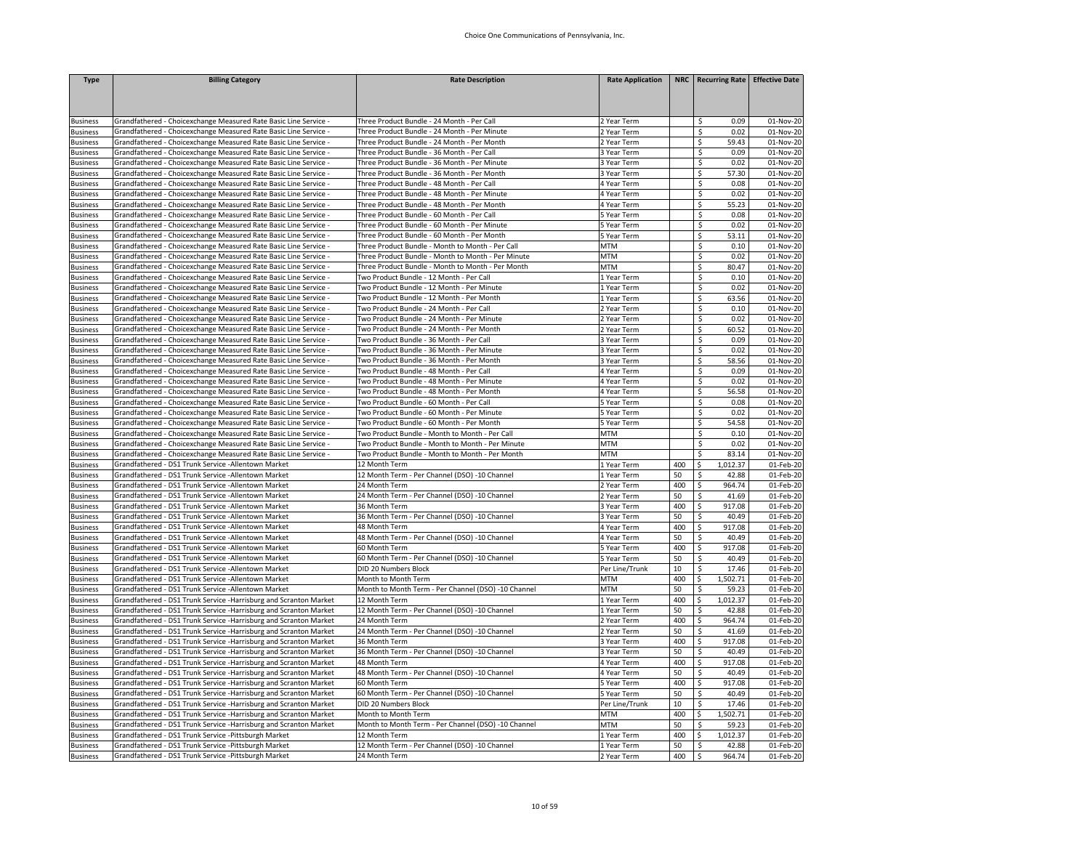| <b>Type</b>                        | <b>Billing Category</b>                                                                                                              | <b>Rate Description</b>                                                                   | <b>Rate Application</b>    |           | NRC   Recurring Rate   Effective Date |                        |
|------------------------------------|--------------------------------------------------------------------------------------------------------------------------------------|-------------------------------------------------------------------------------------------|----------------------------|-----------|---------------------------------------|------------------------|
|                                    |                                                                                                                                      |                                                                                           |                            |           |                                       |                        |
|                                    |                                                                                                                                      |                                                                                           |                            |           |                                       |                        |
| <b>Business</b>                    | Grandfathered - Choicexchange Measured Rate Basic Line Service -                                                                     | Three Product Bundle - 24 Month - Per Call                                                | 2 Year Term                |           | 0.09<br>Ŝ                             | 01-Nov-20              |
| <b>Business</b>                    | Grandfathered - Choicexchange Measured Rate Basic Line Service -                                                                     | Three Product Bundle - 24 Month - Per Minute                                              | 2 Year Term                |           | \$<br>0.02                            | 01-Nov-20              |
| <b>Business</b>                    | Grandfathered - Choicexchange Measured Rate Basic Line Service -                                                                     | Three Product Bundle - 24 Month - Per Month                                               | 2 Year Term                |           | \$<br>59.43                           | 01-Nov-20              |
| <b>Business</b>                    | Grandfathered - Choicexchange Measured Rate Basic Line Service -                                                                     | Three Product Bundle - 36 Month - Per Call                                                | 3 Year Term                |           | \$<br>0.09                            | 01-Nov-20              |
| <b>Business</b>                    | Grandfathered - Choicexchange Measured Rate Basic Line Service -                                                                     | Three Product Bundle - 36 Month - Per Minute                                              | 3 Year Term                |           | 0.02<br>\$<br>\$                      | 01-Nov-20              |
| <b>Business</b><br><b>Business</b> | Grandfathered - Choicexchange Measured Rate Basic Line Service -<br>Grandfathered - Choicexchange Measured Rate Basic Line Service - | Three Product Bundle - 36 Month - Per Month<br>Three Product Bundle - 48 Month - Per Call | 3 Year Term<br>4 Year Term |           | 57.30<br>\$<br>0.08                   | 01-Nov-20<br>01-Nov-20 |
| <b>Business</b>                    | Grandfathered - Choicexchange Measured Rate Basic Line Service -                                                                     | Three Product Bundle - 48 Month - Per Minute                                              | 4 Year Term                |           | 0.02<br>\$                            | 01-Nov-20              |
| <b>Business</b>                    | Grandfathered - Choicexchange Measured Rate Basic Line Service -                                                                     | Three Product Bundle - 48 Month - Per Month                                               | 4 Year Term                |           | \$<br>55.23                           | 01-Nov-20              |
| <b>Business</b>                    | Grandfathered - Choicexchange Measured Rate Basic Line Service -                                                                     | Three Product Bundle - 60 Month - Per Call                                                | S Year Term                |           | \$<br>0.08                            | 01-Nov-20              |
| <b>Business</b>                    | Grandfathered - Choicexchange Measured Rate Basic Line Service -                                                                     | Three Product Bundle - 60 Month - Per Minute                                              | 5 Year Term                |           | \$<br>0.02                            | 01-Nov-20              |
| <b>Business</b>                    | Grandfathered - Choicexchange Measured Rate Basic Line Service -                                                                     | Three Product Bundle - 60 Month - Per Month                                               | 5 Year Term                |           | \$<br>53.11                           | 01-Nov-20              |
| <b>Business</b>                    | Grandfathered - Choicexchange Measured Rate Basic Line Service                                                                       | Three Product Bundle - Month to Month - Per Call                                          | <b>MTM</b>                 |           | \$<br>0.10                            | 01-Nov-20              |
| Business                           | Grandfathered - Choicexchange Measured Rate Basic Line Service -                                                                     | Three Product Bundle - Month to Month - Per Minute                                        | MTM                        |           | \$<br>0.02                            | 01-Nov-20              |
| <b>Business</b>                    | Grandfathered - Choicexchange Measured Rate Basic Line Service -                                                                     | Three Product Bundle - Month to Month - Per Month                                         | MTM                        |           | \$<br>80.47                           | 01-Nov-20              |
| <b>Business</b>                    | Grandfathered - Choicexchange Measured Rate Basic Line Service -                                                                     | Two Product Bundle - 12 Month - Per Call                                                  | 1 Year Term                |           | 0.10<br>Ŝ.                            | 01-Nov-20              |
| <b>Business</b>                    | Grandfathered - Choicexchange Measured Rate Basic Line Service                                                                       | Two Product Bundle - 12 Month - Per Minute                                                | 1 Year Term                |           | \$<br>0.02                            | 01-Nov-20              |
| <b>Business</b>                    | Grandfathered - Choicexchange Measured Rate Basic Line Service -                                                                     | Iwo Product Bundle - 12 Month - Per Month                                                 | 1 Year Term                |           | \$<br>63.56                           | 01-Nov-20              |
| <b>Business</b>                    | Grandfathered - Choicexchange Measured Rate Basic Line Service -                                                                     | Two Product Bundle - 24 Month - Per Call                                                  | 2 Year Term                |           | \$<br>0.10                            | 01-Nov-20              |
| <b>Business</b>                    | Grandfathered - Choicexchange Measured Rate Basic Line Service -                                                                     | Two Product Bundle - 24 Month - Per Minute                                                | 2 Year Term                |           | \$<br>0.02                            | 01-Nov-20              |
| <b>Business</b>                    | Grandfathered - Choicexchange Measured Rate Basic Line Service -                                                                     | wo Product Bundle - 24 Month - Per Month                                                  | Year Term                  |           | \$<br>60.52                           | 01-Nov-20              |
| <b>Business</b>                    | Grandfathered - Choicexchange Measured Rate Basic Line Service -                                                                     | Two Product Bundle - 36 Month - Per Call                                                  | 3 Year Term                |           | \$<br>0.09                            | 01-Nov-20              |
| <b>Business</b>                    | Grandfathered - Choicexchange Measured Rate Basic Line Service -                                                                     | wo Product Bundle - 36 Month - Per Minute                                                 | 3 Year Term                |           | \$<br>0.02                            | 01-Nov-20              |
| <b>Business</b>                    | Grandfathered - Choicexchange Measured Rate Basic Line Service -                                                                     | Two Product Bundle - 36 Month - Per Month                                                 | 3 Year Term                |           | \$<br>58.56                           | 01-Nov-20              |
| <b>Business</b>                    | Grandfathered - Choicexchange Measured Rate Basic Line Service -                                                                     | wo Product Bundle - 48 Month - Per Call                                                   | 4 Year Term                |           | \$<br>0.09                            | 01-Nov-20              |
| <b>Business</b>                    | Grandfathered - Choicexchange Measured Rate Basic Line Service -                                                                     | Two Product Bundle - 48 Month - Per Minute                                                | 4 Year Term                |           | \$<br>0.02                            | 01-Nov-20              |
| <b>Business</b>                    | Grandfathered - Choicexchange Measured Rate Basic Line Service                                                                       | Two Product Bundle - 48 Month - Per Month                                                 | 4 Year Term                |           | \$<br>56.58                           | 01-Nov-20              |
| <b>Business</b>                    | Grandfathered - Choicexchange Measured Rate Basic Line Service -                                                                     | Two Product Bundle - 60 Month - Per Call                                                  | 5 Year Term                |           | \$<br>0.08                            | 01-Nov-20              |
| <b>Business</b>                    | Grandfathered - Choicexchange Measured Rate Basic Line Service -                                                                     | wo Product Bundle - 60 Month - Per Minute                                                 | 5 Year Term                |           | \$<br>0.02                            | 01-Nov-20              |
| <b>Business</b>                    | Grandfathered - Choicexchange Measured Rate Basic Line Service -                                                                     | Iwo Product Bundle - 60 Month - Per Month                                                 | 5 Year Term                |           | \$<br>54.58                           | 01-Nov-20              |
| <b>Business</b>                    | Grandfathered - Choicexchange Measured Rate Basic Line Service -                                                                     | Two Product Bundle - Month to Month - Per Call                                            | <b>MTM</b>                 |           | \$<br>0.10                            | 01-Nov-20              |
| <b>Business</b>                    | Grandfathered - Choicexchange Measured Rate Basic Line Service -                                                                     | Iwo Product Bundle - Month to Month - Per Minute                                          | <b>MTM</b>                 |           | \$<br>0.02                            | 01-Nov-20              |
| <b>Business</b>                    | Grandfathered - Choicexchange Measured Rate Basic Line Service -                                                                     | Two Product Bundle - Month to Month - Per Month                                           | MTM                        |           | \$<br>83.14                           | 01-Nov-20              |
| <b>Business</b>                    | Grandfathered - DS1 Trunk Service -Allentown Market                                                                                  | 12 Month Term                                                                             | 1 Year Term                | 400       | \$<br>1,012.37                        | 01-Feb-20              |
| <b>Business</b>                    | Grandfathered - DS1 Trunk Service -Allentown Market                                                                                  | 12 Month Term - Per Channel (DSO) -10 Channel                                             | 1 Year Term                | 50        | 42.88<br>\$                           | 01-Feb-20              |
| Business                           | Grandfathered - DS1 Trunk Service -Allentown Market                                                                                  | !4 Month Term                                                                             | Year Term                  | 400       | \$<br>964.74                          | 01-Feb-20              |
| <b>Business</b>                    | Grandfathered - DS1 Trunk Service -Allentown Market                                                                                  | 24 Month Term - Per Channel (DSO) -10 Channel                                             | 2 Year Term                | 50        | \$<br>41.69                           | 01-Feb-20              |
| <b>Business</b>                    | Grandfathered - DS1 Trunk Service -Allentown Market                                                                                  | 36 Month Term                                                                             | 3 Year Term                | 400       | \$<br>917.08<br>\$<br>40.49           | 01-Feb-20              |
| <b>Business</b>                    | Grandfathered - DS1 Trunk Service -Allentown Market                                                                                  | 36 Month Term - Per Channel (DSO) -10 Channel                                             | 3 Year Term                | 50<br>400 | \$<br>917.08                          | 01-Feb-20              |
| <b>Business</b>                    | Grandfathered - DS1 Trunk Service -Allentown Market<br>Grandfathered - DS1 Trunk Service -Allentown Market                           | 48 Month Term<br>48 Month Term - Per Channel (DSO) -10 Channel                            | 4 Year Term                |           | 40.49                                 | 01-Feb-20              |
| <b>Business</b><br><b>Business</b> | Grandfathered - DS1 Trunk Service -Allentown Market                                                                                  | 60 Month Term                                                                             | 4 Year Term<br>5 Year Term | 50<br>400 | \$<br>917.08<br>\$                    | 01-Feb-20<br>01-Feb-20 |
| <b>Business</b>                    | Grandfathered - DS1 Trunk Service -Allentown Market                                                                                  | 60 Month Term - Per Channel (DSO) -10 Channel                                             | 5 Year Term                | 50        | \$<br>40.49                           | 01-Feb-20              |
| <b>Business</b>                    | Grandfathered - DS1 Trunk Service -Allentown Market                                                                                  | DID 20 Numbers Block                                                                      | Per Line/Trunk             | 10        | \$<br>17.46                           | 01-Feb-20              |
| <b>Business</b>                    | Grandfathered - DS1 Trunk Service -Allentown Market                                                                                  | Month to Month Term                                                                       | MTM                        | 400       | \$<br>1,502.71                        | 01-Feb-20              |
| <b>Business</b>                    | Grandfathered - DS1 Trunk Service -Allentown Market                                                                                  | Month to Month Term - Per Channel (DSO) -10 Channel                                       | <b>MTM</b>                 | 50        | \$<br>59.23                           | 01-Feb-20              |
| <b>Business</b>                    | Grandfathered - DS1 Trunk Service -Harrisburg and Scranton Market                                                                    | 12 Month Term                                                                             | 1 Year Term                | 400       | \$<br>1,012.37                        | 01-Feb-20              |
| <b>Business</b>                    | Grandfathered - DS1 Trunk Service -Harrisburg and Scranton Market                                                                    | 12 Month Term - Per Channel (DSO) -10 Channel                                             | 1 Year Term                | 50        | \$<br>42.88                           | 01-Feb-20              |
| <b>Business</b>                    | Grandfathered - DS1 Trunk Service -Harrisburg and Scranton Market                                                                    | 24 Month Term                                                                             | 2 Year Term                | 400       | \$<br>964.74                          | 01-Feb-20              |
| <b>Business</b>                    | Grandfathered - DS1 Trunk Service -Harrisburg and Scranton Market                                                                    | 24 Month Term - Per Channel (DSO) -10 Channel                                             | 2 Year Term                | 50        | Ŝ.<br>41.69                           | 01-Feb-20              |
| <b>Business</b>                    | Grandfathered - DS1 Trunk Service -Harrisburg and Scranton Market                                                                    | 36 Month Term                                                                             | 3 Year Term                | 400       | \$<br>917.08                          | 01-Feb-20              |
| <b>Business</b>                    | Grandfathered - DS1 Trunk Service -Harrisburg and Scranton Market                                                                    | 36 Month Term - Per Channel (DSO) -10 Channel                                             | 3 Year Term                | 50        | \$<br>40.49                           | 01-Feb-20              |
| <b>Business</b>                    | Grandfathered - DS1 Trunk Service -Harrisburg and Scranton Market                                                                    | 48 Month Term                                                                             | 4 Year Term                | 400       | Ŝ.<br>917.08                          | 01-Feb-20              |
| <b>Business</b>                    | Grandfathered - DS1 Trunk Service -Harrisburg and Scranton Market                                                                    | 48 Month Term - Per Channel (DSO) -10 Channel                                             | 4 Year Term                | 50        | \$<br>40.49                           | 01-Feb-20              |
| <b>Business</b>                    | Grandfathered - DS1 Trunk Service -Harrisburg and Scranton Market                                                                    | 60 Month Term                                                                             | 5 Year Term                | 400       | \$<br>917.08                          | 01-Feb-20              |
| <b>Business</b>                    | Grandfathered - DS1 Trunk Service -Harrisburg and Scranton Market                                                                    | 60 Month Term - Per Channel (DSO) -10 Channel                                             | 5 Year Term                | 50        | 40.49<br>\$                           | 01-Feb-20              |
| <b>Business</b>                    | Grandfathered - DS1 Trunk Service -Harrisburg and Scranton Market                                                                    | DID 20 Numbers Block                                                                      | Per Line/Trunk             | 10        | Ŝ.<br>17.46                           | 01-Feb-20              |
| <b>Business</b>                    | Grandfathered - DS1 Trunk Service -Harrisburg and Scranton Market                                                                    | Month to Month Term                                                                       | MTM                        | 400       | \$<br>1,502.71                        | 01-Feb-20              |
| <b>Business</b>                    | Grandfathered - DS1 Trunk Service -Harrisburg and Scranton Market                                                                    | Month to Month Term - Per Channel (DSO) -10 Channel                                       | <b>MTM</b>                 | 50        | \$<br>59.23                           | 01-Feb-20              |
| <b>Business</b>                    | Grandfathered - DS1 Trunk Service -Pittsburgh Market                                                                                 | 12 Month Term                                                                             | 1 Year Term                | 400       | \$<br>1,012.37                        | 01-Feb-20              |
| <b>Business</b>                    | Grandfathered - DS1 Trunk Service -Pittsburgh Market                                                                                 | 12 Month Term - Per Channel (DSO) -10 Channel                                             | 1 Year Term                | 50        | Ŝ.<br>42.88                           | 01-Feb-20              |
| <b>Business</b>                    | Grandfathered - DS1 Trunk Service -Pittsburgh Market                                                                                 | 24 Month Term                                                                             | 2 Year Term                | 400       | Ŝ.<br>964.74                          | 01-Feb-20              |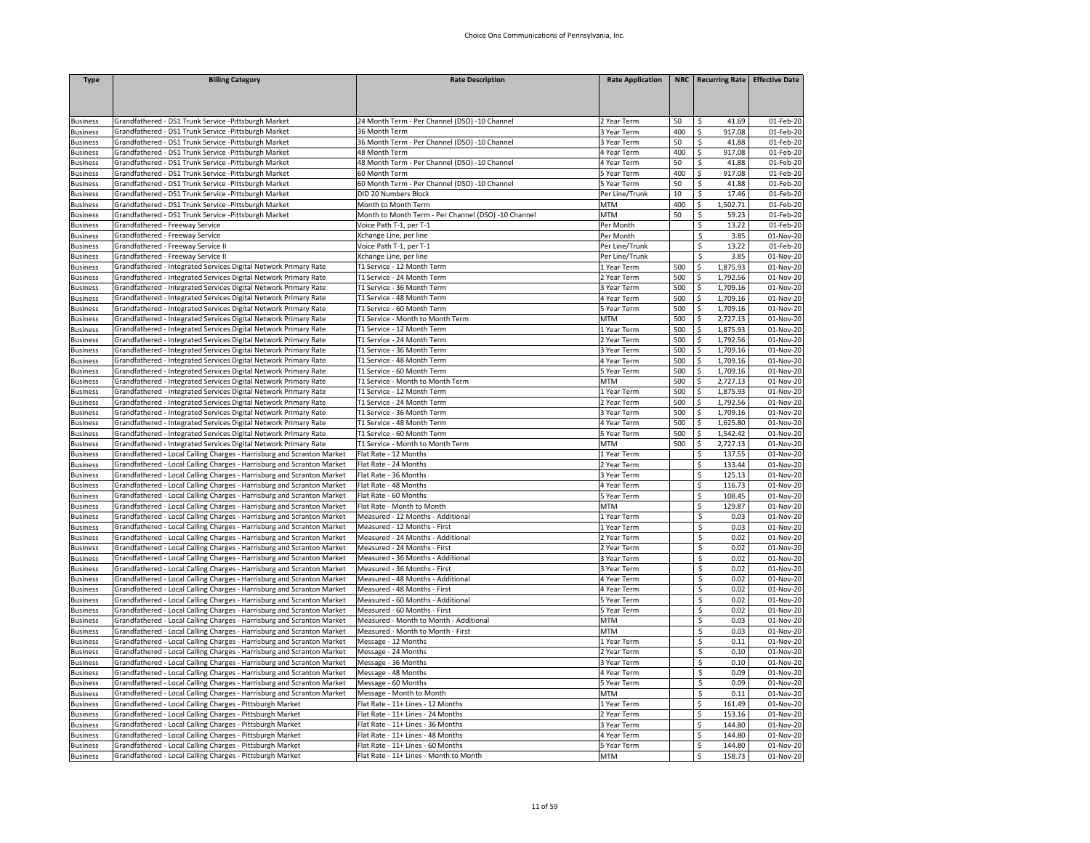| <b>Type</b>                        | <b>Billing Category</b>                                                                                                              | <b>Rate Description</b>                                                    | <b>Rate Application</b>    |            | NRC   Recurring Rate   Effective Date |                         |
|------------------------------------|--------------------------------------------------------------------------------------------------------------------------------------|----------------------------------------------------------------------------|----------------------------|------------|---------------------------------------|-------------------------|
|                                    |                                                                                                                                      |                                                                            |                            |            |                                       |                         |
|                                    |                                                                                                                                      |                                                                            |                            |            |                                       |                         |
|                                    |                                                                                                                                      |                                                                            |                            |            |                                       |                         |
| <b>Business</b>                    | Grandfathered - DS1 Trunk Service -Pittsburgh Market                                                                                 | 24 Month Term - Per Channel (DSO) -10 Channel                              | 2 Year Term                | 50         | \$<br>41.69                           | 01-Feb-20               |
| <b>Business</b>                    | Grandfathered - DS1 Trunk Service -Pittsburgh Market                                                                                 | 36 Month Term                                                              | 3 Year Term                | 400        | \$<br>917.08                          | 01-Feb-20               |
| <b>Business</b>                    | Grandfathered - DS1 Trunk Service -Pittsburgh Market                                                                                 | 36 Month Term - Per Channel (DSO) -10 Channel                              | 3 Year Term                | 50         | \$<br>41.88                           | 01-Feb-20               |
| <b>Business</b>                    | Grandfathered - DS1 Trunk Service -Pittsburgh Market                                                                                 | 48 Month Term                                                              | 4 Year Term                | 400        | \$<br>917.08                          | 01-Feb-20               |
| Business                           | Grandfathered - DS1 Trunk Service -Pittsburgh Market                                                                                 | 48 Month Term - Per Channel (DSO) -10 Channel                              | 4 Year Term                | 50         | \$<br>41.88                           | 01-Feb-20               |
| <b>Business</b>                    | Grandfathered - DS1 Trunk Service -Pittsburgh Market                                                                                 | 60 Month Term                                                              | 5 Year Term                | 400        | \$<br>917.08<br>41.88                 | 01-Feb-20               |
| Business                           | Grandfathered - DS1 Trunk Service -Pittsburgh Market                                                                                 | 60 Month Term - Per Channel (DSO) -10 Channel<br>DID 20 Numbers Block      | S Year Term                | 50<br>10   | \$<br>\$<br>17.46                     | 01-Feb-20               |
| <b>Business</b>                    | Grandfathered - DS1 Trunk Service -Pittsburgh Market                                                                                 |                                                                            | Per Line/Trunk             |            |                                       | 01-Feb-20               |
| <b>Business</b>                    | Grandfathered - DS1 Trunk Service -Pittsburgh Market<br>Grandfathered - DS1 Trunk Service -Pittsburgh Market                         | Month to Month Term<br>Month to Month Term - Per Channel (DSO) -10 Channel | <b>MTM</b><br><b>MTM</b>   | 400<br>50  | \$<br>1,502.71<br>\$<br>59.23         | 01-Feb-20               |
| <b>Business</b>                    | Grandfathered - Freeway Service                                                                                                      | Voice Path T-1, per T-1                                                    | Per Month                  |            | \$<br>13.22                           | 01-Feb-20<br>01-Feb-20  |
| <b>Business</b>                    |                                                                                                                                      |                                                                            | Per Month                  |            | \$<br>3.85                            | 01-Nov-20               |
| <b>Business</b><br><b>Business</b> | Grandfathered - Freeway Service<br>Grandfathered - Freeway Service II                                                                | Xchange Line, per line<br>Voice Path T-1, per T-1                          | Per Line/Trunk             |            | \$<br>13.22                           | 01-Feb-20               |
| <b>Business</b>                    | Grandfathered - Freeway Service II                                                                                                   | Xchange Line, per line                                                     | Per Line/Trunk             |            | \$<br>3.85                            | 01-Nov-20               |
| Business                           | Grandfathered - Integrated Services Digital Network Primary Rate                                                                     | T1 Service - 12 Month Term                                                 | 1 Year Term                | 500        | \$<br>1,875.93                        | 01-Nov-20               |
|                                    | Grandfathered - Integrated Services Digital Network Primary Rate                                                                     | T1 Service - 24 Month Term                                                 |                            | 500        | \$<br>1,792.56                        | 01-Nov-20               |
| <b>Business</b>                    | Grandfathered - Integrated Services Digital Network Primary Rate                                                                     | T1 Service - 36 Month Term                                                 | 2 Year Term<br>3 Year Term | 500        | \$<br>1,709.16                        | 01-Nov-20               |
| <b>Business</b>                    |                                                                                                                                      |                                                                            |                            | 500        | \$<br>1,709.16                        | 01-Nov-20               |
| <b>Business</b>                    | Grandfathered - Integrated Services Digital Network Primary Rate<br>Grandfathered - Integrated Services Digital Network Primary Rate | T1 Service - 48 Month Term<br>T1 Service - 60 Month Term                   | 4 Year Term<br>5 Year Term | 500        | \$<br>1,709.16                        | 01-Nov-20               |
| <b>Business</b>                    |                                                                                                                                      |                                                                            | MTM                        | 500        | \$                                    | 01-Nov-20               |
| <b>Business</b>                    | Grandfathered - Integrated Services Digital Network Primary Rate<br>Grandfathered - Integrated Services Digital Network Primary Rate | T1 Service - Month to Month Term<br>T1 Service - 12 Month Term             |                            |            | 2,727.13<br>\$<br>1,875.93            |                         |
| Business                           | Grandfathered - Integrated Services Digital Network Primary Rate                                                                     | T1 Service - 24 Month Term                                                 | 1 Year Term                | 500<br>500 | 1,792.56                              | 01-Nov-20<br>01-Nov-20  |
| <b>Business</b>                    | Grandfathered - Integrated Services Digital Network Primary Rate                                                                     |                                                                            | 2 Year Term                |            | \$<br>\$<br>1,709.16                  | 01-Nov-20               |
| <b>Business</b><br><b>Business</b> | Grandfathered - Integrated Services Digital Network Primary Rate                                                                     | T1 Service - 36 Month Term<br>T1 Service - 48 Month Term                   | 3 Year Term<br>4 Year Term | 500<br>500 | \$<br>1,709.16                        | 01-Nov-20               |
| <b>Business</b>                    | Grandfathered - Integrated Services Digital Network Primary Rate                                                                     | T1 Service - 60 Month Term                                                 | 5 Year Term                | 500        | \$<br>1,709.16                        | 01-Nov-20               |
| <b>Business</b>                    | Grandfathered - Integrated Services Digital Network Primary Rate                                                                     | T1 Service - Month to Month Term                                           | MTM                        | 500        | \$<br>2,727.13                        | 01-Nov-20               |
| <b>Business</b>                    | Grandfathered - Integrated Services Digital Network Primary Rate                                                                     | T1 Service - 12 Month Term                                                 | 1 Year Term                | 500        | \$<br>1,875.93                        | 01-Nov-20               |
|                                    | Grandfathered - Integrated Services Digital Network Primary Rate                                                                     | T1 Service - 24 Month Term                                                 | 2 Year Term                | 500        | \$<br>1,792.56                        | 01-Nov-20               |
| Business                           | Grandfathered - Integrated Services Digital Network Primary Rate                                                                     | T1 Service - 36 Month Term                                                 | 3 Year Term                | 500        | \$<br>1,709.16                        | 01-Nov-20               |
| Business                           | Grandfathered - Integrated Services Digital Network Primary Rate                                                                     | T1 Service - 48 Month Term                                                 | 4 Year Term                | 500        | \$<br>1,625.80                        | 01-Nov-20               |
| Business<br><b>Business</b>        | Grandfathered - Integrated Services Digital Network Primary Rate                                                                     | T1 Service - 60 Month Term                                                 | 5 Year Term                | 500        | \$<br>1,542.42                        | 01-Nov-20               |
| <b>Business</b>                    | Grandfathered - Integrated Services Digital Network Primary Rate                                                                     | T1 Service - Month to Month Term                                           | <b>MTM</b>                 | 500        | \$<br>2,727.13                        | 01-Nov-20               |
| <b>Business</b>                    | Grandfathered - Local Calling Charges - Harrisburg and Scranton Market                                                               | Flat Rate - 12 Months                                                      | 1 Year Term                |            | \$<br>137.55                          | 01-Nov-20               |
| <b>Business</b>                    | Grandfathered - Local Calling Charges - Harrisburg and Scranton Market                                                               | Flat Rate - 24 Months                                                      | 2 Year Term                |            | \$<br>133.44                          | 01-Nov-20               |
| <b>Business</b>                    | Grandfathered - Local Calling Charges - Harrisburg and Scranton Market                                                               | Flat Rate - 36 Months                                                      | 3 Year Term                |            | \$<br>125.13                          | 01-Nov-20               |
| Business                           | Grandfathered - Local Calling Charges - Harrisburg and Scranton Market                                                               | Flat Rate - 48 Months                                                      | 4 Year Term                |            | \$<br>116.73                          | 01-Nov-20               |
| <b>Business</b>                    | Grandfathered - Local Calling Charges - Harrisburg and Scranton Market                                                               | Flat Rate - 60 Months                                                      | S Year Term                |            | \$<br>108.45                          | 01-Nov-20               |
| <b>Business</b>                    | Grandfathered - Local Calling Charges - Harrisburg and Scranton Market                                                               | Flat Rate - Month to Month                                                 | MTM                        |            | \$<br>129.87                          | 01-Nov-20               |
| <b>Business</b>                    | Grandfathered - Local Calling Charges - Harrisburg and Scranton Market                                                               | Measured - 12 Months - Additional                                          | 1 Year Term                |            | \$<br>0.03                            | 01-Nov-20               |
| <b>Business</b>                    | Grandfathered - Local Calling Charges - Harrisburg and Scranton Market                                                               | Measured - 12 Months - First                                               | 1 Year Term                |            | \$<br>0.03                            | 01-Nov-20               |
| <b>Business</b>                    | Grandfathered - Local Calling Charges - Harrisburg and Scranton Market                                                               | Measured - 24 Months - Additional                                          | 2 Year Term                |            | \$<br>0.02                            | 01-Nov-20               |
| <b>Business</b>                    | Grandfathered - Local Calling Charges - Harrisburg and Scranton Market                                                               | Measured - 24 Months - First                                               | 2 Year Term                |            | \$<br>0.02                            | 01-Nov-20               |
| <b>Business</b>                    | Grandfathered - Local Calling Charges - Harrisburg and Scranton Market                                                               | Measured - 36 Months - Additional                                          | 3 Year Term                |            | \$<br>0.02                            | 01-Nov-20               |
| <b>Business</b>                    | Grandfathered - Local Calling Charges - Harrisburg and Scranton Market                                                               | Measured - 36 Months - First                                               | 3 Year Term                |            | \$<br>0.02                            | 01-Nov-20               |
| <b>Business</b>                    | Grandfathered - Local Calling Charges - Harrisburg and Scranton Market                                                               | Measured - 48 Months - Additional                                          | 4 Year Term                |            | \$<br>0.02                            | 01-Nov-20               |
| <b>Business</b>                    | Grandfathered - Local Calling Charges - Harrisburg and Scranton Market                                                               | Measured - 48 Months - First                                               | 4 Year Term                |            | \$<br>0.02                            | 01-Nov-20               |
| <b>Business</b>                    | Grandfathered - Local Calling Charges - Harrisburg and Scranton Market                                                               | Measured - 60 Months - Additional                                          | S Year Term                |            | \$<br>0.02                            | 01-Nov-20               |
| <b>Business</b>                    | Grandfathered - Local Calling Charges - Harrisburg and Scranton Market                                                               | Measured - 60 Months - First                                               | 5 Year Term                |            | \$<br>0.02                            | 01-Nov-20               |
| <b>Business</b>                    | Grandfathered - Local Calling Charges - Harrisburg and Scranton Market                                                               | Measured - Month to Month - Additional                                     | <b>MTM</b>                 |            | \$<br>0.03                            | 01-Nov-20               |
| Business                           | Grandfathered - Local Calling Charges - Harrisburg and Scranton Market                                                               | Measured - Month to Month - First                                          | <b>MTM</b>                 |            | \$<br>0.03                            | $\overline{01}$ -Nov-20 |
| Business                           | Grandfathered - Local Calling Charges - Harrisburg and Scranton Market                                                               | Message - 12 Months                                                        | 1 Year Term                |            | \$<br>0.11                            | 01-Nov-20               |
| Business                           | Grandfathered - Local Calling Charges - Harrisburg and Scranton Market                                                               | Message - 24 Months                                                        | 2 Year Term                |            | \$<br>0.10                            | $01-Nov-20$             |
| <b>Business</b>                    | Grandfathered - Local Calling Charges - Harrisburg and Scranton Market                                                               | Message - 36 Months                                                        | 3 Year Term                |            | \$<br>0.10                            | 01-Nov-20               |
| Business                           | Grandfathered - Local Calling Charges - Harrisburg and Scranton Market                                                               | Message - 48 Months                                                        | 4 Year Term                |            | \$<br>0.09                            | 01-Nov-20               |
| <b>Business</b>                    | Grandfathered - Local Calling Charges - Harrisburg and Scranton Market                                                               | Message - 60 Months                                                        | 5 Year Term                |            | \$<br>0.09                            | 01-Nov-20               |
| <b>Business</b>                    | Grandfathered - Local Calling Charges - Harrisburg and Scranton Market                                                               | Message - Month to Month                                                   | <b>MTM</b>                 |            | \$<br>0.11                            | 01-Nov-20               |
| <b>Business</b>                    | Grandfathered - Local Calling Charges - Pittsburgh Market                                                                            | Flat Rate - 11+ Lines - 12 Months                                          | 1 Year Term                |            | \$<br>161.49                          | 01-Nov-20               |
| <b>Business</b>                    | Grandfathered - Local Calling Charges - Pittsburgh Market                                                                            | Flat Rate - 11+ Lines - 24 Months                                          | 2 Year Term                |            | \$<br>153.16                          | 01-Nov-20               |
| <b>Business</b>                    | Grandfathered - Local Calling Charges - Pittsburgh Market                                                                            | Flat Rate - 11+ Lines - 36 Months                                          | 3 Year Term                |            | \$<br>144.80                          | 01-Nov-20               |
| <b>Business</b>                    | Grandfathered - Local Calling Charges - Pittsburgh Market                                                                            | Flat Rate - 11+ Lines - 48 Months                                          | 4 Year Term                |            | \$<br>144.80                          | 01-Nov-20               |
| <b>Business</b>                    | Grandfathered - Local Calling Charges - Pittsburgh Market                                                                            | Flat Rate - 11+ Lines - 60 Months                                          | 5 Year Term                |            | \$<br>144.80                          | 01-Nov-20               |
| <b>Business</b>                    | Grandfathered - Local Calling Charges - Pittsburgh Market                                                                            | Flat Rate - 11+ Lines - Month to Month                                     | <b>MTM</b>                 |            | $\overline{\mathcal{S}}$<br>158.73    | 01-Nov-20               |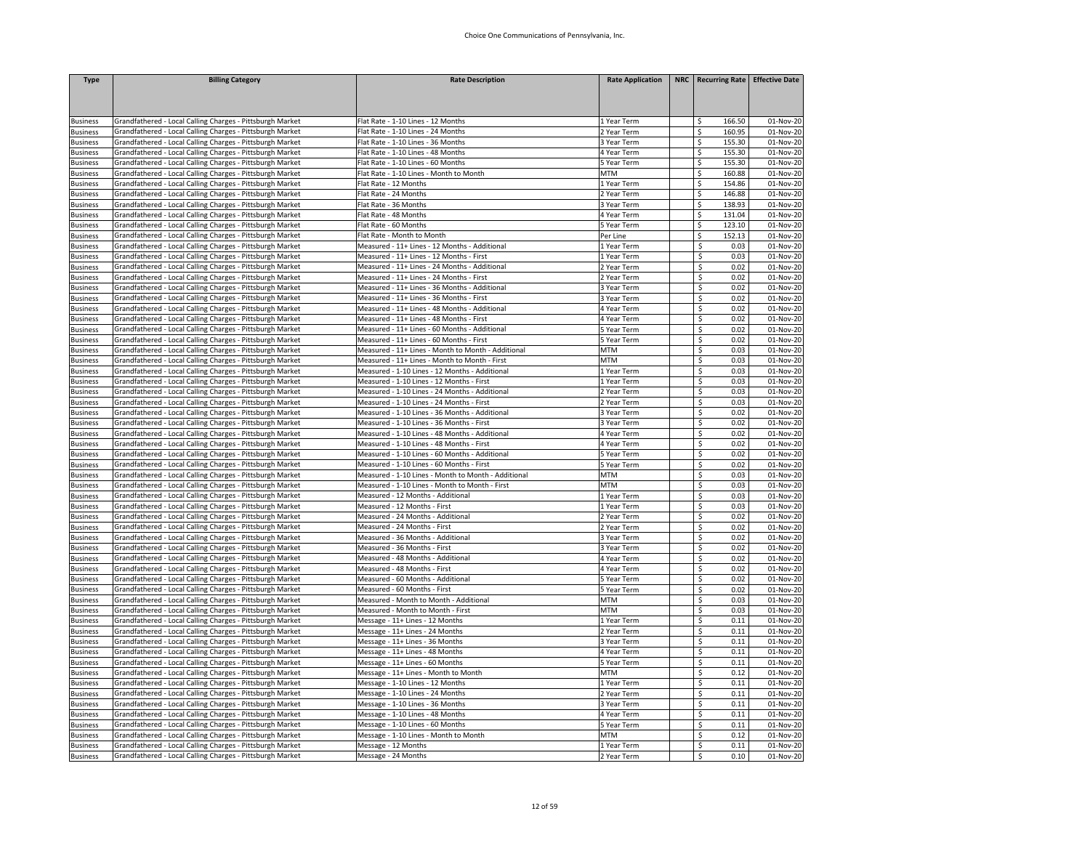| <b>Type</b>                        | <b>Billing Category</b>                                                                                                | <b>Rate Description</b>                             | <b>Rate Application</b>    | NRC   Recurring Rate   Effective Date |                         |
|------------------------------------|------------------------------------------------------------------------------------------------------------------------|-----------------------------------------------------|----------------------------|---------------------------------------|-------------------------|
|                                    |                                                                                                                        |                                                     |                            |                                       |                         |
|                                    |                                                                                                                        |                                                     |                            |                                       |                         |
| <b>Business</b>                    | Grandfathered - Local Calling Charges - Pittsburgh Market                                                              | Flat Rate - 1-10 Lines - 12 Months                  | 1 Year Term                | 166.50<br>Ŝ.                          | 01-Nov-20               |
| <b>Business</b>                    | Grandfathered - Local Calling Charges - Pittsburgh Market                                                              | Flat Rate - 1-10 Lines - 24 Months                  | 2 Year Term                | \$<br>160.95                          | 01-Nov-20               |
| <b>Business</b>                    | Grandfathered - Local Calling Charges - Pittsburgh Market                                                              | Flat Rate - 1-10 Lines - 36 Months                  | 3 Year Term                | \$<br>155.30                          | 01-Nov-20               |
| <b>Business</b>                    | Grandfathered - Local Calling Charges - Pittsburgh Market                                                              | Flat Rate - 1-10 Lines - 48 Months                  | 4 Year Term                | \$<br>155.30                          | 01-Nov-20               |
| <b>Business</b>                    | Grandfathered - Local Calling Charges - Pittsburgh Market                                                              | Flat Rate - 1-10 Lines - 60 Months                  | 5 Year Term                | 155.30<br>\$                          | 01-Nov-20               |
| <b>Business</b>                    | Grandfathered - Local Calling Charges - Pittsburgh Market                                                              | Flat Rate - 1-10 Lines - Month to Month             | MTM                        | Ś<br>160.88                           | 01-Nov-20               |
| <b>Business</b>                    | Grandfathered - Local Calling Charges - Pittsburgh Market                                                              | Flat Rate - 12 Months                               | 1 Year Term                | \$<br>154.86<br>146.88                | 01-Nov-20<br>01-Nov-20  |
| <b>Business</b>                    | Grandfathered - Local Calling Charges - Pittsburgh Market                                                              | Flat Rate - 24 Months<br>Flat Rate - 36 Months      | 2 Year Term                | \$<br>Ś<br>138.93                     |                         |
| <b>Business</b>                    | Grandfathered - Local Calling Charges - Pittsburgh Market<br>Grandfathered - Local Calling Charges - Pittsburgh Market | Flat Rate - 48 Months                               | 3 Year Term                |                                       | 01-Nov-20               |
| <b>Business</b>                    | Grandfathered - Local Calling Charges - Pittsburgh Market                                                              | Flat Rate - 60 Months                               | 4 Year Term<br>5 Year Term | \$<br>131.04<br>\$<br>123.10          | 01-Nov-20<br>01-Nov-20  |
| <b>Business</b><br><b>Business</b> | Grandfathered - Local Calling Charges - Pittsburgh Market                                                              | Flat Rate - Month to Month                          | Per Line                   | 152.13<br>Ŝ                           | 01-Nov-20               |
| <b>Business</b>                    | Grandfathered - Local Calling Charges - Pittsburgh Market                                                              | Measured - 11+ Lines - 12 Months - Additional       | 1 Year Term                | \$<br>0.03                            | 01-Nov-20               |
| <b>Business</b>                    | Grandfathered - Local Calling Charges - Pittsburgh Market                                                              | Measured - 11+ Lines - 12 Months - First            | 1 Year Term                | \$<br>0.03                            | 01-Nov-20               |
| <b>Business</b>                    | Grandfathered - Local Calling Charges - Pittsburgh Market                                                              | Measured - 11+ Lines - 24 Months - Additional       | 2 Year Term                | \$<br>0.02                            | 01-Nov-20               |
| <b>Business</b>                    | Grandfathered - Local Calling Charges - Pittsburgh Market                                                              | Measured - 11+ Lines - 24 Months - First            | 2 Year Term                | \$<br>0.02                            | 01-Nov-20               |
| <b>Business</b>                    | Grandfathered - Local Calling Charges - Pittsburgh Market                                                              | Measured - 11+ Lines - 36 Months - Additional       | 3 Year Term                | \$<br>0.02                            | 01-Nov-20               |
| <b>Business</b>                    | Grandfathered - Local Calling Charges - Pittsburgh Market                                                              | Measured - 11+ Lines - 36 Months - First            | 3 Year Term                | \$<br>0.02                            | 01-Nov-20               |
| <b>Business</b>                    | Grandfathered - Local Calling Charges - Pittsburgh Market                                                              | Measured - 11+ Lines - 48 Months - Additional       | 4 Year Term                | 0.02<br>\$                            | 01-Nov-20               |
| <b>Business</b>                    | Grandfathered - Local Calling Charges - Pittsburgh Market                                                              | Measured - 11+ Lines - 48 Months - First            | 4 Year Term                | \$<br>0.02                            | 01-Nov-20               |
| <b>Business</b>                    | Grandfathered - Local Calling Charges - Pittsburgh Market                                                              | Measured - 11+ Lines - 60 Months - Additional       | 5 Year Term                | \$<br>0.02                            | 01-Nov-20               |
| <b>Business</b>                    | Grandfathered - Local Calling Charges - Pittsburgh Market                                                              | Measured - 11+ Lines - 60 Months - First            | 5 Year Term                | 0.02<br>\$                            | 01-Nov-20               |
| <b>Business</b>                    | Grandfathered - Local Calling Charges - Pittsburgh Market                                                              | Measured - 11+ Lines - Month to Month - Additional  | <b>MTM</b>                 | \$<br>0.03                            | 01-Nov-20               |
| <b>Business</b>                    | Grandfathered - Local Calling Charges - Pittsburgh Market                                                              | Measured - 11+ Lines - Month to Month - First       | MTM                        | \$<br>0.03                            | 01-Nov-20               |
| <b>Business</b>                    | Grandfathered - Local Calling Charges - Pittsburgh Market                                                              | Measured - 1-10 Lines - 12 Months - Additional      | 1 Year Term                | \$<br>0.03                            | 01-Nov-20               |
| <b>Business</b>                    | Grandfathered - Local Calling Charges - Pittsburgh Market                                                              | Measured - 1-10 Lines - 12 Months - First           | 1 Year Term                | 0.03<br>\$                            | 01-Nov-20               |
| <b>Business</b>                    | Grandfathered - Local Calling Charges - Pittsburgh Market                                                              | Measured - 1-10 Lines - 24 Months - Additional      | 2 Year Term                | 0.03<br>\$                            | 01-Nov-20               |
| <b>Business</b>                    | Grandfathered - Local Calling Charges - Pittsburgh Market                                                              | Measured - 1-10 Lines - 24 Months - First           | 2 Year Term                | \$<br>0.03                            | 01-Nov-20               |
| <b>Business</b>                    | Grandfathered - Local Calling Charges - Pittsburgh Market                                                              | Measured - 1-10 Lines - 36 Months - Additional      | 3 Year Term                | \$<br>0.02                            | 01-Nov-20               |
| <b>Business</b>                    | Grandfathered - Local Calling Charges - Pittsburgh Market                                                              | Measured - 1-10 Lines - 36 Months - First           | 3 Year Term                | \$<br>0.02                            | 01-Nov-20               |
| <b>Business</b>                    | Grandfathered - Local Calling Charges - Pittsburgh Market                                                              | Measured - 1-10 Lines - 48 Months - Additional      | 4 Year Term                | \$<br>0.02                            | 01-Nov-20               |
| <b>Business</b>                    | Grandfathered - Local Calling Charges - Pittsburgh Market                                                              | Measured - 1-10 Lines - 48 Months - First           | 4 Year Term                | \$<br>0.02                            | 01-Nov-20               |
| <b>Business</b>                    | Grandfathered - Local Calling Charges - Pittsburgh Market                                                              | Measured - 1-10 Lines - 60 Months - Additional      | 5 Year Term                | \$<br>0.02                            | 01-Nov-20               |
| <b>Business</b>                    | Grandfathered - Local Calling Charges - Pittsburgh Market                                                              | Measured - 1-10 Lines - 60 Months - First           | 5 Year Term                | 0.02<br>\$                            | $\overline{01}$ -Nov-20 |
| Business                           | Grandfathered - Local Calling Charges - Pittsburgh Market                                                              | Measured - 1-10 Lines - Month to Month - Additional | MTM                        | \$<br>0.03                            | 01-Nov-20               |
| <b>Business</b>                    | Grandfathered - Local Calling Charges - Pittsburgh Market                                                              | Measured - 1-10 Lines - Month to Month - First      | MTM                        | \$<br>0.03                            | 01-Nov-20               |
| <b>Business</b>                    | Grandfathered - Local Calling Charges - Pittsburgh Market                                                              | Measured - 12 Months - Additional                   | 1 Year Term                | \$<br>0.03                            | 01-Nov-20               |
| <b>Business</b>                    | Grandfathered - Local Calling Charges - Pittsburgh Market                                                              | Measured - 12 Months - First                        | 1 Year Term                | \$<br>0.03                            | 01-Nov-20               |
| <b>Business</b>                    | Grandfathered - Local Calling Charges - Pittsburgh Market                                                              | Measured - 24 Months - Additional                   | 2 Year Term                | \$<br>0.02                            | 01-Nov-20               |
| <b>Business</b>                    | Grandfathered - Local Calling Charges - Pittsburgh Market                                                              | Measured - 24 Months - First                        | 2 Year Term                | \$<br>0.02                            | 01-Nov-20               |
| <b>Business</b>                    | Grandfathered - Local Calling Charges - Pittsburgh Market                                                              | Measured - 36 Months - Additional                   | 3 Year Term                | 0.02<br>\$                            | 01-Nov-20               |
| <b>Business</b>                    | Grandfathered - Local Calling Charges - Pittsburgh Market                                                              | Measured - 36 Months - First                        | 3 Year Term                | \$<br>0.02                            | 01-Nov-20               |
| <b>Business</b>                    | Grandfathered - Local Calling Charges - Pittsburgh Market                                                              | Measured - 48 Months - Additional                   | 4 Year Term                | \$<br>0.02                            | 01-Nov-20               |
| <b>Business</b>                    | Grandfathered - Local Calling Charges - Pittsburgh Market                                                              | Measured - 48 Months - First                        | 4 Year Term                | 0.02<br>Ś                             | 01-Nov-20               |
| <b>Business</b>                    | Grandfathered - Local Calling Charges - Pittsburgh Market                                                              | Measured - 60 Months - Additional                   | 5 Year Term                | \$<br>0.02                            | 01-Nov-20               |
| <b>Business</b>                    | Grandfathered - Local Calling Charges - Pittsburgh Market                                                              | Measured - 60 Months - First                        | S Year Term                | \$<br>0.02                            | 01-Nov-20               |
| <b>Business</b>                    | Grandfathered - Local Calling Charges - Pittsburgh Market                                                              | Measured - Month to Month - Additional              | MTM                        | \$<br>0.03                            | 01-Nov-20               |
| <b>Business</b>                    | Grandfathered - Local Calling Charges - Pittsburgh Market                                                              | Measured - Month to Month - First                   | MTM                        | \$<br>0.03                            | 01-Nov-20               |
| <b>Business</b>                    | Grandfathered - Local Calling Charges - Pittsburgh Market                                                              | Message - 11+ Lines - 12 Months                     | 1 Year Term                | \$<br>0.11                            | 01-Nov-20               |
| <b>Business</b>                    | Grandfathered - Local Calling Charges - Pittsburgh Market                                                              | Message - 11+ Lines - 24 Months                     | 2 Year Term                | \$<br>0.11                            | 01-Nov-20               |
| <b>Business</b>                    | Grandfathered - Local Calling Charges - Pittsburgh Market                                                              | Message - 11+ Lines - 36 Months                     | 3 Year Term                | \$<br>0.11                            | 01-Nov-20               |
| <b>Business</b>                    | Grandfathered - Local Calling Charges - Pittsburgh Market                                                              | Message - 11+ Lines - 48 Months                     | 4 Year Term                | \$<br>0.11                            | 01-Nov-20               |
| <b>Business</b>                    | Grandfathered - Local Calling Charges - Pittsburgh Market                                                              | Message - 11+ Lines - 60 Months                     | 5 Year Term                | Ś<br>0.11                             | 01-Nov-20               |
| <b>Business</b>                    | Grandfathered - Local Calling Charges - Pittsburgh Market                                                              | Message - 11+ Lines - Month to Month                | MTM                        | \$<br>0.12                            | 01-Nov-20               |
| <b>Business</b>                    | Grandfathered - Local Calling Charges - Pittsburgh Market                                                              | Message - 1-10 Lines - 12 Months                    | 1 Year Term                | 0.11<br>\$                            | 01-Nov-20               |
| <b>Business</b>                    | Grandfathered - Local Calling Charges - Pittsburgh Market                                                              | Message - 1-10 Lines - 24 Months                    | 2 Year Term                | 0.11<br>\$                            | 01-Nov-20               |
| Business                           | Grandfathered - Local Calling Charges - Pittsburgh Market                                                              | Message - 1-10 Lines - 36 Months                    | 3 Year Term                | \$<br>0.11                            | 01-Nov-20               |
| <b>Business</b>                    | Grandfathered - Local Calling Charges - Pittsburgh Market                                                              | Message - 1-10 Lines - 48 Months                    | 4 Year Term                | \$<br>0.11                            | 01-Nov-20               |
| <b>Business</b>                    | Grandfathered - Local Calling Charges - Pittsburgh Market                                                              | Message - 1-10 Lines - 60 Months                    | 5 Year Term                | \$<br>0.11                            | 01-Nov-20               |
| <b>Business</b>                    | Grandfathered - Local Calling Charges - Pittsburgh Market                                                              | Message - 1-10 Lines - Month to Month               | MTM                        | \$<br>0.12                            | 01-Nov-20               |
| <b>Business</b>                    | Grandfathered - Local Calling Charges - Pittsburgh Market                                                              | Message - 12 Months                                 | 1 Year Term                | \$<br>0.11                            | 01-Nov-20               |
| <b>Business</b>                    | Grandfathered - Local Calling Charges - Pittsburgh Market                                                              | Message - 24 Months                                 | 2 Year Term                | 0.10                                  | 01-Nov-20               |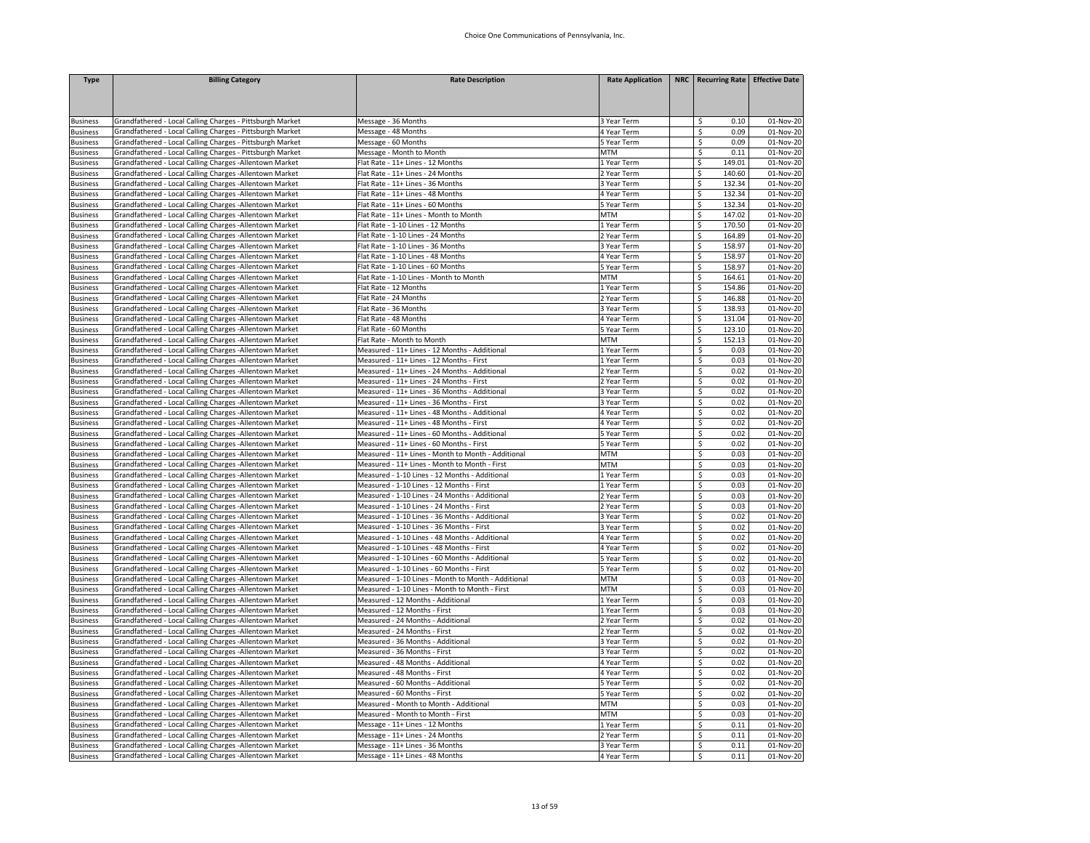| <b>Type</b>                        | <b>Billing Category</b>                                                                                                | <b>Rate Description</b>                                                                   | <b>Rate Application</b>    | NRC   Recurring Rate   Effective Date |                         |
|------------------------------------|------------------------------------------------------------------------------------------------------------------------|-------------------------------------------------------------------------------------------|----------------------------|---------------------------------------|-------------------------|
|                                    |                                                                                                                        |                                                                                           |                            |                                       |                         |
|                                    |                                                                                                                        |                                                                                           |                            |                                       |                         |
|                                    |                                                                                                                        |                                                                                           |                            |                                       |                         |
| <b>Business</b><br><b>Business</b> | Grandfathered - Local Calling Charges - Pittsburgh Market<br>Grandfathered - Local Calling Charges - Pittsburgh Market | Message - 36 Months<br>Message - 48 Months                                                | 3 Year Term<br>4 Year Term | 0.10<br>Ŝ.<br>0.09<br>\$              | 01-Nov-20<br>01-Nov-20  |
| <b>Business</b>                    | Grandfathered - Local Calling Charges - Pittsburgh Market                                                              | Message - 60 Months                                                                       | S Year Term                | \$<br>0.09                            | 01-Nov-20               |
| <b>Business</b>                    | Grandfathered - Local Calling Charges - Pittsburgh Market                                                              | Message - Month to Month                                                                  | <b>MTM</b>                 | \$<br>0.11                            | 01-Nov-20               |
| <b>Business</b>                    | Grandfathered - Local Calling Charges -Allentown Market                                                                | Flat Rate - 11+ Lines - 12 Months                                                         | 1 Year Term                | \$<br>149.01                          | 01-Nov-20               |
| <b>Business</b>                    | Grandfathered - Local Calling Charges -Allentown Market                                                                | Flat Rate - 11+ Lines - 24 Months                                                         | 2 Year Term                | \$<br>140.60                          | 01-Nov-20               |
| <b>Business</b>                    | Grandfathered - Local Calling Charges - Allentown Market                                                               | Flat Rate - 11+ Lines - 36 Months                                                         | 3 Year Term                | \$<br>132.34                          | 01-Nov-20               |
| <b>Business</b>                    | Grandfathered - Local Calling Charges -Allentown Market                                                                | Flat Rate - 11+ Lines - 48 Months                                                         | 4 Year Term                | \$<br>132.34                          | 01-Nov-20               |
| <b>Business</b>                    | Grandfathered - Local Calling Charges - Allentown Market                                                               | Flat Rate - 11+ Lines - 60 Months                                                         | 5 Year Term                | \$<br>132.34                          | $\overline{01}$ -Nov-20 |
| <b>Business</b>                    | Grandfathered - Local Calling Charges -Allentown Market                                                                | Flat Rate - 11+ Lines - Month to Month                                                    | MTM                        | \$<br>147.02                          | 01-Nov-20               |
| <b>Business</b>                    | Grandfathered - Local Calling Charges -Allentown Market                                                                | Flat Rate - 1-10 Lines - 12 Months                                                        | 1 Year Term                | \$<br>170.50                          | 01-Nov-20               |
| <b>Business</b>                    | Grandfathered - Local Calling Charges -Allentown Market                                                                | Flat Rate - 1-10 Lines - 24 Months                                                        | 2 Year Term                | \$<br>164.89                          | 01-Nov-20               |
| <b>Business</b>                    | Grandfathered - Local Calling Charges -Allentown Market                                                                | Flat Rate - 1-10 Lines - 36 Months                                                        | 3 Year Term                | 158.97<br>\$                          | 01-Nov-20               |
| <b>Business</b>                    | Grandfathered - Local Calling Charges -Allentown Market                                                                | Flat Rate - 1-10 Lines - 48 Months                                                        | 4 Year Term                | \$<br>158.97                          | 01-Nov-20               |
| <b>Business</b>                    | Grandfathered - Local Calling Charges - Allentown Market                                                               | Flat Rate - 1-10 Lines - 60 Months                                                        | 5 Year Term                | \$<br>158.97                          | 01-Nov-20               |
| <b>Business</b>                    | Grandfathered - Local Calling Charges - Allentown Market                                                               | Flat Rate - 1-10 Lines - Month to Month                                                   | <b>MTM</b>                 | \$<br>164.61                          | 01-Nov-20               |
| <b>Business</b>                    | Grandfathered - Local Calling Charges - Allentown Market                                                               | Flat Rate - 12 Months                                                                     | 1 Year Term                | \$<br>154.86                          | 01-Nov-20               |
| <b>Business</b>                    | Grandfathered - Local Calling Charges - Allentown Market                                                               | Flat Rate - 24 Months                                                                     | 2 Year Term                | \$<br>146.88                          | 01-Nov-20               |
| <b>Business</b>                    | Grandfathered - Local Calling Charges - Allentown Market                                                               | Flat Rate - 36 Months                                                                     | 3 Year Term                | \$<br>138.93                          | 01-Nov-20               |
| <b>Business</b>                    | Grandfathered - Local Calling Charges - Allentown Market                                                               | Flat Rate - 48 Months                                                                     | 4 Year Term                | \$<br>131.04                          | 01-Nov-20               |
| <b>Business</b>                    | Grandfathered - Local Calling Charges - Allentown Market                                                               | Flat Rate - 60 Months                                                                     | S Year Term                | \$<br>123.10                          | 01-Nov-20               |
| <b>Business</b>                    | Grandfathered - Local Calling Charges -Allentown Market                                                                | Flat Rate - Month to Month                                                                | <b>MTM</b>                 | \$<br>152.13                          | 01-Nov-20               |
| <b>Business</b>                    | Grandfathered - Local Calling Charges -Allentown Market                                                                | Measured - 11+ Lines - 12 Months - Additional                                             | L Year Term                | 0.03<br>\$                            | 01-Nov-20               |
| <b>Business</b>                    | Grandfathered - Local Calling Charges -Allentown Market                                                                | Measured - 11+ Lines - 12 Months - First                                                  | LYear Term                 | \$<br>0.03                            | 01-Nov-20               |
| <b>Business</b>                    | Grandfathered - Local Calling Charges - Allentown Market                                                               | Measured - 11+ Lines - 24 Months - Additional                                             | Year Term                  | \$<br>0.02<br>\$<br>0.02              | 01-Nov-20               |
| <b>Business</b>                    | Grandfathered - Local Calling Charges -Allentown Market                                                                | Measured - 11+ Lines - 24 Months - First                                                  | 2 Year Term                | 0.02                                  | 01-Nov-20               |
| <b>Business</b>                    | Grandfathered - Local Calling Charges -Allentown Market<br>Grandfathered - Local Calling Charges -Allentown Market     | Measured - 11+ Lines - 36 Months - Additional<br>Measured - 11+ Lines - 36 Months - First | 3 Year Term                | \$<br>Ś<br>0.02                       | 01-Nov-20               |
| <b>Business</b><br><b>Business</b> | Grandfathered - Local Calling Charges - Allentown Market                                                               | Measured - 11+ Lines - 48 Months - Additional                                             | 3 Year Term<br>4 Year Term | \$<br>0.02                            | 01-Nov-20<br>01-Nov-20  |
| <b>Business</b>                    | Grandfathered - Local Calling Charges -Allentown Market                                                                | Measured - 11+ Lines - 48 Months - First                                                  | 4 Year Term                | 0.02<br>\$                            | 01-Nov-20               |
| <b>Business</b>                    | Grandfathered - Local Calling Charges -Allentown Market                                                                | Measured - 11+ Lines - 60 Months - Additional                                             | 5 Year Term                | 0.02<br>\$                            | $\overline{01}$ -Nov-20 |
| <b>Business</b>                    | Grandfathered - Local Calling Charges - Allentown Market                                                               | Measured - 11+ Lines - 60 Months - First                                                  | 5 Year Term                | \$<br>0.02                            | 01-Nov-20               |
| <b>Business</b>                    | Grandfathered - Local Calling Charges -Allentown Market                                                                | Measured - 11+ Lines - Month to Month - Additional                                        | MTM                        | \$<br>0.03                            | 01-Nov-20               |
| <b>Business</b>                    | Grandfathered - Local Calling Charges -Allentown Market                                                                | Measured - 11+ Lines - Month to Month - First                                             | <b>MTM</b>                 | 0.03<br>\$                            | 01-Nov-20               |
| <b>Business</b>                    | Grandfathered - Local Calling Charges -Allentown Market                                                                | Measured - 1-10 Lines - 12 Months - Additional                                            | 1 Year Term                | \$<br>0.03                            | 01-Nov-20               |
| <b>Business</b>                    | Grandfathered - Local Calling Charges -Allentown Market                                                                | Measured - 1-10 Lines - 12 Months - First                                                 | 1 Year Term                | \$<br>0.03                            | 01-Nov-20               |
| <b>Business</b>                    | Grandfathered - Local Calling Charges -Allentown Market                                                                | Measured - 1-10 Lines - 24 Months - Additional                                            | 2 Year Term                | 0.03<br>\$                            | 01-Nov-20               |
| <b>Business</b>                    | Grandfathered - Local Calling Charges -Allentown Market                                                                | Measured - 1-10 Lines - 24 Months - First                                                 | Year Term                  | \$<br>0.03                            | 01-Nov-20               |
| <b>Business</b>                    | Grandfathered - Local Calling Charges - Allentown Market                                                               | Measured - 1-10 Lines - 36 Months - Additional                                            | 3 Year Term                | \$<br>0.02                            | 01-Nov-20               |
| <b>Business</b>                    | Grandfathered - Local Calling Charges - Allentown Market                                                               | Measured - 1-10 Lines - 36 Months - First                                                 | 3 Year Term                | \$<br>0.02                            | 01-Nov-20               |
| <b>Business</b>                    | Grandfathered - Local Calling Charges -Allentown Market                                                                | Measured - 1-10 Lines - 48 Months - Additional                                            | 4 Year Term                | 0.02<br>\$                            | 01-Nov-20               |
| <b>Business</b>                    | Grandfathered - Local Calling Charges - Allentown Market                                                               | Measured - 1-10 Lines - 48 Months - First                                                 | 4 Year Term                | \$<br>0.02                            | 01-Nov-20               |
| <b>Business</b>                    | Grandfathered - Local Calling Charges - Allentown Market                                                               | Measured - 1-10 Lines - 60 Months - Additional                                            | S Year Term                | \$<br>0.02                            | 01-Nov-20               |
| <b>Business</b>                    | Grandfathered - Local Calling Charges -Allentown Market                                                                | Measured - 1-10 Lines - 60 Months - First                                                 | S Year Term                | \$<br>0.02                            | 01-Nov-20               |
| <b>Business</b>                    | Grandfathered - Local Calling Charges -Allentown Market                                                                | Measured - 1-10 Lines - Month to Month - Additional                                       | MTM                        | 0.03<br>\$                            | 01-Nov-20               |
| <b>Business</b>                    | Grandfathered - Local Calling Charges - Allentown Market                                                               | Measured - 1-10 Lines - Month to Month - First                                            | <b>MTM</b>                 | \$<br>0.03                            | 01-Nov-20               |
| <b>Business</b>                    | Grandfathered - Local Calling Charges -Allentown Market                                                                | Measured - 12 Months - Additional                                                         | 1 Year Term                | \$<br>0.03                            | 01-Nov-20               |
| <b>Business</b>                    | Grandfathered - Local Calling Charges - Allentown Market                                                               | Measured - 12 Months - First                                                              | 1 Year Term                | 0.03<br>\$                            | 01-Nov-20               |
| <b>Business</b>                    | Grandfathered - Local Calling Charges - Allentown Market                                                               | Measured - 24 Months - Additional                                                         | 2 Year Term                | \$<br>0.02                            | 01-Nov-20               |
| <b>Business</b>                    | Grandfathered - Local Calling Charges -Allentown Market                                                                | Measured - 24 Months - First                                                              | Year Term                  | \$<br>0.02                            | 01-Nov-20               |
| <b>Business</b>                    | Grandfathered - Local Calling Charges -Allentown Market                                                                | Measured - 36 Months - Additional                                                         | 3 Year Term                | \$<br>0.02                            | 01-Nov-20               |
| <b>Business</b>                    | Grandfathered - Local Calling Charges -Allentown Market                                                                | Measured - 36 Months - First                                                              | 3 Year Term                | 0.02<br>\$                            | 01-Nov-20               |
| <b>Business</b>                    | Grandfathered - Local Calling Charges -Allentown Market                                                                | Measured - 48 Months - Additional                                                         | 4 Year Term                | \$<br>0.02                            | 01-Nov-20               |
| <b>Business</b>                    | Grandfathered - Local Calling Charges -Allentown Market                                                                | Measured - 48 Months - First                                                              | 4 Year Term                | \$<br>0.02                            | 01-Nov-20               |
| <b>Business</b>                    | Grandfathered - Local Calling Charges -Allentown Market                                                                | Measured - 60 Months - Additional                                                         | 5 Year Term                | \$<br>0.02                            | 01-Nov-20               |
| <b>Business</b>                    | Grandfathered - Local Calling Charges - Allentown Market                                                               | Measured - 60 Months - First                                                              | 5 Year Term                | 0.02<br>\$                            | 01-Nov-20               |
| <b>Business</b>                    | Grandfathered - Local Calling Charges -Allentown Market                                                                | Measured - Month to Month - Additional                                                    | <b>MTM</b>                 | \$<br>0.03                            | 01-Nov-20               |
| <b>Business</b>                    | Grandfathered - Local Calling Charges - Allentown Market                                                               | Measured - Month to Month - First                                                         | <b>MTM</b>                 | \$<br>0.03                            | 01-Nov-20               |
| <b>Business</b>                    | Grandfathered - Local Calling Charges -Allentown Market<br>Grandfathered - Local Calling Charges -Allentown Market     | Message - 11+ Lines - 12 Months<br>Message - 11+ Lines - 24 Months                        | 1 Year Term                | 0.11<br>\$<br>0.11<br>\$              | 01-Nov-20               |
| <b>Business</b>                    | Grandfathered - Local Calling Charges -Allentown Market                                                                | Message - 11+ Lines - 36 Months                                                           | 2 Year Term<br>3 Year Term | \$<br>0.11                            | 01-Nov-20<br>01-Nov-20  |
| <b>Business</b><br><b>Business</b> | Grandfathered - Local Calling Charges - Allentown Market                                                               | Message - 11+ Lines - 48 Months                                                           | 4 Year Term                | \$<br>0.11                            | 01-Nov-20               |
|                                    |                                                                                                                        |                                                                                           |                            |                                       |                         |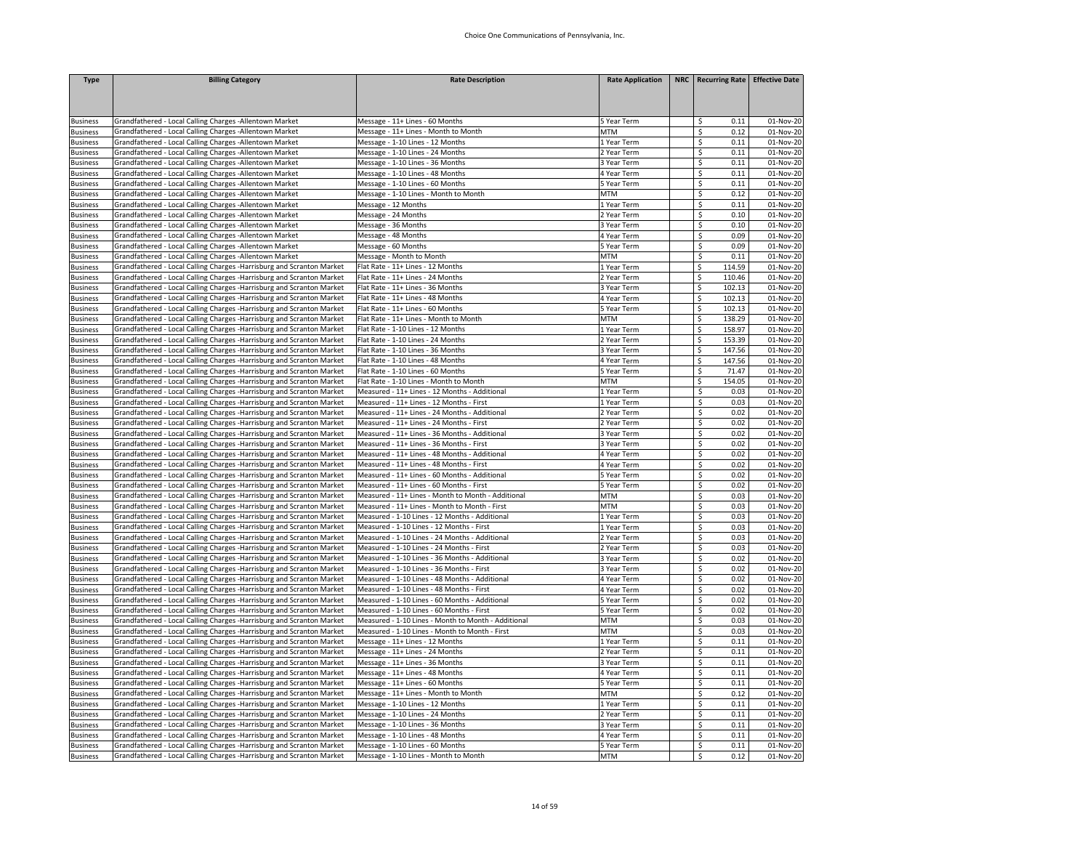| <b>Type</b>                        | <b>Billing Category</b>                                                | <b>Rate Description</b>                                                                         | <b>Rate Application</b> | NRC   Recurring Rate   Effective Date |                         |
|------------------------------------|------------------------------------------------------------------------|-------------------------------------------------------------------------------------------------|-------------------------|---------------------------------------|-------------------------|
|                                    |                                                                        |                                                                                                 |                         |                                       |                         |
|                                    |                                                                        |                                                                                                 |                         |                                       |                         |
|                                    |                                                                        |                                                                                                 |                         |                                       |                         |
| <b>Business</b>                    | Grandfathered - Local Calling Charges -Allentown Market                | Message - 11+ Lines - 60 Months                                                                 | 5 Year Term             | 0.11<br>Ŝ.                            | 01-Nov-20               |
| <b>Business</b>                    | Grandfathered - Local Calling Charges - Allentown Market               | Message - 11+ Lines - Month to Month                                                            | <b>MTM</b>              | \$<br>0.12                            | 01-Nov-20               |
| <b>Business</b>                    | Grandfathered - Local Calling Charges -Allentown Market                | Message - 1-10 Lines - 12 Months                                                                | 1 Year Term             | \$<br>0.11                            | 01-Nov-20               |
| <b>Business</b>                    | Grandfathered - Local Calling Charges - Allentown Market               | Message - 1-10 Lines - 24 Months                                                                | 2 Year Term             | \$<br>0.11                            | 01-Nov-20               |
| <b>Business</b>                    | Grandfathered - Local Calling Charges - Allentown Market               | Message - 1-10 Lines - 36 Months                                                                | 3 Year Term             | \$<br>0.11                            | 01-Nov-20               |
| <b>Business</b>                    | Grandfathered - Local Calling Charges - Allentown Market               | Message - 1-10 Lines - 48 Months                                                                | 4 Year Term             | $\overline{\mathsf{s}}$<br>0.11       | 01-Nov-20               |
| <b>Business</b>                    | Grandfathered - Local Calling Charges - Allentown Market               | Message - 1-10 Lines - 60 Months                                                                | 5 Year Term             | \$<br>0.11                            | 01-Nov-20               |
| <b>Business</b>                    | Grandfathered - Local Calling Charges - Allentown Market               | Message - 1-10 Lines - Month to Month                                                           | MTM                     | \$<br>0.12                            | 01-Nov-20               |
| <b>Business</b>                    | Grandfathered - Local Calling Charges -Allentown Market                | Message - 12 Months                                                                             | 1 Year Term             | \$<br>0.11                            | 01-Nov-20               |
| <b>Business</b>                    | Grandfathered - Local Calling Charges - Allentown Market               | Message - 24 Months                                                                             | 2 Year Term             | \$<br>0.10                            | 01-Nov-20               |
| <b>Business</b>                    | Grandfathered - Local Calling Charges -Allentown Market                | Message - 36 Months                                                                             | 3 Year Term             | \$<br>0.10                            | 01-Nov-20               |
| <b>Business</b>                    | Grandfathered - Local Calling Charges - Allentown Market               | Message - 48 Months                                                                             | 4 Year Term             | \$<br>0.09                            | 01-Nov-20               |
| <b>Business</b>                    | Grandfathered - Local Calling Charges -Allentown Market                | Message - 60 Months                                                                             | 5 Year Term             | \$<br>0.09                            | 01-Nov-20               |
| <b>Business</b>                    | Grandfathered - Local Calling Charges - Allentown Market               | Message - Month to Month                                                                        | MTM                     | \$<br>0.11                            | 01-Nov-20               |
| <b>Business</b>                    | Grandfathered - Local Calling Charges -Harrisburg and Scranton Market  | Flat Rate - 11+ Lines - 12 Months                                                               | 1 Year Term             | \$<br>114.59                          | 01-Nov-20               |
| <b>Business</b>                    | Grandfathered - Local Calling Charges -Harrisburg and Scranton Market  | Flat Rate - 11+ Lines - 24 Months                                                               | 2 Year Term             | Ŝ.<br>110.46                          | 01-Nov-20               |
| <b>Business</b>                    | Grandfathered - Local Calling Charges -Harrisburg and Scranton Market  | Flat Rate - 11+ Lines - 36 Months                                                               | 3 Year Term             | \$<br>102.13                          | 01-Nov-20               |
| <b>Business</b>                    | Grandfathered - Local Calling Charges -Harrisburg and Scranton Market  | Flat Rate - 11+ Lines - 48 Months                                                               | 4 Year Term             | \$<br>102.13                          | 01-Nov-20               |
| <b>Business</b>                    | Grandfathered - Local Calling Charges - Harrisburg and Scranton Market | Flat Rate - 11+ Lines - 60 Months                                                               | 5 Year Term             | 102.13<br>Ŝ.                          | 01-Nov-20               |
| <b>Business</b>                    | Grandfathered - Local Calling Charges - Harrisburg and Scranton Market | Flat Rate - 11+ Lines - Month to Month                                                          | <b>MTM</b>              | \$<br>138.29                          | 01-Nov-20               |
| <b>Business</b>                    | Grandfathered - Local Calling Charges - Harrisburg and Scranton Market | Flat Rate - 1-10 Lines - 12 Months                                                              | 1 Year Term             | \$<br>158.97                          | 01-Nov-20               |
| <b>Business</b>                    | Grandfathered - Local Calling Charges -Harrisburg and Scranton Market  | Flat Rate - 1-10 Lines - 24 Months                                                              | 2 Year Term             | \$<br>153.39                          | 01-Nov-20               |
| <b>Business</b>                    | Grandfathered - Local Calling Charges - Harrisburg and Scranton Market | Flat Rate - 1-10 Lines - 36 Months                                                              | 3 Year Term             | \$<br>147.56                          | 01-Nov-20               |
| <b>Business</b>                    | Grandfathered - Local Calling Charges -Harrisburg and Scranton Market  | Flat Rate - 1-10 Lines - 48 Months                                                              | 4 Year Term             | \$<br>147.56                          | 01-Nov-20               |
| <b>Business</b>                    | Grandfathered - Local Calling Charges - Harrisburg and Scranton Market | Flat Rate - 1-10 Lines - 60 Months                                                              | 5 Year Term             | \$<br>71.47                           | 01-Nov-20               |
| <b>Business</b>                    | Grandfathered - Local Calling Charges - Harrisburg and Scranton Market | Flat Rate - 1-10 Lines - Month to Month                                                         | MTM                     | \$<br>154.05                          | 01-Nov-20               |
| <b>Business</b>                    | Grandfathered - Local Calling Charges - Harrisburg and Scranton Market | Measured - 11+ Lines - 12 Months - Additional                                                   | 1 Year Term             | \$<br>0.03                            | 01-Nov-20               |
| <b>Business</b>                    | Grandfathered - Local Calling Charges -Harrisburg and Scranton Market  | Measured - 11+ Lines - 12 Months - First                                                        | 1 Year Term             | \$<br>0.03                            | 01-Nov-20               |
| <b>Business</b>                    | Grandfathered - Local Calling Charges - Harrisburg and Scranton Market | Measured - 11+ Lines - 24 Months - Additional                                                   | 2 Year Term             | \$<br>0.02                            | $\overline{01}$ -Nov-20 |
| <b>Business</b>                    | Grandfathered - Local Calling Charges - Harrisburg and Scranton Market | Measured - 11+ Lines - 24 Months - First                                                        | 2 Year Term             | \$<br>0.02                            | 01-Nov-20               |
| <b>Business</b>                    | Grandfathered - Local Calling Charges -Harrisburg and Scranton Market  | Measured - 11+ Lines - 36 Months - Additional                                                   | 3 Year Term             | \$<br>0.02                            | 01-Nov-20               |
| <b>Business</b>                    | Grandfathered - Local Calling Charges - Harrisburg and Scranton Market | Measured - 11+ Lines - 36 Months - First                                                        | 3 Year Term             | \$<br>0.02                            | 01-Nov-20               |
|                                    | Grandfathered - Local Calling Charges -Harrisburg and Scranton Market  | Measured - 11+ Lines - 48 Months - Additional                                                   | 4 Year Term             | \$<br>0.02                            | 01-Nov-20               |
| <b>Business</b><br><b>Business</b> | Grandfathered - Local Calling Charges - Harrisburg and Scranton Market | Measured - 11+ Lines - 48 Months - First                                                        | 4 Year Term             | \$<br>0.02                            | 01-Nov-20               |
|                                    | Grandfathered - Local Calling Charges -Harrisburg and Scranton Market  | Measured - 11+ Lines - 60 Months - Additional                                                   | 5 Year Term             | \$<br>0.02                            | 01-Nov-20               |
| Business<br><b>Business</b>        | Grandfathered - Local Calling Charges -Harrisburg and Scranton Market  | Measured - 11+ Lines - 60 Months - First                                                        | 5 Year Term             | \$<br>0.02                            | 01-Nov-20               |
|                                    |                                                                        | Measured - 11+ Lines - Month to Month - Additional                                              | MTM                     | \$<br>0.03                            | 01-Nov-20               |
| <b>Business</b>                    | Grandfathered - Local Calling Charges -Harrisburg and Scranton Market  |                                                                                                 | <b>MTM</b>              | \$<br>0.03                            |                         |
| <b>Business</b>                    | Grandfathered - Local Calling Charges -Harrisburg and Scranton Market  | Measured - 11+ Lines - Month to Month - First<br>Measured - 1-10 Lines - 12 Months - Additional | 1 Year Term             | \$<br>0.03                            | 01-Nov-20<br>01-Nov-20  |
| <b>Business</b>                    | Grandfathered - Local Calling Charges -Harrisburg and Scranton Market  |                                                                                                 |                         | 0.03                                  |                         |
| <b>Business</b>                    | Grandfathered - Local Calling Charges -Harrisburg and Scranton Market  | Measured - 1-10 Lines - 12 Months - First                                                       | 1 Year Term             | \$                                    | 01-Nov-20               |
| <b>Business</b>                    | Grandfathered - Local Calling Charges - Harrisburg and Scranton Market | Measured - 1-10 Lines - 24 Months - Additional                                                  | 2 Year Term             | \$<br>0.03                            | 01-Nov-20               |
| <b>Business</b>                    | Grandfathered - Local Calling Charges - Harrisburg and Scranton Market | Measured - 1-10 Lines - 24 Months - First                                                       | 2 Year Term             | \$<br>0.03                            | 01-Nov-20               |
| <b>Business</b>                    | Grandfathered - Local Calling Charges -Harrisburg and Scranton Market  | Measured - 1-10 Lines - 36 Months - Additional                                                  | 3 Year Term             | \$<br>0.02                            | 01-Nov-20               |
| <b>Business</b>                    | Grandfathered - Local Calling Charges - Harrisburg and Scranton Market | Measured - 1-10 Lines - 36 Months - First                                                       | 3 Year Term             | \$<br>0.02                            | 01-Nov-20               |
| <b>Business</b>                    | Grandfathered - Local Calling Charges - Harrisburg and Scranton Market | Measured - 1-10 Lines - 48 Months - Additional                                                  | 4 Year Term             | \$<br>0.02                            | 01-Nov-20               |
| <b>Business</b>                    | Grandfathered - Local Calling Charges -Harrisburg and Scranton Market  | Measured - 1-10 Lines - 48 Months - First                                                       | 4 Year Term             | \$<br>0.02                            | 01-Nov-20               |
| <b>Business</b>                    | Grandfathered - Local Calling Charges -Harrisburg and Scranton Market  | Measured - 1-10 Lines - 60 Months - Additional                                                  | 5 Year Term             | \$<br>0.02                            | 01-Nov-20               |
| <b>Business</b>                    | Grandfathered - Local Calling Charges - Harrisburg and Scranton Market | Measured - 1-10 Lines - 60 Months - First                                                       | 5 Year Term             | 0.02<br>\$                            | 01-Nov-20               |
| <b>Business</b>                    | Grandfathered - Local Calling Charges - Harrisburg and Scranton Market | Measured - 1-10 Lines - Month to Month - Additional                                             | MTM                     | \$<br>0.03                            | 01-Nov-20               |
| <b>Business</b>                    | Grandfathered - Local Calling Charges - Harrisburg and Scranton Market | Measured - 1-10 Lines - Month to Month - First                                                  | MTM                     | \$<br>0.03                            | 01-Nov-20               |
| <b>Business</b>                    | Grandfathered - Local Calling Charges -Harrisburg and Scranton Market  | Message - 11+ Lines - 12 Months                                                                 | 1 Year Term             | \$<br>0.11                            | $\overline{01}$ -Nov-20 |
| <b>Business</b>                    | Grandfathered - Local Calling Charges - Harrisburg and Scranton Market | Message - 11+ Lines - 24 Months                                                                 | 2 Year Term             | \$<br>0.11                            | 01-Nov-20               |
| <b>Business</b>                    | Grandfathered - Local Calling Charges -Harrisburg and Scranton Market  | Message - 11+ Lines - 36 Months                                                                 | 3 Year Term             | \$<br>0.11                            | 01-Nov-20               |
| <b>Business</b>                    | Grandfathered - Local Calling Charges -Harrisburg and Scranton Market  | Message - 11+ Lines - 48 Months                                                                 | 4 Year Term             | \$<br>0.11                            | 01-Nov-20               |
| <b>Business</b>                    | Grandfathered - Local Calling Charges -Harrisburg and Scranton Market  | Message - 11+ Lines - 60 Months                                                                 | 5 Year Term             | \$<br>0.11                            | 01-Nov-20               |
| <b>Business</b>                    | Grandfathered - Local Calling Charges -Harrisburg and Scranton Market  | Message - 11+ Lines - Month to Month                                                            | <b>MTM</b>              | \$<br>0.12                            | 01-Nov-20               |
| Business                           | Grandfathered - Local Calling Charges -Harrisburg and Scranton Market  | Message - 1-10 Lines - 12 Months                                                                | 1 Year Term             | \$<br>0.11                            | 01-Nov-20               |
| <b>Business</b>                    | Grandfathered - Local Calling Charges - Harrisburg and Scranton Market | Message - 1-10 Lines - 24 Months                                                                | 2 Year Term             | \$<br>0.11                            | 01-Nov-20               |
| <b>Business</b>                    | Grandfathered - Local Calling Charges - Harrisburg and Scranton Market | Message - 1-10 Lines - 36 Months                                                                | 3 Year Term             | \$<br>0.11                            | 01-Nov-20               |
| <b>Business</b>                    | Grandfathered - Local Calling Charges -Harrisburg and Scranton Market  | Message - 1-10 Lines - 48 Months                                                                | 4 Year Term             | \$<br>0.11                            | 01-Nov-20               |
| <b>Business</b>                    | Grandfathered - Local Calling Charges -Harrisburg and Scranton Market  | Message - 1-10 Lines - 60 Months                                                                | 5 Year Term             | \$<br>0.11                            | 01-Nov-20               |
| <b>Business</b>                    | Grandfathered - Local Calling Charges -Harrisburg and Scranton Market  | Message - 1-10 Lines - Month to Month                                                           | <b>MTM</b>              | \$<br>0.12                            | 01-Nov-20               |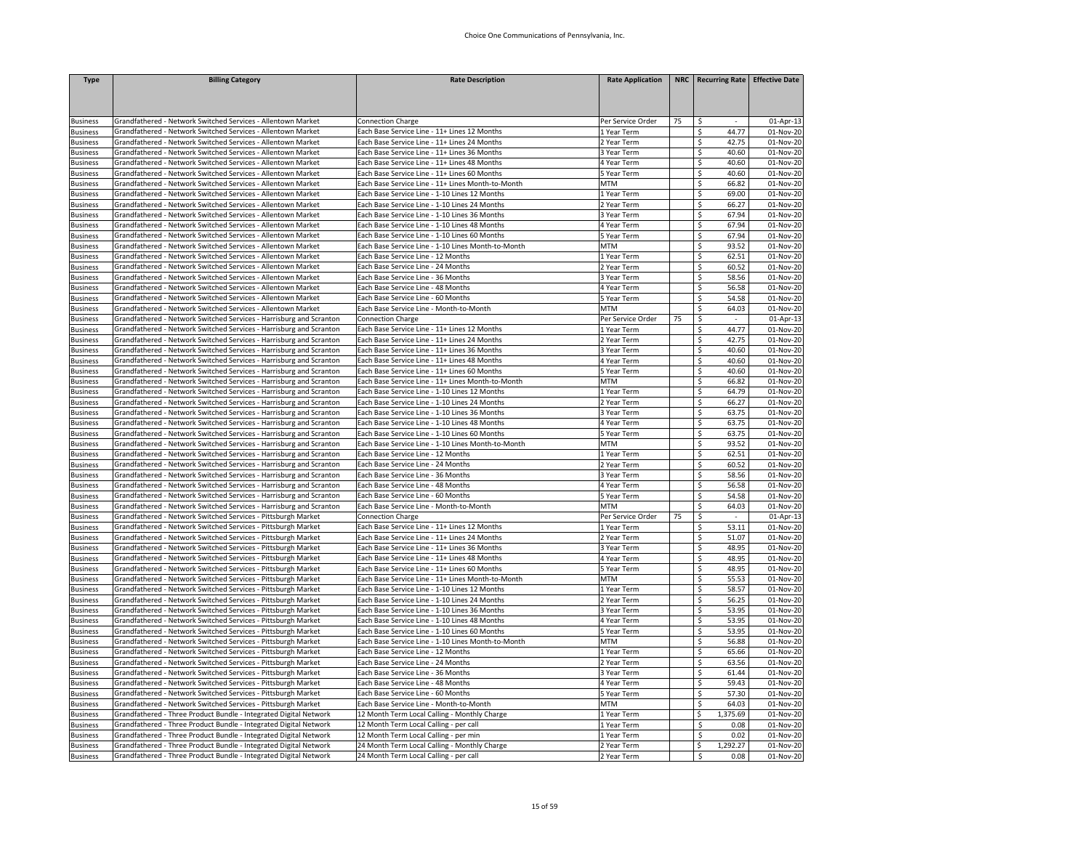| <b>Type</b>     | <b>Billing Category</b>                                             | <b>Rate Description</b>                            | <b>Rate Application</b> |    | NRC   Recurring Rate   Effective Date |           |
|-----------------|---------------------------------------------------------------------|----------------------------------------------------|-------------------------|----|---------------------------------------|-----------|
|                 |                                                                     |                                                    |                         |    |                                       |           |
|                 |                                                                     |                                                    |                         |    |                                       |           |
|                 |                                                                     |                                                    |                         |    |                                       |           |
| <b>Business</b> | Grandfathered - Network Switched Services - Allentown Market        | <b>Connection Charge</b>                           | Per Service Order       | 75 | $\sim$<br>Ŝ.                          | 01-Apr-13 |
| <b>Business</b> | Grandfathered - Network Switched Services - Allentown Market        | Each Base Service Line - 11+ Lines 12 Months       | 1 Year Term             |    | \$<br>44.77                           | 01-Nov-20 |
| <b>Business</b> | Grandfathered - Network Switched Services - Allentown Market        | Each Base Service Line - 11+ Lines 24 Months       | 2 Year Term             |    | \$<br>42.75                           | 01-Nov-20 |
| <b>Business</b> | Grandfathered - Network Switched Services - Allentown Market        | Each Base Service Line - 11+ Lines 36 Months       | 3 Year Term             |    | \$<br>40.60                           | 01-Nov-20 |
| <b>Business</b> | Grandfathered - Network Switched Services - Allentown Market        | Each Base Service Line - 11+ Lines 48 Months       | 4 Year Term             |    | 40.60<br>\$                           | 01-Nov-20 |
| <b>Business</b> | Grandfathered - Network Switched Services - Allentown Market        | Each Base Service Line - 11+ Lines 60 Months       | 5 Year Term             |    | \$<br>40.60                           | 01-Nov-20 |
| <b>Business</b> | Grandfathered - Network Switched Services - Allentown Market        | Each Base Service Line - 11+ Lines Month-to-Month  | MTM                     |    | \$<br>66.82                           | 01-Nov-20 |
| <b>Business</b> | Grandfathered - Network Switched Services - Allentown Market        | Each Base Service Line - 1-10 Lines 12 Months      | 1 Year Term             |    | 69.00<br>\$                           | 01-Nov-20 |
| <b>Business</b> | Grandfathered - Network Switched Services - Allentown Market        | Each Base Service Line - 1-10 Lines 24 Months      | 2 Year Term             |    | \$<br>66.27                           | 01-Nov-20 |
| <b>Business</b> | Grandfathered - Network Switched Services - Allentown Market        | Each Base Service Line - 1-10 Lines 36 Months      | 3 Year Term             |    | \$<br>67.94                           | 01-Nov-20 |
| <b>Business</b> | Grandfathered - Network Switched Services - Allentown Market        | Each Base Service Line - 1-10 Lines 48 Months      | 4 Year Term             |    | \$<br>67.94                           | 01-Nov-20 |
| <b>Business</b> | Grandfathered - Network Switched Services - Allentown Market        | Each Base Service Line - 1-10 Lines 60 Months      | 5 Year Term             |    | \$<br>67.94                           | 01-Nov-20 |
| <b>Business</b> | Grandfathered - Network Switched Services - Allentown Market        | Each Base Service Line - 1-10 Lines Month-to-Month | MTM                     |    | Ś<br>93.52                            | 01-Nov-20 |
| <b>Business</b> | Grandfathered - Network Switched Services - Allentown Market        | Each Base Service Line - 12 Months                 | 1 Year Term             |    | \$<br>62.51                           | 01-Nov-20 |
| <b>Business</b> | Grandfathered - Network Switched Services - Allentown Market        | Each Base Service Line - 24 Months                 | 2 Year Term             |    | \$<br>60.52                           | 01-Nov-20 |
| <b>Business</b> | Grandfathered - Network Switched Services - Allentown Market        | Each Base Service Line - 36 Months                 | 3 Year Term             |    | \$<br>58.56                           | 01-Nov-20 |
| <b>Business</b> | Grandfathered - Network Switched Services - Allentown Market        | Each Base Service Line - 48 Months                 | 4 Year Term             |    | \$<br>56.58                           | 01-Nov-20 |
| <b>Business</b> | Grandfathered - Network Switched Services - Allentown Market        | Each Base Service Line - 60 Months                 | 5 Year Term             |    | \$<br>54.58                           | 01-Nov-20 |
| <b>Business</b> | Grandfathered - Network Switched Services - Allentown Market        | Each Base Service Line - Month-to-Month            | MTM                     |    | 64.03<br>\$                           | 01-Nov-20 |
| <b>Business</b> | Grandfathered - Network Switched Services - Harrisburg and Scranton | <b>Connection Charge</b>                           | Per Service Order       | 75 | \$                                    | 01-Apr-13 |
| <b>Business</b> | Grandfathered - Network Switched Services - Harrisburg and Scranton | Each Base Service Line - 11+ Lines 12 Months       | 1 Year Term             |    | \$<br>44.77                           | 01-Nov-20 |
| <b>Business</b> | Grandfathered - Network Switched Services - Harrisburg and Scranton | Each Base Service Line - 11+ Lines 24 Months       | 2 Year Term             |    | 42.75<br>\$                           | 01-Nov-20 |
| <b>Business</b> | Grandfathered - Network Switched Services - Harrisburg and Scranton | Each Base Service Line - 11+ Lines 36 Months       | 3 Year Term             |    | 40.60<br>\$                           | 01-Nov-20 |
| <b>Business</b> | Grandfathered - Network Switched Services - Harrisburg and Scranton | Each Base Service Line - 11+ Lines 48 Months       | 4 Year Term             |    | Ś<br>40.60                            | 01-Nov-20 |
| <b>Business</b> | Grandfathered - Network Switched Services - Harrisburg and Scranton | Each Base Service Line - 11+ Lines 60 Months       | 5 Year Term             |    | \$<br>40.60                           | 01-Nov-20 |
| <b>Business</b> | Grandfathered - Network Switched Services - Harrisburg and Scranton | Each Base Service Line - 11+ Lines Month-to-Month  | MTM                     |    | \$<br>66.82                           | 01-Nov-20 |
| <b>Business</b> | Grandfathered - Network Switched Services - Harrisburg and Scranton | Each Base Service Line - 1-10 Lines 12 Months      | 1 Year Term             |    | 64.79<br>\$                           | 01-Nov-20 |
| <b>Business</b> | Grandfathered - Network Switched Services - Harrisburg and Scranton | Each Base Service Line - 1-10 Lines 24 Months      | 2 Year Term             |    | \$<br>66.27                           | 01-Nov-20 |
| <b>Business</b> | Grandfathered - Network Switched Services - Harrisburg and Scranton | Each Base Service Line - 1-10 Lines 36 Months      | 3 Year Term             |    | \$<br>63.75                           | 01-Nov-20 |
| <b>Business</b> | Grandfathered - Network Switched Services - Harrisburg and Scranton | Each Base Service Line - 1-10 Lines 48 Months      | 4 Year Term             |    | \$<br>63.75                           | 01-Nov-20 |
| <b>Business</b> | Grandfathered - Network Switched Services - Harrisburg and Scranton | Each Base Service Line - 1-10 Lines 60 Months      | 5 Year Term             |    | \$<br>63.75                           | 01-Nov-20 |
| Business        | Grandfathered - Network Switched Services - Harrisburg and Scranton | Each Base Service Line - 1-10 Lines Month-to-Month | MTM                     |    | \$<br>93.52                           | 01-Nov-20 |
| <b>Business</b> | Grandfathered - Network Switched Services - Harrisburg and Scranton | Each Base Service Line - 12 Months                 | 1 Year Term             |    | \$<br>62.51                           | 01-Nov-20 |
| <b>Business</b> | Grandfathered - Network Switched Services - Harrisburg and Scranton | Each Base Service Line - 24 Months                 | 2 Year Term             |    | 60.52<br>\$                           | 01-Nov-20 |
| <b>Business</b> | Grandfathered - Network Switched Services - Harrisburg and Scranton | Each Base Service Line - 36 Months                 | 3 Year Term             |    | Ś<br>58.56                            | 01-Nov-20 |
| <b>Business</b> | Grandfathered - Network Switched Services - Harrisburg and Scranton | Each Base Service Line - 48 Months                 | 4 Year Term             |    | \$<br>56.58                           | 01-Nov-20 |
| <b>Business</b> | Grandfathered - Network Switched Services - Harrisburg and Scranton | Each Base Service Line - 60 Months                 | 5 Year Term             |    | 54.58<br>\$                           | 01-Nov-20 |
| <b>Business</b> | Grandfathered - Network Switched Services - Harrisburg and Scranton | Each Base Service Line - Month-to-Month            | <b>MTM</b>              |    | \$<br>64.03                           | 01-Nov-20 |
| <b>Business</b> | Grandfathered - Network Switched Services - Pittsburgh Market       | Connection Charge                                  | Per Service Order       | 75 | \$<br>$\sim$                          | 01-Apr-13 |
| <b>Business</b> | Grandfathered - Network Switched Services - Pittsburgh Market       | Each Base Service Line - 11+ Lines 12 Months       | 1 Year Term             |    | 53.11<br>Ś                            | 01-Nov-20 |
| <b>Business</b> | Grandfathered - Network Switched Services - Pittsburgh Market       | Each Base Service Line - 11+ Lines 24 Months       | 2 Year Term             |    | 51.07<br>\$                           | 01-Nov-20 |
| <b>Business</b> | Grandfathered - Network Switched Services - Pittsburgh Market       | Each Base Service Line - 11+ Lines 36 Months       | 3 Year Term             |    | \$<br>48.95                           | 01-Nov-20 |
| <b>Business</b> | Grandfathered - Network Switched Services - Pittsburgh Market       | Each Base Service Line - 11+ Lines 48 Months       | 4 Year Term             |    | \$<br>48.95                           | 01-Nov-20 |
| <b>Business</b> | Grandfathered - Network Switched Services - Pittsburgh Market       | Each Base Service Line - 11+ Lines 60 Months       | 5 Year Term             |    | 48.95<br>Ś                            | 01-Nov-20 |
| <b>Business</b> | Grandfathered - Network Switched Services - Pittsburgh Market       | Each Base Service Line - 11+ Lines Month-to-Month  | MTM                     |    | 55.53<br>\$                           | 01-Nov-20 |
| <b>Business</b> | Grandfathered - Network Switched Services - Pittsburgh Market       | Each Base Service Line - 1-10 Lines 12 Months      | Year Term               |    | \$<br>58.57                           | 01-Nov-20 |
| <b>Business</b> | Grandfathered - Network Switched Services - Pittsburgh Market       | Each Base Service Line - 1-10 Lines 24 Months      | 2 Year Term             |    | \$<br>56.25                           | 01-Nov-20 |
| <b>Business</b> | Grandfathered - Network Switched Services - Pittsburgh Market       | Each Base Service Line - 1-10 Lines 36 Months      | 3 Year Term             |    | \$<br>53.95                           | 01-Nov-20 |
| <b>Business</b> | Grandfathered - Network Switched Services - Pittsburgh Market       | Each Base Service Line - 1-10 Lines 48 Months      | 4 Year Term             |    | \$<br>53.95                           | 01-Nov-20 |
| <b>Business</b> | Grandfathered - Network Switched Services - Pittsburgh Market       | Each Base Service Line - 1-10 Lines 60 Months      | 5 Year Term             |    | \$<br>53.95                           | 01-Nov-20 |
| <b>Business</b> | Grandfathered - Network Switched Services - Pittsburgh Market       | Each Base Service Line - 1-10 Lines Month-to-Month | <b>MTM</b>              |    | \$<br>56.88                           | 01-Nov-20 |
| <b>Business</b> | Grandfathered - Network Switched Services - Pittsburgh Market       | Each Base Service Line - 12 Months                 | 1 Year Term             |    | \$<br>65.66                           | 01-Nov-20 |
| <b>Business</b> | Grandfathered - Network Switched Services - Pittsburgh Market       | Each Base Service Line - 24 Months                 | 2 Year Term             |    | Ś<br>63.56                            | 01-Nov-20 |
| <b>Business</b> | Grandfathered - Network Switched Services - Pittsburgh Market       | Each Base Service Line - 36 Months                 | 3 Year Term             |    | \$<br>61.44                           | 01-Nov-20 |
| <b>Business</b> | Grandfathered - Network Switched Services - Pittsburgh Market       | Each Base Service Line - 48 Months                 | 4 Year Term             |    | \$<br>59.43                           | 01-Nov-20 |
| <b>Business</b> | Grandfathered - Network Switched Services - Pittsburgh Market       | Each Base Service Line - 60 Months                 | 5 Year Term             |    | 57.30<br>\$                           | 01-Nov-20 |
| Business        | Grandfathered - Network Switched Services - Pittsburgh Market       | Each Base Service Line - Month-to-Month            | MTM                     |    | \$<br>64.03                           | 01-Nov-20 |
| <b>Business</b> | Grandfathered - Three Product Bundle - Integrated Digital Network   | 12 Month Term Local Calling - Monthly Charge       | 1 Year Term             |    | 1,375.69<br>\$                        | 01-Nov-20 |
| <b>Business</b> | Grandfathered - Three Product Bundle - Integrated Digital Network   | 12 Month Term Local Calling - per call             | 1 Year Term             |    | \$<br>0.08                            | 01-Nov-20 |
| <b>Business</b> | Grandfathered - Three Product Bundle - Integrated Digital Network   | 12 Month Term Local Calling - per min              | 1 Year Term             |    | \$<br>0.02                            | 01-Nov-20 |
| <b>Business</b> | Grandfathered - Three Product Bundle - Integrated Digital Network   | 24 Month Term Local Calling - Monthly Charge       | 2 Year Term             |    | Ŝ.<br>1,292.27                        | 01-Nov-20 |
| <b>Business</b> | Grandfathered - Three Product Bundle - Integrated Digital Network   | 24 Month Term Local Calling - per call             | 2 Year Term             |    | 0.08                                  | 01-Nov-20 |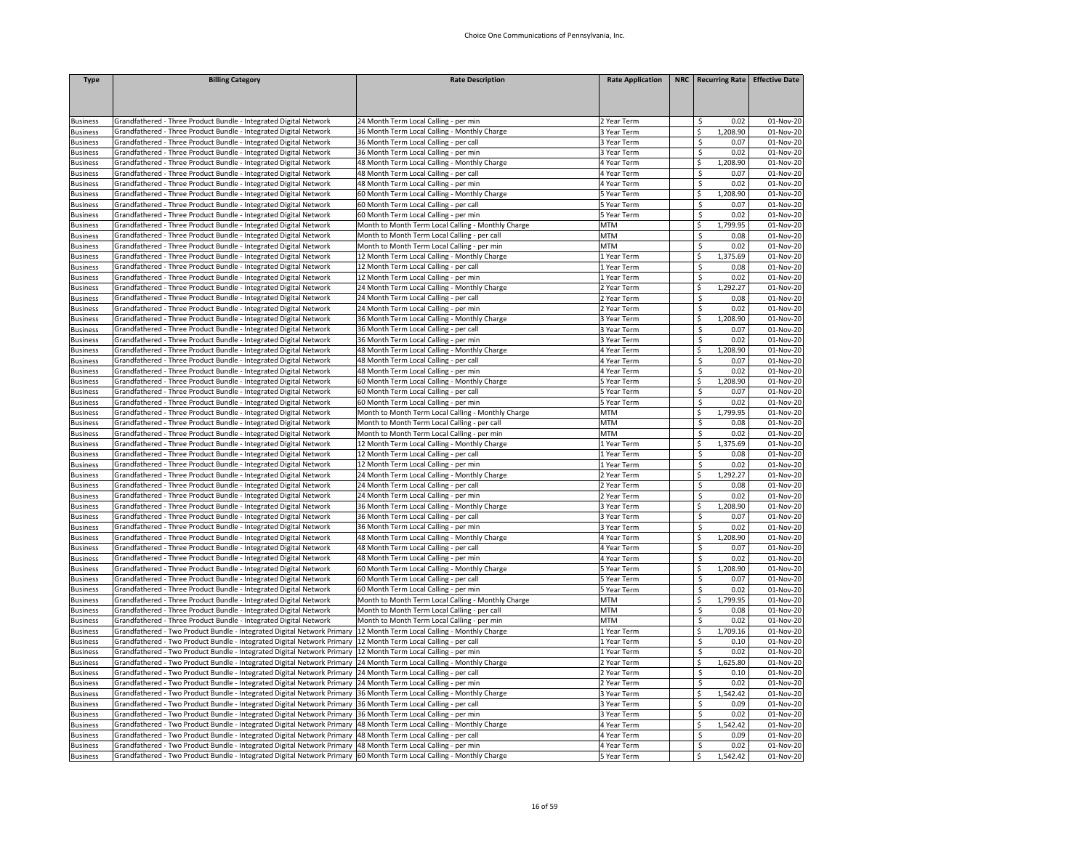| <b>Type</b>                        | <b>Billing Category</b>                                                                                                                                                                                                               | <b>Rate Description</b>                                                                     | <b>Rate Application</b>    | NRC   Recurring Rate   Effective Date |                        |
|------------------------------------|---------------------------------------------------------------------------------------------------------------------------------------------------------------------------------------------------------------------------------------|---------------------------------------------------------------------------------------------|----------------------------|---------------------------------------|------------------------|
|                                    |                                                                                                                                                                                                                                       |                                                                                             |                            |                                       |                        |
|                                    |                                                                                                                                                                                                                                       |                                                                                             |                            |                                       |                        |
| <b>Business</b>                    | Grandfathered - Three Product Bundle - Integrated Digital Network                                                                                                                                                                     | 24 Month Term Local Calling - per min                                                       | 2 Year Term                | \$<br>0.02                            | 01-Nov-20              |
| <b>Business</b>                    | Grandfathered - Three Product Bundle - Integrated Digital Network                                                                                                                                                                     | 36 Month Term Local Calling - Monthly Charge                                                | 3 Year Term                | \$<br>1,208.90                        | 01-Nov-20              |
| <b>Business</b>                    | Grandfathered - Three Product Bundle - Integrated Digital Network                                                                                                                                                                     | 36 Month Term Local Calling - per call                                                      | 3 Year Term                | \$<br>0.07                            | 01-Nov-20              |
| <b>Business</b>                    | Grandfathered - Three Product Bundle - Integrated Digital Network                                                                                                                                                                     | 36 Month Term Local Calling - per min                                                       | 3 Year Term                | \$<br>0.02                            | 01-Nov-20              |
| <b>Business</b>                    | Grandfathered - Three Product Bundle - Integrated Digital Network                                                                                                                                                                     | 48 Month Term Local Calling - Monthly Charge                                                | 4 Year Term                | \$<br>1,208.90                        | 01-Nov-20              |
| <b>Business</b>                    | Grandfathered - Three Product Bundle - Integrated Digital Network                                                                                                                                                                     | 48 Month Term Local Calling - per call                                                      | 4 Year Term                | \$<br>0.07                            | 01-Nov-20              |
| <b>Business</b>                    | Grandfathered - Three Product Bundle - Integrated Digital Network                                                                                                                                                                     | 48 Month Term Local Calling - per min                                                       | 4 Year Term                | \$<br>0.02                            | 01-Nov-20              |
| <b>Business</b>                    | Grandfathered - Three Product Bundle - Integrated Digital Network                                                                                                                                                                     | 60 Month Term Local Calling - Monthly Charge                                                | 5 Year Term                | \$<br>1,208.90                        | 01-Nov-20              |
| <b>Business</b>                    | Grandfathered - Three Product Bundle - Integrated Digital Network                                                                                                                                                                     | 60 Month Term Local Calling - per call                                                      | 5 Year Term                | \$<br>0.07                            | 01-Nov-20              |
| <b>Business</b>                    | Grandfathered - Three Product Bundle - Integrated Digital Network                                                                                                                                                                     | 60 Month Term Local Calling - per min                                                       | 5 Year Term                | \$<br>0.02                            | 01-Nov-20              |
| <b>Business</b>                    | Grandfathered - Three Product Bundle - Integrated Digital Network                                                                                                                                                                     | Month to Month Term Local Calling - Monthly Charge                                          | <b>MTM</b>                 | \$<br>1,799.95                        | 01-Nov-20              |
| <b>Business</b>                    | Grandfathered - Three Product Bundle - Integrated Digital Network                                                                                                                                                                     | Month to Month Term Local Calling - per call                                                | MTM                        | \$<br>0.08                            | 01-Nov-20              |
| <b>Business</b>                    | Grandfathered - Three Product Bundle - Integrated Digital Network                                                                                                                                                                     | Month to Month Term Local Calling - per min                                                 | <b>MTM</b>                 | \$<br>0.02                            | 01-Nov-20              |
| <b>Business</b>                    | Grandfathered - Three Product Bundle - Integrated Digital Network                                                                                                                                                                     | 12 Month Term Local Calling - Monthly Charge                                                | 1 Year Term                | \$<br>1,375.69                        | 01-Nov-20              |
| <b>Business</b>                    | Grandfathered - Three Product Bundle - Integrated Digital Network                                                                                                                                                                     | 12 Month Term Local Calling - per call                                                      | 1 Year Term                | 0.08<br>\$                            | 01-Nov-20              |
| <b>Business</b>                    | Grandfathered - Three Product Bundle - Integrated Digital Network                                                                                                                                                                     | 12 Month Term Local Calling - per min                                                       | 1 Year Term                | \$<br>0.02                            | 01-Nov-20              |
| <b>Business</b>                    | Grandfathered - Three Product Bundle - Integrated Digital Network                                                                                                                                                                     | 24 Month Term Local Calling - Monthly Charge                                                | 2 Year Term                | \$<br>1,292.27                        | 01-Nov-20              |
| <b>Business</b>                    | Grandfathered - Three Product Bundle - Integrated Digital Network                                                                                                                                                                     | 24 Month Term Local Calling - per call                                                      | 2 Year Term                | \$<br>0.08                            | 01-Nov-20              |
| <b>Business</b>                    | Grandfathered - Three Product Bundle - Integrated Digital Network                                                                                                                                                                     | 24 Month Term Local Calling - per min                                                       | 2 Year Term                | \$<br>0.02                            | 01-Nov-20              |
| <b>Business</b>                    | Grandfathered - Three Product Bundle - Integrated Digital Network                                                                                                                                                                     | 36 Month Term Local Calling - Monthly Charge                                                | 3 Year Term                | 1,208.90<br>\$                        | 01-Nov-20              |
| <b>Business</b>                    | Grandfathered - Three Product Bundle - Integrated Digital Network                                                                                                                                                                     | 36 Month Term Local Calling - per call                                                      | 3 Year Term                | \$<br>0.07                            | 01-Nov-20              |
| <b>Business</b>                    | Grandfathered - Three Product Bundle - Integrated Digital Network                                                                                                                                                                     | 36 Month Term Local Calling - per min                                                       | 3 Year Term                | $\zeta$<br>0.02                       | 01-Nov-20              |
| <b>Business</b>                    | Grandfathered - Three Product Bundle - Integrated Digital Network                                                                                                                                                                     | 48 Month Term Local Calling - Monthly Charge                                                | 4 Year Term                | \$<br>1,208.90                        | 01-Nov-20              |
| <b>Business</b>                    | Grandfathered - Three Product Bundle - Integrated Digital Network                                                                                                                                                                     | 48 Month Term Local Calling - per call                                                      | 4 Year Term                | \$<br>0.07                            | 01-Nov-20              |
| <b>Business</b>                    | Grandfathered - Three Product Bundle - Integrated Digital Network                                                                                                                                                                     | 48 Month Term Local Calling - per min                                                       | 4 Year Term                | \$<br>0.02                            | 01-Nov-20              |
| <b>Business</b>                    | Grandfathered - Three Product Bundle - Integrated Digital Network                                                                                                                                                                     | 60 Month Term Local Calling - Monthly Charge                                                | 5 Year Term                | \$<br>1,208.90                        | 01-Nov-20              |
| <b>Business</b>                    | Grandfathered - Three Product Bundle - Integrated Digital Network                                                                                                                                                                     | 60 Month Term Local Calling - per call                                                      | 5 Year Term                | \$<br>0.07                            | 01-Nov-20              |
| <b>Business</b><br><b>Business</b> | Grandfathered - Three Product Bundle - Integrated Digital Network<br>Grandfathered - Three Product Bundle - Integrated Digital Network                                                                                                | 60 Month Term Local Calling - per min<br>Month to Month Term Local Calling - Monthly Charge | 5 Year Term<br><b>MTM</b>  | \$<br>0.02<br>\$<br>1,799.95          | 01-Nov-20<br>01-Nov-20 |
| <b>Business</b>                    | Grandfathered - Three Product Bundle - Integrated Digital Network                                                                                                                                                                     | Month to Month Term Local Calling - per call                                                | MTM                        | 0.08<br>\$                            | 01-Nov-20              |
| <b>Business</b>                    | Grandfathered - Three Product Bundle - Integrated Digital Network                                                                                                                                                                     | Month to Month Term Local Calling - per min                                                 | <b>MTM</b>                 | \$<br>0.02                            | 01-Nov-20              |
| <b>Business</b>                    | Grandfathered - Three Product Bundle - Integrated Digital Network                                                                                                                                                                     | 12 Month Term Local Calling - Monthly Charge                                                | 1 Year Term                | \$<br>1,375.69                        | 01-Nov-20              |
| <b>Business</b>                    | Grandfathered - Three Product Bundle - Integrated Digital Network                                                                                                                                                                     | 12 Month Term Local Calling - per call                                                      | 1 Year Term                | \$<br>0.08                            | 01-Nov-20              |
| <b>Business</b>                    | Grandfathered - Three Product Bundle - Integrated Digital Network                                                                                                                                                                     | 12 Month Term Local Calling - per min                                                       | 1 Year Term                | \$<br>0.02                            | 01-Nov-20              |
| <b>Business</b>                    | Grandfathered - Three Product Bundle - Integrated Digital Network                                                                                                                                                                     | 24 Month Term Local Calling - Monthly Charge                                                | 2 Year Term                | \$<br>1,292.27                        | 01-Nov-20              |
| <b>Business</b>                    | Grandfathered - Three Product Bundle - Integrated Digital Network                                                                                                                                                                     | 24 Month Term Local Calling - per call                                                      | 2 Year Term                | \$<br>0.08                            | 01-Nov-20              |
| <b>Business</b>                    | Grandfathered - Three Product Bundle - Integrated Digital Network                                                                                                                                                                     | 24 Month Term Local Calling - per min                                                       | 2 Year Term                | \$<br>0.02                            | 01-Nov-20              |
| <b>Business</b>                    | Grandfathered - Three Product Bundle - Integrated Digital Network                                                                                                                                                                     | 36 Month Term Local Calling - Monthly Charge                                                | 3 Year Term                | \$<br>1,208.90                        | 01-Nov-20              |
| <b>Business</b>                    | Grandfathered - Three Product Bundle - Integrated Digital Network                                                                                                                                                                     | 36 Month Term Local Calling - per call                                                      | 3 Year Term                | \$<br>0.07                            | 01-Nov-20              |
| <b>Business</b>                    | Grandfathered - Three Product Bundle - Integrated Digital Network                                                                                                                                                                     | 36 Month Term Local Calling - per min                                                       | 3 Year Term                | \$<br>0.02                            | 01-Nov-20              |
| <b>Business</b>                    | Grandfathered - Three Product Bundle - Integrated Digital Network                                                                                                                                                                     | 48 Month Term Local Calling - Monthly Charge                                                | 4 Year Term                | 1,208.90<br>\$                        | 01-Nov-20              |
| <b>Business</b>                    | Grandfathered - Three Product Bundle - Integrated Digital Network                                                                                                                                                                     | 48 Month Term Local Calling - per call                                                      | 4 Year Term                | \$<br>0.07                            | 01-Nov-20              |
| <b>Business</b>                    | Grandfathered - Three Product Bundle - Integrated Digital Network                                                                                                                                                                     | 48 Month Term Local Calling - per min                                                       | 4 Year Term                | \$<br>0.02                            | 01-Nov-20              |
| <b>Business</b>                    | Grandfathered - Three Product Bundle - Integrated Digital Network                                                                                                                                                                     | 60 Month Term Local Calling - Monthly Charge                                                | 5 Year Term                | \$<br>1,208.90                        | 01-Nov-20              |
| <b>Business</b>                    | Grandfathered - Three Product Bundle - Integrated Digital Network                                                                                                                                                                     | 60 Month Term Local Calling - per call                                                      | 5 Year Term                | \$<br>0.07                            | 01-Nov-20              |
| <b>Business</b>                    | Grandfathered - Three Product Bundle - Integrated Digital Network                                                                                                                                                                     | 60 Month Term Local Calling - per min                                                       | 5 Year Term                | \$<br>0.02                            | 01-Nov-20              |
| <b>Business</b>                    | Grandfathered - Three Product Bundle - Integrated Digital Network                                                                                                                                                                     | Month to Month Term Local Calling - Monthly Charge                                          | <b>MTM</b>                 | \$<br>1,799.95                        | 01-Nov-20              |
| <b>Business</b>                    | Grandfathered - Three Product Bundle - Integrated Digital Network                                                                                                                                                                     | Month to Month Term Local Calling - per call                                                | <b>MTM</b>                 | \$<br>0.08                            | 01-Nov-20              |
| <b>Business</b>                    | Grandfathered - Three Product Bundle - Integrated Digital Network                                                                                                                                                                     | Month to Month Term Local Calling - per min                                                 | <b>MTM</b>                 | \$<br>0.02                            | 01-Nov-20              |
| <b>Business</b>                    | Grandfathered - Two Product Bundle - Integrated Digital Network Primary                                                                                                                                                               | 12 Month Term Local Calling - Monthly Charge                                                | 1 Year Term                | \$<br>1,709.16                        | 01-Nov-20              |
| <b>Business</b>                    | Grandfathered - Two Product Bundle - Integrated Digital Network Primary                                                                                                                                                               | 12 Month Term Local Calling - per call                                                      | 1 Year Term                | \$<br>0.10                            | 01-Nov-20              |
| <b>Business</b>                    | Grandfathered - Two Product Bundle - Integrated Digital Network Primary                                                                                                                                                               | 12 Month Term Local Calling - per min                                                       | 1 Year Term                | \$<br>0.02                            | 01-Nov-20              |
| <b>Business</b>                    | Grandfathered - Two Product Bundle - Integrated Digital Network Primary                                                                                                                                                               | 24 Month Term Local Calling - Monthly Charge                                                | 2 Year Term                | \$<br>1,625.80                        | 01-Nov-20              |
| <b>Business</b>                    | Grandfathered - Two Product Bundle - Integrated Digital Network Primary                                                                                                                                                               | 24 Month Term Local Calling - per call                                                      | 2 Year Term                | \$<br>0.10                            | 01-Nov-20              |
| <b>Business</b>                    | Grandfathered - Two Product Bundle - Integrated Digital Network Primary                                                                                                                                                               | 24 Month Term Local Calling - per min                                                       | 2 Year Term                | $\zeta$<br>0.02                       | 01-Nov-20              |
| <b>Business</b>                    | Grandfathered - Two Product Bundle - Integrated Digital Network Primary                                                                                                                                                               | 36 Month Term Local Calling - Monthly Charge                                                | 3 Year Term                | \$<br>1,542.42                        | 01-Nov-20              |
| <b>Business</b>                    | Grandfathered - Two Product Bundle - Integrated Digital Network Primary                                                                                                                                                               | 36 Month Term Local Calling - per call                                                      | 3 Year Term                | \$<br>0.09                            | 01-Nov-20              |
| <b>Business</b>                    | Grandfathered - Two Product Bundle - Integrated Digital Network Primary                                                                                                                                                               | 36 Month Term Local Calling - per min                                                       | 3 Year Term                | \$<br>0.02                            | 01-Nov-20              |
| <b>Business</b>                    | Grandfathered - Two Product Bundle - Integrated Digital Network Primary<br>Grandfathered - Two Product Bundle - Integrated Digital Network Primary                                                                                    | 48 Month Term Local Calling - Monthly Charge                                                | 4 Year Term                | \$<br>1,542.42<br>0.09                | 01-Nov-20              |
| <b>Business</b>                    |                                                                                                                                                                                                                                       | 48 Month Term Local Calling - per call                                                      | 4 Year Term                | \$<br>\$<br>0.02                      | 01-Nov-20<br>01-Nov-20 |
| <b>Business</b><br><b>Business</b> | Grandfathered - Two Product Bundle - Integrated Digital Network Primary 48 Month Term Local Calling - per min<br>Grandfathered - Two Product Bundle - Integrated Digital Network Primary 60 Month Term Local Calling - Monthly Charge |                                                                                             | 4 Year Term<br>5 Year Term | \$<br>1,542.42                        | 01-Nov-20              |
|                                    |                                                                                                                                                                                                                                       |                                                                                             |                            |                                       |                        |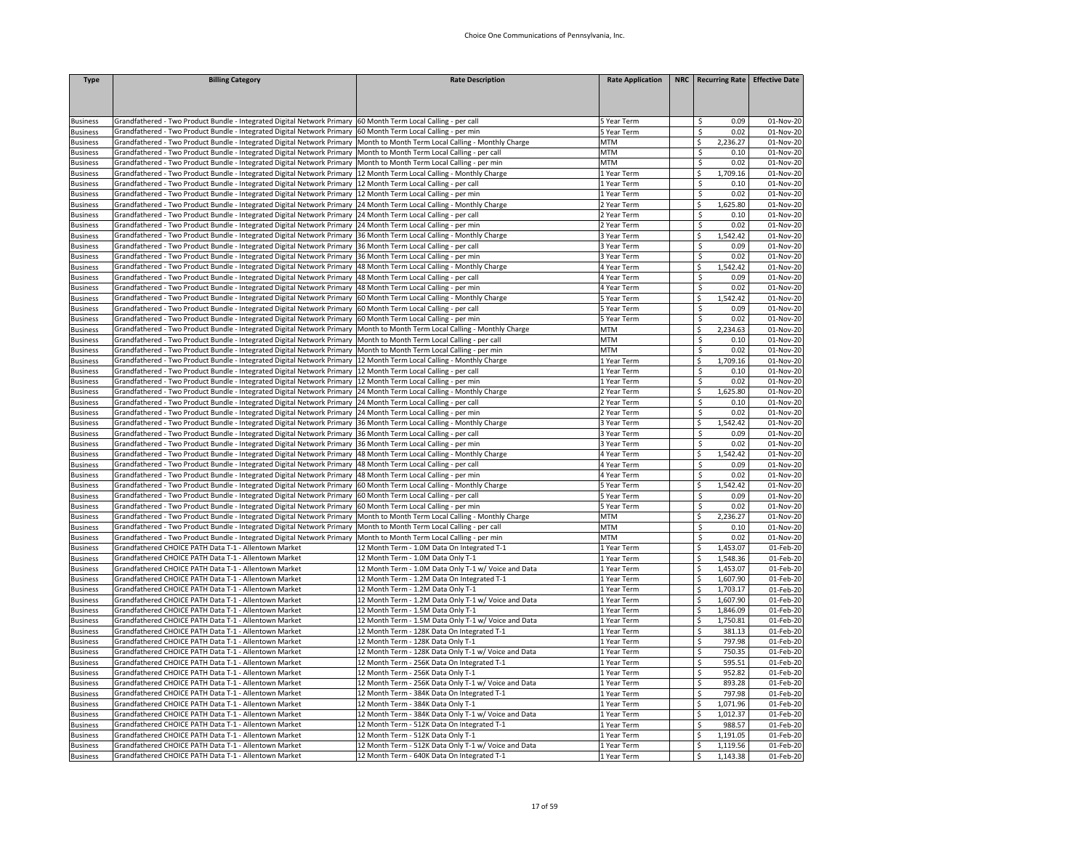| <b>Type</b>     | <b>Billing Category</b>                                                                                                      | <b>Rate Description</b>                              | <b>Rate Application</b> | NRC   Recurring Rate   Effective Date |                         |
|-----------------|------------------------------------------------------------------------------------------------------------------------------|------------------------------------------------------|-------------------------|---------------------------------------|-------------------------|
|                 |                                                                                                                              |                                                      |                         |                                       |                         |
|                 |                                                                                                                              |                                                      |                         |                                       |                         |
|                 |                                                                                                                              |                                                      |                         |                                       |                         |
| <b>Business</b> | Grandfathered - Two Product Bundle - Integrated Digital Network Primary 60 Month Term Local Calling - per call               |                                                      | 5 Year Term             | 0.09<br>Ŝ.                            | 01-Nov-20               |
| <b>Business</b> | Grandfathered - Two Product Bundle - Integrated Digital Network Primary 60 Month Term Local Calling - per min                |                                                      | 5 Year Term             | \$<br>0.02                            | 01-Nov-20               |
| <b>Business</b> | Grandfathered - Two Product Bundle - Integrated Digital Network Primary   Month to Month Term Local Calling - Monthly Charge |                                                      | <b>MTM</b>              | \$<br>2,236.27                        | 01-Nov-20               |
| <b>Business</b> | Grandfathered - Two Product Bundle - Integrated Digital Network Primary Month to Month Term Local Calling - per call         |                                                      | <b>MTM</b>              | \$<br>0.10                            | 01-Nov-20               |
| <b>Business</b> | Grandfathered - Two Product Bundle - Integrated Digital Network Primary Month to Month Term Local Calling - per min          |                                                      | <b>MTM</b>              | \$<br>0.02                            | 01-Nov-20               |
| <b>Business</b> | Grandfathered - Two Product Bundle - Integrated Digital Network Primary 12 Month Term Local Calling - Monthly Charge         |                                                      | 1 Year Term             | \$<br>1,709.16                        | 01-Nov-20               |
| <b>Business</b> | Grandfathered - Two Product Bundle - Integrated Digital Network Primary 12 Month Term Local Calling - per call               |                                                      | 1 Year Term             | \$<br>0.10                            | 01-Nov-20               |
| <b>Business</b> | Grandfathered - Two Product Bundle - Integrated Digital Network Primary 12 Month Term Local Calling - per min                |                                                      | Year Term               | \$<br>0.02                            | 01-Nov-20               |
| <b>Business</b> | Grandfathered - Two Product Bundle - Integrated Digital Network Primary                                                      | 24 Month Term Local Calling - Monthly Charge         | 2 Year Term             | \$<br>1,625.80                        | 01-Nov-20               |
| <b>Business</b> | Grandfathered - Two Product Bundle - Integrated Digital Network Primary                                                      | 24 Month Term Local Calling - per call               | Year Term               | \$<br>0.10                            | 01-Nov-20               |
| <b>Business</b> | Grandfathered - Two Product Bundle - Integrated Digital Network Primary 24 Month Term Local Calling - per min                |                                                      | 2 Year Term             | \$<br>0.02                            | 01-Nov-20               |
| <b>Business</b> | Grandfathered - Two Product Bundle - Integrated Digital Network Primary                                                      | 36 Month Term Local Calling - Monthly Charge         | 3 Year Term             | \$<br>1,542.42                        | 01-Nov-20               |
| <b>Business</b> | Grandfathered - Two Product Bundle - Integrated Digital Network Primary                                                      | 36 Month Term Local Calling - per call               | 3 Year Term             | \$<br>0.09                            | $\overline{01}$ -Nov-20 |
| <b>Business</b> | Grandfathered - Two Product Bundle - Integrated Digital Network Primary                                                      | 36 Month Term Local Calling - per min                | 3 Year Term             | \$<br>0.02                            | 01-Nov-20               |
| <b>Business</b> | Grandfathered - Two Product Bundle - Integrated Digital Network Primary  48 Month Term Local Calling - Monthly Charge        |                                                      | 4 Year Term             | \$<br>1,542.42                        | 01-Nov-20               |
| <b>Business</b> | Grandfathered - Two Product Bundle - Integrated Digital Network Primary 48 Month Term Local Calling - per call               |                                                      | 4 Year Term             | \$<br>0.09                            | 01-Nov-20               |
| <b>Business</b> | Grandfathered - Two Product Bundle - Integrated Digital Network Primary                                                      | 48 Month Term Local Calling - per min                | 4 Year Term             | $\overline{\mathsf{S}}$<br>0.02       | 01-Nov-20               |
| <b>Business</b> | Grandfathered - Two Product Bundle - Integrated Digital Network Primary                                                      | 60 Month Term Local Calling - Monthly Charge         | 5 Year Term             | \$<br>1,542.42                        | 01-Nov-20               |
| <b>Business</b> | Grandfathered - Two Product Bundle - Integrated Digital Network Primary                                                      | 60 Month Term Local Calling - per call               | 5 Year Term             | \$<br>0.09                            | 01-Nov-20               |
| <b>Business</b> | Grandfathered - Two Product Bundle - Integrated Digital Network Primary                                                      | 60 Month Term Local Calling - per min                | 5 Year Term             | \$<br>0.02                            | 01-Nov-20               |
| <b>Business</b> | Grandfathered - Two Product Bundle - Integrated Digital Network Primary                                                      | Month to Month Term Local Calling - Monthly Charge   | <b>MTM</b>              | \$<br>2,234.63                        | 01-Nov-20               |
| <b>Business</b> | Grandfathered - Two Product Bundle - Integrated Digital Network Primary Month to Month Term Local Calling - per call         |                                                      | <b>MTM</b>              | \$<br>0.10                            | 01-Nov-20               |
| <b>Business</b> | Grandfathered - Two Product Bundle - Integrated Digital Network Primary                                                      | Month to Month Term Local Calling - per min          | <b>MTM</b>              | \$<br>0.02                            | 01-Nov-20               |
| <b>Business</b> | Grandfathered - Two Product Bundle - Integrated Digital Network Primary 12 Month Term Local Calling - Monthly Charge         |                                                      | 1 Year Term             | \$<br>1,709.16                        | 01-Nov-20               |
| <b>Business</b> | Grandfathered - Two Product Bundle - Integrated Digital Network Primary                                                      | 12 Month Term Local Calling - per call               | LYear Term              | \$<br>0.10                            | 01-Nov-20               |
| <b>Business</b> | Grandfathered - Two Product Bundle - Integrated Digital Network Primary 12 Month Term Local Calling - per min                |                                                      | L Year Term             | \$<br>0.02                            | 01-Nov-20               |
| <b>Business</b> | Grandfathered - Two Product Bundle - Integrated Digital Network Primary 24 Month Term Local Calling - Monthly Charge         |                                                      | 2 Year Term             | \$<br>1,625.80                        | 01-Nov-20               |
| <b>Business</b> | Grandfathered - Two Product Bundle - Integrated Digital Network Primary                                                      | 24 Month Term Local Calling - per call               | Year Term               | \$<br>0.10                            | 01-Nov-20               |
| <b>Business</b> | Grandfathered - Two Product Bundle - Integrated Digital Network Primary                                                      | 24 Month Term Local Calling - per min                | Year Term               | \$<br>0.02                            | 01-Nov-20               |
| <b>Business</b> | Grandfathered - Two Product Bundle - Integrated Digital Network Primary 36 Month Term Local Calling - Monthly Charge         |                                                      | 3 Year Term             | \$<br>1,542.42                        | 01-Nov-20               |
| <b>Business</b> | Grandfathered - Two Product Bundle - Integrated Digital Network Primary                                                      | 36 Month Term Local Calling - per call               | 3 Year Term             | \$<br>0.09                            | 01-Nov-20               |
| <b>Business</b> | Grandfathered - Two Product Bundle - Integrated Digital Network Primary                                                      | 36 Month Term Local Calling - per min                | 3 Year Term             | \$<br>0.02                            | 01-Nov-20               |
| <b>Business</b> | Grandfathered - Two Product Bundle - Integrated Digital Network Primary                                                      | 48 Month Term Local Calling - Monthly Charge         | 4 Year Term             | \$<br>1,542.42                        | 01-Nov-20               |
| <b>Business</b> | Grandfathered - Two Product Bundle - Integrated Digital Network Primary                                                      | 48 Month Term Local Calling - per call               | 4 Year Term             | \$<br>0.09                            | 01-Nov-20               |
| <b>Business</b> | Grandfathered - Two Product Bundle - Integrated Digital Network Primary                                                      | 48 Month Term Local Calling - per min                | 4 Year Term             | \$<br>0.02                            | 01-Nov-20               |
| <b>Business</b> | Grandfathered - Two Product Bundle - Integrated Digital Network Primary                                                      | 60 Month Term Local Calling - Monthly Charge         | S Year Term             | \$<br>1,542.42                        | 01-Nov-20               |
| <b>Business</b> | Grandfathered - Two Product Bundle - Integrated Digital Network Primary 60 Month Term Local Calling - per call               |                                                      | 5 Year Term             | \$<br>0.09                            | 01-Nov-20               |
| <b>Business</b> | Grandfathered - Two Product Bundle - Integrated Digital Network Primary                                                      | 60 Month Term Local Calling - per min                | 5 Year Term             | \$<br>0.02                            | 01-Nov-20               |
| <b>Business</b> | Grandfathered - Two Product Bundle - Integrated Digital Network Primary                                                      | Month to Month Term Local Calling - Monthly Charge   | <b>MTM</b>              | \$<br>2,236.27                        | 01-Nov-20               |
| <b>Business</b> | Grandfathered - Two Product Bundle - Integrated Digital Network Primary                                                      | Month to Month Term Local Calling - per call         | <b>MTM</b>              | \$<br>0.10                            | 01-Nov-20               |
| <b>Business</b> | Grandfathered - Two Product Bundle - Integrated Digital Network Primary                                                      | Month to Month Term Local Calling - per min          | <b>MTM</b>              | \$<br>0.02                            | 01-Nov-20               |
| <b>Business</b> | Grandfathered CHOICE PATH Data T-1 - Allentown Market                                                                        | 12 Month Term - 1.0M Data On Integrated T-1          | 1 Year Term             | \$<br>1,453.07                        | 01-Feb-20               |
| <b>Business</b> | Grandfathered CHOICE PATH Data T-1 - Allentown Market                                                                        | 12 Month Term - 1.0M Data Only T-1                   | Year Term               | \$<br>1,548.36                        | 01-Feb-20               |
| <b>Business</b> | Grandfathered CHOICE PATH Data T-1 - Allentown Market                                                                        | 12 Month Term - 1.0M Data Only T-1 w/ Voice and Data | Year Term               | \$<br>1,453.07                        | 01-Feb-20               |
| <b>Business</b> | Grandfathered CHOICE PATH Data T-1 - Allentown Market                                                                        | 12 Month Term - 1.2M Data On Integrated T-1          | Year Term               | \$<br>1,607.90                        | 01-Feb-20               |
| <b>Business</b> | Grandfathered CHOICE PATH Data T-1 - Allentown Market                                                                        | 12 Month Term - 1.2M Data Only T-1                   | Year Term               | \$<br>1,703.17                        | 01-Feb-20               |
| <b>Business</b> | Grandfathered CHOICE PATH Data T-1 - Allentown Market                                                                        | 12 Month Term - 1.2M Data Only T-1 w/ Voice and Data | 1 Year Term             | \$<br>1,607.90                        | 01-Feb-20               |
| <b>Business</b> | Grandfathered CHOICE PATH Data T-1 - Allentown Market                                                                        | 12 Month Term - 1.5M Data Only T-1                   | 1 Year Term             | 1,846.09<br>\$                        | 01-Feb-20               |
| <b>Business</b> | Grandfathered CHOICE PATH Data T-1 - Allentown Market                                                                        | 12 Month Term - 1.5M Data Only T-1 w/ Voice and Data | 1 Year Term             | 1,750.81<br>\$                        | 01-Feb-20               |
| <b>Business</b> | Grandfathered CHOICE PATH Data T-1 - Allentown Market                                                                        | 12 Month Term - 128K Data On Integrated T-1          | Year Term               | \$<br>381.13                          | 01-Feb-20               |
| <b>Business</b> | Grandfathered CHOICE PATH Data T-1 - Allentown Market                                                                        | 12 Month Term - 128K Data Only T-1                   | 1 Year Term             | \$<br>797.98                          | 01-Feb-20               |
| <b>Business</b> | Grandfathered CHOICE PATH Data T-1 - Allentown Market                                                                        | 12 Month Term - 128K Data Only T-1 w/ Voice and Data | L Year Term             | \$<br>750.35                          | 01-Feb-20               |
| <b>Business</b> | Grandfathered CHOICE PATH Data T-1 - Allentown Market                                                                        | 12 Month Term - 256K Data On Integrated T-1          | LYear Term              | \$<br>595.51                          | 01-Feb-20               |
| <b>Business</b> | Grandfathered CHOICE PATH Data T-1 - Allentown Market                                                                        | 12 Month Term - 256K Data Only T-1                   | Year Term               | \$<br>952.82                          | 01-Feb-20               |
| <b>Business</b> | Grandfathered CHOICE PATH Data T-1 - Allentown Market                                                                        | 12 Month Term - 256K Data Only T-1 w/ Voice and Data | Year Term               | \$<br>893.28                          | 01-Feb-20               |
| <b>Business</b> | Grandfathered CHOICE PATH Data T-1 - Allentown Market                                                                        | 12 Month Term - 384K Data On Integrated T-1          | 1 Year Term             | \$<br>797.98                          | 01-Feb-20               |
| <b>Business</b> | Grandfathered CHOICE PATH Data T-1 - Allentown Market                                                                        | 12 Month Term - 384K Data Only T-1                   | Year Term               | \$<br>1,071.96                        | $01$ -Feb-20            |
| <b>Business</b> | Grandfathered CHOICE PATH Data T-1 - Allentown Market                                                                        | 12 Month Term - 384K Data Only T-1 w/ Voice and Data | LYear Term              | \$<br>1,012.37                        | 01-Feb-20               |
| <b>Business</b> | Grandfathered CHOICE PATH Data T-1 - Allentown Market                                                                        | 12 Month Term - 512K Data On Integrated T-1          | Year Term               | \$<br>988.57                          | 01-Feb-20               |
| <b>Business</b> | Grandfathered CHOICE PATH Data T-1 - Allentown Market                                                                        | 12 Month Term - 512K Data Only T-1                   | 1 Year Term             | \$<br>1,191.05                        | 01-Feb-20               |
| <b>Business</b> | Grandfathered CHOICE PATH Data T-1 - Allentown Market                                                                        | 12 Month Term - 512K Data Only T-1 w/ Voice and Data | l Year Term             | \$<br>1,119.56                        | 01-Feb-20               |
| <b>Business</b> | Grandfathered CHOICE PATH Data T-1 - Allentown Market                                                                        | 12 Month Term - 640K Data On Integrated T-1          | 1 Year Term             | \$<br>1,143.38                        | 01-Feb-20               |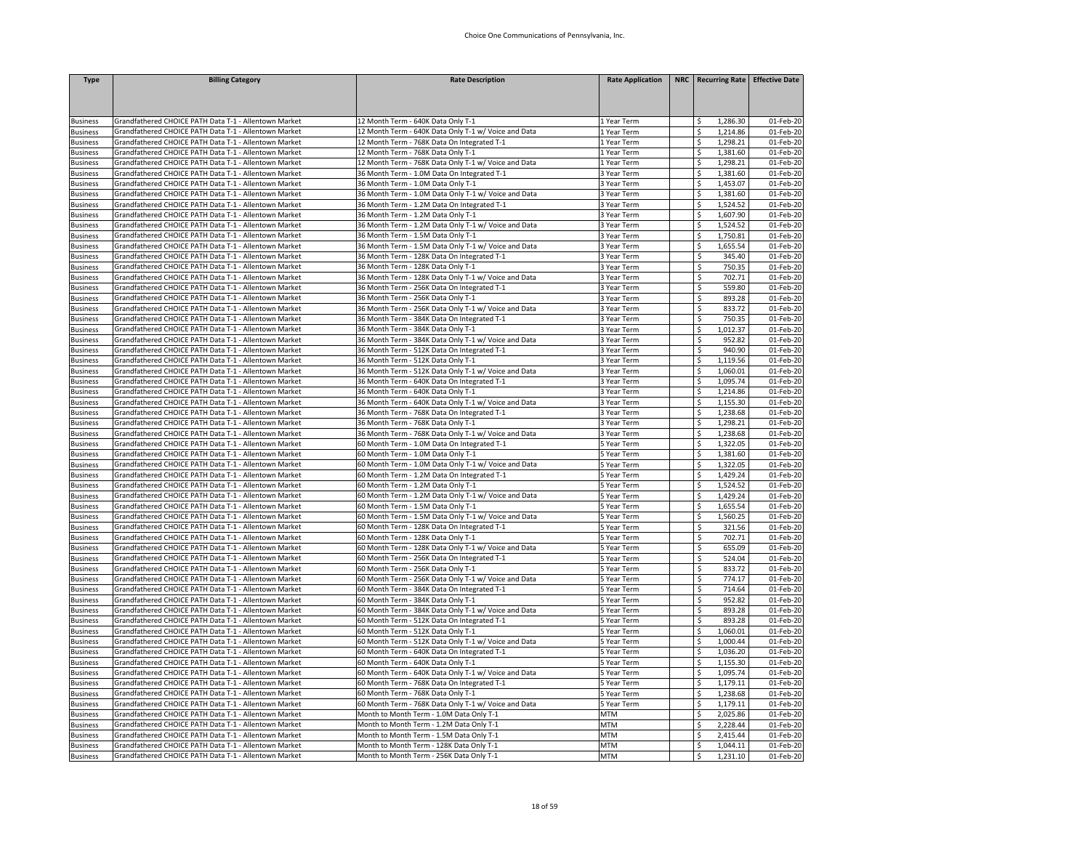| <b>Type</b>                        | <b>Billing Category</b>                                                                                        | <b>Rate Description</b>                                                           | <b>Rate Application</b>    | NRC   Recurring Rate   Effective Date |                        |
|------------------------------------|----------------------------------------------------------------------------------------------------------------|-----------------------------------------------------------------------------------|----------------------------|---------------------------------------|------------------------|
|                                    |                                                                                                                |                                                                                   |                            |                                       |                        |
|                                    |                                                                                                                |                                                                                   |                            |                                       |                        |
| <b>Business</b>                    | Grandfathered CHOICE PATH Data T-1 - Allentown Market                                                          | 12 Month Term - 640K Data Only T-1                                                | 1 Year Term                | 1,286.30<br>\$                        | 01-Feb-20              |
| <b>Business</b>                    | Grandfathered CHOICE PATH Data T-1 - Allentown Market                                                          | 12 Month Term - 640K Data Only T-1 w/ Voice and Data                              | 1 Year Term                | \$<br>1,214.86                        | 01-Feb-20              |
| <b>Business</b>                    | Grandfathered CHOICE PATH Data T-1 - Allentown Market                                                          | 12 Month Term - 768K Data On Integrated T-1                                       | 1 Year Term                | \$<br>1,298.21                        | 01-Feb-20              |
| <b>Business</b>                    | Grandfathered CHOICE PATH Data T-1 - Allentown Market                                                          | 12 Month Term - 768K Data Only T-1                                                | 1 Year Term                | \$<br>1,381.60                        | 01-Feb-20              |
| <b>Business</b>                    | Grandfathered CHOICE PATH Data T-1 - Allentown Market                                                          | 12 Month Term - 768K Data Only T-1 w/ Voice and Data                              | 1 Year Term                | \$<br>1,298.21                        | 01-Feb-20              |
| <b>Business</b>                    | Grandfathered CHOICE PATH Data T-1 - Allentown Market                                                          | 36 Month Term - 1.0M Data On Integrated T-1                                       | 3 Year Term                | \$<br>1,381.60                        | 01-Feb-20              |
| <b>Business</b>                    | Grandfathered CHOICE PATH Data T-1 - Allentown Market                                                          | 36 Month Term - 1.0M Data Only T-1                                                | 3 Year Term                | $\overline{\xi}$<br>1,453.07          | 01-Feb-20              |
| <b>Business</b>                    | Grandfathered CHOICE PATH Data T-1 - Allentown Market                                                          | 36 Month Term - 1.0M Data Only T-1 w/ Voice and Data                              | 3 Year Term                | \$<br>1,381.60                        | 01-Feb-20              |
| <b>Business</b>                    | Grandfathered CHOICE PATH Data T-1 - Allentown Market                                                          | 36 Month Term - 1.2M Data On Integrated T-1                                       | 3 Year Term                | \$<br>1,524.52                        | 01-Feb-20              |
| <b>Business</b>                    | Grandfathered CHOICE PATH Data T-1 - Allentown Market                                                          | 36 Month Term - 1.2M Data Only T-1                                                | 3 Year Term                | \$<br>1,607.90                        | 01-Feb-20              |
| <b>Business</b>                    | Grandfathered CHOICE PATH Data T-1 - Allentown Market                                                          | 36 Month Term - 1.2M Data Only T-1 w/ Voice and Data                              | 3 Year Term                | \$<br>1,524.52                        | 01-Feb-20              |
| <b>Business</b>                    | Grandfathered CHOICE PATH Data T-1 - Allentown Market                                                          | 36 Month Term - 1.5M Data Only T-1                                                | 3 Year Term                | \$<br>1,750.81                        | 01-Feb-20              |
| <b>Business</b>                    | Grandfathered CHOICE PATH Data T-1 - Allentown Market                                                          | 36 Month Term - 1.5M Data Only T-1 w/ Voice and Data                              | 3 Year Term                | 1,655.54<br>\$                        | 01-Feb-20              |
| <b>Business</b>                    | Grandfathered CHOICE PATH Data T-1 - Allentown Market<br>Grandfathered CHOICE PATH Data T-1 - Allentown Market | 36 Month Term - 128K Data On Integrated T-1<br>36 Month Term - 128K Data Only T-1 | 3 Year Term                | \$<br>345.40<br>750.35                | 01-Feb-20              |
| <b>Business</b>                    | Grandfathered CHOICE PATH Data T-1 - Allentown Market                                                          | 36 Month Term - 128K Data Only T-1 w/ Voice and Data                              | 3 Year Term                | \$                                    | 01-Feb-20              |
| <b>Business</b>                    | Grandfathered CHOICE PATH Data T-1 - Allentown Market                                                          | 36 Month Term - 256K Data On Integrated T-1                                       | 3 Year Term<br>3 Year Term | \$<br>702.71<br>\$<br>559.80          | 01-Feb-20<br>01-Feb-20 |
| <b>Business</b><br><b>Business</b> | Grandfathered CHOICE PATH Data T-1 - Allentown Market                                                          | 36 Month Term - 256K Data Only T-1                                                | 3 Year Term                | \$<br>893.28                          | 01-Feb-20              |
| <b>Business</b>                    | Grandfathered CHOICE PATH Data T-1 - Allentown Market                                                          | 36 Month Term - 256K Data Only T-1 w/ Voice and Data                              | 3 Year Term                | \$<br>833.72                          | 01-Feb-20              |
| <b>Business</b>                    | Grandfathered CHOICE PATH Data T-1 - Allentown Market                                                          | 36 Month Term - 384K Data On Integrated T-1                                       | 3 Year Term                | \$<br>750.35                          | 01-Feb-20              |
| <b>Business</b>                    | Grandfathered CHOICE PATH Data T-1 - Allentown Market                                                          | 36 Month Term - 384K Data Only T-1                                                | 3 Year Term                | \$<br>1,012.37                        | 01-Feb-20              |
| <b>Business</b>                    | Grandfathered CHOICE PATH Data T-1 - Allentown Market                                                          | 36 Month Term - 384K Data Only T-1 w/ Voice and Data                              | 3 Year Term                | \$<br>952.82                          | 01-Feb-20              |
| <b>Business</b>                    | Grandfathered CHOICE PATH Data T-1 - Allentown Market                                                          | 36 Month Term - 512K Data On Integrated T-1                                       | 3 Year Term                | \$<br>940.90                          | 01-Feb-20              |
| <b>Business</b>                    | Grandfathered CHOICE PATH Data T-1 - Allentown Market                                                          | 36 Month Term - 512K Data Only T-1                                                | 3 Year Term                | \$<br>1,119.56                        | 01-Feb-20              |
| <b>Business</b>                    | Grandfathered CHOICE PATH Data T-1 - Allentown Market                                                          | 36 Month Term - 512K Data Only T-1 w/ Voice and Data                              | 3 Year Term                | \$<br>1,060.01                        | 01-Feb-20              |
| <b>Business</b>                    | Grandfathered CHOICE PATH Data T-1 - Allentown Market                                                          | 36 Month Term - 640K Data On Integrated T-1                                       | 3 Year Term                | \$<br>1,095.74                        | 01-Feb-20              |
| <b>Business</b>                    | Grandfathered CHOICE PATH Data T-1 - Allentown Market                                                          | 36 Month Term - 640K Data Only T-1                                                | 3 Year Term                | \$<br>1,214.86                        | 01-Feb-20              |
| <b>Business</b>                    | Grandfathered CHOICE PATH Data T-1 - Allentown Market                                                          | 36 Month Term - 640K Data Only T-1 w/ Voice and Data                              | 3 Year Term                | $\overline{\mathsf{s}}$<br>1,155.30   | 01-Feb-20              |
| <b>Business</b>                    | Grandfathered CHOICE PATH Data T-1 - Allentown Market                                                          | 36 Month Term - 768K Data On Integrated T-1                                       | 3 Year Term                | \$<br>1,238.68                        | 01-Feb-20              |
| <b>Business</b>                    | Grandfathered CHOICE PATH Data T-1 - Allentown Market                                                          | 36 Month Term - 768K Data Only T-1                                                | 3 Year Term                | \$<br>1,298.21                        | 01-Feb-20              |
| <b>Business</b>                    | Grandfathered CHOICE PATH Data T-1 - Allentown Market                                                          | 36 Month Term - 768K Data Only T-1 w/ Voice and Data                              | 3 Year Term                | \$<br>1,238.68                        | 01-Feb-20              |
| <b>Business</b>                    | Grandfathered CHOICE PATH Data T-1 - Allentown Market                                                          | 60 Month Term - 1.0M Data On Integrated T-1                                       | 5 Year Term                | \$<br>1,322.05                        | 01-Feb-20              |
| <b>Business</b>                    | Grandfathered CHOICE PATH Data T-1 - Allentown Market                                                          | 60 Month Term - 1.0M Data Only T-1                                                | 5 Year Term                | \$<br>1,381.60                        | 01-Feb-20              |
| <b>Business</b>                    | Grandfathered CHOICE PATH Data T-1 - Allentown Market                                                          | 60 Month Term - 1.0M Data Only T-1 w/ Voice and Data                              | 5 Year Term                | 1,322.05<br>\$                        | 01-Feb-20              |
| <b>Business</b>                    | Grandfathered CHOICE PATH Data T-1 - Allentown Market                                                          | 60 Month Term - 1.2M Data On Integrated T-1                                       | 5 Year Term                | \$<br>1,429.24                        | 01-Feb-20              |
| <b>Business</b>                    | Grandfathered CHOICE PATH Data T-1 - Allentown Market                                                          | 60 Month Term - 1.2M Data Only T-1                                                | S Year Term                | \$<br>1,524.52                        | 01-Feb-20              |
| <b>Business</b>                    | Grandfathered CHOICE PATH Data T-1 - Allentown Market                                                          | 60 Month Term - 1.2M Data Only T-1 w/ Voice and Data                              | SYear Term                 | \$<br>1,429.24                        | 01-Feb-20              |
| <b>Business</b>                    | Grandfathered CHOICE PATH Data T-1 - Allentown Market                                                          | 60 Month Term - 1.5M Data Only T-1                                                | S Year Term                | \$<br>1,655.54                        | 01-Feb-20              |
| <b>Business</b>                    | Grandfathered CHOICE PATH Data T-1 - Allentown Market                                                          | 60 Month Term - 1.5M Data Only T-1 w/ Voice and Data                              | 5 Year Term                | \$<br>1,560.25                        | 01-Feb-20              |
| <b>Business</b>                    | Grandfathered CHOICE PATH Data T-1 - Allentown Market                                                          | 60 Month Term - 128K Data On Integrated T-1                                       | 5 Year Term                | \$<br>321.56                          | 01-Feb-20              |
| <b>Business</b>                    | Grandfathered CHOICE PATH Data T-1 - Allentown Market                                                          | 60 Month Term - 128K Data Only T-1                                                | 5 Year Term                | \$<br>702.71                          | 01-Feb-20              |
| <b>Business</b>                    | Grandfathered CHOICE PATH Data T-1 - Allentown Market                                                          | 60 Month Term - 128K Data Only T-1 w/ Voice and Data                              | S Year Term                | \$<br>655.09                          | 01-Feb-20              |
| <b>Business</b>                    | Grandfathered CHOICE PATH Data T-1 - Allentown Market                                                          | 60 Month Term - 256K Data On Integrated T-1                                       | Year Term                  | \$<br>524.04                          | 01-Feb-20              |
| <b>Business</b>                    | Grandfathered CHOICE PATH Data T-1 - Allentown Market                                                          | 50 Month Term - 256K Data Only T-1                                                | S Year Term                | \$<br>833.72                          | 01-Feb-20              |
| <b>Business</b>                    | Grandfathered CHOICE PATH Data T-1 - Allentown Market                                                          | 60 Month Term - 256K Data Only T-1 w/ Voice and Data                              | S Year Term                | \$<br>774.17                          | 01-Feb-20              |
| <b>Business</b>                    | Grandfathered CHOICE PATH Data T-1 - Allentown Market                                                          | 60 Month Term - 384K Data On Integrated T-1                                       | 5 Year Term                | \$<br>714.64                          | 01-Feb-20              |
| <b>Business</b>                    | Grandfathered CHOICE PATH Data T-1 - Allentown Market                                                          | 60 Month Term - 384K Data Only T-1                                                | 5 Year Term                | \$<br>952.82<br>\$                    | 01-Feb-20              |
| <b>Business</b>                    | Grandfathered CHOICE PATH Data T-1 - Allentown Market<br>Grandfathered CHOICE PATH Data T-1 - Allentown Market | 60 Month Term - 384K Data Only T-1 w/ Voice and Data                              | 5 Year Term                | 893.28<br>893.28                      | 01-Feb-20<br>01-Feb-20 |
| <b>Business</b>                    | Grandfathered CHOICE PATH Data T-1 - Allentown Market                                                          | 60 Month Term - 512K Data On Integrated T-1<br>60 Month Term - 512K Data Only T-1 | 5 Year Term                | \$<br>\$<br>1,060.01                  | 01-Feb-20              |
| <b>Business</b><br><b>Business</b> | Grandfathered CHOICE PATH Data T-1 - Allentown Market                                                          | 60 Month Term - 512K Data Only T-1 w/ Voice and Data                              | S Year Term<br>5 Year Term | $\overline{\xi}$<br>1,000.44          | 01-Feb-20              |
| <b>Business</b>                    | Grandfathered CHOICE PATH Data T-1 - Allentown Market                                                          | 60 Month Term - 640K Data On Integrated T-1                                       | 5 Year Term                | \$<br>1,036.20                        | 01-Feb-20              |
| <b>Business</b>                    | Grandfathered CHOICE PATH Data T-1 - Allentown Market                                                          | 60 Month Term - 640K Data Only T-1                                                | 5 Year Term                | \$<br>1,155.30                        | 01-Feb-20              |
| <b>Business</b>                    | Grandfathered CHOICE PATH Data T-1 - Allentown Market                                                          | 60 Month Term - 640K Data Only T-1 w/ Voice and Data                              | 5 Year Term                | $\overline{\mathsf{S}}$<br>1,095.74   | 01-Feb-20              |
| <b>Business</b>                    | Grandfathered CHOICE PATH Data T-1 - Allentown Market                                                          | 60 Month Term - 768K Data On Integrated T-1                                       | 5 Year Term                | \$<br>1,179.11                        | 01-Feb-20              |
| <b>Business</b>                    | Grandfathered CHOICE PATH Data T-1 - Allentown Market                                                          | 60 Month Term - 768K Data Only T-1                                                | 5 Year Term                | \$<br>1,238.68                        | 01-Feb-20              |
| <b>Business</b>                    | Grandfathered CHOICE PATH Data T-1 - Allentown Market                                                          | 60 Month Term - 768K Data Only T-1 w/ Voice and Data                              | 5 Year Term                | \$<br>1,179.11                        | 01-Feb-20              |
| <b>Business</b>                    | Grandfathered CHOICE PATH Data T-1 - Allentown Market                                                          | Month to Month Term - 1.0M Data Only T-1                                          | <b>MTM</b>                 | \$<br>2,025.86                        | 01-Feb-20              |
| <b>Business</b>                    | Grandfathered CHOICE PATH Data T-1 - Allentown Market                                                          | Month to Month Term - 1.2M Data Only T-1                                          | <b>MTM</b>                 | \$<br>2,228.44                        | 01-Feb-20              |
| <b>Business</b>                    | Grandfathered CHOICE PATH Data T-1 - Allentown Market                                                          | Month to Month Term - 1.5M Data Only T-1                                          | <b>MTM</b>                 | 2,415.44<br>\$                        | 01-Feb-20              |
| <b>Business</b>                    | Grandfathered CHOICE PATH Data T-1 - Allentown Market                                                          | Month to Month Term - 128K Data Only T-1                                          | <b>MTM</b>                 | \$<br>1,044.11                        | 01-Feb-20              |
| <b>Business</b>                    | Grandfathered CHOICE PATH Data T-1 - Allentown Market                                                          | Month to Month Term - 256K Data Only T-1                                          | <b>MTM</b>                 | $\mathsf{\hat{S}}$<br>1,231.10        | 01-Feb-20              |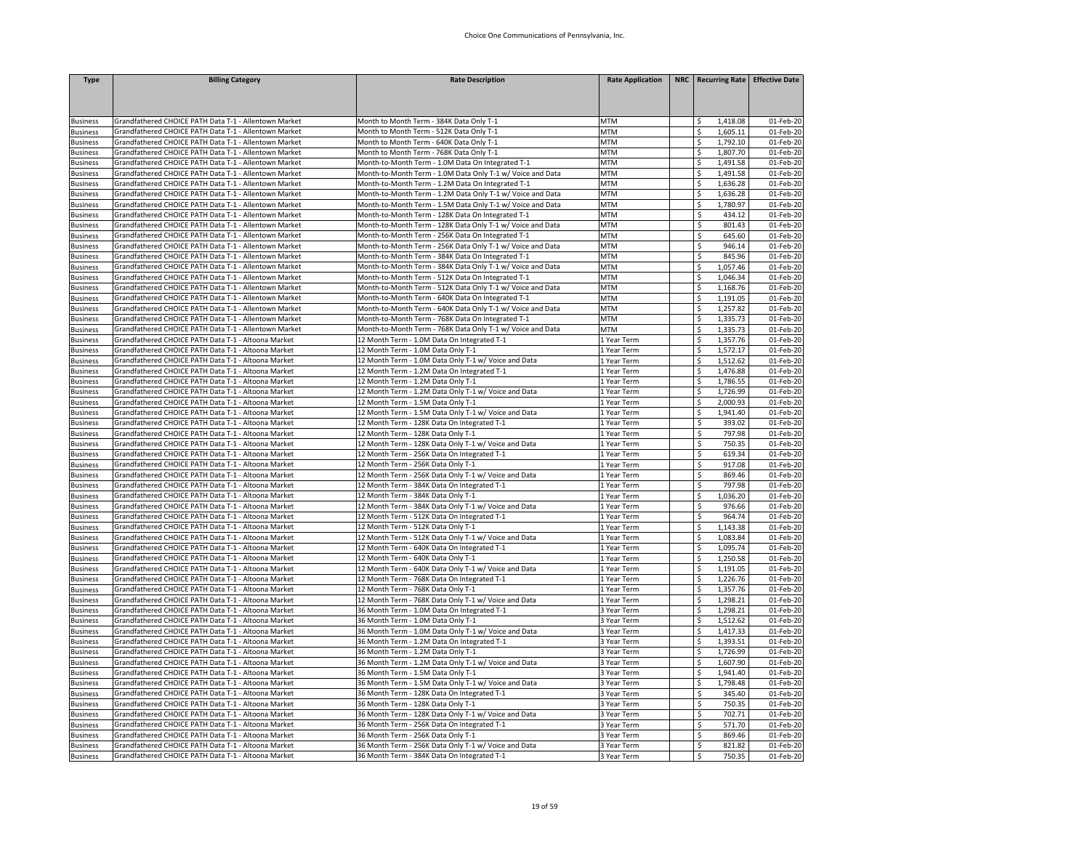| <b>Type</b>                        | <b>Billing Category</b>                                                                                        | <b>Rate Description</b>                                                                                         | <b>Rate Application</b>  | NRC   Recurring Rate   Effective Date |                        |
|------------------------------------|----------------------------------------------------------------------------------------------------------------|-----------------------------------------------------------------------------------------------------------------|--------------------------|---------------------------------------|------------------------|
|                                    |                                                                                                                |                                                                                                                 |                          |                                       |                        |
|                                    |                                                                                                                |                                                                                                                 |                          |                                       |                        |
| <b>Business</b>                    | Grandfathered CHOICE PATH Data T-1 - Allentown Market                                                          | Month to Month Term - 384K Data Only T-1                                                                        | <b>MTM</b>               | 1,418.08<br>\$                        | 01-Feb-20              |
| <b>Business</b>                    | Grandfathered CHOICE PATH Data T-1 - Allentown Market                                                          | Month to Month Term - 512K Data Only T-1                                                                        | <b>MTM</b>               | \$<br>1,605.11                        | 01-Feb-20              |
| <b>Business</b>                    | Grandfathered CHOICE PATH Data T-1 - Allentown Market                                                          | Month to Month Term - 640K Data Only T-1                                                                        | <b>MTM</b>               | \$<br>1,792.10                        | 01-Feb-20              |
| <b>Business</b>                    | Grandfathered CHOICE PATH Data T-1 - Allentown Market                                                          | Month to Month Term - 768K Data Only T-1                                                                        | <b>MTM</b>               | \$<br>1,807.70                        | 01-Feb-20              |
| <b>Business</b>                    | Grandfathered CHOICE PATH Data T-1 - Allentown Market                                                          | Month-to-Month Term - 1.0M Data On Integrated T-1                                                               | <b>MTM</b>               | \$<br>1,491.58                        | 01-Feb-20              |
| <b>Business</b>                    | Grandfathered CHOICE PATH Data T-1 - Allentown Market                                                          | Month-to-Month Term - 1.0M Data Only T-1 w/ Voice and Data                                                      | <b>MTM</b><br><b>MTM</b> | \$<br>1,491.58<br>\$                  | 01-Feb-20<br>01-Feb-20 |
| <b>Business</b>                    | Grandfathered CHOICE PATH Data T-1 - Allentown Market<br>Grandfathered CHOICE PATH Data T-1 - Allentown Market | Month-to-Month Term - 1.2M Data On Integrated T-1<br>Month-to-Month Term - 1.2M Data Only T-1 w/ Voice and Data | <b>MTM</b>               | 1,636.28<br>\$<br>1,636.28            | 01-Feb-20              |
| <b>Business</b><br><b>Business</b> | Grandfathered CHOICE PATH Data T-1 - Allentown Market                                                          | Month-to-Month Term - 1.5M Data Only T-1 w/ Voice and Data                                                      | <b>MTM</b>               | \$<br>1,780.97                        | 01-Feb-20              |
| <b>Business</b>                    | Grandfathered CHOICE PATH Data T-1 - Allentown Market                                                          | Month-to-Month Term - 128K Data On Integrated T-1                                                               | <b>MTM</b>               | $\overline{\mathsf{S}}$<br>434.12     | 01-Feb-20              |
| <b>Business</b>                    | Grandfathered CHOICE PATH Data T-1 - Allentown Market                                                          | Month-to-Month Term - 128K Data Only T-1 w/ Voice and Data                                                      | <b>MTM</b>               | \$<br>801.43                          | 01-Feb-20              |
| <b>Business</b>                    | Grandfathered CHOICE PATH Data T-1 - Allentown Market                                                          | Month-to-Month Term - 256K Data On Integrated T-1                                                               | <b>MTM</b>               | \$<br>645.60                          | 01-Feb-20              |
| <b>Business</b>                    | Grandfathered CHOICE PATH Data T-1 - Allentown Market                                                          | Month-to-Month Term - 256K Data Only T-1 w/ Voice and Data                                                      | <b>MTM</b>               | 946.14<br>\$                          | 01-Feb-20              |
| <b>Business</b>                    | Grandfathered CHOICE PATH Data T-1 - Allentown Market                                                          | Month-to-Month Term - 384K Data On Integrated T-1                                                               | <b>MTM</b>               | \$<br>845.96                          | 01-Feb-20              |
| <b>Business</b>                    | Grandfathered CHOICE PATH Data T-1 - Allentown Market                                                          | Month-to-Month Term - 384K Data Only T-1 w/ Voice and Data                                                      | <b>MTM</b>               | \$<br>1,057.46                        | 01-Feb-20              |
| <b>Business</b>                    | Grandfathered CHOICE PATH Data T-1 - Allentown Market                                                          | Month-to-Month Term - 512K Data On Integrated T-1                                                               | <b>MTM</b>               | \$<br>1,046.34                        | 01-Feb-20              |
| <b>Business</b>                    | Grandfathered CHOICE PATH Data T-1 - Allentown Market                                                          | Month-to-Month Term - 512K Data Only T-1 w/ Voice and Data                                                      | <b>MTM</b>               | \$<br>1,168.76                        | 01-Feb-20              |
| <b>Business</b>                    | Grandfathered CHOICE PATH Data T-1 - Allentown Market                                                          | Month-to-Month Term - 640K Data On Integrated T-1                                                               | <b>MTM</b>               | \$<br>1,191.05                        | 01-Feb-20              |
| <b>Business</b>                    | Grandfathered CHOICE PATH Data T-1 - Allentown Market                                                          | Month-to-Month Term - 640K Data Only T-1 w/ Voice and Data                                                      | <b>MTM</b>               | \$<br>1,257.82                        | 01-Feb-20              |
| <b>Business</b>                    | Grandfathered CHOICE PATH Data T-1 - Allentown Market                                                          | Month-to-Month Term - 768K Data On Integrated T-1                                                               | <b>MTM</b>               | \$<br>1,335.73                        | 01-Feb-20              |
| <b>Business</b>                    | Grandfathered CHOICE PATH Data T-1 - Allentown Market                                                          | Month-to-Month Term - 768K Data Only T-1 w/ Voice and Data                                                      | <b>MTM</b>               | \$<br>1,335.73                        | 01-Feb-20              |
| <b>Business</b>                    | Grandfathered CHOICE PATH Data T-1 - Altoona Market                                                            | 12 Month Term - 1.0M Data On Integrated T-1                                                                     | L Year Term              | \$<br>1,357.76                        | 01-Feb-20              |
| <b>Business</b>                    | Grandfathered CHOICE PATH Data T-1 - Altoona Market                                                            | 12 Month Term - 1.0M Data Only T-1                                                                              | Year Term                | \$<br>1,572.17                        | 01-Feb-20              |
| <b>Business</b>                    | Grandfathered CHOICE PATH Data T-1 - Altoona Market                                                            | 12 Month Term - 1.0M Data Only T-1 w/ Voice and Data                                                            | Year Term                | \$<br>1,512.62                        | 01-Feb-20              |
| <b>Business</b>                    | Grandfathered CHOICE PATH Data T-1 - Altoona Market                                                            | 12 Month Term - 1.2M Data On Integrated T-1                                                                     | Year Term                | \$<br>1,476.88                        | 01-Feb-20              |
| <b>Business</b>                    | Grandfathered CHOICE PATH Data T-1 - Altoona Market                                                            | 12 Month Term - 1.2M Data Only T-1                                                                              | L Year Term              | \$<br>1,786.55                        | 01-Feb-20              |
| <b>Business</b>                    | Grandfathered CHOICE PATH Data T-1 - Altoona Market                                                            | 12 Month Term - 1.2M Data Only T-1 w/ Voice and Data                                                            | 1 Year Term              | \$<br>1,726.99                        | 01-Feb-20              |
| <b>Business</b>                    | Grandfathered CHOICE PATH Data T-1 - Altoona Market                                                            | 12 Month Term - 1.5M Data Only T-1                                                                              | Year Term                | 2,000.93<br>\$                        | 01-Feb-20              |
| <b>Business</b>                    | Grandfathered CHOICE PATH Data T-1 - Altoona Market                                                            | 12 Month Term - 1.5M Data Only T-1 w/ Voice and Data                                                            | 1 Year Term              | \$<br>1,941.40                        | 01-Feb-20              |
| <b>Business</b>                    | Grandfathered CHOICE PATH Data T-1 - Altoona Market                                                            | 12 Month Term - 128K Data On Integrated T-1                                                                     | Year Term                | \$<br>393.02                          | 01-Feb-20              |
| <b>Business</b>                    | Grandfathered CHOICE PATH Data T-1 - Altoona Market                                                            | 12 Month Term - 128K Data Only T-1                                                                              | 1 Year Term              | \$<br>797.98                          | 01-Feb-20              |
| <b>Business</b>                    | Grandfathered CHOICE PATH Data T-1 - Altoona Market                                                            | 12 Month Term - 128K Data Only T-1 w/ Voice and Data                                                            | Year Term                | \$<br>750.35                          | 01-Feb-20              |
| <b>Business</b>                    | Grandfathered CHOICE PATH Data T-1 - Altoona Market                                                            | 12 Month Term - 256K Data On Integrated T-1                                                                     | 1 Year Term              | \$<br>619.34                          | 01-Feb-20              |
| <b>Business</b>                    | Grandfathered CHOICE PATH Data T-1 - Altoona Market                                                            | 12 Month Term - 256K Data Only T-1                                                                              | 1 Year Term              | \$<br>917.08                          | 01-Feb-20              |
| <b>Business</b>                    | Grandfathered CHOICE PATH Data T-1 - Altoona Market                                                            | 12 Month Term - 256K Data Only T-1 w/ Voice and Data                                                            | Year Term                | \$<br>869.46                          | 01-Feb-20              |
| <b>Business</b>                    | Grandfathered CHOICE PATH Data T-1 - Altoona Market                                                            | 12 Month Term - 384K Data On Integrated T-1                                                                     | Year Term                | \$<br>797.98                          | 01-Feb-20              |
| <b>Business</b>                    | Grandfathered CHOICE PATH Data T-1 - Altoona Market                                                            | 12 Month Term - 384K Data Only T-1                                                                              | Year Term                | \$<br>1,036.20                        | 01-Feb-20              |
| <b>Business</b>                    | Grandfathered CHOICE PATH Data T-1 - Altoona Market                                                            | 12 Month Term - 384K Data Only T-1 w/ Voice and Data                                                            | 1 Year Term              | \$<br>976.66                          | 01-Feb-20              |
| <b>Business</b>                    | Grandfathered CHOICE PATH Data T-1 - Altoona Market                                                            | 12 Month Term - 512K Data On Integrated T-1                                                                     | Year Term                | \$<br>964.74                          | 01-Feb-20              |
| <b>Business</b>                    | Grandfathered CHOICE PATH Data T-1 - Altoona Market                                                            | 12 Month Term - 512K Data Only T-1                                                                              | 1 Year Term              | \$<br>1,143.38                        | 01-Feb-20              |
| <b>Business</b>                    | Grandfathered CHOICE PATH Data T-1 - Altoona Market                                                            | 12 Month Term - 512K Data Only T-1 w/ Voice and Data                                                            | Year Term                | \$<br>1,083.84                        | 01-Feb-20              |
| <b>Business</b>                    | Grandfathered CHOICE PATH Data T-1 - Altoona Market                                                            | 12 Month Term - 640K Data On Integrated T-1                                                                     | LYear Term               | \$<br>1,095.74<br>\$                  | 01-Feb-20              |
| <b>Business</b><br><b>Business</b> | Grandfathered CHOICE PATH Data T-1 - Altoona Market<br>Grandfathered CHOICE PATH Data T-1 - Altoona Market     | 12 Month Term - 640K Data Only T-1<br>12 Month Term - 640K Data Only T-1 w/ Voice and Data                      | Year Term<br>Year Term   | 1,250.58<br>\$<br>1,191.05            | 01-Feb-20<br>01-Feb-20 |
| <b>Business</b>                    | Grandfathered CHOICE PATH Data T-1 - Altoona Market                                                            | 12 Month Term - 768K Data On Integrated T-1                                                                     | Year Term                | 1,226.76<br>\$                        | 01-Feb-20              |
| <b>Business</b>                    | Grandfathered CHOICE PATH Data T-1 - Altoona Market                                                            | 12 Month Term - 768K Data Only T-1                                                                              | Year Term                | \$<br>1,357.76                        | 01-Feb-20              |
| <b>Business</b>                    | Grandfathered CHOICE PATH Data T-1 - Altoona Market                                                            | 12 Month Term - 768K Data Only T-1 w/ Voice and Data                                                            | 1 Year Term              | \$<br>1,298.21                        | 01-Feb-20              |
| <b>Business</b>                    | Grandfathered CHOICE PATH Data T-1 - Altoona Market                                                            | 36 Month Term - 1.0M Data On Integrated T-1                                                                     | 3 Year Term              | \$<br>1,298.21                        | 01-Feb-20              |
| <b>Business</b>                    | Grandfathered CHOICE PATH Data T-1 - Altoona Market                                                            | 36 Month Term - 1.0M Data Only T-1                                                                              | 3 Year Term              | \$<br>1,512.62                        | 01-Feb-20              |
| <b>Business</b>                    | Grandfathered CHOICE PATH Data T-1 - Altoona Market                                                            | 36 Month Term - 1.0M Data Only T-1 w/ Voice and Data                                                            | 3 Year Term              | 1,417.33<br>\$                        | 01-Feb-20              |
| <b>Business</b>                    | Grandfathered CHOICE PATH Data T-1 - Altoona Market                                                            | 36 Month Term - 1.2M Data On Integrated T-1                                                                     | 3 Year Term              | \$<br>1,393.51                        | 01-Feb-20              |
| <b>Business</b>                    | Grandfathered CHOICE PATH Data T-1 - Altoona Market                                                            | 36 Month Term - 1.2M Data Only T-1                                                                              | 3 Year Term              | \$<br>1,726.99                        | 01-Feb-20              |
| <b>Business</b>                    | Grandfathered CHOICE PATH Data T-1 - Altoona Market                                                            | 36 Month Term - 1.2M Data Only T-1 w/ Voice and Data                                                            | 3 Year Term              | \$<br>1,607.90                        | 01-Feb-20              |
| <b>Business</b>                    | Grandfathered CHOICE PATH Data T-1 - Altoona Market                                                            | 36 Month Term - 1.5M Data Only T-1                                                                              | Year Term                | \$<br>1,941.40                        | 01-Feb-20              |
| <b>Business</b>                    | Grandfathered CHOICE PATH Data T-1 - Altoona Market                                                            | 36 Month Term - 1.5M Data Only T-1 w/ Voice and Data                                                            | 3 Year Term              | \$<br>1,798.48                        | 01-Feb-20              |
| <b>Business</b>                    | Grandfathered CHOICE PATH Data T-1 - Altoona Market                                                            | 36 Month Term - 128K Data On Integrated T-1                                                                     | 3 Year Term              | \$<br>345.40                          | 01-Feb-20              |
| <b>Business</b>                    | Grandfathered CHOICE PATH Data T-1 - Altoona Market                                                            | 36 Month Term - 128K Data Only T-1                                                                              | Year Term                | \$<br>750.35                          | 01-Feb-20              |
| <b>Business</b>                    | Grandfathered CHOICE PATH Data T-1 - Altoona Market                                                            | 36 Month Term - 128K Data Only T-1 w/ Voice and Data                                                            | Year Term                | \$<br>702.71                          | 01-Feb-20              |
| <b>Business</b>                    | Grandfathered CHOICE PATH Data T-1 - Altoona Market                                                            | 36 Month Term - 256K Data On Integrated T-1                                                                     | 3 Year Term              | \$<br>571.70                          | 01-Feb-20              |
| <b>Business</b>                    | Grandfathered CHOICE PATH Data T-1 - Altoona Market                                                            | 36 Month Term - 256K Data Only T-1                                                                              | 3 Year Term              | \$<br>869.46                          | 01-Feb-20              |
| <b>Business</b>                    | Grandfathered CHOICE PATH Data T-1 - Altoona Market                                                            | 36 Month Term - 256K Data Only T-1 w/ Voice and Data                                                            | 3 Year Term              | \$<br>821.82                          | 01-Feb-20              |
| <b>Business</b>                    | Grandfathered CHOICE PATH Data T-1 - Altoona Market                                                            | 36 Month Term - 384K Data On Integrated T-1                                                                     | 3 Year Term              | \$<br>750.35                          | 01-Feb-20              |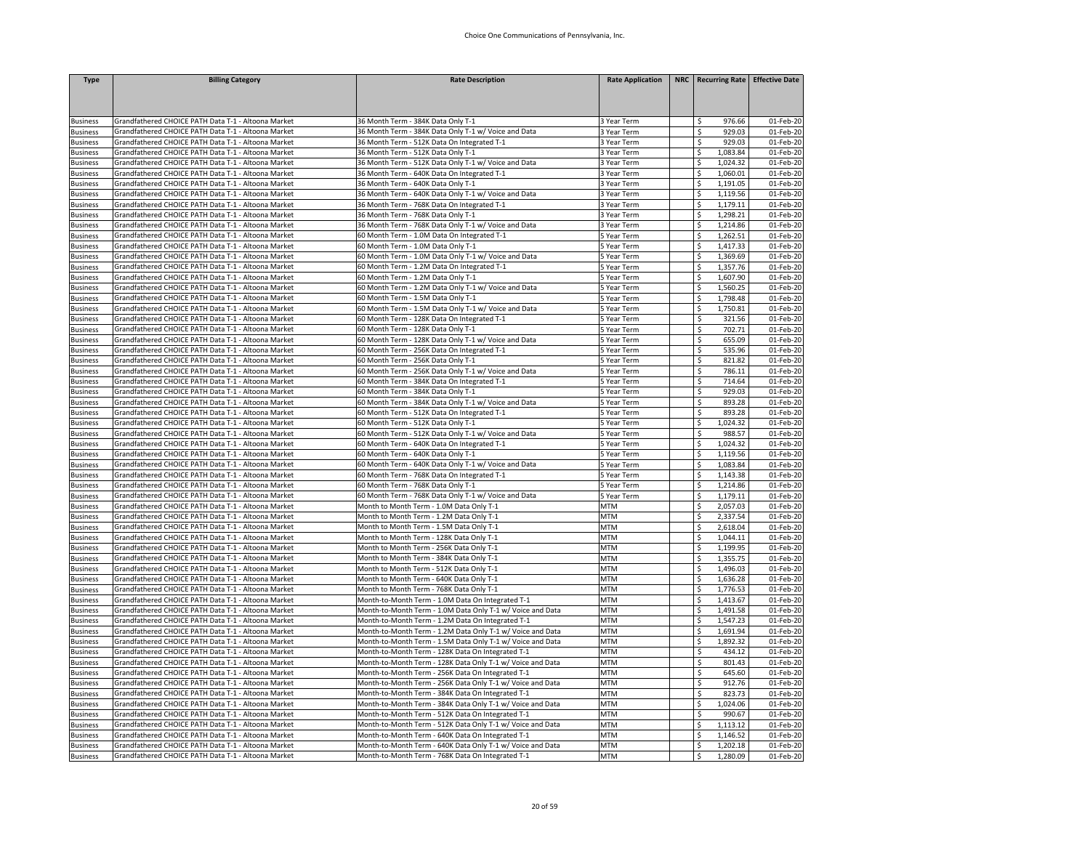| <b>Type</b>                        | <b>Billing Category</b>                                                                                    | <b>Rate Description</b>                                                                                         | <b>Rate Application</b> | NRC   Recurring Rate   Effective Date        |                         |
|------------------------------------|------------------------------------------------------------------------------------------------------------|-----------------------------------------------------------------------------------------------------------------|-------------------------|----------------------------------------------|-------------------------|
|                                    |                                                                                                            |                                                                                                                 |                         |                                              |                         |
| <b>Business</b>                    | Grandfathered CHOICE PATH Data T-1 - Altoona Market                                                        | 36 Month Term - 384K Data Only T-1                                                                              | 3 Year Term             | \$<br>976.66                                 | 01-Feb-20               |
| <b>Business</b>                    | Grandfathered CHOICE PATH Data T-1 - Altoona Market                                                        | 36 Month Term - 384K Data Only T-1 w/ Voice and Data                                                            | 3 Year Term             | 929.03<br>\$                                 | 01-Feb-20               |
| <b>Business</b>                    | Grandfathered CHOICE PATH Data T-1 - Altoona Market                                                        | 36 Month Term - 512K Data On Integrated T-1                                                                     | 3 Year Term             | \$<br>929.03                                 | 01-Feb-20               |
| <b>Business</b>                    | Grandfathered CHOICE PATH Data T-1 - Altoona Market                                                        | 36 Month Term - 512K Data Only T-1                                                                              | 3 Year Term             | \$<br>1,083.84                               | 01-Feb-20               |
| <b>Business</b>                    | Grandfathered CHOICE PATH Data T-1 - Altoona Market                                                        | 36 Month Term - 512K Data Only T-1 w/ Voice and Data                                                            | 3 Year Term             | \$<br>1,024.32                               | 01-Feb-20               |
| <b>Business</b>                    | Grandfathered CHOICE PATH Data T-1 - Altoona Market                                                        | 36 Month Term - 640K Data On Integrated T-1                                                                     | 3 Year Term             | \$<br>1,060.01                               | 01-Feb-20               |
| Business                           | Grandfathered CHOICE PATH Data T-1 - Altoona Market                                                        | 36 Month Term - 640K Data Only T-1                                                                              | 3 Year Term             | \$<br>1,191.05                               | 01-Feb-20               |
| <b>Business</b>                    | Grandfathered CHOICE PATH Data T-1 - Altoona Market                                                        | 36 Month Term - 640K Data Only T-1 w/ Voice and Data                                                            | 3 Year Term             | \$<br>1,119.56                               | 01-Feb-20               |
| <b>Business</b>                    | Grandfathered CHOICE PATH Data T-1 - Altoona Market                                                        | 36 Month Term - 768K Data On Integrated T-1                                                                     | 3 Year Term             | \$<br>1,179.11                               | 01-Feb-20               |
| <b>Business</b>                    | Grandfathered CHOICE PATH Data T-1 - Altoona Market                                                        | 36 Month Term - 768K Data Only T-1                                                                              | 3 Year Term             | \$<br>1,298.21                               | 01-Feb-20               |
| <b>Business</b>                    | Grandfathered CHOICE PATH Data T-1 - Altoona Market                                                        | 36 Month Term - 768K Data Only T-1 w/ Voice and Data                                                            | 3 Year Term             | \$<br>1,214.86                               | 01-Feb-20               |
| <b>Business</b>                    | Grandfathered CHOICE PATH Data T-1 - Altoona Market                                                        | 60 Month Term - 1.0M Data On Integrated T-1                                                                     | 5 Year Term             | \$<br>1,262.51                               | 01-Feb-20               |
| <b>Business</b>                    | Grandfathered CHOICE PATH Data T-1 - Altoona Market                                                        | 60 Month Term - 1.0M Data Only T-1                                                                              | 5 Year Term             | 1,417.33<br>\$                               | $\overline{01}$ -Feb-20 |
| Business                           | Grandfathered CHOICE PATH Data T-1 - Altoona Market                                                        | 60 Month Term - 1.0M Data Only T-1 w/ Voice and Data                                                            | 5 Year Term             | \$<br>1,369.69                               | 01-Feb-20               |
| <b>Business</b>                    | Grandfathered CHOICE PATH Data T-1 - Altoona Market                                                        | 60 Month Term - 1.2M Data On Integrated T-1                                                                     | Year Term               | \$<br>1,357.76                               | 01-Feb-20               |
| <b>Business</b>                    | Grandfathered CHOICE PATH Data T-1 - Altoona Market                                                        | 60 Month Term - 1.2M Data Only T-1                                                                              | S Year Term             | \$<br>1,607.90                               | 01-Feb-20               |
| <b>Business</b>                    | Grandfathered CHOICE PATH Data T-1 - Altoona Market                                                        | 60 Month Term - 1.2M Data Only T-1 w/ Voice and Data                                                            | S Year Term             | \$<br>1,560.25                               | 01-Feb-20               |
| <b>Business</b>                    | Grandfathered CHOICE PATH Data T-1 - Altoona Market                                                        | 60 Month Term - 1.5M Data Only T-1                                                                              | 5 Year Term             | $\overline{\mathcal{S}}$<br>1,798.48         | 01-Feb-20               |
| <b>Business</b>                    | Grandfathered CHOICE PATH Data T-1 - Altoona Market                                                        | 60 Month Term - 1.5M Data Only T-1 w/ Voice and Data                                                            | 5 Year Term             | 1,750.81<br>\$                               | 01-Feb-20               |
| <b>Business</b>                    | Grandfathered CHOICE PATH Data T-1 - Altoona Market                                                        | 60 Month Term - 128K Data On Integrated T-1                                                                     | 5 Year Term             | 321.56<br>\$                                 | 01-Feb-20               |
| <b>Business</b>                    | Grandfathered CHOICE PATH Data T-1 - Altoona Market                                                        | 60 Month Term - 128K Data Only T-1                                                                              | Year Term               | \$<br>702.71                                 | 01-Feb-20               |
| <b>Business</b>                    | Grandfathered CHOICE PATH Data T-1 - Altoona Market                                                        | 60 Month Term - 128K Data Only T-1 w/ Voice and Data                                                            | Year Term               | \$<br>655.09                                 | 01-Feb-20<br>01-Feb-20  |
| <b>Business</b>                    | Grandfathered CHOICE PATH Data T-1 - Altoona Market<br>Grandfathered CHOICE PATH Data T-1 - Altoona Market | 60 Month Term - 256K Data On Integrated T-1<br>60 Month Term - 256K Data Only T-1                               | Year Term<br>Year Term  | \$<br>535.96<br>\$<br>821.82                 | 01-Feb-20               |
| <b>Business</b><br><b>Business</b> | Grandfathered CHOICE PATH Data T-1 - Altoona Market                                                        | 60 Month Term - 256K Data Only T-1 w/ Voice and Data                                                            | S Year Term             | \$<br>786.11                                 | 01-Feb-20               |
| <b>Business</b>                    | Grandfathered CHOICE PATH Data T-1 - Altoona Market                                                        | 60 Month Term - 384K Data On Integrated T-1                                                                     | 5 Year Term             | \$<br>714.64                                 | 01-Feb-20               |
| <b>Business</b>                    | Grandfathered CHOICE PATH Data T-1 - Altoona Market                                                        | 60 Month Term - 384K Data Only T-1                                                                              | 5 Year Term             | \$<br>929.03                                 | 01-Feb-20               |
| <b>Business</b>                    | Grandfathered CHOICE PATH Data T-1 - Altoona Market                                                        | 60 Month Term - 384K Data Only T-1 w/ Voice and Data                                                            | S Year Term             | 893.28<br>\$                                 | 01-Feb-20               |
| <b>Business</b>                    | Grandfathered CHOICE PATH Data T-1 - Altoona Market                                                        | 60 Month Term - 512K Data On Integrated T-1                                                                     | 5 Year Term             | \$<br>893.28                                 | 01-Feb-20               |
| Business                           | Grandfathered CHOICE PATH Data T-1 - Altoona Market                                                        | 60 Month Term - 512K Data Only T-1                                                                              | 5 Year Term             | \$<br>1,024.32                               | 01-Feb-20               |
| <b>Business</b>                    | Grandfathered CHOICE PATH Data T-1 - Altoona Market                                                        | 60 Month Term - 512K Data Only T-1 w/ Voice and Data                                                            | 5 Year Term             | \$<br>988.57                                 | 01-Feb-20               |
| <b>Business</b>                    | Grandfathered CHOICE PATH Data T-1 - Altoona Market                                                        | 60 Month Term - 640K Data On Integrated T-1                                                                     | 5 Year Term             | \$<br>1,024.32                               | 01-Feb-20               |
| <b>Business</b>                    | Grandfathered CHOICE PATH Data T-1 - Altoona Market                                                        | 60 Month Term - 640K Data Only T-1                                                                              | 5 Year Term             | \$<br>1,119.56                               | 01-Feb-20               |
| <b>Business</b>                    | Grandfathered CHOICE PATH Data T-1 - Altoona Market                                                        | 60 Month Term - 640K Data Only T-1 w/ Voice and Data                                                            | 5 Year Term             | \$<br>1,083.84                               | 01-Feb-20               |
| <b>Business</b>                    | Grandfathered CHOICE PATH Data T-1 - Altoona Market                                                        | 60 Month Term - 768K Data On Integrated T-1                                                                     | S Year Term             | \$<br>1,143.38                               | 01-Feb-20               |
| <b>Business</b>                    | Grandfathered CHOICE PATH Data T-1 - Altoona Market                                                        | 60 Month Term - 768K Data Only T-1                                                                              | Year Term               | $\overline{\mathsf{S}}$<br>1,214.86          | 01-Feb-20               |
| <b>Business</b>                    | Grandfathered CHOICE PATH Data T-1 - Altoona Market                                                        | 60 Month Term - 768K Data Only T-1 w/ Voice and Data                                                            | S Year Term             | \$<br>1,179.11                               | 01-Feb-20               |
| <b>Business</b>                    | Grandfathered CHOICE PATH Data T-1 - Altoona Market                                                        | Month to Month Term - 1.0M Data Only T-1                                                                        | MTM                     | \$<br>2,057.03                               | 01-Feb-20               |
| <b>Business</b>                    | Grandfathered CHOICE PATH Data T-1 - Altoona Market                                                        | Month to Month Term - 1.2M Data Only T-1                                                                        | <b>MTM</b>              | \$<br>2,337.54                               | 01-Feb-20               |
| <b>Business</b>                    | Grandfathered CHOICE PATH Data T-1 - Altoona Market                                                        | Month to Month Term - 1.5M Data Only T-1                                                                        | <b>MTM</b>              | \$<br>2,618.04                               | 01-Feb-20               |
| <b>Business</b>                    | Grandfathered CHOICE PATH Data T-1 - Altoona Market                                                        | Month to Month Term - 128K Data Only T-1                                                                        | <b>MTM</b>              | \$<br>1,044.11                               | 01-Feb-20               |
| <b>Business</b>                    | Grandfathered CHOICE PATH Data T-1 - Altoona Market                                                        | Month to Month Term - 256K Data Only T-1                                                                        | <b>MTM</b>              | 1,199.95<br>\$                               | 01-Feb-20               |
| <b>Business</b>                    | Grandfathered CHOICE PATH Data T-1 - Altoona Market                                                        | Month to Month Term - 384K Data Only T-1                                                                        | <b>MTM</b>              | \$<br>1,355.75                               | 01-Feb-20               |
| <b>Business</b>                    | Grandfathered CHOICE PATH Data T-1 - Altoona Market                                                        | Month to Month Term - 512K Data Only T-1                                                                        | <b>MTM</b>              | \$<br>1,496.03                               | 01-Feb-20               |
| <b>Business</b>                    | Grandfathered CHOICE PATH Data T-1 - Altoona Market                                                        | Month to Month Term - 640K Data Only T-1                                                                        | <b>MTM</b>              | \$<br>1,636.28                               | 01-Feb-20               |
| <b>Business</b>                    | Grandfathered CHOICE PATH Data T-1 - Altoona Market                                                        | Month to Month Term - 768K Data Only T-1                                                                        | <b>MTM</b>              | \$<br>1,776.53                               | 01-Feb-20               |
| <b>Business</b>                    | Grandfathered CHOICE PATH Data T-1 - Altoona Market                                                        | Month-to-Month Term - 1.0M Data On Integrated T-1                                                               | <b>MTM</b>              | \$<br>1,413.67                               | 01-Feb-20               |
| <b>Business</b>                    | Grandfathered CHOICE PATH Data T-1 - Altoona Market                                                        | Month-to-Month Term - 1.0M Data Only T-1 w/ Voice and Data                                                      | <b>MTM</b>              | \$<br>1,491.58                               | 01-Feb-20               |
| <b>Business</b>                    | Grandfathered CHOICE PATH Data T-1 - Altoona Market                                                        | Month-to-Month Term - 1.2M Data On Integrated T-1                                                               | <b>MTM</b>              | \$<br>1,547.23                               | 01-Feb-20               |
| <b>Business</b>                    | Grandfathered CHOICE PATH Data T-1 - Altoona Market                                                        | Month-to-Month Term - 1.2M Data Only T-1 w/ Voice and Data                                                      | <b>MTM</b>              | Ś<br>1,691.94                                | 01-Feb-20               |
| <b>Business</b>                    | Grandfathered CHOICE PATH Data T-1 - Altoona Market                                                        | Month-to-Month Term - 1.5M Data Only T-1 w/ Voice and Data                                                      | <b>MTM</b>              | \$<br>1,892.32                               | 01-Feb-20               |
| <b>Business</b>                    | Grandfathered CHOICE PATH Data T-1 - Altoona Market                                                        | Month-to-Month Term - 128K Data On Integrated T-1                                                               | <b>MTM</b>              | \$<br>434.12                                 | 01-Feb-20               |
| <b>Business</b>                    | Grandfathered CHOICE PATH Data T-1 - Altoona Market                                                        | Month-to-Month Term - 128K Data Only T-1 w/ Voice and Data<br>Month-to-Month Term - 256K Data On Integrated T-1 | <b>MTM</b>              | \$<br>801.43                                 | 01-Feb-20               |
| <b>Business</b>                    | Grandfathered CHOICE PATH Data T-1 - Altoona Market                                                        |                                                                                                                 | MTM<br><b>MTM</b>       | $\overline{\mathcal{S}}$<br>645.60<br>912.76 | 01-Feb-20               |
| <b>Business</b>                    | Grandfathered CHOICE PATH Data T-1 - Altoona Market                                                        | Month-to-Month Term - 256K Data Only T-1 w/ Voice and Data                                                      | <b>MTM</b>              | \$                                           | 01-Feb-20               |
| <b>Business</b>                    | Grandfathered CHOICE PATH Data T-1 - Altoona Market<br>Grandfathered CHOICE PATH Data T-1 - Altoona Market | Month-to-Month Term - 384K Data On Integrated T-1<br>Month-to-Month Term - 384K Data Only T-1 w/ Voice and Data | <b>MTM</b>              | \$<br>823.73<br>\$<br>1,024.06               | 01-Feb-20<br>01-Feb-20  |
| <b>Business</b><br><b>Business</b> | Grandfathered CHOICE PATH Data T-1 - Altoona Market                                                        | Month-to-Month Term - 512K Data On Integrated T-1                                                               | <b>MTM</b>              | \$<br>990.67                                 | 01-Feb-20               |
| <b>Business</b>                    | Grandfathered CHOICE PATH Data T-1 - Altoona Market                                                        | Month-to-Month Term - 512K Data Only T-1 w/ Voice and Data                                                      | <b>MTM</b>              | \$<br>1,113.12                               | 01-Feb-20               |
| <b>Business</b>                    | Grandfathered CHOICE PATH Data T-1 - Altoona Market                                                        | Month-to-Month Term - 640K Data On Integrated T-1                                                               | <b>MTM</b>              | \$<br>1,146.52                               | 01-Feb-20               |
| <b>Business</b>                    | Grandfathered CHOICE PATH Data T-1 - Altoona Market                                                        | Month-to-Month Term - 640K Data Only T-1 w/ Voice and Data                                                      | <b>MTM</b>              | \$<br>1,202.18                               | 01-Feb-20               |
| <b>Business</b>                    | Grandfathered CHOICE PATH Data T-1 - Altoona Market                                                        | Month-to-Month Term - 768K Data On Integrated T-1                                                               | <b>MTM</b>              | Ŝ.<br>1,280.09                               | 01-Feb-20               |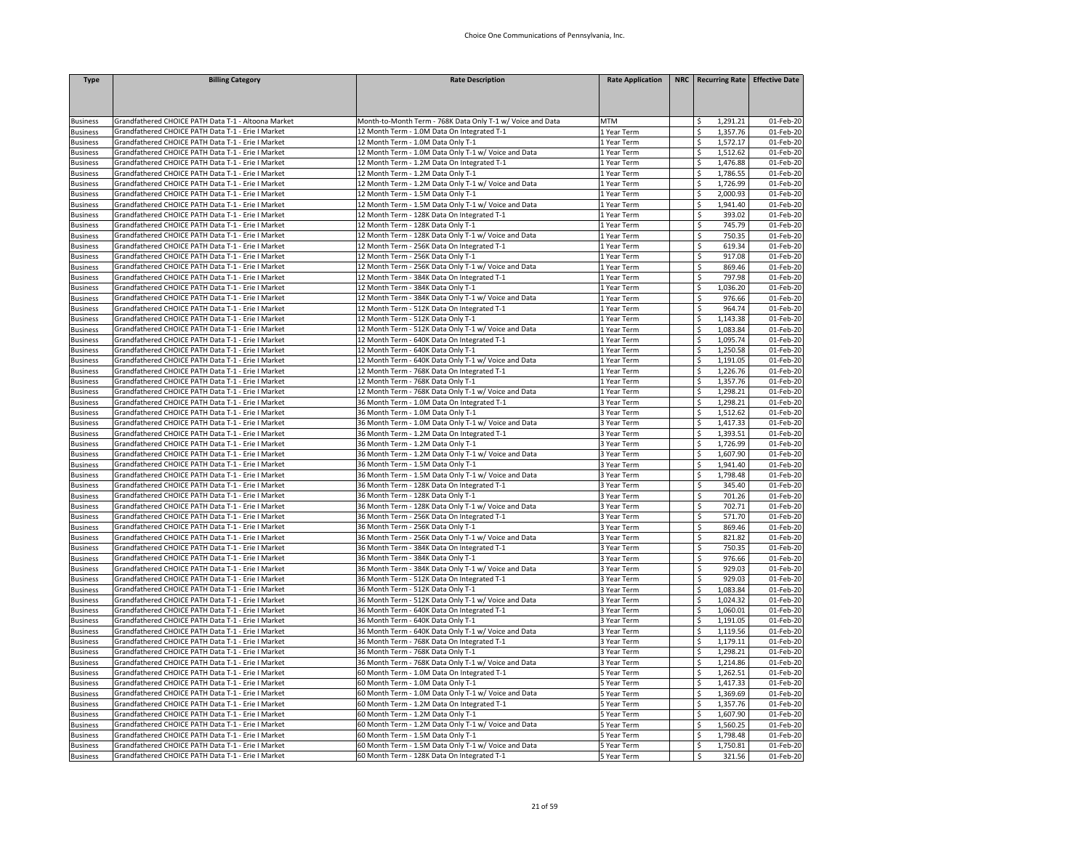| <b>Type</b>                        | <b>Billing Category</b>                                                                                   | <b>Rate Description</b>                                                                                   | <b>Rate Application</b>    | NRC   Recurring Rate   Effective Date |                        |
|------------------------------------|-----------------------------------------------------------------------------------------------------------|-----------------------------------------------------------------------------------------------------------|----------------------------|---------------------------------------|------------------------|
|                                    |                                                                                                           |                                                                                                           |                            |                                       |                        |
|                                    |                                                                                                           |                                                                                                           |                            |                                       |                        |
|                                    |                                                                                                           |                                                                                                           |                            |                                       |                        |
| <b>Business</b>                    | Grandfathered CHOICE PATH Data T-1 - Altoona Market<br>Grandfathered CHOICE PATH Data T-1 - Erie I Market | Month-to-Month Term - 768K Data Only T-1 w/ Voice and Data<br>12 Month Term - 1.0M Data On Integrated T-1 | MTM<br>1 Year Term         | 1,291.21<br>\$<br>\$<br>1,357.76      | 01-Feb-20<br>01-Feb-20 |
| <b>Business</b>                    | Grandfathered CHOICE PATH Data T-1 - Erie I Market                                                        | 12 Month Term - 1.0M Data Only T-1                                                                        |                            | \$<br>1,572.17                        | 01-Feb-20              |
| <b>Business</b><br><b>Business</b> | Grandfathered CHOICE PATH Data T-1 - Erie I Market                                                        | 12 Month Term - 1.0M Data Only T-1 w/ Voice and Data                                                      | 1 Year Term<br>1 Year Term | \$<br>1,512.62                        | 01-Feb-20              |
| <b>Business</b>                    | Grandfathered CHOICE PATH Data T-1 - Erie I Market                                                        | 12 Month Term - 1.2M Data On Integrated T-1                                                               | 1 Year Term                | \$<br>1,476.88                        | 01-Feb-20              |
| <b>Business</b>                    | Grandfathered CHOICE PATH Data T-1 - Erie I Market                                                        | 12 Month Term - 1.2M Data Only T-1                                                                        | 1 Year Term                | 1,786.55<br>\$                        | 01-Feb-20              |
| <b>Business</b>                    | Grandfathered CHOICE PATH Data T-1 - Erie I Market                                                        | 12 Month Term - 1.2M Data Only T-1 w/ Voice and Data                                                      | L Year Term                | \$<br>1,726.99                        | 01-Feb-20              |
| <b>Business</b>                    | Grandfathered CHOICE PATH Data T-1 - Erie I Market                                                        | 12 Month Term - 1.5M Data Only T-1                                                                        | 1 Year Term                | \$<br>2.000.93                        | 01-Feb-20              |
| <b>Business</b>                    | Grandfathered CHOICE PATH Data T-1 - Erie I Market                                                        | 12 Month Term - 1.5M Data Only T-1 w/ Voice and Data                                                      | 1 Year Term                | \$<br>1,941.40                        | 01-Feb-20              |
| <b>Business</b>                    | Grandfathered CHOICE PATH Data T-1 - Erie I Market                                                        | 12 Month Term - 128K Data On Integrated T-1                                                               | 1 Year Term                | \$<br>393.02                          | 01-Feb-20              |
| <b>Business</b>                    | Grandfathered CHOICE PATH Data T-1 - Erie I Market                                                        | 12 Month Term - 128K Data Only T-1                                                                        | 1 Year Term                | \$<br>745.79                          | 01-Feb-20              |
| <b>Business</b>                    | Grandfathered CHOICE PATH Data T-1 - Erie I Market                                                        | 12 Month Term - 128K Data Only T-1 w/ Voice and Data                                                      | 1 Year Term                | \$<br>750.35                          | 01-Feb-20              |
| <b>Business</b>                    | Grandfathered CHOICE PATH Data T-1 - Erie I Market                                                        | 12 Month Term - 256K Data On Integrated T-1                                                               | 1 Year Term                | \$<br>619.34                          | 01-Feb-20              |
| <b>Business</b>                    | Grandfathered CHOICE PATH Data T-1 - Erie I Market                                                        | 12 Month Term - 256K Data Only T-1                                                                        | 1 Year Term                | \$<br>917.08                          | 01-Feb-20              |
| <b>Business</b>                    | Grandfathered CHOICE PATH Data T-1 - Erie I Market                                                        | 12 Month Term - 256K Data Only T-1 w/ Voice and Data                                                      | LYear Term                 | \$<br>869.46                          | 01-Feb-20              |
| <b>Business</b>                    | Grandfathered CHOICE PATH Data T-1 - Erie I Market                                                        | 12 Month Term - 384K Data On Integrated T-1                                                               | L Year Term                | 797.98<br>\$                          | 01-Feb-20              |
| <b>Business</b>                    | Grandfathered CHOICE PATH Data T-1 - Erie I Market                                                        | 12 Month Term - 384K Data Only T-1                                                                        | Year Term                  | \$<br>1,036.20                        | 01-Feb-20              |
| <b>Business</b>                    | Grandfathered CHOICE PATH Data T-1 - Erie I Market                                                        | 12 Month Term - 384K Data Only T-1 w/ Voice and Data                                                      | 1 Year Term                | \$<br>976.66                          | 01-Feb-20              |
| <b>Business</b>                    | Grandfathered CHOICE PATH Data T-1 - Erie I Market                                                        | 12 Month Term - 512K Data On Integrated T-1                                                               | 1 Year Term                | \$<br>964.74                          | 01-Feb-20              |
| <b>Business</b>                    | Grandfathered CHOICE PATH Data T-1 - Erie I Market                                                        | 12 Month Term - 512K Data Only T-1                                                                        | 1 Year Term                | \$<br>1,143.38                        | 01-Feb-20              |
| <b>Business</b>                    | Grandfathered CHOICE PATH Data T-1 - Erie I Market                                                        | 12 Month Term - 512K Data Only T-1 w/ Voice and Data                                                      | 1 Year Term                | \$<br>1,083.84                        | 01-Feb-20              |
| <b>Business</b>                    | Grandfathered CHOICE PATH Data T-1 - Erie I Market                                                        | 12 Month Term - 640K Data On Integrated T-1                                                               | 1 Year Term                | \$<br>1,095.74                        | 01-Feb-20              |
| <b>Business</b>                    | Grandfathered CHOICE PATH Data T-1 - Erie I Market                                                        | 12 Month Term - 640K Data Only T-1                                                                        | 1 Year Term                | 1,250.58<br>\$                        | 01-Feb-20              |
| <b>Business</b>                    | Grandfathered CHOICE PATH Data T-1 - Erie I Market                                                        | 12 Month Term - 640K Data Only T-1 w/ Voice and Data                                                      | 1 Year Term                | \$<br>1,191.05                        | 01-Feb-20              |
| <b>Business</b>                    | Grandfathered CHOICE PATH Data T-1 - Erie I Market                                                        | 12 Month Term - 768K Data On Integrated T-1                                                               | 1 Year Term                | \$<br>1,226.76                        | 01-Feb-20              |
| <b>Business</b>                    | Grandfathered CHOICE PATH Data T-1 - Erie I Market                                                        | 12 Month Term - 768K Data Only T-1                                                                        | 1 Year Term                | \$<br>1,357.76                        | 01-Feb-20              |
| <b>Business</b>                    | Grandfathered CHOICE PATH Data T-1 - Erie I Market                                                        | 12 Month Term - 768K Data Only T-1 w/ Voice and Data                                                      | 1 Year Term                | 1,298.21<br>\$                        | 01-Feb-20              |
| <b>Business</b>                    | Grandfathered CHOICE PATH Data T-1 - Erie I Market                                                        | 36 Month Term - 1.0M Data On Integrated T-1                                                               | 3 Year Term                | \$<br>1,298.21                        | 01-Feb-20              |
| <b>Business</b>                    | Grandfathered CHOICE PATH Data T-1 - Erie I Market                                                        | 36 Month Term - 1.0M Data Only T-1                                                                        | 3 Year Term                | \$<br>1,512.62                        | 01-Feb-20              |
| <b>Business</b>                    | Grandfathered CHOICE PATH Data T-1 - Erie I Market                                                        | 36 Month Term - 1.0M Data Only T-1 w/ Voice and Data                                                      | 3 Year Term                | \$<br>1,417.33                        | 01-Feb-20              |
| <b>Business</b>                    | Grandfathered CHOICE PATH Data T-1 - Erie I Market                                                        | 36 Month Term - 1.2M Data On Integrated T-1                                                               | 3 Year Term                | \$<br>1,393.51                        | 01-Feb-20              |
| <b>Business</b>                    | Grandfathered CHOICE PATH Data T-1 - Erie I Market                                                        | 36 Month Term - 1.2M Data Only T-1                                                                        | 3 Year Term                | \$<br>1,726.99                        | 01-Feb-20              |
| <b>Business</b>                    | Grandfathered CHOICE PATH Data T-1 - Erie I Market                                                        | 36 Month Term - 1.2M Data Only T-1 w/ Voice and Data                                                      | 3 Year Term                | \$<br>1,607.90                        | 01-Feb-20              |
| <b>Business</b>                    | Grandfathered CHOICE PATH Data T-1 - Erie I Market                                                        | 36 Month Term - 1.5M Data Only T-1                                                                        | 3 Year Term                | 1,941.40<br>\$                        | 01-Feb-20              |
| <b>Business</b>                    | Grandfathered CHOICE PATH Data T-1 - Erie I Market                                                        | 36 Month Term - 1.5M Data Only T-1 w/ Voice and Data                                                      | 3 Year Term                | \$<br>1,798.48                        | 01-Feb-20              |
| <b>Business</b>                    | Grandfathered CHOICE PATH Data T-1 - Erie I Market<br>Grandfathered CHOICE PATH Data T-1 - Erie I Market  | 36 Month Term - 128K Data On Integrated T-1<br>36 Month Term - 128K Data Only T-1                         | 3 Year Term<br>3 Year Term | \$<br>345.40<br>\$<br>701.26          | 01-Feb-20<br>01-Feb-20 |
| <b>Business</b>                    | Grandfathered CHOICE PATH Data T-1 - Erie I Market                                                        | 36 Month Term - 128K Data Only T-1 w/ Voice and Data                                                      |                            | 702.71                                |                        |
| <b>Business</b><br><b>Business</b> | Grandfathered CHOICE PATH Data T-1 - Erie I Market                                                        | 36 Month Term - 256K Data On Integrated T-1                                                               | 3 Year Term<br>3 Year Term | \$<br>\$<br>571.70                    | 01-Feb-20<br>01-Feb-20 |
| <b>Business</b>                    | Grandfathered CHOICE PATH Data T-1 - Erie I Market                                                        | 36 Month Term - 256K Data Only T-1                                                                        | 3 Year Term                | \$<br>869.46                          | 01-Feb-20              |
| <b>Business</b>                    | Grandfathered CHOICE PATH Data T-1 - Erie I Market                                                        | 36 Month Term - 256K Data Only T-1 w/ Voice and Data                                                      | 3 Year Term                | \$<br>821.82                          | 01-Feb-20              |
| <b>Business</b>                    | Grandfathered CHOICE PATH Data T-1 - Erie I Market                                                        | 36 Month Term - 384K Data On Integrated T-1                                                               | 3 Year Term                | 750.35<br>\$                          | $01$ -Feb-20           |
| <b>Business</b>                    | Grandfathered CHOICE PATH Data T-1 - Erie I Market                                                        | 36 Month Term - 384K Data Only T-1                                                                        | 3 Year Term                | \$<br>976.66                          | 01-Feb-20              |
| <b>Business</b>                    | Grandfathered CHOICE PATH Data T-1 - Erie I Market                                                        | 86 Month Term - 384K Data Only T-1 w/ Voice and Data                                                      | 3 Year Term                | 929.03<br>\$                          | 01-Feb-20              |
| <b>Business</b>                    | Grandfathered CHOICE PATH Data T-1 - Erie I Market                                                        | 36 Month Term - 512K Data On Integrated T-1                                                               | 3 Year Term                | \$<br>929.03                          | 01-Feb-20              |
| <b>Business</b>                    | Grandfathered CHOICE PATH Data T-1 - Erie I Market                                                        | 36 Month Term - 512K Data Only T-1                                                                        | 3 Year Term                | \$<br>1,083.84                        | 01-Feb-20              |
| <b>Business</b>                    | Grandfathered CHOICE PATH Data T-1 - Erie I Market                                                        | 36 Month Term - 512K Data Only T-1 w/ Voice and Data                                                      | 3 Year Term                | $\overline{\xi}$<br>1,024.32          | 01-Feb-20              |
| <b>Business</b>                    | Grandfathered CHOICE PATH Data T-1 - Erie I Market                                                        | 36 Month Term - 640K Data On Integrated T-1                                                               | 3 Year Term                | \$<br>1,060.01                        | 01-Feb-20              |
| <b>Business</b>                    | Grandfathered CHOICE PATH Data T-1 - Erie I Market                                                        | 36 Month Term - 640K Data Only T-1                                                                        | 3 Year Term                | \$<br>1,191.05                        | 01-Feb-20              |
| <b>Business</b>                    | Grandfathered CHOICE PATH Data T-1 - Erie I Market                                                        | 36 Month Term - 640K Data Only T-1 w/ Voice and Data                                                      | 3 Year Term                | \$<br>1,119.56                        | 01-Feb-20              |
| <b>Business</b>                    | Grandfathered CHOICE PATH Data T-1 - Erie I Market                                                        | 36 Month Term - 768K Data On Integrated T-1                                                               | 3 Year Term                | \$<br>1,179.11                        | 01-Feb-20              |
| <b>Business</b>                    | Grandfathered CHOICE PATH Data T-1 - Erie I Market                                                        | 36 Month Term - 768K Data Only T-1                                                                        | 3 Year Term                | \$<br>1,298.21                        | 01-Feb-20              |
| <b>Business</b>                    | Grandfathered CHOICE PATH Data T-1 - Erie I Market                                                        | 36 Month Term - 768K Data Only T-1 w/ Voice and Data                                                      | 3 Year Term                | \$<br>1,214.86                        | 01-Feb-20              |
| <b>Business</b>                    | Grandfathered CHOICE PATH Data T-1 - Erie I Market                                                        | 60 Month Term - 1.0M Data On Integrated T-1                                                               | 5 Year Term                | $\overline{\xi}$<br>1,262.51          | 01-Feb-20              |
| <b>Business</b>                    | Grandfathered CHOICE PATH Data T-1 - Erie I Market                                                        | 60 Month Term - 1.0M Data Only T-1                                                                        | 5 Year Term                | \$<br>1,417.33                        | 01-Feb-20              |
| <b>Business</b>                    | Grandfathered CHOICE PATH Data T-1 - Erie I Market                                                        | 60 Month Term - 1.0M Data Only T-1 w/ Voice and Data                                                      | 5 Year Term                | \$<br>1,369.69                        | 01-Feb-20              |
| <b>Business</b>                    | Grandfathered CHOICE PATH Data T-1 - Erie I Market                                                        | 60 Month Term - 1.2M Data On Integrated T-1                                                               | 5 Year Term                | \$<br>1,357.76                        | 01-Feb-20              |
| <b>Business</b>                    | Grandfathered CHOICE PATH Data T-1 - Erie I Market                                                        | 60 Month Term - 1.2M Data Only T-1                                                                        | 5 Year Term                | \$<br>1,607.90                        | 01-Feb-20              |
| <b>Business</b>                    | Grandfathered CHOICE PATH Data T-1 - Erie I Market                                                        | 60 Month Term - 1.2M Data Only T-1 w/ Voice and Data                                                      | 5 Year Term                | \$<br>1,560.25                        | 01-Feb-20              |
| <b>Business</b>                    | Grandfathered CHOICE PATH Data T-1 - Erie I Market                                                        | 60 Month Term - 1.5M Data Only T-1                                                                        | 5 Year Term                | 1,798.48<br>\$                        | 01-Feb-20              |
| <b>Business</b>                    | Grandfathered CHOICE PATH Data T-1 - Erie I Market                                                        | 60 Month Term - 1.5M Data Only T-1 w/ Voice and Data                                                      | 5 Year Term                | \$<br>1,750.81                        | 01-Feb-20              |
| <b>Business</b>                    | Grandfathered CHOICE PATH Data T-1 - Erie I Market                                                        | 60 Month Term - 128K Data On Integrated T-1                                                               | 5 Year Term                | Ŝ.<br>321.56                          | 01-Feb-20              |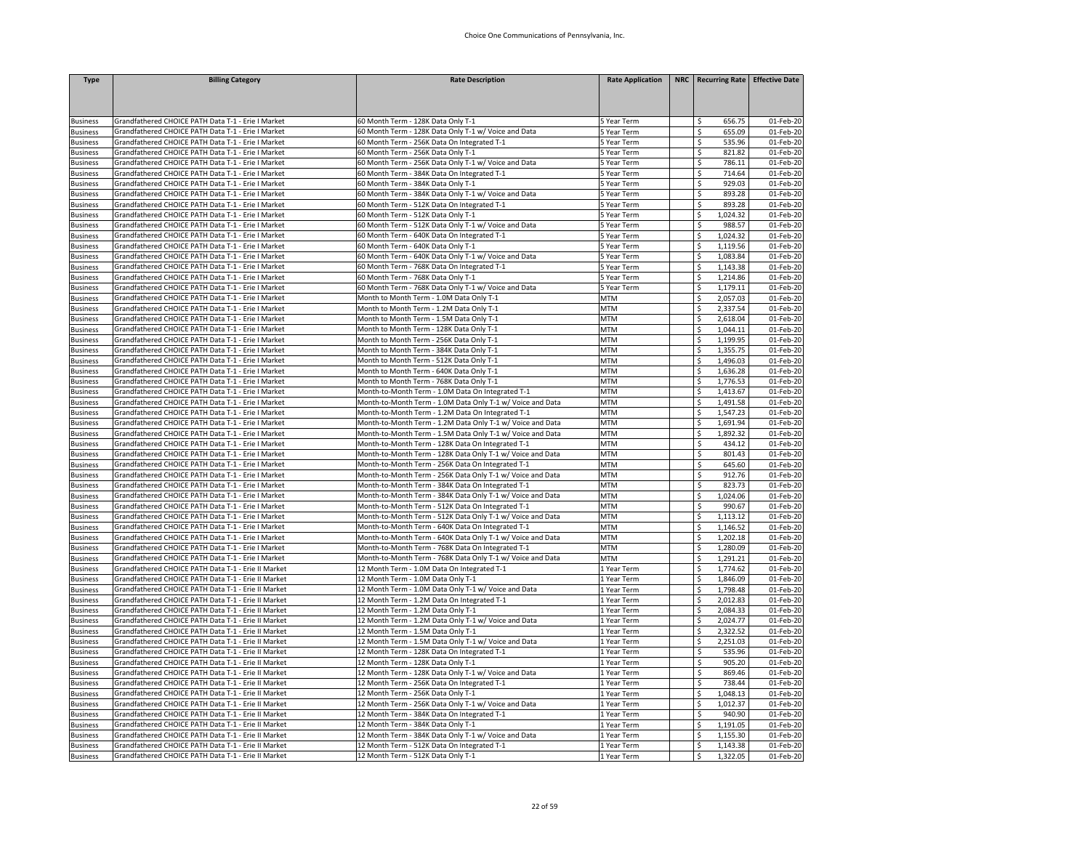| <b>Type</b>                        | <b>Billing Category</b>                                                                                  | <b>Rate Description</b>                                                                                         | <b>Rate Application</b>    | NRC   Recurring Rate   Effective Date |                        |
|------------------------------------|----------------------------------------------------------------------------------------------------------|-----------------------------------------------------------------------------------------------------------------|----------------------------|---------------------------------------|------------------------|
|                                    |                                                                                                          |                                                                                                                 |                            |                                       |                        |
|                                    |                                                                                                          |                                                                                                                 |                            |                                       |                        |
| <b>Business</b>                    | Grandfathered CHOICE PATH Data T-1 - Erie I Market                                                       | 60 Month Term - 128K Data Only T-1                                                                              | 5 Year Term                | \$<br>656.75                          | 01-Feb-20              |
| <b>Business</b>                    | Grandfathered CHOICE PATH Data T-1 - Erie I Market                                                       | 60 Month Term - 128K Data Only T-1 w/ Voice and Data                                                            | 5 Year Term                | \$<br>655.09                          | 01-Feb-20              |
| <b>Business</b>                    | Grandfathered CHOICE PATH Data T-1 - Erie I Market                                                       | 60 Month Term - 256K Data On Integrated T-1                                                                     | S Year Term                | \$<br>535.96                          | 01-Feb-20              |
| <b>Business</b>                    | Grandfathered CHOICE PATH Data T-1 - Erie I Market                                                       | 60 Month Term - 256K Data Only T-1                                                                              | 5 Year Term                | \$<br>821.82                          | 01-Feb-20              |
| <b>Business</b>                    | Grandfathered CHOICE PATH Data T-1 - Erie I Market                                                       | 60 Month Term - 256K Data Only T-1 w/ Voice and Data                                                            | 5 Year Term                | \$<br>786.11                          | 01-Feb-20              |
| <b>Business</b>                    | Grandfathered CHOICE PATH Data T-1 - Erie I Market                                                       | 60 Month Term - 384K Data On Integrated T-1                                                                     | S Year Term                | \$<br>714.64                          | 01-Feb-20              |
| <b>Business</b>                    | Grandfathered CHOICE PATH Data T-1 - Erie I Market                                                       | 60 Month Term - 384K Data Only T-1                                                                              | Year Term                  | \$<br>929.03                          | 01-Feb-20              |
| <b>Business</b>                    | Grandfathered CHOICE PATH Data T-1 - Erie I Market                                                       | 60 Month Term - 384K Data Only T-1 w/ Voice and Data                                                            | 5 Year Term                | \$<br>893.28                          | 01-Feb-20              |
| <b>Business</b>                    | Grandfathered CHOICE PATH Data T-1 - Erie I Market                                                       | 60 Month Term - 512K Data On Integrated T-1                                                                     | 5 Year Term                | \$<br>893.28                          | 01-Feb-20              |
| <b>Business</b>                    | Grandfathered CHOICE PATH Data T-1 - Erie I Market                                                       | 60 Month Term - 512K Data Only T-1                                                                              | Year Term                  | \$<br>1,024.32<br>988.57              | 01-Feb-20              |
| <b>Business</b>                    | Grandfathered CHOICE PATH Data T-1 - Erie I Market<br>Grandfathered CHOICE PATH Data T-1 - Erie I Market | 60 Month Term - 512K Data Only T-1 w/ Voice and Data<br>60 Month Term - 640K Data On Integrated T-1             | 5 Year Term<br>5 Year Term | \$<br>\$<br>1,024.32                  | 01-Feb-20<br>01-Feb-20 |
| <b>Business</b><br><b>Business</b> | Grandfathered CHOICE PATH Data T-1 - Erie I Market                                                       | 60 Month Term - 640K Data Only T-1                                                                              | 5 Year Term                | \$<br>1,119.56                        | 01-Feb-20              |
| <b>Business</b>                    | Grandfathered CHOICE PATH Data T-1 - Erie I Market                                                       | 60 Month Term - 640K Data Only T-1 w/ Voice and Data                                                            | SYear Term                 | \$<br>1,083.84                        | 01-Feb-20              |
| <b>Business</b>                    | Grandfathered CHOICE PATH Data T-1 - Erie I Market                                                       | 60 Month Term - 768K Data On Integrated T-1                                                                     | Year Term                  | \$<br>1,143.38                        | 01-Feb-20              |
| <b>Business</b>                    | Grandfathered CHOICE PATH Data T-1 - Erie I Market                                                       | 60 Month Term - 768K Data Only T-1                                                                              | SYear Term                 | \$<br>1,214.86                        | 01-Feb-20              |
| <b>Business</b>                    | Grandfathered CHOICE PATH Data T-1 - Erie I Market                                                       | 60 Month Term - 768K Data Only T-1 w/ Voice and Data                                                            | 5 Year Term                | \$<br>1,179.11                        | 01-Feb-20              |
| <b>Business</b>                    | Grandfathered CHOICE PATH Data T-1 - Erie I Market                                                       | Month to Month Term - 1.0M Data Only T-1                                                                        | <b>MTM</b>                 | \$<br>2,057.03                        | 01-Feb-20              |
| <b>Business</b>                    | Grandfathered CHOICE PATH Data T-1 - Erie I Market                                                       | Month to Month Term - 1.2M Data Only T-1                                                                        | <b>MTM</b>                 | \$<br>2,337.54                        | 01-Feb-20              |
| <b>Business</b>                    | Grandfathered CHOICE PATH Data T-1 - Erie I Market                                                       | Month to Month Term - 1.5M Data Only T-1                                                                        | <b>MTM</b>                 | \$<br>2,618.04                        | 01-Feb-20              |
| <b>Business</b>                    | Grandfathered CHOICE PATH Data T-1 - Erie I Market                                                       | Month to Month Term - 128K Data Only T-1                                                                        | <b>MTM</b>                 | \$<br>1,044.11                        | 01-Feb-20              |
| <b>Business</b>                    | Grandfathered CHOICE PATH Data T-1 - Erie I Market                                                       | Month to Month Term - 256K Data Only T-1                                                                        | <b>MTM</b>                 | \$<br>1,199.95                        | 01-Feb-20              |
| <b>Business</b>                    | Grandfathered CHOICE PATH Data T-1 - Erie I Market                                                       | Month to Month Term - 384K Data Only T-1                                                                        | <b>MTM</b>                 | \$<br>1,355.75                        | 01-Feb-20              |
| <b>Business</b>                    | Grandfathered CHOICE PATH Data T-1 - Erie I Market                                                       | Month to Month Term - 512K Data Only T-1                                                                        | <b>MTM</b>                 | \$<br>1,496.03                        | 01-Feb-20              |
| <b>Business</b>                    | Grandfathered CHOICE PATH Data T-1 - Erie I Market                                                       | Month to Month Term - 640K Data Only T-1                                                                        | <b>MTM</b>                 | \$<br>1,636.28                        | 01-Feb-20              |
| <b>Business</b>                    | Grandfathered CHOICE PATH Data T-1 - Erie I Market                                                       | Month to Month Term - 768K Data Only T-1                                                                        | <b>MTM</b>                 | \$<br>1,776.53                        | 01-Feb-20              |
| <b>Business</b>                    | Grandfathered CHOICE PATH Data T-1 - Erie I Market                                                       | Month-to-Month Term - 1.0M Data On Integrated T-1                                                               | <b>MTM</b>                 | \$<br>1,413.67                        | 01-Feb-20              |
| <b>Business</b>                    | Grandfathered CHOICE PATH Data T-1 - Erie I Market                                                       | Month-to-Month Term - 1.0M Data Only T-1 w/ Voice and Data                                                      | <b>MTM</b>                 | 1,491.58<br>\$                        | 01-Feb-20              |
| <b>Business</b>                    | Grandfathered CHOICE PATH Data T-1 - Erie I Market                                                       | Month-to-Month Term - 1.2M Data On Integrated T-1                                                               | <b>MTM</b>                 | \$<br>1,547.23                        | 01-Feb-20              |
| <b>Business</b>                    | Grandfathered CHOICE PATH Data T-1 - Erie I Market                                                       | Month-to-Month Term - 1.2M Data Only T-1 w/ Voice and Data                                                      | <b>MTM</b>                 | \$<br>1,691.94                        | 01-Feb-20              |
| <b>Business</b>                    | Grandfathered CHOICE PATH Data T-1 - Erie I Market                                                       | Month-to-Month Term - 1.5M Data Only T-1 w/ Voice and Data                                                      | <b>MTM</b>                 | \$<br>1,892.32                        | 01-Feb-20              |
| <b>Business</b>                    | Grandfathered CHOICE PATH Data T-1 - Erie I Market                                                       | Month-to-Month Term - 128K Data On Integrated T-1                                                               | <b>MTM</b>                 | \$<br>434.12                          | 01-Feb-20              |
| <b>Business</b>                    | Grandfathered CHOICE PATH Data T-1 - Erie I Market                                                       | Month-to-Month Term - 128K Data Only T-1 w/ Voice and Data                                                      | <b>MTM</b>                 | \$<br>801.43                          | 01-Feb-20              |
| <b>Business</b>                    | Grandfathered CHOICE PATH Data T-1 - Erie I Market                                                       | Month-to-Month Term - 256K Data On Integrated T-1                                                               | <b>MTM</b>                 | \$<br>645.60                          | 01-Feb-20              |
| <b>Business</b>                    | Grandfathered CHOICE PATH Data T-1 - Erie I Market                                                       | Month-to-Month Term - 256K Data Only T-1 w/ Voice and Data                                                      | <b>MTM</b>                 | \$<br>912.76                          | 01-Feb-20              |
| <b>Business</b>                    | Grandfathered CHOICE PATH Data T-1 - Erie I Market                                                       | Month-to-Month Term - 384K Data On Integrated T-1                                                               | <b>MTM</b>                 | \$<br>823.73                          | 01-Feb-20              |
| <b>Business</b>                    | Grandfathered CHOICE PATH Data T-1 - Erie I Market                                                       | Month-to-Month Term - 384K Data Only T-1 w/ Voice and Data                                                      | <b>MTM</b>                 | \$<br>1,024.06                        | 01-Feb-20              |
| <b>Business</b>                    | Grandfathered CHOICE PATH Data T-1 - Erie I Market                                                       | Month-to-Month Term - 512K Data On Integrated T-1                                                               | <b>MTM</b>                 | \$<br>990.67                          | 01-Feb-20              |
| <b>Business</b>                    | Grandfathered CHOICE PATH Data T-1 - Erie I Market                                                       | Month-to-Month Term - 512K Data Only T-1 w/ Voice and Data                                                      | <b>MTM</b>                 | \$<br>1,113.12                        | 01-Feb-20              |
| <b>Business</b>                    | Grandfathered CHOICE PATH Data T-1 - Erie I Market                                                       | Month-to-Month Term - 640K Data On Integrated T-1                                                               | <b>MTM</b>                 | \$<br>1,146.52                        | 01-Feb-20              |
| <b>Business</b>                    | Grandfathered CHOICE PATH Data T-1 - Erie I Market                                                       | Month-to-Month Term - 640K Data Only T-1 w/ Voice and Data                                                      | <b>MTM</b><br><b>MTM</b>   | \$<br>1,202.18                        | 01-Feb-20              |
| <b>Business</b><br><b>Business</b> | Grandfathered CHOICE PATH Data T-1 - Erie I Market<br>Grandfathered CHOICE PATH Data T-1 - Erie I Market | Month-to-Month Term - 768K Data On Integrated T-1<br>Month-to-Month Term - 768K Data Only T-1 w/ Voice and Data | MTM                        | \$<br>1,280.09<br>\$<br>1,291.21      | 01-Feb-20<br>01-Feb-20 |
| <b>Business</b>                    | Grandfathered CHOICE PATH Data T-1 - Erie II Market                                                      | 12 Month Term - 1.0M Data On Integrated T-1                                                                     | L Year Term                | 1,774.62<br>\$                        | 01-Feb-20              |
| <b>Business</b>                    | Grandfathered CHOICE PATH Data T-1 - Erie II Market                                                      | 12 Month Term - 1.0M Data Only T-1                                                                              | Year Term                  | 1,846.09<br>\$                        | 01-Feb-20              |
| <b>Business</b>                    | Grandfathered CHOICE PATH Data T-1 - Erie II Market                                                      | 12 Month Term - 1.0M Data Only T-1 w/ Voice and Data                                                            | Year Term                  | \$<br>1,798.48                        | 01-Feb-20              |
| <b>Business</b>                    | Grandfathered CHOICE PATH Data T-1 - Erie II Market                                                      | 12 Month Term - 1.2M Data On Integrated T-1                                                                     | L Year Term                | \$<br>2,012.83                        | 01-Feb-20              |
| <b>Business</b>                    | Grandfathered CHOICE PATH Data T-1 - Erie II Market                                                      | 12 Month Term - 1.2M Data Only T-1                                                                              | L Year Term                | \$<br>2,084.33                        | 01-Feb-20              |
| <b>Business</b>                    | Grandfathered CHOICE PATH Data T-1 - Erie II Market                                                      | 12 Month Term - 1.2M Data Only T-1 w/ Voice and Data                                                            | 1 Year Term                | \$<br>2,024.77                        | 01-Feb-20              |
| <b>Business</b>                    | Grandfathered CHOICE PATH Data T-1 - Erie II Market                                                      | 12 Month Term - 1.5M Data Only T-1                                                                              | Year Term                  | 2,322.52<br>\$                        | 01-Feb-20              |
| <b>Business</b>                    | Grandfathered CHOICE PATH Data T-1 - Erie II Market                                                      | 12 Month Term - 1.5M Data Only T-1 w/ Voice and Data                                                            | L Year Term                | \$<br>2,251.03                        | 01-Feb-20              |
| <b>Business</b>                    | Grandfathered CHOICE PATH Data T-1 - Erie II Market                                                      | 12 Month Term - 128K Data On Integrated T-1                                                                     | Year Term                  | \$<br>535.96                          | 01-Feb-20              |
| <b>Business</b>                    | Grandfathered CHOICE PATH Data T-1 - Erie II Market                                                      | 12 Month Term - 128K Data Only T-1                                                                              | Year Term                  | \$<br>905.20                          | 01-Feb-20              |
| <b>Business</b>                    | Grandfathered CHOICE PATH Data T-1 - Erie II Market                                                      | 12 Month Term - 128K Data Only T-1 w/ Voice and Data                                                            | Year Term                  | \$<br>869.46                          | 01-Feb-20              |
| <b>Business</b>                    | Grandfathered CHOICE PATH Data T-1 - Erie II Market                                                      | 12 Month Term - 256K Data On Integrated T-1                                                                     | Year Term                  | \$<br>738.44                          | 01-Feb-20              |
| <b>Business</b>                    | Grandfathered CHOICE PATH Data T-1 - Erie II Market                                                      | 12 Month Term - 256K Data Only T-1                                                                              | L Year Term                | \$<br>1,048.13                        | 01-Feb-20              |
| <b>Business</b>                    | Grandfathered CHOICE PATH Data T-1 - Erie II Market                                                      | 12 Month Term - 256K Data Only T-1 w/ Voice and Data                                                            | Year Term                  | \$<br>1,012.37                        | 01-Feb-20              |
| <b>Business</b>                    | Grandfathered CHOICE PATH Data T-1 - Erie II Market                                                      | 12 Month Term - 384K Data On Integrated T-1                                                                     | Year Term                  | \$<br>940.90                          | 01-Feb-20              |
| <b>Business</b>                    | Grandfathered CHOICE PATH Data T-1 - Erie II Market                                                      | 12 Month Term - 384K Data Only T-1                                                                              | Year Term                  | \$<br>1,191.05                        | 01-Feb-20              |
| <b>Business</b>                    | Grandfathered CHOICE PATH Data T-1 - Erie II Market                                                      | 12 Month Term - 384K Data Only T-1 w/ Voice and Data                                                            | L Year Term                | \$<br>1,155.30                        | 01-Feb-20              |
| <b>Business</b>                    | Grandfathered CHOICE PATH Data T-1 - Erie II Market                                                      | 12 Month Term - 512K Data On Integrated T-1                                                                     | L Year Term                | \$<br>1,143.38                        | 01-Feb-20              |
| <b>Business</b>                    | Grandfathered CHOICE PATH Data T-1 - Erie II Market                                                      | 12 Month Term - 512K Data Only T-1                                                                              | 1 Year Term                | \$<br>1,322.05                        | 01-Feb-20              |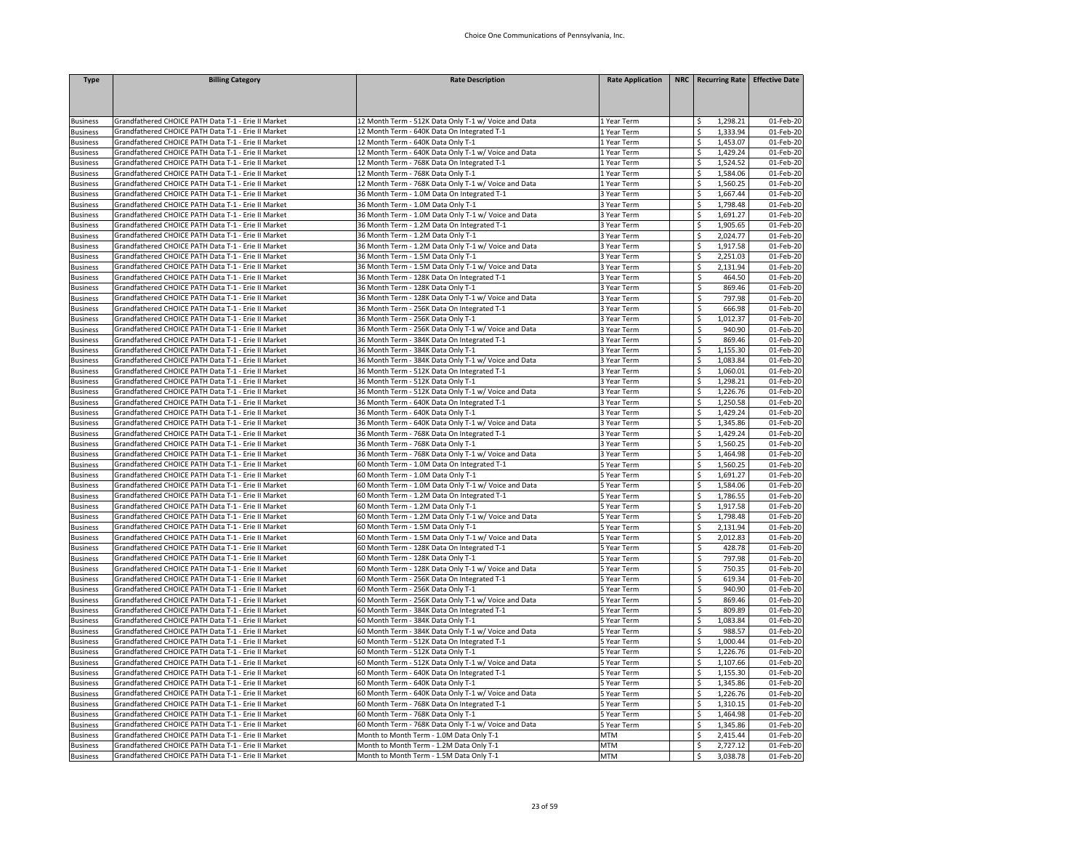| <b>Type</b>                        | <b>Billing Category</b>                                                                                    | <b>Rate Description</b>                                                                             | <b>Rate Application</b>    | NRC   Recurring Rate   Effective Date |                        |
|------------------------------------|------------------------------------------------------------------------------------------------------------|-----------------------------------------------------------------------------------------------------|----------------------------|---------------------------------------|------------------------|
|                                    |                                                                                                            |                                                                                                     |                            |                                       |                        |
|                                    |                                                                                                            |                                                                                                     |                            |                                       |                        |
|                                    |                                                                                                            |                                                                                                     |                            |                                       | $01$ -Feb-20           |
| <b>Business</b><br><b>Business</b> | Grandfathered CHOICE PATH Data T-1 - Erie II Market<br>Grandfathered CHOICE PATH Data T-1 - Erie II Market | 12 Month Term - 512K Data Only T-1 w/ Voice and Data<br>12 Month Term - 640K Data On Integrated T-1 | 1 Year Term<br>1 Year Term | 1,298.21<br>\$<br>\$<br>1,333.94      | 01-Feb-20              |
| <b>Business</b>                    | Grandfathered CHOICE PATH Data T-1 - Erie II Market                                                        | 12 Month Term - 640K Data Only T-1                                                                  | Year Term                  | \$<br>1,453.07                        | 01-Feb-20              |
| <b>Business</b>                    | Grandfathered CHOICE PATH Data T-1 - Erie II Market                                                        | 12 Month Term - 640K Data Only T-1 w/ Voice and Data                                                | 1 Year Term                | \$<br>1,429.24                        | 01-Feb-20              |
| <b>Business</b>                    | Grandfathered CHOICE PATH Data T-1 - Erie II Market                                                        | 12 Month Term - 768K Data On Integrated T-1                                                         | LYear Term                 | \$<br>1,524.52                        | 01-Feb-20              |
| <b>Business</b>                    | Grandfathered CHOICE PATH Data T-1 - Erie II Market                                                        | 12 Month Term - 768K Data Only T-1                                                                  | 1 Year Term                | 1,584.06<br>\$                        | 01-Feb-20              |
| <b>Business</b>                    | Grandfathered CHOICE PATH Data T-1 - Erie II Market                                                        | 12 Month Term - 768K Data Only T-1 w/ Voice and Data                                                | Year Term                  | \$<br>1,560.25                        | 01-Feb-20              |
| <b>Business</b>                    | Grandfathered CHOICE PATH Data T-1 - Erie II Market                                                        | 36 Month Term - 1.0M Data On Integrated T-1                                                         | 3 Year Term                | \$<br>1,667.44                        | 01-Feb-20              |
| <b>Business</b>                    | Grandfathered CHOICE PATH Data T-1 - Erie II Market                                                        | 36 Month Term - 1.0M Data Only T-1                                                                  | 3 Year Term                | 1,798.48<br>\$                        | 01-Feb-20              |
| <b>Business</b>                    | Grandfathered CHOICE PATH Data T-1 - Erie II Market                                                        | 36 Month Term - 1.0M Data Only T-1 w/ Voice and Data                                                | 3 Year Term                | \$<br>1,691.27                        | 01-Feb-20              |
| <b>Business</b>                    | Grandfathered CHOICE PATH Data T-1 - Erie II Market                                                        | 36 Month Term - 1.2M Data On Integrated T-1                                                         | 3 Year Term                | \$<br>1,905.65                        | 01-Feb-20              |
| <b>Business</b>                    | Grandfathered CHOICE PATH Data T-1 - Erie II Market                                                        | 36 Month Term - 1.2M Data Only T-1                                                                  | 3 Year Term                | \$<br>2,024.77                        | 01-Feb-20              |
| <b>Business</b>                    | Grandfathered CHOICE PATH Data T-1 - Erie II Market                                                        | 36 Month Term - 1.2M Data Only T-1 w/ Voice and Data                                                | 3 Year Term                | \$<br>1,917.58                        | 01-Feb-20              |
| <b>Business</b>                    | Grandfathered CHOICE PATH Data T-1 - Erie II Market                                                        | 36 Month Term - 1.5M Data Only T-1                                                                  | 3 Year Term                | 2,251.03<br>\$                        | 01-Feb-20              |
| <b>Business</b>                    | Grandfathered CHOICE PATH Data T-1 - Erie II Market                                                        | 36 Month Term - 1.5M Data Only T-1 w/ Voice and Data                                                | 3 Year Term                | 2,131.94<br>\$                        | 01-Feb-20              |
| <b>Business</b>                    | Grandfathered CHOICE PATH Data T-1 - Erie II Market                                                        | 36 Month Term - 128K Data On Integrated T-1                                                         | Year Term                  | \$<br>464.50                          | 01-Feb-20              |
| <b>Business</b>                    | Grandfathered CHOICE PATH Data T-1 - Erie II Market                                                        | 36 Month Term - 128K Data Only T-1                                                                  | Year Term                  | \$<br>869.46                          | 01-Feb-20              |
| <b>Business</b>                    | Grandfathered CHOICE PATH Data T-1 - Erie II Market                                                        | 36 Month Term - 128K Data Only T-1 w/ Voice and Data                                                | Year Term                  | \$<br>797.98                          | 01-Feb-20              |
| <b>Business</b>                    | Grandfathered CHOICE PATH Data T-1 - Erie II Market                                                        | 36 Month Term - 256K Data On Integrated T-1                                                         | 3 Year Term                | \$<br>666.98                          | 01-Feb-20              |
| <b>Business</b>                    | Grandfathered CHOICE PATH Data T-1 - Erie II Market                                                        | 36 Month Term - 256K Data Only T-1                                                                  | 3 Year Term                | \$<br>1,012.37                        | 01-Feb-20              |
| <b>Business</b>                    | Grandfathered CHOICE PATH Data T-1 - Erie II Market                                                        | 36 Month Term - 256K Data Only T-1 w/ Voice and Data                                                | 3 Year Term                | \$<br>940.90                          | 01-Feb-20              |
| <b>Business</b>                    | Grandfathered CHOICE PATH Data T-1 - Erie II Market                                                        | 36 Month Term - 384K Data On Integrated T-1                                                         | 3 Year Term                | \$<br>869.46                          | 01-Feb-20              |
| <b>Business</b>                    | Grandfathered CHOICE PATH Data T-1 - Erie II Market                                                        | 36 Month Term - 384K Data Only T-1                                                                  | 3 Year Term                | \$<br>1,155.30                        | 01-Feb-20              |
| <b>Business</b>                    | Grandfathered CHOICE PATH Data T-1 - Erie II Market                                                        | 36 Month Term - 384K Data Only T-1 w/ Voice and Data                                                | 3 Year Term                | \$<br>1,083.84                        | 01-Feb-20              |
| <b>Business</b>                    | Grandfathered CHOICE PATH Data T-1 - Erie II Market                                                        | 36 Month Term - 512K Data On Integrated T-1                                                         | 3 Year Term                | \$<br>1,060.01                        | 01-Feb-20              |
| <b>Business</b>                    | Grandfathered CHOICE PATH Data T-1 - Erie II Market                                                        | 36 Month Term - 512K Data Only T-1                                                                  | 3 Year Term                | \$<br>1,298.21                        | 01-Feb-20              |
| <b>Business</b>                    | Grandfathered CHOICE PATH Data T-1 - Erie II Market                                                        | 36 Month Term - 512K Data Only T-1 w/ Voice and Data                                                | 3 Year Term                | \$<br>1,226.76                        | 01-Feb-20              |
| <b>Business</b>                    | Grandfathered CHOICE PATH Data T-1 - Erie II Market                                                        | 36 Month Term - 640K Data On Integrated T-1                                                         | 3 Year Term                | \$<br>1,250.58                        | 01-Feb-20              |
| <b>Business</b>                    | Grandfathered CHOICE PATH Data T-1 - Erie II Market                                                        | 36 Month Term - 640K Data Only T-1                                                                  | 3 Year Term                | \$<br>1,429.24                        | 01-Feb-20              |
| <b>Business</b>                    | Grandfathered CHOICE PATH Data T-1 - Erie II Market                                                        | 36 Month Term - 640K Data Only T-1 w/ Voice and Data                                                | 3 Year Term                | \$<br>1,345.86                        | 01-Feb-20              |
| <b>Business</b>                    | Grandfathered CHOICE PATH Data T-1 - Erie II Market                                                        | 36 Month Term - 768K Data On Integrated T-1                                                         | 3 Year Term                | \$<br>1,429.24                        | 01-Feb-20              |
| <b>Business</b>                    | Grandfathered CHOICE PATH Data T-1 - Erie II Market                                                        | 36 Month Term - 768K Data Only T-1                                                                  | 3 Year Term                | \$<br>1,560.25                        | 01-Feb-20              |
| <b>Business</b>                    | Grandfathered CHOICE PATH Data T-1 - Erie II Market                                                        | 36 Month Term - 768K Data Only T-1 w/ Voice and Data                                                | 3 Year Term                | \$<br>1,464.98                        | 01-Feb-20              |
| <b>Business</b>                    | Grandfathered CHOICE PATH Data T-1 - Erie II Market                                                        | 60 Month Term - 1.0M Data On Integrated T-1                                                         | 5 Year Term                | \$<br>1,560.25                        | 01-Feb-20              |
| <b>Business</b>                    | Grandfathered CHOICE PATH Data T-1 - Erie II Market                                                        | 60 Month Term - 1.0M Data Only T-1                                                                  | 5 Year Term                | \$<br>1,691.27                        | 01-Feb-20              |
| <b>Business</b>                    | Grandfathered CHOICE PATH Data T-1 - Erie II Market                                                        | 60 Month Term - 1.0M Data Only T-1 w/ Voice and Data                                                | S Year Term                | \$<br>1,584.06                        | 01-Feb-20              |
| <b>Business</b>                    | Grandfathered CHOICE PATH Data T-1 - Erie II Market                                                        | 60 Month Term - 1.2M Data On Integrated T-1                                                         | Year Term                  | \$<br>1,786.55                        | 01-Feb-20              |
| <b>Business</b>                    | Grandfathered CHOICE PATH Data T-1 - Erie II Market                                                        | 60 Month Term - 1.2M Data Only T-1                                                                  | S Year Term                | \$<br>1,917.58                        | 01-Feb-20              |
| <b>Business</b>                    | Grandfathered CHOICE PATH Data T-1 - Erie II Market                                                        | 60 Month Term - 1.2M Data Only T-1 w/ Voice and Data                                                | 5 Year Term                | \$<br>1,798.48                        | 01-Feb-20              |
| <b>Business</b>                    | Grandfathered CHOICE PATH Data T-1 - Erie II Market                                                        | 60 Month Term - 1.5M Data Only T-1                                                                  | 5 Year Term                | \$<br>2,131.94                        | 01-Feb-20              |
| <b>Business</b>                    | Grandfathered CHOICE PATH Data T-1 - Erie II Market                                                        | 60 Month Term - 1.5M Data Only T-1 w/ Voice and Data<br>60 Month Term - 128K Data On Integrated T-1 | 5 Year Term                | 2,012.83<br>\$<br>428.78              | 01-Feb-20              |
| <b>Business</b>                    | Grandfathered CHOICE PATH Data T-1 - Erie II Market<br>Grandfathered CHOICE PATH Data T-1 - Erie II Market | 60 Month Term - 128K Data Only T-1                                                                  | 5 Year Term<br>SYear Term  | \$<br>\$<br>797.98                    | 01-Feb-20<br>01-Feb-20 |
| <b>Business</b><br><b>Business</b> | Grandfathered CHOICE PATH Data T-1 - Erie II Market                                                        | 60 Month Term - 128K Data Only T-1 w/ Voice and Data                                                | 5 Year Term                | \$<br>750.35                          | 01-Feb-20              |
| <b>Business</b>                    | Grandfathered CHOICE PATH Data T-1 - Erie II Market                                                        | 60 Month Term - 256K Data On Integrated T-1                                                         | S Year Term                | \$<br>619.34                          | 01-Feb-20              |
|                                    | Grandfathered CHOICE PATH Data T-1 - Erie II Market                                                        | 60 Month Term - 256K Data Only T-1                                                                  | 5 Year Term                | \$<br>940.90                          | 01-Feb-20              |
| <b>Business</b><br><b>Business</b> | Grandfathered CHOICE PATH Data T-1 - Erie II Market                                                        | 60 Month Term - 256K Data Only T-1 w/ Voice and Data                                                | 5 Year Term                | \$<br>869.46                          | 01-Feb-20              |
| <b>Business</b>                    | Grandfathered CHOICE PATH Data T-1 - Erie II Market                                                        | 60 Month Term - 384K Data On Integrated T-1                                                         | 5 Year Term                | \$<br>809.89                          | 01-Feb-20              |
| <b>Business</b>                    | Grandfathered CHOICE PATH Data T-1 - Erie II Market                                                        | 60 Month Term - 384K Data Only T-1                                                                  | 5 Year Term                | \$<br>1,083.84                        | 01-Feb-20              |
| <b>Business</b>                    | Grandfathered CHOICE PATH Data T-1 - Erie II Market                                                        | 60 Month Term - 384K Data Only T-1 w/ Voice and Data                                                | S Year Term                | \$<br>988.57                          | 01-Feb-20              |
| <b>Business</b>                    | Grandfathered CHOICE PATH Data T-1 - Erie II Market                                                        | 60 Month Term - 512K Data On Integrated T-1                                                         | 5 Year Term                | \$<br>1,000.44                        | 01-Feb-20              |
| <b>Business</b>                    | Grandfathered CHOICE PATH Data T-1 - Erie II Market                                                        | 60 Month Term - 512K Data Only T-1                                                                  | 5 Year Term                | \$<br>1,226.76                        | 01-Feb-20              |
| <b>Business</b>                    | Grandfathered CHOICE PATH Data T-1 - Erie II Market                                                        | 60 Month Term - 512K Data Only T-1 w/ Voice and Data                                                | 5 Year Term                | \$<br>1,107.66                        | 01-Feb-20              |
| <b>Business</b>                    | Grandfathered CHOICE PATH Data T-1 - Erie II Market                                                        | 60 Month Term - 640K Data On Integrated T-1                                                         | S Year Term                | \$<br>1,155.30                        | 01-Feb-20              |
| <b>Business</b>                    | Grandfathered CHOICE PATH Data T-1 - Erie II Market                                                        | 60 Month Term - 640K Data Only T-1                                                                  | 5 Year Term                | \$<br>1,345.86                        | 01-Feb-20              |
| <b>Business</b>                    | Grandfathered CHOICE PATH Data T-1 - Erie II Market                                                        | 60 Month Term - 640K Data Only T-1 w/ Voice and Data                                                | 5 Year Term                | \$<br>1,226.76                        | 01-Feb-20              |
| <b>Business</b>                    | Grandfathered CHOICE PATH Data T-1 - Erie II Market                                                        | 60 Month Term - 768K Data On Integrated T-1                                                         | 5 Year Term                | \$<br>1,310.15                        | 01-Feb-20              |
| <b>Business</b>                    | Grandfathered CHOICE PATH Data T-1 - Erie II Market                                                        | 60 Month Term - 768K Data Only T-1                                                                  | 5 Year Term                | \$<br>1,464.98                        | 01-Feb-20              |
| <b>Business</b>                    | Grandfathered CHOICE PATH Data T-1 - Erie II Market                                                        | 60 Month Term - 768K Data Only T-1 w/ Voice and Data                                                | 5 Year Term                | \$<br>1,345.86                        | 01-Feb-20              |
| <b>Business</b>                    | Grandfathered CHOICE PATH Data T-1 - Erie II Market                                                        | Month to Month Term - 1.0M Data Only T-1                                                            | <b>MTM</b>                 | \$<br>2,415.44                        | 01-Feb-20              |
| <b>Business</b>                    | Grandfathered CHOICE PATH Data T-1 - Erie II Market                                                        | Month to Month Term - 1.2M Data Only T-1                                                            | <b>MTM</b>                 | \$<br>2,727.12                        | 01-Feb-20              |
| <b>Business</b>                    | Grandfathered CHOICE PATH Data T-1 - Erie II Market                                                        | Month to Month Term - 1.5M Data Only T-1                                                            | <b>MTM</b>                 | \$<br>3,038.78                        | 01-Feb-20              |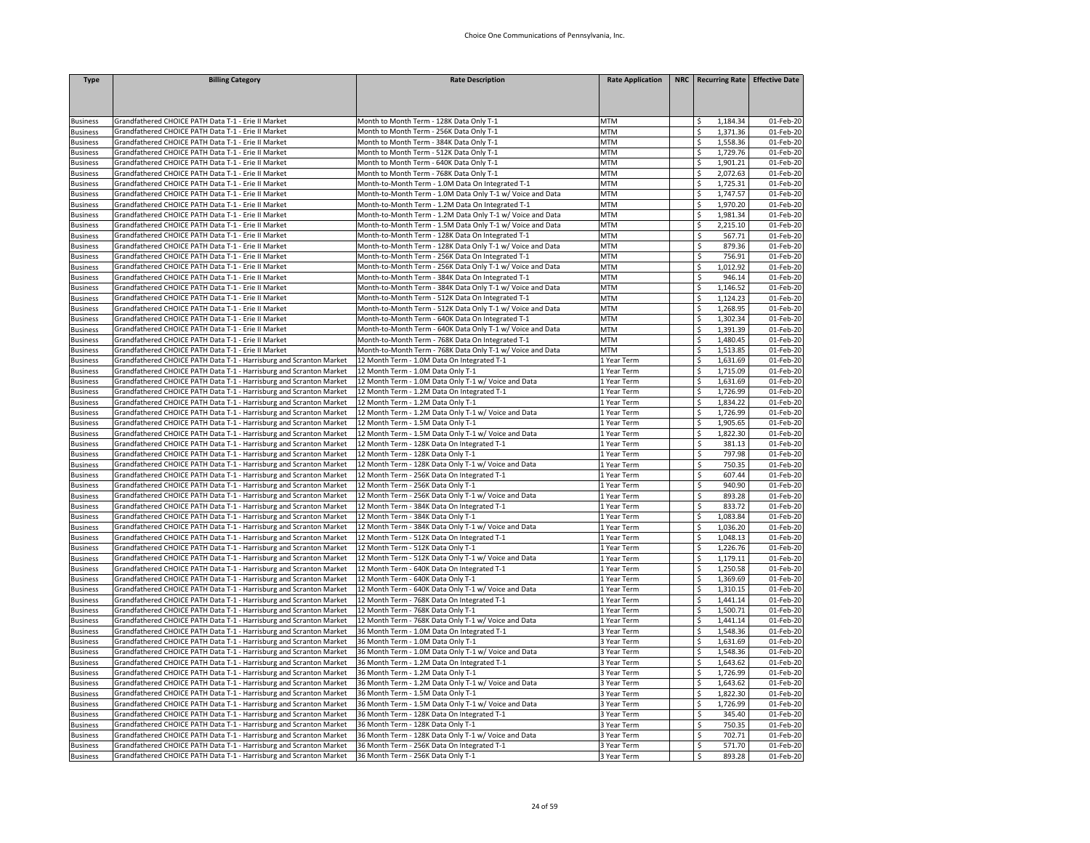| <b>Type</b>                        | <b>Billing Category</b>                                                                                                                    | <b>Rate Description</b>                                                                             | <b>Rate Application</b>    | NRC   Recurring Rate   Effective Date |                        |
|------------------------------------|--------------------------------------------------------------------------------------------------------------------------------------------|-----------------------------------------------------------------------------------------------------|----------------------------|---------------------------------------|------------------------|
|                                    |                                                                                                                                            |                                                                                                     |                            |                                       |                        |
|                                    |                                                                                                                                            |                                                                                                     |                            |                                       |                        |
|                                    | Grandfathered CHOICE PATH Data T-1 - Erie II Market                                                                                        | Month to Month Term - 128K Data Only T-1                                                            | <b>MTM</b>                 | 1,184.34<br>\$                        | 01-Feb-20              |
| <b>Business</b><br><b>Business</b> | Grandfathered CHOICE PATH Data T-1 - Erie II Market                                                                                        | Month to Month Term - 256K Data Only T-1                                                            | <b>MTM</b>                 | \$<br>1,371.36                        | 01-Feb-20              |
| <b>Business</b>                    | Grandfathered CHOICE PATH Data T-1 - Erie II Market                                                                                        | Month to Month Term - 384K Data Only T-1                                                            | <b>MTM</b>                 | \$<br>1,558.36                        | 01-Feb-20              |
| <b>Business</b>                    | Grandfathered CHOICE PATH Data T-1 - Erie II Market                                                                                        | Month to Month Term - 512K Data Only T-1                                                            | <b>MTM</b>                 | \$<br>1,729.76                        | 01-Feb-20              |
| <b>Business</b>                    | Grandfathered CHOICE PATH Data T-1 - Erie II Market                                                                                        | Month to Month Term - 640K Data Only T-1                                                            | <b>MTM</b>                 | \$<br>1,901.21                        | 01-Feb-20              |
| <b>Business</b>                    | Grandfathered CHOICE PATH Data T-1 - Erie II Market                                                                                        | Month to Month Term - 768K Data Only T-1                                                            | <b>MTM</b>                 | 2,072.63<br>\$                        | 01-Feb-20              |
| <b>Business</b>                    | Grandfathered CHOICE PATH Data T-1 - Erie II Market                                                                                        | Month-to-Month Term - 1.0M Data On Integrated T-1                                                   | <b>MTM</b>                 | \$<br>1,725.31                        | 01-Feb-20              |
| <b>Business</b>                    | Grandfathered CHOICE PATH Data T-1 - Erie II Market                                                                                        | Month-to-Month Term - 1.0M Data Only T-1 w/ Voice and Data                                          | <b>MTM</b>                 | \$<br>1,747.57                        | 01-Feb-20              |
| <b>Business</b>                    | Grandfathered CHOICE PATH Data T-1 - Erie II Market                                                                                        | Month-to-Month Term - 1.2M Data On Integrated T-1                                                   | <b>MTM</b>                 | \$<br>1,970.20                        | 01-Feb-20              |
| <b>Business</b>                    | Grandfathered CHOICE PATH Data T-1 - Erie II Market                                                                                        | Month-to-Month Term - 1.2M Data Only T-1 w/ Voice and Data                                          | <b>MTM</b>                 | \$<br>1,981.34                        | $01$ -Feb-20           |
| <b>Business</b>                    | Grandfathered CHOICE PATH Data T-1 - Erie II Market                                                                                        | Month-to-Month Term - 1.5M Data Only T-1 w/ Voice and Data                                          | <b>MTM</b>                 | \$<br>2,215.10                        | 01-Feb-20              |
| <b>Business</b>                    | Grandfathered CHOICE PATH Data T-1 - Erie II Market                                                                                        | Month-to-Month Term - 128K Data On Integrated T-1                                                   | <b>MTM</b>                 | \$<br>567.71                          | 01-Feb-20              |
| <b>Business</b>                    | Grandfathered CHOICE PATH Data T-1 - Erie II Market                                                                                        | Month-to-Month Term - 128K Data Only T-1 w/ Voice and Data                                          | <b>MTM</b>                 | \$<br>879.36                          | 01-Feb-20              |
| <b>Business</b>                    | Grandfathered CHOICE PATH Data T-1 - Erie II Market                                                                                        | Month-to-Month Term - 256K Data On Integrated T-1                                                   | <b>MTM</b>                 | \$<br>756.91                          | 01-Feb-20              |
| <b>Business</b>                    | Grandfathered CHOICE PATH Data T-1 - Erie II Market                                                                                        | Month-to-Month Term - 256K Data Only T-1 w/ Voice and Data                                          | <b>MTM</b>                 | 1,012.92<br>\$                        | 01-Feb-20              |
| <b>Business</b>                    | Grandfathered CHOICE PATH Data T-1 - Erie II Market                                                                                        | Month-to-Month Term - 384K Data On Integrated T-1                                                   | <b>MTM</b>                 | \$<br>946.14                          | 01-Feb-20              |
| <b>Business</b>                    | Grandfathered CHOICE PATH Data T-1 - Erie II Market                                                                                        | Month-to-Month Term - 384K Data Only T-1 w/ Voice and Data                                          | <b>MTM</b>                 | \$<br>1,146.52                        | 01-Feb-20              |
| <b>Business</b>                    | Grandfathered CHOICE PATH Data T-1 - Erie II Market                                                                                        | Month-to-Month Term - 512K Data On Integrated T-1                                                   | MTM                        | \$<br>1,124.23                        | 01-Feb-20              |
| <b>Business</b>                    | Grandfathered CHOICE PATH Data T-1 - Erie II Market                                                                                        | Month-to-Month Term - 512K Data Only T-1 w/ Voice and Data                                          | <b>MTM</b>                 | \$<br>1,268.95                        | 01-Feb-20              |
| <b>Business</b>                    | Grandfathered CHOICE PATH Data T-1 - Erie II Market                                                                                        | Month-to-Month Term - 640K Data On Integrated T-1                                                   | <b>MTM</b>                 | \$<br>1,302.34                        | 01-Feb-20              |
| <b>Business</b>                    | Grandfathered CHOICE PATH Data T-1 - Erie II Market                                                                                        | Month-to-Month Term - 640K Data Only T-1 w/ Voice and Data                                          | <b>MTM</b>                 | \$<br>1,391.39                        | 01-Feb-20              |
| <b>Business</b>                    | Grandfathered CHOICE PATH Data T-1 - Erie II Market                                                                                        | Month-to-Month Term - 768K Data On Integrated T-1                                                   | <b>MTM</b>                 | \$<br>1,480.45                        | 01-Feb-20              |
| <b>Business</b>                    | Grandfathered CHOICE PATH Data T-1 - Erie II Market                                                                                        | Month-to-Month Term - 768K Data Only T-1 w/ Voice and Data                                          | <b>MTM</b>                 | \$<br>1,513.85                        | 01-Feb-20              |
| <b>Business</b>                    | Grandfathered CHOICE PATH Data T-1 - Harrisburg and Scranton Market                                                                        | 12 Month Term - 1.0M Data On Integrated T-1                                                         | 1 Year Term                | \$<br>1,631.69                        | 01-Feb-20              |
| <b>Business</b>                    | Grandfathered CHOICE PATH Data T-1 - Harrisburg and Scranton Market                                                                        | 12 Month Term - 1.0M Data Only T-1                                                                  | Year Term<br>1 Year Term   | \$<br>1,715.09<br>\$<br>1,631.69      | 01-Feb-20<br>01-Feb-20 |
| <b>Business</b><br><b>Business</b> | Grandfathered CHOICE PATH Data T-1 - Harrisburg and Scranton Market<br>Grandfathered CHOICE PATH Data T-1 - Harrisburg and Scranton Market | 12 Month Term - 1.0M Data Only T-1 w/ Voice and Data<br>12 Month Term - 1.2M Data On Integrated T-1 | L Year Term                | \$<br>1,726.99                        | 01-Feb-20              |
|                                    | Grandfathered CHOICE PATH Data T-1 - Harrisburg and Scranton Market                                                                        | 12 Month Term - 1.2M Data Only T-1                                                                  |                            | \$<br>1,834.22                        | 01-Feb-20              |
| <b>Business</b><br><b>Business</b> | Grandfathered CHOICE PATH Data T-1 - Harrisburg and Scranton Market                                                                        | 12 Month Term - 1.2M Data Only T-1 w/ Voice and Data                                                | Year Term<br>Year Term     | \$<br>1,726.99                        | 01-Feb-20              |
| <b>Business</b>                    | Grandfathered CHOICE PATH Data T-1 - Harrisburg and Scranton Market                                                                        | 12 Month Term - 1.5M Data Only T-1                                                                  | L Year Term                | \$<br>1,905.65                        | 01-Feb-20              |
| <b>Business</b>                    | Grandfathered CHOICE PATH Data T-1 - Harrisburg and Scranton Market                                                                        | 12 Month Term - 1.5M Data Only T-1 w/ Voice and Data                                                | 1 Year Term                | \$<br>1,822.30                        | 01-Feb-20              |
| <b>Business</b>                    | Grandfathered CHOICE PATH Data T-1 - Harrisburg and Scranton Market                                                                        | 12 Month Term - 128K Data On Integrated T-1                                                         | Year Term                  | \$<br>381.13                          | 01-Feb-20              |
| <b>Business</b>                    | Grandfathered CHOICE PATH Data T-1 - Harrisburg and Scranton Market                                                                        | 12 Month Term - 128K Data Only T-1                                                                  | 1 Year Term                | \$<br>797.98                          | 01-Feb-20              |
| <b>Business</b>                    | Grandfathered CHOICE PATH Data T-1 - Harrisburg and Scranton Market                                                                        | 12 Month Term - 128K Data Only T-1 w/ Voice and Data                                                | L Year Term                | \$<br>750.35                          | 01-Feb-20              |
| <b>Business</b>                    | Grandfathered CHOICE PATH Data T-1 - Harrisburg and Scranton Market                                                                        | 12 Month Term - 256K Data On Integrated T-1                                                         | L Year Term                | \$<br>607.44                          | 01-Feb-20              |
| <b>Business</b>                    | Grandfathered CHOICE PATH Data T-1 - Harrisburg and Scranton Market                                                                        | 12 Month Term - 256K Data Only T-1                                                                  | Year Term                  | \$<br>940.90                          | 01-Feb-20              |
| <b>Business</b>                    | Grandfathered CHOICE PATH Data T-1 - Harrisburg and Scranton Market                                                                        | 12 Month Term - 256K Data Only T-1 w/ Voice and Data                                                | Year Term                  | \$<br>893.28                          | 01-Feb-20              |
| <b>Business</b>                    | Grandfathered CHOICE PATH Data T-1 - Harrisburg and Scranton Market                                                                        | 12 Month Term - 384K Data On Integrated T-1                                                         | Year Term                  | \$<br>833.72                          | 01-Feb-20              |
| <b>Business</b>                    | Grandfathered CHOICE PATH Data T-1 - Harrisburg and Scranton Market                                                                        | 12 Month Term - 384K Data Only T-1                                                                  | LYear Term                 | \$<br>1,083.84                        | 01-Feb-20              |
| <b>Business</b>                    | Grandfathered CHOICE PATH Data T-1 - Harrisburg and Scranton Market                                                                        | 12 Month Term - 384K Data Only T-1 w/ Voice and Data                                                | 1 Year Term                | \$<br>1,036.20                        | 01-Feb-20              |
| <b>Business</b>                    | Grandfathered CHOICE PATH Data T-1 - Harrisburg and Scranton Market                                                                        | 12 Month Term - 512K Data On Integrated T-1                                                         | L Year Term                | \$<br>1,048.13                        | 01-Feb-20              |
| <b>Business</b>                    | Grandfathered CHOICE PATH Data T-1 - Harrisburg and Scranton Market                                                                        | 12 Month Term - 512K Data Only T-1                                                                  | 1 Year Term                | 1,226.76<br>\$                        | 01-Feb-20              |
| <b>Business</b>                    | Grandfathered CHOICE PATH Data T-1 - Harrisburg and Scranton Market                                                                        | 12 Month Term - 512K Data Only T-1 w/ Voice and Data                                                | Year Term                  | \$<br>1,179.11                        | 01-Feb-20              |
| <b>Business</b>                    | Grandfathered CHOICE PATH Data T-1 - Harrisburg and Scranton Market                                                                        | 12 Month Term - 640K Data On Integrated T-1                                                         | LYear Term                 | \$<br>1,250.58                        | 01-Feb-20              |
| <b>Business</b>                    | Grandfathered CHOICE PATH Data T-1 - Harrisburg and Scranton Market                                                                        | 12 Month Term - 640K Data Only T-1                                                                  | Year Term                  | \$<br>1,369.69                        | 01-Feb-20              |
| <b>Business</b>                    | Grandfathered CHOICE PATH Data T-1 - Harrisburg and Scranton Market                                                                        | 12 Month Term - 640K Data Only T-1 w/ Voice and Data                                                | Year Term                  | \$<br>1,310.15                        | 01-Feb-20              |
| <b>Business</b>                    | Grandfathered CHOICE PATH Data T-1 - Harrisburg and Scranton Market                                                                        | 12 Month Term - 768K Data On Integrated T-1                                                         | 1 Year Term                | \$<br>1,441.14                        | 01-Feb-20              |
| <b>Business</b>                    | Grandfathered CHOICE PATH Data T-1 - Harrisburg and Scranton Market                                                                        | 12 Month Term - 768K Data Only T-1                                                                  | 1 Year Term                | \$<br>1,500.71                        | 01-Feb-20              |
| <b>Business</b>                    | Grandfathered CHOICE PATH Data T-1 - Harrisburg and Scranton Market                                                                        | 12 Month Term - 768K Data Only T-1 w/ Voice and Data                                                | 1 Year Term                | \$<br>1,441.14                        | 01-Feb-20              |
| <b>Business</b>                    | Grandfathered CHOICE PATH Data T-1 - Harrisburg and Scranton Market                                                                        | 36 Month Term - 1.0M Data On Integrated T-1                                                         | Year Term                  | 1,548.36<br>\$                        | 01-Feb-20              |
| <b>Business</b>                    | Grandfathered CHOICE PATH Data T-1 - Harrisburg and Scranton Market                                                                        | 36 Month Term - 1.0M Data Only T-1                                                                  | 3 Year Term                | \$<br>1,631.69                        | 01-Feb-20              |
| <b>Business</b>                    | Grandfathered CHOICE PATH Data T-1 - Harrisburg and Scranton Market                                                                        | 36 Month Term - 1.0M Data Only T-1 w/ Voice and Data                                                | 3 Year Term                | \$<br>1,548.36                        | 01-Feb-20              |
| <b>Business</b>                    | Grandfathered CHOICE PATH Data T-1 - Harrisburg and Scranton Market                                                                        | 36 Month Term - 1.2M Data On Integrated T-1                                                         | 3 Year Term                | \$<br>1,643.62                        | 01-Feb-20              |
| <b>Business</b>                    | Grandfathered CHOICE PATH Data T-1 - Harrisburg and Scranton Market                                                                        | 36 Month Term - 1.2M Data Only T-1                                                                  | Year Term                  | \$<br>1,726.99                        | 01-Feb-20              |
| <b>Business</b>                    | Grandfathered CHOICE PATH Data T-1 - Harrisburg and Scranton Market                                                                        | 36 Month Term - 1.2M Data Only T-1 w/ Voice and Data                                                | 3 Year Term                | \$<br>1,643.62                        | 01-Feb-20              |
| <b>Business</b>                    | Grandfathered CHOICE PATH Data T-1 - Harrisburg and Scranton Market                                                                        | 36 Month Term - 1.5M Data Only T-1                                                                  | 3 Year Term                | \$<br>1,822.30                        | 01-Feb-20              |
| <b>Business</b>                    | Grandfathered CHOICE PATH Data T-1 - Harrisburg and Scranton Market                                                                        | 36 Month Term - 1.5M Data Only T-1 w/ Voice and Data                                                | 3 Year Term                | \$<br>1,726.99                        | 01-Feb-20              |
| <b>Business</b>                    | Grandfathered CHOICE PATH Data T-1 - Harrisburg and Scranton Market                                                                        | 36 Month Term - 128K Data On Integrated T-1                                                         | 3 Year Term                | \$<br>345.40                          | 01-Feb-20              |
| <b>Business</b>                    | Grandfathered CHOICE PATH Data T-1 - Harrisburg and Scranton Market<br>Grandfathered CHOICE PATH Data T-1 - Harrisburg and Scranton Market | 36 Month Term - 128K Data Only T-1<br>36 Month Term - 128K Data Only T-1 w/ Voice and Data          | 3 Year Term                | \$<br>750.35                          | 01-Feb-20<br>01-Feb-20 |
| <b>Business</b>                    | Grandfathered CHOICE PATH Data T-1 - Harrisburg and Scranton Market                                                                        | 36 Month Term - 256K Data On Integrated T-1                                                         | 3 Year Term<br>3 Year Term | \$<br>702.71<br>\$<br>571.70          | 01-Feb-20              |
| <b>Business</b><br><b>Business</b> | Grandfathered CHOICE PATH Data T-1 - Harrisburg and Scranton Market                                                                        | 36 Month Term - 256K Data Only T-1                                                                  | 3 Year Term                | \$<br>893.28                          | 01-Feb-20              |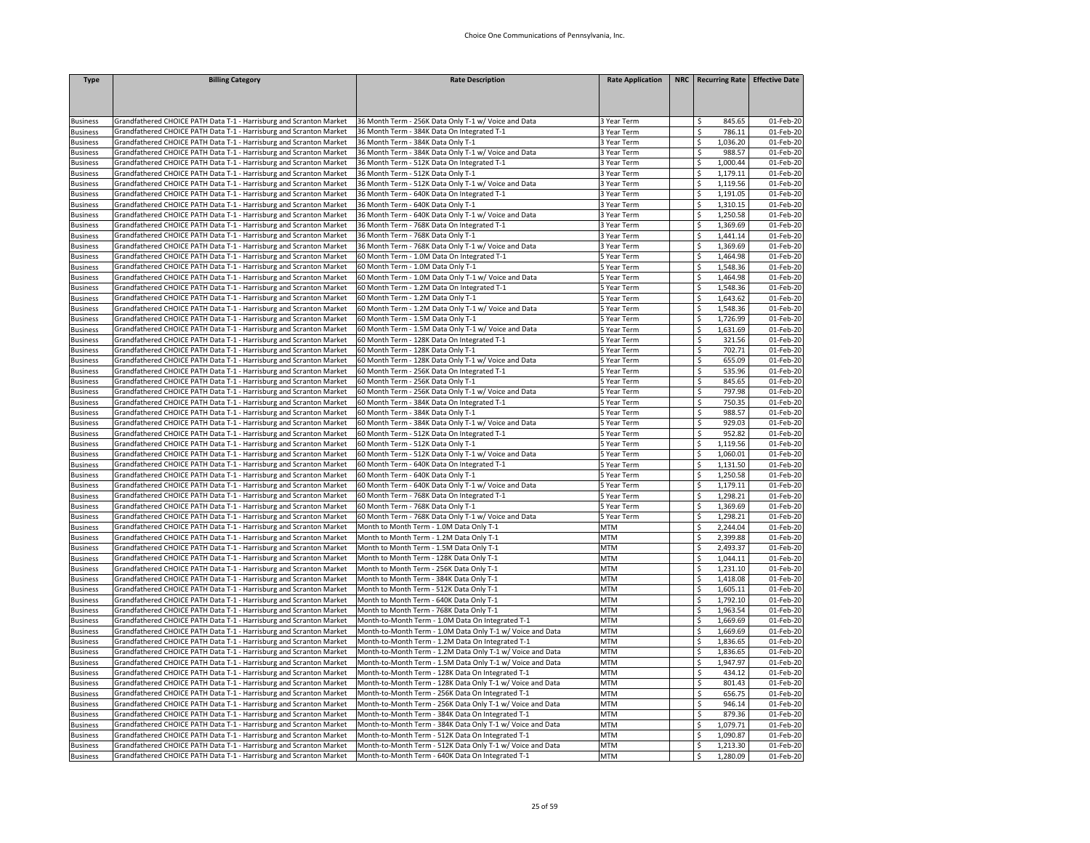| <b>Type</b>                        | <b>Billing Category</b>                                             | <b>Rate Description</b>                                    | <b>Rate Application</b> | NRC   Recurring Rate   Effective Date |              |
|------------------------------------|---------------------------------------------------------------------|------------------------------------------------------------|-------------------------|---------------------------------------|--------------|
|                                    |                                                                     |                                                            |                         |                                       |              |
|                                    |                                                                     |                                                            |                         |                                       |              |
|                                    |                                                                     |                                                            |                         |                                       |              |
| <b>Business</b>                    | Grandfathered CHOICE PATH Data T-1 - Harrisburg and Scranton Market | 36 Month Term - 256K Data Only T-1 w/ Voice and Data       | 3 Year Term             | \$<br>845.65                          | 01-Feb-20    |
| <b>Business</b>                    | Grandfathered CHOICE PATH Data T-1 - Harrisburg and Scranton Market | 36 Month Term - 384K Data On Integrated T-1                | 3 Year Term             | \$<br>786.11                          | 01-Feb-20    |
| <b>Business</b>                    | Grandfathered CHOICE PATH Data T-1 - Harrisburg and Scranton Market | 36 Month Term - 384K Data Only T-1                         | 3 Year Term             | \$<br>1,036.20                        | 01-Feb-20    |
| <b>Business</b>                    | Grandfathered CHOICE PATH Data T-1 - Harrisburg and Scranton Market | 36 Month Term - 384K Data Only T-1 w/ Voice and Data       | 3 Year Term             | \$<br>988.57                          | 01-Feb-20    |
| <b>Business</b>                    | Grandfathered CHOICE PATH Data T-1 - Harrisburg and Scranton Market | 36 Month Term - 512K Data On Integrated T-1                | 3 Year Term             | \$<br>1,000.44                        | 01-Feb-20    |
| <b>Business</b>                    | Grandfathered CHOICE PATH Data T-1 - Harrisburg and Scranton Market | 36 Month Term - 512K Data Only T-1                         | 3 Year Term             | 1,179.11<br>\$                        | 01-Feb-20    |
| <b>Business</b>                    | Grandfathered CHOICE PATH Data T-1 - Harrisburg and Scranton Market | 36 Month Term - 512K Data Only T-1 w/ Voice and Data       | 3 Year Term             | \$<br>1,119.56                        | 01-Feb-20    |
| <b>Business</b>                    | Grandfathered CHOICE PATH Data T-1 - Harrisburg and Scranton Market | 36 Month Term - 640K Data On Integrated T-1                | 3 Year Term             | 1,191.05<br>\$                        | 01-Feb-20    |
| <b>Business</b>                    | Grandfathered CHOICE PATH Data T-1 - Harrisburg and Scranton Market | 36 Month Term - 640K Data Only T-1                         | 3 Year Term             | \$<br>1,310.15                        | 01-Feb-20    |
| <b>Business</b>                    | Grandfathered CHOICE PATH Data T-1 - Harrisburg and Scranton Market | 36 Month Term - 640K Data Only T-1 w/ Voice and Data       | 3 Year Term             | \$<br>1,250.58                        | 01-Feb-20    |
| <b>Business</b>                    | Grandfathered CHOICE PATH Data T-1 - Harrisburg and Scranton Market | 36 Month Term - 768K Data On Integrated T-1                | 3 Year Term             | \$<br>1,369.69                        | 01-Feb-20    |
| <b>Business</b>                    | Grandfathered CHOICE PATH Data T-1 - Harrisburg and Scranton Market | 36 Month Term - 768K Data Only T-1                         | 3 Year Term             | \$<br>1,441.14                        | 01-Feb-20    |
| <b>Business</b>                    | Grandfathered CHOICE PATH Data T-1 - Harrisburg and Scranton Market | 36 Month Term - 768K Data Only T-1 w/ Voice and Data       | 3 Year Term             | \$<br>1,369.69                        | 01-Feb-20    |
| <b>Business</b>                    | Grandfathered CHOICE PATH Data T-1 - Harrisburg and Scranton Market | 60 Month Term - 1.0M Data On Integrated T-1                | 5 Year Term             | \$<br>1,464.98                        | 01-Feb-20    |
| <b>Business</b>                    | Grandfathered CHOICE PATH Data T-1 - Harrisburg and Scranton Market | 60 Month Term - 1.0M Data Only T-1                         | 5 Year Term             | \$<br>1,548.36                        | 01-Feb-20    |
| <b>Business</b>                    | Grandfathered CHOICE PATH Data T-1 - Harrisburg and Scranton Market | 60 Month Term - 1.0M Data Only T-1 w/ Voice and Data       | 5 Year Term             | \$<br>1,464.98                        | 01-Feb-20    |
| <b>Business</b>                    | Grandfathered CHOICE PATH Data T-1 - Harrisburg and Scranton Market | 60 Month Term - 1.2M Data On Integrated T-1                | S Year Term             | \$<br>1,548.36                        | 01-Feb-20    |
| <b>Business</b>                    | Grandfathered CHOICE PATH Data T-1 - Harrisburg and Scranton Market | 60 Month Term - 1.2M Data Only T-1                         | 5 Year Term             | \$<br>1,643.62                        | 01-Feb-20    |
| <b>Business</b>                    | Grandfathered CHOICE PATH Data T-1 - Harrisburg and Scranton Market | 60 Month Term - 1.2M Data Only T-1 w/ Voice and Data       | 5 Year Term             | \$<br>1,548.36                        | 01-Feb-20    |
| <b>Business</b>                    | Grandfathered CHOICE PATH Data T-1 - Harrisburg and Scranton Market | 60 Month Term - 1.5M Data Only T-1                         | 5 Year Term             | 1,726.99<br>\$                        | 01-Feb-20    |
| <b>Business</b>                    | Grandfathered CHOICE PATH Data T-1 - Harrisburg and Scranton Market | 60 Month Term - 1.5M Data Only T-1 w/ Voice and Data       | Year Term               | \$<br>1,631.69                        | 01-Feb-20    |
| <b>Business</b>                    | Grandfathered CHOICE PATH Data T-1 - Harrisburg and Scranton Market | 60 Month Term - 128K Data On Integrated T-1                | Year Term               | \$<br>321.56                          | 01-Feb-20    |
| <b>Business</b>                    | Grandfathered CHOICE PATH Data T-1 - Harrisburg and Scranton Market | 60 Month Term - 128K Data Only T-1                         | Year Term               | \$<br>702.71                          | 01-Feb-20    |
| <b>Business</b>                    | Grandfathered CHOICE PATH Data T-1 - Harrisburg and Scranton Market | 60 Month Term - 128K Data Only T-1 w/ Voice and Data       | Year Term               | \$<br>655.09                          | 01-Feb-20    |
| <b>Business</b>                    | Grandfathered CHOICE PATH Data T-1 - Harrisburg and Scranton Market | 60 Month Term - 256K Data On Integrated T-1                | S Year Term             | \$<br>535.96                          | 01-Feb-20    |
| <b>Business</b>                    | Grandfathered CHOICE PATH Data T-1 - Harrisburg and Scranton Market | 60 Month Term - 256K Data Only T-1                         | Year Term               | \$<br>845.65                          | 01-Feb-20    |
| <b>Business</b>                    | Grandfathered CHOICE PATH Data T-1 - Harrisburg and Scranton Market | 60 Month Term - 256K Data Only T-1 w/ Voice and Data       | 5 Year Term             | \$<br>797.98                          | 01-Feb-20    |
|                                    | Grandfathered CHOICE PATH Data T-1 - Harrisburg and Scranton Market | 60 Month Term - 384K Data On Integrated T-1                |                         | \$<br>750.35                          | 01-Feb-20    |
| <b>Business</b><br><b>Business</b> | Grandfathered CHOICE PATH Data T-1 - Harrisburg and Scranton Market | 60 Month Term - 384K Data Only T-1                         | Year Term<br>SYear Term | 988.57                                | 01-Feb-20    |
|                                    |                                                                     |                                                            |                         | \$<br>\$<br>929.03                    | 01-Feb-20    |
| <b>Business</b>                    | Grandfathered CHOICE PATH Data T-1 - Harrisburg and Scranton Market | 60 Month Term - 384K Data Only T-1 w/ Voice and Data       | Year Term               |                                       |              |
| <b>Business</b>                    | Grandfathered CHOICE PATH Data T-1 - Harrisburg and Scranton Market | 60 Month Term - 512K Data On Integrated T-1                | Year Term               | \$<br>952.82                          | 01-Feb-20    |
| <b>Business</b>                    | Grandfathered CHOICE PATH Data T-1 - Harrisburg and Scranton Market | 60 Month Term - 512K Data Only T-1                         | S Year Term             | \$<br>1,119.56                        | 01-Feb-20    |
| <b>Business</b>                    | Grandfathered CHOICE PATH Data T-1 - Harrisburg and Scranton Market | 60 Month Term - 512K Data Only T-1 w/ Voice and Data       | 5 Year Term             | \$<br>1,060.01                        | 01-Feb-20    |
| <b>Business</b>                    | Grandfathered CHOICE PATH Data T-1 - Harrisburg and Scranton Market | 60 Month Term - 640K Data On Integrated T-1                | 5 Year Term             | \$<br>1,131.50                        | 01-Feb-20    |
| <b>Business</b>                    | Grandfathered CHOICE PATH Data T-1 - Harrisburg and Scranton Market | 60 Month Term - 640K Data Only T-1                         | Year Term               | \$<br>1,250.58                        | 01-Feb-20    |
| <b>Business</b>                    | Grandfathered CHOICE PATH Data T-1 - Harrisburg and Scranton Market | 60 Month Term - 640K Data Only T-1 w/ Voice and Data       | S Year Term             | \$<br>1,179.11                        | 01-Feb-20    |
| <b>Business</b>                    | Grandfathered CHOICE PATH Data T-1 - Harrisburg and Scranton Market | 60 Month Term - 768K Data On Integrated T-1                | S Year Term             | \$<br>1,298.21                        | 01-Feb-20    |
| <b>Business</b>                    | Grandfathered CHOICE PATH Data T-1 - Harrisburg and Scranton Market | 60 Month Term - 768K Data Only T-1                         | 5 Year Term             | \$<br>1,369.69                        | 01-Feb-20    |
| <b>Business</b>                    | Grandfathered CHOICE PATH Data T-1 - Harrisburg and Scranton Market | 60 Month Term - 768K Data Only T-1 w/ Voice and Data       | 5 Year Term             | \$<br>1,298.21                        | 01-Feb-20    |
| <b>Business</b>                    | Grandfathered CHOICE PATH Data T-1 - Harrisburg and Scranton Market | Month to Month Term - 1.0M Data Only T-1                   | MTM                     | \$<br>2,244.04                        | 01-Feb-20    |
| <b>Business</b>                    | Grandfathered CHOICE PATH Data T-1 - Harrisburg and Scranton Market | Month to Month Term - 1.2M Data Only T-1                   | MTM                     | \$<br>2,399.88                        | 01-Feb-20    |
| <b>Business</b>                    | Grandfathered CHOICE PATH Data T-1 - Harrisburg and Scranton Market | Month to Month Term - 1.5M Data Only T-1                   | <b>MTM</b>              | \$<br>2,493.37                        | 01-Feb-20    |
| <b>Business</b>                    | Grandfathered CHOICE PATH Data T-1 - Harrisburg and Scranton Market | Month to Month Term - 128K Data Only T-1                   | <b>MTM</b>              | \$<br>1,044.11                        | 01-Feb-20    |
| <b>Business</b>                    | Grandfathered CHOICE PATH Data T-1 - Harrisburg and Scranton Market | Month to Month Term - 256K Data Only T-1                   | <b>MTM</b>              | \$<br>1,231.10                        | 01-Feb-20    |
| <b>Business</b>                    | Grandfathered CHOICE PATH Data T-1 - Harrisburg and Scranton Market | Month to Month Term - 384K Data Only T-1                   | MTM                     | \$<br>1,418.08                        | 01-Feb-20    |
| <b>Business</b>                    | Grandfathered CHOICE PATH Data T-1 - Harrisburg and Scranton Market | Month to Month Term - 512K Data Only T-1                   | <b>MTM</b>              | \$<br>1,605.11                        | 01-Feb-20    |
| <b>Business</b>                    | Grandfathered CHOICE PATH Data T-1 - Harrisburg and Scranton Market | Month to Month Term - 640K Data Only T-1                   | <b>MTM</b>              | \$<br>1,792.10                        | 01-Feb-20    |
| <b>Business</b>                    | Grandfathered CHOICE PATH Data T-1 - Harrisburg and Scranton Market | Month to Month Term - 768K Data Only T-1                   | <b>MTM</b>              | \$<br>1,963.54                        | 01-Feb-20    |
| <b>Business</b>                    | Grandfathered CHOICE PATH Data T-1 - Harrisburg and Scranton Market | Month-to-Month Term - 1.0M Data On Integrated T-1          | <b>MTM</b>              | \$<br>1,669.69                        | $01$ -Feb-20 |
| <b>Business</b>                    | Grandfathered CHOICE PATH Data T-1 - Harrisburg and Scranton Market | Month-to-Month Term - 1.0M Data Only T-1 w/ Voice and Data | <b>MTM</b>              | \$<br>1,669.69                        | 01-Feb-20    |
| <b>Business</b>                    | Grandfathered CHOICE PATH Data T-1 - Harrisburg and Scranton Market | Month-to-Month Term - 1.2M Data On Integrated T-1          | <b>MTM</b>              | \$<br>1,836.65                        | 01-Feb-20    |
| <b>Business</b>                    | Grandfathered CHOICE PATH Data T-1 - Harrisburg and Scranton Market | Month-to-Month Term - 1.2M Data Only T-1 w/ Voice and Data | <b>MTM</b>              | \$<br>1,836.65                        | 01-Feb-20    |
| <b>Business</b>                    | Grandfathered CHOICE PATH Data T-1 - Harrisburg and Scranton Market | Month-to-Month Term - 1.5M Data Only T-1 w/ Voice and Data | <b>MTM</b>              | \$<br>1,947.97                        | 01-Feb-20    |
| <b>Business</b>                    | Grandfathered CHOICE PATH Data T-1 - Harrisburg and Scranton Market | Month-to-Month Term - 128K Data On Integrated T-1          | MTM                     | \$<br>434.12                          | 01-Feb-20    |
| <b>Business</b>                    | Grandfathered CHOICE PATH Data T-1 - Harrisburg and Scranton Market | Month-to-Month Term - 128K Data Only T-1 w/ Voice and Data | <b>MTM</b>              | \$<br>801.43                          | 01-Feb-20    |
| <b>Business</b>                    | Grandfathered CHOICE PATH Data T-1 - Harrisburg and Scranton Market | Month-to-Month Term - 256K Data On Integrated T-1          | <b>MTM</b>              | \$<br>656.75                          | 01-Feb-20    |
| <b>Business</b>                    | Grandfathered CHOICE PATH Data T-1 - Harrisburg and Scranton Market | Month-to-Month Term - 256K Data Only T-1 w/ Voice and Data | <b>MTM</b>              | \$<br>946.14                          | 01-Feb-20    |
| <b>Business</b>                    | Grandfathered CHOICE PATH Data T-1 - Harrisburg and Scranton Market | Month-to-Month Term - 384K Data On Integrated T-1          | <b>MTM</b>              | \$<br>879.36                          | 01-Feb-20    |
| <b>Business</b>                    | Grandfathered CHOICE PATH Data T-1 - Harrisburg and Scranton Market | Month-to-Month Term - 384K Data Only T-1 w/ Voice and Data | MTM                     | \$<br>1,079.71                        | 01-Feb-20    |
| <b>Business</b>                    | Grandfathered CHOICE PATH Data T-1 - Harrisburg and Scranton Market | Month-to-Month Term - 512K Data On Integrated T-1          | <b>MTM</b>              | \$<br>1,090.87                        | 01-Feb-20    |
| <b>Business</b>                    | Grandfathered CHOICE PATH Data T-1 - Harrisburg and Scranton Market | Month-to-Month Term - 512K Data Only T-1 w/ Voice and Data | <b>MTM</b>              | \$<br>1,213.30                        | 01-Feb-20    |
| <b>Business</b>                    | Grandfathered CHOICE PATH Data T-1 - Harrisburg and Scranton Market | Month-to-Month Term - 640K Data On Integrated T-1          | <b>MTM</b>              | \$<br>1,280.09                        | 01-Feb-20    |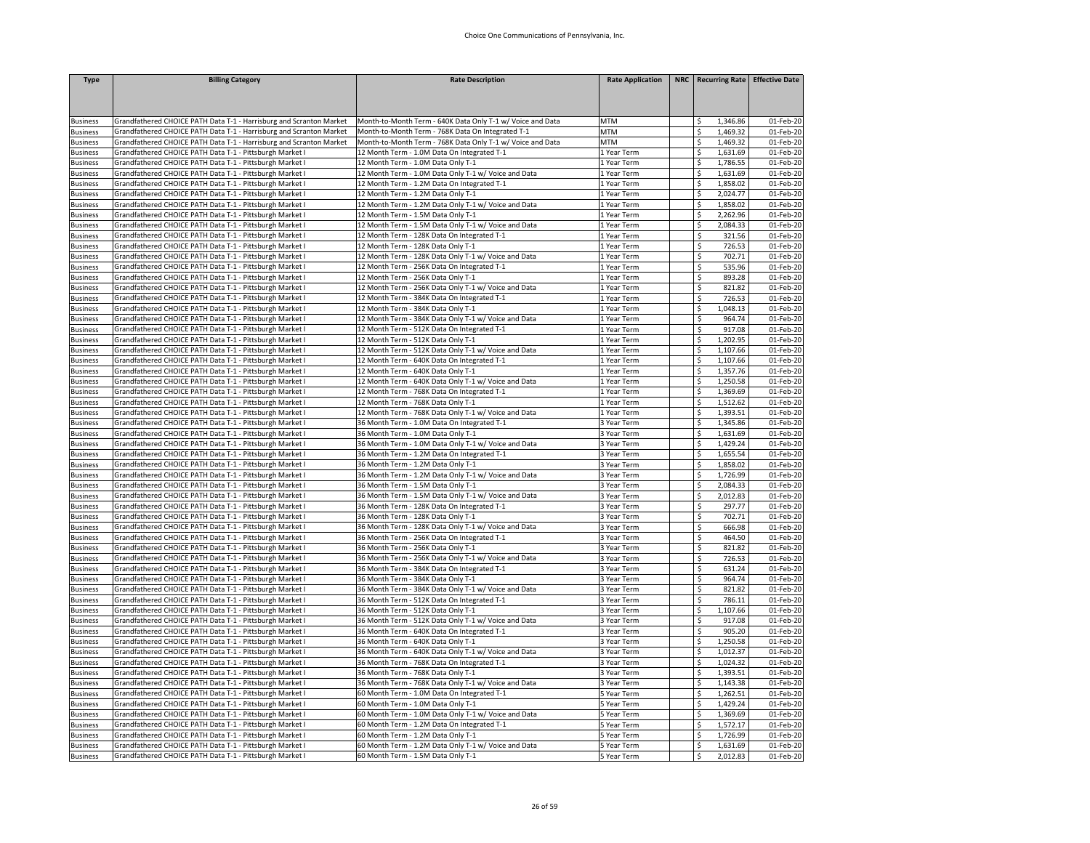| <b>Type</b>                        | <b>Billing Category</b>                                                                                                                    | <b>Rate Description</b>                                                                                         | <b>Rate Application</b>   | NRC   Recurring Rate   Effective Date                 |                        |
|------------------------------------|--------------------------------------------------------------------------------------------------------------------------------------------|-----------------------------------------------------------------------------------------------------------------|---------------------------|-------------------------------------------------------|------------------------|
|                                    |                                                                                                                                            |                                                                                                                 |                           |                                                       |                        |
|                                    |                                                                                                                                            |                                                                                                                 |                           |                                                       |                        |
| <b>Business</b><br><b>Business</b> | Grandfathered CHOICE PATH Data T-1 - Harrisburg and Scranton Market<br>Grandfathered CHOICE PATH Data T-1 - Harrisburg and Scranton Market | Month-to-Month Term - 640K Data Only T-1 w/ Voice and Data<br>Month-to-Month Term - 768K Data On Integrated T-1 | <b>MTM</b><br><b>MTM</b>  | 1,346.86<br>\$<br>\$<br>1,469.32                      | 01-Feb-20<br>01-Feb-20 |
| <b>Business</b>                    | Grandfathered CHOICE PATH Data T-1 - Harrisburg and Scranton Market                                                                        | Month-to-Month Term - 768K Data Only T-1 w/ Voice and Data                                                      | <b>MTM</b>                | \$<br>1,469.32                                        | 01-Feb-20              |
| <b>Business</b>                    | Grandfathered CHOICE PATH Data T-1 - Pittsburgh Market I                                                                                   | 12 Month Term - 1.0M Data On Integrated T-1                                                                     | 1 Year Term               | \$<br>1,631.69                                        | 01-Feb-20              |
| <b>Business</b>                    | Grandfathered CHOICE PATH Data T-1 - Pittsburgh Market I                                                                                   | 12 Month Term - 1.0M Data Only T-1                                                                              | 1 Year Term               | \$<br>1,786.55                                        | 01-Feb-20              |
| <b>Business</b>                    | Grandfathered CHOICE PATH Data T-1 - Pittsburgh Market I                                                                                   | 12 Month Term - 1.0M Data Only T-1 w/ Voice and Data                                                            | L Year Term               | \$<br>1,631.69                                        | 01-Feb-20              |
| <b>Business</b>                    | Grandfathered CHOICE PATH Data T-1 - Pittsburgh Market I                                                                                   | 12 Month Term - 1.2M Data On Integrated T-1                                                                     | Year Term                 | \$<br>1,858.02                                        | 01-Feb-20              |
| <b>Business</b>                    | Grandfathered CHOICE PATH Data T-1 - Pittsburgh Market I                                                                                   | 12 Month Term - 1.2M Data Only T-1                                                                              | 1 Year Term               | \$<br>2,024.77                                        | 01-Feb-20              |
| <b>Business</b>                    | Grandfathered CHOICE PATH Data T-1 - Pittsburgh Market I                                                                                   | 12 Month Term - 1.2M Data Only T-1 w/ Voice and Data                                                            | 1 Year Term               | \$<br>1,858.02                                        | 01-Feb-20              |
| <b>Business</b>                    | Grandfathered CHOICE PATH Data T-1 - Pittsburgh Market I                                                                                   | 12 Month Term - 1.5M Data Only T-1                                                                              | Year Term                 | \$<br>2,262.96                                        | 01-Feb-20              |
| <b>Business</b>                    | Grandfathered CHOICE PATH Data T-1 - Pittsburgh Market I<br>Grandfathered CHOICE PATH Data T-1 - Pittsburgh Market I                       | 12 Month Term - 1.5M Data Only T-1 w/ Voice and Data<br>12 Month Term - 128K Data On Integrated T-1             | 1 Year Term<br>LYear Term | \$<br>2,084.33<br>\$<br>321.56                        | 01-Feb-20<br>01-Feb-20 |
| <b>Business</b><br><b>Business</b> | Grandfathered CHOICE PATH Data T-1 - Pittsburgh Market I                                                                                   | 12 Month Term - 128K Data Only T-1                                                                              | 1 Year Term               | \$<br>726.53                                          | 01-Feb-20              |
| <b>Business</b>                    | Grandfathered CHOICE PATH Data T-1 - Pittsburgh Market I                                                                                   | 12 Month Term - 128K Data Only T-1 w/ Voice and Data                                                            | Year Term                 | \$<br>702.71                                          | 01-Feb-20              |
| <b>Business</b>                    | Grandfathered CHOICE PATH Data T-1 - Pittsburgh Market I                                                                                   | 12 Month Term - 256K Data On Integrated T-1                                                                     | Year Term                 | \$<br>535.96                                          | 01-Feb-20              |
| <b>Business</b>                    | Grandfathered CHOICE PATH Data T-1 - Pittsburgh Market I                                                                                   | 12 Month Term - 256K Data Only T-1                                                                              | L Year Term               | \$<br>893.28                                          | 01-Feb-20              |
| <b>Business</b>                    | Grandfathered CHOICE PATH Data T-1 - Pittsburgh Market I                                                                                   | 12 Month Term - 256K Data Only T-1 w/ Voice and Data                                                            | Year Term                 | \$<br>821.82                                          | 01-Feb-20              |
| <b>Business</b>                    | Grandfathered CHOICE PATH Data T-1 - Pittsburgh Market I                                                                                   | 12 Month Term - 384K Data On Integrated T-1                                                                     | L Year Term               | \$<br>726.53                                          | 01-Feb-20              |
| <b>Business</b>                    | Grandfathered CHOICE PATH Data T-1 - Pittsburgh Market I                                                                                   | 12 Month Term - 384K Data Only T-1                                                                              | 1 Year Term               | \$<br>1,048.13                                        | 01-Feb-20              |
| <b>Business</b>                    | Grandfathered CHOICE PATH Data T-1 - Pittsburgh Market I                                                                                   | 12 Month Term - 384K Data Only T-1 w/ Voice and Data                                                            | 1 Year Term               | \$<br>964.74                                          | 01-Feb-20              |
| <b>Business</b>                    | Grandfathered CHOICE PATH Data T-1 - Pittsburgh Market I                                                                                   | 12 Month Term - 512K Data On Integrated T-1                                                                     | Year Term                 | \$<br>917.08                                          | 01-Feb-20              |
| <b>Business</b>                    | Grandfathered CHOICE PATH Data T-1 - Pittsburgh Market I                                                                                   | 12 Month Term - 512K Data Only T-1                                                                              | Year Term                 | 1,202.95<br>\$                                        | 01-Feb-20              |
| <b>Business</b>                    | Grandfathered CHOICE PATH Data T-1 - Pittsburgh Market I                                                                                   | 12 Month Term - 512K Data Only T-1 w/ Voice and Data                                                            | Year Term                 | \$<br>1,107.66                                        | 01-Feb-20              |
| <b>Business</b>                    | Grandfathered CHOICE PATH Data T-1 - Pittsburgh Market I                                                                                   | 12 Month Term - 640K Data On Integrated T-1                                                                     | Year Term                 | \$<br>1,107.66                                        | 01-Feb-20              |
| <b>Business</b>                    | Grandfathered CHOICE PATH Data T-1 - Pittsburgh Market I                                                                                   | 12 Month Term - 640K Data Only T-1                                                                              | Year Term                 | \$<br>1,357.76                                        | 01-Feb-20              |
| <b>Business</b>                    | Grandfathered CHOICE PATH Data T-1 - Pittsburgh Market I                                                                                   | 12 Month Term - 640K Data Only T-1 w/ Voice and Data<br>12 Month Term - 768K Data On Integrated T-1             | L Year Term               | \$<br>1,250.58                                        | 01-Feb-20              |
| <b>Business</b><br><b>Business</b> | Grandfathered CHOICE PATH Data T-1 - Pittsburgh Market I<br>Grandfathered CHOICE PATH Data T-1 - Pittsburgh Market I                       | 12 Month Term - 768K Data Only T-1                                                                              | 1 Year Term<br>Year Term  | \$<br>1,369.69<br>$\overline{\mathsf{s}}$<br>1,512.62 | 01-Feb-20<br>01-Feb-20 |
| <b>Business</b>                    | Grandfathered CHOICE PATH Data T-1 - Pittsburgh Market I                                                                                   | 12 Month Term - 768K Data Only T-1 w/ Voice and Data                                                            | 1 Year Term               | \$<br>1,393.51                                        | 01-Feb-20              |
| <b>Business</b>                    | Grandfathered CHOICE PATH Data T-1 - Pittsburgh Market I                                                                                   | 36 Month Term - 1.0M Data On Integrated T-1                                                                     | 3 Year Term               | \$<br>1,345.86                                        | 01-Feb-20              |
| <b>Business</b>                    | Grandfathered CHOICE PATH Data T-1 - Pittsburgh Market I                                                                                   | 36 Month Term - 1.0M Data Only T-1                                                                              | 3 Year Term               | \$<br>1,631.69                                        | 01-Feb-20              |
| <b>Business</b>                    | Grandfathered CHOICE PATH Data T-1 - Pittsburgh Market I                                                                                   | 36 Month Term - 1.0M Data Only T-1 w/ Voice and Data                                                            | 3 Year Term               | \$<br>1,429.24                                        | 01-Feb-20              |
| <b>Business</b>                    | Grandfathered CHOICE PATH Data T-1 - Pittsburgh Market I                                                                                   | 36 Month Term - 1.2M Data On Integrated T-1                                                                     | 3 Year Term               | \$<br>1,655.54                                        | 01-Feb-20              |
| <b>Business</b>                    | Grandfathered CHOICE PATH Data T-1 - Pittsburgh Market I                                                                                   | 36 Month Term - 1.2M Data Only T-1                                                                              | 3 Year Term               | 1,858.02<br>\$                                        | 01-Feb-20              |
| <b>Business</b>                    | Grandfathered CHOICE PATH Data T-1 - Pittsburgh Market I                                                                                   | 36 Month Term - 1.2M Data Only T-1 w/ Voice and Data                                                            | 3 Year Term               | \$<br>1,726.99                                        | 01-Feb-20              |
| <b>Business</b>                    | Grandfathered CHOICE PATH Data T-1 - Pittsburgh Market I                                                                                   | 36 Month Term - 1.5M Data Only T-1                                                                              | Year Term                 | \$<br>2,084.33                                        | 01-Feb-20              |
| <b>Business</b>                    | Grandfathered CHOICE PATH Data T-1 - Pittsburgh Market I                                                                                   | 36 Month Term - 1.5M Data Only T-1 w/ Voice and Data                                                            | Year Term                 | 2,012.83<br>\$                                        | 01-Feb-20              |
| <b>Business</b>                    | Grandfathered CHOICE PATH Data T-1 - Pittsburgh Market I                                                                                   | 36 Month Term - 128K Data On Integrated T-1                                                                     | 3 Year Term               | \$<br>297.77                                          | 01-Feb-20              |
| <b>Business</b>                    | Grandfathered CHOICE PATH Data T-1 - Pittsburgh Market I                                                                                   | 36 Month Term - 128K Data Only T-1                                                                              | 3 Year Term               | \$<br>702.71                                          | 01-Feb-20              |
| <b>Business</b>                    | Grandfathered CHOICE PATH Data T-1 - Pittsburgh Market I                                                                                   | 36 Month Term - 128K Data Only T-1 w/ Voice and Data                                                            | 3 Year Term               | \$<br>666.98                                          | 01-Feb-20              |
| <b>Business</b>                    | Grandfathered CHOICE PATH Data T-1 - Pittsburgh Market I                                                                                   | 36 Month Term - 256K Data On Integrated T-1                                                                     | 3 Year Term               | \$<br>464.50<br>821.82                                | 01-Feb-20              |
| <b>Business</b><br><b>Business</b> | Grandfathered CHOICE PATH Data T-1 - Pittsburgh Market I<br>Grandfathered CHOICE PATH Data T-1 - Pittsburgh Market I                       | 36 Month Term - 256K Data Only T-1<br>36 Month Term - 256K Data Only T-1 w/ Voice and Data                      | 3 Year Term<br>Year Term  | \$<br>\$<br>726.53                                    | 01-Feb-20<br>01-Feb-20 |
| <b>Business</b>                    | Grandfathered CHOICE PATH Data T-1 - Pittsburgh Market I                                                                                   | 36 Month Term - 384K Data On Integrated T-1                                                                     | 3 Year Term               | \$<br>631.24                                          | 01-Feb-20              |
| <b>Business</b>                    | Grandfathered CHOICE PATH Data T-1 - Pittsburgh Market I                                                                                   | 36 Month Term - 384K Data Only T-1                                                                              | Year Term                 | \$<br>964.74                                          | 01-Feb-20              |
| <b>Business</b>                    | Grandfathered CHOICE PATH Data T-1 - Pittsburgh Market I                                                                                   | 36 Month Term - 384K Data Only T-1 w/ Voice and Data                                                            | 3 Year Term               | \$<br>821.82                                          | 01-Feb-20              |
| <b>Business</b>                    | Grandfathered CHOICE PATH Data T-1 - Pittsburgh Market I                                                                                   | 36 Month Term - 512K Data On Integrated T-1                                                                     | 3 Year Term               | \$<br>786.11                                          | 01-Feb-20              |
| <b>Business</b>                    | Grandfathered CHOICE PATH Data T-1 - Pittsburgh Market I                                                                                   | 36 Month Term - 512K Data Only T-1                                                                              | 3 Year Term               | \$<br>1,107.66                                        | 01-Feb-20              |
| <b>Business</b>                    | Grandfathered CHOICE PATH Data T-1 - Pittsburgh Market I                                                                                   | 36 Month Term - 512K Data Only T-1 w/ Voice and Data                                                            | 3 Year Term               | \$<br>917.08                                          | 01-Feb-20              |
| <b>Business</b>                    | Grandfathered CHOICE PATH Data T-1 - Pittsburgh Market I                                                                                   | 36 Month Term - 640K Data On Integrated T-1                                                                     | 3 Year Term               | $\overline{\mathsf{S}}$<br>905.20                     | 01-Feb-20              |
| <b>Business</b>                    | Grandfathered CHOICE PATH Data T-1 - Pittsburgh Market I                                                                                   | 36 Month Term - 640K Data Only T-1                                                                              | 3 Year Term               | \$<br>1,250.58                                        | 01-Feb-20              |
| <b>Business</b>                    | Grandfathered CHOICE PATH Data T-1 - Pittsburgh Market I                                                                                   | 36 Month Term - 640K Data Only T-1 w/ Voice and Data                                                            | 3 Year Term               | \$<br>1,012.37                                        | 01-Feb-20              |
| <b>Business</b>                    | Grandfathered CHOICE PATH Data T-1 - Pittsburgh Market I                                                                                   | 36 Month Term - 768K Data On Integrated T-1                                                                     | 3 Year Term               | \$<br>1,024.32                                        | 01-Feb-20              |
| <b>Business</b>                    | Grandfathered CHOICE PATH Data T-1 - Pittsburgh Market I                                                                                   | 36 Month Term - 768K Data Only T-1                                                                              | 3 Year Term               | \$<br>1,393.51                                        | 01-Feb-20              |
| <b>Business</b>                    | Grandfathered CHOICE PATH Data T-1 - Pittsburgh Market I                                                                                   | 36 Month Term - 768K Data Only T-1 w/ Voice and Data                                                            | 3 Year Term               | \$<br>1,143.38                                        | 01-Feb-20              |
| <b>Business</b>                    | Grandfathered CHOICE PATH Data T-1 - Pittsburgh Market I<br>Grandfathered CHOICE PATH Data T-1 - Pittsburgh Market I                       | 60 Month Term - 1.0M Data On Integrated T-1<br>60 Month Term - 1.0M Data Only T-1                               | 5 Year Term               | \$<br>1,262.51<br>\$<br>1,429.24                      | 01-Feb-20<br>01-Feb-20 |
| <b>Business</b><br><b>Business</b> | Grandfathered CHOICE PATH Data T-1 - Pittsburgh Market I                                                                                   | 60 Month Term - 1.0M Data Only T-1 w/ Voice and Data                                                            | S Year Term<br>Year Term  | \$<br>1,369.69                                        | 01-Feb-20              |
| <b>Business</b>                    | Grandfathered CHOICE PATH Data T-1 - Pittsburgh Market I                                                                                   | 60 Month Term - 1.2M Data On Integrated T-1                                                                     | 5 Year Term               | \$<br>1,572.17                                        | 01-Feb-20              |
| <b>Business</b>                    | Grandfathered CHOICE PATH Data T-1 - Pittsburgh Market I                                                                                   | 60 Month Term - 1.2M Data Only T-1                                                                              | 5 Year Term               | 1,726.99<br>\$                                        | 01-Feb-20              |
| <b>Business</b>                    | Grandfathered CHOICE PATH Data T-1 - Pittsburgh Market I                                                                                   | 60 Month Term - 1.2M Data Only T-1 w/ Voice and Data                                                            | 5 Year Term               | \$<br>1,631.69                                        | 01-Feb-20              |
| <b>Business</b>                    | Grandfathered CHOICE PATH Data T-1 - Pittsburgh Market I                                                                                   | 60 Month Term - 1.5M Data Only T-1                                                                              | 5 Year Term               | \$<br>2,012.83                                        | 01-Feb-20              |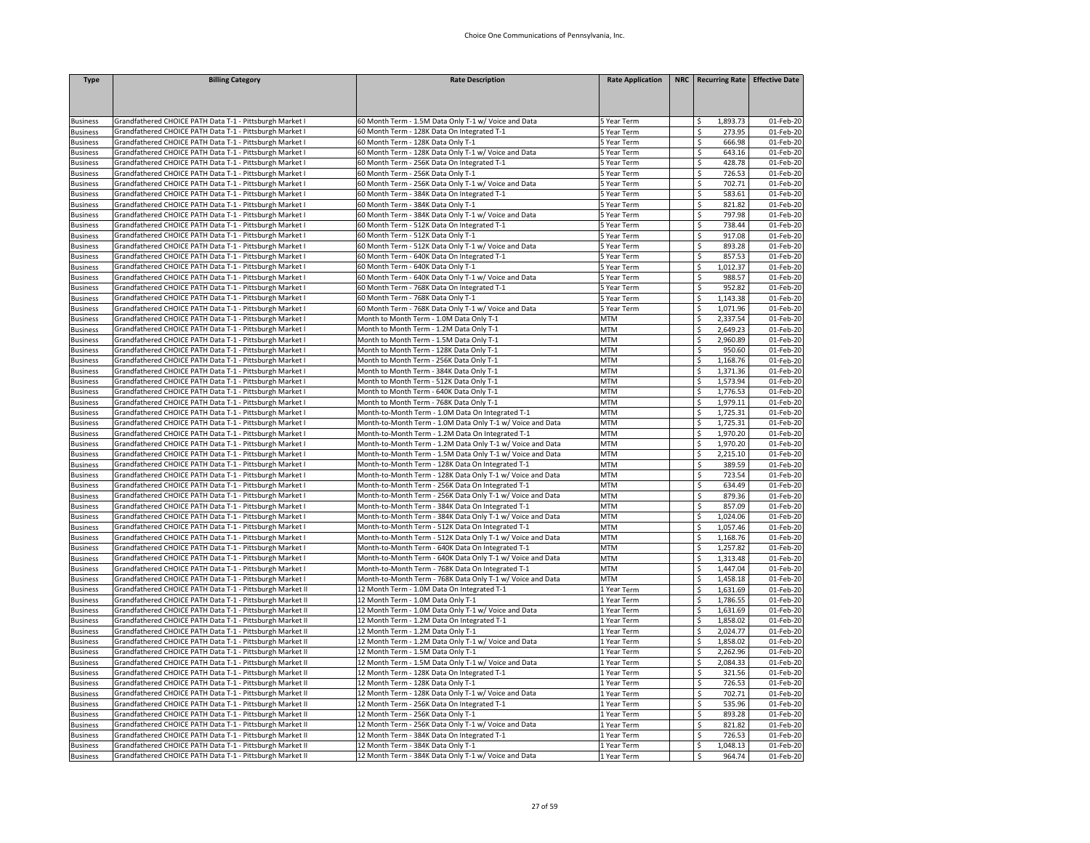| <b>Type</b>                        | <b>Billing Category</b>                                                                                              | <b>Rate Description</b>                                                                                         | <b>Rate Application</b>    | NRC   Recurring Rate   Effective Date |                        |
|------------------------------------|----------------------------------------------------------------------------------------------------------------------|-----------------------------------------------------------------------------------------------------------------|----------------------------|---------------------------------------|------------------------|
|                                    |                                                                                                                      |                                                                                                                 |                            |                                       |                        |
|                                    |                                                                                                                      |                                                                                                                 |                            |                                       |                        |
|                                    |                                                                                                                      |                                                                                                                 |                            |                                       |                        |
| <b>Business</b>                    | Grandfathered CHOICE PATH Data T-1 - Pittsburgh Market I<br>Grandfathered CHOICE PATH Data T-1 - Pittsburgh Market I | 60 Month Term - 1.5M Data Only T-1 w/ Voice and Data<br>60 Month Term - 128K Data On Integrated T-1             | 5 Year Term<br>5 Year Term | 1,893.73<br>\$<br>\$<br>273.95        | 01-Feb-20<br>01-Feb-20 |
| <b>Business</b>                    | Grandfathered CHOICE PATH Data T-1 - Pittsburgh Market I                                                             | 60 Month Term - 128K Data Only T-1                                                                              |                            | $\overline{\mathsf{S}}$<br>666.98     | 01-Feb-20              |
| <b>Business</b><br><b>Business</b> | Grandfathered CHOICE PATH Data T-1 - Pittsburgh Market I                                                             | 60 Month Term - 128K Data Only T-1 w/ Voice and Data                                                            | S Year Term<br>5 Year Term | \$<br>643.16                          | 01-Feb-20              |
| <b>Business</b>                    | Grandfathered CHOICE PATH Data T-1 - Pittsburgh Market I                                                             | 60 Month Term - 256K Data On Integrated T-1                                                                     | 5 Year Term                | \$<br>428.78                          | 01-Feb-20              |
| <b>Business</b>                    | Grandfathered CHOICE PATH Data T-1 - Pittsburgh Market I                                                             | 60 Month Term - 256K Data Only T-1                                                                              | 5 Year Term                | 726.53<br>\$                          | 01-Feb-20              |
| <b>Business</b>                    | Grandfathered CHOICE PATH Data T-1 - Pittsburgh Market I                                                             | 60 Month Term - 256K Data Only T-1 w/ Voice and Data                                                            | S Year Term                | \$<br>702.71                          | 01-Feb-20              |
| <b>Business</b>                    | Grandfathered CHOICE PATH Data T-1 - Pittsburgh Market I                                                             | 60 Month Term - 384K Data On Integrated T-1                                                                     | 5 Year Term                | \$<br>583.61                          | 01-Feb-20              |
| <b>Business</b>                    | Grandfathered CHOICE PATH Data T-1 - Pittsburgh Market I                                                             | 60 Month Term - 384K Data Only T-1                                                                              | SYear Term                 | \$<br>821.82                          | 01-Feb-20              |
| <b>Business</b>                    | Grandfathered CHOICE PATH Data T-1 - Pittsburgh Market I                                                             | 60 Month Term - 384K Data Only T-1 w/ Voice and Data                                                            | S Year Term                | \$<br>797.98                          | 01-Feb-20              |
| <b>Business</b>                    | Grandfathered CHOICE PATH Data T-1 - Pittsburgh Market I                                                             | 60 Month Term - 512K Data On Integrated T-1                                                                     | 5 Year Term                | \$<br>738.44                          | 01-Feb-20              |
| <b>Business</b>                    | Grandfathered CHOICE PATH Data T-1 - Pittsburgh Market I                                                             | 60 Month Term - 512K Data Only T-1                                                                              | 5 Year Term                | \$<br>917.08                          | 01-Feb-20              |
| <b>Business</b>                    | Grandfathered CHOICE PATH Data T-1 - Pittsburgh Market I                                                             | 60 Month Term - 512K Data Only T-1 w/ Voice and Data                                                            | 5 Year Term                | \$<br>893.28                          | 01-Feb-20              |
| <b>Business</b>                    | Grandfathered CHOICE PATH Data T-1 - Pittsburgh Market I                                                             | 60 Month Term - 640K Data On Integrated T-1                                                                     | S Year Term                | \$<br>857.53                          | 01-Feb-20              |
| <b>Business</b>                    | Grandfathered CHOICE PATH Data T-1 - Pittsburgh Market I                                                             | 60 Month Term - 640K Data Only T-1                                                                              | Year Term                  | \$<br>1,012.37                        | 01-Feb-20              |
| <b>Business</b>                    | Grandfathered CHOICE PATH Data T-1 - Pittsburgh Market I                                                             | 60 Month Term - 640K Data Only T-1 w/ Voice and Data                                                            | SYear Term                 | 988.57<br>\$                          | 01-Feb-20              |
| <b>Business</b>                    | Grandfathered CHOICE PATH Data T-1 - Pittsburgh Market I                                                             | 60 Month Term - 768K Data On Integrated T-1                                                                     | Year Term                  | \$<br>952.82                          | 01-Feb-20              |
| <b>Business</b>                    | Grandfathered CHOICE PATH Data T-1 - Pittsburgh Market I                                                             | 60 Month Term - 768K Data Only T-1                                                                              | S Year Term                | \$<br>1,143.38                        | 01-Feb-20              |
| <b>Business</b>                    | Grandfathered CHOICE PATH Data T-1 - Pittsburgh Market I                                                             | 60 Month Term - 768K Data Only T-1 w/ Voice and Data                                                            | 5 Year Term                | \$<br>1,071.96                        | 01-Feb-20              |
| <b>Business</b>                    | Grandfathered CHOICE PATH Data T-1 - Pittsburgh Market I                                                             | Month to Month Term - 1.0M Data Only T-1                                                                        | <b>MTM</b>                 | \$<br>2,337.54                        | 01-Feb-20              |
| <b>Business</b>                    | Grandfathered CHOICE PATH Data T-1 - Pittsburgh Market I                                                             | Month to Month Term - 1.2M Data Only T-1                                                                        | <b>MTM</b>                 | \$<br>2,649.23                        | 01-Feb-20              |
| <b>Business</b>                    | Grandfathered CHOICE PATH Data T-1 - Pittsburgh Market I                                                             | Month to Month Term - 1.5M Data Only T-1                                                                        | <b>MTM</b>                 | \$<br>2,960.89                        | 01-Feb-20              |
| <b>Business</b>                    | Grandfathered CHOICE PATH Data T-1 - Pittsburgh Market I                                                             | Month to Month Term - 128K Data Only T-1                                                                        | <b>MTM</b>                 | \$<br>950.60                          | 01-Feb-20              |
| <b>Business</b>                    | Grandfathered CHOICE PATH Data T-1 - Pittsburgh Market I                                                             | Month to Month Term - 256K Data Only T-1                                                                        | <b>MTM</b>                 | \$<br>1,168.76                        | 01-Feb-20              |
| <b>Business</b>                    | Grandfathered CHOICE PATH Data T-1 - Pittsburgh Market I                                                             | Month to Month Term - 384K Data Only T-1                                                                        | <b>MTM</b>                 | \$<br>1,371.36                        | 01-Feb-20              |
| <b>Business</b>                    | Grandfathered CHOICE PATH Data T-1 - Pittsburgh Market I                                                             | Month to Month Term - 512K Data Only T-1                                                                        | <b>MTM</b>                 | \$<br>1,573.94                        | 01-Feb-20              |
| <b>Business</b>                    | Grandfathered CHOICE PATH Data T-1 - Pittsburgh Market I                                                             | Month to Month Term - 640K Data Only T-1                                                                        | <b>MTM</b>                 | \$<br>1,776.53                        | 01-Feb-20              |
| <b>Business</b>                    | Grandfathered CHOICE PATH Data T-1 - Pittsburgh Market I                                                             | Month to Month Term - 768K Data Only T-1                                                                        | <b>MTM</b>                 | \$<br>1,979.11                        | 01-Feb-20              |
| <b>Business</b>                    | Grandfathered CHOICE PATH Data T-1 - Pittsburgh Market I                                                             | Month-to-Month Term - 1.0M Data On Integrated T-1                                                               | <b>MTM</b>                 | 1,725.31<br>\$                        | 01-Feb-20              |
| <b>Business</b>                    | Grandfathered CHOICE PATH Data T-1 - Pittsburgh Market I                                                             | Month-to-Month Term - 1.0M Data Only T-1 w/ Voice and Data                                                      | <b>MTM</b>                 | \$<br>1,725.31                        | 01-Feb-20              |
| <b>Business</b>                    | Grandfathered CHOICE PATH Data T-1 - Pittsburgh Market I                                                             | Month-to-Month Term - 1.2M Data On Integrated T-1                                                               | <b>MTM</b>                 | \$<br>1,970.20                        | 01-Feb-20              |
| <b>Business</b>                    | Grandfathered CHOICE PATH Data T-1 - Pittsburgh Market I                                                             | Month-to-Month Term - 1.2M Data Only T-1 w/ Voice and Data                                                      | <b>MTM</b>                 | \$<br>1,970.20                        | 01-Feb-20              |
| <b>Business</b>                    | Grandfathered CHOICE PATH Data T-1 - Pittsburgh Market I                                                             | Month-to-Month Term - 1.5M Data Only T-1 w/ Voice and Data                                                      | <b>MTM</b>                 | \$<br>2,215.10                        | 01-Feb-20              |
| <b>Business</b>                    | Grandfathered CHOICE PATH Data T-1 - Pittsburgh Market I                                                             | Month-to-Month Term - 128K Data On Integrated T-1                                                               | <b>MTM</b>                 | \$<br>389.59                          | 01-Feb-20              |
| <b>Business</b>                    | Grandfathered CHOICE PATH Data T-1 - Pittsburgh Market I                                                             | Month-to-Month Term - 128K Data Only T-1 w/ Voice and Data                                                      | <b>MTM</b>                 | \$<br>723.54                          | 01-Feb-20              |
| <b>Business</b>                    | Grandfathered CHOICE PATH Data T-1 - Pittsburgh Market I<br>Grandfathered CHOICE PATH Data T-1 - Pittsburgh Market I | Month-to-Month Term - 256K Data On Integrated T-1                                                               | <b>MTM</b><br><b>MTM</b>   | \$<br>634.49<br>\$<br>879.36          | 01-Feb-20<br>01-Feb-20 |
| <b>Business</b>                    | Grandfathered CHOICE PATH Data T-1 - Pittsburgh Market I                                                             | Month-to-Month Term - 256K Data Only T-1 w/ Voice and Data                                                      | MTM                        |                                       |                        |
| <b>Business</b>                    | Grandfathered CHOICE PATH Data T-1 - Pittsburgh Market I                                                             | Month-to-Month Term - 384K Data On Integrated T-1<br>Month-to-Month Term - 384K Data Only T-1 w/ Voice and Data | <b>MTM</b>                 | \$<br>857.09<br>\$<br>1,024.06        | 01-Feb-20<br>01-Feb-20 |
| <b>Business</b><br><b>Business</b> | Grandfathered CHOICE PATH Data T-1 - Pittsburgh Market I                                                             | Month-to-Month Term - 512K Data On Integrated T-1                                                               | <b>MTM</b>                 | \$<br>1,057.46                        | 01-Feb-20              |
| <b>Business</b>                    | Grandfathered CHOICE PATH Data T-1 - Pittsburgh Market I                                                             | Month-to-Month Term - 512K Data Only T-1 w/ Voice and Data                                                      | <b>MTM</b>                 | \$<br>1,168.76                        | 01-Feb-20              |
| <b>Business</b>                    | Grandfathered CHOICE PATH Data T-1 - Pittsburgh Market I                                                             | Month-to-Month Term - 640K Data On Integrated T-1                                                               | <b>MTM</b>                 | 1,257.82<br>\$                        | 01-Feb-20              |
| <b>Business</b>                    | Grandfathered CHOICE PATH Data T-1 - Pittsburgh Market I                                                             | Month-to-Month Term - 640K Data Only T-1 w/ Voice and Data                                                      | <b>MTM</b>                 | \$<br>1,313.48                        | 01-Feb-20              |
| <b>Business</b>                    | Grandfathered CHOICE PATH Data T-1 - Pittsburgh Market I                                                             | Month-to-Month Term - 768K Data On Integrated T-1                                                               | <b>MTM</b>                 | \$<br>1,447.04                        | 01-Feb-20              |
| <b>Business</b>                    | Grandfathered CHOICE PATH Data T-1 - Pittsburgh Market I                                                             | Month-to-Month Term - 768K Data Only T-1 w/ Voice and Data                                                      | <b>MTM</b>                 | \$<br>1,458.18                        | 01-Feb-20              |
| <b>Business</b>                    | Grandfathered CHOICE PATH Data T-1 - Pittsburgh Market II                                                            | 12 Month Term - 1.0M Data On Integrated T-1                                                                     | 1 Year Term                | \$<br>1,631.69                        | 01-Feb-20              |
| <b>Business</b>                    | Grandfathered CHOICE PATH Data T-1 - Pittsburgh Market II                                                            | 12 Month Term - 1.0M Data Only T-1                                                                              | 1 Year Term                | \$<br>1,786.55                        | 01-Feb-20              |
| <b>Business</b>                    | Grandfathered CHOICE PATH Data T-1 - Pittsburgh Market II                                                            | 12 Month Term - 1.0M Data Only T-1 w/ Voice and Data                                                            | 1 Year Term                | \$<br>1,631.69                        | 01-Feb-20              |
| <b>Business</b>                    | Grandfathered CHOICE PATH Data T-1 - Pittsburgh Market II                                                            | 12 Month Term - 1.2M Data On Integrated T-1                                                                     | 1 Year Term                | \$<br>1,858.02                        | 01-Feb-20              |
| <b>Business</b>                    | Grandfathered CHOICE PATH Data T-1 - Pittsburgh Market II                                                            | 12 Month Term - 1.2M Data Only T-1                                                                              | Year Term                  | \$<br>2,024.77                        | 01-Feb-20              |
| <b>Business</b>                    | Grandfathered CHOICE PATH Data T-1 - Pittsburgh Market II                                                            | 12 Month Term - 1.2M Data Only T-1 w/ Voice and Data                                                            | L Year Term                | \$<br>1,858.02                        | 01-Feb-20              |
| <b>Business</b>                    | Grandfathered CHOICE PATH Data T-1 - Pittsburgh Market II                                                            | 12 Month Term - 1.5M Data Only T-1                                                                              | Year Term                  | \$<br>2,262.96                        | 01-Feb-20              |
| <b>Business</b>                    | Grandfathered CHOICE PATH Data T-1 - Pittsburgh Market II                                                            | 12 Month Term - 1.5M Data Only T-1 w/ Voice and Data                                                            | Year Term                  | \$<br>2,084.33                        | 01-Feb-20              |
| <b>Business</b>                    | Grandfathered CHOICE PATH Data T-1 - Pittsburgh Market II                                                            | 12 Month Term - 128K Data On Integrated T-1                                                                     | Year Term                  | \$<br>321.56                          | 01-Feb-20              |
| <b>Business</b>                    | Grandfathered CHOICE PATH Data T-1 - Pittsburgh Market II                                                            | 12 Month Term - 128K Data Only T-1                                                                              | LYear Term                 | \$<br>726.53                          | 01-Feb-20              |
| <b>Business</b>                    | Grandfathered CHOICE PATH Data T-1 - Pittsburgh Market II                                                            | 12 Month Term - 128K Data Only T-1 w/ Voice and Data                                                            | LYear Term                 | \$<br>702.71                          | 01-Feb-20              |
| <b>Business</b>                    | Grandfathered CHOICE PATH Data T-1 - Pittsburgh Market II                                                            | 12 Month Term - 256K Data On Integrated T-1                                                                     | Year Term                  | \$<br>535.96                          | 01-Feb-20              |
| <b>Business</b>                    | Grandfathered CHOICE PATH Data T-1 - Pittsburgh Market II                                                            | 12 Month Term - 256K Data Only T-1                                                                              | Year Term                  | \$<br>893.28                          | 01-Feb-20              |
| <b>Business</b>                    | Grandfathered CHOICE PATH Data T-1 - Pittsburgh Market II                                                            | 12 Month Term - 256K Data Only T-1 w/ Voice and Data                                                            | Year Term                  | \$<br>821.82                          | 01-Feb-20              |
| <b>Business</b>                    | Grandfathered CHOICE PATH Data T-1 - Pittsburgh Market II                                                            | 12 Month Term - 384K Data On Integrated T-1                                                                     | LYear Term                 | \$<br>726.53                          | 01-Feb-20              |
| <b>Business</b>                    | Grandfathered CHOICE PATH Data T-1 - Pittsburgh Market II                                                            | 12 Month Term - 384K Data Only T-1                                                                              | L Year Term                | \$<br>1,048.13                        | 01-Feb-20              |
| <b>Business</b>                    | Grandfathered CHOICE PATH Data T-1 - Pittsburgh Market II                                                            | 12 Month Term - 384K Data Only T-1 w/ Voice and Data                                                            | 1 Year Term                | Ŝ.<br>964.74                          | 01-Feb-20              |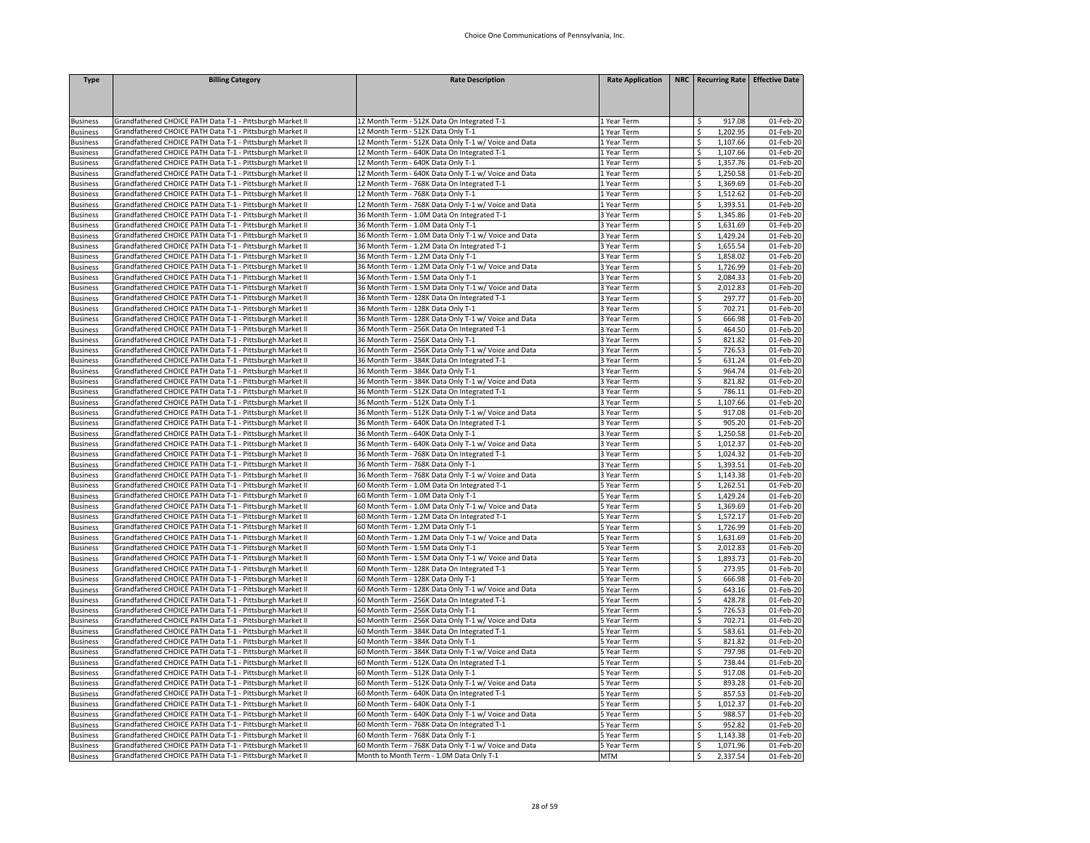| <b>Type</b>                        | <b>Billing Category</b>                                                                                                | <b>Rate Description</b>                                                                             | <b>Rate Application</b>    | NRC   Recurring Rate   Effective Date |                        |
|------------------------------------|------------------------------------------------------------------------------------------------------------------------|-----------------------------------------------------------------------------------------------------|----------------------------|---------------------------------------|------------------------|
|                                    |                                                                                                                        |                                                                                                     |                            |                                       |                        |
|                                    |                                                                                                                        |                                                                                                     |                            |                                       |                        |
| <b>Business</b>                    | Grandfathered CHOICE PATH Data T-1 - Pittsburgh Market II                                                              | 12 Month Term - 512K Data On Integrated T-1                                                         | 1 Year Term                | 917.08<br>\$                          | 01-Feb-20              |
| <b>Business</b>                    | Grandfathered CHOICE PATH Data T-1 - Pittsburgh Market II                                                              | 12 Month Term - 512K Data Only T-1                                                                  | 1 Year Term                | \$<br>1,202.95                        | 01-Feb-20              |
| <b>Business</b>                    | Grandfathered CHOICE PATH Data T-1 - Pittsburgh Market II                                                              | 12 Month Term - 512K Data Only T-1 w/ Voice and Data                                                | 1 Year Term                | \$<br>1,107.66                        | 01-Feb-20              |
| <b>Business</b>                    | Grandfathered CHOICE PATH Data T-1 - Pittsburgh Market II                                                              | 12 Month Term - 640K Data On Integrated T-1                                                         | 1 Year Term                | \$<br>1,107.66                        | 01-Feb-20              |
| <b>Business</b>                    | Grandfathered CHOICE PATH Data T-1 - Pittsburgh Market II                                                              | 12 Month Term - 640K Data Only T-1                                                                  | 1 Year Term                | \$<br>1,357.76                        | 01-Feb-20              |
| <b>Business</b>                    | Grandfathered CHOICE PATH Data T-1 - Pittsburgh Market II                                                              | 12 Month Term - 640K Data Only T-1 w/ Voice and Data                                                | 1 Year Term                | \$<br>1,250.58                        | 01-Feb-20              |
| <b>Business</b>                    | Grandfathered CHOICE PATH Data T-1 - Pittsburgh Market II                                                              | 12 Month Term - 768K Data On Integrated T-1                                                         | 1 Year Term                | \$<br>1,369.69                        | 01-Feb-20              |
| <b>Business</b>                    | Grandfathered CHOICE PATH Data T-1 - Pittsburgh Market II                                                              | 12 Month Term - 768K Data Only T-1                                                                  | 1 Year Term                | \$<br>1,512.62                        | 01-Feb-20              |
| <b>Business</b>                    | Grandfathered CHOICE PATH Data T-1 - Pittsburgh Market II<br>Grandfathered CHOICE PATH Data T-1 - Pittsburgh Market II | 12 Month Term - 768K Data Only T-1 w/ Voice and Data<br>36 Month Term - 1.0M Data On Integrated T-1 | 1 Year Term                | \$<br>1,393.51<br>\$<br>1,345.86      | 01-Feb-20<br>01-Feb-20 |
| <b>Business</b><br><b>Business</b> | Grandfathered CHOICE PATH Data T-1 - Pittsburgh Market II                                                              | 36 Month Term - 1.0M Data Only T-1                                                                  | 3 Year Term<br>3 Year Term | \$<br>1,631.69                        | 01-Feb-20              |
| <b>Business</b>                    | Grandfathered CHOICE PATH Data T-1 - Pittsburgh Market II                                                              | 36 Month Term - 1.0M Data Only T-1 w/ Voice and Data                                                | 3 Year Term                | \$<br>1,429.24                        | 01-Feb-20              |
| <b>Business</b>                    | Grandfathered CHOICE PATH Data T-1 - Pittsburgh Market II                                                              | 36 Month Term - 1.2M Data On Integrated T-1                                                         | 3 Year Term                | \$<br>1,655.54                        | 01-Feb-20              |
| <b>Business</b>                    | Grandfathered CHOICE PATH Data T-1 - Pittsburgh Market II                                                              | 36 Month Term - 1.2M Data Only T-1                                                                  | 3 Year Term                | \$<br>1,858.02                        | 01-Feb-20              |
| <b>Business</b>                    | Grandfathered CHOICE PATH Data T-1 - Pittsburgh Market II                                                              | 36 Month Term - 1.2M Data Only T-1 w/ Voice and Data                                                | 3 Year Term                | \$<br>1,726.99                        | 01-Feb-20              |
| <b>Business</b>                    | Grandfathered CHOICE PATH Data T-1 - Pittsburgh Market II                                                              | 36 Month Term - 1.5M Data Only T-1                                                                  | 3 Year Term                | \$<br>2,084.33                        | 01-Feb-20              |
| <b>Business</b>                    | Grandfathered CHOICE PATH Data T-1 - Pittsburgh Market II                                                              | 36 Month Term - 1.5M Data Only T-1 w/ Voice and Data                                                | 3 Year Term                | \$<br>2,012.83                        | 01-Feb-20              |
| <b>Business</b>                    | Grandfathered CHOICE PATH Data T-1 - Pittsburgh Market II                                                              | 36 Month Term - 128K Data On Integrated T-1                                                         | 3 Year Term                | \$<br>297.77                          | 01-Feb-20              |
| <b>Business</b>                    | Grandfathered CHOICE PATH Data T-1 - Pittsburgh Market II                                                              | 36 Month Term - 128K Data Only T-1                                                                  | 3 Year Term                | \$<br>702.71                          | 01-Feb-20              |
| <b>Business</b>                    | Grandfathered CHOICE PATH Data T-1 - Pittsburgh Market II                                                              | 36 Month Term - 128K Data Only T-1 w/ Voice and Data                                                | 3 Year Term                | \$<br>666.98                          | 01-Feb-20              |
| <b>Business</b>                    | Grandfathered CHOICE PATH Data T-1 - Pittsburgh Market II                                                              | 36 Month Term - 256K Data On Integrated T-1                                                         | 3 Year Term                | \$<br>464.50                          | 01-Feb-20              |
| <b>Business</b>                    | Grandfathered CHOICE PATH Data T-1 - Pittsburgh Market II                                                              | 36 Month Term - 256K Data Only T-1                                                                  | 3 Year Term                | \$<br>821.82                          | 01-Feb-20              |
| <b>Business</b>                    | Grandfathered CHOICE PATH Data T-1 - Pittsburgh Market II                                                              | 36 Month Term - 256K Data Only T-1 w/ Voice and Data                                                | 3 Year Term                | \$<br>726.53                          | 01-Feb-20              |
| <b>Business</b>                    | Grandfathered CHOICE PATH Data T-1 - Pittsburgh Market II                                                              | 36 Month Term - 384K Data On Integrated T-1<br>36 Month Term - 384K Data Only T-1                   | 3 Year Term                | \$<br>631.24<br>\$<br>964.74          | 01-Feb-20<br>01-Feb-20 |
| <b>Business</b><br><b>Business</b> | Grandfathered CHOICE PATH Data T-1 - Pittsburgh Market II<br>Grandfathered CHOICE PATH Data T-1 - Pittsburgh Market II | 36 Month Term - 384K Data Only T-1 w/ Voice and Data                                                | 3 Year Term<br>3 Year Term | \$<br>821.82                          | 01-Feb-20              |
| <b>Business</b>                    | Grandfathered CHOICE PATH Data T-1 - Pittsburgh Market II                                                              | 36 Month Term - 512K Data On Integrated T-1                                                         | 3 Year Term                | \$<br>786.11                          | 01-Feb-20              |
| <b>Business</b>                    | Grandfathered CHOICE PATH Data T-1 - Pittsburgh Market II                                                              | 36 Month Term - 512K Data Only T-1                                                                  | 3 Year Term                | $\overline{\mathsf{s}}$<br>1,107.66   | 01-Feb-20              |
| <b>Business</b>                    | Grandfathered CHOICE PATH Data T-1 - Pittsburgh Market II                                                              | 36 Month Term - 512K Data Only T-1 w/ Voice and Data                                                | 3 Year Term                | \$<br>917.08                          | 01-Feb-20              |
| <b>Business</b>                    | Grandfathered CHOICE PATH Data T-1 - Pittsburgh Market II                                                              | 36 Month Term - 640K Data On Integrated T-1                                                         | 3 Year Term                | \$<br>905.20                          | 01-Feb-20              |
| <b>Business</b>                    | Grandfathered CHOICE PATH Data T-1 - Pittsburgh Market II                                                              | 36 Month Term - 640K Data Only T-1                                                                  | 3 Year Term                | \$<br>1,250.58                        | 01-Feb-20              |
| <b>Business</b>                    | Grandfathered CHOICE PATH Data T-1 - Pittsburgh Market II                                                              | 36 Month Term - 640K Data Only T-1 w/ Voice and Data                                                | 3 Year Term                | \$<br>1,012.37                        | 01-Feb-20              |
| <b>Business</b>                    | Grandfathered CHOICE PATH Data T-1 - Pittsburgh Market II                                                              | 36 Month Term - 768K Data On Integrated T-1                                                         | 3 Year Term                | \$<br>1,024.32                        | 01-Feb-20              |
| <b>Business</b>                    | Grandfathered CHOICE PATH Data T-1 - Pittsburgh Market II                                                              | 36 Month Term - 768K Data Only T-1                                                                  | 3 Year Term                | 1,393.51<br>\$                        | 01-Feb-20              |
| <b>Business</b>                    | Grandfathered CHOICE PATH Data T-1 - Pittsburgh Market II                                                              | 36 Month Term - 768K Data Only T-1 w/ Voice and Data                                                | 3 Year Term                | \$<br>1,143.38                        | 01-Feb-20              |
| <b>Business</b>                    | Grandfathered CHOICE PATH Data T-1 - Pittsburgh Market II                                                              | 60 Month Term - 1.0M Data On Integrated T-1                                                         | S Year Term                | \$<br>1,262.51                        | 01-Feb-20              |
| <b>Business</b>                    | Grandfathered CHOICE PATH Data T-1 - Pittsburgh Market II                                                              | 60 Month Term - 1.0M Data Only T-1                                                                  | S Year Term                | \$<br>1,429.24                        | 01-Feb-20              |
| <b>Business</b>                    | Grandfathered CHOICE PATH Data T-1 - Pittsburgh Market II                                                              | 60 Month Term - 1.0M Data Only T-1 w/ Voice and Data                                                | 5 Year Term                | \$<br>1,369.69                        | 01-Feb-20              |
| <b>Business</b>                    | Grandfathered CHOICE PATH Data T-1 - Pittsburgh Market II<br>Grandfathered CHOICE PATH Data T-1 - Pittsburgh Market II | 60 Month Term - 1.2M Data On Integrated T-1                                                         | 5 Year Term                | \$<br>1,572.17                        | 01-Feb-20              |
| <b>Business</b>                    | Grandfathered CHOICE PATH Data T-1 - Pittsburgh Market II                                                              | 60 Month Term - 1.2M Data Only T-1<br>60 Month Term - 1.2M Data Only T-1 w/ Voice and Data          | 5 Year Term                | \$<br>1,726.99<br>\$<br>1,631.69      | 01-Feb-20<br>01-Feb-20 |
| <b>Business</b><br><b>Business</b> | Grandfathered CHOICE PATH Data T-1 - Pittsburgh Market II                                                              | 60 Month Term - 1.5M Data Only T-1                                                                  | 5 Year Term<br>S Year Term | 2,012.83<br>\$                        | 01-Feb-20              |
| <b>Business</b>                    | Grandfathered CHOICE PATH Data T-1 - Pittsburgh Market II                                                              | 60 Month Term - 1.5M Data Only T-1 w/ Voice and Data                                                | S Year Term                | \$<br>1,893.73                        | 01-Feb-20              |
| <b>Business</b>                    | Grandfathered CHOICE PATH Data T-1 - Pittsburgh Market II                                                              | 50 Month Term - 128K Data On Integrated T-1                                                         | S Year Term                | \$<br>273.95                          | 01-Feb-20              |
| <b>Business</b>                    | Grandfathered CHOICE PATH Data T-1 - Pittsburgh Market II                                                              | 60 Month Term - 128K Data Only T-1                                                                  | S Year Term                | \$<br>666.98                          | 01-Feb-20              |
| <b>Business</b>                    | Grandfathered CHOICE PATH Data T-1 - Pittsburgh Market II                                                              | 60 Month Term - 128K Data Only T-1 w/ Voice and Data                                                | 5 Year Term                | \$<br>643.16                          | 01-Feb-20              |
| <b>Business</b>                    | Grandfathered CHOICE PATH Data T-1 - Pittsburgh Market II                                                              | 60 Month Term - 256K Data On Integrated T-1                                                         | 5 Year Term                | \$<br>428.78                          | 01-Feb-20              |
| <b>Business</b>                    | Grandfathered CHOICE PATH Data T-1 - Pittsburgh Market II                                                              | 60 Month Term - 256K Data Only T-1                                                                  | 5 Year Term                | \$<br>726.53                          | 01-Feb-20              |
| <b>Business</b>                    | Grandfathered CHOICE PATH Data T-1 - Pittsburgh Market II                                                              | 60 Month Term - 256K Data Only T-1 w/ Voice and Data                                                | 5 Year Term                | \$<br>702.71                          | 01-Feb-20              |
| <b>Business</b>                    | Grandfathered CHOICE PATH Data T-1 - Pittsburgh Market II                                                              | 60 Month Term - 384K Data On Integrated T-1                                                         | S Year Term                | \$<br>583.61                          | 01-Feb-20              |
| <b>Business</b>                    | Grandfathered CHOICE PATH Data T-1 - Pittsburgh Market II                                                              | 60 Month Term - 384K Data Only T-1                                                                  | 5 Year Term                | \$<br>821.82                          | 01-Feb-20              |
| <b>Business</b>                    | Grandfathered CHOICE PATH Data T-1 - Pittsburgh Market II                                                              | 60 Month Term - 384K Data Only T-1 w/ Voice and Data                                                | 5 Year Term                | \$<br>797.98                          | 01-Feb-20              |
| <b>Business</b>                    | Grandfathered CHOICE PATH Data T-1 - Pittsburgh Market II                                                              | 60 Month Term - 512K Data On Integrated T-1                                                         | 5 Year Term                | \$<br>738.44                          | 01-Feb-20              |
| <b>Business</b>                    | Grandfathered CHOICE PATH Data T-1 - Pittsburgh Market II                                                              | 60 Month Term - 512K Data Only T-1                                                                  | 5 Year Term                | $\overline{\mathsf{S}}$<br>917.08     | 01-Feb-20              |
| <b>Business</b>                    | Grandfathered CHOICE PATH Data T-1 - Pittsburgh Market II                                                              | 60 Month Term - 512K Data Only T-1 w/ Voice and Data                                                | 5 Year Term                | \$<br>893.28                          | 01-Feb-20              |
| <b>Business</b><br><b>Business</b> | Grandfathered CHOICE PATH Data T-1 - Pittsburgh Market II<br>Grandfathered CHOICE PATH Data T-1 - Pittsburgh Market II | 60 Month Term - 640K Data On Integrated T-1<br>60 Month Term - 640K Data Only T-1                   | 5 Year Term<br>5 Year Term | \$<br>857.53<br>\$<br>1,012.37        | 01-Feb-20<br>01-Feb-20 |
| <b>Business</b>                    | Grandfathered CHOICE PATH Data T-1 - Pittsburgh Market II                                                              | 60 Month Term - 640K Data Only T-1 w/ Voice and Data                                                | 5 Year Term                | \$<br>988.57                          | 01-Feb-20              |
| <b>Business</b>                    | Grandfathered CHOICE PATH Data T-1 - Pittsburgh Market II                                                              | 60 Month Term - 768K Data On Integrated T-1                                                         | 5 Year Term                | \$<br>952.82                          | 01-Feb-20              |
| <b>Business</b>                    | Grandfathered CHOICE PATH Data T-1 - Pittsburgh Market II                                                              | 60 Month Term - 768K Data Only T-1                                                                  | 5 Year Term                | \$<br>1,143.38                        | 01-Feb-20              |
| <b>Business</b>                    | Grandfathered CHOICE PATH Data T-1 - Pittsburgh Market II                                                              | 60 Month Term - 768K Data Only T-1 w/ Voice and Data                                                | 5 Year Term                | \$<br>1,071.96                        | 01-Feb-20              |
| <b>Business</b>                    | Grandfathered CHOICE PATH Data T-1 - Pittsburgh Market II                                                              | Month to Month Term - 1.0M Data Only T-1                                                            | <b>MTM</b>                 | $\mathsf{\hat{S}}$<br>2,337.54        | 01-Feb-20              |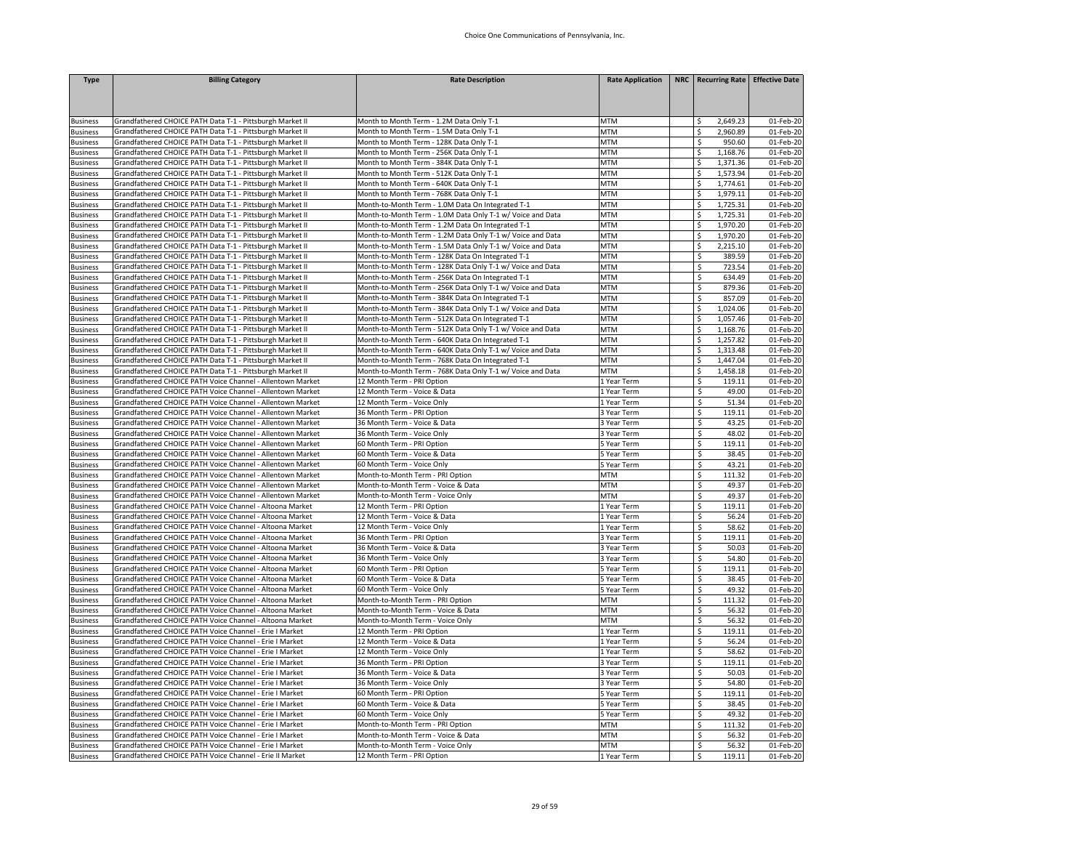| <b>Type</b>                        | <b>Billing Category</b>                                                                                                | <b>Rate Description</b>                                                              | <b>Rate Application</b>  | <b>NRC</b>   Recurring Rate   Effective Date |                        |
|------------------------------------|------------------------------------------------------------------------------------------------------------------------|--------------------------------------------------------------------------------------|--------------------------|----------------------------------------------|------------------------|
|                                    |                                                                                                                        |                                                                                      |                          |                                              |                        |
|                                    |                                                                                                                        |                                                                                      |                          |                                              |                        |
|                                    |                                                                                                                        |                                                                                      |                          |                                              |                        |
| Business                           | Grandfathered CHOICE PATH Data T-1 - Pittsburgh Market II                                                              | Month to Month Term - 1.2M Data Only T-1                                             | MTM                      | 2,649.23<br>\$                               | 01-Feb-20              |
| <b>Business</b>                    | Grandfathered CHOICE PATH Data T-1 - Pittsburgh Market II                                                              | Month to Month Term - 1.5M Data Only T-1                                             | <b>MTM</b>               | \$<br>2,960.89                               | 01-Feb-20              |
| <b>Business</b>                    | Grandfathered CHOICE PATH Data T-1 - Pittsburgh Market II                                                              | Month to Month Term - 128K Data Only T-1                                             | <b>MTM</b>               | \$<br>950.60                                 | 01-Feb-20              |
| <b>Business</b>                    | Grandfathered CHOICE PATH Data T-1 - Pittsburgh Market II                                                              | Month to Month Term - 256K Data Only T-1                                             | <b>MTM</b>               | \$<br>1,168.76                               | $01$ -Feb-20           |
| <b>Business</b>                    | Grandfathered CHOICE PATH Data T-1 - Pittsburgh Market II                                                              | Month to Month Term - 384K Data Only T-1<br>Month to Month Term - 512K Data Only T-1 | <b>MTM</b><br><b>MTM</b> | \$<br>1,371.36<br>1,573.94                   | 01-Feb-20<br>01-Feb-20 |
| Business                           | Grandfathered CHOICE PATH Data T-1 - Pittsburgh Market II<br>Grandfathered CHOICE PATH Data T-1 - Pittsburgh Market II | Month to Month Term - 640K Data Only T-1                                             | <b>MTM</b>               | \$<br>1,774.61<br>\$                         | 01-Feb-20              |
| <b>Business</b><br><b>Business</b> | Grandfathered CHOICE PATH Data T-1 - Pittsburgh Market II                                                              | Month to Month Term - 768K Data Only T-1                                             | <b>MTM</b>               | 1,979.11<br>\$                               | 01-Feb-20              |
| <b>Business</b>                    | Grandfathered CHOICE PATH Data T-1 - Pittsburgh Market II                                                              | Month-to-Month Term - 1.0M Data On Integrated T-1                                    | <b>MTM</b>               | \$<br>1,725.31                               | 01-Feb-20              |
| <b>Business</b>                    | Grandfathered CHOICE PATH Data T-1 - Pittsburgh Market II                                                              | Month-to-Month Term - 1.0M Data Only T-1 w/ Voice and Data                           | <b>MTM</b>               | \$<br>1,725.31                               | 01-Feb-20              |
| <b>Business</b>                    | Grandfathered CHOICE PATH Data T-1 - Pittsburgh Market II                                                              | Month-to-Month Term - 1.2M Data On Integrated T-1                                    | <b>MTM</b>               | \$<br>1,970.20                               | 01-Feb-20              |
| <b>Business</b>                    | Grandfathered CHOICE PATH Data T-1 - Pittsburgh Market II                                                              | Month-to-Month Term - 1.2M Data Only T-1 w/ Voice and Data                           | <b>MTM</b>               | \$<br>1,970.20                               | 01-Feb-20              |
| <b>Business</b>                    | Grandfathered CHOICE PATH Data T-1 - Pittsburgh Market II                                                              | Month-to-Month Term - 1.5M Data Only T-1 w/ Voice and Data                           | <b>MTM</b>               | 2,215.10<br>\$                               | 01-Feb-20              |
| Business                           | Grandfathered CHOICE PATH Data T-1 - Pittsburgh Market II                                                              | Month-to-Month Term - 128K Data On Integrated T-1                                    | <b>MTM</b>               | \$<br>389.59                                 | 01-Feb-20              |
| <b>Business</b>                    | Grandfathered CHOICE PATH Data T-1 - Pittsburgh Market II                                                              | Month-to-Month Term - 128K Data Only T-1 w/ Voice and Data                           | <b>MTM</b>               | \$<br>723.54                                 | 01-Feb-20              |
| <b>Business</b>                    | Grandfathered CHOICE PATH Data T-1 - Pittsburgh Market II                                                              | Month-to-Month Term - 256K Data On Integrated T-1                                    | MTM                      | \$<br>634.49                                 | 01-Feb-20              |
| <b>Business</b>                    | Grandfathered CHOICE PATH Data T-1 - Pittsburgh Market II                                                              | Month-to-Month Term - 256K Data Only T-1 w/ Voice and Data                           | <b>MTM</b>               | \$<br>879.36                                 | 01-Feb-20              |
| <b>Business</b>                    | Grandfathered CHOICE PATH Data T-1 - Pittsburgh Market II                                                              | Month-to-Month Term - 384K Data On Integrated T-1                                    | <b>MTM</b>               | \$<br>857.09                                 | 01-Feb-20              |
| <b>Business</b>                    | Grandfathered CHOICE PATH Data T-1 - Pittsburgh Market II                                                              | Month-to-Month Term - 384K Data Only T-1 w/ Voice and Data                           | <b>MTM</b>               | \$<br>1,024.06                               | $01$ -Feb-20           |
| <b>Business</b>                    | Grandfathered CHOICE PATH Data T-1 - Pittsburgh Market II                                                              | Month-to-Month Term - 512K Data On Integrated T-1                                    | <b>MTM</b>               | \$<br>1,057.46                               | 01-Feb-20              |
| Business                           | Grandfathered CHOICE PATH Data T-1 - Pittsburgh Market II                                                              | Month-to-Month Term - 512K Data Only T-1 w/ Voice and Data                           | <b>MTM</b>               | \$<br>1,168.76                               | 01-Feb-20              |
| <b>Business</b>                    | Grandfathered CHOICE PATH Data T-1 - Pittsburgh Market II                                                              | Month-to-Month Term - 640K Data On Integrated T-1                                    | <b>MTM</b>               | 1,257.82<br>\$                               | 01-Feb-20              |
| <b>Business</b>                    | Grandfathered CHOICE PATH Data T-1 - Pittsburgh Market II                                                              | Month-to-Month Term - 640K Data Only T-1 w/ Voice and Data                           | MTM                      | 1,313.48<br>\$                               | 01-Feb-20              |
| <b>Business</b>                    | Grandfathered CHOICE PATH Data T-1 - Pittsburgh Market II                                                              | Month-to-Month Term - 768K Data On Integrated T-1                                    | <b>MTM</b>               | \$<br>1,447.04                               | 01-Feb-20              |
| <b>Business</b>                    | Grandfathered CHOICE PATH Data T-1 - Pittsburgh Market II                                                              | Month-to-Month Term - 768K Data Only T-1 w/ Voice and Data                           | MTM                      | \$<br>1,458.18                               | 01-Feb-20              |
| <b>Business</b>                    | Grandfathered CHOICE PATH Voice Channel - Allentown Market                                                             | 12 Month Term - PRI Option                                                           | Year Term                | \$<br>119.11                                 | 01-Feb-20              |
| <b>Business</b>                    | Grandfathered CHOICE PATH Voice Channel - Allentown Market                                                             | 12 Month Term - Voice & Data                                                         | 1 Year Term              | \$<br>49.00                                  | 01-Feb-20              |
| <b>Business</b>                    | Grandfathered CHOICE PATH Voice Channel - Allentown Market                                                             | 12 Month Term - Voice Only                                                           | 1 Year Term              | \$<br>51.34                                  | 01-Feb-20              |
| <b>Business</b>                    | Grandfathered CHOICE PATH Voice Channel - Allentown Market                                                             | 36 Month Term - PRI Option                                                           | 3 Year Term              | \$<br>119.11                                 | 01-Feb-20              |
| <b>Business</b>                    | Grandfathered CHOICE PATH Voice Channel - Allentown Market                                                             | 36 Month Term - Voice & Data                                                         | 3 Year Term              | \$<br>43.25                                  | 01-Feb-20              |
| <b>Business</b>                    | Grandfathered CHOICE PATH Voice Channel - Allentown Market                                                             | 36 Month Term - Voice Only                                                           | 3 Year Term              | \$<br>48.02                                  | 01-Feb-20              |
| <b>Business</b>                    | Grandfathered CHOICE PATH Voice Channel - Allentown Market                                                             | 60 Month Term - PRI Option                                                           | S Year Term              | \$<br>119.11                                 | 01-Feb-20              |
| <b>Business</b>                    | Grandfathered CHOICE PATH Voice Channel - Allentown Market                                                             | 60 Month Term - Voice & Data                                                         | 5 Year Term              | \$<br>38.45                                  | 01-Feb-20              |
| <b>Business</b>                    | Grandfathered CHOICE PATH Voice Channel - Allentown Market                                                             | 60 Month Term - Voice Only                                                           | 5 Year Term              | \$<br>43.21                                  | 01-Feb-20              |
| <b>Business</b>                    | Grandfathered CHOICE PATH Voice Channel - Allentown Market                                                             | Month-to-Month Term - PRI Option                                                     | <b>MTM</b>               | \$<br>111.32                                 | 01-Feb-20              |
| <b>Business</b>                    | Grandfathered CHOICE PATH Voice Channel - Allentown Market                                                             | Month-to-Month Term - Voice & Data                                                   | <b>MTM</b>               | \$<br>49.37                                  | 01-Feb-20              |
| <b>Business</b>                    | Grandfathered CHOICE PATH Voice Channel - Allentown Market                                                             | Month-to-Month Term - Voice Only                                                     | <b>MTM</b>               | \$<br>49.37                                  | 01-Feb-20              |
| <b>Business</b>                    | Grandfathered CHOICE PATH Voice Channel - Altoona Market                                                               | 12 Month Term - PRI Option                                                           | 1 Year Term              | \$<br>119.11                                 | 01-Feb-20              |
| <b>Business</b>                    | Grandfathered CHOICE PATH Voice Channel - Altoona Market                                                               | 12 Month Term - Voice & Data                                                         | Year Term                | \$<br>56.24                                  | 01-Feb-20              |
| <b>Business</b>                    | Grandfathered CHOICE PATH Voice Channel - Altoona Market                                                               | 12 Month Term - Voice Only                                                           | Year Term                | \$<br>58.62                                  | 01-Feb-20              |
| <b>Business</b>                    | Grandfathered CHOICE PATH Voice Channel - Altoona Market                                                               | 36 Month Term - PRI Option                                                           | 3 Year Term              | \$<br>119.11                                 | 01-Feb-20              |
| <b>Business</b>                    | Grandfathered CHOICE PATH Voice Channel - Altoona Market                                                               | 36 Month Term - Voice & Data                                                         | 3 Year Term              | \$<br>50.03                                  | 01-Feb-20              |
| <b>Business</b>                    | Grandfathered CHOICE PATH Voice Channel - Altoona Market                                                               | 36 Month Term - Voice Only                                                           | Year Term                | \$<br>54.80                                  | 01-Feb-20              |
| Business                           | Grandfathered CHOICE PATH Voice Channel - Altoona Market                                                               | 60 Month Term - PRI Option                                                           | S Year Term              | \$<br>119.11                                 | 01-Feb-20              |
| <b>Business</b>                    | Grandfathered CHOICE PATH Voice Channel - Altoona Market                                                               | 60 Month Term - Voice & Data                                                         | S Year Term              | \$<br>38.45                                  | 01-Feb-20              |
| Business                           | Grandfathered CHOICE PATH Voice Channel - Altoona Market                                                               | 60 Month Term - Voice Only                                                           | 5 Year Term              | \$<br>49.32                                  | 01-Feb-20              |
| <b>Business</b>                    | Grandfathered CHOICE PATH Voice Channel - Altoona Market                                                               | Month-to-Month Term - PRI Option                                                     | MTM                      | \$<br>111.32                                 | 01-Feb-20              |
| <b>Business</b>                    | Grandfathered CHOICE PATH Voice Channel - Altoona Market                                                               | Month-to-Month Term - Voice & Data                                                   | MTM<br><b>MTM</b>        | \$<br>56.32                                  | 01-Feb-20              |
| <b>Business</b>                    | Grandfathered CHOICE PATH Voice Channel - Altoona Market<br>Grandfathered CHOICE PATH Voice Channel - Erie I Market    | Month-to-Month Term - Voice Only<br>12 Month Term - PRI Option                       |                          | \$<br>56.32<br>\$<br>119.11                  | 01-Feb-20<br>01-Feb-20 |
| <b>Business</b><br><b>Business</b> | Grandfathered CHOICE PATH Voice Channel - Erie I Market                                                                | 12 Month Term - Voice & Data                                                         | Year Term<br>Year Term   | \$<br>56.24                                  | 01-Feb-20              |
| <b>Business</b>                    | Grandfathered CHOICE PATH Voice Channel - Erie I Market                                                                | 12 Month Term - Voice Only                                                           | 1 Year Term              | \$<br>58.62                                  | 01-Feb-20              |
| <b>Business</b>                    | Grandfathered CHOICE PATH Voice Channel - Erie I Market                                                                | 36 Month Term - PRI Option                                                           | 3 Year Term              | \$<br>119.11                                 | 01-Feb-20              |
| <b>Business</b>                    | Grandfathered CHOICE PATH Voice Channel - Erie I Market                                                                | 36 Month Term - Voice & Data                                                         | 3 Year Term              | \$<br>50.03                                  | 01-Feb-20              |
| <b>Business</b>                    | Grandfathered CHOICE PATH Voice Channel - Erie I Market                                                                | 36 Month Term - Voice Only                                                           | 3 Year Term              | \$<br>54.80                                  | 01-Feb-20              |
| <b>Business</b>                    | Grandfathered CHOICE PATH Voice Channel - Erie I Market                                                                | 60 Month Term - PRI Option                                                           | 5 Year Term              | \$<br>119.11                                 | 01-Feb-20              |
| Business                           | Grandfathered CHOICE PATH Voice Channel - Erie I Market                                                                | 60 Month Term - Voice & Data                                                         | S Year Term              | \$<br>38.45                                  | 01-Feb-20              |
| <b>Business</b>                    | Grandfathered CHOICE PATH Voice Channel - Erie I Market                                                                | 60 Month Term - Voice Only                                                           | S Year Term              | \$<br>49.32                                  | 01-Feb-20              |
| <b>Business</b>                    | Grandfathered CHOICE PATH Voice Channel - Erie I Market                                                                | Month-to-Month Term - PRI Option                                                     | MTM                      | \$<br>111.32                                 | 01-Feb-20              |
| <b>Business</b>                    | Grandfathered CHOICE PATH Voice Channel - Erie I Market                                                                | Month-to-Month Term - Voice & Data                                                   | <b>MTM</b>               | \$<br>56.32                                  | 01-Feb-20              |
| <b>Business</b>                    | Grandfathered CHOICE PATH Voice Channel - Erie I Market                                                                | Month-to-Month Term - Voice Only                                                     | <b>MTM</b>               | \$<br>56.32                                  | 01-Feb-20              |
| <b>Business</b>                    | Grandfathered CHOICE PATH Voice Channel - Erie II Market                                                               | 12 Month Term - PRI Option                                                           | 1 Year Term              | \$<br>119.11                                 | 01-Feb-20              |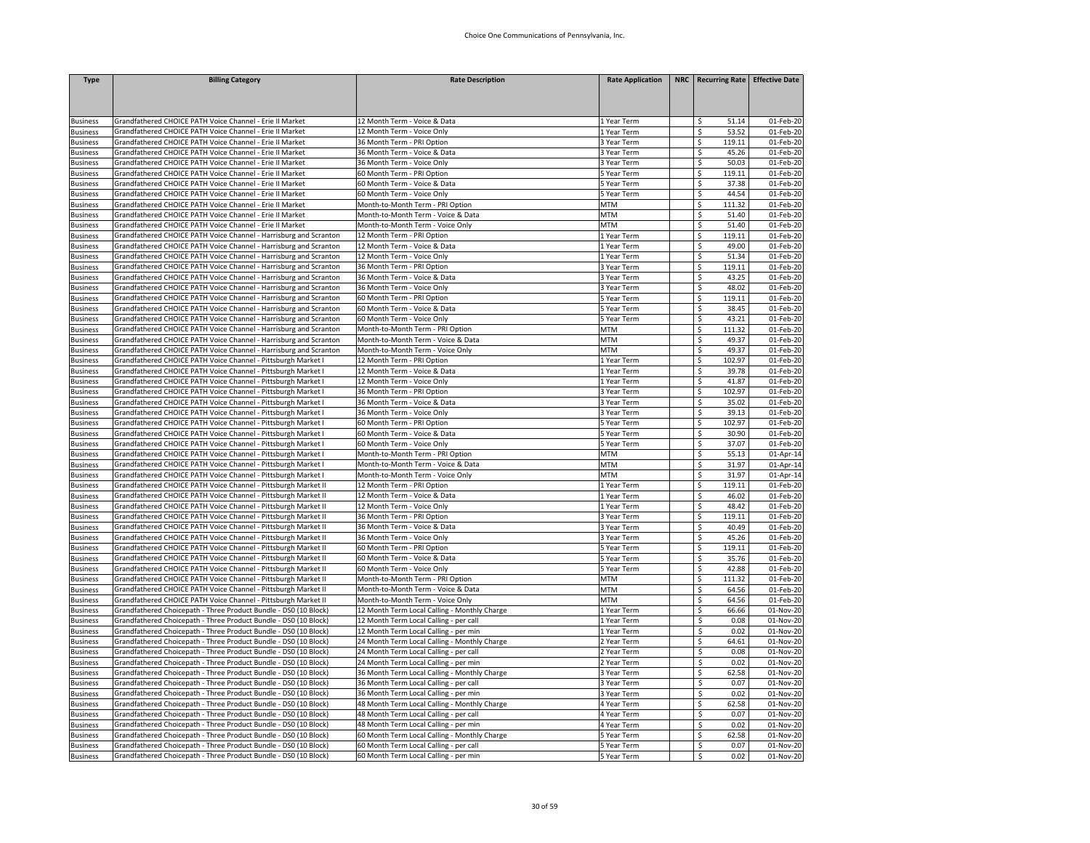| <b>Type</b>                        | <b>Billing Category</b>                                                                                                              | <b>Rate Description</b>                                                         | <b>Rate Application</b>    | NRC   Recurring Rate   Effective Date |                         |
|------------------------------------|--------------------------------------------------------------------------------------------------------------------------------------|---------------------------------------------------------------------------------|----------------------------|---------------------------------------|-------------------------|
|                                    |                                                                                                                                      |                                                                                 |                            |                                       |                         |
|                                    |                                                                                                                                      |                                                                                 |                            |                                       |                         |
|                                    |                                                                                                                                      |                                                                                 |                            |                                       |                         |
| <b>Business</b><br><b>Business</b> | Grandfathered CHOICE PATH Voice Channel - Erie II Market<br>Grandfathered CHOICE PATH Voice Channel - Erie II Market                 | 12 Month Term - Voice & Data<br>12 Month Term - Voice Only                      | 1 Year Term<br>1 Year Term | 51.14<br>Ŝ<br>53.52<br>\$             | 01-Feb-20<br>01-Feb-20  |
| <b>Business</b>                    | Grandfathered CHOICE PATH Voice Channel - Erie II Market                                                                             | 36 Month Term - PRI Option                                                      | 3 Year Term                | \$<br>119.11                          | 01-Feb-20               |
| <b>Business</b>                    | Grandfathered CHOICE PATH Voice Channel - Erie II Market                                                                             | 36 Month Term - Voice & Data                                                    | 3 Year Term                | \$<br>45.26                           | 01-Feb-20               |
| <b>Business</b>                    | Grandfathered CHOICE PATH Voice Channel - Erie II Market                                                                             | 36 Month Term - Voice Only                                                      | 3 Year Term                | \$<br>50.03                           | 01-Feb-20               |
| <b>Business</b>                    | Grandfathered CHOICE PATH Voice Channel - Erie II Market                                                                             | 60 Month Term - PRI Option                                                      | 5 Year Term                | \$<br>119.11                          | 01-Feb-20               |
| <b>Business</b>                    | Grandfathered CHOICE PATH Voice Channel - Erie II Market                                                                             | 60 Month Term - Voice & Data                                                    | 5 Year Term                | \$<br>37.38                           | 01-Feb-20               |
| <b>Business</b>                    | Grandfathered CHOICE PATH Voice Channel - Erie II Market                                                                             | 60 Month Term - Voice Only                                                      | 5 Year Term                | \$<br>44.54                           | 01-Feb-20               |
| <b>Business</b>                    | Grandfathered CHOICE PATH Voice Channel - Erie II Market                                                                             | Month-to-Month Term - PRI Option                                                | <b>MTM</b>                 | \$<br>111.32                          | 01-Feb-20               |
| <b>Business</b>                    | Grandfathered CHOICE PATH Voice Channel - Erie II Market                                                                             | Month-to-Month Term - Voice & Data                                              | <b>MTM</b>                 | \$<br>51.40                           | 01-Feb-20               |
| <b>Business</b>                    | Grandfathered CHOICE PATH Voice Channel - Erie II Market                                                                             | Month-to-Month Term - Voice Only                                                | MTM                        | \$<br>51.40                           | 01-Feb-20               |
| <b>Business</b>                    | Grandfathered CHOICE PATH Voice Channel - Harrisburg and Scranton                                                                    | 12 Month Term - PRI Option                                                      | 1 Year Term                | 119.11<br>\$                          | 01-Feb-20               |
| <b>Business</b>                    | Grandfathered CHOICE PATH Voice Channel - Harrisburg and Scranton                                                                    | 12 Month Term - Voice & Data                                                    | 1 Year Term                | Ŝ.<br>49.00                           | 01-Feb-20               |
| <b>Business</b>                    | Grandfathered CHOICE PATH Voice Channel - Harrisburg and Scranton                                                                    | 12 Month Term - Voice Only                                                      | 1 Year Term                | \$<br>51.34                           | 01-Feb-20               |
| <b>Business</b>                    | Grandfathered CHOICE PATH Voice Channel - Harrisburg and Scranton                                                                    | 36 Month Term - PRI Option                                                      | 3 Year Term                | \$<br>119.11                          | 01-Feb-20               |
| <b>Business</b>                    | Grandfathered CHOICE PATH Voice Channel - Harrisburg and Scranton                                                                    | 36 Month Term - Voice & Data                                                    | 3 Year Term                | \$<br>43.25                           | 01-Feb-20               |
| <b>Business</b>                    | Grandfathered CHOICE PATH Voice Channel - Harrisburg and Scranton                                                                    | 36 Month Term - Voice Only                                                      | 3 Year Term                | \$<br>48.02                           | 01-Feb-20               |
| <b>Business</b>                    | Grandfathered CHOICE PATH Voice Channel - Harrisburg and Scranton                                                                    | 60 Month Term - PRI Option                                                      | 5 Year Term                | \$<br>119.11                          | 01-Feb-20               |
| <b>Business</b>                    | Grandfathered CHOICE PATH Voice Channel - Harrisburg and Scranton                                                                    | 60 Month Term - Voice & Data                                                    | 5 Year Term                | \$<br>38.45                           | 01-Feb-20               |
| <b>Business</b>                    | Grandfathered CHOICE PATH Voice Channel - Harrisburg and Scranton                                                                    | 60 Month Term - Voice Only                                                      | 5 Year Term                | \$<br>43.21                           | 01-Feb-20               |
| <b>Business</b>                    | Grandfathered CHOICE PATH Voice Channel - Harrisburg and Scranton                                                                    | Month-to-Month Term - PRI Option<br>Month-to-Month Term - Voice & Data          | <b>MTM</b><br><b>MTM</b>   | \$<br>111.32                          | 01-Feb-20               |
| <b>Business</b>                    | Grandfathered CHOICE PATH Voice Channel - Harrisburg and Scranton                                                                    |                                                                                 | <b>MTM</b>                 | \$<br>49.37                           | 01-Feb-20<br>01-Feb-20  |
| <b>Business</b>                    | Grandfathered CHOICE PATH Voice Channel - Harrisburg and Scranton<br>Grandfathered CHOICE PATH Voice Channel - Pittsburgh Market I   | Month-to-Month Term - Voice Only<br>12 Month Term - PRI Option                  | 1 Year Term                | \$<br>49.37<br>\$<br>102.97           | 01-Feb-20               |
| <b>Business</b><br><b>Business</b> | Grandfathered CHOICE PATH Voice Channel - Pittsburgh Market I                                                                        | 12 Month Term - Voice & Data                                                    | 1 Year Term                | \$<br>39.78                           | 01-Feb-20               |
| <b>Business</b>                    | Grandfathered CHOICE PATH Voice Channel - Pittsburgh Market I                                                                        | 12 Month Term - Voice Only                                                      | 1 Year Term                | \$<br>41.87                           | 01-Feb-20               |
| <b>Business</b>                    | Grandfathered CHOICE PATH Voice Channel - Pittsburgh Market I                                                                        | 36 Month Term - PRI Option                                                      | 3 Year Term                | \$<br>102.97                          | 01-Feb-20               |
| <b>Business</b>                    | Grandfathered CHOICE PATH Voice Channel - Pittsburgh Market I                                                                        | 36 Month Term - Voice & Data                                                    | 3 Year Term                | $\overline{\mathsf{s}}$<br>35.02      | 01-Feb-20               |
| <b>Business</b>                    | Grandfathered CHOICE PATH Voice Channel - Pittsburgh Market I                                                                        | 36 Month Term - Voice Only                                                      | 3 Year Term                | \$<br>39.13                           | 01-Feb-20               |
| <b>Business</b>                    | Grandfathered CHOICE PATH Voice Channel - Pittsburgh Market I                                                                        | 60 Month Term - PRI Option                                                      | 5 Year Term                | \$<br>102.97                          | 01-Feb-20               |
| <b>Business</b>                    | Grandfathered CHOICE PATH Voice Channel - Pittsburgh Market I                                                                        | 60 Month Term - Voice & Data                                                    | 5 Year Term                | 30.90<br>\$                           | 01-Feb-20               |
| <b>Business</b>                    | Grandfathered CHOICE PATH Voice Channel - Pittsburgh Market I                                                                        | 60 Month Term - Voice Only                                                      | 5 Year Term                | \$<br>37.07                           | 01-Feb-20               |
| <b>Business</b>                    | Grandfathered CHOICE PATH Voice Channel - Pittsburgh Market I                                                                        | Month-to-Month Term - PRI Option                                                | <b>MTM</b>                 | \$<br>55.13                           | 01-Apr-14               |
| <b>Business</b>                    | Grandfathered CHOICE PATH Voice Channel - Pittsburgh Market I                                                                        | Month-to-Month Term - Voice & Data                                              | <b>MTM</b>                 | \$<br>31.97                           | 01-Apr-14               |
| <b>Business</b>                    | Grandfathered CHOICE PATH Voice Channel - Pittsburgh Market I                                                                        | Month-to-Month Term - Voice Only                                                | <b>MTM</b>                 | \$<br>31.97                           | 01-Apr-14               |
| <b>Business</b>                    | Grandfathered CHOICE PATH Voice Channel - Pittsburgh Market II                                                                       | 12 Month Term - PRI Option                                                      | 1 Year Term                | \$<br>119.11                          | 01-Feb-20               |
| <b>Business</b>                    | Grandfathered CHOICE PATH Voice Channel - Pittsburgh Market II                                                                       | 12 Month Term - Voice & Data                                                    | 1 Year Term                | \$<br>46.02                           | 01-Feb-20               |
| <b>Business</b>                    | Grandfathered CHOICE PATH Voice Channel - Pittsburgh Market II                                                                       | 12 Month Term - Voice Only                                                      | 1 Year Term                | \$<br>48.42                           | 01-Feb-20               |
| <b>Business</b>                    | Grandfathered CHOICE PATH Voice Channel - Pittsburgh Market II                                                                       | 36 Month Term - PRI Option                                                      | 3 Year Term                | \$<br>119.11                          | 01-Feb-20               |
| <b>Business</b>                    | Grandfathered CHOICE PATH Voice Channel - Pittsburgh Market II                                                                       | 36 Month Term - Voice & Data                                                    | 3 Year Term                | Ŝ.<br>40.49                           | 01-Feb-20               |
| <b>Business</b>                    | Grandfathered CHOICE PATH Voice Channel - Pittsburgh Market II                                                                       | 36 Month Term - Voice Only                                                      | 3 Year Term                | \$<br>45.26                           | 01-Feb-20               |
| <b>Business</b>                    | Grandfathered CHOICE PATH Voice Channel - Pittsburgh Market II                                                                       | 60 Month Term - PRI Option                                                      | 5 Year Term                | \$<br>119.11                          | 01-Feb-20               |
| <b>Business</b>                    | Grandfathered CHOICE PATH Voice Channel - Pittsburgh Market II                                                                       | 50 Month Term - Voice & Data                                                    | S Year Term                | \$<br>35.76                           | 01-Feb-20               |
| <b>Business</b>                    | Grandfathered CHOICE PATH Voice Channel - Pittsburgh Market II                                                                       | 60 Month Term - Voice Only                                                      | S Year Term                | \$<br>42.88                           | 01-Feb-20               |
| <b>Business</b>                    | Grandfathered CHOICE PATH Voice Channel - Pittsburgh Market II                                                                       | Month-to-Month Term - PRI Option                                                | MTM                        | \$<br>111.32                          | 01-Feb-20               |
| <b>Business</b>                    | Grandfathered CHOICE PATH Voice Channel - Pittsburgh Market II                                                                       | Month-to-Month Term - Voice & Data                                              | <b>MTM</b>                 | \$<br>64.56                           | 01-Feb-20               |
| <b>Business</b>                    | Grandfathered CHOICE PATH Voice Channel - Pittsburgh Market II                                                                       | Month-to-Month Term - Voice Only                                                | <b>MTM</b>                 | \$<br>64.56                           | 01-Feb-20               |
| <b>Business</b>                    | Grandfathered Choicepath - Three Product Bundle - DS0 (10 Block)                                                                     | 12 Month Term Local Calling - Monthly Charge                                    | 1 Year Term                | \$<br>66.66                           | 01-Nov-20               |
| <b>Business</b>                    | Grandfathered Choicepath - Three Product Bundle - DS0 (10 Block)                                                                     | 12 Month Term Local Calling - per call                                          | 1 Year Term                | \$<br>0.08                            | 01-Nov-20               |
| <b>Business</b>                    | Grandfathered Choicepath - Three Product Bundle - DS0 (10 Block)                                                                     | 12 Month Term Local Calling - per min                                           | 1 Year Term                | \$<br>0.02                            | 01-Nov-20               |
| <b>Business</b>                    | Grandfathered Choicepath - Three Product Bundle - DS0 (10 Block)                                                                     | 24 Month Term Local Calling - Monthly Charge                                    | 2 Year Term                | \$<br>64.61                           | 01-Nov-20               |
| <b>Business</b>                    | Grandfathered Choicepath - Three Product Bundle - DS0 (10 Block)                                                                     | 24 Month Term Local Calling - per call                                          | 2 Year Term                | 0.08<br>\$                            | 01-Nov-20               |
| <b>Business</b>                    | Grandfathered Choicepath - Three Product Bundle - DS0 (10 Block)                                                                     | 24 Month Term Local Calling - per min                                           | 2 Year Term                | \$<br>0.02                            | 01-Nov-20               |
| <b>Business</b>                    | Grandfathered Choicepath - Three Product Bundle - DS0 (10 Block)                                                                     | 36 Month Term Local Calling - Monthly Charge                                    | 3 Year Term                | \$<br>62.58<br>0.07                   | 01-Nov-20               |
| <b>Business</b><br><b>Business</b> | Grandfathered Choicepath - Three Product Bundle - DS0 (10 Block)<br>Grandfathered Choicepath - Three Product Bundle - DS0 (10 Block) | 36 Month Term Local Calling - per call<br>36 Month Term Local Calling - per min | 3 Year Term<br>3 Year Term | \$<br>\$<br>0.02                      | 01-Nov-20<br>01-Nov-20  |
| <b>Business</b>                    | Grandfathered Choicepath - Three Product Bundle - DS0 (10 Block)                                                                     | 48 Month Term Local Calling - Monthly Charge                                    | 4 Year Term                | \$<br>62.58                           | 01-Nov-20               |
| <b>Business</b>                    | Grandfathered Choicepath - Three Product Bundle - DS0 (10 Block)                                                                     | 48 Month Term Local Calling - per call                                          | 4 Year Term                | \$<br>0.07                            | 01-Nov-20               |
| <b>Business</b>                    | Grandfathered Choicepath - Three Product Bundle - DS0 (10 Block)                                                                     | 48 Month Term Local Calling - per min                                           | 4 Year Term                | 0.02<br>\$                            | 01-Nov-20               |
| <b>Business</b>                    | Grandfathered Choicepath - Three Product Bundle - DS0 (10 Block)                                                                     | 60 Month Term Local Calling - Monthly Charge                                    | 5 Year Term                | \$<br>62.58                           | 01-Nov-20               |
| <b>Business</b>                    | Grandfathered Choicepath - Three Product Bundle - DS0 (10 Block)                                                                     | 60 Month Term Local Calling - per call                                          | 5 Year Term                | \$<br>0.07                            | 01-Nov-20               |
| <b>Business</b>                    | Grandfathered Choicepath - Three Product Bundle - DS0 (10 Block)                                                                     | 60 Month Term Local Calling - per min                                           | 5 Year Term                | $\mathsf{\hat{S}}$<br>0.02            | $\overline{01}$ -Nov-20 |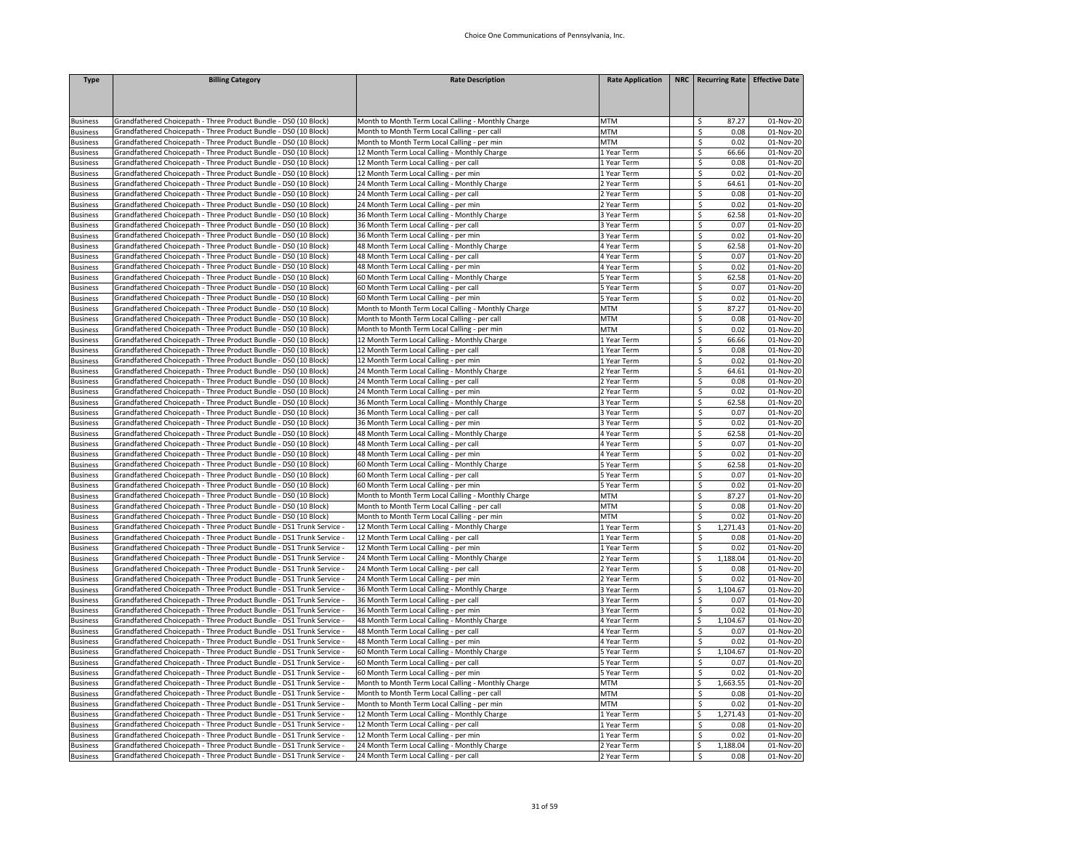| <b>Type</b>                        | <b>Billing Category</b>                                                                                                                        | <b>Rate Description</b>                                                                            | <b>Rate Application</b>    | NRC   Recurring Rate   Effective Date |                        |
|------------------------------------|------------------------------------------------------------------------------------------------------------------------------------------------|----------------------------------------------------------------------------------------------------|----------------------------|---------------------------------------|------------------------|
|                                    |                                                                                                                                                |                                                                                                    |                            |                                       |                        |
|                                    |                                                                                                                                                |                                                                                                    |                            |                                       |                        |
| <b>Business</b><br><b>Business</b> | Grandfathered Choicepath - Three Product Bundle - DS0 (10 Block)<br>Grandfathered Choicepath - Three Product Bundle - DS0 (10 Block)           | Month to Month Term Local Calling - Monthly Charge<br>Month to Month Term Local Calling - per call | MTM<br><b>MTM</b>          | 87.27<br>Ŝ.<br>\$<br>0.08             | 01-Nov-20<br>01-Nov-20 |
| <b>Business</b>                    | Grandfathered Choicepath - Three Product Bundle - DS0 (10 Block)                                                                               | Month to Month Term Local Calling - per min                                                        | MTM                        | \$<br>0.02                            | 01-Nov-20              |
| <b>Business</b>                    | Grandfathered Choicepath - Three Product Bundle - DS0 (10 Block)                                                                               | 12 Month Term Local Calling - Monthly Charge                                                       | 1 Year Term                | \$<br>66.66                           | 01-Nov-20              |
| <b>Business</b>                    | Grandfathered Choicepath - Three Product Bundle - DS0 (10 Block)                                                                               | 12 Month Term Local Calling - per call                                                             | 1 Year Term                | 0.08<br>\$                            | 01-Nov-20              |
| <b>Business</b>                    | Grandfathered Choicepath - Three Product Bundle - DS0 (10 Block)                                                                               | 12 Month Term Local Calling - per min                                                              | 1 Year Term                | Ś<br>0.02                             | 01-Nov-20              |
| <b>Business</b>                    | Grandfathered Choicepath - Three Product Bundle - DS0 (10 Block)                                                                               | 24 Month Term Local Calling - Monthly Charge                                                       | 2 Year Term                | \$<br>64.61                           | 01-Nov-20              |
| <b>Business</b>                    | Grandfathered Choicepath - Three Product Bundle - DS0 (10 Block)                                                                               | 24 Month Term Local Calling - per call                                                             | 2 Year Term                | 0.08<br>\$                            | 01-Nov-20              |
| <b>Business</b>                    | Grandfathered Choicepath - Three Product Bundle - DS0 (10 Block)                                                                               | 24 Month Term Local Calling - per min                                                              | 2 Year Term                | \$<br>0.02                            | 01-Nov-20              |
| <b>Business</b>                    | Grandfathered Choicepath - Three Product Bundle - DS0 (10 Block)                                                                               | 36 Month Term Local Calling - Monthly Charge                                                       | 3 Year Term                | \$<br>62.58                           | 01-Nov-20              |
| <b>Business</b>                    | Grandfathered Choicepath - Three Product Bundle - DS0 (10 Block)                                                                               | 36 Month Term Local Calling - per call                                                             | 3 Year Term                | \$<br>0.07                            | 01-Nov-20              |
| <b>Business</b>                    | Grandfathered Choicepath - Three Product Bundle - DS0 (10 Block)                                                                               | 36 Month Term Local Calling - per min                                                              | 3 Year Term                | \$<br>0.02                            | 01-Nov-20              |
| <b>Business</b>                    | Grandfathered Choicepath - Three Product Bundle - DS0 (10 Block)                                                                               | 48 Month Term Local Calling - Monthly Charge                                                       | 4 Year Term                | \$<br>62.58                           | 01-Nov-20              |
| Business                           | Grandfathered Choicepath - Three Product Bundle - DS0 (10 Block)                                                                               | 48 Month Term Local Calling - per call                                                             | 4 Year Term                | \$<br>0.07                            | 01-Nov-20              |
| <b>Business</b>                    | Grandfathered Choicepath - Three Product Bundle - DS0 (10 Block)                                                                               | 48 Month Term Local Calling - per min                                                              | 4 Year Term                | \$<br>0.02                            | 01-Nov-20              |
| <b>Business</b>                    | Grandfathered Choicepath - Three Product Bundle - DS0 (10 Block)                                                                               | 60 Month Term Local Calling - Monthly Charge                                                       | 5 Year Term                | \$<br>62.58                           | 01-Nov-20              |
| <b>Business</b>                    | Grandfathered Choicepath - Three Product Bundle - DS0 (10 Block)                                                                               | 60 Month Term Local Calling - per call                                                             | S Year Term                | \$<br>0.07                            | 01-Nov-20              |
| <b>Business</b>                    | Grandfathered Choicepath - Three Product Bundle - DS0 (10 Block)                                                                               | 60 Month Term Local Calling - per min                                                              | 5 Year Term                | \$<br>0.02                            | 01-Nov-20              |
| <b>Business</b>                    | Grandfathered Choicepath - Three Product Bundle - DS0 (10 Block)                                                                               | Month to Month Term Local Calling - Monthly Charge                                                 | MTM                        | 87.27<br>\$                           | 01-Nov-20              |
| <b>Business</b>                    | Grandfathered Choicepath - Three Product Bundle - DS0 (10 Block)                                                                               | Month to Month Term Local Calling - per call                                                       | MTM                        | \$<br>0.08                            | 01-Nov-20              |
| <b>Business</b>                    | Grandfathered Choicepath - Three Product Bundle - DS0 (10 Block)                                                                               | Month to Month Term Local Calling - per min                                                        | MTM                        | \$<br>0.02                            | 01-Nov-20              |
| <b>Business</b>                    | Grandfathered Choicepath - Three Product Bundle - DS0 (10 Block)                                                                               | 12 Month Term Local Calling - Monthly Charge                                                       | 1 Year Term                | \$<br>66.66                           | 01-Nov-20              |
| <b>Business</b>                    | Grandfathered Choicepath - Three Product Bundle - DS0 (10 Block)                                                                               | 12 Month Term Local Calling - per call                                                             | 1 Year Term                | 0.08<br>Ŝ.                            | 01-Nov-20              |
| <b>Business</b>                    | Grandfathered Choicepath - Three Product Bundle - DS0 (10 Block)                                                                               | 12 Month Term Local Calling - per min                                                              | l Year Term                | \$<br>0.02                            | 01-Nov-20              |
| <b>Business</b>                    | Grandfathered Choicepath - Three Product Bundle - DS0 (10 Block)                                                                               | 24 Month Term Local Calling - Monthly Charge                                                       | 2 Year Term                | Ŝ.<br>64.61<br>0.08<br>Ś              | 01-Nov-20              |
| <b>Business</b>                    | Grandfathered Choicepath - Three Product Bundle - DS0 (10 Block)<br>Grandfathered Choicepath - Three Product Bundle - DS0 (10 Block)           | 24 Month Term Local Calling - per call<br>24 Month Term Local Calling - per min                    | 2 Year Term                | 0.02                                  | 01-Nov-20<br>01-Nov-20 |
| <b>Business</b>                    | Grandfathered Choicepath - Three Product Bundle - DS0 (10 Block)                                                                               | 36 Month Term Local Calling - Monthly Charge                                                       | 2 Year Term                | \$<br>\$                              |                        |
| <b>Business</b><br><b>Business</b> | Grandfathered Choicepath - Three Product Bundle - DS0 (10 Block)                                                                               | 36 Month Term Local Calling - per call                                                             | 3 Year Term<br>3 Year Term | 62.58<br>\$<br>0.07                   | 01-Nov-20<br>01-Nov-20 |
| <b>Business</b>                    | Grandfathered Choicepath - Three Product Bundle - DS0 (10 Block)                                                                               | 36 Month Term Local Calling - per min                                                              | 3 Year Term                | 0.02<br>\$                            | 01-Nov-20              |
| <b>Business</b>                    | Grandfathered Choicepath - Three Product Bundle - DS0 (10 Block)                                                                               | 48 Month Term Local Calling - Monthly Charge                                                       | 4 Year Term                | \$<br>62.58                           | 01-Nov-20              |
| <b>Business</b>                    | Grandfathered Choicepath - Three Product Bundle - DS0 (10 Block)                                                                               | 48 Month Term Local Calling - per call                                                             | 4 Year Term                | \$<br>0.07                            | 01-Nov-20              |
| <b>Business</b>                    | Grandfathered Choicepath - Three Product Bundle - DS0 (10 Block)                                                                               | 48 Month Term Local Calling - per min                                                              | 4 Year Term                | \$<br>0.02                            | 01-Nov-20              |
| <b>Business</b>                    | Grandfathered Choicepath - Three Product Bundle - DS0 (10 Block)                                                                               | 60 Month Term Local Calling - Monthly Charge                                                       | 5 Year Term                | \$<br>62.58                           | 01-Nov-20              |
| <b>Business</b>                    | Grandfathered Choicepath - Three Product Bundle - DS0 (10 Block)                                                                               | 60 Month Term Local Calling - per call                                                             | 5 Year Term                | \$<br>0.07                            | 01-Nov-20              |
| <b>Business</b>                    | Grandfathered Choicepath - Three Product Bundle - DS0 (10 Block)                                                                               | 60 Month Term Local Calling - per min                                                              | 5 Year Term                | \$<br>0.02                            | 01-Nov-20              |
| <b>Business</b>                    | Grandfathered Choicepath - Three Product Bundle - DS0 (10 Block)                                                                               | Month to Month Term Local Calling - Monthly Charge                                                 | MTM                        | \$<br>87.27                           | 01-Nov-20              |
| <b>Business</b>                    | Grandfathered Choicepath - Three Product Bundle - DS0 (10 Block)                                                                               | Month to Month Term Local Calling - per call                                                       | MTM                        | 0.08<br>\$                            | 01-Nov-20              |
| <b>Business</b>                    | Grandfathered Choicepath - Three Product Bundle - DS0 (10 Block)                                                                               | Month to Month Term Local Calling - per min                                                        | MTM                        | \$<br>0.02                            | 01-Nov-20              |
| <b>Business</b>                    | Grandfathered Choicepath - Three Product Bundle - DS1 Trunk Service                                                                            | 12 Month Term Local Calling - Monthly Charge                                                       | 1 Year Term                | \$<br>1,271.43                        | 01-Nov-20              |
| <b>Business</b>                    | Grandfathered Choicepath - Three Product Bundle - DS1 Trunk Service -                                                                          | 12 Month Term Local Calling - per call                                                             | 1 Year Term                | \$<br>0.08                            | 01-Nov-20              |
| <b>Business</b>                    | Grandfathered Choicepath - Three Product Bundle - DS1 Trunk Service                                                                            | 12 Month Term Local Calling - per min                                                              | 1 Year Term                | \$<br>0.02                            | 01-Nov-20              |
| <b>Business</b>                    | Grandfathered Choicepath - Three Product Bundle - DS1 Trunk Service -                                                                          | 24 Month Term Local Calling - Monthly Charge                                                       | Year Term                  | \$<br>1,188.04                        | 01-Nov-20              |
| <b>Business</b>                    | Grandfathered Choicepath - Three Product Bundle - DS1 Trunk Service -                                                                          | 24 Month Term Local Calling - per call                                                             | Year Term                  | \$<br>0.08                            | 01-Nov-20              |
| <b>Business</b>                    | Grandfathered Choicepath - Three Product Bundle - DS1 Trunk Service -                                                                          | 24 Month Term Local Calling - per min                                                              | 2 Year Term                | \$<br>0.02                            | 01-Nov-20              |
| <b>Business</b>                    | Grandfathered Choicepath - Three Product Bundle - DS1 Trunk Service                                                                            | 36 Month Term Local Calling - Monthly Charge                                                       | 3 Year Term                | \$<br>1,104.67                        | 01-Nov-20              |
| <b>Business</b>                    | Grandfathered Choicepath - Three Product Bundle - DS1 Trunk Service -                                                                          | 36 Month Term Local Calling - per call                                                             | 3 Year Term                | \$<br>0.07                            | 01-Nov-20              |
| <b>Business</b>                    | Grandfathered Choicepath - Three Product Bundle - DS1 Trunk Service -                                                                          | 36 Month Term Local Calling - per min                                                              | 3 Year Term                | \$<br>0.02                            | 01-Nov-20              |
| <b>Business</b>                    | Grandfathered Choicepath - Three Product Bundle - DS1 Trunk Service -                                                                          | 48 Month Term Local Calling - Monthly Charge                                                       | 4 Year Term                | 1,104.67<br>\$                        | 01-Nov-20              |
| <b>Business</b>                    | Grandfathered Choicepath - Three Product Bundle - DS1 Trunk Service                                                                            | 48 Month Term Local Calling - per call                                                             | 4 Year Term                | \$<br>0.07                            | 01-Nov-20              |
| <b>Business</b>                    | Grandfathered Choicepath - Three Product Bundle - DS1 Trunk Service -                                                                          | 48 Month Term Local Calling - per min                                                              | 4 Year Term                | \$<br>0.02                            | 01-Nov-20              |
| <b>Business</b>                    | Grandfathered Choicepath - Three Product Bundle - DS1 Trunk Service -                                                                          | 60 Month Term Local Calling - Monthly Charge                                                       | 5 Year Term                | \$<br>1,104.67                        | 01-Nov-20              |
| <b>Business</b>                    | Grandfathered Choicepath - Three Product Bundle - DS1 Trunk Service -                                                                          | 60 Month Term Local Calling - per call                                                             | S Year Term                | \$<br>0.07                            | 01-Nov-20              |
| <b>Business</b>                    | Grandfathered Choicepath - Three Product Bundle - DS1 Trunk Service -                                                                          | 60 Month Term Local Calling - per min                                                              | 5 Year Term                | \$<br>0.02                            | 01-Nov-20              |
| <b>Business</b>                    | Grandfathered Choicepath - Three Product Bundle - DS1 Trunk Service -                                                                          | Month to Month Term Local Calling - Monthly Charge                                                 | MTM                        | \$<br>1,663.55                        | 01-Nov-20              |
| <b>Business</b>                    | Grandfathered Choicepath - Three Product Bundle - DS1 Trunk Service -                                                                          | Month to Month Term Local Calling - per call                                                       | MTM                        | 0.08<br>Ŝ.                            | 01-Nov-20              |
| <b>Business</b>                    | Grandfathered Choicepath - Three Product Bundle - DS1 Trunk Service -                                                                          | Month to Month Term Local Calling - per min                                                        | <b>MTM</b>                 | \$<br>0.02                            | 01-Nov-20              |
| <b>Business</b>                    | Grandfathered Choicepath - Three Product Bundle - DS1 Trunk Service -                                                                          | 12 Month Term Local Calling - Monthly Charge                                                       | 1 Year Term                | \$<br>1,271.43                        | 01-Nov-20              |
| <b>Business</b>                    | Grandfathered Choicepath - Three Product Bundle - DS1 Trunk Service -<br>Grandfathered Choicepath - Three Product Bundle - DS1 Trunk Service   | 12 Month Term Local Calling - per call<br>12 Month Term Local Calling - per min                    | 1 Year Term                | 0.08<br>\$<br>0.02                    | 01-Nov-20              |
| <b>Business</b>                    |                                                                                                                                                |                                                                                                    | 1 Year Term                | \$<br>\$<br>1,188.04                  | 01-Nov-20<br>01-Nov-20 |
| <b>Business</b><br><b>Business</b> | Grandfathered Choicepath - Three Product Bundle - DS1 Trunk Service -<br>Grandfathered Choicepath - Three Product Bundle - DS1 Trunk Service - | 24 Month Term Local Calling - Monthly Charge<br>24 Month Term Local Calling - per call             | 2 Year Term<br>2 Year Term | Ŝ.<br>0.08                            | 01-Nov-20              |
|                                    |                                                                                                                                                |                                                                                                    |                            |                                       |                        |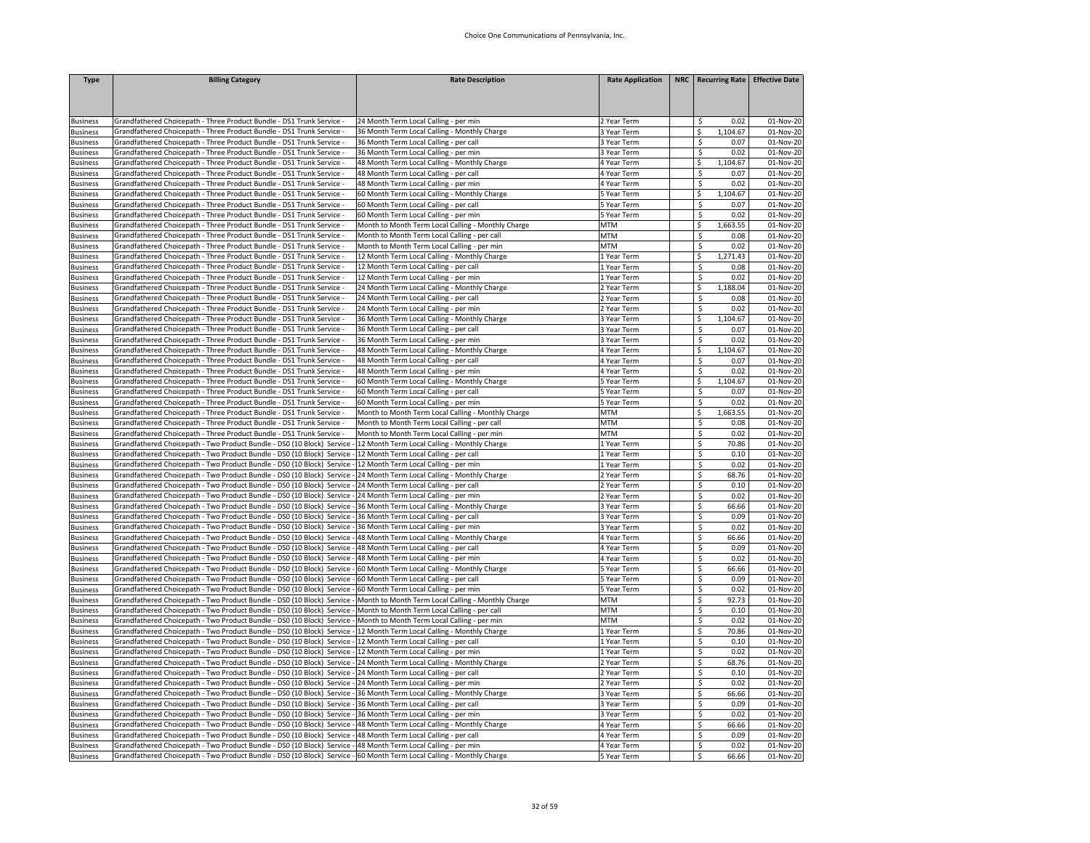| <b>Type</b>                        | <b>Billing Category</b>                                                                                                                      | <b>Rate Description</b>                                                         | <b>Rate Application</b>  | NRC   Recurring Rate   Effective Date |                                      |
|------------------------------------|----------------------------------------------------------------------------------------------------------------------------------------------|---------------------------------------------------------------------------------|--------------------------|---------------------------------------|--------------------------------------|
|                                    |                                                                                                                                              |                                                                                 |                          |                                       |                                      |
|                                    |                                                                                                                                              |                                                                                 |                          |                                       |                                      |
| <b>Business</b>                    | Grandfathered Choicepath - Three Product Bundle - DS1 Trunk Service -                                                                        | 24 Month Term Local Calling - per min                                           | 2 Year Term              | \$<br>0.02                            | 01-Nov-20                            |
| <b>Business</b>                    | Grandfathered Choicepath - Three Product Bundle - DS1 Trunk Service -                                                                        | 36 Month Term Local Calling - Monthly Charge                                    | 3 Year Term              | \$<br>1,104.67                        | 01-Nov-20                            |
| <b>Business</b>                    | Grandfathered Choicepath - Three Product Bundle - DS1 Trunk Service -                                                                        | 36 Month Term Local Calling - per call                                          | 3 Year Term              | \$<br>0.07                            | 01-Nov-20                            |
| <b>Business</b>                    | Grandfathered Choicepath - Three Product Bundle - DS1 Trunk Service -                                                                        | 36 Month Term Local Calling - per min                                           | 3 Year Term              | \$<br>0.02                            | 01-Nov-20                            |
| <b>Business</b>                    | Grandfathered Choicepath - Three Product Bundle - DS1 Trunk Service -                                                                        | 48 Month Term Local Calling - Monthly Charge                                    | 4 Year Term              | \$<br>1,104.67                        | 01-Nov-20                            |
| <b>Business</b>                    | Grandfathered Choicepath - Three Product Bundle - DS1 Trunk Service -                                                                        | 48 Month Term Local Calling - per call                                          | 4 Year Term              | \$<br>0.07                            | 01-Nov-20                            |
| <b>Business</b>                    | Grandfathered Choicepath - Three Product Bundle - DS1 Trunk Service -                                                                        | 48 Month Term Local Calling - per min                                           | 4 Year Term              | \$<br>0.02                            | 01-Nov-20                            |
| <b>Business</b>                    | Grandfathered Choicepath - Three Product Bundle - DS1 Trunk Service -                                                                        | 60 Month Term Local Calling - Monthly Charge                                    | 5 Year Term              | \$<br>1,104.67                        | 01-Nov-20                            |
| <b>Business</b>                    | Grandfathered Choicepath - Three Product Bundle - DS1 Trunk Service                                                                          | 60 Month Term Local Calling - per call                                          | 5 Year Term              | \$<br>0.07                            | 01-Nov-20                            |
| <b>Business</b>                    | Grandfathered Choicepath - Three Product Bundle - DS1 Trunk Service -                                                                        | 60 Month Term Local Calling - per min                                           | 5 Year Term              | \$<br>0.02                            | 01-Nov-20                            |
| <b>Business</b>                    | Grandfathered Choicepath - Three Product Bundle - DS1 Trunk Service -                                                                        | Month to Month Term Local Calling - Monthly Charge                              | <b>MTM</b>               | \$<br>1,663.55                        | 01-Nov-20                            |
| <b>Business</b>                    | Grandfathered Choicepath - Three Product Bundle - DS1 Trunk Service -                                                                        | Month to Month Term Local Calling - per call                                    | MTM                      | \$<br>0.08                            | 01-Nov-20                            |
| <b>Business</b>                    | Grandfathered Choicepath - Three Product Bundle - DS1 Trunk Service                                                                          | Month to Month Term Local Calling - per min                                     | <b>MTM</b>               | \$<br>0.02                            | 01-Nov-20                            |
| <b>Business</b>                    | Grandfathered Choicepath - Three Product Bundle - DS1 Trunk Service -                                                                        | 12 Month Term Local Calling - Monthly Charge                                    | 1 Year Term              | \$<br>1,271.43                        | 01-Nov-20                            |
| <b>Business</b>                    | Grandfathered Choicepath - Three Product Bundle - DS1 Trunk Service -                                                                        | 12 Month Term Local Calling - per call                                          | 1 Year Term              | \$<br>0.08                            | 01-Nov-20                            |
| <b>Business</b>                    | Grandfathered Choicepath - Three Product Bundle - DS1 Trunk Service                                                                          | 12 Month Term Local Calling - per min                                           | 1 Year Term              | \$<br>0.02                            | 01-Nov-20                            |
| <b>Business</b>                    | Grandfathered Choicepath - Three Product Bundle - DS1 Trunk Service                                                                          | 24 Month Term Local Calling - Monthly Charge                                    | 2 Year Term              | 1,188.04<br>\$                        | 01-Nov-20                            |
| <b>Business</b>                    | Grandfathered Choicepath - Three Product Bundle - DS1 Trunk Service -                                                                        | 24 Month Term Local Calling - per call                                          | 2 Year Term              | \$<br>0.08                            | 01-Nov-20                            |
| <b>Business</b>                    | Grandfathered Choicepath - Three Product Bundle - DS1 Trunk Service -                                                                        | 24 Month Term Local Calling - per min                                           | 2 Year Term              | \$<br>0.02<br>\$<br>1,104.67          | 01-Nov-20<br>01-Nov-20               |
| <b>Business</b>                    | Grandfathered Choicepath - Three Product Bundle - DS1 Trunk Service -                                                                        | 36 Month Term Local Calling - Monthly Charge                                    | 3 Year Term              | \$                                    |                                      |
| <b>Business</b>                    | Grandfathered Choicepath - Three Product Bundle - DS1 Trunk Service<br>Grandfathered Choicepath - Three Product Bundle - DS1 Trunk Service - | 36 Month Term Local Calling - per call<br>36 Month Term Local Calling - per min | Year Term<br>3 Year Term | 0.07<br>\$<br>0.02                    | 01-Nov-20<br>$\overline{01}$ -Nov-20 |
| <b>Business</b><br><b>Business</b> | Grandfathered Choicepath - Three Product Bundle - DS1 Trunk Service -                                                                        | 48 Month Term Local Calling - Monthly Charge                                    | 4 Year Term              | \$<br>1,104.67                        | 01-Nov-20                            |
| <b>Business</b>                    | Grandfathered Choicepath - Three Product Bundle - DS1 Trunk Service -                                                                        | 48 Month Term Local Calling - per call                                          | 4 Year Term              | \$<br>0.07                            | 01-Nov-20                            |
| <b>Business</b>                    | Grandfathered Choicepath - Three Product Bundle - DS1 Trunk Service -                                                                        | 48 Month Term Local Calling - per min                                           | 4 Year Term              | \$<br>0.02                            | 01-Nov-20                            |
| <b>Business</b>                    | Grandfathered Choicepath - Three Product Bundle - DS1 Trunk Service -                                                                        | 60 Month Term Local Calling - Monthly Charge                                    | 5 Year Term              | \$<br>1,104.67                        | 01-Nov-20                            |
| <b>Business</b>                    | Grandfathered Choicepath - Three Product Bundle - DS1 Trunk Service -                                                                        | 60 Month Term Local Calling - per call                                          | 5 Year Term              | \$<br>0.07                            | 01-Nov-20                            |
| <b>Business</b>                    | Grandfathered Choicepath - Three Product Bundle - DS1 Trunk Service -                                                                        | 60 Month Term Local Calling - per min                                           | 5 Year Term              | \$<br>0.02                            | 01-Nov-20                            |
| <b>Business</b>                    | Grandfathered Choicepath - Three Product Bundle - DS1 Trunk Service -                                                                        | Month to Month Term Local Calling - Monthly Charge                              | MTM                      | \$<br>1,663.55                        | 01-Nov-20                            |
| <b>Business</b>                    | Grandfathered Choicepath - Three Product Bundle - DS1 Trunk Service -                                                                        | Month to Month Term Local Calling - per call                                    | <b>MTM</b>               | \$<br>0.08                            | 01-Nov-20                            |
| <b>Business</b>                    | Grandfathered Choicepath - Three Product Bundle - DS1 Trunk Service -                                                                        | Month to Month Term Local Calling - per min                                     | <b>MTM</b>               | \$<br>0.02                            | 01-Nov-20                            |
| <b>Business</b>                    | Grandfathered Choicepath - Two Product Bundle - DS0 (10 Block) Service                                                                       | 12 Month Term Local Calling - Monthly Charge                                    | 1 Year Term              | \$<br>70.86                           | 01-Nov-20                            |
| <b>Business</b>                    | Grandfathered Choicepath - Two Product Bundle - DS0 (10 Block) Service                                                                       | 12 Month Term Local Calling - per call                                          | 1 Year Term              | \$<br>0.10                            | 01-Nov-20                            |
| <b>Business</b>                    | Grandfathered Choicepath - Two Product Bundle - DS0 (10 Block) Service                                                                       | 12 Month Term Local Calling - per min                                           | 1 Year Term              | 0.02<br>\$                            | 01-Nov-20                            |
| <b>Business</b>                    | Grandfathered Choicepath - Two Product Bundle - DS0 (10 Block) Service                                                                       | 24 Month Term Local Calling - Monthly Charge                                    | 2 Year Term              | \$<br>68.76                           | 01-Nov-20                            |
| <b>Business</b>                    | Grandfathered Choicepath - Two Product Bundle - DS0 (10 Block) Service -                                                                     | 24 Month Term Local Calling - per call                                          | Year Term                | \$<br>0.10                            | 01-Nov-20                            |
| <b>Business</b>                    | Grandfathered Choicepath - Two Product Bundle - DS0 (10 Block) Service                                                                       | 24 Month Term Local Calling - per min                                           | 2 Year Term              | \$<br>0.02                            | 01-Nov-20                            |
| <b>Business</b>                    | Grandfathered Choicepath - Two Product Bundle - DS0 (10 Block) Service                                                                       | 36 Month Term Local Calling - Monthly Charge                                    | 3 Year Term              | \$<br>66.66                           | 01-Nov-20                            |
| <b>Business</b>                    | Grandfathered Choicepath - Two Product Bundle - DS0 (10 Block) Service                                                                       | 36 Month Term Local Calling - per call                                          | 3 Year Term              | \$<br>0.09                            | 01-Nov-20                            |
| <b>Business</b>                    | Grandfathered Choicepath - Two Product Bundle - DS0 (10 Block) Service                                                                       | 36 Month Term Local Calling - per min                                           | 3 Year Term              | \$<br>0.02                            | 01-Nov-20                            |
| <b>Business</b>                    | Grandfathered Choicepath - Two Product Bundle - DS0 (10 Block) Service -                                                                     | 48 Month Term Local Calling - Monthly Charge                                    | 4 Year Term              | 66.66<br>\$                           | 01-Nov-20                            |
| <b>Business</b>                    | Grandfathered Choicepath - Two Product Bundle - DS0 (10 Block) Service                                                                       | 48 Month Term Local Calling - per call                                          | 4 Year Term              | 0.09<br>\$                            | 01-Nov-20                            |
| <b>Business</b>                    | Grandfathered Choicepath - Two Product Bundle - DS0 (10 Block) Service                                                                       | 48 Month Term Local Calling - per min                                           | 4 Year Term              | \$<br>0.02                            | 01-Nov-20                            |
| <b>Business</b>                    | Grandfathered Choicepath - Two Product Bundle - DS0 (10 Block) Service                                                                       | 60 Month Term Local Calling - Monthly Charge                                    | 5 Year Term              | \$<br>66.66                           | 01-Nov-20                            |
| <b>Business</b>                    | Grandfathered Choicepath - Two Product Bundle - DSO (10 Block) Service                                                                       | 60 Month Term Local Calling - per call                                          | 5 Year Term              | 0.09<br>\$                            | 01-Nov-20                            |
| <b>Business</b>                    | Grandfathered Choicepath - Two Product Bundle - DS0 (10 Block) Service                                                                       | 60 Month Term Local Calling - per min                                           | 5 Year Term              | \$<br>0.02                            | 01-Nov-20                            |
| <b>Business</b>                    | Grandfathered Choicepath - Two Product Bundle - DS0 (10 Block) Service                                                                       | Month to Month Term Local Calling - Monthly Charge                              | MTM                      | Ŝ.<br>92.73                           | 01-Nov-20                            |
| <b>Business</b>                    | Grandfathered Choicepath - Two Product Bundle - DS0 (10 Block) Service                                                                       | Month to Month Term Local Calling - per call                                    | <b>MTM</b>               | \$<br>0.10                            | 01-Nov-20                            |
| <b>Business</b>                    | Grandfathered Choicepath - Two Product Bundle - DS0 (10 Block) Service                                                                       | Month to Month Term Local Calling - per min                                     | <b>MTM</b>               | \$<br>0.02                            | 01-Nov-20                            |
| <b>Business</b>                    | Grandfathered Choicepath - Two Product Bundle - DS0 (10 Block) Service                                                                       | 12 Month Term Local Calling - Monthly Charge                                    | 1 Year Term              | \$<br>70.86                           | 01-Nov-20                            |
| <b>Business</b>                    | Grandfathered Choicepath - Two Product Bundle - DS0 (10 Block) Service -                                                                     | 12 Month Term Local Calling - per call                                          | 1 Year Term              | \$<br>0.10                            | 01-Nov-20                            |
| <b>Business</b>                    | Grandfathered Choicepath - Two Product Bundle - DS0 (10 Block) Service -                                                                     | 12 Month Term Local Calling - per min                                           | 1 Year Term              | \$<br>0.02                            | 01-Nov-20                            |
| <b>Business</b>                    | Grandfathered Choicepath - Two Product Bundle - DS0 (10 Block) Service -                                                                     | 24 Month Term Local Calling - Monthly Charge                                    | Year Term                | 68.76<br>\$                           | 01-Nov-20                            |
| <b>Business</b>                    | Grandfathered Choicepath - Two Product Bundle - DS0 (10 Block) Service -                                                                     | 24 Month Term Local Calling - per call                                          | 2 Year Term              | \$<br>0.10                            | 01-Nov-20                            |
| <b>Business</b>                    | Grandfathered Choicepath - Two Product Bundle - DS0 (10 Block) Service                                                                       | 24 Month Term Local Calling - per min                                           | 2 Year Term              | \$<br>0.02                            | 01-Nov-20                            |
| <b>Business</b>                    | Grandfathered Choicepath - Two Product Bundle - DS0 (10 Block) Service -                                                                     | 36 Month Term Local Calling - Monthly Charge                                    | 3 Year Term              | \$<br>66.66                           | 01-Nov-20                            |
| <b>Business</b>                    | Grandfathered Choicepath - Two Product Bundle - DS0 (10 Block) Service                                                                       | 36 Month Term Local Calling - per call                                          | 3 Year Term              | \$<br>0.09                            | 01-Nov-20                            |
| <b>Business</b>                    | Grandfathered Choicepath - Two Product Bundle - DS0 (10 Block) Service                                                                       | 36 Month Term Local Calling - per min                                           | 3 Year Term              | \$<br>0.02                            | 01-Nov-20                            |
| <b>Business</b>                    | Grandfathered Choicepath - Two Product Bundle - DS0 (10 Block) Service                                                                       | 48 Month Term Local Calling - Monthly Charge                                    | 4 Year Term              | \$<br>66.66                           | 01-Nov-20                            |
| <b>Business</b>                    | Grandfathered Choicepath - Two Product Bundle - DS0 (10 Block) Service -                                                                     | 48 Month Term Local Calling - per call                                          | 4 Year Term              | \$<br>0.09                            | 01-Nov-20                            |
| <b>Business</b>                    | Grandfathered Choicepath - Two Product Bundle - DS0 (10 Block) Service - 48 Month Term Local Calling - per min                               |                                                                                 | 4 Year Term              | \$<br>0.02                            | 01-Nov-20                            |
| <b>Business</b>                    | Grandfathered Choicepath - Two Product Bundle - DS0 (10 Block) Service - 60 Month Term Local Calling - Monthly Charge                        |                                                                                 | 5 Year Term              | $\mathsf{\hat{S}}$<br>66.66           | 01-Nov-20                            |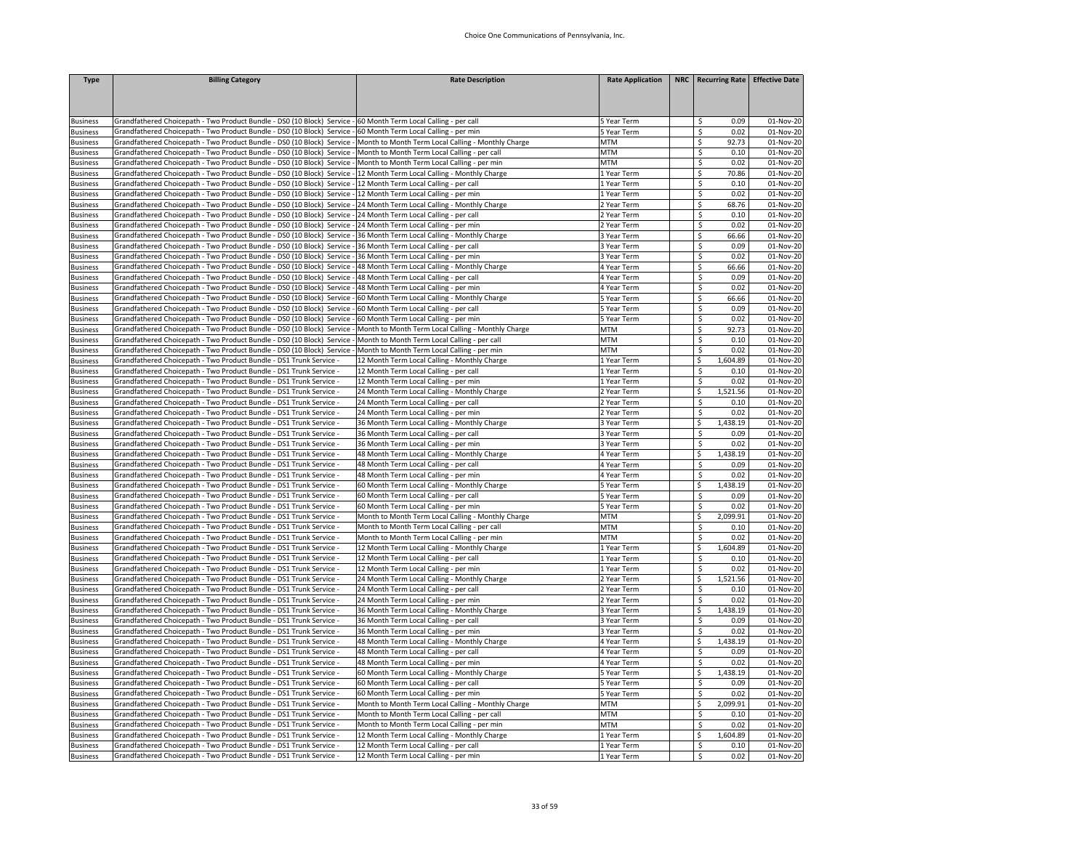| <b>Type</b>                        | <b>Billing Category</b>                                                                                                                            | <b>Rate Description</b>                                                                | <b>Rate Application</b>    | NRC   Recurring Rate   Effective Date |                         |
|------------------------------------|----------------------------------------------------------------------------------------------------------------------------------------------------|----------------------------------------------------------------------------------------|----------------------------|---------------------------------------|-------------------------|
|                                    |                                                                                                                                                    |                                                                                        |                            |                                       |                         |
|                                    |                                                                                                                                                    |                                                                                        |                            |                                       |                         |
|                                    |                                                                                                                                                    |                                                                                        |                            |                                       |                         |
| <b>Business</b>                    | Grandfathered Choicepath - Two Product Bundle - DS0 (10 Block) Service - 60 Month Term Local Calling - per call                                    |                                                                                        | 5 Year Term                | 0.09<br>\$                            | 01-Nov-20               |
| <b>Business</b>                    | Grandfathered Choicepath - Two Product Bundle - DS0 (10 Block) Service                                                                             | 60 Month Term Local Calling - per min                                                  | 5 Year Term                | Ś<br>0.02                             | 01-Nov-20               |
| <b>Business</b>                    | Grandfathered Choicepath - Two Product Bundle - DS0 (10 Block) Service -                                                                           | Month to Month Term Local Calling - Monthly Charge                                     | <b>MTM</b>                 | 92.73<br>\$                           | 01-Nov-20               |
| <b>Business</b>                    | Grandfathered Choicepath - Two Product Bundle - DS0 (10 Block) Service -                                                                           | Month to Month Term Local Calling - per call                                           | <b>MTM</b>                 | 0.10<br>\$<br>Ś                       | 01-Nov-20               |
| <b>Business</b>                    | Grandfathered Choicepath - Two Product Bundle - DS0 (10 Block) Service                                                                             | Month to Month Term Local Calling - per min                                            | <b>MTM</b>                 | 0.02                                  | 01-Nov-20<br>01-Nov-20  |
| <b>Business</b><br><b>Business</b> | Grandfathered Choicepath - Two Product Bundle - DS0 (10 Block) Service<br>Grandfathered Choicepath - Two Product Bundle - DS0 (10 Block) Service - | 12 Month Term Local Calling - Monthly Charge<br>12 Month Term Local Calling - per call | 1 Year Term<br>1 Year Term | \$<br>70.86<br>\$<br>0.10             | 01-Nov-20               |
| <b>Business</b>                    | Grandfathered Choicepath - Two Product Bundle - DS0 (10 Block) Service                                                                             | 12 Month Term Local Calling - per min                                                  | 1 Year Term                | 0.02<br>\$                            | 01-Nov-20               |
| <b>Business</b>                    | Grandfathered Choicepath - Two Product Bundle - DS0 (10 Block) Service                                                                             | 24 Month Term Local Calling - Monthly Charge                                           | 2 Year Term                | \$<br>68.76                           | 01-Nov-20               |
| <b>Business</b>                    | Grandfathered Choicepath - Two Product Bundle - DS0 (10 Block) Service                                                                             | 24 Month Term Local Calling - per call                                                 | 2 Year Term                | \$<br>0.10                            | 01-Nov-20               |
| <b>Business</b>                    | Grandfathered Choicepath - Two Product Bundle - DS0 (10 Block) Service -                                                                           | 24 Month Term Local Calling - per min                                                  | 2 Year Term                | \$<br>0.02                            | 01-Nov-20               |
| <b>Business</b>                    | Grandfathered Choicepath - Two Product Bundle - DS0 (10 Block) Service                                                                             | 36 Month Term Local Calling - Monthly Charge                                           | 3 Year Term                | \$<br>66.66                           | 01-Nov-20               |
| <b>Business</b>                    | Grandfathered Choicepath - Two Product Bundle - DS0 (10 Block) Service                                                                             | 36 Month Term Local Calling - per call                                                 | 3 Year Term                | \$<br>0.09                            | 01-Nov-20               |
| <b>Business</b>                    | Grandfathered Choicepath - Two Product Bundle - DS0 (10 Block) Service                                                                             | 36 Month Term Local Calling - per min                                                  | 3 Year Term                | \$<br>0.02                            | 01-Nov-20               |
| <b>Business</b>                    | Grandfathered Choicepath - Two Product Bundle - DS0 (10 Block) Service -                                                                           | 48 Month Term Local Calling - Monthly Charge                                           | 4 Year Term                | \$<br>66.66                           | 01-Nov-20               |
| <b>Business</b>                    | Grandfathered Choicepath - Two Product Bundle - DS0 (10 Block) Service                                                                             | 48 Month Term Local Calling - per call                                                 | 4 Year Term                | \$<br>0.09                            | 01-Nov-20               |
| <b>Business</b>                    | Grandfathered Choicepath - Two Product Bundle - DS0 (10 Block) Service                                                                             | 48 Month Term Local Calling - per min                                                  | 4 Year Term                | \$<br>0.02                            | 01-Nov-20               |
| <b>Business</b>                    | Grandfathered Choicepath - Two Product Bundle - DS0 (10 Block) Service                                                                             | 60 Month Term Local Calling - Monthly Charge                                           | 5 Year Term                | \$<br>66.66                           | 01-Nov-20               |
| <b>Business</b>                    | Grandfathered Choicepath - Two Product Bundle - DS0 (10 Block) Service                                                                             | 60 Month Term Local Calling - per call                                                 | 5 Year Term                | 0.09<br>\$                            | 01-Nov-20               |
| <b>Business</b>                    | Grandfathered Choicepath - Two Product Bundle - DS0 (10 Block) Service                                                                             | 60 Month Term Local Calling - per min                                                  | 5 Year Term                | \$<br>0.02                            | 01-Nov-20               |
| <b>Business</b>                    | Grandfathered Choicepath - Two Product Bundle - DS0 (10 Block) Service                                                                             | Month to Month Term Local Calling - Monthly Charge                                     | MTM                        | \$<br>92.73                           | 01-Nov-20               |
| <b>Business</b>                    | Grandfathered Choicepath - Two Product Bundle - DS0 (10 Block) Service -                                                                           | Month to Month Term Local Calling - per call                                           | <b>MTM</b>                 | \$<br>0.10                            | 01-Nov-20               |
| <b>Business</b>                    | Grandfathered Choicepath - Two Product Bundle - DS0 (10 Block) Service                                                                             | Month to Month Term Local Calling - per min                                            | <b>MTM</b>                 | \$<br>0.02                            | 01-Nov-20               |
| <b>Business</b>                    | Grandfathered Choicepath - Two Product Bundle - DS1 Trunk Service -                                                                                | 12 Month Term Local Calling - Monthly Charge                                           | 1 Year Term                | \$<br>1,604.89                        | 01-Nov-20               |
| <b>Business</b>                    | Grandfathered Choicepath - Two Product Bundle - DS1 Trunk Service -                                                                                | 12 Month Term Local Calling - per call                                                 | 1 Year Term                | \$<br>0.10                            | 01-Nov-20               |
| <b>Business</b>                    | Grandfathered Choicepath - Two Product Bundle - DS1 Trunk Service -                                                                                | 12 Month Term Local Calling - per min                                                  | 1 Year Term                | \$<br>0.02                            | 01-Nov-20               |
| <b>Business</b>                    | Grandfathered Choicepath - Two Product Bundle - DS1 Trunk Service -                                                                                | 24 Month Term Local Calling - Monthly Charge                                           | 2 Year Term                | 1,521.56<br>\$                        | 01-Nov-20               |
| <b>Business</b>                    | Grandfathered Choicepath - Two Product Bundle - DS1 Trunk Service -                                                                                | 24 Month Term Local Calling - per call                                                 | 2 Year Term                | \$<br>0.10                            | 01-Nov-20               |
| <b>Business</b>                    | Grandfathered Choicepath - Two Product Bundle - DS1 Trunk Service -                                                                                | 24 Month Term Local Calling - per min                                                  | 2 Year Term                | \$<br>0.02                            | 01-Nov-20               |
| <b>Business</b>                    | Grandfathered Choicepath - Two Product Bundle - DS1 Trunk Service -                                                                                | 36 Month Term Local Calling - Monthly Charge                                           | 3 Year Term                | \$<br>1,438.19                        | 01-Nov-20               |
| <b>Business</b>                    | Grandfathered Choicepath - Two Product Bundle - DS1 Trunk Service -                                                                                | 36 Month Term Local Calling - per call                                                 | 3 Year Term                | \$<br>0.09                            | 01-Nov-20               |
| <b>Business</b>                    | Grandfathered Choicepath - Two Product Bundle - DS1 Trunk Service -                                                                                | 36 Month Term Local Calling - per min                                                  | 3 Year Term                | \$<br>0.02                            | 01-Nov-20               |
| <b>Business</b>                    | Grandfathered Choicepath - Two Product Bundle - DS1 Trunk Service -                                                                                | 48 Month Term Local Calling - Monthly Charge                                           | 4 Year Term                | \$<br>1,438.19                        | 01-Nov-20               |
| <b>Business</b>                    | Grandfathered Choicepath - Two Product Bundle - DS1 Trunk Service -                                                                                | 48 Month Term Local Calling - per call                                                 | 4 Year Term                | 0.09<br>\$                            | 01-Nov-20               |
| <b>Business</b>                    | Grandfathered Choicepath - Two Product Bundle - DS1 Trunk Service -                                                                                | 48 Month Term Local Calling - per min                                                  | 4 Year Term                | \$<br>0.02                            | 01-Nov-20               |
| <b>Business</b>                    | Grandfathered Choicepath - Two Product Bundle - DS1 Trunk Service -                                                                                | 60 Month Term Local Calling - Monthly Charge                                           | 5 Year Term                | \$<br>1,438.19                        | 01-Nov-20               |
| <b>Business</b>                    | Grandfathered Choicepath - Two Product Bundle - DS1 Trunk Service -                                                                                | 60 Month Term Local Calling - per call                                                 | 5 Year Term                | 0.09<br>\$                            | 01-Nov-20               |
| <b>Business</b>                    | Grandfathered Choicepath - Two Product Bundle - DS1 Trunk Service -                                                                                | 60 Month Term Local Calling - per min                                                  | 5 Year Term                | \$<br>0.02                            | 01-Nov-20               |
| <b>Business</b>                    | Grandfathered Choicepath - Two Product Bundle - DS1 Trunk Service -                                                                                | Month to Month Term Local Calling - Monthly Charge                                     | <b>MTM</b>                 | \$<br>2,099.91                        | 01-Nov-20               |
| <b>Business</b>                    | Grandfathered Choicepath - Two Product Bundle - DS1 Trunk Service -                                                                                | Month to Month Term Local Calling - per call                                           | <b>MTM</b>                 | \$<br>0.10                            | 01-Nov-20               |
| <b>Business</b>                    | Grandfathered Choicepath - Two Product Bundle - DS1 Trunk Service -                                                                                | Month to Month Term Local Calling - per min                                            | <b>MTM</b>                 | \$<br>0.02                            | 01-Nov-20               |
| <b>Business</b>                    | Grandfathered Choicepath - Two Product Bundle - DS1 Trunk Service -                                                                                | 12 Month Term Local Calling - Monthly Charge                                           | 1 Year Term                | \$<br>1,604.89                        | 01-Nov-20               |
| <b>Business</b>                    | Grandfathered Choicepath - Two Product Bundle - DS1 Trunk Service -                                                                                | 12 Month Term Local Calling - per call                                                 | 1 Year Term                | \$<br>0.10                            | 01-Nov-20               |
| <b>Business</b>                    | Grandfathered Choicepath - Two Product Bundle - DS1 Trunk Service -                                                                                | 12 Month Term Local Calling - per min                                                  | 1 Year Term                | \$<br>0.02                            | 01-Nov-20               |
| <b>Business</b>                    | Grandfathered Choicepath - Two Product Bundle - DS1 Trunk Service -                                                                                | 24 Month Term Local Calling - Monthly Charge                                           | 2 Year Term                | \$<br>1,521.56                        | 01-Nov-20               |
| <b>Business</b>                    | Grandfathered Choicepath - Two Product Bundle - DS1 Trunk Service -                                                                                | 24 Month Term Local Calling - per call                                                 | 2 Year Term                | \$<br>0.10                            | 01-Nov-20               |
| <b>Business</b>                    | Grandfathered Choicepath - Two Product Bundle - DS1 Trunk Service -                                                                                | 24 Month Term Local Calling - per min                                                  | 2 Year Term                | \$<br>0.02                            | 01-Nov-20               |
| <b>Business</b>                    | Grandfathered Choicepath - Two Product Bundle - DS1 Trunk Service -                                                                                | 36 Month Term Local Calling - Monthly Charge                                           | 3 Year Term                | 1,438.19<br>\$                        | 01-Nov-20               |
| <b>Business</b>                    | Grandfathered Choicepath - Two Product Bundle - DS1 Trunk Service -                                                                                | 36 Month Term Local Calling - per call                                                 | 3 Year Term                | \$<br>0.09                            | 01-Nov-20               |
| <b>Business</b>                    | Grandfathered Choicepath - Two Product Bundle - DS1 Trunk Service -                                                                                | 36 Month Term Local Calling - per min                                                  | 3 Year Term                | \$<br>0.02                            | 01-Nov-20               |
| <b>Business</b>                    | Grandfathered Choicepath - Two Product Bundle - DS1 Trunk Service -                                                                                | 48 Month Term Local Calling - Monthly Charge                                           | 4 Year Term                | \$<br>1.438.19                        | 01-Nov-20               |
| <b>Business</b>                    | Grandfathered Choicepath - Two Product Bundle - DS1 Trunk Service -                                                                                | 48 Month Term Local Calling - per call                                                 | 4 Year Term                | 0.09<br>\$                            | 01-Nov-20               |
| <b>Business</b>                    | Grandfathered Choicepath - Two Product Bundle - DS1 Trunk Service -                                                                                | 48 Month Term Local Calling - per min                                                  | 4 Year Term                | \$<br>0.02                            | 01-Nov-20               |
| <b>Business</b>                    | Grandfathered Choicepath - Two Product Bundle - DS1 Trunk Service -                                                                                | 60 Month Term Local Calling - Monthly Charge                                           | 5 Year Term                | \$<br>1,438.19                        | 01-Nov-20               |
| <b>Business</b>                    | Grandfathered Choicepath - Two Product Bundle - DS1 Trunk Service -                                                                                | 60 Month Term Local Calling - per call                                                 | 5 Year Term                | \$<br>0.09                            | 01-Nov-20               |
| <b>Business</b>                    | Grandfathered Choicepath - Two Product Bundle - DS1 Trunk Service -                                                                                | 60 Month Term Local Calling - per min                                                  | 5 Year Term                | \$<br>0.02                            | 01-Nov-20               |
| <b>Business</b>                    | Grandfathered Choicepath - Two Product Bundle - DS1 Trunk Service -                                                                                | Month to Month Term Local Calling - Monthly Charge                                     | <b>MTM</b>                 | \$<br>2,099.91                        | 01-Nov-20               |
| <b>Business</b>                    | Grandfathered Choicepath - Two Product Bundle - DS1 Trunk Service -                                                                                | Month to Month Term Local Calling - per call                                           | <b>MTM</b>                 | \$<br>0.10                            | 01-Nov-20               |
| <b>Business</b>                    | Grandfathered Choicepath - Two Product Bundle - DS1 Trunk Service -                                                                                | Month to Month Term Local Calling - per min                                            | <b>MTM</b>                 | 0.02<br>\$                            | 01-Nov-20               |
| <b>Business</b>                    | Grandfathered Choicepath - Two Product Bundle - DS1 Trunk Service -                                                                                | 12 Month Term Local Calling - Monthly Charge                                           | 1 Year Term                | Ś.<br>1,604.89                        | 01-Nov-20               |
| <b>Business</b>                    | Grandfathered Choicepath - Two Product Bundle - DS1 Trunk Service -                                                                                | 12 Month Term Local Calling - per call                                                 | 1 Year Term                | \$<br>0.10                            | 01-Nov-20               |
| <b>Business</b>                    | Grandfathered Choicepath - Two Product Bundle - DS1 Trunk Service -                                                                                | 12 Month Term Local Calling - per min                                                  | 1 Year Term                | \$<br>0.02                            | $\overline{01}$ -Nov-20 |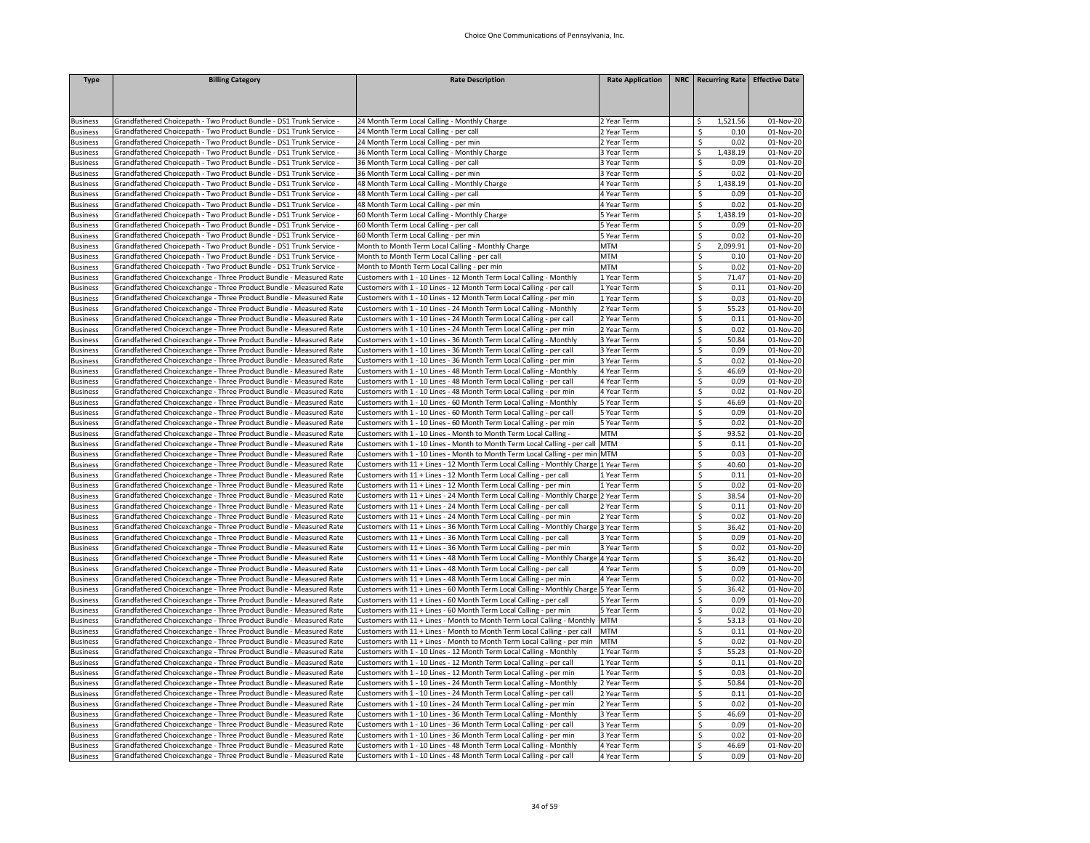| <b>Type</b>                        | <b>Billing Category</b>                                                                                                                    | <b>Rate Description</b>                                                                                                                      | <b>Rate Application</b>    |          |              | NRC   Recurring Rate   Effective Date |
|------------------------------------|--------------------------------------------------------------------------------------------------------------------------------------------|----------------------------------------------------------------------------------------------------------------------------------------------|----------------------------|----------|--------------|---------------------------------------|
|                                    |                                                                                                                                            |                                                                                                                                              |                            |          |              |                                       |
|                                    |                                                                                                                                            |                                                                                                                                              |                            |          |              |                                       |
|                                    |                                                                                                                                            |                                                                                                                                              |                            |          |              |                                       |
| <b>Business</b>                    | Grandfathered Choicepath - Two Product Bundle - DS1 Trunk Service -                                                                        | 24 Month Term Local Calling - Monthly Charge                                                                                                 | 2 Year Term                |          | 1,521.56     | 01-Nov-20                             |
| <b>Business</b>                    | Grandfathered Choicepath - Two Product Bundle - DS1 Trunk Service -                                                                        | 24 Month Term Local Calling - per call                                                                                                       | 2 Year Term                | \$       | 0.10         | 01-Nov-20                             |
| <b>Business</b>                    | Grandfathered Choicepath - Two Product Bundle - DS1 Trunk Service -                                                                        | 24 Month Term Local Calling - per min                                                                                                        | 2 Year Term                | \$       | 0.02         | 01-Nov-20                             |
| <b>Business</b>                    | Grandfathered Choicepath - Two Product Bundle - DS1 Trunk Service -                                                                        | 36 Month Term Local Calling - Monthly Charge                                                                                                 | 3 Year Term                | \$       | 1,438.19     | 01-Nov-20                             |
| <b>Business</b>                    | Grandfathered Choicepath - Two Product Bundle - DS1 Trunk Service -                                                                        | 36 Month Term Local Calling - per call                                                                                                       | 3 Year Term                | \$<br>\$ | 0.09<br>0.02 | 01-Nov-20<br>01-Nov-20                |
| <b>Business</b><br><b>Business</b> | Grandfathered Choicepath - Two Product Bundle - DS1 Trunk Service -<br>Grandfathered Choicepath - Two Product Bundle - DS1 Trunk Service - | 36 Month Term Local Calling - per min<br>48 Month Term Local Calling - Monthly Charge                                                        | 3 Year Term<br>4 Year Term | \$       | 1,438.19     | 01-Nov-20                             |
| <b>Business</b>                    | Grandfathered Choicepath - Two Product Bundle - DS1 Trunk Service -                                                                        | 48 Month Term Local Calling - per call                                                                                                       | 4 Year Term                | \$       | 0.09         | 01-Nov-20                             |
| <b>Business</b>                    | Grandfathered Choicepath - Two Product Bundle - DS1 Trunk Service -                                                                        | 48 Month Term Local Calling - per min                                                                                                        | 4 Year Term                | \$       | 0.02         | 01-Nov-20                             |
| <b>Business</b>                    | Grandfathered Choicepath - Two Product Bundle - DS1 Trunk Service -                                                                        | 60 Month Term Local Calling - Monthly Charge                                                                                                 | 5 Year Term                | \$       | 1,438.19     | 01-Nov-20                             |
| <b>Business</b>                    | Grandfathered Choicepath - Two Product Bundle - DS1 Trunk Service -                                                                        | 60 Month Term Local Calling - per call                                                                                                       | 5 Year Term                | \$       | 0.09         | 01-Nov-20                             |
| <b>Business</b>                    | Grandfathered Choicepath - Two Product Bundle - DS1 Trunk Service -                                                                        | 60 Month Term Local Calling - per min                                                                                                        | 5 Year Term                | \$       | 0.02         | 01-Nov-20                             |
| <b>Business</b>                    | Grandfathered Choicepath - Two Product Bundle - DS1 Trunk Service -                                                                        | Month to Month Term Local Calling - Monthly Charge                                                                                           | <b>MTM</b>                 | \$       | 2,099.91     | 01-Nov-20                             |
| <b>Business</b>                    | Grandfathered Choicepath - Two Product Bundle - DS1 Trunk Service -                                                                        | Month to Month Term Local Calling - per call                                                                                                 | <b>MTM</b>                 | \$       | 0.10         | 01-Nov-20                             |
| <b>Business</b>                    | Grandfathered Choicepath - Two Product Bundle - DS1 Trunk Service -                                                                        | Month to Month Term Local Calling - per min                                                                                                  | <b>MTM</b>                 | \$       | 0.02         | 01-Nov-20                             |
| <b>Business</b>                    | Grandfathered Choicexchange - Three Product Bundle - Measured Rate                                                                         | Customers with 1 - 10 Lines - 12 Month Term Local Calling - Monthly                                                                          | 1 Year Term                | \$       | 71.47        | 01-Nov-20                             |
| <b>Business</b>                    | Grandfathered Choicexchange - Three Product Bundle - Measured Rate                                                                         | Customers with 1 - 10 Lines - 12 Month Term Local Calling - per call                                                                         | 1 Year Term                | \$       | 0.11         | 01-Nov-20                             |
| <b>Business</b>                    | Grandfathered Choicexchange - Three Product Bundle - Measured Rate                                                                         | Customers with 1 - 10 Lines - 12 Month Term Local Calling - per min                                                                          | 1 Year Term                | \$       | 0.03         | 01-Nov-20                             |
| <b>Business</b>                    | Grandfathered Choicexchange - Three Product Bundle - Measured Rate                                                                         | Customers with 1 - 10 Lines - 24 Month Term Local Calling - Monthly                                                                          | 2 Year Term                | \$       | 55.23        | 01-Nov-20                             |
| <b>Business</b>                    | Grandfathered Choicexchange - Three Product Bundle - Measured Rate                                                                         | Customers with 1 - 10 Lines - 24 Month Term Local Calling - per call                                                                         | 2 Year Term                | \$       | 0.11         | 01-Nov-20                             |
| <b>Business</b>                    | Grandfathered Choicexchange - Three Product Bundle - Measured Rate                                                                         | Customers with 1 - 10 Lines - 24 Month Term Local Calling - per min                                                                          | 2 Year Term                | \$       | 0.02         | 01-Nov-20                             |
| <b>Business</b>                    | Grandfathered Choicexchange - Three Product Bundle - Measured Rate                                                                         | Customers with 1 - 10 Lines - 36 Month Term Local Calling - Monthly                                                                          | 3 Year Term                | \$       | 50.84        | 01-Nov-20                             |
| <b>Business</b>                    | Grandfathered Choicexchange - Three Product Bundle - Measured Rate                                                                         | Customers with 1 - 10 Lines - 36 Month Term Local Calling - per call                                                                         | 3 Year Term                | \$       | 0.09         | 01-Nov-20                             |
|                                    | Grandfathered Choicexchange - Three Product Bundle - Measured Rate                                                                         | Customers with 1 - 10 Lines - 36 Month Term Local Calling - per min                                                                          | 3 Year Term                | \$       | 0.02         | 01-Nov-20                             |
| <b>Business</b><br><b>Business</b> | Grandfathered Choicexchange - Three Product Bundle - Measured Rate                                                                         | Customers with 1 - 10 Lines - 48 Month Term Local Calling - Monthly                                                                          | 4 Year Term                | \$       | 46.69        | 01-Nov-20                             |
| <b>Business</b>                    | Grandfathered Choicexchange - Three Product Bundle - Measured Rate                                                                         | Customers with 1 - 10 Lines - 48 Month Term Local Calling - per call                                                                         | 4 Year Term                | \$       | 0.09         | 01-Nov-20                             |
| <b>Business</b>                    | Grandfathered Choicexchange - Three Product Bundle - Measured Rate                                                                         | Customers with 1 - 10 Lines - 48 Month Term Local Calling - per min                                                                          | 4 Year Term                | \$       | 0.02         | 01-Nov-20                             |
| <b>Business</b>                    | Grandfathered Choicexchange - Three Product Bundle - Measured Rate                                                                         | Customers with 1 - 10 Lines - 60 Month Term Local Calling - Monthly                                                                          | 5 Year Term                | \$       | 46.69        | 01-Nov-20                             |
| <b>Business</b>                    | Grandfathered Choicexchange - Three Product Bundle - Measured Rate                                                                         | Customers with 1 - 10 Lines - 60 Month Term Local Calling - per call                                                                         | 5 Year Term                | \$       | 0.09         | 01-Nov-20                             |
| <b>Business</b>                    | Grandfathered Choicexchange - Three Product Bundle - Measured Rate                                                                         | Customers with 1 - 10 Lines - 60 Month Term Local Calling - per min                                                                          | 5 Year Term                | \$       | 0.02         | 01-Nov-20                             |
| <b>Business</b>                    | Grandfathered Choicexchange - Three Product Bundle - Measured Rate                                                                         | Customers with 1 - 10 Lines - Month to Month Term Local Calling -                                                                            | <b>MTM</b>                 | \$       | 93.52        | 01-Nov-20                             |
| <b>Business</b>                    | Grandfathered Choicexchange - Three Product Bundle - Measured Rate                                                                         | Customers with 1 - 10 Lines - Month to Month Term Local Calling - per call MTM                                                               |                            | \$       | 0.11         | 01-Nov-20                             |
| <b>Business</b>                    | Grandfathered Choicexchange - Three Product Bundle - Measured Rate                                                                         | Customers with 1 - 10 Lines - Month to Month Term Local Calling - per min MTM                                                                |                            | \$       | 0.03         | 01-Nov-20                             |
| <b>Business</b>                    | Grandfathered Choicexchange - Three Product Bundle - Measured Rate                                                                         | Customers with 11 + Lines - 12 Month Term Local Calling - Monthly Charge                                                                     | 1 Year Term                | \$       | 40.60        | 01-Nov-20                             |
|                                    | Grandfathered Choicexchange - Three Product Bundle - Measured Rate                                                                         | Customers with 11 + Lines - 12 Month Term Local Calling - per call                                                                           |                            | $\zeta$  | 0.11         | 01-Nov-20                             |
| <b>Business</b><br><b>Business</b> | Grandfathered Choicexchange - Three Product Bundle - Measured Rate                                                                         | Customers with 11 + Lines - 12 Month Term Local Calling - per min                                                                            | . Year Term<br>1 Year Term | \$       | 0.02         | 01-Nov-20                             |
| <b>Business</b>                    | Grandfathered Choicexchange - Three Product Bundle - Measured Rate                                                                         | Customers with 11 + Lines - 24 Month Term Local Calling - Monthly Charge 2 Year Term                                                         |                            | \$       | 38.54        | 01-Nov-20                             |
| <b>Business</b>                    | Grandfathered Choicexchange - Three Product Bundle - Measured Rate                                                                         | Customers with 11 + Lines - 24 Month Term Local Calling - per call                                                                           | Year Term                  | Ś        | 0.11         | 01-Nov-20                             |
| <b>Business</b>                    | Grandfathered Choicexchange - Three Product Bundle - Measured Rate                                                                         | Customers with 11 + Lines - 24 Month Term Local Calling - per min                                                                            | 2 Year Term                | \$       | 0.02         | 01-Nov-20                             |
|                                    | Grandfathered Choicexchange - Three Product Bundle - Measured Rate                                                                         | Customers with 11 + Lines - 36 Month Term Local Calling - Monthly Charge 3 Year Term                                                         |                            | \$       | 36.42        | 01-Nov-20                             |
| <b>Business</b><br><b>Business</b> | Grandfathered Choicexchange - Three Product Bundle - Measured Rate                                                                         | Customers with 11 + Lines - 36 Month Term Local Calling - per call                                                                           | 3 Year Term                | \$       | 0.09         | 01-Nov-20                             |
| <b>Business</b>                    | Grandfathered Choicexchange - Three Product Bundle - Measured Rate                                                                         | Customers with 11 + Lines - 36 Month Term Local Calling - per min                                                                            | 3 Year Term                | \$       | 0.02         | 01-Nov-20                             |
| <b>Business</b>                    | Grandfathered Choicexchange - Three Product Bundle - Measured Rate                                                                         | Customers with 11 + Lines - 48 Month Term Local Calling - Monthly Charge                                                                     | 4 Year Term                | \$       | 36.42        | 01-Nov-20                             |
| <b>Business</b>                    | Grandfathered Choicexchange - Three Product Bundle - Measured Rate                                                                         | Customers with 11 + Lines - 48 Month Term Local Calling - per call                                                                           | 4 Year Term                | \$       | 0.09         | 01-Nov-20                             |
| <b>Business</b>                    | Grandfathered Choicexchange - Three Product Bundle - Measured Rate                                                                         | Customers with 11 + Lines - 48 Month Term Local Calling - per min                                                                            | 4 Year Term                | \$       | 0.02         | 01-Nov-20                             |
|                                    | Grandfathered Choicexchange - Three Product Bundle - Measured Rate                                                                         | Customers with 11 + Lines - 60 Month Term Local Calling - Monthly Charge                                                                     | 5 Year Term                | \$       | 36.42        | 01-Nov-20                             |
| <b>Business</b><br><b>Business</b> | Grandfathered Choicexchange - Three Product Bundle - Measured Rate                                                                         | Customers with 11 + Lines - 60 Month Term Local Calling - per call                                                                           | 5 Year Term                | \$       | 0.09         | 01-Nov-20                             |
| <b>Business</b>                    |                                                                                                                                            |                                                                                                                                              | 5 Year Term                | \$       | 0.02         | 01-Nov-20                             |
| <b>Business</b>                    | Grandfathered Choicexchange - Three Product Bundle - Measured Rate<br>Grandfathered Choicexchange - Three Product Bundle - Measured Rate   | Customers with 11 + Lines - 60 Month Term Local Calling - per min<br>Customers with 11 + Lines - Month to Month Term Local Calling - Monthly | <b>MTM</b>                 | \$       | 53.13        | 01-Nov-20                             |
| <b>Business</b>                    | Grandfathered Choicexchange - Three Product Bundle - Measured Rate                                                                         | Customers with 11 + Lines - Month to Month Term Local Calling - per call                                                                     | <b>MTM</b>                 | \$       | 0.11         | 01-Nov-20                             |
| <b>Business</b>                    | Grandfathered Choicexchange - Three Product Bundle - Measured Rate                                                                         | Customers with 11 + Lines - Month to Month Term Local Calling - per min                                                                      | <b>MTM</b>                 | \$       | 0.02         | 01-Nov-20                             |
|                                    |                                                                                                                                            |                                                                                                                                              |                            | \$       | 55.23        | 01-Nov-20                             |
| <b>Business</b>                    | Grandfathered Choicexchange - Three Product Bundle - Measured Rate<br>Grandfathered Choicexchange - Three Product Bundle - Measured Rate   | Customers with 1 - 10 Lines - 12 Month Term Local Calling - Monthly<br>Customers with 1 - 10 Lines - 12 Month Term Local Calling - per call  | 1 Year Term                | Ś        | 0.11         | 01-Nov-20                             |
| <b>Business</b><br><b>Business</b> | Grandfathered Choicexchange - Three Product Bundle - Measured Rate                                                                         | Customers with 1 - 10 Lines - 12 Month Term Local Calling - per min                                                                          | 1 Year Term<br>1 Year Term | \$       | 0.03         | 01-Nov-20                             |
|                                    |                                                                                                                                            |                                                                                                                                              |                            |          | 50.84        | 01-Nov-20                             |
| <b>Business</b><br><b>Business</b> | Grandfathered Choicexchange - Three Product Bundle - Measured Rate<br>Grandfathered Choicexchange - Three Product Bundle - Measured Rate   | Customers with 1 - 10 Lines - 24 Month Term Local Calling - Monthly<br>Customers with 1 - 10 Lines - 24 Month Term Local Calling - per call  | 2 Year Term<br>2 Year Term | \$<br>\$ | 0.11         | 01-Nov-20                             |
|                                    | Grandfathered Choicexchange - Three Product Bundle - Measured Rate                                                                         | Customers with 1 - 10 Lines - 24 Month Term Local Calling - per min                                                                          | 2 Year Term                | \$       | 0.02         | 01-Nov-20                             |
| Business<br><b>Business</b>        | Grandfathered Choicexchange - Three Product Bundle - Measured Rate                                                                         | Customers with 1 - 10 Lines - 36 Month Term Local Calling - Monthly                                                                          | 3 Year Term                | \$       | 46.69        | 01-Nov-20                             |
|                                    |                                                                                                                                            | Customers with 1 - 10 Lines - 36 Month Term Local Calling - per call                                                                         |                            | Ŝ.       | 0.09         |                                       |
| <b>Business</b>                    | Grandfathered Choicexchange - Three Product Bundle - Measured Rate<br>Grandfathered Choicexchange - Three Product Bundle - Measured Rate   | Customers with 1 - 10 Lines - 36 Month Term Local Calling - per min                                                                          | 3 Year Term                | Ś        | 0.02         | 01-Nov-20<br>01-Nov-20                |
| <b>Business</b>                    | Grandfathered Choicexchange - Three Product Bundle - Measured Rate                                                                         | Customers with 1 - 10 Lines - 48 Month Term Local Calling - Monthly                                                                          | 3 Year Term<br>4 Year Term | \$       | 46.69        | 01-Nov-20                             |
| <b>Business</b><br><b>Business</b> | Grandfathered Choicexchange - Three Product Bundle - Measured Rate                                                                         | Customers with 1 - 10 Lines - 48 Month Term Local Calling - per call                                                                         | 4 Year Term                | \$       | 0.09         | 01-Nov-20                             |
|                                    |                                                                                                                                            |                                                                                                                                              |                            |          |              |                                       |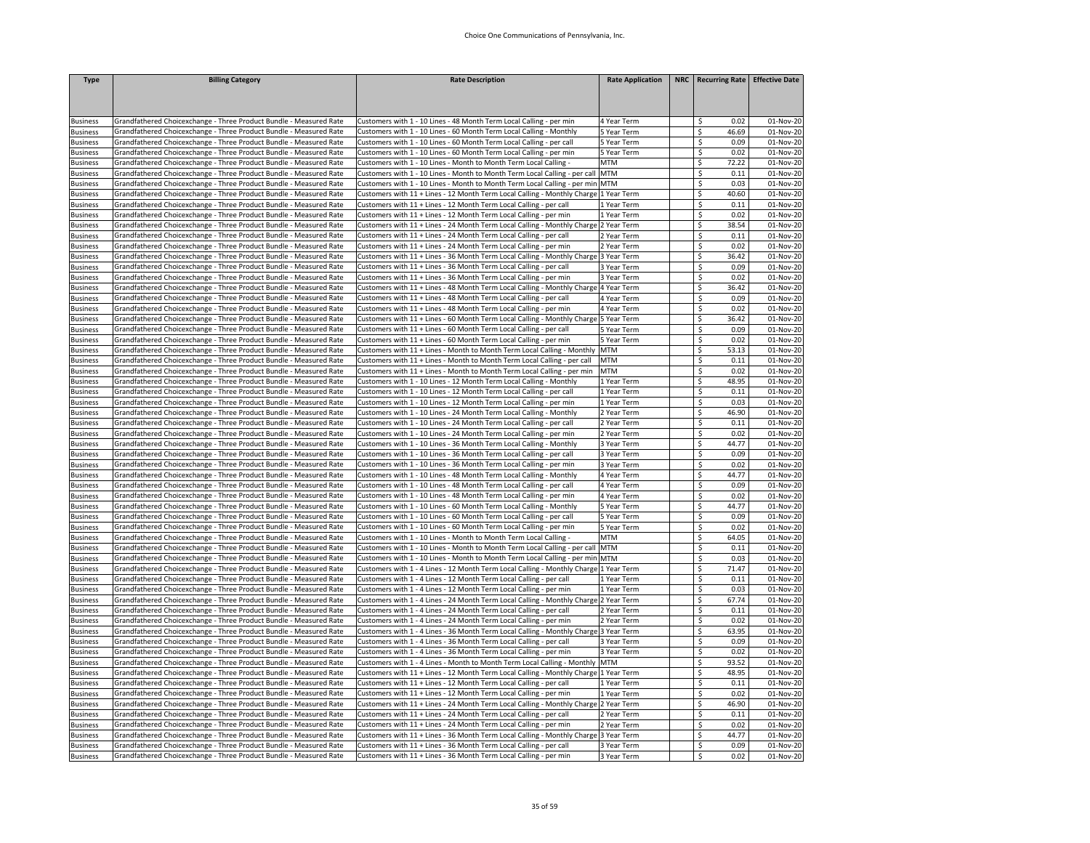| <b>Type</b>     | <b>Billing Category</b>                                            | <b>Rate Description</b>                                                              | <b>Rate Application</b> | NRC   Recurring Rate   Effective Date |           |
|-----------------|--------------------------------------------------------------------|--------------------------------------------------------------------------------------|-------------------------|---------------------------------------|-----------|
|                 |                                                                    |                                                                                      |                         |                                       |           |
|                 |                                                                    |                                                                                      |                         |                                       |           |
|                 |                                                                    |                                                                                      |                         |                                       |           |
| <b>Business</b> | Grandfathered Choicexchange - Three Product Bundle - Measured Rate | Customers with 1 - 10 Lines - 48 Month Term Local Calling - per min                  | 4 Year Term             | 0.02<br><sup>\$</sup>                 | 01-Nov-20 |
| <b>Business</b> | Grandfathered Choicexchange - Three Product Bundle - Measured Rate | Customers with 1 - 10 Lines - 60 Month Term Local Calling - Monthly                  | Year Term               | \$<br>46.69                           | 01-Nov-20 |
| <b>Business</b> | Grandfathered Choicexchange - Three Product Bundle - Measured Rate | Customers with 1 - 10 Lines - 60 Month Term Local Calling - per call                 | SYear Term              | Ŝ.<br>0.09                            | 01-Nov-20 |
| <b>Business</b> | Grandfathered Choicexchange - Three Product Bundle - Measured Rate | Customers with 1 - 10 Lines - 60 Month Term Local Calling - per min                  | 5 Year Term             | \$<br>0.02                            | 01-Nov-20 |
| <b>Business</b> | Grandfathered Choicexchange - Three Product Bundle - Measured Rate | Customers with 1 - 10 Lines - Month to Month Term Local Calling -                    | <b>MTM</b>              | \$<br>72.22                           | 01-Nov-20 |
| <b>Business</b> | Grandfathered Choicexchange - Three Product Bundle - Measured Rate | Customers with 1 - 10 Lines - Month to Month Term Local Calling - per call           | MTM                     | \$<br>0.11                            | 01-Nov-20 |
| <b>Business</b> | Grandfathered Choicexchange - Three Product Bundle - Measured Rate | Customers with 1 - 10 Lines - Month to Month Term Local Calling - per min MTM        |                         | \$<br>0.03                            | 01-Nov-20 |
| <b>Business</b> | Grandfathered Choicexchange - Three Product Bundle - Measured Rate | Customers with 11 + Lines - 12 Month Term Local Calling - Monthly Charge             | 1 Year Term             | \$<br>40.60                           | 01-Nov-20 |
| <b>Business</b> | Grandfathered Choicexchange - Three Product Bundle - Measured Rate | Customers with 11 + Lines - 12 Month Term Local Calling - per call                   | Year Term               | $\zeta$<br>0.11                       | 01-Nov-20 |
| <b>Business</b> | Grandfathered Choicexchange - Three Product Bundle - Measured Rate | Customers with 11 + Lines - 12 Month Term Local Calling - per min                    | Year Term               | \$<br>0.02                            | 01-Nov-20 |
| <b>Business</b> | Grandfathered Choicexchange - Three Product Bundle - Measured Rate | Customers with 11 + Lines - 24 Month Term Local Calling - Monthly Charge 2 Year Term |                         | \$<br>38.54                           | 01-Nov-20 |
| <b>Business</b> | Grandfathered Choicexchange - Three Product Bundle - Measured Rate | Customers with 11 + Lines - 24 Month Term Local Calling - per call                   | 2 Year Term             | \$<br>0.11                            | 01-Nov-20 |
| <b>Business</b> | Grandfathered Choicexchange - Three Product Bundle - Measured Rate | Customers with 11 + Lines - 24 Month Term Local Calling - per min                    | Year Term               | \$<br>0.02                            | 01-Nov-20 |
| <b>Business</b> | Grandfathered Choicexchange - Three Product Bundle - Measured Rate | Customers with 11 + Lines - 36 Month Term Local Calling - Monthly Charge             | 3 Year Term             | \$<br>36.42                           | 01-Nov-20 |
| <b>Business</b> | Grandfathered Choicexchange - Three Product Bundle - Measured Rate | Customers with 11 + Lines - 36 Month Term Local Calling - per call                   | Year Term               | \$<br>0.09                            | 01-Nov-20 |
| <b>Business</b> | Grandfathered Choicexchange - Three Product Bundle - Measured Rate | Customers with 11 + Lines - 36 Month Term Local Calling - per min                    | 3 Year Term             | \$<br>0.02                            | 01-Nov-20 |
| <b>Business</b> | Grandfathered Choicexchange - Three Product Bundle - Measured Rate | Customers with 11 + Lines - 48 Month Term Local Calling - Monthly Charge             | 4 Year Term             | \$<br>36.42                           | 01-Nov-20 |
| Business        | Grandfathered Choicexchange - Three Product Bundle - Measured Rate | Customers with 11 + Lines - 48 Month Term Local Calling - per call                   | Year Term               | \$<br>0.09                            | 01-Nov-20 |
| <b>Business</b> | Grandfathered Choicexchange - Three Product Bundle - Measured Rate | Customers with 11 + Lines - 48 Month Term Local Calling - per min                    | 4 Year Term             | \$<br>0.02                            | 01-Nov-20 |
| <b>Business</b> | Grandfathered Choicexchange - Three Product Bundle - Measured Rate | Customers with 11 + Lines - 60 Month Term Local Calling - Monthly Charge             | 5 Year Term             | \$<br>36.42                           | 01-Nov-20 |
| <b>Business</b> | Grandfathered Choicexchange - Three Product Bundle - Measured Rate | Customers with 11 + Lines - 60 Month Term Local Calling - per call                   | S Year Term             | \$<br>0.09                            | 01-Nov-20 |
| <b>Business</b> | Grandfathered Choicexchange - Three Product Bundle - Measured Rate | Customers with 11 + Lines - 60 Month Term Local Calling - per min                    | 5 Year Term             | \$<br>0.02                            | 01-Nov-20 |
| <b>Business</b> | Grandfathered Choicexchange - Three Product Bundle - Measured Rate | Customers with 11 + Lines - Month to Month Term Local Calling - Monthly              | <b>MTM</b>              | \$<br>53.13                           | 01-Nov-20 |
| <b>Business</b> | Grandfathered Choicexchange - Three Product Bundle - Measured Rate | Customers with 11 + Lines - Month to Month Term Local Calling - per call             | MTM                     | \$<br>0.11                            | 01-Nov-20 |
| <b>Business</b> | Grandfathered Choicexchange - Three Product Bundle - Measured Rate | Customers with 11 + Lines - Month to Month Term Local Calling - per min              | MTM                     | \$<br>0.02                            | 01-Nov-20 |
| <b>Business</b> | Grandfathered Choicexchange - Three Product Bundle - Measured Rate | Customers with 1 - 10 Lines - 12 Month Term Local Calling - Monthly                  | 1 Year Term             | \$<br>48.95                           | 01-Nov-20 |
| <b>Business</b> | Grandfathered Choicexchange - Three Product Bundle - Measured Rate | Customers with 1 - 10 Lines - 12 Month Term Local Calling - per call                 | 1 Year Term             | \$<br>0.11                            | 01-Nov-20 |
| <b>Business</b> | Grandfathered Choicexchange - Three Product Bundle - Measured Rate | Customers with 1 - 10 Lines - 12 Month Term Local Calling - per min                  | Year Term               | \$<br>0.03                            | 01-Nov-20 |
| <b>Business</b> | Grandfathered Choicexchange - Three Product Bundle - Measured Rate | Customers with 1 - 10 Lines - 24 Month Term Local Calling - Monthly                  | Year Term               | \$<br>46.90                           | 01-Nov-20 |
| <b>Business</b> | Grandfathered Choicexchange - Three Product Bundle - Measured Rate | Customers with 1 - 10 Lines - 24 Month Term Local Calling - per call                 | Year Term               | \$<br>0.11                            | 01-Nov-20 |
| <b>Business</b> | Grandfathered Choicexchange - Three Product Bundle - Measured Rate | Customers with 1 - 10 Lines - 24 Month Term Local Calling - per min                  | Year Term               | \$<br>0.02                            | 01-Nov-20 |
| <b>Business</b> | Grandfathered Choicexchange - Three Product Bundle - Measured Rate | Customers with 1 - 10 Lines - 36 Month Term Local Calling - Monthly                  | l Year Term             | $\overline{\mathsf{S}}$<br>44.77      | 01-Nov-20 |
| <b>Business</b> | Grandfathered Choicexchange - Three Product Bundle - Measured Rate | Customers with 1 - 10 Lines - 36 Month Term Local Calling - per call                 | 3 Year Term             | \$<br>0.09                            | 01-Nov-20 |
| <b>Business</b> | Grandfathered Choicexchange - Three Product Bundle - Measured Rate | Customers with 1 - 10 Lines - 36 Month Term Local Calling - per min                  | 3 Year Term             | \$<br>0.02                            | 01-Nov-20 |
| <b>Business</b> | Grandfathered Choicexchange - Three Product Bundle - Measured Rate | Customers with 1 - 10 Lines - 48 Month Term Local Calling - Monthly                  | 4 Year Term             | $\overline{\mathsf{s}}$<br>44.77      | 01-Nov-20 |
| <b>Business</b> | Grandfathered Choicexchange - Three Product Bundle - Measured Rate | Customers with 1 - 10 Lines - 48 Month Term Local Calling - per call                 | 4 Year Term             | \$<br>0.09                            | 01-Nov-20 |
| <b>Business</b> | Grandfathered Choicexchange - Three Product Bundle - Measured Rate | Customers with 1 - 10 Lines - 48 Month Term Local Calling - per min                  | 4 Year Term             | \$<br>0.02                            | 01-Nov-20 |
| <b>Business</b> | Grandfathered Choicexchange - Three Product Bundle - Measured Rate | Customers with 1 - 10 Lines - 60 Month Term Local Calling - Monthly                  | 5 Year Term             | \$<br>44.77                           | 01-Nov-20 |
| <b>Business</b> | Grandfathered Choicexchange - Three Product Bundle - Measured Rate | Customers with 1 - 10 Lines - 60 Month Term Local Calling - per call                 | i Year Term             | $\overline{\xi}$<br>0.09              | 01-Nov-20 |
| <b>Business</b> | Grandfathered Choicexchange - Three Product Bundle - Measured Rate | Customers with 1 - 10 Lines - 60 Month Term Local Calling - per min                  | S Year Term             | \$<br>0.02                            | 01-Nov-20 |
| <b>Business</b> | Grandfathered Choicexchange - Three Product Bundle - Measured Rate | Customers with 1 - 10 Lines - Month to Month Term Local Calling -                    | <b>MTM</b>              | \$<br>64.05                           | 01-Nov-20 |
| <b>Business</b> | Grandfathered Choicexchange - Three Product Bundle - Measured Rate | Customers with 1 - 10 Lines - Month to Month Term Local Calling - per call           | <b>MTM</b>              | \$<br>0.11                            | 01-Nov-20 |
| Business        | Grandfathered Choicexchange - Three Product Bundle - Measured Rate | Customers with 1 - 10 Lines - Month to Month Term Local Calling - per min            | <b>MTM</b>              | \$<br>0.03                            | 01-Nov-20 |
| <b>Business</b> | Grandfathered Choicexchange - Three Product Bundle - Measured Rate | Customers with 1 - 4 Lines - 12 Month Term Local Calling - Monthly Charge            | 1 Year Term             | \$<br>71.47                           | 01-Nov-20 |
| <b>Business</b> | Grandfathered Choicexchange - Three Product Bundle - Measured Rate | Customers with 1 - 4 Lines - 12 Month Term Local Calling - per call                  | Year Term               | \$<br>0.11                            | 01-Nov-20 |
| <b>Business</b> | Grandfathered Choicexchange - Three Product Bundle - Measured Rate | Customers with 1 - 4 Lines - 12 Month Term Local Calling - per min                   | Year Term               | \$<br>0.03                            | 01-Nov-20 |
| <b>Business</b> | Grandfathered Choicexchange - Three Product Bundle - Measured Rate | Customers with 1 - 4 Lines - 24 Month Term Local Calling - Monthly Charge            | 2 Year Term             | \$<br>67.74                           | 01-Nov-20 |
| <b>Business</b> | Grandfathered Choicexchange - Three Product Bundle - Measured Rate | Customers with 1 - 4 Lines - 24 Month Term Local Calling - per call                  | Year Term               | \$<br>0.11                            | 01-Nov-20 |
| <b>Business</b> | Grandfathered Choicexchange - Three Product Bundle - Measured Rate | Customers with 1 - 4 Lines - 24 Month Term Local Calling - per min                   | 2 Year Term             | 0.02<br>\$                            | 01-Nov-20 |
| <b>Business</b> | Grandfathered Choicexchange - Three Product Bundle - Measured Rate | Customers with 1 - 4 Lines - 36 Month Term Local Calling - Monthly Charge            | 3 Year Term             | $\overline{\mathsf{S}}$<br>63.95      | 01-Nov-20 |
| <b>Business</b> | Grandfathered Choicexchange - Three Product Bundle - Measured Rate | Customers with 1 - 4 Lines - 36 Month Term Local Calling - per call                  | Year Term               | $\mathsf{\hat{S}}$<br>0.09            | 01-Nov-20 |
| <b>Business</b> | Grandfathered Choicexchange - Three Product Bundle - Measured Rate | Customers with 1 - 4 Lines - 36 Month Term Local Calling - per min                   | 3 Year Term             | \$<br>0.02                            | 01-Nov-20 |
| <b>Business</b> | Grandfathered Choicexchange - Three Product Bundle - Measured Rate | Customers with 1 - 4 Lines - Month to Month Term Local Calling - Monthly             | <b>MTM</b>              | \$<br>93.52                           | 01-Nov-20 |
| <b>Business</b> | Grandfathered Choicexchange - Three Product Bundle - Measured Rate | Customers with 11 + Lines - 12 Month Term Local Calling - Monthly Charge             | Year Term               | \$<br>48.95                           | 01-Nov-20 |
| <b>Business</b> | Grandfathered Choicexchange - Three Product Bundle - Measured Rate | Customers with 11 + Lines - 12 Month Term Local Calling - per call                   | Year Term               | \$<br>0.11                            | 01-Nov-20 |
| <b>Business</b> | Grandfathered Choicexchange - Three Product Bundle - Measured Rate | Customers with 11 + Lines - 12 Month Term Local Calling - per min                    | Year Term               | \$<br>0.02                            | 01-Nov-20 |
| <b>Business</b> | Grandfathered Choicexchange - Three Product Bundle - Measured Rate | Customers with 11 + Lines - 24 Month Term Local Calling - Monthly Charge             | Year Term               | \$<br>46.90                           | 01-Nov-20 |
| <b>Business</b> | Grandfathered Choicexchange - Three Product Bundle - Measured Rate | Customers with 11 + Lines - 24 Month Term Local Calling - per call                   | Year Term               | \$<br>0.11                            | 01-Nov-20 |
| <b>Business</b> | Grandfathered Choicexchange - Three Product Bundle - Measured Rate | Customers with 11 + Lines - 24 Month Term Local Calling - per min                    | Year Term               | \$<br>0.02                            | 01-Nov-20 |
| <b>Business</b> | Grandfathered Choicexchange - Three Product Bundle - Measured Rate | Customers with 11 + Lines - 36 Month Term Local Calling - Monthly Charge             | 3 Year Term             | \$<br>44.77                           | 01-Nov-20 |
| <b>Business</b> | Grandfathered Choicexchange - Three Product Bundle - Measured Rate | Customers with 11 + Lines - 36 Month Term Local Calling - per call                   | Year Term               | \$<br>0.09                            | 01-Nov-20 |
| <b>Business</b> | Grandfathered Choicexchange - Three Product Bundle - Measured Rate | Customers with 11 + Lines - 36 Month Term Local Calling - per min                    | 3 Year Term             | $\mathsf{\hat{S}}$<br>0.02            | 01-Nov-20 |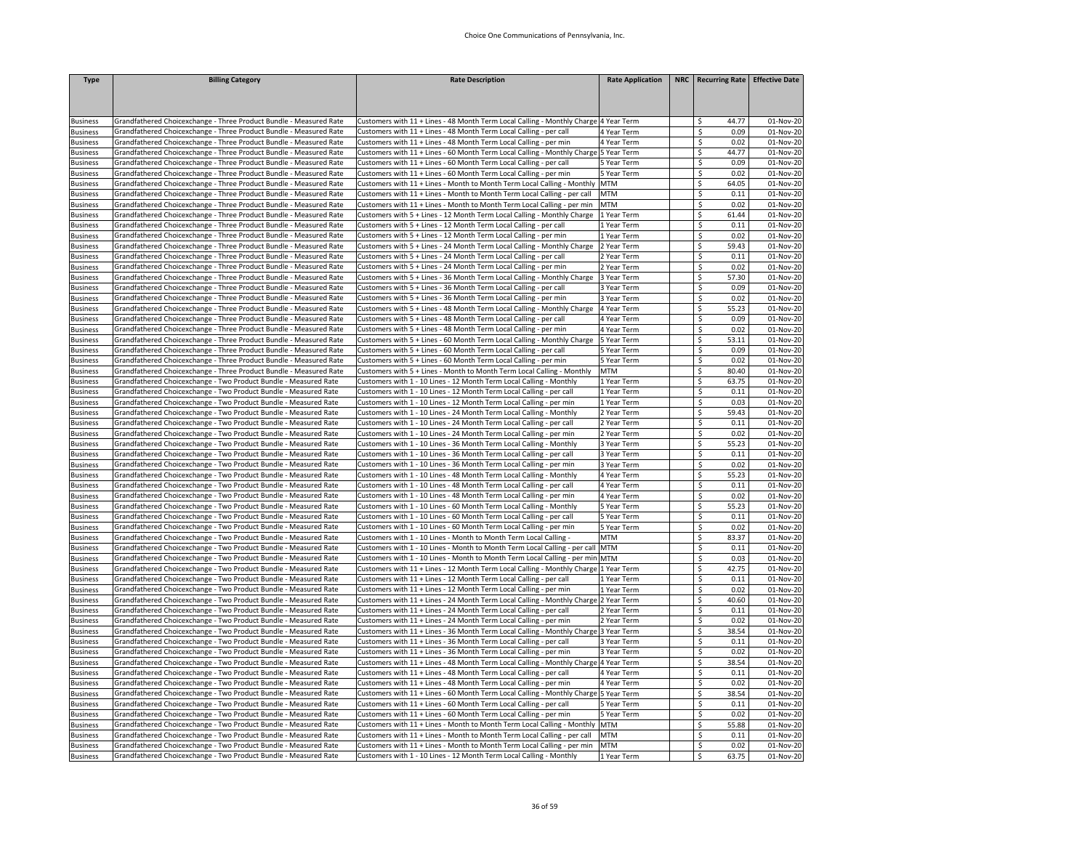| <b>Type</b>                        | <b>Billing Category</b>                                            | <b>Rate Description</b>                                                              | <b>Rate Application</b> | NRC   Recurring Rate   Effective Date |           |
|------------------------------------|--------------------------------------------------------------------|--------------------------------------------------------------------------------------|-------------------------|---------------------------------------|-----------|
|                                    |                                                                    |                                                                                      |                         |                                       |           |
|                                    |                                                                    |                                                                                      |                         |                                       |           |
|                                    |                                                                    |                                                                                      |                         |                                       |           |
| <b>Business</b>                    | Grandfathered Choicexchange - Three Product Bundle - Measured Rate | Customers with 11 + Lines - 48 Month Term Local Calling - Monthly Charge 4 Year Term |                         | \$<br>44.77                           | 01-Nov-20 |
| <b>Business</b>                    | Grandfathered Choicexchange - Three Product Bundle - Measured Rate | Customers with 11 + Lines - 48 Month Term Local Calling - per call                   | 4 Year Term             | \$<br>0.09                            | 01-Nov-20 |
| <b>Business</b>                    | Grandfathered Choicexchange - Three Product Bundle - Measured Rate | Customers with 11 + Lines - 48 Month Term Local Calling - per min                    | 1 Year Term             | \$<br>0.02                            | 01-Nov-20 |
| <b>Business</b>                    | Grandfathered Choicexchange - Three Product Bundle - Measured Rate | Customers with 11 + Lines - 60 Month Term Local Calling - Monthly Charge             | 5 Year Term             | \$<br>44.77                           | 01-Nov-20 |
| <b>Business</b>                    | Grandfathered Choicexchange - Three Product Bundle - Measured Rate | Customers with 11 + Lines - 60 Month Term Local Calling - per call                   | Year Term               | Ŝ.<br>0.09                            | 01-Nov-20 |
| <b>Business</b>                    | Grandfathered Choicexchange - Three Product Bundle - Measured Rate | Customers with 11 + Lines - 60 Month Term Local Calling - per min                    | S Year Term             | \$<br>0.02                            | 01-Nov-20 |
| <b>Business</b>                    | Grandfathered Choicexchange - Three Product Bundle - Measured Rate | Customers with 11 + Lines - Month to Month Term Local Calling - Monthly              | <b>MTM</b>              | \$<br>64.05                           | 01-Nov-20 |
| <b>Business</b>                    | Grandfathered Choicexchange - Three Product Bundle - Measured Rate | Customers with 11 + Lines - Month to Month Term Local Calling - per call             | MTM                     | \$<br>0.11                            | 01-Nov-20 |
| <b>Business</b>                    | Grandfathered Choicexchange - Three Product Bundle - Measured Rate | Customers with 11 + Lines - Month to Month Term Local Calling - per min              | <b>MTM</b>              | \$<br>0.02                            | 01-Nov-20 |
| <b>Business</b>                    | Grandfathered Choicexchange - Three Product Bundle - Measured Rate | Customers with 5 + Lines - 12 Month Term Local Calling - Monthly Charge              | 1 Year Term             | \$<br>61.44                           | 01-Nov-20 |
| <b>Business</b>                    | Grandfathered Choicexchange - Three Product Bundle - Measured Rate | Customers with 5 + Lines - 12 Month Term Local Calling - per call                    | l Year Term             | \$<br>0.11                            | 01-Nov-20 |
| <b>Business</b>                    | Grandfathered Choicexchange - Three Product Bundle - Measured Rate | Customers with 5 + Lines - 12 Month Term Local Calling - per min                     | 1 Year Term             | \$<br>0.02                            | 01-Nov-20 |
| <b>Business</b>                    | Grandfathered Choicexchange - Three Product Bundle - Measured Rate | Customers with 5 + Lines - 24 Month Term Local Calling - Monthly Charge              | Year Term               | $\overline{\mathsf{s}}$<br>59.43      | 01-Nov-20 |
| <b>Business</b>                    | Grandfathered Choicexchange - Three Product Bundle - Measured Rate | Customers with 5 + Lines - 24 Month Term Local Calling - per call                    | Year Term               | \$<br>0.11                            | 01-Nov-20 |
| <b>Business</b>                    | Grandfathered Choicexchange - Three Product Bundle - Measured Rate | Customers with 5 + Lines - 24 Month Term Local Calling - per min                     | Year Term               | \$<br>0.02                            | 01-Nov-20 |
| <b>Business</b>                    | Grandfathered Choicexchange - Three Product Bundle - Measured Rate | Customers with 5 + Lines - 36 Month Term Local Calling - Monthly Charge              | Year Term               | \$<br>57.30                           | 01-Nov-20 |
| <b>Business</b>                    | Grandfathered Choicexchange - Three Product Bundle - Measured Rate | Customers with 5 + Lines - 36 Month Term Local Calling - per call                    | Year Term               | $\overline{\xi}$<br>0.09              | 01-Nov-20 |
| <b>Business</b>                    | Grandfathered Choicexchange - Three Product Bundle - Measured Rate | Customers with 5 + Lines - 36 Month Term Local Calling - per min                     | 3 Year Term             | \$<br>0.02                            | 01-Nov-20 |
| <b>Business</b>                    | Grandfathered Choicexchange - Three Product Bundle - Measured Rate | Customers with 5 + Lines - 48 Month Term Local Calling - Monthly Charge              | 4 Year Term             | \$<br>55.23                           | 01-Nov-20 |
| <b>Business</b>                    | Grandfathered Choicexchange - Three Product Bundle - Measured Rate | Customers with 5 + Lines - 48 Month Term Local Calling - per call                    | 1 Year Term             | \$<br>0.09                            | 01-Nov-20 |
| <b>Business</b>                    | Grandfathered Choicexchange - Three Product Bundle - Measured Rate | Customers with 5 + Lines - 48 Month Term Local Calling - per min                     | 4 Year Term             | \$<br>0.02                            | 01-Nov-20 |
| <b>Business</b>                    | Grandfathered Choicexchange - Three Product Bundle - Measured Rate | Customers with 5 + Lines - 60 Month Term Local Calling - Monthly Charge              | 5 Year Term             | \$<br>53.11                           | 01-Nov-20 |
| <b>Business</b>                    | Grandfathered Choicexchange - Three Product Bundle - Measured Rate | Customers with 5 + Lines - 60 Month Term Local Calling - per call                    | S Year Term             | \$<br>0.09                            | 01-Nov-20 |
| <b>Business</b>                    | Grandfathered Choicexchange - Three Product Bundle - Measured Rate | Customers with 5 + Lines - 60 Month Term Local Calling - per min                     | S Year Term             | \$<br>0.02                            | 01-Nov-20 |
| <b>Business</b>                    | Grandfathered Choicexchange - Three Product Bundle - Measured Rate | Customers with 5 + Lines - Month to Month Term Local Calling - Monthly               | <b>MTM</b>              | $\mathsf{\hat{S}}$<br>80.40           | 01-Nov-20 |
| <b>Business</b>                    | Grandfathered Choicexchange - Two Product Bundle - Measured Rate   | Customers with 1 - 10 Lines - 12 Month Term Local Calling - Monthly                  | Year Term               | \$<br>63.75                           | 01-Nov-20 |
| <b>Business</b>                    | Grandfathered Choicexchange - Two Product Bundle - Measured Rate   | Customers with 1 - 10 Lines - 12 Month Term Local Calling - per call                 | 1 Year Term             | Ŝ.<br>0.11                            | 01-Nov-20 |
| <b>Business</b>                    | Grandfathered Choicexchange - Two Product Bundle - Measured Rate   | Customers with 1 - 10 Lines - 12 Month Term Local Calling - per min                  | Year Term               | $\overline{\xi}$<br>0.03              | 01-Nov-20 |
| <b>Business</b>                    | Grandfathered Choicexchange - Two Product Bundle - Measured Rate   | Customers with 1 - 10 Lines - 24 Month Term Local Calling - Monthly                  | Year Term               | \$<br>59.43                           | 01-Nov-20 |
| <b>Business</b>                    | Grandfathered Choicexchange - Two Product Bundle - Measured Rate   | Customers with 1 - 10 Lines - 24 Month Term Local Calling - per call                 | 2 Year Term             | \$<br>0.11                            | 01-Nov-20 |
| <b>Business</b>                    | Grandfathered Choicexchange - Two Product Bundle - Measured Rate   | Customers with 1 - 10 Lines - 24 Month Term Local Calling - per min                  | Year Term               | $\zeta$<br>0.02                       | 01-Nov-20 |
| <b>Business</b>                    | Grandfathered Choicexchange - Two Product Bundle - Measured Rate   | Customers with 1 - 10 Lines - 36 Month Term Local Calling - Monthly                  | 3 Year Term             | \$<br>55.23                           | 01-Nov-20 |
| <b>Business</b>                    | Grandfathered Choicexchange - Two Product Bundle - Measured Rate   | Customers with 1 - 10 Lines - 36 Month Term Local Calling - per call                 | 3 Year Term             | \$<br>0.11                            | 01-Nov-20 |
| <b>Business</b>                    | Grandfathered Choicexchange - Two Product Bundle - Measured Rate   | Customers with 1 - 10 Lines - 36 Month Term Local Calling - per min                  | 3 Year Term             | Ŝ.<br>0.02                            | 01-Nov-20 |
| <b>Business</b>                    | Grandfathered Choicexchange - Two Product Bundle - Measured Rate   | Customers with 1 - 10 Lines - 48 Month Term Local Calling - Monthly                  | 4 Year Term             | \$<br>55.23                           | 01-Nov-20 |
| <b>Business</b>                    | Grandfathered Choicexchange - Two Product Bundle - Measured Rate   | Customers with 1 - 10 Lines - 48 Month Term Local Calling - per call                 | 1 Year Term             | \$<br>0.11                            | 01-Nov-20 |
| <b>Business</b>                    | Grandfathered Choicexchange - Two Product Bundle - Measured Rate   | Customers with 1 - 10 Lines - 48 Month Term Local Calling - per min                  | 4 Year Term             | \$<br>0.02                            | 01-Nov-20 |
| <b>Business</b>                    | Grandfathered Choicexchange - Two Product Bundle - Measured Rate   | Customers with 1 - 10 Lines - 60 Month Term Local Calling - Monthly                  | Year Term               | \$<br>55.23                           | 01-Nov-20 |
| <b>Business</b>                    | Grandfathered Choicexchange - Two Product Bundle - Measured Rate   | Customers with 1 - 10 Lines - 60 Month Term Local Calling - per call                 | 5 Year Term             | \$<br>0.11                            | 01-Nov-20 |
| <b>Business</b>                    | Grandfathered Choicexchange - Two Product Bundle - Measured Rate   | Customers with 1 - 10 Lines - 60 Month Term Local Calling - per min                  | 5 Year Term             | \$<br>0.02                            | 01-Nov-20 |
| <b>Business</b>                    | Grandfathered Choicexchange - Two Product Bundle - Measured Rate   | Customers with 1 - 10 Lines - Month to Month Term Local Calling -                    | <b>MTM</b>              | \$<br>83.37                           | 01-Nov-20 |
| <b>Business</b>                    | Grandfathered Choicexchange - Two Product Bundle - Measured Rate   | Customers with 1 - 10 Lines - Month to Month Term Local Calling - per call           | <b>MTM</b>              | \$<br>0.11                            | 01-Nov-20 |
| <b>Business</b>                    | Grandfathered Choicexchange - Two Product Bundle - Measured Rate   | Customers with 1 - 10 Lines - Month to Month Term Local Calling - per min MTM        |                         | \$<br>0.03                            | 01-Nov-20 |
| <b>Business</b>                    | Grandfathered Choicexchange - Two Product Bundle - Measured Rate   | Customers with 11 + Lines - 12 Month Term Local Calling - Monthly Charge             | 1 Year Term             | \$<br>42.75                           | 01-Nov-20 |
| <b>Business</b>                    | Grandfathered Choicexchange - Two Product Bundle - Measured Rate   | Customers with 11 + Lines - 12 Month Term Local Calling - per call                   | Year Term               | \$<br>0.11                            | 01-Nov-20 |
| <b>Business</b>                    | Grandfathered Choicexchange - Two Product Bundle - Measured Rate   | Customers with 11 + Lines - 12 Month Term Local Calling - per min                    | Year Term               | \$<br>0.02                            | 01-Nov-20 |
| <b>Business</b>                    | Grandfathered Choicexchange - Two Product Bundle - Measured Rate   | Customers with 11 + Lines - 24 Month Term Local Calling - Monthly Charge             | 2 Year Term             | \$<br>40.60                           | 01-Nov-20 |
| <b>Business</b>                    | Grandfathered Choicexchange - Two Product Bundle - Measured Rate   | Customers with 11 + Lines - 24 Month Term Local Calling - per call                   | Year Term               | \$<br>0.11                            | 01-Nov-20 |
| <b>Business</b>                    | Grandfathered Choicexchange - Two Product Bundle - Measured Rate   | Customers with 11 + Lines - 24 Month Term Local Calling - per min                    | Year Term               | \$<br>0.02                            | 01-Nov-20 |
| <b>Business</b>                    | Grandfathered Choicexchange - Two Product Bundle - Measured Rate   | Customers with 11 + Lines - 36 Month Term Local Calling - Monthly Charge             | 3 Year Term             | $\overline{\mathsf{S}}$<br>38.54      | 01-Nov-20 |
| <b>Business</b>                    | Grandfathered Choicexchange - Two Product Bundle - Measured Rate   | Customers with 11 + Lines - 36 Month Term Local Calling - per call                   | Year Term               | \$<br>0.11                            | 01-Nov-20 |
| <b>Business</b>                    | Grandfathered Choicexchange - Two Product Bundle - Measured Rate   | Customers with 11 + Lines - 36 Month Term Local Calling - per min                    | 3 Year Term             | \$<br>0.02                            | 01-Nov-20 |
| <b>Business</b>                    | Grandfathered Choicexchange - Two Product Bundle - Measured Rate   | Customers with 11 + Lines - 48 Month Term Local Calling - Monthly Charge             | 4 Year Term             | $\overline{\mathsf{s}}$<br>38.54      | 01-Nov-20 |
| <b>Business</b>                    | Grandfathered Choicexchange - Two Product Bundle - Measured Rate   | Customers with 11 + Lines - 48 Month Term Local Calling - per call                   | 1 Year Term             | \$<br>0.11                            | 01-Nov-20 |
| <b>Business</b>                    | Grandfathered Choicexchange - Two Product Bundle - Measured Rate   | Customers with 11 + Lines - 48 Month Term Local Calling - per min                    | 4 Year Term             | \$<br>0.02                            | 01-Nov-20 |
| <b>Business</b>                    | Grandfathered Choicexchange - Two Product Bundle - Measured Rate   | Customers with 11 + Lines - 60 Month Term Local Calling - Monthly Charge             | 5 Year Term             | \$<br>38.54                           | 01-Nov-20 |
| <b>Business</b>                    | Grandfathered Choicexchange - Two Product Bundle - Measured Rate   | Customers with 11 + Lines - 60 Month Term Local Calling - per call                   | Year Term               | \$<br>0.11                            | 01-Nov-20 |
| <b>Business</b>                    | Grandfathered Choicexchange - Two Product Bundle - Measured Rate   | Customers with 11 + Lines - 60 Month Term Local Calling - per min                    | S Year Term             | $\mathsf{\hat{S}}$<br>0.02            | 01-Nov-20 |
|                                    | Grandfathered Choicexchange - Two Product Bundle - Measured Rate   | Customers with 11 + Lines - Month to Month Term Local Calling - Monthly              | <b>MTM</b>              | \$<br>55.88                           | 01-Nov-20 |
| <b>Business</b><br><b>Business</b> | Grandfathered Choicexchange - Two Product Bundle - Measured Rate   | Customers with 11 + Lines - Month to Month Term Local Calling - per call             | <b>MTM</b>              | \$<br>0.11                            | 01-Nov-20 |
| <b>Business</b>                    | Grandfathered Choicexchange - Two Product Bundle - Measured Rate   | Customers with 11 + Lines - Month to Month Term Local Calling - per min              | <b>MTM</b>              | \$<br>0.02                            | 01-Nov-20 |
| <b>Business</b>                    | Grandfathered Choicexchange - Two Product Bundle - Measured Rate   | Customers with 1 - 10 Lines - 12 Month Term Local Calling - Monthly                  | 1 Year Term             | \$<br>63.75                           | 01-Nov-20 |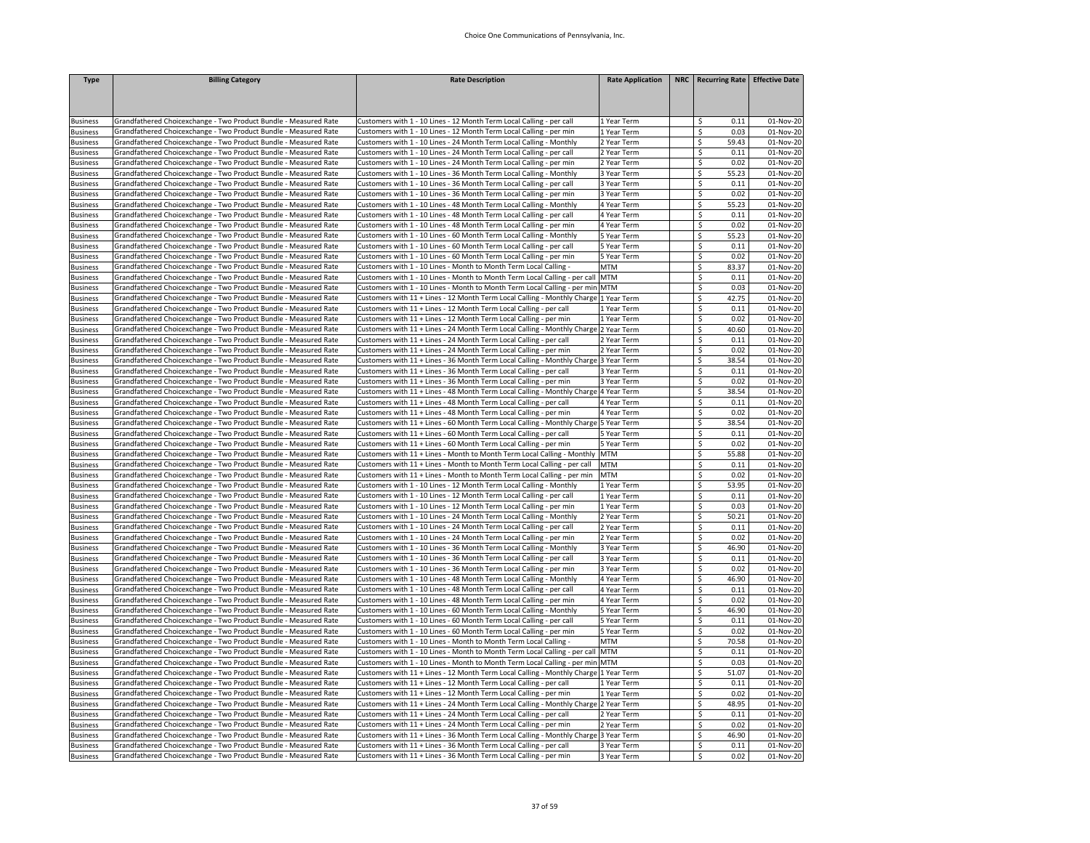## Choice One Communications of Pennsylvania, Inc.

| <b>Type</b>                        | <b>Billing Category</b>                                                                                                              | <b>Rate Description</b>                                                                                                                     | <b>Rate Application</b>   | NRC   Recurring Rate   Effective Date |                        |
|------------------------------------|--------------------------------------------------------------------------------------------------------------------------------------|---------------------------------------------------------------------------------------------------------------------------------------------|---------------------------|---------------------------------------|------------------------|
|                                    |                                                                                                                                      |                                                                                                                                             |                           |                                       |                        |
|                                    |                                                                                                                                      |                                                                                                                                             |                           |                                       |                        |
|                                    |                                                                                                                                      |                                                                                                                                             |                           |                                       |                        |
| <b>Business</b>                    | Grandfathered Choicexchange - Two Product Bundle - Measured Rate                                                                     | Customers with 1 - 10 Lines - 12 Month Term Local Calling - per call                                                                        | L Year Term               | 0.11<br><sup>\$</sup>                 | 01-Nov-20              |
| <b>Business</b>                    | Grandfathered Choicexchange - Two Product Bundle - Measured Rate                                                                     | Customers with 1 - 10 Lines - 12 Month Term Local Calling - per min                                                                         | Year Term                 | \$<br>0.03                            | 01-Nov-20              |
| <b>Business</b>                    | Grandfathered Choicexchange - Two Product Bundle - Measured Rate                                                                     | Customers with 1 - 10 Lines - 24 Month Term Local Calling - Monthly                                                                         | Year Term                 | \$<br>59.43                           | 01-Nov-20              |
| <b>Business</b>                    | Grandfathered Choicexchange - Two Product Bundle - Measured Rate                                                                     | Customers with 1 - 10 Lines - 24 Month Term Local Calling - per call                                                                        | 2 Year Term               | \$<br>0.11                            | 01-Nov-20              |
| <b>Business</b>                    | Grandfathered Choicexchange - Two Product Bundle - Measured Rate                                                                     | Customers with 1 - 10 Lines - 24 Month Term Local Calling - per min                                                                         | Year Term                 | \$<br>0.02                            | 01-Nov-20              |
| <b>Business</b>                    | Grandfathered Choicexchange - Two Product Bundle - Measured Rate                                                                     | Customers with 1 - 10 Lines - 36 Month Term Local Calling - Monthly                                                                         | Year Term                 | \$<br>55.23                           | 01-Nov-20              |
| <b>Business</b>                    | Grandfathered Choicexchange - Two Product Bundle - Measured Rate                                                                     | Customers with 1 - 10 Lines - 36 Month Term Local Calling - per call                                                                        | Year Term                 | \$<br>0.11                            | 01-Nov-20              |
| <b>Business</b>                    | Grandfathered Choicexchange - Two Product Bundle - Measured Rate                                                                     | Customers with 1 - 10 Lines - 36 Month Term Local Calling - per min                                                                         | 3 Year Term               | \$<br>0.02                            | 01-Nov-20              |
| <b>Business</b>                    | Grandfathered Choicexchange - Two Product Bundle - Measured Rate                                                                     | Customers with 1 - 10 Lines - 48 Month Term Local Calling - Monthly                                                                         | 4 Year Term               | \$<br>55.23                           | 01-Nov-20              |
| <b>Business</b>                    | Grandfathered Choicexchange - Two Product Bundle - Measured Rate                                                                     | Customers with 1 - 10 Lines - 48 Month Term Local Calling - per call                                                                        | 4 Year Term               | \$<br>0.11                            | 01-Nov-20              |
| <b>Business</b>                    | Grandfathered Choicexchange - Two Product Bundle - Measured Rate                                                                     | Customers with 1 - 10 Lines - 48 Month Term Local Calling - per min                                                                         | 4 Year Term               | $\overline{\mathsf{S}}$<br>0.02       | 01-Nov-20              |
| <b>Business</b>                    | Grandfathered Choicexchange - Two Product Bundle - Measured Rate                                                                     | Customers with 1 - 10 Lines - 60 Month Term Local Calling - Monthly                                                                         | 5 Year Term               | \$<br>55.23                           | 01-Nov-20              |
| <b>Business</b>                    | Grandfathered Choicexchange - Two Product Bundle - Measured Rate                                                                     | Customers with 1 - 10 Lines - 60 Month Term Local Calling - per call                                                                        | 5 Year Term               | \$<br>0.11                            | 01-Nov-20              |
| <b>Business</b>                    | Grandfathered Choicexchange - Two Product Bundle - Measured Rate                                                                     | Customers with 1 - 10 Lines - 60 Month Term Local Calling - per min                                                                         | Year Term                 | \$<br>0.02                            | 01-Nov-20              |
| <b>Business</b>                    | Grandfathered Choicexchange - Two Product Bundle - Measured Rate                                                                     | Customers with 1 - 10 Lines - Month to Month Term Local Calling -                                                                           | MTM                       | \$<br>83.37                           | 01-Nov-20              |
| <b>Business</b>                    | Grandfathered Choicexchange - Two Product Bundle - Measured Rate                                                                     | Customers with 1 - 10 Lines - Month to Month Term Local Calling - per call                                                                  | <b>MTM</b>                | \$<br>0.11                            | 01-Nov-20              |
| <b>Business</b>                    | Grandfathered Choicexchange - Two Product Bundle - Measured Rate                                                                     | Customers with 1 - 10 Lines - Month to Month Term Local Calling - per min                                                                   | MTM                       | $\overline{\mathsf{S}}$<br>0.03       | 01-Nov-20              |
| <b>Business</b>                    | Grandfathered Choicexchange - Two Product Bundle - Measured Rate                                                                     | Customers with 11 + Lines - 12 Month Term Local Calling - Monthly Charge                                                                    | 1 Year Term               | \$<br>42.75                           | 01-Nov-20              |
| <b>Business</b>                    | Grandfathered Choicexchange - Two Product Bundle - Measured Rate                                                                     | Customers with 11 + Lines - 12 Month Term Local Calling - per call                                                                          | Year Term                 | \$<br>0.11                            | 01-Nov-20              |
| <b>Business</b>                    | Grandfathered Choicexchange - Two Product Bundle - Measured Rate                                                                     | Customers with 11 + Lines - 12 Month Term Local Calling - per min                                                                           | Year Term                 | \$<br>0.02                            | 01-Nov-20              |
| <b>Business</b>                    | Grandfathered Choicexchange - Two Product Bundle - Measured Rate                                                                     | Customers with 11 + Lines - 24 Month Term Local Calling - Monthly Charge                                                                    | 2 Year Term               | \$<br>40.60                           | 01-Nov-20              |
| <b>Business</b>                    | Grandfathered Choicexchange - Two Product Bundle - Measured Rate                                                                     | Customers with 11 + Lines - 24 Month Term Local Calling - per call                                                                          | Year Term                 | \$<br>0.11                            | 01-Nov-20              |
| <b>Business</b>                    | Grandfathered Choicexchange - Two Product Bundle - Measured Rate                                                                     | Customers with 11 + Lines - 24 Month Term Local Calling - per min                                                                           | 2 Year Term               | \$<br>0.02                            | 01-Nov-20              |
| <b>Business</b>                    | Grandfathered Choicexchange - Two Product Bundle - Measured Rate                                                                     | Customers with 11 + Lines - 36 Month Term Local Calling - Monthly Charge                                                                    | 3 Year Term               | $\overline{\mathsf{S}}$<br>38.54      | 01-Nov-20              |
| <b>Business</b>                    | Grandfathered Choicexchange - Two Product Bundle - Measured Rate                                                                     | Customers with 11 + Lines - 36 Month Term Local Calling - per call                                                                          | Year Term                 | \$<br>0.11                            | 01-Nov-20              |
| <b>Business</b>                    | Grandfathered Choicexchange - Two Product Bundle - Measured Rate                                                                     | Customers with 11 + Lines - 36 Month Term Local Calling - per min                                                                           | 3 Year Term               | $\overline{\mathsf{S}}$<br>0.02       | 01-Nov-20              |
| <b>Business</b>                    | Grandfathered Choicexchange - Two Product Bundle - Measured Rate                                                                     | Customers with 11 + Lines - 48 Month Term Local Calling - Monthly Charge 4 Year Term                                                        |                           | \$<br>38.54                           | 01-Nov-20              |
| <b>Business</b>                    | Grandfathered Choicexchange - Two Product Bundle - Measured Rate                                                                     | Customers with 11 + Lines - 48 Month Term Local Calling - per call                                                                          | <b>Year Term</b>          | $\overline{\mathsf{S}}$<br>0.11       | 01-Nov-20              |
| <b>Business</b>                    | Grandfathered Choicexchange - Two Product Bundle - Measured Rate                                                                     | Customers with 11 + Lines - 48 Month Term Local Calling - per min                                                                           | I Year Term               | \$<br>0.02                            | 01-Nov-20              |
| <b>Business</b>                    | Grandfathered Choicexchange - Two Product Bundle - Measured Rate                                                                     | Customers with 11 + Lines - 60 Month Term Local Calling - Monthly Charge                                                                    | 5 Year Term               | \$<br>38.54                           | 01-Nov-20              |
| <b>Business</b>                    | Grandfathered Choicexchange - Two Product Bundle - Measured Rate                                                                     | Customers with 11 + Lines - 60 Month Term Local Calling - per call                                                                          | Year Term                 | \$<br>0.11                            | 01-Nov-20              |
| <b>Business</b>                    | Grandfathered Choicexchange - Two Product Bundle - Measured Rate                                                                     | Customers with 11 + Lines - 60 Month Term Local Calling - per min                                                                           | 5 Year Term<br><b>MTM</b> | $\overline{\mathsf{S}}$<br>0.02       | 01-Nov-20              |
| <b>Business</b>                    | Grandfathered Choicexchange - Two Product Bundle - Measured Rate                                                                     | Customers with 11 + Lines - Month to Month Term Local Calling - Monthly                                                                     |                           | \$<br>55.88                           | 01-Nov-20              |
| <b>Business</b>                    | Grandfathered Choicexchange - Two Product Bundle - Measured Rate                                                                     | Customers with 11 + Lines - Month to Month Term Local Calling - per call                                                                    | <b>MTM</b>                | \$<br>0.11                            | 01-Nov-20              |
| <b>Business</b>                    | Grandfathered Choicexchange - Two Product Bundle - Measured Rate                                                                     | Customers with 11 + Lines - Month to Month Term Local Calling - per min                                                                     | <b>MTM</b>                | \$<br>0.02<br>\$                      | 01-Nov-20              |
| <b>Business</b>                    | Grandfathered Choicexchange - Two Product Bundle - Measured Rate                                                                     | Customers with 1 - 10 Lines - 12 Month Term Local Calling - Monthly                                                                         | 1 Year Term               | 53.95<br>\$<br>0.11                   | 01-Nov-20              |
| <b>Business</b>                    | Grandfathered Choicexchange - Two Product Bundle - Measured Rate                                                                     | Customers with 1 - 10 Lines - 12 Month Term Local Calling - per call                                                                        | 1 Year Term               | \$<br>0.03                            | 01-Nov-20<br>01-Nov-20 |
| <b>Business</b>                    | Grandfathered Choicexchange - Two Product Bundle - Measured Rate                                                                     | Customers with 1 - 10 Lines - 12 Month Term Local Calling - per min                                                                         | 1 Year Term               | \$<br>50.21                           | 01-Nov-20              |
| <b>Business</b>                    | Grandfathered Choicexchange - Two Product Bundle - Measured Rate                                                                     | Customers with 1 - 10 Lines - 24 Month Term Local Calling - Monthly                                                                         | Year Term                 |                                       |                        |
| <b>Business</b>                    | Grandfathered Choicexchange - Two Product Bundle - Measured Rate                                                                     | Customers with 1 - 10 Lines - 24 Month Term Local Calling - per call                                                                        | Year Term                 | \$<br>0.11                            | 01-Nov-20              |
| <b>Business</b>                    | Grandfathered Choicexchange - Two Product Bundle - Measured Rate                                                                     | Customers with 1 - 10 Lines - 24 Month Term Local Calling - per min                                                                         | Year Term                 | \$<br>0.02<br>\$<br>46.90             | 01-Nov-20<br>01-Nov-20 |
| <b>Business</b><br><b>Business</b> | Grandfathered Choicexchange - Two Product Bundle - Measured Rate<br>Grandfathered Choicexchange - Two Product Bundle - Measured Rate | Customers with 1 - 10 Lines - 36 Month Term Local Calling - Monthly<br>Customers with 1 - 10 Lines - 36 Month Term Local Calling - per call | Year Term<br>Year Term    | \$<br>0.11                            | 01-Nov-20              |
| <b>Business</b>                    | Grandfathered Choicexchange - Two Product Bundle - Measured Rate                                                                     | Customers with 1 - 10 Lines - 36 Month Term Local Calling - per min                                                                         | Year Term                 | \$<br>0.02                            | 01-Nov-20              |
| <b>Business</b>                    | Grandfathered Choicexchange - Two Product Bundle - Measured Rate                                                                     | Customers with 1 - 10 Lines - 48 Month Term Local Calling - Monthly                                                                         | 4 Year Term               | \$<br>46.90                           | 01-Nov-20              |
| <b>Business</b>                    | Grandfathered Choicexchange - Two Product Bundle - Measured Rate                                                                     | Customers with 1 - 10 Lines - 48 Month Term Local Calling - per call                                                                        | 4 Year Term               | \$<br>0.11                            | 01-Nov-20              |
| <b>Business</b>                    | Grandfathered Choicexchange - Two Product Bundle - Measured Rate                                                                     | Customers with 1 - 10 Lines - 48 Month Term Local Calling - per min                                                                         | 4 Year Term               | \$<br>0.02                            | 01-Nov-20              |
| <b>Business</b>                    | Grandfathered Choicexchange - Two Product Bundle - Measured Rate                                                                     | Customers with 1 - 10 Lines - 60 Month Term Local Calling - Monthly                                                                         | 5 Year Term               | \$<br>46.90                           | 01-Nov-20              |
| <b>Business</b>                    | Grandfathered Choicexchange - Two Product Bundle - Measured Rate                                                                     | Customers with 1 - 10 Lines - 60 Month Term Local Calling - per call                                                                        | 5 Year Term               | \$<br>0.11                            | 01-Nov-20              |
| <b>Business</b>                    | Grandfathered Choicexchange - Two Product Bundle - Measured Rate                                                                     | Customers with 1 - 10 Lines - 60 Month Term Local Calling - per min                                                                         | 5 Year Term               | \$<br>0.02                            | 01-Nov-20              |
| <b>Business</b>                    | Grandfathered Choicexchange - Two Product Bundle - Measured Rate                                                                     | Customers with 1 - 10 Lines - Month to Month Term Local Calling -                                                                           | <b>MTM</b>                | \$<br>70.58                           | 01-Nov-20              |
| <b>Business</b>                    | Grandfathered Choicexchange - Two Product Bundle - Measured Rate                                                                     | Customers with 1 - 10 Lines - Month to Month Term Local Calling - per call MTM                                                              |                           | \$<br>0.11                            | 01-Nov-20              |
| <b>Business</b>                    | Grandfathered Choicexchange - Two Product Bundle - Measured Rate                                                                     | Customers with 1 - 10 Lines - Month to Month Term Local Calling - per min                                                                   | <b>MTM</b>                | \$<br>0.03                            | 01-Nov-20              |
| <b>Business</b>                    | Grandfathered Choicexchange - Two Product Bundle - Measured Rate                                                                     | Customers with 11 + Lines - 12 Month Term Local Calling - Monthly Charge                                                                    | Year Term                 | \$<br>51.07                           | 01-Nov-20              |
| <b>Business</b>                    | Grandfathered Choicexchange - Two Product Bundle - Measured Rate                                                                     | Customers with 11 + Lines - 12 Month Term Local Calling - per call                                                                          | Year Term                 | \$<br>0.11                            | 01-Nov-20              |
| <b>Business</b>                    | Grandfathered Choicexchange - Two Product Bundle - Measured Rate                                                                     | Customers with 11 + Lines - 12 Month Term Local Calling - per min                                                                           | Year Term                 | \$<br>0.02                            | 01-Nov-20              |
| <b>Business</b>                    | Grandfathered Choicexchange - Two Product Bundle - Measured Rate                                                                     | Customers with 11 + Lines - 24 Month Term Local Calling - Monthly Charge                                                                    | Year Term                 | \$<br>48.95                           | 01-Nov-20              |
| <b>Business</b>                    | Grandfathered Choicexchange - Two Product Bundle - Measured Rate                                                                     | Customers with 11 + Lines - 24 Month Term Local Calling - per call                                                                          | Year Term                 | \$<br>0.11                            | 01-Nov-20              |
| <b>Business</b>                    | Grandfathered Choicexchange - Two Product Bundle - Measured Rate                                                                     | Customers with 11 + Lines - 24 Month Term Local Calling - per min                                                                           | Year Term                 | \$<br>0.02                            | 01-Nov-20              |
| <b>Business</b>                    | Grandfathered Choicexchange - Two Product Bundle - Measured Rate                                                                     | Customers with 11 + Lines - 36 Month Term Local Calling - Monthly Charge                                                                    | 3 Year Term               | \$<br>46.90                           | 01-Nov-20              |
| <b>Business</b>                    | Grandfathered Choicexchange - Two Product Bundle - Measured Rate                                                                     | Customers with 11 + Lines - 36 Month Term Local Calling - per call                                                                          | 3 Year Term               | $\zeta$<br>0.11                       | 01-Nov-20              |
| <b>Business</b>                    | Grandfathered Choicexchange - Two Product Bundle - Measured Rate                                                                     | Customers with 11 + Lines - 36 Month Term Local Calling - per min                                                                           | 3 Year Term               | $\overline{\mathsf{S}}$<br>0.02       | 01-Nov-20              |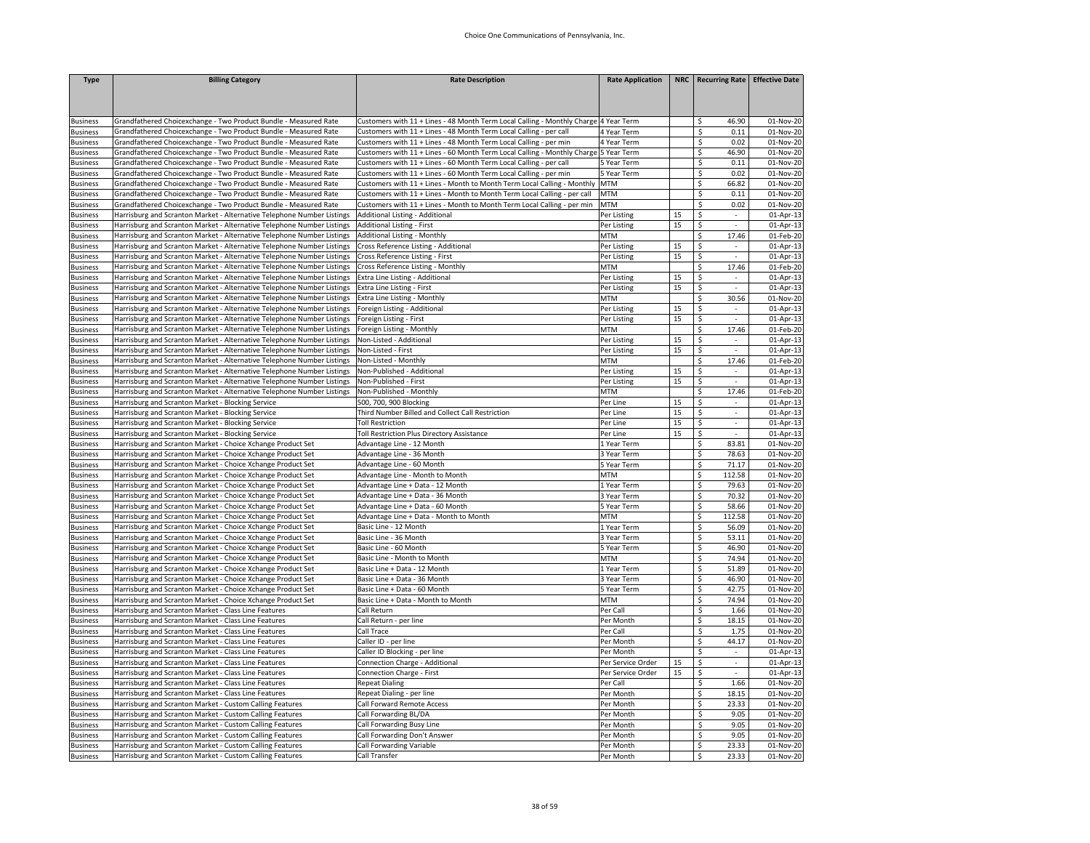| <b>Type</b>                        | <b>Billing Category</b>                                                                                                                          | <b>Rate Description</b>                                                              | <b>Rate Application</b>   |    | NRC   Recurring Rate   Effective Date |                        |
|------------------------------------|--------------------------------------------------------------------------------------------------------------------------------------------------|--------------------------------------------------------------------------------------|---------------------------|----|---------------------------------------|------------------------|
|                                    |                                                                                                                                                  |                                                                                      |                           |    |                                       |                        |
|                                    |                                                                                                                                                  |                                                                                      |                           |    |                                       |                        |
| <b>Business</b>                    | Grandfathered Choicexchange - Two Product Bundle - Measured Rate                                                                                 | Customers with 11 + Lines - 48 Month Term Local Calling - Monthly Charge 4 Year Term |                           |    | 46.90<br>Ŝ.                           | 01-Nov-20              |
| <b>Business</b>                    | Grandfathered Choicexchange - Two Product Bundle - Measured Rate                                                                                 | Customers with 11 + Lines - 48 Month Term Local Calling - per call                   | 4 Year Term               |    | \$<br>0.11                            | 01-Nov-20              |
| <b>Business</b>                    | Grandfathered Choicexchange - Two Product Bundle - Measured Rate                                                                                 | Customers with 11 + Lines - 48 Month Term Local Calling - per min                    | 4 Year Term               |    | \$<br>0.02                            | 01-Nov-20              |
| <b>Business</b>                    | Grandfathered Choicexchange - Two Product Bundle - Measured Rate                                                                                 | Customers with 11 + Lines - 60 Month Term Local Calling - Monthly Charge 5 Year Term |                           |    | \$<br>46.90                           | 01-Nov-20              |
| <b>Business</b>                    | Grandfathered Choicexchange - Two Product Bundle - Measured Rate                                                                                 | Customers with 11 + Lines - 60 Month Term Local Calling - per call                   | S Year Term               |    | \$<br>0.11                            | 01-Nov-20              |
| <b>Business</b>                    | Grandfathered Choicexchange - Two Product Bundle - Measured Rate                                                                                 | Customers with 11 + Lines - 60 Month Term Local Calling - per min                    | 5 Year Term               |    | \$<br>0.02                            | 01-Nov-20              |
| Business                           | Grandfathered Choicexchange - Two Product Bundle - Measured Rate                                                                                 | Customers with 11 + Lines - Month to Month Term Local Calling - Monthly              | <b>MTM</b>                |    | \$<br>66.82                           | 01-Nov-20              |
| <b>Business</b>                    | Grandfathered Choicexchange - Two Product Bundle - Measured Rate                                                                                 | Customers with 11 + Lines - Month to Month Term Local Calling - per call             | <b>MTM</b>                |    | \$<br>0.11                            | 01-Nov-20              |
| <b>Business</b>                    | Grandfathered Choicexchange - Two Product Bundle - Measured Rate                                                                                 | Customers with 11 + Lines - Month to Month Term Local Calling - per min              | <b>MTM</b>                |    | \$<br>0.02                            | 01-Nov-20              |
| <b>Business</b>                    | Harrisburg and Scranton Market - Alternative Telephone Number Listings                                                                           | Additional Listing - Additional                                                      | Per Listing               | 15 | \$<br>÷                               | 01-Apr-13              |
| <b>Business</b>                    | Harrisburg and Scranton Market - Alternative Telephone Number Listings                                                                           | <b>Additional Listing - First</b>                                                    | Per Listing               | 15 | \$                                    | 01-Apr-13              |
| <b>Business</b>                    | Harrisburg and Scranton Market - Alternative Telephone Number Listings                                                                           | Additional Listing - Monthly                                                         | MTM                       |    | \$<br>17.46                           | 01-Feb-20              |
| <b>Business</b>                    | Harrisburg and Scranton Market - Alternative Telephone Number Listings                                                                           | Cross Reference Listing - Additional                                                 | Per Listing               | 15 | \$                                    | 01-Apr-13              |
| <b>Business</b>                    | Harrisburg and Scranton Market - Alternative Telephone Number Listings                                                                           | Cross Reference Listing - First                                                      | Per Listing               | 15 | \$                                    | 01-Apr-13              |
| <b>Business</b>                    | Harrisburg and Scranton Market - Alternative Telephone Number Listings                                                                           | Cross Reference Listing - Monthly                                                    | <b>MTM</b>                |    | \$<br>17.46                           | 01-Feb-20              |
| <b>Business</b>                    | Harrisburg and Scranton Market - Alternative Telephone Number Listings                                                                           | Extra Line Listing - Additional                                                      | Per Listing               | 15 | \$<br>$\sim$                          | 01-Apr-13              |
| <b>Business</b>                    | Harrisburg and Scranton Market - Alternative Telephone Number Listings                                                                           | Extra Line Listing - First                                                           | Per Listing               | 15 | $\ddot{\mathsf{S}}$                   | 01-Apr-13              |
| <b>Business</b>                    | Harrisburg and Scranton Market - Alternative Telephone Number Listings                                                                           | Extra Line Listing - Monthly                                                         | <b>MTM</b>                |    | \$<br>30.56                           | 01-Nov-20              |
| <b>Business</b>                    | Harrisburg and Scranton Market - Alternative Telephone Number Listings                                                                           | Foreign Listing - Additional                                                         | Per Listing               | 15 | \$<br>$\sim$                          | 01-Apr-13              |
| <b>Business</b>                    | Harrisburg and Scranton Market - Alternative Telephone Number Listings                                                                           | Foreign Listing - First                                                              | Per Listing               | 15 | \$<br>$\sim$                          | 01-Apr-13              |
| <b>Business</b>                    | Harrisburg and Scranton Market - Alternative Telephone Number Listings                                                                           | Foreign Listing - Monthly<br>Non-Listed - Additional                                 | <b>MTM</b>                |    | \$<br>17.46                           | 01-Feb-20              |
| <b>Business</b>                    | Harrisburg and Scranton Market - Alternative Telephone Number Listings                                                                           |                                                                                      | Per Listing               | 15 | \$<br>$\sim$                          | 01-Apr-13              |
| <b>Business</b>                    | Harrisburg and Scranton Market - Alternative Telephone Number Listings<br>Harrisburg and Scranton Market - Alternative Telephone Number Listings | Non-Listed - First<br>Non-Listed - Monthly                                           | Per Listing<br><b>MTM</b> | 15 | \$<br>\$<br>17.46                     | 01-Apr-13<br>01-Feb-20 |
| <b>Business</b><br><b>Business</b> | Harrisburg and Scranton Market - Alternative Telephone Number Listings                                                                           | Non-Published - Additional                                                           | Per Listing               | 15 | \$<br>$\overline{\phantom{a}}$        | 01-Apr-13              |
| <b>Business</b>                    | Harrisburg and Scranton Market - Alternative Telephone Number Listings                                                                           | Non-Published - First                                                                | Per Listing               | 15 | \$                                    | 01-Apr-13              |
| <b>Business</b>                    | Harrisburg and Scranton Market - Alternative Telephone Number Listings                                                                           | Non-Published - Monthly                                                              | <b>MTM</b>                |    | \$<br>17.46                           | 01-Feb-20              |
| <b>Business</b>                    | Harrisburg and Scranton Market - Blocking Service                                                                                                | 500, 700, 900 Blocking                                                               | Per Line                  | 15 | $\overline{\mathsf{S}}$               | 01-Apr-13              |
| <b>Business</b>                    | Harrisburg and Scranton Market - Blocking Service                                                                                                | Third Number Billed and Collect Call Restriction                                     | Per Line                  | 15 | \$                                    | 01-Apr-13              |
| <b>Business</b>                    | Harrisburg and Scranton Market - Blocking Service                                                                                                | <b>Toll Restriction</b>                                                              | Per Line                  | 15 | \$<br>$\sim$                          | 01-Apr-13              |
| <b>Business</b>                    | Harrisburg and Scranton Market - Blocking Service                                                                                                | <b>Toll Restriction Plus Directory Assistance</b>                                    | Per Line                  | 15 | \$                                    | 01-Apr-13              |
| <b>Business</b>                    | Harrisburg and Scranton Market - Choice Xchange Product Set                                                                                      | Advantage Line - 12 Month                                                            | 1 Year Term               |    | \$<br>83.81                           | 01-Nov-20              |
| <b>Business</b>                    | Harrisburg and Scranton Market - Choice Xchange Product Set                                                                                      | Advantage Line - 36 Month                                                            | 3 Year Term               |    | \$<br>78.63                           | 01-Nov-20              |
| <b>Business</b>                    | Harrisburg and Scranton Market - Choice Xchange Product Set                                                                                      | Advantage Line - 60 Month                                                            | 5 Year Term               |    | \$<br>71.17                           | 01-Nov-20              |
| <b>Business</b>                    | Harrisburg and Scranton Market - Choice Xchange Product Set                                                                                      | Advantage Line - Month to Month                                                      | <b>MTM</b>                |    | \$<br>112.58                          | 01-Nov-20              |
| <b>Business</b>                    | Harrisburg and Scranton Market - Choice Xchange Product Set                                                                                      | Advantage Line + Data - 12 Month                                                     | LYear Term                |    | $\overline{\mathsf{S}}$<br>79.63      | 01-Nov-20              |
| <b>Business</b>                    | Harrisburg and Scranton Market - Choice Xchange Product Set                                                                                      | Advantage Line + Data - 36 Month                                                     | 3 Year Term               |    | \$<br>70.32                           | 01-Nov-20              |
| <b>Business</b>                    | Harrisburg and Scranton Market - Choice Xchange Product Set                                                                                      | Advantage Line + Data - 60 Month                                                     | 5 Year Term               |    | \$<br>58.66                           | 01-Nov-20              |
| <b>Business</b>                    | Harrisburg and Scranton Market - Choice Xchange Product Set                                                                                      | Advantage Line + Data - Month to Month                                               | <b>MTM</b>                |    | \$<br>112.58                          | 01-Nov-20              |
| <b>Business</b>                    | Harrisburg and Scranton Market - Choice Xchange Product Set                                                                                      | Basic Line - 12 Month                                                                | LYear Term                |    | \$<br>56.09                           | 01-Nov-20              |
| <b>Business</b>                    | Harrisburg and Scranton Market - Choice Xchange Product Set                                                                                      | Basic Line - 36 Month                                                                | 3 Year Term               |    | \$<br>53.11                           | 01-Nov-20              |
| <b>Business</b>                    | Harrisburg and Scranton Market - Choice Xchange Product Set                                                                                      | Basic Line - 60 Month                                                                | 5 Year Term               |    | \$<br>46.90                           | 01-Nov-20              |
| <b>Business</b>                    | Harrisburg and Scranton Market - Choice Xchange Product Set                                                                                      | Basic Line - Month to Month                                                          | MTM                       |    | \$<br>74.94                           | 01-Nov-20              |
| <b>Business</b>                    | Harrisburg and Scranton Market - Choice Xchange Product Set                                                                                      | Basic Line + Data - 12 Month                                                         | LYear Term                |    | \$<br>51.89                           | 01-Nov-20              |
| <b>Business</b>                    | Harrisburg and Scranton Market - Choice Xchange Product Set                                                                                      | Basic Line + Data - 36 Month                                                         | 3 Year Term               |    | \$<br>46.90                           | 01-Nov-20              |
| <b>Business</b>                    | Harrisburg and Scranton Market - Choice Xchange Product Set                                                                                      | Basic Line + Data - 60 Month                                                         | 5 Year Term               |    | \$<br>42.75                           | 01-Nov-20              |
| <b>Business</b>                    | Harrisburg and Scranton Market - Choice Xchange Product Set                                                                                      | Basic Line + Data - Month to Month                                                   | <b>MTM</b>                |    | \$<br>74.94                           | 01-Nov-20              |
| <b>Business</b>                    | Harrisburg and Scranton Market - Class Line Features                                                                                             | Call Return                                                                          | Per Call                  |    | \$<br>1.66                            | 01-Nov-20              |
| <b>Business</b>                    | Harrisburg and Scranton Market - Class Line Features                                                                                             | Call Return - per line                                                               | Per Month                 |    | \$<br>18.15                           | 01-Nov-20              |
| <b>Business</b>                    | Harrisburg and Scranton Market - Class Line Features                                                                                             | Call Trace                                                                           | Per Call                  |    | \$<br>1.75                            | 01-Nov-20              |
| <b>Business</b>                    | Harrisburg and Scranton Market - Class Line Features                                                                                             | Caller ID - per line                                                                 | Per Month                 |    | \$<br>44.17                           | 01-Nov-20              |
| <b>Business</b>                    | Harrisburg and Scranton Market - Class Line Features                                                                                             | Caller ID Blocking - per line                                                        | Per Month                 |    | \$<br>$\sim$<br>÷                     | 01-Apr-13              |
| <b>Business</b>                    | Harrisburg and Scranton Market - Class Line Features                                                                                             | Connection Charge - Additional                                                       | Per Service Order         | 15 | \$<br>$\sim$                          | 01-Apr-13              |
| <b>Business</b>                    | Harrisburg and Scranton Market - Class Line Features                                                                                             | Connection Charge - First                                                            | Per Service Order         | 15 | $\overline{\mathsf{S}}$               | 01-Apr-13              |
| <b>Business</b>                    | Harrisburg and Scranton Market - Class Line Features                                                                                             | <b>Repeat Dialing</b>                                                                | Per Call                  |    | \$<br>1.66<br>\$<br>18.15             | 01-Nov-20              |
| <b>Business</b>                    | Harrisburg and Scranton Market - Class Line Features                                                                                             | Repeat Dialing - per line                                                            | Per Month<br>Per Month    |    | \$<br>23.33                           | 01-Nov-20<br>01-Nov-20 |
| <b>Business</b><br><b>Business</b> | Harrisburg and Scranton Market - Custom Calling Features<br>Harrisburg and Scranton Market - Custom Calling Features                             | Call Forward Remote Access<br>Call Forwarding BL/DA                                  | Per Month                 |    | \$<br>9.05                            | 01-Nov-20              |
| <b>Business</b>                    | Harrisburg and Scranton Market - Custom Calling Features                                                                                         | Call Forwarding Busy Line                                                            | Per Month                 |    | \$<br>9.05                            | 01-Nov-20              |
| <b>Business</b>                    | Harrisburg and Scranton Market - Custom Calling Features                                                                                         | Call Forwarding Don't Answer                                                         | Per Month                 |    | \$<br>9.05                            | 01-Nov-20              |
| <b>Business</b>                    | Harrisburg and Scranton Market - Custom Calling Features                                                                                         | Call Forwarding Variable                                                             | Per Month                 |    | \$<br>23.33                           | 01-Nov-20              |
| <b>Business</b>                    | Harrisburg and Scranton Market - Custom Calling Features                                                                                         | Call Transfer                                                                        | Per Month                 |    | $\mathsf{\hat{S}}$<br>23.33           | 01-Nov-20              |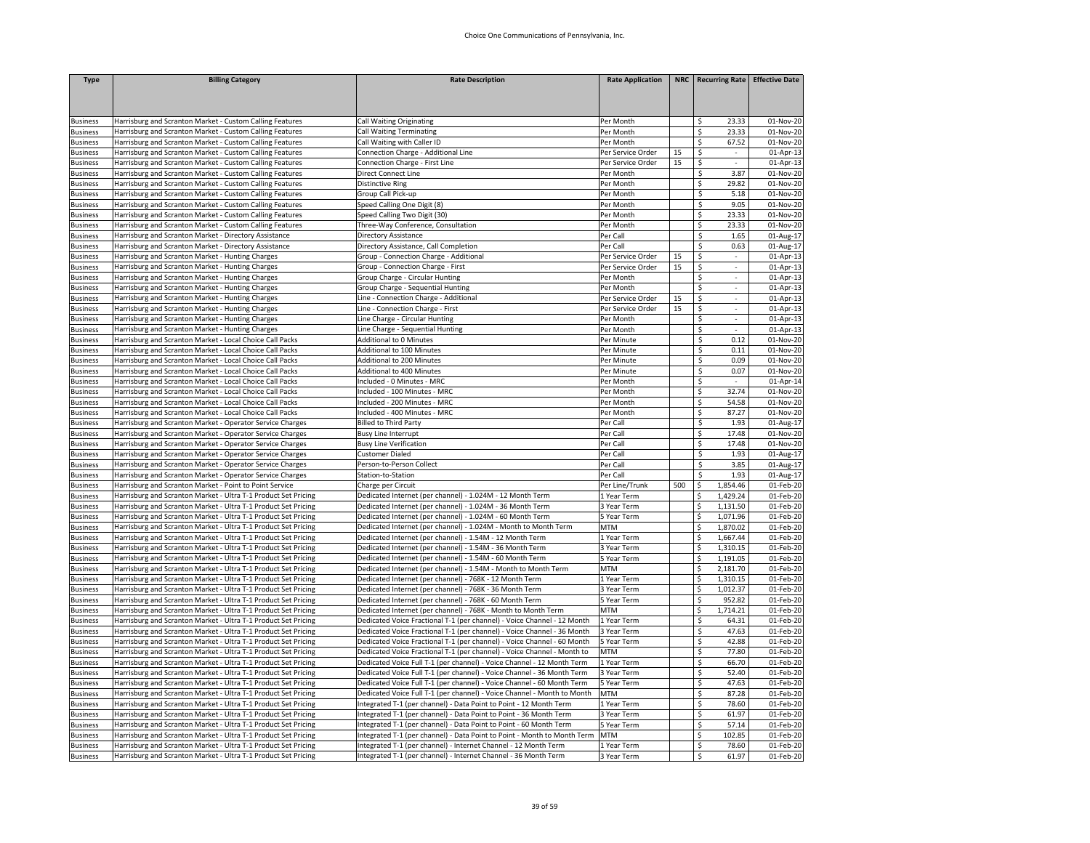| <b>Type</b>                        | <b>Billing Category</b>                                                                                                          | <b>Rate Description</b>                                                                                              | <b>Rate Application</b>  |     | NRC   Recurring Rate   Effective Date |                        |
|------------------------------------|----------------------------------------------------------------------------------------------------------------------------------|----------------------------------------------------------------------------------------------------------------------|--------------------------|-----|---------------------------------------|------------------------|
|                                    |                                                                                                                                  |                                                                                                                      |                          |     |                                       |                        |
|                                    |                                                                                                                                  |                                                                                                                      |                          |     |                                       |                        |
| <b>Business</b><br><b>Business</b> | Harrisburg and Scranton Market - Custom Calling Features<br>Harrisburg and Scranton Market - Custom Calling Features             | <b>Call Waiting Originating</b><br><b>Call Waiting Terminating</b>                                                   | Per Month<br>Per Month   |     | 23.33<br>\$<br>\$<br>23.33            | 01-Nov-20<br>01-Nov-20 |
| <b>Business</b>                    | Harrisburg and Scranton Market - Custom Calling Features                                                                         | Call Waiting with Caller ID                                                                                          | Per Month                |     | \$<br>67.52                           | 01-Nov-20              |
| <b>Business</b>                    | Harrisburg and Scranton Market - Custom Calling Features                                                                         | Connection Charge - Additional Line                                                                                  | Per Service Order        | 15  | \$                                    | $01-Apr-13$            |
| <b>Business</b>                    | Harrisburg and Scranton Market - Custom Calling Features                                                                         | Connection Charge - First Line                                                                                       | Per Service Order        | 15  | \$<br>$\sim$                          | 01-Apr-13              |
| Business                           | Harrisburg and Scranton Market - Custom Calling Features                                                                         | Direct Connect Line                                                                                                  | Per Month                |     | \$<br>3.87                            | 01-Nov-20              |
| <b>Business</b>                    | Harrisburg and Scranton Market - Custom Calling Features                                                                         | <b>Distinctive Ring</b>                                                                                              | Per Month                |     | \$<br>29.82                           | 01-Nov-20              |
| <b>Business</b>                    | Harrisburg and Scranton Market - Custom Calling Features                                                                         | Group Call Pick-up                                                                                                   | Per Month                |     | \$<br>5.18                            | 01-Nov-20              |
| <b>Business</b>                    | Harrisburg and Scranton Market - Custom Calling Features                                                                         | Speed Calling One Digit (8)                                                                                          | Per Month                |     | \$<br>9.05                            | 01-Nov-20              |
| <b>Business</b>                    | Harrisburg and Scranton Market - Custom Calling Features                                                                         | Speed Calling Two Digit (30)                                                                                         | Per Month                |     | \$<br>23.33                           | 01-Nov-20              |
| <b>Business</b>                    | Harrisburg and Scranton Market - Custom Calling Features                                                                         | Three-Way Conference, Consultation                                                                                   | Per Month                |     | \$<br>23.33                           | 01-Nov-20              |
| <b>Business</b>                    | Harrisburg and Scranton Market - Directory Assistance                                                                            | Directory Assistance                                                                                                 | Per Call                 |     | \$<br>1.65                            | 01-Aug-17              |
| <b>Business</b>                    | Harrisburg and Scranton Market - Directory Assistance                                                                            | Directory Assistance, Call Completion                                                                                | Per Call                 |     | \$<br>0.63                            | 01-Aug-17              |
| <b>Business</b>                    | Harrisburg and Scranton Market - Hunting Charges                                                                                 | Group - Connection Charge - Additional                                                                               | Per Service Order        | 15  | \$                                    | 01-Apr-13              |
| <b>Business</b>                    | Harrisburg and Scranton Market - Hunting Charges                                                                                 | Group - Connection Charge - First                                                                                    | Per Service Order        | 15  | \$<br>÷                               | 01-Apr-13              |
| <b>Business</b>                    | Harrisburg and Scranton Market - Hunting Charges                                                                                 | Group Charge - Circular Hunting                                                                                      | Per Month                |     | \$<br>$\sim$                          | 01-Apr-13              |
| <b>Business</b>                    | Harrisburg and Scranton Market - Hunting Charges                                                                                 | Group Charge - Sequential Hunting                                                                                    | Per Month                |     | \$<br>÷.                              | 01-Apr-13              |
| <b>Business</b>                    | Harrisburg and Scranton Market - Hunting Charges                                                                                 | Line - Connection Charge - Additional                                                                                | Per Service Order        | 15  | \$                                    | 01-Apr-13              |
| <b>Business</b>                    | Harrisburg and Scranton Market - Hunting Charges                                                                                 | Line - Connection Charge - First                                                                                     | Per Service Order        | 15  | \$<br>$\sim$                          | 01-Apr-13              |
| <b>Business</b>                    | Harrisburg and Scranton Market - Hunting Charges                                                                                 | Line Charge - Circular Hunting                                                                                       | Per Month                |     | \$<br>$\sim$                          | 01-Apr-13              |
| <b>Business</b>                    | Harrisburg and Scranton Market - Hunting Charges                                                                                 | ine Charge - Sequential Hunting                                                                                      | Per Month                |     | \$                                    | 01-Apr-13              |
| Business                           | Harrisburg and Scranton Market - Local Choice Call Packs                                                                         | <b>Additional to 0 Minutes</b>                                                                                       | Per Minute               |     | \$<br>0.12                            | 01-Nov-20              |
| <b>Business</b>                    | Harrisburg and Scranton Market - Local Choice Call Packs                                                                         | Additional to 100 Minutes                                                                                            | Per Minute               |     | \$<br>0.11                            | 01-Nov-20              |
| <b>Business</b>                    | Harrisburg and Scranton Market - Local Choice Call Packs                                                                         | Additional to 200 Minutes                                                                                            | Per Minute               |     | \$<br>0.09                            | 01-Nov-20              |
| <b>Business</b>                    | Harrisburg and Scranton Market - Local Choice Call Packs                                                                         | Additional to 400 Minutes                                                                                            | Per Minute               |     | \$<br>0.07                            | 01-Nov-20              |
| <b>Business</b>                    | Harrisburg and Scranton Market - Local Choice Call Packs                                                                         | ncluded - 0 Minutes - MRC                                                                                            | Per Month                |     | \$<br>$\sim$                          | 01-Apr-14              |
| <b>Business</b>                    | Harrisburg and Scranton Market - Local Choice Call Packs                                                                         | Included - 100 Minutes - MRC                                                                                         | Per Month                |     | \$<br>32.74                           | 01-Nov-20              |
| Business                           | Harrisburg and Scranton Market - Local Choice Call Packs                                                                         | Included - 200 Minutes - MRC                                                                                         | Per Month                |     | \$<br>54.58                           | 01-Nov-20              |
| Business                           | Harrisburg and Scranton Market - Local Choice Call Packs                                                                         | ncluded - 400 Minutes - MRC                                                                                          | Per Month                |     | \$<br>87.27                           | 01-Nov-20              |
| <b>Business</b>                    | Harrisburg and Scranton Market - Operator Service Charges                                                                        | <b>Billed to Third Party</b>                                                                                         | Per Call                 |     | \$<br>1.93                            | 01-Aug-17              |
| <b>Business</b>                    | Harrisburg and Scranton Market - Operator Service Charges                                                                        | <b>Busy Line Interrupt</b>                                                                                           | Per Call                 |     | \$<br>17.48                           | 01-Nov-20              |
| <b>Business</b>                    | Harrisburg and Scranton Market - Operator Service Charges                                                                        | <b>Busy Line Verification</b>                                                                                        | Per Call                 |     | \$<br>17.48                           | 01-Nov-20              |
| <b>Business</b>                    | Harrisburg and Scranton Market - Operator Service Charges                                                                        | <b>Customer Dialed</b>                                                                                               | Per Call                 |     | \$<br>1.93                            | 01-Aug-17              |
| <b>Business</b>                    | Harrisburg and Scranton Market - Operator Service Charges                                                                        | Person-to-Person Collect                                                                                             | Per Call                 |     | \$<br>3.85                            | 01-Aug-17              |
| <b>Business</b>                    | Harrisburg and Scranton Market - Operator Service Charges                                                                        | Station-to-Station                                                                                                   | Per Call                 |     | \$<br>1.93                            | 01-Aug-17              |
| <b>Business</b>                    | Harrisburg and Scranton Market - Point to Point Service                                                                          | Charge per Circuit                                                                                                   | Per Line/Trunk           | 500 | \$<br>1,854.46                        | 01-Feb-20              |
| <b>Business</b>                    | Harrisburg and Scranton Market - Ultra T-1 Product Set Pricing                                                                   | Dedicated Internet (per channel) - 1.024M - 12 Month Term                                                            | 1 Year Term              |     | 1,429.24<br>\$                        | 01-Feb-20              |
| <b>Business</b>                    | Harrisburg and Scranton Market - Ultra T-1 Product Set Pricing                                                                   | Dedicated Internet (per channel) - 1.024M - 36 Month Term                                                            | 3 Year Term              |     | \$<br>1,131.50                        | 01-Feb-20              |
| <b>Business</b>                    | Harrisburg and Scranton Market - Ultra T-1 Product Set Pricing                                                                   | Dedicated Internet (per channel) - 1.024M - 60 Month Term                                                            | S Year Term              |     | \$<br>1,071.96                        | 01-Feb-20              |
| <b>Business</b>                    | Harrisburg and Scranton Market - Ultra T-1 Product Set Pricing                                                                   | Dedicated Internet (per channel) - 1.024M - Month to Month Term                                                      | <b>MTM</b>               |     | \$<br>1,870.02                        | 01-Feb-20              |
| <b>Business</b>                    | Harrisburg and Scranton Market - Ultra T-1 Product Set Pricing                                                                   | Dedicated Internet (per channel) - 1.54M - 12 Month Term                                                             | Year Term                |     | \$<br>1,667.44<br>\$                  | 01-Feb-20              |
| Business                           | Harrisburg and Scranton Market - Ultra T-1 Product Set Pricing<br>Harrisburg and Scranton Market - Ultra T-1 Product Set Pricing | Dedicated Internet (per channel) - 1.54M - 36 Month Term<br>Dedicated Internet (per channel) - 1.54M - 60 Month Term | 3 Year Term<br>Year Term |     | 1,310.15<br>\$<br>1,191.05            | 01-Feb-20<br>01-Feb-20 |
| <b>Business</b>                    | Harrisburg and Scranton Market - Ultra T-1 Product Set Pricing                                                                   | Dedicated Internet (per channel) - 1.54M - Month to Month Term                                                       | MTM                      |     | 2,181.70<br>\$                        | 01-Feb-20              |
| <b>Business</b><br><b>Business</b> | Harrisburg and Scranton Market - Ultra T-1 Product Set Pricing                                                                   | Dedicated Internet (per channel) - 768K - 12 Month Term                                                              | 1 Year Term              |     | \$<br>1,310.15                        | 01-Feb-20              |
| <b>Business</b>                    | Harrisburg and Scranton Market - Ultra T-1 Product Set Pricing                                                                   | Dedicated Internet (per channel) - 768K - 36 Month Term                                                              | Year Term                |     | \$<br>1,012.37                        | 01-Feb-20              |
| <b>Business</b>                    | Harrisburg and Scranton Market - Ultra T-1 Product Set Pricing                                                                   | Dedicated Internet (per channel) - 768K - 60 Month Term                                                              | SYear Term               |     | \$<br>952.82                          | 01-Feb-20              |
| <b>Business</b>                    | Harrisburg and Scranton Market - Ultra T-1 Product Set Pricing                                                                   | Dedicated Internet (per channel) - 768K - Month to Month Term                                                        | MTM                      |     | 1,714.21<br>\$                        | 01-Feb-20              |
| <b>Business</b>                    | Harrisburg and Scranton Market - Ultra T-1 Product Set Pricing                                                                   | Dedicated Voice Fractional T-1 (per channel) - Voice Channel - 12 Month                                              | Year Term                |     | \$<br>64.31                           | 01-Feb-20              |
| <b>Business</b>                    | Harrisburg and Scranton Market - Ultra T-1 Product Set Pricing                                                                   | Dedicated Voice Fractional T-1 (per channel) - Voice Channel - 36 Month                                              | 3 Year Term              |     | \$<br>47.63                           | 01-Feb-20              |
| <b>Business</b>                    | Harrisburg and Scranton Market - Ultra T-1 Product Set Pricing                                                                   | Dedicated Voice Fractional T-1 (per channel) - Voice Channel - 60 Month                                              | S Year Term              |     | \$<br>42.88                           | 01-Feb-20              |
| <b>Business</b>                    | Harrisburg and Scranton Market - Ultra T-1 Product Set Pricing                                                                   | Dedicated Voice Fractional T-1 (per channel) - Voice Channel - Month to                                              | MTM                      |     | \$<br>77.80                           | 01-Feb-20              |
| <b>Business</b>                    | Harrisburg and Scranton Market - Ultra T-1 Product Set Pricing                                                                   | Dedicated Voice Full T-1 (per channel) - Voice Channel - 12 Month Term                                               | Year Term                |     | \$<br>66.70                           | 01-Feb-20              |
| <b>Business</b>                    | Harrisburg and Scranton Market - Ultra T-1 Product Set Pricing                                                                   | Dedicated Voice Full T-1 (per channel) - Voice Channel - 36 Month Term                                               | 3 Year Term              |     | \$<br>52.40                           | 01-Feb-20              |
| <b>Business</b>                    | Harrisburg and Scranton Market - Ultra T-1 Product Set Pricing                                                                   | Dedicated Voice Full T-1 (per channel) - Voice Channel - 60 Month Term                                               | 5 Year Term              |     | \$<br>47.63                           | 01-Feb-20              |
| <b>Business</b>                    | Harrisburg and Scranton Market - Ultra T-1 Product Set Pricing                                                                   | Dedicated Voice Full T-1 (per channel) - Voice Channel - Month to Month                                              | <b>MTM</b>               |     | \$<br>87.28                           | 01-Feb-20              |
| Business                           | Harrisburg and Scranton Market - Ultra T-1 Product Set Pricing                                                                   | ntegrated T-1 (per channel) - Data Point to Point - 12 Month Term                                                    | Year Term                |     | \$<br>78.60                           | 01-Feb-20              |
| <b>Business</b>                    | Harrisburg and Scranton Market - Ultra T-1 Product Set Pricing                                                                   | ntegrated T-1 (per channel) - Data Point to Point - 36 Month Term                                                    | 3 Year Term              |     | \$<br>61.97                           | 01-Feb-20              |
| <b>Business</b>                    | Harrisburg and Scranton Market - Ultra T-1 Product Set Pricing                                                                   | Integrated T-1 (per channel) - Data Point to Point - 60 Month Term                                                   | S Year Term              |     | \$<br>57.14                           | 01-Feb-20              |
| <b>Business</b>                    | Harrisburg and Scranton Market - Ultra T-1 Product Set Pricing                                                                   | ntegrated T-1 (per channel) - Data Point to Point - Month to Month Term                                              | <b>MTM</b>               |     | \$<br>102.85                          | 01-Feb-20              |
| <b>Business</b>                    | Harrisburg and Scranton Market - Ultra T-1 Product Set Pricing                                                                   | ntegrated T-1 (per channel) - Internet Channel - 12 Month Term                                                       | Year Term                |     | \$<br>78.60                           | 01-Feb-20              |
| <b>Business</b>                    | Harrisburg and Scranton Market - Ultra T-1 Product Set Pricing                                                                   | Integrated T-1 (per channel) - Internet Channel - 36 Month Term                                                      | 3 Year Term              |     | \$<br>61.97                           | 01-Feb-20              |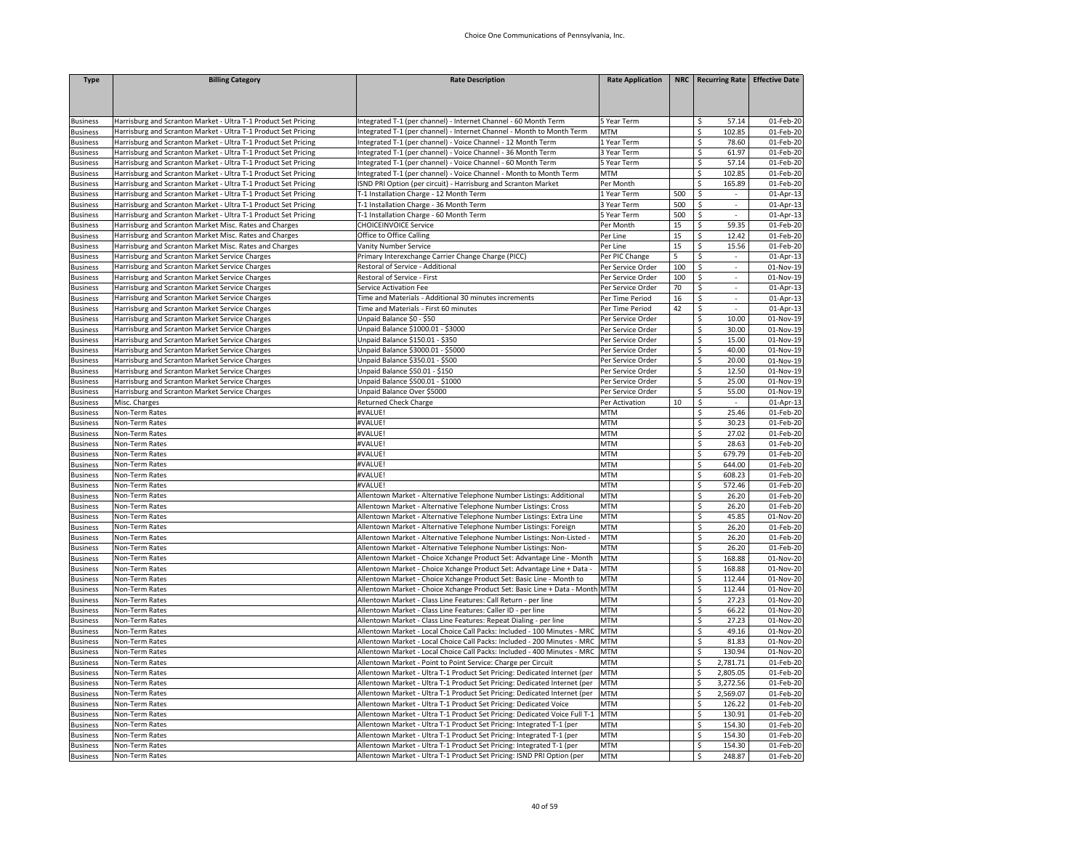| <b>Type</b>                        | <b>Billing Category</b>                                                                          | <b>Rate Description</b>                                                                                                                         | <b>Rate Application</b>                |     | NRC   Recurring Rate   Effective Date |                        |
|------------------------------------|--------------------------------------------------------------------------------------------------|-------------------------------------------------------------------------------------------------------------------------------------------------|----------------------------------------|-----|---------------------------------------|------------------------|
|                                    |                                                                                                  |                                                                                                                                                 |                                        |     |                                       |                        |
| <b>Business</b>                    | Harrisburg and Scranton Market - Ultra T-1 Product Set Pricing                                   | Integrated T-1 (per channel) - Internet Channel - 60 Month Term                                                                                 | 5 Year Term                            |     | 57.14<br>\$                           | 01-Feb-20              |
| <b>Business</b>                    | Harrisburg and Scranton Market - Ultra T-1 Product Set Pricing                                   | Integrated T-1 (per channel) - Internet Channel - Month to Month Term                                                                           | MTM                                    |     | \$<br>102.85                          | 01-Feb-20              |
| <b>Business</b>                    | Harrisburg and Scranton Market - Ultra T-1 Product Set Pricing                                   | Integrated T-1 (per channel) - Voice Channel - 12 Month Term                                                                                    | Year Term                              |     | \$<br>78.60                           | 01-Feb-20              |
| <b>Business</b>                    | Harrisburg and Scranton Market - Ultra T-1 Product Set Pricing                                   | ntegrated T-1 (per channel) - Voice Channel - 36 Month Term                                                                                     | 3 Year Term                            |     | \$<br>61.97                           | 01-Feb-20              |
| <b>Business</b>                    | Harrisburg and Scranton Market - Ultra T-1 Product Set Pricing                                   | ntegrated T-1 (per channel) - Voice Channel - 60 Month Term                                                                                     | 5 Year Term                            |     | \$<br>57.14                           | 01-Feb-20              |
| Business                           | Harrisburg and Scranton Market - Ultra T-1 Product Set Pricing                                   | ntegrated T-1 (per channel) - Voice Channel - Month to Month Term                                                                               | <b>MTM</b>                             |     | \$<br>102.85                          | 01-Feb-20              |
| <b>Business</b>                    | Harrisburg and Scranton Market - Ultra T-1 Product Set Pricing                                   | SND PRI Option (per circuit) - Harrisburg and Scranton Market                                                                                   | Per Month                              |     | \$<br>165.89                          | 01-Feb-20              |
| <b>Business</b>                    | Harrisburg and Scranton Market - Ultra T-1 Product Set Pricing                                   | T-1 Installation Charge - 12 Month Term                                                                                                         | Year Term                              | 500 | \$<br>$\sim$                          | 01-Apr-13              |
| <b>Business</b>                    | Harrisburg and Scranton Market - Ultra T-1 Product Set Pricing                                   | T-1 Installation Charge - 36 Month Term                                                                                                         | 3 Year Term                            | 500 | \$<br>$\sim$                          | 01-Apr-13              |
| <b>Business</b>                    | Harrisburg and Scranton Market - Ultra T-1 Product Set Pricing                                   | T-1 Installation Charge - 60 Month Term                                                                                                         | S Year Term                            | 500 | \$<br>÷                               | 01-Apr-13              |
| <b>Business</b>                    | Harrisburg and Scranton Market Misc. Rates and Charges                                           | CHOICEINVOICE Service                                                                                                                           | Per Month                              | 15  | \$<br>59.35                           | 01-Feb-20              |
| <b>Business</b>                    | Harrisburg and Scranton Market Misc. Rates and Charges                                           | Office to Office Calling                                                                                                                        | Per Line                               | 15  | \$<br>12.42                           | 01-Feb-20              |
| <b>Business</b>                    | Harrisburg and Scranton Market Misc. Rates and Charges                                           | Vanity Number Service                                                                                                                           | Per Line                               | 15  | \$<br>15.56                           | 01-Feb-20              |
| <b>Business</b>                    | Harrisburg and Scranton Market Service Charges                                                   | Primary Interexchange Carrier Change Charge (PICC)                                                                                              | Per PIC Change                         | 5   | \$                                    | 01-Apr-13              |
| <b>Business</b>                    | Harrisburg and Scranton Market Service Charges                                                   | Restoral of Service - Additional                                                                                                                | Per Service Order                      | 100 | \$<br>$\sim$                          | 01-Nov-19              |
| <b>Business</b>                    | Harrisburg and Scranton Market Service Charges                                                   | Restoral of Service - First                                                                                                                     | Per Service Order                      | 100 | \$<br>$\sim$                          | 01-Nov-19              |
| <b>Business</b>                    | Harrisburg and Scranton Market Service Charges                                                   | Service Activation Fee                                                                                                                          | Per Service Order                      | 70  | \$<br>÷                               | 01-Apr-13              |
| <b>Business</b>                    | Harrisburg and Scranton Market Service Charges                                                   | Time and Materials - Additional 30 minutes increments                                                                                           | Per Time Period                        | 16  | \$<br>$\overline{\phantom{a}}$        | 01-Apr-13              |
| <b>Business</b>                    | Harrisburg and Scranton Market Service Charges                                                   | Time and Materials - First 60 minutes                                                                                                           | Per Time Period                        | 42  | \$<br>$\sim$                          | 01-Apr-13              |
| <b>Business</b>                    | Harrisburg and Scranton Market Service Charges                                                   | Unpaid Balance \$0 - \$50                                                                                                                       | Per Service Order                      |     | \$<br>10.00                           | 01-Nov-19              |
| <b>Business</b>                    | Harrisburg and Scranton Market Service Charges                                                   | Jnpaid Balance \$1000.01 - \$3000                                                                                                               | Per Service Order                      |     | \$<br>30.00                           | 01-Nov-19              |
| <b>Business</b>                    | Harrisburg and Scranton Market Service Charges                                                   | Unpaid Balance \$150.01 - \$350                                                                                                                 | Per Service Order                      |     | \$<br>15.00                           | 01-Nov-19              |
| <b>Business</b>                    | Harrisburg and Scranton Market Service Charges                                                   | Unpaid Balance \$3000.01 - \$5000                                                                                                               | Per Service Order                      |     | \$<br>40.00<br>\$<br>20.00            | 01-Nov-19              |
| <b>Business</b><br><b>Business</b> | Harrisburg and Scranton Market Service Charges<br>Harrisburg and Scranton Market Service Charges | Unpaid Balance \$350.01 - \$500<br>Unpaid Balance \$50.01 - \$150                                                                               | Per Service Order<br>Per Service Order |     | \$<br>12.50                           | 01-Nov-19<br>01-Nov-19 |
| <b>Business</b>                    | Harrisburg and Scranton Market Service Charges                                                   | Unpaid Balance \$500.01 - \$1000                                                                                                                | Per Service Order                      |     | \$<br>25.00                           | 01-Nov-19              |
| <b>Business</b>                    | Harrisburg and Scranton Market Service Charges                                                   | Unpaid Balance Over \$5000                                                                                                                      | Per Service Order                      |     | \$<br>55.00                           | 01-Nov-19              |
| Business                           | Misc. Charges                                                                                    | <b>Returned Check Charge</b>                                                                                                                    | Per Activation                         | 10  | \$                                    | 01-Apr-13              |
| Business                           | Non-Term Rates                                                                                   | #VALUE!                                                                                                                                         | <b>MTM</b>                             |     | \$<br>25.46                           | 01-Feb-20              |
| <b>Business</b>                    | Non-Term Rates                                                                                   | #VALUE!                                                                                                                                         | <b>MTM</b>                             |     | \$<br>30.23                           | 01-Feb-20              |
| <b>Business</b>                    | Non-Term Rates                                                                                   | #VALUE!                                                                                                                                         | <b>MTM</b>                             |     | \$<br>27.02                           | 01-Feb-20              |
| <b>Business</b>                    | Non-Term Rates                                                                                   | #VALUE!                                                                                                                                         | MTM                                    |     | \$<br>28.63                           | 01-Feb-20              |
| <b>Business</b>                    | Non-Term Rates                                                                                   | #VALUE!                                                                                                                                         | <b>MTM</b>                             |     | \$<br>679.79                          | 01-Feb-20              |
| <b>Business</b>                    | Non-Term Rates                                                                                   | #VALUE!                                                                                                                                         | <b>MTM</b>                             |     | \$<br>644.00                          | 01-Feb-20              |
| <b>Business</b>                    | Non-Term Rates                                                                                   | #VALUE!                                                                                                                                         | <b>MTM</b>                             |     | \$<br>608.23                          | 01-Feb-20              |
| <b>Business</b>                    | Non-Term Rates                                                                                   | #VALUE!                                                                                                                                         | <b>MTM</b>                             |     | \$<br>572.46                          | 01-Feb-20              |
| <b>Business</b>                    | Non-Term Rates                                                                                   | Allentown Market - Alternative Telephone Number Listings: Additional                                                                            | <b>MTM</b>                             |     | \$<br>26.20                           | 01-Feb-20              |
| <b>Business</b>                    | Non-Term Rates                                                                                   | Allentown Market - Alternative Telephone Number Listings: Cross                                                                                 | <b>MTM</b>                             |     | \$<br>26.20                           | 01-Feb-20              |
| <b>Business</b>                    | Non-Term Rates                                                                                   | Allentown Market - Alternative Telephone Number Listings: Extra Line                                                                            | <b>MTM</b>                             |     | \$<br>45.85                           | 01-Nov-20              |
| <b>Business</b>                    | Non-Term Rates                                                                                   | Allentown Market - Alternative Telephone Number Listings: Foreign                                                                               | <b>MTM</b>                             |     | \$<br>26.20                           | 01-Feb-20              |
| <b>Business</b>                    | Non-Term Rates                                                                                   | Allentown Market - Alternative Telephone Number Listings: Non-Listed -                                                                          | <b>MTM</b>                             |     | \$<br>26.20                           | 01-Feb-20              |
| Business                           | Non-Term Rates                                                                                   | Allentown Market - Alternative Telephone Number Listings: Non-                                                                                  | <b>MTM</b>                             |     | \$<br>26.20                           | $01$ -Feb-20           |
| <b>Business</b>                    | Non-Term Rates                                                                                   | Allentown Market - Choice Xchange Product Set: Advantage Line - Month                                                                           | <b>MTM</b>                             |     | \$<br>168.88                          | 01-Nov-20              |
| <b>Business</b>                    | Non-Term Rates                                                                                   | Allentown Market - Choice Xchange Product Set: Advantage Line + Data                                                                            | <b>MTM</b>                             |     | \$<br>168.88                          | 01-Nov-20              |
| <b>Business</b>                    | Non-Term Rates                                                                                   | Allentown Market - Choice Xchange Product Set: Basic Line - Month to                                                                            | <b>MTM</b>                             |     | \$<br>112.44                          | 01-Nov-20              |
| <b>Business</b>                    | Non-Term Rates                                                                                   | Allentown Market - Choice Xchange Product Set: Basic Line + Data - Month MTM                                                                    |                                        |     | \$<br>112.44                          | 01-Nov-20              |
| <b>Business</b>                    | Non-Term Rates                                                                                   | Allentown Market - Class Line Features: Call Return - per line                                                                                  | <b>MTM</b>                             |     | \$<br>27.23                           | 01-Nov-20              |
| <b>Business</b>                    | Non-Term Rates                                                                                   | Allentown Market - Class Line Features: Caller ID - per line                                                                                    | MTM                                    |     | \$<br>66.22                           | 01-Nov-20              |
| <b>Business</b>                    | Non-Term Rates                                                                                   | Allentown Market - Class Line Features: Repeat Dialing - per line                                                                               | <b>MTM</b>                             |     | \$<br>27.23                           | 01-Nov-20              |
| <b>Business</b>                    | Non-Term Rates                                                                                   | Allentown Market - Local Choice Call Packs: Included - 100 Minutes - MRC                                                                        | <b>MTM</b>                             |     | \$<br>49.16                           | 01-Nov-20              |
| <b>Business</b>                    | Non-Term Rates                                                                                   | Allentown Market - Local Choice Call Packs: Included - 200 Minutes - MRC                                                                        | <b>MTM</b>                             |     | \$<br>81.83                           | 01-Nov-20              |
| <b>Business</b>                    | Non-Term Rates                                                                                   | Allentown Market - Local Choice Call Packs: Included - 400 Minutes - MRC                                                                        | <b>MTM</b>                             |     | \$<br>130.94                          | 01-Nov-20              |
| <b>Business</b>                    | Non-Term Rates                                                                                   | Allentown Market - Point to Point Service: Charge per Circuit                                                                                   | <b>MTM</b>                             |     | \$<br>2,781.71                        | 01-Feb-20              |
| <b>Business</b>                    | Non-Term Rates                                                                                   | Allentown Market - Ultra T-1 Product Set Pricing: Dedicated Internet (per                                                                       | <b>MTM</b>                             |     | \$<br>2,805.05                        | 01-Feb-20              |
| <b>Business</b>                    | Non-Term Rates                                                                                   | Allentown Market - Ultra T-1 Product Set Pricing: Dedicated Internet (per                                                                       | <b>MTM</b>                             |     | \$<br>3,272.56                        | 01-Feb-20              |
| <b>Business</b>                    | Non-Term Rates                                                                                   | Allentown Market - Ultra T-1 Product Set Pricing: Dedicated Internet (per                                                                       | <b>MTM</b><br>MTM                      |     | 2,569.07<br>\$<br>\$<br>126.22        | 01-Feb-20<br>01-Feb-20 |
| Business<br><b>Business</b>        | Non-Term Rates<br>Non-Term Rates                                                                 | Allentown Market - Ultra T-1 Product Set Pricing: Dedicated Voice<br>Allentown Market - Ultra T-1 Product Set Pricing: Dedicated Voice Full T-1 | <b>MTM</b>                             |     | \$<br>130.91                          | 01-Feb-20              |
|                                    | Non-Term Rates                                                                                   | Allentown Market - Ultra T-1 Product Set Pricing: Integrated T-1 (per                                                                           | <b>MTM</b>                             |     | \$<br>154.30                          | 01-Feb-20              |
| <b>Business</b>                    | Non-Term Rates                                                                                   | Allentown Market - Ultra T-1 Product Set Pricing: Integrated T-1 (per                                                                           | <b>MTM</b>                             |     | \$<br>154.30                          | 01-Feb-20              |
| <b>Business</b><br><b>Business</b> | Non-Term Rates                                                                                   | Allentown Market - Ultra T-1 Product Set Pricing: Integrated T-1 (per                                                                           | <b>MTM</b>                             |     | \$<br>154.30                          | 01-Feb-20              |
| <b>Business</b>                    | Non-Term Rates                                                                                   | Allentown Market - Ultra T-1 Product Set Pricing: ISND PRI Option (per                                                                          | <b>MTM</b>                             |     | \$<br>248.87                          | 01-Feb-20              |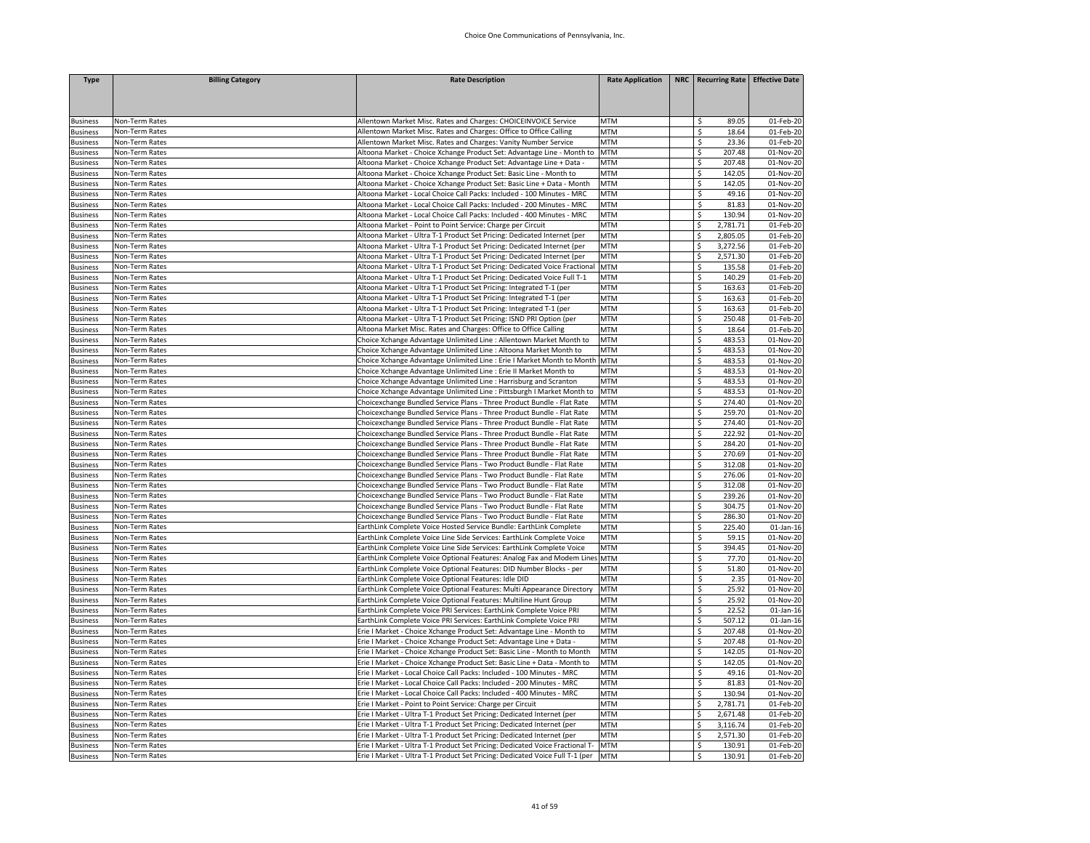| <b>Type</b>                        | <b>Billing Category</b>          | <b>Rate Description</b>                                                                                                                     | <b>Rate Application</b>  | NRC   Recurring Rate   Effective Date |                              |
|------------------------------------|----------------------------------|---------------------------------------------------------------------------------------------------------------------------------------------|--------------------------|---------------------------------------|------------------------------|
|                                    |                                  |                                                                                                                                             |                          |                                       |                              |
|                                    |                                  |                                                                                                                                             |                          |                                       |                              |
| <b>Business</b>                    | Non-Term Rates                   | Allentown Market Misc. Rates and Charges: CHOICEINVOICE Service                                                                             | <b>MTM</b>               | \$<br>89.05                           | 01-Feb-20                    |
| <b>Business</b>                    | Non-Term Rates                   | Allentown Market Misc. Rates and Charges: Office to Office Calling                                                                          | <b>MTM</b>               | \$<br>18.64                           | 01-Feb-20                    |
| <b>Business</b>                    | Non-Term Rates                   | Allentown Market Misc. Rates and Charges: Vanity Number Service                                                                             | <b>MTM</b>               | \$<br>23.36                           | 01-Feb-20                    |
| <b>Business</b>                    | Non-Term Rates                   | Altoona Market - Choice Xchange Product Set: Advantage Line - Month to                                                                      | <b>MTM</b>               | \$<br>207.48                          | $\overline{01}$ -Nov-20      |
| <b>Business</b>                    | Non-Term Rates                   | Altoona Market - Choice Xchange Product Set: Advantage Line + Data -                                                                        | <b>MTM</b>               | \$<br>207.48                          | 01-Nov-20                    |
| <b>Business</b>                    | Non-Term Rates                   | Altoona Market - Choice Xchange Product Set: Basic Line - Month to                                                                          | <b>MTM</b>               | \$<br>142.05                          | 01-Nov-20                    |
| <b>Business</b>                    | Non-Term Rates                   | Altoona Market - Choice Xchange Product Set: Basic Line + Data - Month                                                                      | <b>MTM</b>               | \$<br>142.05                          | 01-Nov-20                    |
| <b>Business</b>                    | Non-Term Rates                   | Altoona Market - Local Choice Call Packs: Included - 100 Minutes - MRC                                                                      | <b>MTM</b>               | \$<br>49.16                           | 01-Nov-20                    |
| <b>Business</b>                    | Non-Term Rates                   | Altoona Market - Local Choice Call Packs: Included - 200 Minutes - MRC                                                                      | <b>MTM</b>               | \$<br>81.83                           | 01-Nov-20                    |
| <b>Business</b>                    | Non-Term Rates                   | Altoona Market - Local Choice Call Packs: Included - 400 Minutes - MRC                                                                      | <b>MTM</b>               | \$<br>130.94                          | 01-Nov-20                    |
| <b>Business</b>                    | Non-Term Rates                   | Altoona Market - Point to Point Service: Charge per Circuit                                                                                 | <b>MTM</b>               | \$<br>2,781.71                        | 01-Feb-20                    |
| <b>Business</b>                    | Non-Term Rates                   | Altoona Market - Ultra T-1 Product Set Pricing: Dedicated Internet (per                                                                     | <b>MTM</b>               | \$<br>2,805.05                        | 01-Feb-20                    |
| <b>Business</b>                    | Non-Term Rates                   | Altoona Market - Ultra T-1 Product Set Pricing: Dedicated Internet (per                                                                     | <b>MTM</b>               | 3,272.56<br>\$                        | 01-Feb-20                    |
| <b>Business</b>                    | Non-Term Rates                   | Altoona Market - Ultra T-1 Product Set Pricing: Dedicated Internet (per                                                                     | <b>MTM</b>               | \$<br>2,571.30                        | 01-Feb-20                    |
| <b>Business</b>                    | Non-Term Rates                   | Altoona Market - Ultra T-1 Product Set Pricing: Dedicated Voice Fractional                                                                  | <b>MTM</b>               | \$<br>135.58                          | 01-Feb-20                    |
| <b>Business</b>                    | Non-Term Rates                   | Altoona Market - Ultra T-1 Product Set Pricing: Dedicated Voice Full T-1                                                                    | <b>MTM</b>               | \$<br>140.29                          | 01-Feb-20                    |
| <b>Business</b>                    | Non-Term Rates                   | Altoona Market - Ultra T-1 Product Set Pricing: Integrated T-1 (per                                                                         | <b>MTM</b>               | \$<br>163.63                          | 01-Feb-20                    |
| <b>Business</b>                    | Non-Term Rates                   | Altoona Market - Ultra T-1 Product Set Pricing: Integrated T-1 (per                                                                         | <b>MTM</b><br><b>MTM</b> | \$<br>163.63                          | 01-Feb-20                    |
| <b>Business</b><br><b>Business</b> | Non-Term Rates<br>Non-Term Rates | Altoona Market - Ultra T-1 Product Set Pricing: Integrated T-1 (per<br>Altoona Market - Ultra T-1 Product Set Pricing: ISND PRI Option (per | <b>MTM</b>               | \$<br>163.63<br>\$<br>250.48          | 01-Feb-20<br>01-Feb-20       |
|                                    | Non-Term Rates                   | Altoona Market Misc. Rates and Charges: Office to Office Calling                                                                            | <b>MTM</b>               | \$<br>18.64                           | 01-Feb-20                    |
| <b>Business</b><br><b>Business</b> | Non-Term Rates                   | Choice Xchange Advantage Unlimited Line: Allentown Market Month to                                                                          | <b>MTM</b>               | \$<br>483.53                          | 01-Nov-20                    |
| <b>Business</b>                    | Non-Term Rates                   | Choice Xchange Advantage Unlimited Line : Altoona Market Month to                                                                           | <b>MTM</b>               | \$<br>483.53                          | 01-Nov-20                    |
| <b>Business</b>                    | Non-Term Rates                   | Choice Xchange Advantage Unlimited Line : Erie I Market Month to Month                                                                      | <b>MTM</b>               | \$<br>483.53                          | 01-Nov-20                    |
| <b>Business</b>                    | Non-Term Rates                   | Choice Xchange Advantage Unlimited Line : Erie II Market Month to                                                                           | MTM                      | \$<br>483.53                          | 01-Nov-20                    |
| <b>Business</b>                    | Non-Term Rates                   | Choice Xchange Advantage Unlimited Line : Harrisburg and Scranton                                                                           | <b>MTM</b>               | \$<br>483.53                          | 01-Nov-20                    |
| <b>Business</b>                    | Non-Term Rates                   | Choice Xchange Advantage Unlimited Line : Pittsburgh I Market Month to                                                                      | <b>MTM</b>               | \$<br>483.53                          | 01-Nov-20                    |
| <b>Business</b>                    | Non-Term Rates                   | Choicexchange Bundled Service Plans - Three Product Bundle - Flat Rate                                                                      | <b>MTM</b>               | \$<br>274.40                          | 01-Nov-20                    |
| <b>Business</b>                    | Non-Term Rates                   | Choicexchange Bundled Service Plans - Three Product Bundle - Flat Rate                                                                      | <b>MTM</b>               | \$<br>259.70                          | 01-Nov-20                    |
| <b>Business</b>                    | Non-Term Rates                   | Choicexchange Bundled Service Plans - Three Product Bundle - Flat Rate                                                                      | <b>MTM</b>               | \$<br>274.40                          | 01-Nov-20                    |
| <b>Business</b>                    | Non-Term Rates                   | Choicexchange Bundled Service Plans - Three Product Bundle - Flat Rate                                                                      | <b>MTM</b>               | \$<br>222.92                          | 01-Nov-20                    |
| <b>Business</b>                    | Non-Term Rates                   | Choicexchange Bundled Service Plans - Three Product Bundle - Flat Rate                                                                      | <b>MTM</b>               | \$<br>284.20                          | 01-Nov-20                    |
| <b>Business</b>                    | Non-Term Rates                   | Choicexchange Bundled Service Plans - Three Product Bundle - Flat Rate                                                                      | <b>MTM</b>               | \$<br>270.69                          | 01-Nov-20                    |
| <b>Business</b>                    | Non-Term Rates                   | Choicexchange Bundled Service Plans - Two Product Bundle - Flat Rate                                                                        | <b>MTM</b>               | \$<br>312.08                          | 01-Nov-20                    |
| <b>Business</b>                    | Non-Term Rates                   | Choicexchange Bundled Service Plans - Two Product Bundle - Flat Rate                                                                        | <b>MTM</b>               | \$<br>276.06                          | 01-Nov-20                    |
| <b>Business</b>                    | Non-Term Rates                   | Choicexchange Bundled Service Plans - Two Product Bundle - Flat Rate                                                                        | <b>MTM</b>               | $\overline{\mathcal{S}}$<br>312.08    | 01-Nov-20                    |
| <b>Business</b>                    | Non-Term Rates                   | Choicexchange Bundled Service Plans - Two Product Bundle - Flat Rate                                                                        | <b>MTM</b>               | \$<br>239.26                          | 01-Nov-20                    |
| <b>Business</b>                    | Non-Term Rates                   | Choicexchange Bundled Service Plans - Two Product Bundle - Flat Rate                                                                        | <b>MTM</b>               | \$<br>304.75                          | 01-Nov-20                    |
| <b>Business</b>                    | Non-Term Rates                   | Choicexchange Bundled Service Plans - Two Product Bundle - Flat Rate                                                                        | <b>MTM</b>               | \$<br>286.30                          | 01-Nov-20                    |
| <b>Business</b>                    | Non-Term Rates                   | EarthLink Complete Voice Hosted Service Bundle: EarthLink Complete                                                                          | <b>MTM</b>               | \$<br>225.40                          | $01$ -Jan-16                 |
| <b>Business</b>                    | Non-Term Rates                   | EarthLink Complete Voice Line Side Services: EarthLink Complete Voice                                                                       | <b>MTM</b>               | \$<br>59.15                           | 01-Nov-20                    |
| <b>Business</b>                    | Non-Term Rates                   | EarthLink Complete Voice Line Side Services: EarthLink Complete Voice                                                                       | <b>MTM</b>               | \$<br>394.45                          | 01-Nov-20                    |
| <b>Business</b>                    | Non-Term Rates                   | arthLink Complete Voice Optional Features: Analog Fax and Modem Line                                                                        | <b>MTM</b>               | \$<br>77.70                           | 01-Nov-20                    |
| <b>Business</b>                    | Non-Term Rates                   | EarthLink Complete Voice Optional Features: DID Number Blocks - per                                                                         | <b>MTM</b>               | \$<br>51.80                           | $\overline{01}$ -Nov-20      |
| <b>Business</b>                    | Non-Term Rates                   | EarthLink Complete Voice Optional Features: Idle DID                                                                                        | <b>MTM</b>               | \$<br>2.35                            | 01-Nov-20                    |
| <b>Business</b>                    | Non-Term Rates<br>Non-Term Rates | EarthLink Complete Voice Optional Features: Multi Appearance Directory<br>EarthLink Complete Voice Optional Features: Multiline Hunt Group  | <b>MTM</b><br><b>MTM</b> | \$<br>25.92<br>\$<br>25.92            | 01-Nov-20<br>01-Nov-20       |
| <b>Business</b>                    |                                  |                                                                                                                                             |                          |                                       |                              |
| <b>Business</b><br><b>Business</b> | Non-Term Rates<br>Non-Term Rates | EarthLink Complete Voice PRI Services: EarthLink Complete Voice PRI<br>EarthLink Complete Voice PRI Services: EarthLink Complete Voice PRI  | <b>MTM</b><br><b>MTM</b> | \$<br>22.52<br>\$<br>507.12           | $01$ -Jan-16<br>$01$ -Jan-16 |
| <b>Business</b>                    | Non-Term Rates                   | Erie I Market - Choice Xchange Product Set: Advantage Line - Month to                                                                       | <b>MTM</b>               | \$<br>207.48                          | 01-Nov-20                    |
| <b>Business</b>                    | Non-Term Rates                   | Erie I Market - Choice Xchange Product Set: Advantage Line + Data -                                                                         | <b>MTM</b>               | \$<br>207.48                          | 01-Nov-20                    |
| <b>Business</b>                    | Non-Term Rates                   | Erie I Market - Choice Xchange Product Set: Basic Line - Month to Month                                                                     | <b>MTM</b>               | \$<br>142.05                          | 01-Nov-20                    |
| <b>Business</b>                    | Non-Term Rates                   | Erie I Market - Choice Xchange Product Set: Basic Line + Data - Month to                                                                    | <b>MTM</b>               | \$<br>142.05                          | 01-Nov-20                    |
| <b>Business</b>                    | Non-Term Rates                   | Erie I Market - Local Choice Call Packs: Included - 100 Minutes - MRC                                                                       | <b>MTM</b>               | \$<br>49.16                           | 01-Nov-20                    |
| <b>Business</b>                    | Non-Term Rates                   | Erie I Market - Local Choice Call Packs: Included - 200 Minutes - MRC                                                                       | <b>MTM</b>               | \$<br>81.83                           | 01-Nov-20                    |
| <b>Business</b>                    | Non-Term Rates                   | Erie I Market - Local Choice Call Packs: Included - 400 Minutes - MRC                                                                       | <b>MTM</b>               | \$<br>130.94                          | 01-Nov-20                    |
| <b>Business</b>                    | Non-Term Rates                   | Erie I Market - Point to Point Service: Charge per Circuit                                                                                  | <b>MTM</b>               | \$<br>2,781.71                        | 01-Feb-20                    |
| <b>Business</b>                    | Non-Term Rates                   | Erie I Market - Ultra T-1 Product Set Pricing: Dedicated Internet (per                                                                      | <b>MTM</b>               | \$<br>2,671.48                        | 01-Feb-20                    |
| <b>Business</b>                    | Non-Term Rates                   | Erie I Market - Ultra T-1 Product Set Pricing: Dedicated Internet (per                                                                      | <b>MTM</b>               | \$<br>3,116.74                        | 01-Feb-20                    |
| <b>Business</b>                    | Non-Term Rates                   | Erie I Market - Ultra T-1 Product Set Pricing: Dedicated Internet (per                                                                      | <b>MTM</b>               | \$<br>2,571.30                        | 01-Feb-20                    |
| <b>Business</b>                    | Non-Term Rates                   | Erie I Market - Ultra T-1 Product Set Pricing: Dedicated Voice Fractional T-                                                                | <b>MTM</b>               | \$<br>130.91                          | 01-Feb-20                    |
| <b>Business</b>                    | Non-Term Rates                   | Erie   Market - Ultra T-1 Product Set Pricing: Dedicated Voice Full T-1 (per MTM                                                            |                          | \$<br>130.91                          | 01-Feb-20                    |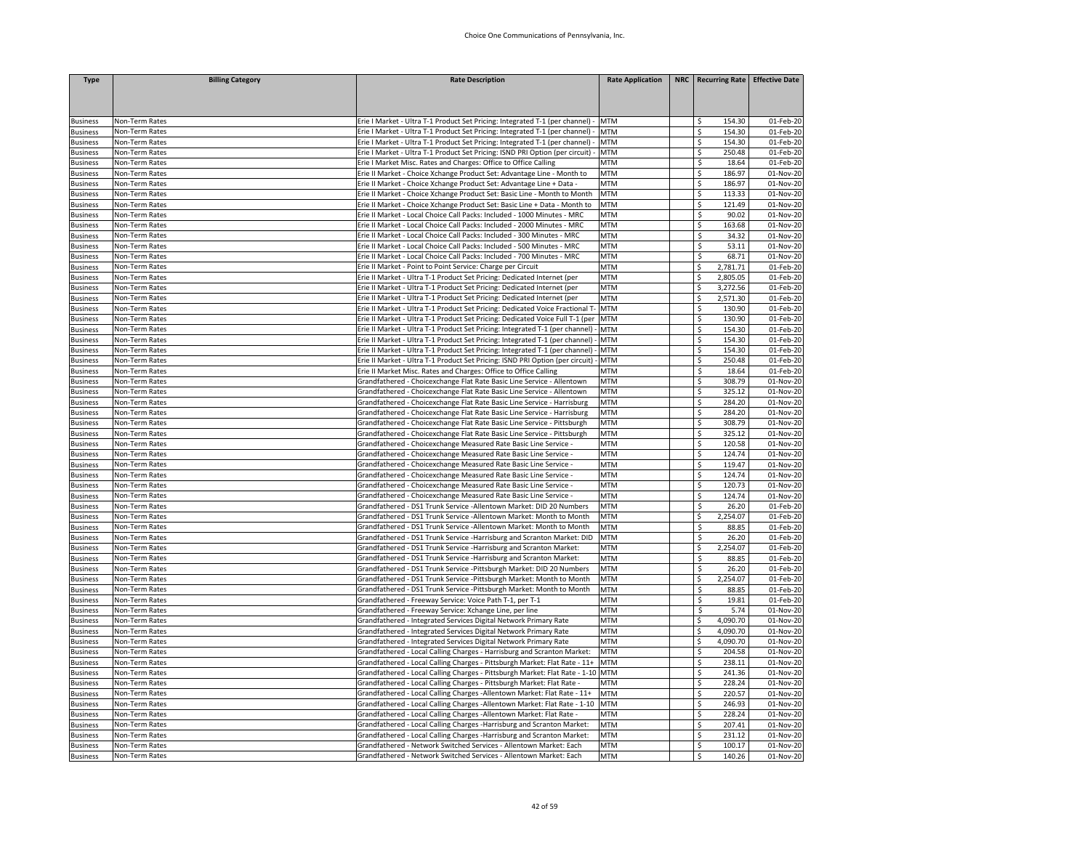| <b>Type</b>                        | <b>Billing Category</b>          | <b>Rate Description</b>                                                                                                                              | <b>Rate Application</b>  | NRC   Recurring Rate   Effective Date |                        |
|------------------------------------|----------------------------------|------------------------------------------------------------------------------------------------------------------------------------------------------|--------------------------|---------------------------------------|------------------------|
|                                    |                                  |                                                                                                                                                      |                          |                                       |                        |
|                                    |                                  |                                                                                                                                                      |                          |                                       |                        |
|                                    |                                  |                                                                                                                                                      |                          |                                       |                        |
| <b>Business</b>                    | Non-Term Rates                   | Erie I Market - Ultra T-1 Product Set Pricing: Integrated T-1 (per channel)                                                                          | <b>MTM</b>               | 154.30<br>\$                          | $01$ -Feb-20           |
| <b>Business</b>                    | Non-Term Rates                   | Erie I Market - Ultra T-1 Product Set Pricing: Integrated T-1 (per channel)                                                                          | <b>MTM</b>               | \$<br>154.30                          | 01-Feb-20              |
| <b>Business</b>                    | Non-Term Rates                   | Erie I Market - Ultra T-1 Product Set Pricing: Integrated T-1 (per channel)                                                                          | <b>MTM</b>               | \$<br>154.30                          | 01-Feb-20              |
| <b>Business</b>                    | Non-Term Rates                   | Erie I Market - Ultra T-1 Product Set Pricing: ISND PRI Option (per circuit)                                                                         | <b>MTM</b>               | \$<br>250.48                          | $01$ -Feb-20           |
| <b>Business</b>                    | Non-Term Rates                   | Erie I Market Misc. Rates and Charges: Office to Office Calling                                                                                      | <b>MTM</b>               | \$<br>18.64                           | 01-Feb-20              |
| <b>Business</b>                    | Non-Term Rates                   | Erie II Market - Choice Xchange Product Set: Advantage Line - Month to                                                                               | <b>MTM</b><br><b>MTM</b> | \$<br>186.97<br>\$<br>186.97          | 01-Nov-20<br>01-Nov-20 |
| <b>Business</b><br><b>Business</b> | Non-Term Rates<br>Non-Term Rates | Erie II Market - Choice Xchange Product Set: Advantage Line + Data<br>Erie II Market - Choice Xchange Product Set: Basic Line - Month to Month       | <b>MTM</b>               | \$<br>113.33                          | 01-Nov-20              |
|                                    | Non-Term Rates                   |                                                                                                                                                      |                          |                                       |                        |
| <b>Business</b>                    | Non-Term Rates                   | Erie II Market - Choice Xchange Product Set: Basic Line + Data - Month to<br>Erie II Market - Local Choice Call Packs: Included - 1000 Minutes - MRC | <b>MTM</b><br><b>MTM</b> | \$<br>121.49<br>\$<br>90.02           | 01-Nov-20              |
| <b>Business</b>                    | Non-Term Rates                   | Erie II Market - Local Choice Call Packs: Included - 2000 Minutes - MRC                                                                              | <b>MTM</b>               | \$<br>163.68                          | 01-Nov-20<br>01-Nov-20 |
| <b>Business</b>                    |                                  |                                                                                                                                                      | <b>MTM</b>               | \$<br>34.32                           | $01-Nov-20$            |
| <b>Business</b><br><b>Business</b> | Non-Term Rates<br>Non-Term Rates | Erie II Market - Local Choice Call Packs: Included - 300 Minutes - MRC<br>Erie II Market - Local Choice Call Packs: Included - 500 Minutes - MRC     | <b>MTM</b>               | \$<br>53.11                           | 01-Nov-20              |
|                                    |                                  | Erie II Market - Local Choice Call Packs: Included - 700 Minutes - MRC                                                                               | <b>MTM</b>               | \$<br>68.71                           | 01-Nov-20              |
| <b>Business</b>                    | Non-Term Rates<br>Non-Term Rates | Erie II Market - Point to Point Service: Charge per Circuit                                                                                          | <b>MTM</b>               | \$<br>2,781.71                        | $01$ -Feb-20           |
| <b>Business</b>                    | Non-Term Rates                   |                                                                                                                                                      | MTM                      |                                       | 01-Feb-20              |
| <b>Business</b><br><b>Business</b> | Non-Term Rates                   | Erie II Market - Ultra T-1 Product Set Pricing: Dedicated Internet (per<br>Erie II Market - Ultra T-1 Product Set Pricing: Dedicated Internet (per   | <b>MTM</b>               | \$<br>2,805.05<br>\$<br>3,272.56      | 01-Feb-20              |
| <b>Business</b>                    | Non-Term Rates                   | Erie II Market - Ultra T-1 Product Set Pricing: Dedicated Internet (per                                                                              | <b>MTM</b>               | \$<br>2,571.30                        | 01-Feb-20              |
| <b>Business</b>                    | Non-Term Rates                   | Erie II Market - Ultra T-1 Product Set Pricing: Dedicated Voice Fractional T- MTM                                                                    |                          | 130.90<br>\$                          | 01-Feb-20              |
| <b>Business</b>                    | Non-Term Rates                   | Erie II Market - Ultra T-1 Product Set Pricing: Dedicated Voice Full T-1 (per                                                                        | <b>MTM</b>               | \$<br>130.90                          | 01-Feb-20              |
|                                    | Non-Term Rates                   | Erie II Market - Ultra T-1 Product Set Pricing: Integrated T-1 (per channel)                                                                         | <b>MTM</b>               | \$<br>154.30                          | 01-Feb-20              |
| <b>Business</b><br><b>Business</b> | Non-Term Rates                   | Erie II Market - Ultra T-1 Product Set Pricing: Integrated T-1 (per channel)                                                                         | <b>MTM</b>               | \$<br>154.30                          | 01-Feb-20              |
| <b>Business</b>                    | Non-Term Rates                   | Erie II Market - Ultra T-1 Product Set Pricing: Integrated T-1 (per channel)                                                                         | <b>MTM</b>               | 154.30<br>\$                          | 01-Feb-20              |
| <b>Business</b>                    | Non-Term Rates                   | Erie II Market - Ultra T-1 Product Set Pricing: ISND PRI Option (per circuit)                                                                        | <b>MTM</b>               | \$<br>250.48                          | 01-Feb-20              |
| <b>Business</b>                    | Non-Term Rates                   | Erie II Market Misc. Rates and Charges: Office to Office Calling                                                                                     | MTM                      | \$<br>18.64                           | 01-Feb-20              |
| <b>Business</b>                    | Non-Term Rates                   | Grandfathered - Choicexchange Flat Rate Basic Line Service - Allentown                                                                               | MTM                      | \$<br>308.79                          | 01-Nov-20              |
| <b>Business</b>                    | Non-Term Rates                   | Grandfathered - Choicexchange Flat Rate Basic Line Service - Allentown                                                                               | MTM                      | \$<br>325.12                          | 01-Nov-20              |
| <b>Business</b>                    | Non-Term Rates                   | Grandfathered - Choicexchange Flat Rate Basic Line Service - Harrisburg                                                                              | <b>MTM</b>               | 284.20<br>\$                          | 01-Nov-20              |
| <b>Business</b>                    | Non-Term Rates                   | Grandfathered - Choicexchange Flat Rate Basic Line Service - Harrisburg                                                                              | MTM                      | \$<br>284.20                          | 01-Nov-20              |
| <b>Business</b>                    | Non-Term Rates                   | Grandfathered - Choicexchange Flat Rate Basic Line Service - Pittsburgh                                                                              | <b>MTM</b>               | \$<br>308.79                          | 01-Nov-20              |
| <b>Business</b>                    | Non-Term Rates                   | Grandfathered - Choicexchange Flat Rate Basic Line Service - Pittsburgh                                                                              | <b>MTM</b>               | \$<br>325.12                          | 01-Nov-20              |
| <b>Business</b>                    | Non-Term Rates                   | Grandfathered - Choicexchange Measured Rate Basic Line Service -                                                                                     | <b>MTM</b>               | \$<br>120.58                          | 01-Nov-20              |
| <b>Business</b>                    | Non-Term Rates                   | Grandfathered - Choicexchange Measured Rate Basic Line Service -                                                                                     | <b>MTM</b>               | \$<br>124.74                          | 01-Nov-20              |
| <b>Business</b>                    | Non-Term Rates                   | Grandfathered - Choicexchange Measured Rate Basic Line Service                                                                                       | <b>MTM</b>               | \$<br>119.47                          | 01-Nov-20              |
| <b>Business</b>                    | Non-Term Rates                   | Grandfathered - Choicexchange Measured Rate Basic Line Service -                                                                                     | <b>MTM</b>               | \$<br>124.74                          | 01-Nov-20              |
| <b>Business</b>                    | Non-Term Rates                   | Grandfathered - Choicexchange Measured Rate Basic Line Service -                                                                                     | <b>MTM</b>               | \$<br>120.73                          | 01-Nov-20              |
| <b>Business</b>                    | Non-Term Rates                   | Grandfathered - Choicexchange Measured Rate Basic Line Service -                                                                                     | <b>MTM</b>               | \$<br>124.74                          | 01-Nov-20              |
| <b>Business</b>                    | Non-Term Rates                   | Grandfathered - DS1 Trunk Service -Allentown Market: DID 20 Numbers                                                                                  | <b>MTM</b>               | \$<br>26.20                           | 01-Feb-20              |
| <b>Business</b>                    | Non-Term Rates                   | Grandfathered - DS1 Trunk Service -Allentown Market: Month to Month                                                                                  | <b>MTM</b>               | 2,254.07<br>\$                        | 01-Feb-20              |
| <b>Business</b>                    | Non-Term Rates                   | Grandfathered - DS1 Trunk Service -Allentown Market: Month to Month                                                                                  | <b>MTM</b>               | \$<br>88.85                           | 01-Feb-20              |
| <b>Business</b>                    | Non-Term Rates                   | Grandfathered - DS1 Trunk Service -Harrisburg and Scranton Market: DID                                                                               | <b>MTM</b>               | \$<br>26.20                           | 01-Feb-20              |
| <b>Business</b>                    | Non-Term Rates                   | Grandfathered - DS1 Trunk Service -Harrisburg and Scranton Market:                                                                                   | <b>MTM</b>               | \$<br>2,254.07                        | 01-Feb-20              |
| <b>Business</b>                    | Non-Term Rates                   | Grandfathered - DS1 Trunk Service -Harrisburg and Scranton Market:                                                                                   | MTM                      | \$<br>88.85                           | 01-Feb-20              |
| <b>Business</b>                    | Non-Term Rates                   | Grandfathered - DS1 Trunk Service -Pittsburgh Market: DID 20 Numbers                                                                                 | <b>MTM</b>               | \$<br>26.20                           | $01$ -Feb-20           |
| <b>Business</b>                    | Non-Term Rates                   | Grandfathered - DS1 Trunk Service -Pittsburgh Market: Month to Month                                                                                 | <b>MTM</b>               | \$<br>2,254.07                        | 01-Feb-20              |
| <b>Business</b>                    | Non-Term Rates                   | Grandfathered - DS1 Trunk Service -Pittsburgh Market: Month to Month                                                                                 | <b>MTM</b>               | \$<br>88.85                           | 01-Feb-20              |
| <b>Business</b>                    | Non-Term Rates                   | Grandfathered - Freeway Service: Voice Path T-1, per T-1                                                                                             | MTM                      | \$<br>19.81                           | 01-Feb-20              |
| <b>Business</b>                    | Non-Term Rates                   | Grandfathered - Freeway Service: Xchange Line, per line                                                                                              | <b>MTM</b>               | \$<br>5.74                            | 01-Nov-20              |
| <b>Business</b>                    | Non-Term Rates                   | Grandfathered - Integrated Services Digital Network Primary Rate                                                                                     | <b>MTM</b>               | 4.090.70<br>Ś.                        | 01-Nov-20              |
| <b>Business</b>                    | Non-Term Rates                   | Grandfathered - Integrated Services Digital Network Primary Rate                                                                                     | <b>MTM</b>               | \$<br>4,090.70                        | 01-Nov-20              |
| <b>Business</b>                    | Non-Term Rates                   | Grandfathered - Integrated Services Digital Network Primary Rate                                                                                     | <b>MTM</b>               | Ś<br>4,090.70                         | 01-Nov-20              |
| <b>Business</b>                    | Non-Term Rates                   | Grandfathered - Local Calling Charges - Harrisburg and Scranton Market:                                                                              | <b>MTM</b>               | \$<br>204.58                          | 01-Nov-20              |
| <b>Business</b>                    | Non-Term Rates                   | Grandfathered - Local Calling Charges - Pittsburgh Market: Flat Rate - 11+                                                                           | <b>MTM</b>               | \$<br>238.11                          | 01-Nov-20              |
| <b>Business</b>                    | Non-Term Rates                   | Grandfathered - Local Calling Charges - Pittsburgh Market: Flat Rate - 1-10 MTM                                                                      |                          | \$<br>241.36                          | 01-Nov-20              |
| <b>Business</b>                    | Non-Term Rates                   | Grandfathered - Local Calling Charges - Pittsburgh Market: Flat Rate -                                                                               | MTM                      | \$<br>228.24                          | 01-Nov-20              |
| <b>Business</b>                    | Non-Term Rates                   | Grandfathered - Local Calling Charges - Allentown Market: Flat Rate - 11+                                                                            | <b>MTM</b>               | \$<br>220.57                          | 01-Nov-20              |
| <b>Business</b>                    | Non-Term Rates                   | Grandfathered - Local Calling Charges - Allentown Market: Flat Rate - 1-10                                                                           | <b>MTM</b>               | \$<br>246.93                          | 01-Nov-20              |
| <b>Business</b>                    | Non-Term Rates                   | Grandfathered - Local Calling Charges - Allentown Market: Flat Rate -                                                                                | MTM                      | \$<br>228.24                          | 01-Nov-20              |
| <b>Business</b>                    | Non-Term Rates                   | Grandfathered - Local Calling Charges -Harrisburg and Scranton Market:                                                                               | MTM                      | \$<br>207.41                          | 01-Nov-20              |
| <b>Business</b>                    | Non-Term Rates                   | Grandfathered - Local Calling Charges -Harrisburg and Scranton Market:                                                                               | <b>MTM</b>               | \$<br>231.12                          | 01-Nov-20              |
| <b>Business</b>                    | Non-Term Rates                   | Grandfathered - Network Switched Services - Allentown Market: Each                                                                                   | MTM                      | \$<br>100.17                          | 01-Nov-20              |
| <b>Business</b>                    | Non-Term Rates                   | Grandfathered - Network Switched Services - Allentown Market: Each                                                                                   | <b>MTM</b>               | Ś<br>140.26                           | 01-Nov-20              |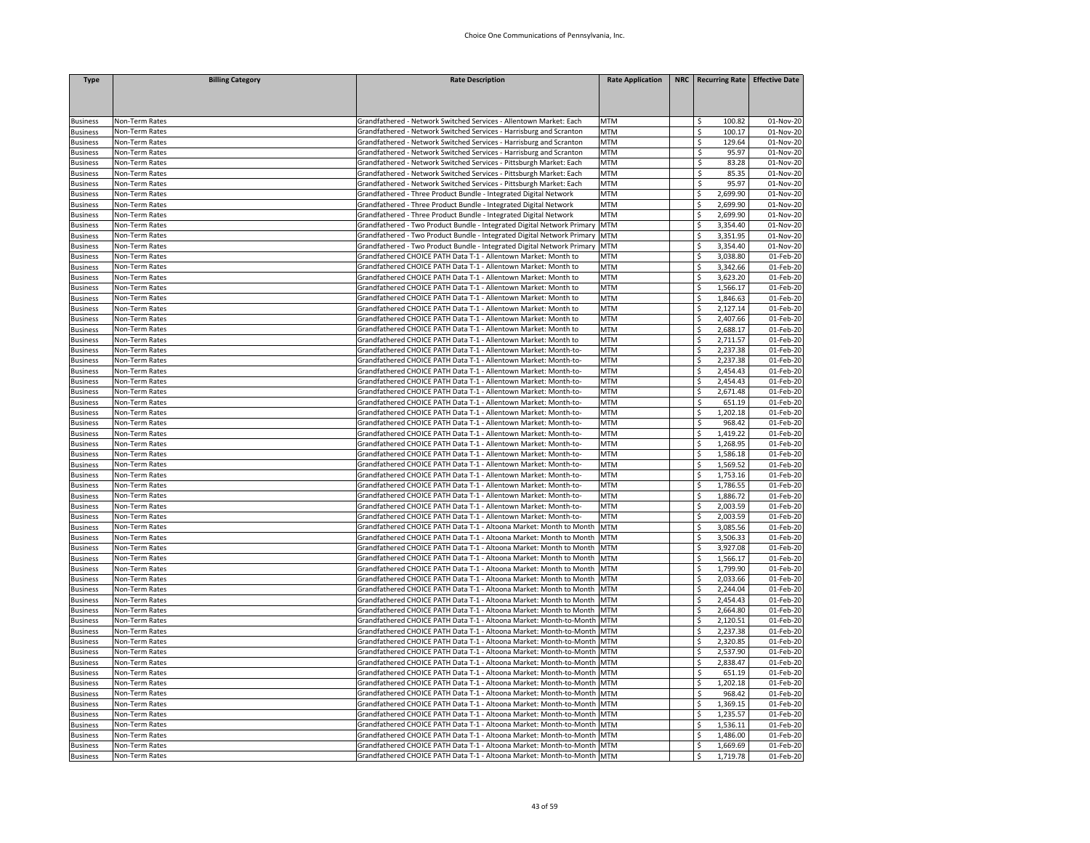| <b>Type</b>                        | <b>Billing Category</b>          | <b>Rate Description</b>                                                                                                                   | <b>Rate Application</b>  | NRC   Recurring Rate   Effective Date |                                      |
|------------------------------------|----------------------------------|-------------------------------------------------------------------------------------------------------------------------------------------|--------------------------|---------------------------------------|--------------------------------------|
|                                    |                                  |                                                                                                                                           |                          |                                       |                                      |
|                                    |                                  |                                                                                                                                           |                          |                                       |                                      |
|                                    |                                  |                                                                                                                                           |                          |                                       |                                      |
| <b>Business</b>                    | Non-Term Rates<br>Non-Term Rates | Grandfathered - Network Switched Services - Allentown Market: Each<br>Grandfathered - Network Switched Services - Harrisburg and Scranton | MTM<br><b>MTM</b>        | 100.82<br>\$<br>\$<br>100.17          | $\overline{01}$ -Nov-20<br>01-Nov-20 |
| <b>Business</b><br><b>Business</b> | Non-Term Rates                   | Grandfathered - Network Switched Services - Harrisburg and Scranton                                                                       | <b>MTM</b>               | \$<br>129.64                          | 01-Nov-20                            |
| <b>Business</b>                    | Non-Term Rates                   | Grandfathered - Network Switched Services - Harrisburg and Scranton                                                                       | <b>MTM</b>               | \$<br>95.97                           | $\overline{01}$ -Nov-20              |
| <b>Business</b>                    | Non-Term Rates                   | Grandfathered - Network Switched Services - Pittsburgh Market: Each                                                                       | <b>MTM</b>               | \$<br>83.28                           | 01-Nov-20                            |
| <b>Business</b>                    | Non-Term Rates                   | Grandfathered - Network Switched Services - Pittsburgh Market: Each                                                                       | <b>MTM</b>               | \$<br>85.35                           | 01-Nov-20                            |
| <b>Business</b>                    | Non-Term Rates                   | Grandfathered - Network Switched Services - Pittsburgh Market: Each                                                                       | <b>MTM</b>               | \$<br>95.97                           | 01-Nov-20                            |
| <b>Business</b>                    | Non-Term Rates                   | Grandfathered - Three Product Bundle - Integrated Digital Network                                                                         | <b>MTM</b>               | \$<br>2,699.90                        | 01-Nov-20                            |
| <b>Business</b>                    | Non-Term Rates                   | Grandfathered - Three Product Bundle - Integrated Digital Network                                                                         | <b>MTM</b>               | 2,699.90<br>\$                        | 01-Nov-20                            |
| <b>Business</b>                    | Non-Term Rates                   | Grandfathered - Three Product Bundle - Integrated Digital Network                                                                         | <b>MTM</b>               | Ś<br>2,699.90                         | 01-Nov-20                            |
| <b>Business</b>                    | Non-Term Rates                   | Grandfathered - Two Product Bundle - Integrated Digital Network Primary                                                                   | <b>MTM</b>               | \$<br>3,354.40                        | 01-Nov-20                            |
| <b>Business</b>                    | Non-Term Rates                   | Grandfathered - Two Product Bundle - Integrated Digital Network Primary MTM                                                               |                          | 3,351.95<br>Ś                         | 01-Nov-20                            |
| <b>Business</b>                    | Non-Term Rates                   | Grandfathered - Two Product Bundle - Integrated Digital Network Primary MTM                                                               |                          | 3,354.40<br>\$                        | 01-Nov-20                            |
| <b>Business</b>                    | Non-Term Rates                   | Grandfathered CHOICE PATH Data T-1 - Allentown Market: Month to                                                                           | MTM                      | Ś<br>3,038.80                         | 01-Feb-20                            |
| <b>Business</b>                    | Non-Term Rates                   | Grandfathered CHOICE PATH Data T-1 - Allentown Market: Month to                                                                           | <b>MTM</b>               | Ś<br>3,342.66                         | 01-Feb-20                            |
| <b>Business</b>                    | Non-Term Rates                   | Grandfathered CHOICE PATH Data T-1 - Allentown Market: Month to                                                                           | MTM                      | 3,623.20<br>Ŝ.                        | 01-Feb-20                            |
| <b>Business</b>                    | Non-Term Rates                   | Grandfathered CHOICE PATH Data T-1 - Allentown Market: Month to                                                                           | <b>MTM</b>               | 1,566.17<br>Ś                         | 01-Feb-20                            |
| <b>Business</b>                    | Non-Term Rates                   | Grandfathered CHOICE PATH Data T-1 - Allentown Market: Month to                                                                           | MTM                      | \$<br>1,846.63                        | 01-Feb-20                            |
| <b>Business</b>                    | Non-Term Rates                   | Grandfathered CHOICE PATH Data T-1 - Allentown Market: Month to                                                                           | <b>MTM</b>               | Ś<br>2,127.14                         | 01-Feb-20                            |
| <b>Business</b>                    | Non-Term Rates                   | Grandfathered CHOICE PATH Data T-1 - Allentown Market: Month to                                                                           | <b>MTM</b>               | 2,407.66<br>\$                        | 01-Feb-20                            |
| <b>Business</b>                    | Non-Term Rates                   | Grandfathered CHOICE PATH Data T-1 - Allentown Market: Month to                                                                           | <b>MTM</b>               | Ś<br>2,688.17                         | 01-Feb-20                            |
| <b>Business</b>                    | Non-Term Rates                   | Grandfathered CHOICE PATH Data T-1 - Allentown Market: Month to                                                                           | <b>MTM</b>               | 2,711.57<br>\$                        | 01-Feb-20                            |
| <b>Business</b>                    | Non-Term Rates                   | Grandfathered CHOICE PATH Data T-1 - Allentown Market: Month-to-                                                                          | <b>MTM</b>               | 2,237.38<br>\$                        | 01-Feb-20                            |
| <b>Business</b>                    | Non-Term Rates                   | Grandfathered CHOICE PATH Data T-1 - Allentown Market: Month-to-                                                                          | MTM                      | 2,237.38                              | 01-Feb-20                            |
| <b>Business</b>                    | Non-Term Rates                   | Grandfathered CHOICE PATH Data T-1 - Allentown Market: Month-to-                                                                          | MTM                      | 2,454.43<br>\$                        | 01-Feb-20                            |
| <b>Business</b>                    | Non-Term Rates                   | Grandfathered CHOICE PATH Data T-1 - Allentown Market: Month-to-                                                                          | <b>MTM</b>               | \$<br>2,454.43                        | 01-Feb-20                            |
| <b>Business</b>                    | Non-Term Rates                   | Grandfathered CHOICE PATH Data T-1 - Allentown Market: Month-to-                                                                          | MTM                      | \$<br>2,671.48                        | 01-Feb-20                            |
| <b>Business</b>                    | Non-Term Rates                   | Grandfathered CHOICE PATH Data T-1 - Allentown Market: Month-to-                                                                          | <b>MTM</b>               | Ś<br>651.19                           | 01-Feb-20                            |
| <b>Business</b>                    | Non-Term Rates                   | Grandfathered CHOICE PATH Data T-1 - Allentown Market: Month-to-                                                                          | MTM                      | \$<br>1,202.18                        | 01-Feb-20                            |
| <b>Business</b>                    | Non-Term Rates                   | Grandfathered CHOICE PATH Data T-1 - Allentown Market: Month-to-                                                                          | <b>MTM</b>               | 968.42<br>\$                          | 01-Feb-20                            |
| <b>Business</b>                    | Non-Term Rates                   | Grandfathered CHOICE PATH Data T-1 - Allentown Market: Month-to-                                                                          | <b>MTM</b>               | 1,419.22<br>\$                        | 01-Feb-20                            |
| <b>Business</b>                    | Non-Term Rates                   | Grandfathered CHOICE PATH Data T-1 - Allentown Market: Month-to-                                                                          | <b>MTM</b>               | Ś<br>1,268.95                         | 01-Feb-20                            |
| <b>Business</b>                    | Non-Term Rates                   | Grandfathered CHOICE PATH Data T-1 - Allentown Market: Month-to-                                                                          | <b>MTM</b>               | \$<br>1,586.18                        | 01-Feb-20                            |
| <b>Business</b>                    | Non-Term Rates<br>Non-Term Rates | Grandfathered CHOICE PATH Data T-1 - Allentown Market: Month-to-<br>Grandfathered CHOICE PATH Data T-1 - Allentown Market: Month-to-      | <b>MTM</b>               | 1,569.52<br>\$<br>$\hat{\varsigma}$   | 01-Feb-20                            |
| <b>Business</b><br><b>Business</b> | Non-Term Rates                   | Grandfathered CHOICE PATH Data T-1 - Allentown Market: Month-to-                                                                          | <b>MTM</b><br><b>MTM</b> | 1,753.16<br>Ŝ.<br>1,786.55            | 01-Feb-20<br>01-Feb-20               |
|                                    | Non-Term Rates                   | Grandfathered CHOICE PATH Data T-1 - Allentown Market: Month-to-                                                                          | <b>MTM</b>               | Ś<br>1,886.72                         | 01-Feb-20                            |
| <b>Business</b><br><b>Business</b> | Non-Term Rates                   | Grandfathered CHOICE PATH Data T-1 - Allentown Market: Month-to-                                                                          | <b>MTM</b>               | 2,003.59<br>Ŝ.                        | 01-Feb-20                            |
| <b>Business</b>                    | Non-Term Rates                   | Grandfathered CHOICE PATH Data T-1 - Allentown Market: Month-to-                                                                          | <b>MTM</b>               | Ś<br>2,003.59                         | 01-Feb-20                            |
| <b>Business</b>                    | Non-Term Rates                   | Grandfathered CHOICE PATH Data T-1 - Altoona Market: Month to Month                                                                       | <b>MTM</b>               | \$<br>3,085.56                        | 01-Feb-20                            |
| <b>Business</b>                    | Non-Term Rates                   | Grandfathered CHOICE PATH Data T-1 - Altoona Market: Month to Month                                                                       | <b>MTM</b>               | 3,506.33<br>Ŝ                         | 01-Feb-20                            |
| <b>Business</b>                    | Non-Term Rates                   | Grandfathered CHOICE PATH Data T-1 - Altoona Market: Month to Month                                                                       | <b>MTM</b>               | Ś<br>3,927.08                         | 01-Feb-20                            |
| <b>Business</b>                    | Non-Term Rates                   | Grandfathered CHOICE PATH Data T-1 - Altoona Market: Month to Month                                                                       | MTM                      | \$<br>1,566.17                        | 01-Feb-20                            |
| <b>Business</b>                    | Non-Term Rates                   | Grandfathered CHOICE PATH Data T-1 - Altoona Market: Month to Month                                                                       | <b>MTM</b>               | \$<br>1,799.90                        | 01-Feb-20                            |
| <b>Business</b>                    | Non-Term Rates                   | Grandfathered CHOICE PATH Data T-1 - Altoona Market: Month to Month                                                                       | <b>MTM</b>               | 2,033.66<br>Ŝ                         | 01-Feb-20                            |
| <b>Business</b>                    | Non-Term Rates                   | Grandfathered CHOICE PATH Data T-1 - Altoona Market: Month to Month                                                                       | <b>MTM</b>               | 2,244.04                              | 01-Feb-20                            |
| <b>Business</b>                    | Non-Term Rates                   | Grandfathered CHOICE PATH Data T-1 - Altoona Market: Month to Month                                                                       | <b>MTM</b>               | \$<br>2,454.43                        | 01-Feb-20                            |
| <b>Business</b>                    | Non-Term Rates                   | Grandfathered CHOICE PATH Data T-1 - Altoona Market: Month to Month                                                                       | <b>MTM</b>               | 2,664.80<br>\$                        | 01-Feb-20                            |
| <b>Business</b>                    | Non-Term Rates                   | Grandfathered CHOICE PATH Data T-1 - Altoona Market: Month-to-Month                                                                       | <b>MTM</b>               | 2,120.51<br>\$                        | 01-Feb-20                            |
| <b>Business</b>                    | Non-Term Rates                   | Grandfathered CHOICE PATH Data T-1 - Altoona Market: Month-to-Month                                                                       | <b>MTM</b>               | 2,237.38<br>Ś                         | 01-Feb-20                            |
| <b>Business</b>                    | Non-Term Rates                   | Grandfathered CHOICE PATH Data T-1 - Altoona Market: Month-to-Month                                                                       | <b>MTM</b>               | Ś<br>2,320.85                         | 01-Feb-20                            |
| <b>Business</b>                    | Non-Term Rates                   | Grandfathered CHOICE PATH Data T-1 - Altoona Market: Month-to-Month                                                                       | <b>MTM</b>               | 2,537.90<br>Ś                         | 01-Feb-20                            |
| <b>Business</b>                    | Non-Term Rates                   | Grandfathered CHOICE PATH Data T-1 - Altoona Market: Month-to-Month                                                                       | <b>MTM</b>               | 2,838.47<br>Ś                         | 01-Feb-20                            |
| <b>Business</b>                    | Non-Term Rates                   | Grandfathered CHOICE PATH Data T-1 - Altoona Market: Month-to-Month MTM                                                                   |                          | \$<br>651.19                          | 01-Feb-20                            |
| <b>Business</b>                    | Non-Term Rates                   | Grandfathered CHOICE PATH Data T-1 - Altoona Market: Month-to-Month MTM                                                                   |                          | 1,202.18<br>\$                        | 01-Feb-20                            |
| <b>Business</b>                    | Non-Term Rates                   | Grandfathered CHOICE PATH Data T-1 - Altoona Market: Month-to-Month                                                                       | <b>MTM</b>               | 968.42<br>\$                          | 01-Feb-20                            |
| <b>Business</b>                    | Non-Term Rates                   | Grandfathered CHOICE PATH Data T-1 - Altoona Market: Month-to-Month                                                                       | <b>MTM</b>               | Ś<br>1,369.15                         | 01-Feb-20                            |
| <b>Business</b>                    | Non-Term Rates                   | Grandfathered CHOICE PATH Data T-1 - Altoona Market: Month-to-Month MTM                                                                   |                          | \$<br>1,235.57                        | 01-Feb-20                            |
| <b>Business</b>                    | Non-Term Rates                   | Grandfathered CHOICE PATH Data T-1 - Altoona Market: Month-to-Month                                                                       | <b>MTM</b>               | \$<br>1,536.11                        | 01-Feb-20                            |
| <b>Business</b>                    | Non-Term Rates                   | Grandfathered CHOICE PATH Data T-1 - Altoona Market: Month-to-Month                                                                       | <b>MTM</b>               | 1,486.00<br>\$                        | 01-Feb-20                            |
| <b>Business</b>                    | Non-Term Rates                   | Grandfathered CHOICE PATH Data T-1 - Altoona Market: Month-to-Month MTM                                                                   |                          | \$<br>1,669.69                        | 01-Feb-20                            |
| <b>Business</b>                    | Non-Term Rates                   | Grandfathered CHOICE PATH Data T-1 - Altoona Market: Month-to-Month MTM                                                                   |                          | $\mathsf{\hat{S}}$<br>1.719.78        | 01-Feb-20                            |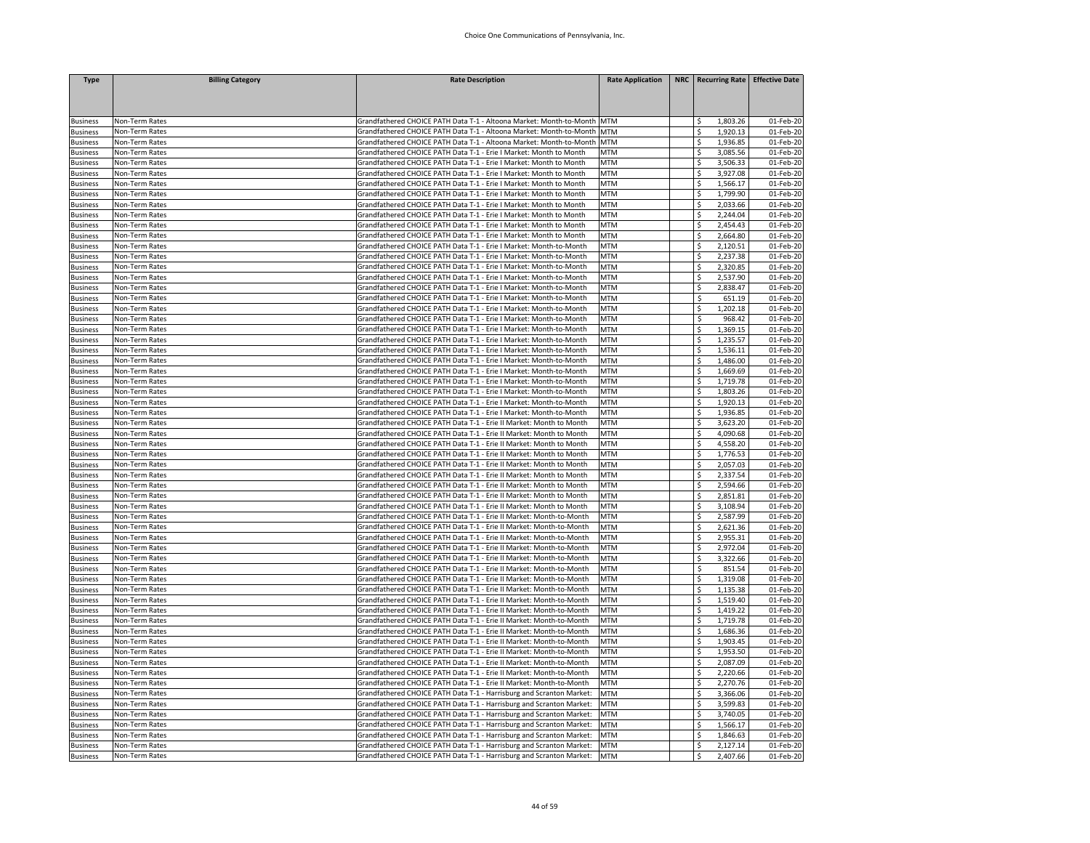| <b>Type</b>                        | <b>Billing Category</b>          | <b>Rate Description</b>                                                                                                                      | <b>Rate Application</b>  | NRC   Recurring Rate   Effective Date            |                        |
|------------------------------------|----------------------------------|----------------------------------------------------------------------------------------------------------------------------------------------|--------------------------|--------------------------------------------------|------------------------|
|                                    |                                  |                                                                                                                                              |                          |                                                  |                        |
|                                    |                                  |                                                                                                                                              |                          |                                                  |                        |
| <b>Business</b>                    | Non-Term Rates                   | Grandfathered CHOICE PATH Data T-1 - Altoona Market: Month-to-Month                                                                          | <b>MTM</b>               | 1,803.26                                         | 01-Feb-20              |
| <b>Business</b>                    | Non-Term Rates                   | Grandfathered CHOICE PATH Data T-1 - Altoona Market: Month-to-Month                                                                          | <b>MTM</b>               | \$<br>1,920.13                                   | 01-Feb-20              |
| <b>Business</b>                    | Non-Term Rates                   | Grandfathered CHOICE PATH Data T-1 - Altoona Market: Month-to-Month                                                                          | <b>MTM</b>               | 1,936.85                                         | 01-Feb-20              |
| <b>Business</b>                    | Non-Term Rates                   | Grandfathered CHOICE PATH Data T-1 - Erie I Market: Month to Month                                                                           | <b>MTM</b>               | \$<br>3,085.56                                   | 01-Feb-20              |
| <b>Business</b>                    | Non-Term Rates                   | Grandfathered CHOICE PATH Data T-1 - Erie I Market: Month to Month                                                                           | <b>MTM</b>               | 3,506.33<br>\$                                   | 01-Feb-20              |
| <b>Business</b>                    | Non-Term Rates                   | Grandfathered CHOICE PATH Data T-1 - Erie I Market: Month to Month                                                                           | <b>MTM</b>               | 3,927.08<br>Ŝ.                                   | 01-Feb-20              |
| <b>Business</b>                    | Non-Term Rates                   | Grandfathered CHOICE PATH Data T-1 - Erie I Market: Month to Month                                                                           | <b>MTM</b>               | 1,566.17<br>\$                                   | 01-Feb-20              |
| <b>Business</b>                    | Non-Term Rates                   | Grandfathered CHOICE PATH Data T-1 - Erie I Market: Month to Month                                                                           | <b>MTM</b>               | Ś<br>1,799.90                                    | 01-Feb-20              |
| <b>Business</b>                    | Non-Term Rates                   | Grandfathered CHOICE PATH Data T-1 - Erie I Market: Month to Month                                                                           | <b>MTM</b>               | 2,033.66<br>Ŝ.                                   | 01-Feb-20              |
| <b>Business</b>                    | Non-Term Rates                   | Grandfathered CHOICE PATH Data T-1 - Erie I Market: Month to Month                                                                           | <b>MTM</b>               | 2,244.04<br>Ś                                    | 01-Feb-20              |
| <b>Business</b>                    | Non-Term Rates                   | Grandfathered CHOICE PATH Data T-1 - Erie I Market: Month to Month                                                                           | <b>MTM</b>               | \$<br>2,454.43                                   | 01-Feb-20              |
| <b>Business</b>                    | Non-Term Rates                   | Grandfathered CHOICE PATH Data T-1 - Erie I Market: Month to Month                                                                           | <b>MTM</b>               | \$<br>2,664.80                                   | 01-Feb-20              |
| <b>Business</b>                    | Non-Term Rates                   | Grandfathered CHOICE PATH Data T-1 - Erie I Market: Month-to-Month                                                                           | <b>MTM</b>               | 2,120.51<br>\$                                   | 01-Feb-20              |
| <b>Business</b>                    | Non-Term Rates                   | Grandfathered CHOICE PATH Data T-1 - Erie I Market: Month-to-Month                                                                           | <b>MTM</b>               | Ś<br>2,237.38                                    | 01-Feb-20              |
| <b>Business</b>                    | Non-Term Rates                   | Grandfathered CHOICE PATH Data T-1 - Erie I Market: Month-to-Month                                                                           | <b>MTM</b>               | \$<br>2,320.85                                   | 01-Feb-20              |
| <b>Business</b>                    | Non-Term Rates                   | Grandfathered CHOICE PATH Data T-1 - Erie I Market: Month-to-Month                                                                           | <b>MTM</b>               | \$<br>2,537.90                                   | 01-Feb-20              |
| <b>Business</b>                    | Non-Term Rates                   | Grandfathered CHOICE PATH Data T-1 - Erie I Market: Month-to-Month                                                                           | <b>MTM</b>               | \$<br>2,838.47                                   | 01-Feb-20              |
| <b>Business</b>                    | Non-Term Rates                   | Grandfathered CHOICE PATH Data T-1 - Erie I Market: Month-to-Month                                                                           | <b>MTM</b>               | \$<br>651.19                                     | 01-Feb-20              |
| <b>Business</b>                    | Non-Term Rates                   | Grandfathered CHOICE PATH Data T-1 - Erie I Market: Month-to-Month                                                                           | <b>MTM</b>               | Ś<br>1,202.18                                    | 01-Feb-20              |
| <b>Business</b>                    | Non-Term Rates                   | Grandfathered CHOICE PATH Data T-1 - Erie I Market: Month-to-Month                                                                           | <b>MTM</b>               | 968.42<br>\$                                     | 01-Feb-20              |
| <b>Business</b>                    | Non-Term Rates                   | Grandfathered CHOICE PATH Data T-1 - Erie I Market: Month-to-Month                                                                           | <b>MTM</b>               | \$<br>1,369.15                                   | 01-Feb-20              |
| <b>Business</b>                    | Non-Term Rates                   | Grandfathered CHOICE PATH Data T-1 - Erie I Market: Month-to-Month                                                                           | <b>MTM</b>               | 1,235.57<br>\$                                   | 01-Feb-20              |
| <b>Business</b>                    | Non-Term Rates                   | Grandfathered CHOICE PATH Data T-1 - Erie I Market: Month-to-Month                                                                           | <b>MTM</b>               | 1,536.11<br>\$                                   | 01-Feb-20              |
| <b>Business</b>                    | Non-Term Rates                   | Grandfathered CHOICE PATH Data T-1 - Erie I Market: Month-to-Month                                                                           | <b>MTM</b>               | Ŝ.<br>1,486.00                                   | 01-Feb-20              |
| <b>Business</b>                    | Non-Term Rates                   | Grandfathered CHOICE PATH Data T-1 - Erie I Market: Month-to-Month                                                                           | <b>MTM</b><br><b>MTM</b> | \$<br>1,669.69                                   | 01-Feb-20              |
| <b>Business</b>                    | Non-Term Rates                   | Grandfathered CHOICE PATH Data T-1 - Erie I Market: Month-to-Month                                                                           |                          | \$<br>1,719.78                                   | 01-Feb-20              |
| <b>Business</b>                    | Non-Term Rates<br>Non-Term Rates | Grandfathered CHOICE PATH Data T-1 - Erie I Market: Month-to-Month<br>Grandfathered CHOICE PATH Data T-1 - Erie I Market: Month-to-Month     | <b>MTM</b><br><b>MTM</b> | \$<br>1,803.26<br>1,920.13<br>Ś                  | 01-Feb-20              |
| <b>Business</b><br><b>Business</b> | Non-Term Rates                   | Grandfathered CHOICE PATH Data T-1 - Erie I Market: Month-to-Month                                                                           | <b>MTM</b>               | \$<br>1,936.85                                   | 01-Feb-20<br>01-Feb-20 |
| <b>Business</b>                    | Non-Term Rates                   | Grandfathered CHOICE PATH Data T-1 - Erie II Market: Month to Month                                                                          | <b>MTM</b>               | 3,623.20<br>\$                                   | 01-Feb-20              |
| <b>Business</b>                    | Non-Term Rates                   | Grandfathered CHOICE PATH Data T-1 - Erie II Market: Month to Month                                                                          | <b>MTM</b>               | 4,090.68<br>\$                                   | 01-Feb-20              |
| <b>Business</b>                    | Non-Term Rates                   | Grandfathered CHOICE PATH Data T-1 - Erie II Market: Month to Month                                                                          | <b>MTM</b>               | 4,558.20<br>Ś                                    | 01-Feb-20              |
| <b>Business</b>                    | Non-Term Rates                   | Grandfathered CHOICE PATH Data T-1 - Erie II Market: Month to Month                                                                          | <b>MTM</b>               | \$<br>1,776.53                                   | 01-Feb-20              |
| <b>Business</b>                    | Non-Term Rates                   | Grandfathered CHOICE PATH Data T-1 - Erie II Market: Month to Month                                                                          | <b>MTM</b>               | 2,057.03<br>Ŝ.                                   | 01-Feb-20              |
| <b>Business</b>                    | Non-Term Rates                   | Grandfathered CHOICE PATH Data T-1 - Erie II Market: Month to Month                                                                          | <b>MTM</b>               | 2,337.54<br>Ś                                    | 01-Feb-20              |
| <b>Business</b>                    | Non-Term Rates                   | Grandfathered CHOICE PATH Data T-1 - Erie II Market: Month to Month                                                                          | <b>MTM</b>               | Ŝ.<br>2,594.66                                   | 01-Feb-20              |
| <b>Business</b>                    | Non-Term Rates                   | Grandfathered CHOICE PATH Data T-1 - Erie II Market: Month to Month                                                                          | <b>MTM</b>               | Ś<br>2,851.81                                    | 01-Feb-20              |
| <b>Business</b>                    | Non-Term Rates                   | Grandfathered CHOICE PATH Data T-1 - Erie II Market: Month to Month                                                                          | <b>MTM</b>               | 3,108.94<br>\$                                   | 01-Feb-20              |
| <b>Business</b>                    | Non-Term Rates                   | Grandfathered CHOICE PATH Data T-1 - Erie II Market: Month-to-Month                                                                          | <b>MTM</b>               | \$<br>2,587.99                                   | 01-Feb-20              |
| <b>Business</b>                    | Non-Term Rates                   | Grandfathered CHOICE PATH Data T-1 - Erie II Market: Month-to-Month                                                                          | <b>MTM</b>               | \$<br>2,621.36                                   | 01-Feb-20              |
| <b>Business</b>                    | Non-Term Rates                   | Grandfathered CHOICE PATH Data T-1 - Erie II Market: Month-to-Month                                                                          | <b>MTM</b>               | 2,955.31<br>Ŝ                                    | 01-Feb-20              |
| <b>Business</b>                    | Non-Term Rates                   | Grandfathered CHOICE PATH Data T-1 - Erie II Market: Month-to-Month                                                                          | <b>MTM</b>               | 2,972.04<br>\$                                   | 01-Feb-20              |
| <b>Business</b>                    | Non-Term Rates                   | Grandfathered CHOICE PATH Data T-1 - Erie II Market: Month-to-Month                                                                          | <b>MTM</b>               | 3,322.66<br>\$                                   | 01-Feb-20              |
| <b>Business</b>                    | Non-Term Rates                   | Grandfathered CHOICE PATH Data T-1 - Erie II Market: Month-to-Month                                                                          | <b>MTM</b>               | \$<br>851.54                                     | 01-Feb-20              |
| <b>Business</b>                    | Non-Term Rates                   | Grandfathered CHOICE PATH Data T-1 - Erie II Market: Month-to-Month                                                                          | <b>MTM</b>               | \$<br>1,319.08                                   | 01-Feb-20              |
| <b>Business</b>                    | Non-Term Rates                   | Grandfathered CHOICE PATH Data T-1 - Erie II Market: Month-to-Month                                                                          | <b>MTM</b>               | Ś<br>1,135.38                                    | 01-Feb-20              |
| <b>Business</b>                    | Non-Term Rates                   | Grandfathered CHOICE PATH Data T-1 - Erie II Market: Month-to-Month                                                                          | <b>MTM</b>               | \$<br>1,519.40                                   | 01-Feb-20              |
| <b>Business</b>                    | Non-Term Rates                   | Grandfathered CHOICE PATH Data T-1 - Erie II Market: Month-to-Month                                                                          | <b>MTM</b>               | 1,419.22<br>\$                                   | 01-Feb-20              |
| <b>Business</b>                    | Non-Term Rates                   | Grandfathered CHOICE PATH Data T-1 - Erie II Market: Month-to-Month                                                                          | <b>MTM</b>               | Ŝ.<br>1,719.78                                   | 01-Feb-20              |
| <b>Business</b>                    | Non-Term Rates                   | Grandfathered CHOICE PATH Data T-1 - Erie II Market: Month-to-Month                                                                          | <b>MTM</b>               | Ś<br>1,686.36                                    | 01-Feb-20              |
| <b>Business</b>                    | Non-Term Rates                   | Grandfathered CHOICE PATH Data T-1 - Erie II Market: Month-to-Month                                                                          | <b>MTM</b>               | Ŝ.<br>1,903.45                                   | 01-Feb-20              |
| <b>Business</b>                    | Non-Term Rates                   | Grandfathered CHOICE PATH Data T-1 - Erie II Market: Month-to-Month                                                                          | <b>MTM</b>               | \$<br>1,953.50                                   | 01-Feb-20              |
| <b>Business</b>                    | Non-Term Rates                   | Grandfathered CHOICE PATH Data T-1 - Erie II Market: Month-to-Month                                                                          | <b>MTM</b>               | 2,087.09<br>Ś                                    | 01-Feb-20              |
| <b>Business</b>                    | Non-Term Rates                   | Grandfathered CHOICE PATH Data T-1 - Erie II Market: Month-to-Month                                                                          | <b>MTM</b>               | \$<br>2,220.66                                   | 01-Feb-20              |
| <b>Business</b>                    | Non-Term Rates                   | Grandfathered CHOICE PATH Data T-1 - Erie II Market: Month-to-Month                                                                          | <b>MTM</b>               | \$<br>2,270.76                                   | 01-Feb-20              |
| <b>Business</b>                    | Non-Term Rates                   | Grandfathered CHOICE PATH Data T-1 - Harrisburg and Scranton Market:                                                                         | <b>MTM</b>               | 3,366.06<br>\$                                   | 01-Feb-20              |
| <b>Business</b>                    | Non-Term Rates                   | Grandfathered CHOICE PATH Data T-1 - Harrisburg and Scranton Market:                                                                         | <b>MTM</b>               | 3,599.83<br>Ś                                    | 01-Feb-20              |
| <b>Business</b>                    | Non-Term Rates                   | Grandfathered CHOICE PATH Data T-1 - Harrisburg and Scranton Market:                                                                         | <b>MTM</b>               | \$<br>3,740.05                                   | 01-Feb-20              |
| <b>Business</b>                    | Non-Term Rates                   | Grandfathered CHOICE PATH Data T-1 - Harrisburg and Scranton Market:                                                                         | <b>MTM</b>               | \$<br>1,566.17                                   | 01-Feb-20              |
| <b>Business</b>                    | Non-Term Rates                   | Grandfathered CHOICE PATH Data T-1 - Harrisburg and Scranton Market:                                                                         | <b>MTM</b>               | \$<br>1,846.63                                   | 01-Feb-20              |
| <b>Business</b><br><b>Business</b> | Non-Term Rates<br>Non-Term Rates | Grandfathered CHOICE PATH Data T-1 - Harrisburg and Scranton Market:<br>Grandfathered CHOICE PATH Data T-1 - Harrisburg and Scranton Market: | <b>MTM</b><br><b>MTM</b> | \$<br>2,127.14<br>$\mathsf{\hat{S}}$<br>2.407.66 | 01-Feb-20<br>01-Feb-20 |
|                                    |                                  |                                                                                                                                              |                          |                                                  |                        |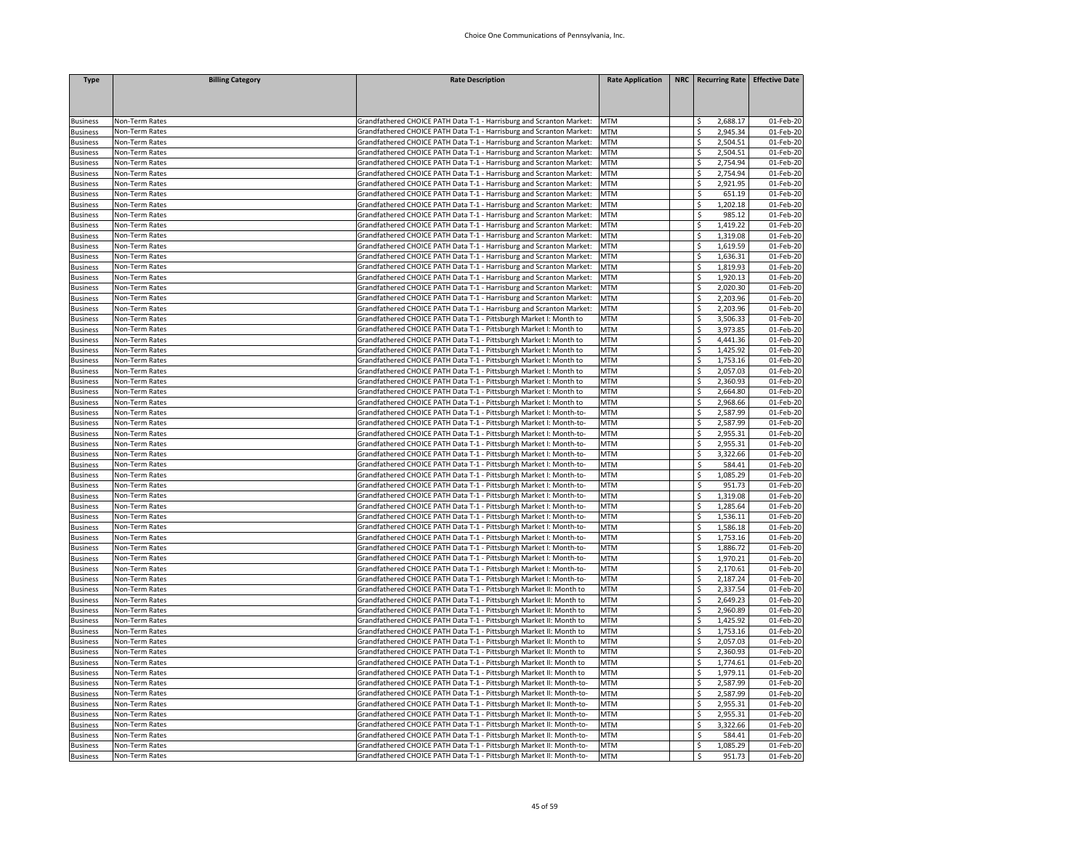## Choice One Communications of Pennsylvania, Inc.

| <b>Type</b>                        | <b>Billing Category</b>          | <b>Rate Description</b>                                                                                                                    | <b>Rate Application</b>  | NRC   Recurring Rate   Effective Date |                         |
|------------------------------------|----------------------------------|--------------------------------------------------------------------------------------------------------------------------------------------|--------------------------|---------------------------------------|-------------------------|
|                                    |                                  |                                                                                                                                            |                          |                                       |                         |
|                                    |                                  |                                                                                                                                            |                          |                                       |                         |
| <b>Business</b>                    | Non-Term Rates                   | Grandfathered CHOICE PATH Data T-1 - Harrisburg and Scranton Market:                                                                       | <b>MTM</b>               | 2,688.17                              | 01-Feb-20               |
| <b>Business</b>                    | Non-Term Rates                   | Grandfathered CHOICE PATH Data T-1 - Harrisburg and Scranton Market:                                                                       | <b>MTM</b>               | 2,945.34<br>Ś                         | 01-Feb-20               |
| <b>Business</b>                    | Non-Term Rates                   | Grandfathered CHOICE PATH Data T-1 - Harrisburg and Scranton Market:                                                                       | <b>MTM</b>               | 2,504.51<br>\$                        | 01-Feb-20               |
| <b>Business</b>                    | Non-Term Rates                   | Grandfathered CHOICE PATH Data T-1 - Harrisburg and Scranton Market:                                                                       | <b>MTM</b>               | \$<br>2,504.51                        | 01-Feb-20               |
| <b>Business</b>                    | Non-Term Rates                   | Grandfathered CHOICE PATH Data T-1 - Harrisburg and Scranton Market:                                                                       | MTM                      | 2,754.94<br>Ś                         | 01-Feb-20               |
| <b>Business</b>                    | Non-Term Rates                   | Grandfathered CHOICE PATH Data T-1 - Harrisburg and Scranton Market:                                                                       | <b>MTM</b>               | 2,754.94<br>Ś                         | 01-Feb-20               |
| Business                           | Non-Term Rates                   | Grandfathered CHOICE PATH Data T-1 - Harrisburg and Scranton Market:                                                                       | MTM                      | \$<br>2,921.95                        | 01-Feb-20               |
| <b>Business</b>                    | Non-Term Rates                   | Grandfathered CHOICE PATH Data T-1 - Harrisburg and Scranton Market:                                                                       | <b>MTM</b>               | \$<br>651.19                          | 01-Feb-20               |
| <b>Business</b>                    | Non-Term Rates                   | Grandfathered CHOICE PATH Data T-1 - Harrisburg and Scranton Market:                                                                       | <b>MTM</b>               | 1,202.18<br>\$                        | 01-Feb-20               |
| <b>Business</b>                    | Non-Term Rates                   | Grandfathered CHOICE PATH Data T-1 - Harrisburg and Scranton Market:                                                                       | <b>MTM</b>               | Ś<br>985.12                           | 01-Feb-20               |
| <b>Business</b>                    | Non-Term Rates                   | Grandfathered CHOICE PATH Data T-1 - Harrisburg and Scranton Market:                                                                       | <b>MTM</b>               | \$<br>1,419.22                        | $01$ -Feb-20            |
| <b>Business</b>                    | Non-Term Rates                   | Grandfathered CHOICE PATH Data T-1 - Harrisburg and Scranton Market:                                                                       | <b>MTM</b>               | \$<br>1,319.08                        | 01-Feb-20               |
| <b>Business</b>                    | Non-Term Rates                   | Grandfathered CHOICE PATH Data T-1 - Harrisburg and Scranton Market:                                                                       | <b>MTM</b>               | Ś<br>1,619.59                         | 01-Feb-20               |
| Business                           | Non-Term Rates                   | Grandfathered CHOICE PATH Data T-1 - Harrisburg and Scranton Market:                                                                       | <b>MTM</b>               | \$<br>1,636.31                        | 01-Feb-20               |
| <b>Business</b>                    | Non-Term Rates                   | Grandfathered CHOICE PATH Data T-1 - Harrisburg and Scranton Market:                                                                       | <b>MTM</b>               | \$<br>1,819.93                        | 01-Feb-20               |
| <b>Business</b>                    | Non-Term Rates                   | Grandfathered CHOICE PATH Data T-1 - Harrisburg and Scranton Market:                                                                       | <b>MTM</b>               | 1,920.13<br>\$                        | 01-Feb-20               |
| <b>Business</b>                    | Non-Term Rates                   | Grandfathered CHOICE PATH Data T-1 - Harrisburg and Scranton Market:                                                                       | <b>MTM</b>               | 2,020.30<br>\$                        | 01-Feb-20               |
| <b>Business</b>                    | Non-Term Rates                   | Grandfathered CHOICE PATH Data T-1 - Harrisburg and Scranton Market:                                                                       | <b>MTM</b>               | \$<br>2,203.96                        | 01-Feb-20               |
| <b>Business</b>                    | Non-Term Rates                   | Grandfathered CHOICE PATH Data T-1 - Harrisburg and Scranton Market:                                                                       | <b>MTM</b>               | \$<br>2,203.96                        | 01-Feb-20               |
| <b>Business</b>                    | Non-Term Rates                   | Grandfathered CHOICE PATH Data T-1 - Pittsburgh Market I: Month to<br>Grandfathered CHOICE PATH Data T-1 - Pittsburgh Market I: Month to   | <b>MTM</b>               | 3,506.33<br>\$<br>\$<br>3,973.85      | 01-Feb-20               |
| <b>Business</b>                    | Non-Term Rates<br>Non-Term Rates | Grandfathered CHOICE PATH Data T-1 - Pittsburgh Market I: Month to                                                                         | <b>MTM</b><br><b>MTM</b> | Ś<br>4,441.36                         | 01-Feb-20<br>01-Feb-20  |
| <b>Business</b><br><b>Business</b> | Non-Term Rates                   | Grandfathered CHOICE PATH Data T-1 - Pittsburgh Market I: Month to                                                                         | <b>MTM</b>               | 1,425.92<br>\$                        | 01-Feb-20               |
| <b>Business</b>                    | Non-Term Rates                   | Grandfathered CHOICE PATH Data T-1 - Pittsburgh Market I: Month to                                                                         | <b>MTM</b>               | 1,753.16<br>Ś                         | 01-Feb-20               |
| <b>Business</b>                    | Non-Term Rates                   | Grandfathered CHOICE PATH Data T-1 - Pittsburgh Market I: Month to                                                                         | <b>MTM</b>               | \$<br>2,057.03                        | 01-Feb-20               |
| <b>Business</b>                    | Non-Term Rates                   | Grandfathered CHOICE PATH Data T-1 - Pittsburgh Market I: Month to                                                                         | <b>MTM</b>               | \$<br>2,360.93                        | 01-Feb-20               |
| <b>Business</b>                    | Non-Term Rates                   | Grandfathered CHOICE PATH Data T-1 - Pittsburgh Market I: Month to                                                                         | MTM                      | 2,664.80<br>Ś                         | 01-Feb-20               |
| <b>Business</b>                    | Non-Term Rates                   | Grandfathered CHOICE PATH Data T-1 - Pittsburgh Market I: Month to                                                                         | <b>MTM</b>               | 2,968.66<br>Ś                         | 01-Feb-20               |
| <b>Business</b>                    | Non-Term Rates                   | Grandfathered CHOICE PATH Data T-1 - Pittsburgh Market I: Month-to-                                                                        | MTM                      | \$<br>2,587.99                        | 01-Feb-20               |
| <b>Business</b>                    | Non-Term Rates                   | Grandfathered CHOICE PATH Data T-1 - Pittsburgh Market I: Month-to-                                                                        | <b>MTM</b>               | \$<br>2,587.99                        | 01-Feb-20               |
| <b>Business</b>                    | Non-Term Rates                   | Grandfathered CHOICE PATH Data T-1 - Pittsburgh Market I: Month-to-                                                                        | <b>MTM</b>               | 2,955.31<br>\$                        | 01-Feb-20               |
| <b>Business</b>                    | Non-Term Rates                   | Grandfathered CHOICE PATH Data T-1 - Pittsburgh Market I: Month-to-                                                                        | <b>MTM</b>               | \$<br>2,955.31                        | 01-Feb-20               |
| <b>Business</b>                    | Non-Term Rates                   | Grandfathered CHOICE PATH Data T-1 - Pittsburgh Market I: Month-to-                                                                        | MTM                      | \$<br>3,322.66                        | 01-Feb-20               |
| <b>Business</b>                    | Non-Term Rates                   | Grandfathered CHOICE PATH Data T-1 - Pittsburgh Market I: Month-to-                                                                        | <b>MTM</b>               | 584.41<br>\$                          | 01-Feb-20               |
| <b>Business</b>                    | Non-Term Rates                   | Grandfathered CHOICE PATH Data T-1 - Pittsburgh Market I: Month-to-                                                                        | <b>MTM</b>               | 1,085.29<br>\$                        | 01-Feb-20               |
| <b>Business</b>                    | Non-Term Rates                   | Grandfathered CHOICE PATH Data T-1 - Pittsburgh Market I: Month-to-                                                                        | <b>MTM</b>               | \$<br>951.73                          | 01-Feb-20               |
| <b>Business</b>                    | Non-Term Rates                   | Grandfathered CHOICE PATH Data T-1 - Pittsburgh Market I: Month-to-                                                                        | <b>MTM</b>               | 1,319.08<br>\$                        | 01-Feb-20               |
| <b>Business</b>                    | Non-Term Rates                   | Grandfathered CHOICE PATH Data T-1 - Pittsburgh Market I: Month-to-                                                                        | <b>MTM</b>               | 1,285.64<br>Ś                         | 01-Feb-20               |
| <b>Business</b>                    | Non-Term Rates                   | Grandfathered CHOICE PATH Data T-1 - Pittsburgh Market I: Month-to-                                                                        | <b>MTM</b>               | \$<br>1,536.11                        | 01-Feb-20               |
| <b>Business</b>                    | Non-Term Rates                   | Grandfathered CHOICE PATH Data T-1 - Pittsburgh Market I: Month-to-                                                                        | <b>MTM</b>               | \$<br>1,586.18                        | 01-Feb-20               |
| <b>Business</b>                    | Non-Term Rates                   | Grandfathered CHOICE PATH Data T-1 - Pittsburgh Market I: Month-to-                                                                        | <b>MTM</b>               | 1,753.16<br>Ś                         | 01-Feb-20               |
| <b>Business</b>                    | Non-Term Rates                   | Grandfathered CHOICE PATH Data T-1 - Pittsburgh Market I: Month-to-                                                                        | <b>MTM</b>               | 1,886.72<br>\$.                       | 01-Feb-20               |
| <b>Business</b>                    | Non-Term Rates                   | Grandfathered CHOICE PATH Data T-1 - Pittsburgh Market I: Month-to-                                                                        | MTM                      | \$<br>1,970.21                        | 01-Feb-20               |
| <b>Business</b>                    | Non-Term Rates                   | Grandfathered CHOICE PATH Data T-1 - Pittsburgh Market I: Month-to-                                                                        | MTM                      | Ś<br>2,170.61                         | 01-Feb-20               |
| <b>Business</b>                    | Non-Term Rates                   | Grandfathered CHOICE PATH Data T-1 - Pittsburgh Market I: Month-to-                                                                        | <b>MTM</b>               | 2,187.24<br>Ś                         | 01-Feb-20               |
| <b>Business</b>                    | Non-Term Rates                   | Grandfathered CHOICE PATH Data T-1 - Pittsburgh Market II: Month to                                                                        | <b>MTM</b>               | 2,337.54<br>Ś                         | 01-Feb-20               |
| <b>Business</b>                    | Non-Term Rates                   | Grandfathered CHOICE PATH Data T-1 - Pittsburgh Market II: Month to                                                                        | MTM                      | \$<br>2,649.23                        | 01-Feb-20               |
| <b>Business</b>                    | Non-Term Rates                   | Grandfathered CHOICE PATH Data T-1 - Pittsburgh Market II: Month to                                                                        | <b>MTM</b><br><b>MTM</b> | \$<br>2,960.89<br>1,425.92            | 01-Feb-20<br>01-Feb-20  |
| <b>Business</b>                    | Non-Term Rates<br>Non-Term Rates | Grandfathered CHOICE PATH Data T-1 - Pittsburgh Market II: Month to<br>Grandfathered CHOICE PATH Data T-1 - Pittsburgh Market II: Month to | <b>MTM</b>               | \$<br>1,753.16<br>Ś                   | 01-Feb-20               |
| <b>Business</b><br><b>Business</b> | Non-Term Rates                   | Grandfathered CHOICE PATH Data T-1 - Pittsburgh Market II: Month to                                                                        | MTM                      | \$<br>2,057.03                        | 01-Feb-20               |
| <b>Business</b>                    | Non-Term Rates                   | Grandfathered CHOICE PATH Data T-1 - Pittsburgh Market II: Month to                                                                        | <b>MTM</b>               | \$<br>2,360.93                        | 01-Feb-20               |
| <b>Business</b>                    | Non-Term Rates                   | Grandfathered CHOICE PATH Data T-1 - Pittsburgh Market II: Month to                                                                        | <b>MTM</b>               | 1,774.61<br>Ś                         | 01-Feb-20               |
| <b>Business</b>                    | Non-Term Rates                   | Grandfathered CHOICE PATH Data T-1 - Pittsburgh Market II: Month to                                                                        | MTM                      | \$<br>1,979.11                        | 01-Feb-20               |
| <b>Business</b>                    | Non-Term Rates                   | Grandfathered CHOICE PATH Data T-1 - Pittsburgh Market II: Month-to-                                                                       | <b>MTM</b>               | \$<br>2,587.99                        | 01-Feb-20               |
| <b>Business</b>                    | Non-Term Rates                   | Grandfathered CHOICE PATH Data T-1 - Pittsburgh Market II: Month-to-                                                                       | <b>MTM</b>               | 2,587.99<br>Ś                         | 01-Feb-20               |
| <b>Business</b>                    | Non-Term Rates                   | Grandfathered CHOICE PATH Data T-1 - Pittsburgh Market II: Month-to-                                                                       | <b>MTM</b>               | 2,955.31<br>\$                        | 01-Feb-20               |
| <b>Business</b>                    | Non-Term Rates                   | Grandfathered CHOICE PATH Data T-1 - Pittsburgh Market II: Month-to-                                                                       | MTM                      | \$<br>2,955.31                        | 01-Feb-20               |
| <b>Business</b>                    | Non-Term Rates                   | Grandfathered CHOICE PATH Data T-1 - Pittsburgh Market II: Month-to-                                                                       | <b>MTM</b>               | \$<br>3,322.66                        | 01-Feb-20               |
| <b>Business</b>                    | Non-Term Rates                   | Grandfathered CHOICE PATH Data T-1 - Pittsburgh Market II: Month-to-                                                                       | <b>MTM</b>               | 584.41<br>Ŝ.                          | 01-Feb-20               |
| <b>Business</b>                    | Non-Term Rates                   | Grandfathered CHOICE PATH Data T-1 - Pittsburgh Market II: Month-to-                                                                       | <b>MTM</b>               | \$<br>1,085.29                        | 01-Feb-20               |
| <b>Business</b>                    | Non-Term Rates                   | Grandfathered CHOICE PATH Data T-1 - Pittsburgh Market II: Month-to-                                                                       | <b>MTM</b>               | \$<br>951.73                          | $\overline{01}$ -Feb-20 |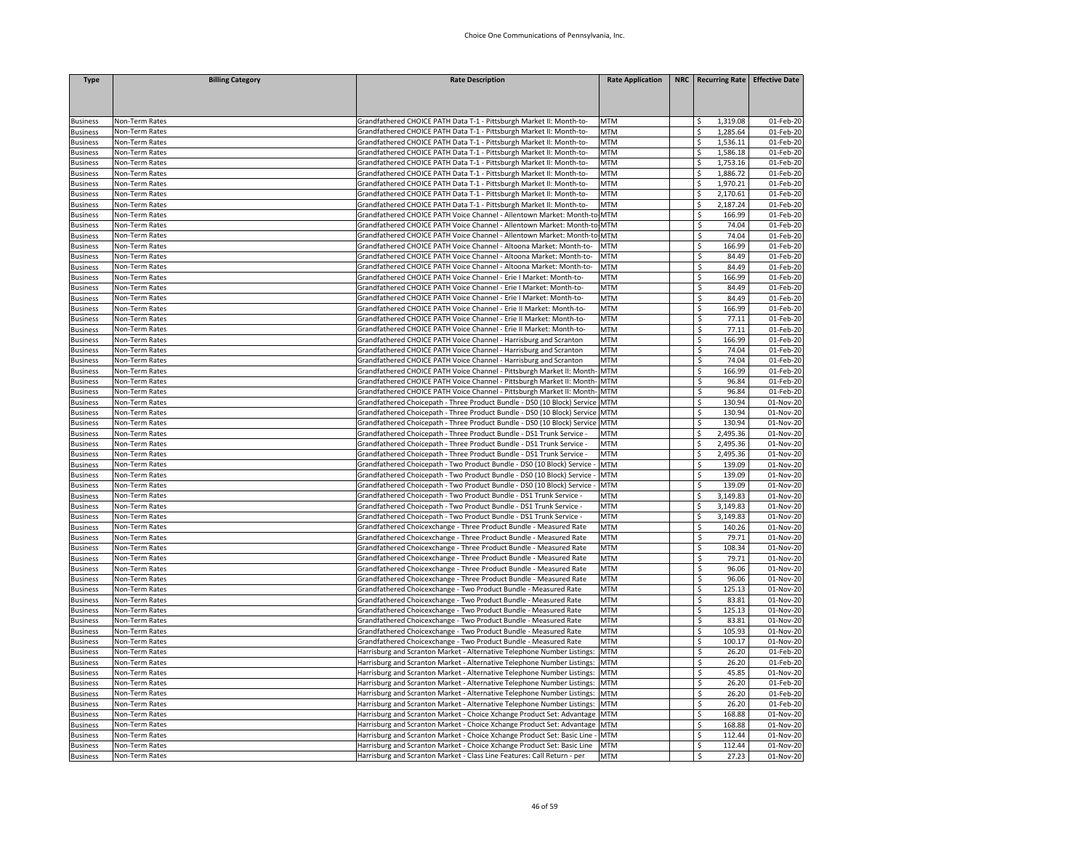## Choice One Communications of Pennsylvania, Inc.

| <b>Type</b>                        | <b>Billing Category</b>          | <b>Rate Description</b>                                                                                                                      | <b>Rate Application</b>  | NRC   Recurring Rate   Effective Date |                         |
|------------------------------------|----------------------------------|----------------------------------------------------------------------------------------------------------------------------------------------|--------------------------|---------------------------------------|-------------------------|
|                                    |                                  |                                                                                                                                              |                          |                                       |                         |
|                                    |                                  |                                                                                                                                              |                          |                                       |                         |
|                                    |                                  |                                                                                                                                              |                          |                                       |                         |
| <b>Business</b>                    | Non-Term Rates                   | Grandfathered CHOICE PATH Data T-1 - Pittsburgh Market II: Month-to-                                                                         | <b>MTM</b>               | 1,319.08                              | 01-Feb-20               |
| <b>Business</b>                    | Non-Term Rates                   | Grandfathered CHOICE PATH Data T-1 - Pittsburgh Market II: Month-to-                                                                         | <b>MTM</b>               | \$<br>1,285.64                        | 01-Feb-20               |
| <b>Business</b>                    | Non-Term Rates                   | Grandfathered CHOICE PATH Data T-1 - Pittsburgh Market II: Month-to-                                                                         | MTM                      | Ŝ.<br>1,536.11                        | 01-Feb-20               |
| <b>Business</b>                    | Non-Term Rates                   | Grandfathered CHOICE PATH Data T-1 - Pittsburgh Market II: Month-to-                                                                         | <b>MTM</b>               | \$<br>1,586.18                        | 01-Feb-20               |
| <b>Business</b>                    | Non-Term Rates                   | Grandfathered CHOICE PATH Data T-1 - Pittsburgh Market II: Month-to-                                                                         | <b>MTM</b>               | 1,753.16<br>\$<br>Ś<br>1,886.72       | 01-Feb-20<br>01-Feb-20  |
| <b>Business</b><br><b>Business</b> | Non-Term Rates<br>Non-Term Rates | Grandfathered CHOICE PATH Data T-1 - Pittsburgh Market II: Month-to-<br>Grandfathered CHOICE PATH Data T-1 - Pittsburgh Market II: Month-to- | <b>MTM</b><br><b>MTM</b> | 1,970.21<br>\$                        | 01-Feb-20               |
| <b>Business</b>                    | Non-Term Rates                   | Grandfathered CHOICE PATH Data T-1 - Pittsburgh Market II: Month-to-                                                                         | <b>MTM</b>               | 2,170.61<br>\$                        | 01-Feb-20               |
| <b>Business</b>                    | Non-Term Rates                   | Grandfathered CHOICE PATH Data T-1 - Pittsburgh Market II: Month-to-                                                                         | <b>MTM</b>               | \$<br>2,187.24                        | 01-Feb-20               |
| <b>Business</b>                    | Non-Term Rates                   | Grandfathered CHOICE PATH Voice Channel - Allentown Market: Month-t                                                                          | <b>MTM</b>               | \$<br>166.99                          | 01-Feb-20               |
| Business                           | Non-Term Rates                   | Grandfathered CHOICE PATH Voice Channel - Allentown Market: Month-to-MTM                                                                     |                          | \$<br>74.04                           | 01-Feb-20               |
| <b>Business</b>                    | Non-Term Rates                   | Grandfathered CHOICE PATH Voice Channel - Allentown Market: Month-to-MTM                                                                     |                          | \$<br>74.04                           | 01-Feb-20               |
| Business                           | Non-Term Rates                   | Grandfathered CHOICE PATH Voice Channel - Altoona Market: Month-to-                                                                          | <b>MTM</b>               | \$<br>166.99                          | 01-Feb-20               |
| Business                           | Non-Term Rates                   | Grandfathered CHOICE PATH Voice Channel - Altoona Market: Month-to-                                                                          | MTM                      | \$<br>84.49                           | 01-Feb-20               |
| <b>Business</b>                    | Non-Term Rates                   | Grandfathered CHOICE PATH Voice Channel - Altoona Market: Month-to-                                                                          | <b>MTM</b>               | \$<br>84.49                           | 01-Feb-20               |
| <b>Business</b>                    | Non-Term Rates                   | Grandfathered CHOICE PATH Voice Channel - Erie I Market: Month-to-                                                                           | <b>MTM</b>               | \$<br>166.99                          | 01-Feb-20               |
| <b>Business</b>                    | Non-Term Rates                   | Grandfathered CHOICE PATH Voice Channel - Erie I Market: Month-to-                                                                           | MTM                      | \$<br>84.49                           | 01-Feb-20               |
| <b>Business</b>                    | Non-Term Rates                   | Grandfathered CHOICE PATH Voice Channel - Erie I Market: Month-to-                                                                           | <b>MTM</b>               | \$<br>84.49                           | $\overline{01}$ -Feb-20 |
| <b>Business</b>                    | Non-Term Rates                   | Grandfathered CHOICE PATH Voice Channel - Erie II Market: Month-to-                                                                          | <b>MTM</b>               | \$<br>166.99                          | 01-Feb-20               |
| <b>Business</b>                    | Non-Term Rates                   | Grandfathered CHOICE PATH Voice Channel - Erie II Market: Month-to-                                                                          | <b>MTM</b>               | \$<br>77.11                           | 01-Feb-20               |
| <b>Business</b>                    | Non-Term Rates                   | Grandfathered CHOICE PATH Voice Channel - Erie II Market: Month-to-                                                                          | MTM                      | \$<br>77.11                           | 01-Feb-20               |
| Business                           | Non-Term Rates                   | Grandfathered CHOICE PATH Voice Channel - Harrisburg and Scranton                                                                            | <b>MTM</b>               | \$<br>166.99                          | 01-Feb-20               |
| <b>Business</b>                    | Non-Term Rates                   | Grandfathered CHOICE PATH Voice Channel - Harrisburg and Scranton                                                                            | <b>MTM</b>               | \$<br>74.04                           | 01-Feb-20               |
| Business                           | Non-Term Rates                   | Grandfathered CHOICE PATH Voice Channel - Harrisburg and Scranton                                                                            | <b>MTM</b>               | \$<br>74.04                           | 01-Feb-20               |
| <b>Business</b>                    | Non-Term Rates                   | Grandfathered CHOICE PATH Voice Channel - Pittsburgh Market II: Month                                                                        | <b>MTM</b>               | \$<br>166.99                          | 01-Feb-20               |
| <b>Business</b>                    | Non-Term Rates                   | Grandfathered CHOICE PATH Voice Channel - Pittsburgh Market II: Month- MTM                                                                   |                          | \$<br>96.84                           | 01-Feb-20               |
| <b>Business</b>                    | Non-Term Rates                   | Grandfathered CHOICE PATH Voice Channel - Pittsburgh Market II: Month-                                                                       | <b>MTM</b>               | \$<br>96.84                           | 01-Feb-20               |
| Business                           | Non-Term Rates                   | Grandfathered Choicepath - Three Product Bundle - DS0 (10 Block) Service                                                                     | <b>MTM</b>               | \$<br>130.94                          | 01-Nov-20               |
| Business                           | Non-Term Rates                   | Grandfathered Choicepath - Three Product Bundle - DS0 (10 Block) Service                                                                     | <b>MTM</b>               | \$<br>130.94                          | 01-Nov-20               |
| <b>Business</b>                    | Non-Term Rates                   | Grandfathered Choicepath - Three Product Bundle - DS0 (10 Block) Service                                                                     | <b>MTM</b>               | \$<br>130.94                          | 01-Nov-20               |
| <b>Business</b>                    | Non-Term Rates                   | Grandfathered Choicepath - Three Product Bundle - DS1 Trunk Service -                                                                        | <b>MTM</b>               | \$<br>2,495.36                        | 01-Nov-20               |
| <b>Business</b>                    | Non-Term Rates                   | Grandfathered Choicepath - Three Product Bundle - DS1 Trunk Service -                                                                        | <b>MTM</b>               | 2,495.36<br>\$                        | 01-Nov-20               |
| <b>Business</b>                    | Non-Term Rates                   | Grandfathered Choicepath - Three Product Bundle - DS1 Trunk Service -                                                                        | <b>MTM</b>               | Ś<br>2,495.36                         | 01-Nov-20               |
| <b>Business</b>                    | Non-Term Rates                   | Grandfathered Choicepath - Two Product Bundle - DS0 (10 Block) Service                                                                       | <b>MTM</b>               | \$<br>139.09                          | 01-Nov-20               |
| <b>Business</b>                    | Non-Term Rates                   | Grandfathered Choicepath - Two Product Bundle - DS0 (10 Block) Service                                                                       | <b>MTM</b>               | Ś.<br>139.09                          | 01-Nov-20               |
| <b>Business</b>                    | Non-Term Rates                   | Grandfathered Choicepath - Two Product Bundle - DS0 (10 Block) Service                                                                       | <b>MTM</b>               | \$<br>139.09                          | 01-Nov-20               |
| <b>Business</b>                    | Non-Term Rates                   | Grandfathered Choicepath - Two Product Bundle - DS1 Trunk Service -                                                                          | MTM<br><b>MTM</b>        | \$<br>3,149.83<br>3,149.83            | 01-Nov-20<br>01-Nov-20  |
| <b>Business</b>                    | Non-Term Rates                   | Grandfathered Choicepath - Two Product Bundle - DS1 Trunk Service -                                                                          | <b>MTM</b>               | \$<br>\$<br>3,149.83                  | 01-Nov-20               |
| <b>Business</b>                    | Non-Term Rates<br>Non-Term Rates | Grandfathered Choicepath - Two Product Bundle - DS1 Trunk Service -<br>Grandfathered Choicexchange - Three Product Bundle - Measured Rate    | <b>MTM</b>               | \$<br>140.26                          | 01-Nov-20               |
| <b>Business</b><br><b>Business</b> | Non-Term Rates                   | Grandfathered Choicexchange - Three Product Bundle - Measured Rate                                                                           | <b>MTM</b>               | \$<br>79.71                           | 01-Nov-20               |
| <b>Business</b>                    | Non-Term Rates                   | Grandfathered Choicexchange - Three Product Bundle - Measured Rate                                                                           | <b>MTM</b>               | \$<br>108.34                          | 01-Nov-20               |
| <b>Business</b>                    | Non-Term Rates                   | Grandfathered Choicexchange - Three Product Bundle - Measured Rate                                                                           | <b>MTM</b>               | \$<br>79.71                           | 01-Nov-20               |
| Business                           | Non-Term Rates                   | Grandfathered Choicexchange - Three Product Bundle - Measured Rate                                                                           | MTM                      | \$<br>96.06                           | 01-Nov-20               |
| <b>Business</b>                    | Non-Term Rates                   | Grandfathered Choicexchange - Three Product Bundle - Measured Rate                                                                           | <b>MTM</b>               | \$<br>96.06                           | 01-Nov-20               |
| <b>Business</b>                    | Non-Term Rates                   | Grandfathered Choicexchange - Two Product Bundle - Measured Rate                                                                             | MTM                      | \$<br>125.13                          | 01-Nov-20               |
| <b>Business</b>                    | Non-Term Rates                   | Grandfathered Choicexchange - Two Product Bundle - Measured Rate                                                                             | MTM                      | \$<br>83.81                           | 01-Nov-20               |
| <b>Business</b>                    | Non-Term Rates                   | Grandfathered Choicexchange - Two Product Bundle - Measured Rate                                                                             | <b>MTM</b>               | \$<br>125.13                          | 01-Nov-20               |
| <b>Business</b>                    | Non-Term Rates                   | Grandfathered Choicexchange - Two Product Bundle - Measured Rate                                                                             | <b>MTM</b>               | \$<br>83.81                           | 01-Nov-20               |
| Business                           | Non-Term Rates                   | Grandfathered Choicexchange - Two Product Bundle - Measured Rate                                                                             | MTM                      | \$<br>105.93                          | 01-Nov-20               |
| <b>Business</b>                    | Non-Term Rates                   | Grandfathered Choicexchange - Two Product Bundle - Measured Rate                                                                             | MTM                      | \$<br>100.17                          | 01-Nov-20               |
| <b>Business</b>                    | Non-Term Rates                   | Harrisburg and Scranton Market - Alternative Telephone Number Listings                                                                       | <b>MTM</b>               | \$<br>26.20                           | 01-Feb-20               |
| <b>Business</b>                    | Non-Term Rates                   | Harrisburg and Scranton Market - Alternative Telephone Number Listings:                                                                      | <b>MTM</b>               | \$<br>26.20                           | 01-Feb-20               |
| <b>Business</b>                    | Non-Term Rates                   | Harrisburg and Scranton Market - Alternative Telephone Number Listings:                                                                      | <b>MTM</b>               | \$<br>45.85                           | 01-Nov-20               |
| <b>Business</b>                    | Non-Term Rates                   | Harrisburg and Scranton Market - Alternative Telephone Number Listings:                                                                      | <b>MTM</b>               | \$<br>26.20                           | 01-Feb-20               |
| <b>Business</b>                    | Non-Term Rates                   | Harrisburg and Scranton Market - Alternative Telephone Number Listings:                                                                      | <b>MTM</b>               | \$<br>26.20                           | 01-Feb-20               |
| Business                           | Non-Term Rates                   | Harrisburg and Scranton Market - Alternative Telephone Number Listings:                                                                      | <b>MTM</b>               | \$<br>26.20                           | 01-Feb-20               |
| <b>Business</b>                    | Non-Term Rates                   | Harrisburg and Scranton Market - Choice Xchange Product Set: Advantage                                                                       | <b>MTM</b>               | \$<br>168.88                          | 01-Nov-20               |
| <b>Business</b>                    | Non-Term Rates                   | Harrisburg and Scranton Market - Choice Xchange Product Set: Advantage                                                                       | <b>MTM</b>               | \$<br>168.88                          | 01-Nov-20               |
| <b>Business</b>                    | Non-Term Rates                   | Harrisburg and Scranton Market - Choice Xchange Product Set: Basic Line                                                                      | <b>MTM</b>               | \$<br>112.44                          | 01-Nov-20               |
| <b>Business</b>                    | Non-Term Rates                   | Harrisburg and Scranton Market - Choice Xchange Product Set: Basic Line                                                                      | <b>MTM</b>               | \$<br>112.44                          | 01-Nov-20               |
| <b>Business</b>                    | Non-Term Rates                   | Harrisburg and Scranton Market - Class Line Features: Call Return - per                                                                      | <b>MTM</b>               | \$<br>27.23                           | 01-Nov-20               |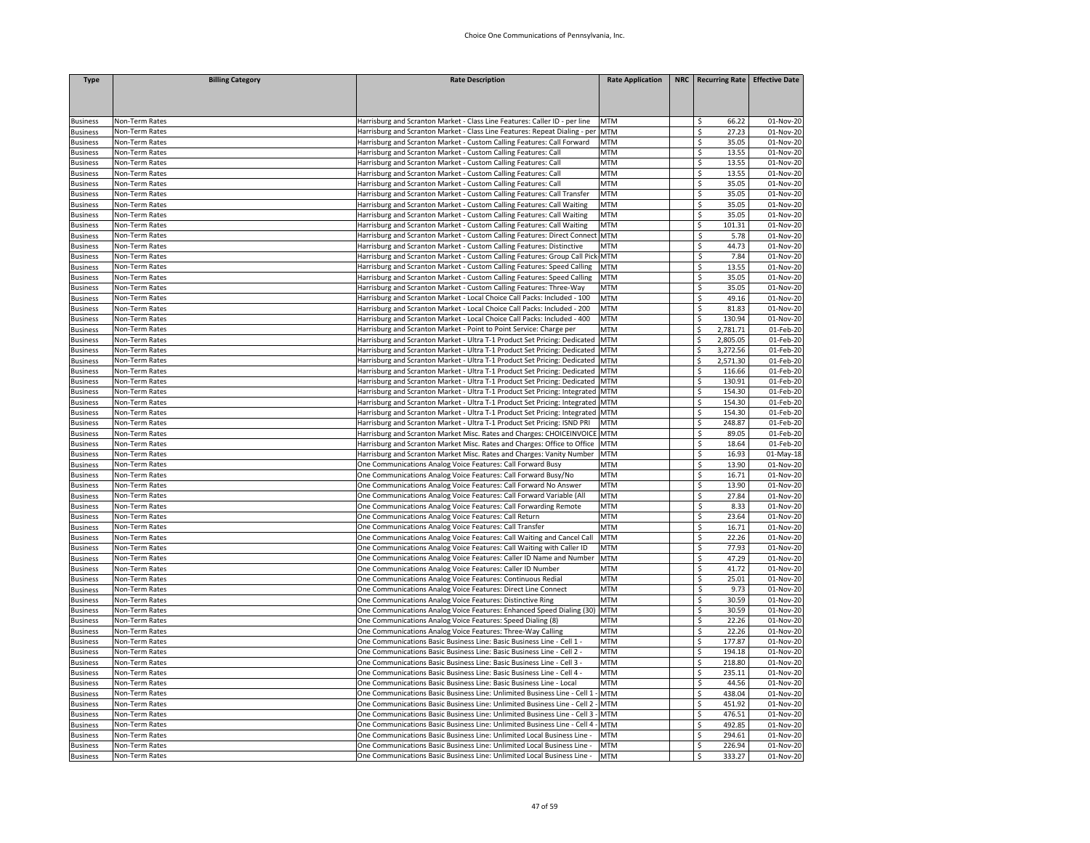| <b>Type</b>                        | <b>Billing Category</b>          | <b>Rate Description</b>                                                                                                                                  | <b>Rate Application</b>  | NRC   Recurring Rate   Effective Date |                        |
|------------------------------------|----------------------------------|----------------------------------------------------------------------------------------------------------------------------------------------------------|--------------------------|---------------------------------------|------------------------|
|                                    |                                  |                                                                                                                                                          |                          |                                       |                        |
|                                    |                                  |                                                                                                                                                          |                          |                                       |                        |
|                                    |                                  |                                                                                                                                                          |                          |                                       |                        |
| <b>Business</b>                    | Non-Term Rates                   | Harrisburg and Scranton Market - Class Line Features: Caller ID - per line<br>Harrisburg and Scranton Market - Class Line Features: Repeat Dialing - per | <b>MTM</b><br><b>MTM</b> | \$<br>66.22<br>\$<br>27.23            | 01-Nov-20<br>01-Nov-20 |
| <b>Business</b><br><b>Business</b> | Non-Term Rates<br>Non-Term Rates | Harrisburg and Scranton Market - Custom Calling Features: Call Forward                                                                                   | <b>MTM</b>               | \$<br>35.05                           | 01-Nov-20              |
| <b>Business</b>                    | Non-Term Rates                   | Harrisburg and Scranton Market - Custom Calling Features: Call                                                                                           | MTM                      | \$<br>13.55                           | 01-Nov-20              |
| <b>Business</b>                    | Non-Term Rates                   | Harrisburg and Scranton Market - Custom Calling Features: Call                                                                                           | <b>MTM</b>               | \$<br>13.55                           | 01-Nov-20              |
| <b>Business</b>                    | Non-Term Rates                   | Harrisburg and Scranton Market - Custom Calling Features: Call                                                                                           | <b>MTM</b>               | \$<br>13.55                           | 01-Nov-20              |
| <b>Business</b>                    | Non-Term Rates                   | Harrisburg and Scranton Market - Custom Calling Features: Call                                                                                           | <b>MTM</b>               | \$<br>35.05                           | 01-Nov-20              |
| <b>Business</b>                    | Non-Term Rates                   | Harrisburg and Scranton Market - Custom Calling Features: Call Transfer                                                                                  | <b>MTM</b>               | \$<br>35.05                           | 01-Nov-20              |
| <b>Business</b>                    | Non-Term Rates                   | Harrisburg and Scranton Market - Custom Calling Features: Call Waiting                                                                                   | <b>MTM</b>               | \$<br>35.05                           | 01-Nov-20              |
| <b>Business</b>                    | Non-Term Rates                   | Harrisburg and Scranton Market - Custom Calling Features: Call Waiting                                                                                   | <b>MTM</b>               | \$<br>35.05                           | 01-Nov-20              |
| <b>Business</b>                    | Non-Term Rates                   | Harrisburg and Scranton Market - Custom Calling Features: Call Waiting                                                                                   | <b>MTM</b>               | \$<br>101.31                          | 01-Nov-20              |
| <b>Business</b>                    | Non-Term Rates                   | Harrisburg and Scranton Market - Custom Calling Features: Direct Connect MTM                                                                             |                          | \$<br>5.78                            | 01-Nov-20              |
| <b>Business</b>                    | Non-Term Rates                   | Harrisburg and Scranton Market - Custom Calling Features: Distinctive                                                                                    | <b>MTM</b>               | \$<br>44.73                           | 01-Nov-20              |
| <b>Business</b>                    | Non-Term Rates                   | Harrisburg and Scranton Market - Custom Calling Features: Group Call Pic                                                                                 | <b>MTM</b>               | \$<br>7.84                            | 01-Nov-20              |
| <b>Business</b>                    | Non-Term Rates                   | Harrisburg and Scranton Market - Custom Calling Features: Speed Calling                                                                                  | <b>MTM</b>               | \$<br>13.55                           | 01-Nov-20              |
| <b>Business</b>                    | Non-Term Rates                   | Harrisburg and Scranton Market - Custom Calling Features: Speed Calling                                                                                  | <b>MTM</b>               | \$<br>35.05                           | 01-Nov-20              |
| <b>Business</b>                    | Non-Term Rates                   | Harrisburg and Scranton Market - Custom Calling Features: Three-Way                                                                                      | <b>MTM</b>               | \$<br>35.05                           | 01-Nov-20              |
| <b>Business</b>                    | Non-Term Rates                   | Harrisburg and Scranton Market - Local Choice Call Packs: Included - 100                                                                                 | <b>MTM</b>               | \$<br>49.16                           | 01-Nov-20              |
| <b>Business</b>                    | Non-Term Rates                   | Harrisburg and Scranton Market - Local Choice Call Packs: Included - 200                                                                                 | <b>MTM</b>               | \$<br>81.83                           | 01-Nov-20              |
| <b>Business</b>                    | Non-Term Rates                   | Harrisburg and Scranton Market - Local Choice Call Packs: Included - 400                                                                                 | <b>MTM</b>               | \$<br>130.94                          | 01-Nov-20              |
| <b>Business</b>                    | Non-Term Rates                   | Harrisburg and Scranton Market - Point to Point Service: Charge per                                                                                      | <b>MTM</b>               | \$<br>2,781.71                        | 01-Feb-20              |
| <b>Business</b>                    | Non-Term Rates                   | Harrisburg and Scranton Market - Ultra T-1 Product Set Pricing: Dedicated                                                                                | <b>MTM</b>               | 2,805.05<br>\$                        | 01-Feb-20              |
| <b>Business</b>                    | Non-Term Rates                   | Harrisburg and Scranton Market - Ultra T-1 Product Set Pricing: Dedicated MTM                                                                            |                          | 3,272.56<br>\$                        | 01-Feb-20              |
| <b>Business</b>                    | Non-Term Rates                   | Harrisburg and Scranton Market - Ultra T-1 Product Set Pricing: Dedicated                                                                                | <b>MTM</b>               | \$<br>2,571.30                        | 01-Feb-20              |
| <b>Business</b>                    | Non-Term Rates                   | Harrisburg and Scranton Market - Ultra T-1 Product Set Pricing: Dedicated                                                                                | MTM                      | \$<br>116.66                          | 01-Feb-20              |
| <b>Business</b>                    | Non-Term Rates                   | Harrisburg and Scranton Market - Ultra T-1 Product Set Pricing: Dedicated                                                                                | <b>MTM</b>               | \$<br>130.91                          | 01-Feb-20              |
| <b>Business</b>                    | Non-Term Rates                   | Harrisburg and Scranton Market - Ultra T-1 Product Set Pricing: Integrated                                                                               | <b>MTM</b>               | \$<br>154.30                          | 01-Feb-20              |
| <b>Business</b>                    | Non-Term Rates                   | Harrisburg and Scranton Market - Ultra T-1 Product Set Pricing: Integrated MTM                                                                           |                          | 154.30<br>\$                          | 01-Feb-20              |
| <b>Business</b>                    | Non-Term Rates                   | Harrisburg and Scranton Market - Ultra T-1 Product Set Pricing: Integrated MTM                                                                           |                          | \$<br>154.30                          | 01-Feb-20              |
| <b>Business</b>                    | Non-Term Rates                   | Harrisburg and Scranton Market - Ultra T-1 Product Set Pricing: ISND PRI                                                                                 | MTM                      | \$<br>248.87                          | 01-Feb-20              |
| <b>Business</b>                    | Non-Term Rates                   | Harrisburg and Scranton Market Misc. Rates and Charges: CHOICEINVOICE MTM                                                                                |                          | \$<br>89.05                           | 01-Feb-20              |
| <b>Business</b>                    | Non-Term Rates                   | Harrisburg and Scranton Market Misc. Rates and Charges: Office to Office                                                                                 | <b>MTM</b>               | \$<br>18.64                           | 01-Feb-20              |
| <b>Business</b>                    | Non-Term Rates                   | Harrisburg and Scranton Market Misc. Rates and Charges: Vanity Number                                                                                    | <b>MTM</b>               | \$<br>16.93                           | 01-May-18              |
| <b>Business</b>                    | Non-Term Rates                   | One Communications Analog Voice Features: Call Forward Busy                                                                                              | MTM                      | \$<br>13.90                           | 01-Nov-20              |
| <b>Business</b>                    | Non-Term Rates                   | One Communications Analog Voice Features: Call Forward Busy/No                                                                                           | <b>MTM</b>               | \$<br>16.71                           | 01-Nov-20              |
| <b>Business</b>                    | Non-Term Rates                   | One Communications Analog Voice Features: Call Forward No Answer                                                                                         | <b>MTM</b>               | \$<br>13.90                           | 01-Nov-20              |
| <b>Business</b>                    | Non-Term Rates                   | One Communications Analog Voice Features: Call Forward Variable (All                                                                                     | <b>MTM</b>               | \$<br>27.84                           | 01-Nov-20              |
| <b>Business</b>                    | Non-Term Rates                   | One Communications Analog Voice Features: Call Forwarding Remote                                                                                         | <b>MTM</b>               | \$<br>8.33                            | 01-Nov-20              |
| <b>Business</b>                    | Non-Term Rates                   | One Communications Analog Voice Features: Call Return                                                                                                    | <b>MTM</b>               | \$<br>23.64                           | 01-Nov-20              |
| <b>Business</b>                    | Non-Term Rates                   | One Communications Analog Voice Features: Call Transfer                                                                                                  | <b>MTM</b>               | \$<br>16.71                           | 01-Nov-20              |
| <b>Business</b>                    | Non-Term Rates                   | One Communications Analog Voice Features: Call Waiting and Cancel Call                                                                                   | <b>MTM</b>               | \$<br>22.26                           | 01-Nov-20              |
| <b>Business</b>                    | Non-Term Rates                   | One Communications Analog Voice Features: Call Waiting with Caller ID                                                                                    | <b>MTM</b>               | \$<br>77.93                           | 01-Nov-20              |
| <b>Business</b>                    | Non-Term Rates                   | One Communications Analog Voice Features: Caller ID Name and Number                                                                                      | MTM                      | \$<br>47.29                           | 01-Nov-20              |
| <b>Business</b>                    | Non-Term Rates                   | One Communications Analog Voice Features: Caller ID Number                                                                                               | <b>MTM</b>               | \$<br>41.72                           | 01-Nov-20              |
| <b>Business</b>                    | Non-Term Rates                   | One Communications Analog Voice Features: Continuous Redial                                                                                              | <b>MTM</b>               | \$<br>25.01                           | 01-Nov-20              |
| <b>Business</b>                    | Non-Term Rates                   | One Communications Analog Voice Features: Direct Line Connect                                                                                            | <b>MTM</b>               | \$<br>9.73                            | 01-Nov-20              |
| <b>Business</b>                    | Non-Term Rates                   | One Communications Analog Voice Features: Distinctive Ring                                                                                               | MTM                      | \$<br>30.59                           | 01-Nov-20              |
| <b>Business</b>                    | Non-Term Rates                   | One Communications Analog Voice Features: Enhanced Speed Dialing (30) MTM                                                                                |                          | \$<br>30.59                           | 01-Nov-20              |
| <b>Business</b>                    | Non-Term Rates                   | One Communications Analog Voice Features: Speed Dialing (8)                                                                                              | <b>MTM</b>               | \$<br>22.26                           | 01-Nov-20              |
| <b>Business</b>                    | Non-Term Rates                   | One Communications Analog Voice Features: Three-Way Calling                                                                                              | <b>MTM</b>               | \$<br>22.26                           | 01-Nov-20              |
| <b>Business</b>                    | Non-Term Rates                   | One Communications Basic Business Line: Basic Business Line - Cell 1 -                                                                                   | <b>MTM</b>               | \$<br>177.87                          | 01-Nov-20              |
| <b>Business</b>                    | Non-Term Rates                   | One Communications Basic Business Line: Basic Business Line - Cell 2                                                                                     | <b>MTM</b>               | 194.18<br>\$                          | 01-Nov-20              |
| <b>Business</b>                    | Non-Term Rates                   | One Communications Basic Business Line: Basic Business Line - Cell 3                                                                                     | <b>MTM</b>               | \$<br>218.80                          | 01-Nov-20              |
| <b>Business</b>                    | Non-Term Rates                   | One Communications Basic Business Line: Basic Business Line - Cell 4 -                                                                                   | <b>MTM</b>               | \$<br>235.11                          | 01-Nov-20              |
| <b>Business</b>                    | Non-Term Rates                   | One Communications Basic Business Line: Basic Business Line - Local                                                                                      | <b>MTM</b>               | \$<br>44.56                           | 01-Nov-20              |
| <b>Business</b>                    | Non-Term Rates                   | One Communications Basic Business Line: Unlimited Business Line - Cell 1                                                                                 | MTM                      | \$<br>438.04                          | 01-Nov-20              |
| <b>Business</b>                    | Non-Term Rates                   | One Communications Basic Business Line: Unlimited Business Line - Cell 2                                                                                 | - MTM                    | \$<br>451.92                          | 01-Nov-20              |
| <b>Business</b>                    | Non-Term Rates                   | One Communications Basic Business Line: Unlimited Business Line - Cell 3                                                                                 | <b>MTM</b>               | \$<br>476.51                          | 01-Nov-20              |
| <b>Business</b>                    | Non-Term Rates                   | One Communications Basic Business Line: Unlimited Business Line - Cell 4 -                                                                               | <b>MTM</b>               | \$<br>492.85                          | 01-Nov-20              |
| <b>Business</b>                    | Non-Term Rates                   | One Communications Basic Business Line: Unlimited Local Business Line -                                                                                  | <b>MTM</b><br><b>MTM</b> | \$<br>294.61                          | 01-Nov-20              |
| <b>Business</b><br><b>Business</b> | Non-Term Rates<br>Non-Term Rates | One Communications Basic Business Line: Unlimited Local Business Line -<br>One Communications Basic Business Line: Unlimited Local Business Line -       | <b>MTM</b>               | \$<br>226.94<br>Ś<br>333.27           | 01-Nov-20<br>01-Nov-20 |
|                                    |                                  |                                                                                                                                                          |                          |                                       |                        |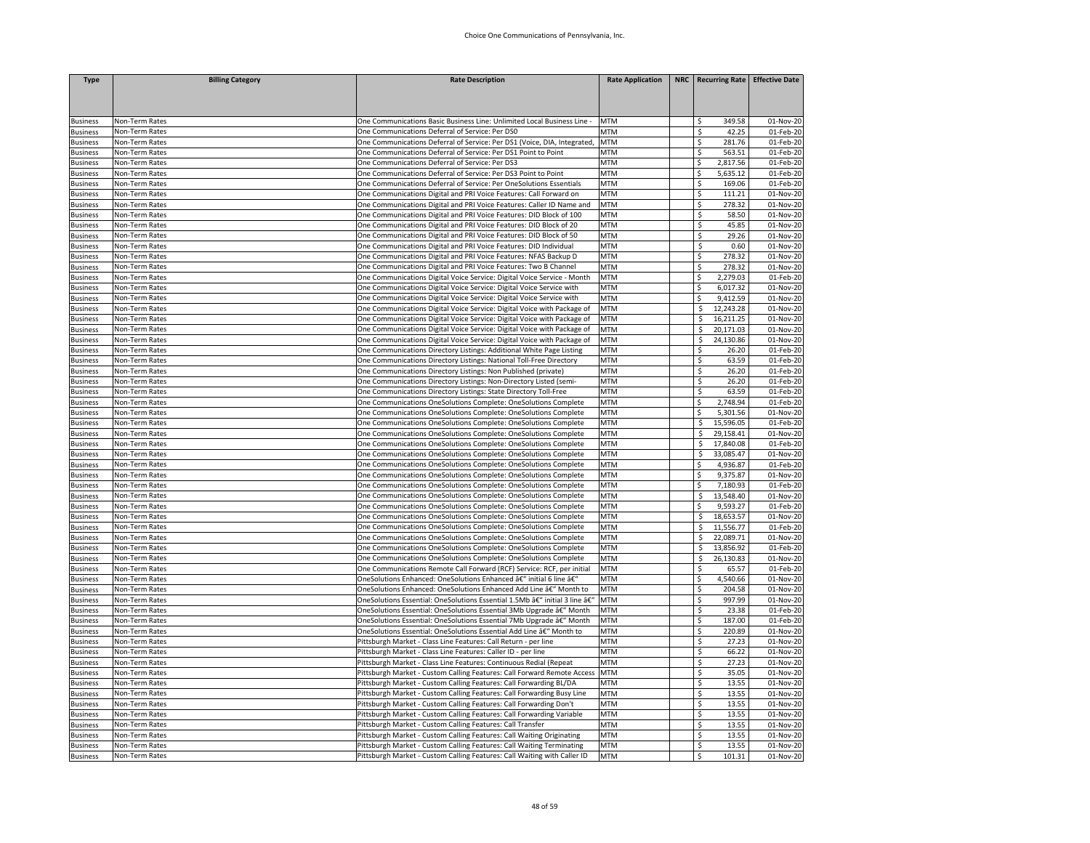| <b>Type</b>                        | <b>Billing Category</b>          | <b>Rate Description</b>                                                                                                                            | <b>Rate Application</b>  | NRC   Recurring Rate   Effective Date |                        |
|------------------------------------|----------------------------------|----------------------------------------------------------------------------------------------------------------------------------------------------|--------------------------|---------------------------------------|------------------------|
|                                    |                                  |                                                                                                                                                    |                          |                                       |                        |
|                                    |                                  |                                                                                                                                                    |                          |                                       |                        |
| <b>Business</b>                    | Non-Term Rates                   | One Communications Basic Business Line: Unlimited Local Business Line -                                                                            | <b>MTM</b>               | 349.58<br>\$                          | 01-Nov-20              |
| <b>Business</b>                    | Non-Term Rates                   | One Communications Deferral of Service: Per DS0                                                                                                    | <b>MTM</b>               | \$<br>42.25                           | 01-Feb-20              |
| <b>Business</b>                    | Non-Term Rates                   | One Communications Deferral of Service: Per DS1 (Voice, DIA, Integrated,                                                                           | <b>MTM</b>               | Ś<br>281.76                           | 01-Feb-20              |
| <b>Business</b>                    | Non-Term Rates                   | One Communications Deferral of Service: Per DS1 Point to Point                                                                                     | MTM                      | \$<br>563.51                          | 01-Feb-20              |
| <b>Business</b>                    | Non-Term Rates                   | One Communications Deferral of Service: Per DS3                                                                                                    | <b>MTM</b>               | \$<br>2,817.56                        | 01-Feb-20              |
| <b>Business</b>                    | Non-Term Rates                   | One Communications Deferral of Service: Per DS3 Point to Point                                                                                     | <b>MTM</b>               | 5,635.12<br>\$                        | 01-Feb-20              |
| <b>Business</b>                    | Non-Term Rates                   | One Communications Deferral of Service: Per OneSolutions Essentials                                                                                | <b>MTM</b>               | \$<br>169.06                          | 01-Feb-20              |
| <b>Business</b>                    | Non-Term Rates                   | One Communications Digital and PRI Voice Features: Call Forward on                                                                                 | <b>MTM</b>               | \$<br>111.21                          | 01-Nov-20              |
| <b>Business</b>                    | Non-Term Rates                   | One Communications Digital and PRI Voice Features: Caller ID Name and                                                                              | <b>MTM</b>               | \$<br>278.32                          | 01-Nov-20              |
| <b>Business</b>                    | Non-Term Rates                   | One Communications Digital and PRI Voice Features: DID Block of 100                                                                                | <b>MTM</b>               | \$<br>58.50                           | 01-Nov-20              |
| <b>Business</b>                    | Non-Term Rates                   | One Communications Digital and PRI Voice Features: DID Block of 20                                                                                 | <b>MTM</b>               | \$<br>45.85                           | 01-Nov-20              |
| <b>Business</b>                    | Non-Term Rates                   | One Communications Digital and PRI Voice Features: DID Block of 50                                                                                 | <b>MTM</b>               | \$<br>29.26                           | 01-Nov-20              |
| <b>Business</b>                    | Non-Term Rates                   | One Communications Digital and PRI Voice Features: DID Individual                                                                                  | <b>MTM</b>               | \$<br>0.60                            | 01-Nov-20              |
| <b>Business</b>                    | Non-Term Rates                   | One Communications Digital and PRI Voice Features: NFAS Backup D                                                                                   | <b>MTM</b>               | \$<br>278.32                          | 01-Nov-20              |
| <b>Business</b>                    | Non-Term Rates                   | One Communications Digital and PRI Voice Features: Two B Channel                                                                                   | <b>MTM</b>               | \$<br>278.32                          | $01-Nov-20$            |
| <b>Business</b>                    | Non-Term Rates                   | One Communications Digital Voice Service: Digital Voice Service - Month                                                                            | MTM                      | \$<br>2,279.03                        | 01-Feb-20              |
| <b>Business</b>                    | Non-Term Rates                   | One Communications Digital Voice Service: Digital Voice Service with                                                                               | <b>MTM</b>               | \$<br>6,017.32                        | 01-Nov-20              |
| <b>Business</b>                    | Non-Term Rates                   | One Communications Digital Voice Service: Digital Voice Service with                                                                               | <b>MTM</b><br><b>MTM</b> | \$<br>9,412.59<br>\$<br>12,243.28     | 01-Nov-20<br>01-Nov-20 |
| <b>Business</b><br><b>Business</b> | Non-Term Rates<br>Non-Term Rates | One Communications Digital Voice Service: Digital Voice with Package of<br>One Communications Digital Voice Service: Digital Voice with Package of | <b>MTM</b>               | \$<br>16,211.25                       | 01-Nov-20              |
| <b>Business</b>                    | Non-Term Rates                   | One Communications Digital Voice Service: Digital Voice with Package of                                                                            | <b>MTM</b>               | 20,171.03<br>\$                       | 01-Nov-20              |
| <b>Business</b>                    | Non-Term Rates                   | One Communications Digital Voice Service: Digital Voice with Package of                                                                            | <b>MTM</b>               | 24,130.86<br>\$                       | 01-Nov-20              |
| <b>Business</b>                    | Non-Term Rates                   | One Communications Directory Listings: Additional White Page Listing                                                                               | <b>MTM</b>               | 26.20<br>\$                           | 01-Feb-20              |
| <b>Business</b>                    | Non-Term Rates                   | One Communications Directory Listings: National Toll-Free Directory                                                                                | <b>MTM</b>               | \$<br>63.59                           | 01-Feb-20              |
| <b>Business</b>                    | Non-Term Rates                   | One Communications Directory Listings: Non Published (private)                                                                                     | <b>MTM</b>               | \$<br>26.20                           | 01-Feb-20              |
| <b>Business</b>                    | Non-Term Rates                   | One Communications Directory Listings: Non-Directory Listed (semi-                                                                                 | <b>MTM</b>               | \$<br>26.20                           | 01-Feb-20              |
| <b>Business</b>                    | Non-Term Rates                   | One Communications Directory Listings: State Directory Toll-Free                                                                                   | MTM                      | \$<br>63.59                           | 01-Feb-20              |
| <b>Business</b>                    | Non-Term Rates                   | One Communications OneSolutions Complete: OneSolutions Complete                                                                                    | <b>MTM</b>               | 2,748.94<br>\$                        | 01-Feb-20              |
| <b>Business</b>                    | Non-Term Rates                   | One Communications OneSolutions Complete: OneSolutions Complete                                                                                    | MTM                      | \$<br>5,301.56                        | 01-Nov-20              |
| <b>Business</b>                    | Non-Term Rates                   | One Communications OneSolutions Complete: OneSolutions Complete                                                                                    | <b>MTM</b>               | 15,596.05<br>\$                       | 01-Feb-20              |
| <b>Business</b>                    | Non-Term Rates                   | One Communications OneSolutions Complete: OneSolutions Complete                                                                                    | <b>MTM</b>               | 29,158.41<br>\$                       | 01-Nov-20              |
| <b>Business</b>                    | Non-Term Rates                   | One Communications OneSolutions Complete: OneSolutions Complete                                                                                    | <b>MTM</b>               | 17,840.08<br>\$                       | 01-Feb-20              |
| <b>Business</b>                    | Non-Term Rates                   | One Communications OneSolutions Complete: OneSolutions Complete                                                                                    | <b>MTM</b>               | 33,085.47<br>\$                       | 01-Nov-20              |
| <b>Business</b>                    | Non-Term Rates                   | One Communications OneSolutions Complete: OneSolutions Complete                                                                                    | <b>MTM</b>               | 4,936.87<br>Ś                         | 01-Feb-20              |
| <b>Business</b>                    | Non-Term Rates                   | One Communications OneSolutions Complete: OneSolutions Complete                                                                                    | <b>MTM</b>               | 9,375.87<br>Ś                         | 01-Nov-20              |
| <b>Business</b>                    | Non-Term Rates                   | One Communications OneSolutions Complete: OneSolutions Complete                                                                                    | <b>MTM</b>               | \$<br>7,180.93                        | 01-Feb-20              |
| <b>Business</b>                    | Non-Term Rates                   | One Communications OneSolutions Complete: OneSolutions Complete                                                                                    | <b>MTM</b>               | \$<br>13,548.40                       | 01-Nov-20              |
| <b>Business</b>                    | Non-Term Rates                   | One Communications OneSolutions Complete: OneSolutions Complete                                                                                    | <b>MTM</b>               | 9,593.27<br>Ś.                        | 01-Feb-20              |
| <b>Business</b>                    | Non-Term Rates                   | One Communications OneSolutions Complete: OneSolutions Complete                                                                                    | <b>MTM</b>               | \$<br>18,653.57                       | 01-Nov-20              |
| <b>Business</b>                    | Non-Term Rates                   | One Communications OneSolutions Complete: OneSolutions Complete                                                                                    | <b>MTM</b>               | \$<br>11,556.77                       | 01-Feb-20              |
| <b>Business</b><br><b>Business</b> | Non-Term Rates<br>Non-Term Rates | One Communications OneSolutions Complete: OneSolutions Complete<br>One Communications OneSolutions Complete: OneSolutions Complete                 | MTM<br><b>MTM</b>        | \$<br>22,089.71<br>\$<br>13,856.92    | 01-Nov-20<br>01-Feb-20 |
| <b>Business</b>                    | Non-Term Rates                   | One Communications OneSolutions Complete: OneSolutions Complete                                                                                    | MTM                      | 26,130.83<br>\$                       | 01-Nov-20              |
| <b>Business</b>                    | Non-Term Rates                   | One Communications Remote Call Forward (RCF) Service: RCF, per initial                                                                             | <b>MTM</b>               | Ś<br>65.57                            | 01-Feb-20              |
| <b>Business</b>                    | Non-Term Rates                   | OneSolutions Enhanced: OneSolutions Enhanced â€" initial 6 line â€"                                                                                | <b>MTM</b>               | 4,540.66<br>\$                        | 01-Nov-20              |
| <b>Business</b>                    | Non-Term Rates                   | OneSolutions Enhanced: OneSolutions Enhanced Add Line â€" Month to                                                                                 | <b>MTM</b>               | Ś<br>204.58                           | 01-Nov-20              |
| <b>Business</b>                    | Non-Term Rates                   | OneSolutions Essential: OneSolutions Essential 1.5Mb â€" initial 3 line â€                                                                         | <b>MTM</b>               | \$<br>997.99                          | 01-Nov-20              |
| <b>Business</b>                    | Non-Term Rates                   | OneSolutions Essential: OneSolutions Essential 3Mb Upgrade â€" Month                                                                               | <b>MTM</b>               | \$<br>23.38                           | 01-Feb-20              |
| <b>Business</b>                    | Non-Term Rates                   | OneSolutions Essential: OneSolutions Essential 7Mb Upgrade â€" Month                                                                               | <b>MTM</b>               | Ś.<br>187.00                          | 01-Feb-20              |
| <b>Business</b>                    | Non-Term Rates                   | OneSolutions Essential: OneSolutions Essential Add Line â€" Month to                                                                               | <b>MTM</b>               | \$<br>220.89                          | 01-Nov-20              |
| <b>Business</b>                    | Non-Term Rates                   | Pittsburgh Market - Class Line Features: Call Return - per line                                                                                    | <b>MTM</b>               | \$<br>27.23                           | 01-Nov-20              |
| <b>Business</b>                    | Non-Term Rates                   | Pittsburgh Market - Class Line Features: Caller ID - per line                                                                                      | <b>MTM</b>               | \$<br>66.22                           | 01-Nov-20              |
| <b>Business</b>                    | Non-Term Rates                   | Pittsburgh Market - Class Line Features: Continuous Redial (Repeat                                                                                 | <b>MTM</b>               | \$<br>27.23                           | 01-Nov-20              |
| <b>Business</b>                    | Non-Term Rates                   | Pittsburgh Market - Custom Calling Features: Call Forward Remote Access                                                                            | <b>MTM</b>               | \$<br>35.05                           | 01-Nov-20              |
| <b>Business</b>                    | Non-Term Rates                   | Pittsburgh Market - Custom Calling Features: Call Forwarding BL/DA                                                                                 | <b>MTM</b>               | \$<br>13.55                           | 01-Nov-20              |
| <b>Business</b>                    | Non-Term Rates                   | Pittsburgh Market - Custom Calling Features: Call Forwarding Busy Line                                                                             | <b>MTM</b>               | \$<br>13.55                           | 01-Nov-20              |
| <b>Business</b>                    | Non-Term Rates                   | Pittsburgh Market - Custom Calling Features: Call Forwarding Don't                                                                                 | <b>MTM</b>               | \$<br>13.55                           | 01-Nov-20              |
| <b>Business</b>                    | Non-Term Rates                   | Pittsburgh Market - Custom Calling Features: Call Forwarding Variable                                                                              | MTM                      | \$<br>13.55                           | 01-Nov-20              |
| <b>Business</b>                    | Non-Term Rates                   | Pittsburgh Market - Custom Calling Features: Call Transfer                                                                                         | MTM                      | \$<br>13.55                           | 01-Nov-20              |
| <b>Business</b>                    | Non-Term Rates                   | Pittsburgh Market - Custom Calling Features: Call Waiting Originating                                                                              | <b>MTM</b>               | \$<br>13.55                           | 01-Nov-20              |
| <b>Business</b>                    | Non-Term Rates                   | Pittsburgh Market - Custom Calling Features: Call Waiting Terminating                                                                              | <b>MTM</b>               | \$<br>13.55                           | 01-Nov-20              |
| <b>Business</b>                    | Non-Term Rates                   | Pittsburgh Market - Custom Calling Features: Call Waiting with Caller ID                                                                           | <b>MTM</b>               | \$<br>101.31                          | 01-Nov-20              |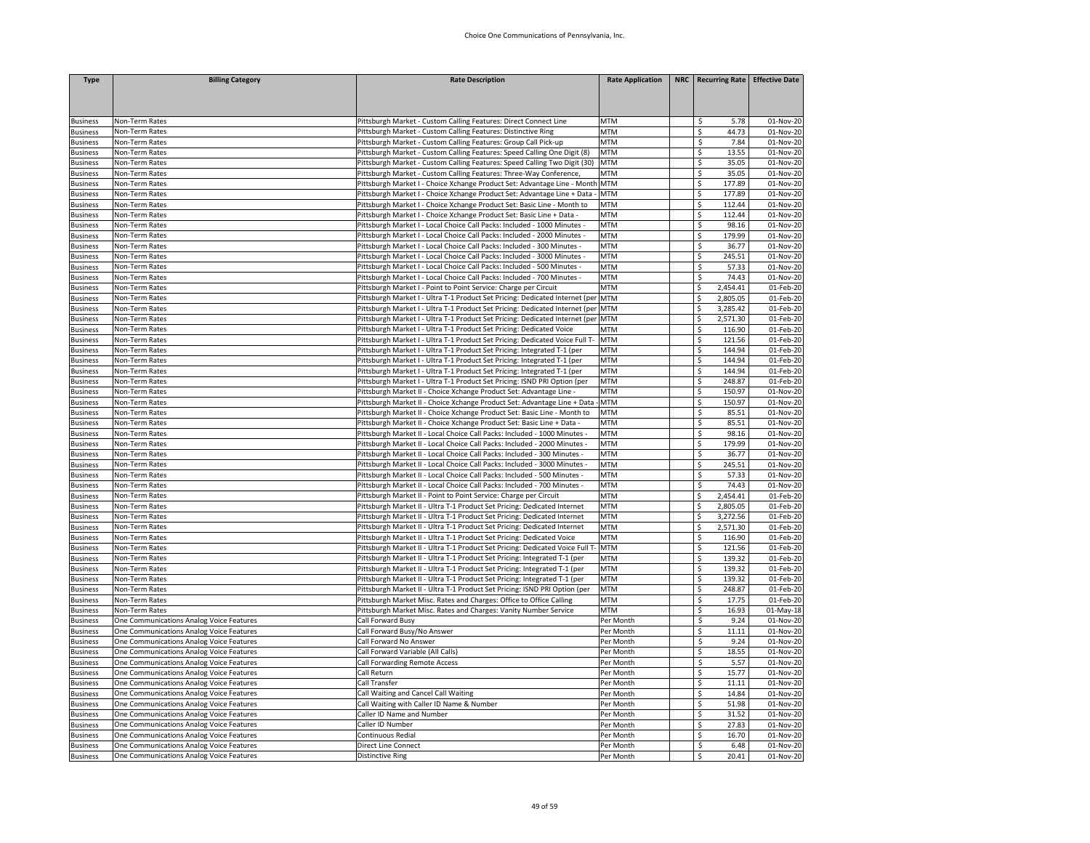| <b>Type</b>                        | <b>Billing Category</b>                  | <b>Rate Description</b>                                                                                                                       | <b>Rate Application</b> | NRC   Recurring Rate   Effective Date |                         |
|------------------------------------|------------------------------------------|-----------------------------------------------------------------------------------------------------------------------------------------------|-------------------------|---------------------------------------|-------------------------|
|                                    |                                          |                                                                                                                                               |                         |                                       |                         |
|                                    |                                          |                                                                                                                                               |                         |                                       |                         |
| <b>Business</b>                    | Non-Term Rates                           | Pittsburgh Market - Custom Calling Features: Direct Connect Line                                                                              | <b>MTM</b>              | \$<br>5.78                            | 01-Nov-20               |
| <b>Business</b>                    | Non-Term Rates                           | Pittsburgh Market - Custom Calling Features: Distinctive Ring                                                                                 | MTM                     | \$<br>44.73                           | 01-Nov-20               |
| <b>Business</b>                    | Non-Term Rates                           | Pittsburgh Market - Custom Calling Features: Group Call Pick-up                                                                               | <b>MTM</b>              | \$<br>7.84                            | 01-Nov-20               |
| <b>Business</b>                    | Non-Term Rates                           | Pittsburgh Market - Custom Calling Features: Speed Calling One Digit (8)                                                                      | <b>MTM</b>              | \$<br>13.55                           | $\overline{01}$ -Nov-20 |
| <b>Business</b>                    | Non-Term Rates                           | Pittsburgh Market - Custom Calling Features: Speed Calling Two Digit (30)                                                                     | <b>MTM</b>              | \$<br>35.05                           | 01-Nov-20               |
| <b>Business</b>                    | Non-Term Rates                           | Pittsburgh Market - Custom Calling Features: Three-Way Conference                                                                             | <b>MTM</b>              | \$<br>35.05                           | 01-Nov-20               |
| <b>Business</b>                    | Non-Term Rates                           | Pittsburgh Market I - Choice Xchange Product Set: Advantage Line - Montl                                                                      | <b>MTM</b>              | \$<br>177.89                          | 01-Nov-20               |
| <b>Business</b>                    | Non-Term Rates                           | Pittsburgh Market I - Choice Xchange Product Set: Advantage Line + Data                                                                       | <b>MTM</b>              | \$<br>177.89                          | 01-Nov-20               |
| <b>Business</b>                    | Non-Term Rates                           | Pittsburgh Market I - Choice Xchange Product Set: Basic Line - Month to                                                                       | <b>MTM</b>              | \$<br>112.44                          | 01-Nov-20               |
| <b>Business</b>                    | Non-Term Rates                           | Pittsburgh Market I - Choice Xchange Product Set: Basic Line + Data                                                                           | <b>MTM</b>              | \$<br>112.44                          | 01-Nov-20               |
| <b>Business</b>                    | Non-Term Rates                           | Pittsburgh Market I - Local Choice Call Packs: Included - 1000 Minutes -                                                                      | MTM                     | \$<br>98.16                           | 01-Nov-20               |
| <b>Business</b>                    | Non-Term Rates                           | Pittsburgh Market I - Local Choice Call Packs: Included - 2000 Minutes -                                                                      | <b>MTM</b>              | \$<br>179.99                          | $01-Nov-20$             |
| <b>Business</b>                    | Non-Term Rates                           | Pittsburgh Market I - Local Choice Call Packs: Included - 300 Minutes                                                                         | <b>MTM</b>              | \$<br>36.77                           | 01-Nov-20               |
| <b>Business</b>                    | Non-Term Rates                           | Pittsburgh Market I - Local Choice Call Packs: Included - 3000 Minutes -                                                                      | <b>MTM</b>              | \$<br>245.51                          | 01-Nov-20               |
| <b>Business</b>                    | Non-Term Rates                           | Pittsburgh Market I - Local Choice Call Packs: Included - 500 Minutes -                                                                       | <b>MTM</b>              | \$<br>57.33                           | 01-Nov-20               |
| <b>Business</b>                    | Non-Term Rates                           | Pittsburgh Market I - Local Choice Call Packs: Included - 700 Minutes -                                                                       | <b>MTM</b>              | 74.43<br>\$                           | 01-Nov-20               |
| <b>Business</b>                    | Non-Term Rates                           | Pittsburgh Market I - Point to Point Service: Charge per Circuit                                                                              | <b>MTM</b>              | \$<br>2,454.41                        | 01-Feb-20               |
| <b>Business</b>                    | Non-Term Rates                           | Pittsburgh Market I - Ultra T-1 Product Set Pricing: Dedicated Internet (per                                                                  | <b>MTM</b>              | \$<br>2,805.05                        | 01-Feb-20               |
| <b>Business</b>                    | Non-Term Rates                           | Pittsburgh Market I - Ultra T-1 Product Set Pricing: Dedicated Internet (per MTM                                                              |                         | \$<br>3,285.42                        | 01-Feb-20               |
| <b>Business</b>                    | Non-Term Rates                           | Pittsburgh Market I - Ultra T-1 Product Set Pricing: Dedicated Internet (per MTM                                                              |                         | \$<br>2,571.30                        | 01-Feb-20               |
| <b>Business</b>                    | Non-Term Rates                           | Pittsburgh Market I - Ultra T-1 Product Set Pricing: Dedicated Voice                                                                          | MTM                     | Ś<br>116.90                           | 01-Feb-20               |
| <b>Business</b>                    | Non-Term Rates                           | Pittsburgh Market I - Ultra T-1 Product Set Pricing: Dedicated Voice Full T-                                                                  | <b>MTM</b>              | \$<br>121.56                          | 01-Feb-20               |
| <b>Business</b>                    | Non-Term Rates                           | Pittsburgh Market I - Ultra T-1 Product Set Pricing: Integrated T-1 (per                                                                      | <b>MTM</b>              | \$<br>144.94                          | 01-Feb-20               |
| <b>Business</b>                    | Non-Term Rates                           | Pittsburgh Market I - Ultra T-1 Product Set Pricing: Integrated T-1 (per                                                                      | <b>MTM</b>              | \$<br>144.94                          | 01-Feb-20               |
| <b>Business</b>                    | Non-Term Rates                           | Pittsburgh Market I - Ultra T-1 Product Set Pricing: Integrated T-1 (per                                                                      | <b>MTM</b>              | \$<br>144.94                          | 01-Feb-20               |
| <b>Business</b>                    | Non-Term Rates                           | Pittsburgh Market I - Ultra T-1 Product Set Pricing: ISND PRI Option (per                                                                     | <b>MTM</b>              | \$<br>248.87                          | 01-Feb-20               |
| <b>Business</b>                    | Non-Term Rates                           | Pittsburgh Market II - Choice Xchange Product Set: Advantage Line -                                                                           | <b>MTM</b>              | \$<br>150.97                          | 01-Nov-20               |
| <b>Business</b>                    | Non-Term Rates                           | Pittsburgh Market II - Choice Xchange Product Set: Advantage Line + Data                                                                      | <b>MTM</b>              | \$<br>150.97                          | 01-Nov-20               |
| <b>Business</b>                    | Non-Term Rates                           | Pittsburgh Market II - Choice Xchange Product Set: Basic Line - Month to                                                                      | <b>MTM</b>              | \$<br>85.51                           | 01-Nov-20               |
| <b>Business</b>                    | Non-Term Rates                           | Pittsburgh Market II - Choice Xchange Product Set: Basic Line + Data -                                                                        | MTM                     | \$<br>85.51                           | 01-Nov-20               |
| <b>Business</b>                    | Non-Term Rates                           | Pittsburgh Market II - Local Choice Call Packs: Included - 1000 Minutes -                                                                     | <b>MTM</b>              | \$<br>98.16                           | 01-Nov-20               |
| <b>Business</b>                    | Non-Term Rates                           | Pittsburgh Market II - Local Choice Call Packs: Included - 2000 Minutes -                                                                     | <b>MTM</b>              | \$<br>179.99                          | 01-Nov-20               |
| <b>Business</b>                    | Non-Term Rates                           | Pittsburgh Market II - Local Choice Call Packs: Included - 300 Minutes -                                                                      | <b>MTM</b>              | \$<br>36.77                           | 01-Nov-20               |
| <b>Business</b>                    | Non-Term Rates<br>Non-Term Rates         | Pittsburgh Market II - Local Choice Call Packs: Included - 3000 Minutes -                                                                     | MTM                     | \$<br>245.51                          | 01-Nov-20               |
| <b>Business</b>                    |                                          | Pittsburgh Market II - Local Choice Call Packs: Included - 500 Minutes -                                                                      | <b>MTM</b>              | \$<br>57.33<br>\$<br>74.43            | 01-Nov-20               |
| <b>Business</b>                    | Non-Term Rates                           | Pittsburgh Market II - Local Choice Call Packs: Included - 700 Minutes -<br>Pittsburgh Market II - Point to Point Service: Charge per Circuit | MTM<br><b>MTM</b>       | \$<br>2,454.41                        | 01-Nov-20<br>01-Feb-20  |
| <b>Business</b>                    | Non-Term Rates<br>Non-Term Rates         | Pittsburgh Market II - Ultra T-1 Product Set Pricing: Dedicated Internet                                                                      | MTM                     | \$<br>2,805.05                        | 01-Feb-20               |
| <b>Business</b><br><b>Business</b> | Non-Term Rates                           | Pittsburgh Market II - Ultra T-1 Product Set Pricing: Dedicated Internet                                                                      | <b>MTM</b>              | Ś<br>3,272.56                         | 01-Feb-20               |
| <b>Business</b>                    | Non-Term Rates                           | Pittsburgh Market II - Ultra T-1 Product Set Pricing: Dedicated Internet                                                                      | <b>MTM</b>              | \$<br>2,571.30                        | $\overline{01}$ -Feb-20 |
| <b>Business</b>                    | Non-Term Rates                           | Pittsburgh Market II - Ultra T-1 Product Set Pricing: Dedicated Voice                                                                         | <b>MTM</b>              | 116.90<br>\$                          | 01-Feb-20               |
| <b>Business</b>                    | Non-Term Rates                           | Pittsburgh Market II - Ultra T-1 Product Set Pricing: Dedicated Voice Full T                                                                  | <b>MTM</b>              | 121.56<br>\$                          | 01-Feb-20               |
| <b>Business</b>                    | Non-Term Rates                           | Pittsburgh Market II - Ultra T-1 Product Set Pricing: Integrated T-1 (per                                                                     | <b>MTM</b>              | \$<br>139.32                          | 01-Feb-20               |
| <b>Business</b>                    | Non-Term Rates                           | Pittsburgh Market II - Ultra T-1 Product Set Pricing: Integrated T-1 (per                                                                     | <b>MTM</b>              | \$<br>139.32                          | 01-Feb-20               |
| <b>Business</b>                    | Non-Term Rates                           | Pittsburgh Market II - Ultra T-1 Product Set Pricing: Integrated T-1 (per                                                                     | <b>MTM</b>              | \$<br>139.32                          | 01-Feb-20               |
| <b>Business</b>                    | Non-Term Rates                           | Pittsburgh Market II - Ultra T-1 Product Set Pricing: ISND PRI Option (per                                                                    | <b>MTM</b>              | \$<br>248.87                          | 01-Feb-20               |
| <b>Business</b>                    | Non-Term Rates                           | Pittsburgh Market Misc. Rates and Charges: Office to Office Calling                                                                           | MTM                     | $\overline{\mathsf{S}}$<br>17.75      | 01-Feb-20               |
| <b>Business</b>                    | Non-Term Rates                           | Pittsburgh Market Misc. Rates and Charges: Vanity Number Service                                                                              | MTM                     | \$<br>16.93                           | 01-May-18               |
| <b>Business</b>                    | One Communications Analog Voice Features | Call Forward Busy                                                                                                                             | Per Month               | \$<br>9.24                            | 01-Nov-20               |
| <b>Business</b>                    | One Communications Analog Voice Features | Call Forward Busy/No Answer                                                                                                                   | Per Month               | \$<br>11.11                           | 01-Nov-20               |
| <b>Business</b>                    | One Communications Analog Voice Features | Call Forward No Answer                                                                                                                        | Per Month               | \$<br>9.24                            | 01-Nov-20               |
| <b>Business</b>                    | One Communications Analog Voice Features | Call Forward Variable (All Calls)                                                                                                             | Per Month               | \$<br>18.55                           | 01-Nov-20               |
| <b>Business</b>                    | One Communications Analog Voice Features | Call Forwarding Remote Access                                                                                                                 | Per Month               | \$<br>5.57                            | 01-Nov-20               |
| <b>Business</b>                    | One Communications Analog Voice Features | Call Return                                                                                                                                   | Per Month               | \$<br>15.77                           | 01-Nov-20               |
| <b>Business</b>                    | One Communications Analog Voice Features | Call Transfer                                                                                                                                 | Per Month               | \$<br>11.11                           | $\overline{01}$ -Nov-20 |
| <b>Business</b>                    | One Communications Analog Voice Features | Call Waiting and Cancel Call Waiting                                                                                                          | Per Month               | \$<br>14.84                           | 01-Nov-20               |
| <b>Business</b>                    | One Communications Analog Voice Features | Call Waiting with Caller ID Name & Number                                                                                                     | Per Month               | \$<br>51.98                           | 01-Nov-20               |
| <b>Business</b>                    | One Communications Analog Voice Features | Caller ID Name and Number                                                                                                                     | Per Month               | \$<br>31.52                           | 01-Nov-20               |
| <b>Business</b>                    | One Communications Analog Voice Features | Caller ID Number                                                                                                                              | Per Month               | \$<br>27.83                           | 01-Nov-20               |
| <b>Business</b>                    | One Communications Analog Voice Features | Continuous Redial                                                                                                                             | Per Month               | \$<br>16.70                           | 01-Nov-20               |
| <b>Business</b>                    | One Communications Analog Voice Features | <b>Direct Line Connect</b>                                                                                                                    | Per Month               | \$<br>6.48                            | 01-Nov-20               |
| <b>Business</b>                    | One Communications Analog Voice Features | <b>Distinctive Ring</b>                                                                                                                       | Per Month               | \$<br>20.41                           | 01-Nov-20               |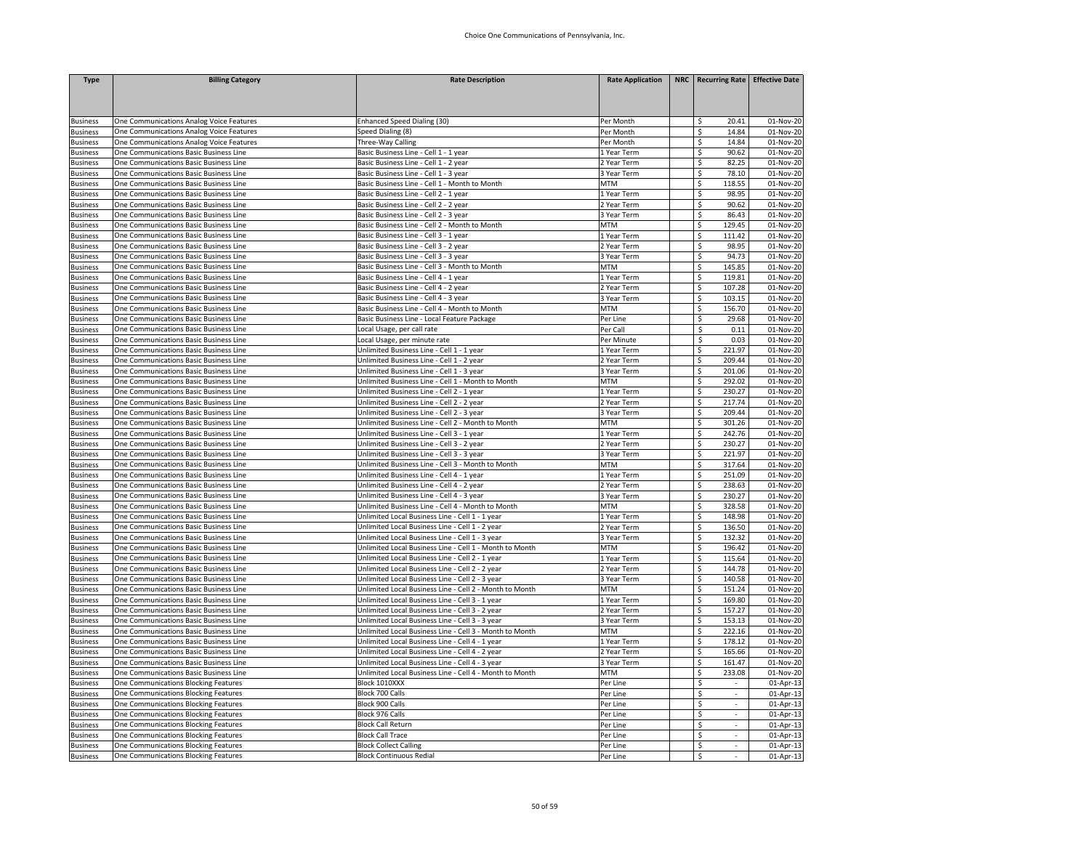| <b>Type</b>                        | <b>Billing Category</b>                                                          | <b>Rate Description</b>                                                                | <b>Rate Application</b>    | NRC   Recurring Rate   Effective Date    |                        |
|------------------------------------|----------------------------------------------------------------------------------|----------------------------------------------------------------------------------------|----------------------------|------------------------------------------|------------------------|
|                                    |                                                                                  |                                                                                        |                            |                                          |                        |
| <b>Business</b>                    | One Communications Analog Voice Features                                         | Enhanced Speed Dialing (30)                                                            | Per Month                  | \$<br>20.41                              | 01-Nov-20              |
| <b>Business</b>                    | One Communications Analog Voice Features                                         | Speed Dialing (8)                                                                      | Per Month                  | \$<br>14.84                              | 01-Nov-20              |
| <b>Business</b>                    | One Communications Analog Voice Features                                         | Three-Way Calling                                                                      | Per Month                  | \$<br>14.84                              | 01-Nov-20              |
| <b>Business</b>                    | One Communications Basic Business Line                                           | Basic Business Line - Cell 1 - 1 year                                                  | 1 Year Term                | \$<br>90.62                              | 01-Nov-20              |
| <b>Business</b>                    | One Communications Basic Business Line                                           | Basic Business Line - Cell 1 - 2 year                                                  | 2 Year Term                | \$<br>82.25                              | 01-Nov-20              |
| <b>Business</b>                    | One Communications Basic Business Line                                           | Basic Business Line - Cell 1 - 3 year                                                  | 3 Year Term                | \$<br>78.10                              | 01-Nov-20              |
| <b>Business</b>                    | One Communications Basic Business Line                                           | Basic Business Line - Cell 1 - Month to Month                                          | MTM                        | \$<br>118.55                             | 01-Nov-20              |
| <b>Business</b>                    | One Communications Basic Business Line                                           | Basic Business Line - Cell 2 - 1 year                                                  | 1 Year Term                | \$<br>98.95                              | 01-Nov-20              |
| <b>Business</b>                    | One Communications Basic Business Line                                           | Basic Business Line - Cell 2 - 2 year                                                  | 2 Year Term                | \$<br>90.62                              | 01-Nov-20              |
| <b>Business</b>                    | One Communications Basic Business Line                                           | Basic Business Line - Cell 2 - 3 year                                                  | 3 Year Term                | \$<br>86.43                              | 01-Nov-20              |
| <b>Business</b>                    | One Communications Basic Business Line                                           | Basic Business Line - Cell 2 - Month to Month                                          | MTM                        | \$<br>129.45                             | 01-Nov-20              |
| <b>Business</b>                    | One Communications Basic Business Line                                           | Basic Business Line - Cell 3 - 1 year                                                  | 1 Year Term                | \$<br>111.42                             | 01-Nov-20              |
| <b>Business</b>                    | One Communications Basic Business Line                                           | Basic Business Line - Cell 3 - 2 year                                                  | 2 Year Term                | \$<br>98.95                              | 01-Nov-20              |
| <b>Business</b>                    | One Communications Basic Business Line                                           | Basic Business Line - Cell 3 - 3 year                                                  | 3 Year Term                | \$<br>94.73                              | 01-Nov-20              |
| <b>Business</b>                    | One Communications Basic Business Line                                           | Basic Business Line - Cell 3 - Month to Month                                          | MTM                        | \$<br>145.85                             | 01-Nov-20              |
| <b>Business</b>                    | One Communications Basic Business Line                                           | Basic Business Line - Cell 4 - 1 year                                                  | 1 Year Term                | \$<br>119.81                             | 01-Nov-20              |
| <b>Business</b>                    | One Communications Basic Business Line                                           | Basic Business Line - Cell 4 - 2 year                                                  | 2 Year Term                | $\overline{\mathsf{S}}$<br>107.28        | 01-Nov-20              |
| <b>Business</b>                    | One Communications Basic Business Line                                           | Basic Business Line - Cell 4 - 3 year                                                  | 3 Year Term                | \$<br>103.15                             | 01-Nov-20              |
| <b>Business</b>                    | One Communications Basic Business Line                                           | Basic Business Line - Cell 4 - Month to Month                                          | MTM                        | \$<br>156.70                             | 01-Nov-20              |
| <b>Business</b>                    | One Communications Basic Business Line                                           | Basic Business Line - Local Feature Package                                            | Per Line                   | 29.68<br>\$                              | 01-Nov-20              |
| <b>Business</b>                    | One Communications Basic Business Line                                           | ocal Usage, per call rate                                                              | Per Call                   | \$<br>0.11                               | 01-Nov-20              |
| Business                           | One Communications Basic Business Line                                           | Local Usage, per minute rate                                                           | Per Minute                 | \$<br>0.03                               | 01-Nov-20              |
| <b>Business</b>                    | One Communications Basic Business Line<br>One Communications Basic Business Line | Unlimited Business Line - Cell 1 - 1 year<br>Unlimited Business Line - Cell 1 - 2 year | 1 Year Term<br>2 Year Term | \$<br>221.97<br>\$<br>209.44             | 01-Nov-20<br>01-Nov-20 |
| <b>Business</b><br><b>Business</b> | One Communications Basic Business Line                                           | Unlimited Business Line - Cell 1 - 3 year                                              | 3 Year Term                | $\overline{\mathcal{S}}$<br>201.06       | 01-Nov-20              |
| <b>Business</b>                    | One Communications Basic Business Line                                           | Unlimited Business Line - Cell 1 - Month to Month                                      | <b>MTM</b>                 | \$<br>292.02                             | 01-Nov-20              |
| <b>Business</b>                    | One Communications Basic Business Line                                           | Unlimited Business Line - Cell 2 - 1 year                                              | 1 Year Term                | \$<br>230.27                             | 01-Nov-20              |
| Business                           | One Communications Basic Business Line                                           | Unlimited Business Line - Cell 2 - 2 year                                              | 2 Year Term                | \$<br>217.74                             | 01-Nov-20              |
| <b>Business</b>                    | One Communications Basic Business Line                                           | Jnlimited Business Line - Cell 2 - 3 year                                              | 3 Year Term                | 209.44<br>\$                             | 01-Nov-20              |
| <b>Business</b>                    | One Communications Basic Business Line                                           | Unlimited Business Line - Cell 2 - Month to Month                                      | MTM                        | \$<br>301.26                             | 01-Nov-20              |
| <b>Business</b>                    | One Communications Basic Business Line                                           | Unlimited Business Line - Cell 3 - 1 year                                              | 1 Year Term                | \$<br>242.76                             | 01-Nov-20              |
| <b>Business</b>                    | One Communications Basic Business Line                                           | Unlimited Business Line - Cell 3 - 2 year                                              | 2 Year Term                | \$<br>230.27                             | 01-Nov-20              |
| <b>Business</b>                    | One Communications Basic Business Line                                           | Unlimited Business Line - Cell 3 - 3 year                                              | 3 Year Term                | \$<br>221.97                             | 01-Nov-20              |
| <b>Business</b>                    | One Communications Basic Business Line                                           | Unlimited Business Line - Cell 3 - Month to Month                                      | <b>MTM</b>                 | \$<br>317.64                             | 01-Nov-20              |
| <b>Business</b>                    | One Communications Basic Business Line                                           | Unlimited Business Line - Cell 4 - 1 year                                              | 1 Year Term                | \$<br>251.09                             | 01-Nov-20              |
| <b>Business</b>                    | One Communications Basic Business Line                                           | Unlimited Business Line - Cell 4 - 2 year                                              | 2 Year Term                | $\overline{\mathcal{S}}$<br>238.63       | 01-Nov-20              |
| <b>Business</b>                    | One Communications Basic Business Line                                           | Unlimited Business Line - Cell 4 - 3 year                                              | 3 Year Term                | \$<br>230.27                             | 01-Nov-20              |
| <b>Business</b>                    | One Communications Basic Business Line                                           | Unlimited Business Line - Cell 4 - Month to Month                                      | MTM                        | \$<br>328.58                             | 01-Nov-20              |
| <b>Business</b>                    | One Communications Basic Business Line                                           | Unlimited Local Business Line - Cell 1 - 1 year                                        | Year Term                  | \$<br>148.98                             | 01-Nov-20              |
| <b>Business</b>                    | One Communications Basic Business Line                                           | Jnlimited Local Business Line - Cell 1 - 2 year                                        | 2 Year Term                | \$<br>136.50                             | 01-Nov-20              |
| <b>Business</b>                    | One Communications Basic Business Line                                           | Unlimited Local Business Line - Cell 1 - 3 year                                        | 3 Year Term                | \$<br>132.32                             | 01-Nov-20              |
| <b>Business</b>                    | One Communications Basic Business Line                                           | Unlimited Local Business Line - Cell 1 - Month to Month                                | MTM                        | \$<br>196.42                             | 01-Nov-20              |
| <b>Business</b>                    | One Communications Basic Business Line                                           | Unlimited Local Business Line - Cell 2 - 1 year                                        | Year Term                  | \$<br>115.64                             | 01-Nov-20              |
| Business                           | One Communications Basic Business Line                                           | Jnlimited Local Business Line - Cell 2 - 2 year                                        | 2 Year Term                | \$<br>144.78                             | 01-Nov-20              |
| <b>Business</b>                    | One Communications Basic Business Line                                           | Unlimited Local Business Line - Cell 2 - 3 year                                        | 3 Year Term                | \$<br>140.58                             | 01-Nov-20              |
| <b>Business</b>                    | One Communications Basic Business Line                                           | Unlimited Local Business Line - Cell 2 - Month to Month                                | MTM                        | \$<br>151.24                             | 01-Nov-20              |
| <b>Business</b>                    | One Communications Basic Business Line                                           | Unlimited Local Business Line - Cell 3 - 1 year                                        | 1 Year Term                | $\overline{\mathcal{S}}$<br>169.80       | 01-Nov-20              |
| <b>Business</b>                    | One Communications Basic Business Line                                           | Unlimited Local Business Line - Cell 3 - 2 year                                        | 2 Year Term                | \$<br>157.27                             | 01-Nov-20              |
| <b>Business</b>                    | One Communications Basic Business Line                                           | Unlimited Local Business Line - Cell 3 - 3 year                                        | 3 Year Term                | \$<br>153.13                             | 01-Nov-20              |
| <b>Business</b>                    | One Communications Basic Business Line                                           | Jnlimited Local Business Line - Cell 3 - Month to Month                                | MTM                        | \$<br>222.16                             | 01-Nov-20              |
| <b>Business</b>                    | One Communications Basic Business Line                                           | Unlimited Local Business Line - Cell 4 - 1 year                                        | 1 Year Term                | \$<br>178.12                             | 01-Nov-20              |
| <b>Business</b>                    | One Communications Basic Business Line                                           | Unlimited Local Business Line - Cell 4 - 2 year                                        | 2 Year Term                | \$<br>165.66                             | 01-Nov-20              |
| <b>Business</b>                    | One Communications Basic Business Line                                           | Unlimited Local Business Line - Cell 4 - 3 year                                        | 3 Year Term                | \$<br>161.47<br>$\overline{\mathcal{S}}$ | 01-Nov-20              |
| <b>Business</b>                    | One Communications Basic Business Line                                           | Unlimited Local Business Line - Cell 4 - Month to Month<br>Block 1010XXX               | MTM<br>Per Line            | 233.08                                   | 01-Nov-20              |
| <b>Business</b>                    | One Communications Blocking Features                                             |                                                                                        |                            | \$<br>$\sim$<br>$\sim$                   | 01-Apr-13              |
| <b>Business</b>                    | One Communications Blocking Features<br>One Communications Blocking Features     | <b>Block 700 Calls</b><br>Block 900 Calls                                              | Per Line<br>Per Line       | \$<br>\$<br>÷                            | 01-Apr-13<br>01-Apr-13 |
| Business<br><b>Business</b>        | One Communications Blocking Features                                             | Block 976 Calls                                                                        | Per Line                   | \$<br>$\sim$                             | 01-Apr-13              |
| <b>Business</b>                    | One Communications Blocking Features                                             | <b>Block Call Return</b>                                                               | Per Line                   | \$<br>$\sim$                             | 01-Apr-13              |
| <b>Business</b>                    | One Communications Blocking Features                                             | <b>Block Call Trace</b>                                                                | Per Line                   | Ŝ.<br>÷.                                 | 01-Apr-13              |
| <b>Business</b>                    | One Communications Blocking Features                                             | <b>Block Collect Calling</b>                                                           | Per Line                   | \$<br>$\sim$                             | 01-Apr-13              |
| <b>Business</b>                    | One Communications Blocking Features                                             | <b>Block Continuous Redial</b>                                                         | Per Line                   | Ŝ.                                       | 01-Apr-13              |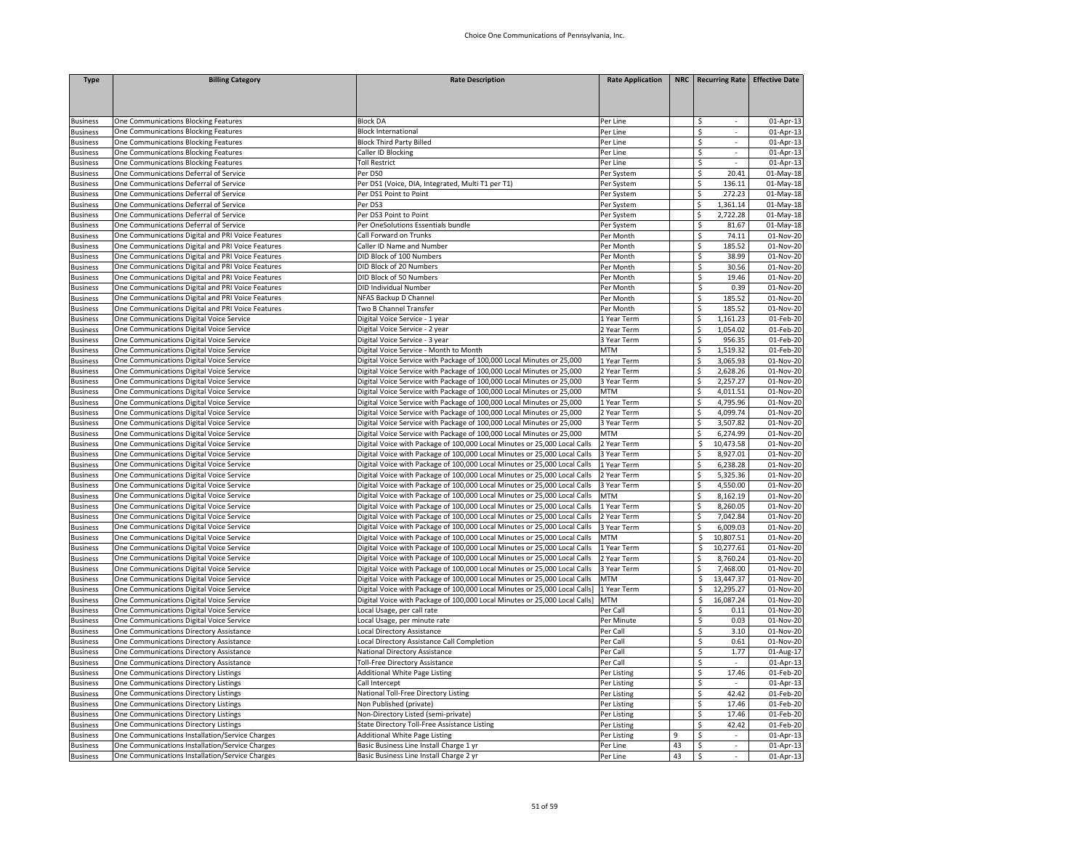| <b>Type</b>                        | <b>Billing Category</b>                                                      | <b>Rate Description</b>                                                    | <b>Rate Application</b> |    | NRC   Recurring Rate   Effective Date |                         |
|------------------------------------|------------------------------------------------------------------------------|----------------------------------------------------------------------------|-------------------------|----|---------------------------------------|-------------------------|
|                                    |                                                                              |                                                                            |                         |    |                                       |                         |
|                                    |                                                                              |                                                                            |                         |    |                                       |                         |
|                                    |                                                                              |                                                                            |                         |    |                                       |                         |
| Business                           | One Communications Blocking Features<br>One Communications Blocking Features | <b>Block DA</b><br><b>Block International</b>                              | Per Line<br>Per Line    |    | \$<br>\$<br>$\overline{\phantom{a}}$  | 01-Apr-13<br>01-Apr-13  |
| <b>Business</b>                    | One Communications Blocking Features                                         | <b>Block Third Party Billed</b>                                            | Per Line                |    | Ś<br>÷.                               | 01-Apr-13               |
| <b>Business</b><br><b>Business</b> | One Communications Blocking Features                                         | Caller ID Blocking                                                         | Per Line                |    | \$                                    | 01-Apr-13               |
| <b>Business</b>                    | One Communications Blocking Features                                         | <b>Toll Restrict</b>                                                       | Per Line                |    | \$<br>$\sim$                          | 01-Apr-13               |
| <b>Business</b>                    | One Communications Deferral of Service                                       | Per DS0                                                                    | Per System              |    | 20.41<br>\$                           | $01$ -May-18            |
| Business                           | One Communications Deferral of Service                                       | Per DS1 (Voice, DIA, Integrated, Multi T1 per T1)                          | Per System              |    | \$<br>136.11                          | $01-May-18$             |
| <b>Business</b>                    | One Communications Deferral of Service                                       | Per DS1 Point to Point                                                     | Per System              |    | \$<br>272.23                          | 01-May-18               |
| <b>Business</b>                    | One Communications Deferral of Service                                       | Per DS3                                                                    | Per System              |    | \$<br>1,361.14                        | 01-May-18               |
| <b>Business</b>                    | One Communications Deferral of Service                                       | Per DS3 Point to Point                                                     | Per System              |    | \$<br>2,722.28                        | 01-May-18               |
| <b>Business</b>                    | One Communications Deferral of Service                                       | Per OneSolutions Essentials bundle                                         | Per System              |    | \$<br>81.67                           | $01-May-18$             |
| <b>Business</b>                    | One Communications Digital and PRI Voice Features                            | Call Forward on Trunks                                                     | Per Month               |    | \$<br>74.11                           | 01-Nov-20               |
| <b>Business</b>                    | One Communications Digital and PRI Voice Features                            | Caller ID Name and Number                                                  | Per Month               |    | \$<br>185.52                          | 01-Nov-20               |
| <b>Business</b>                    | One Communications Digital and PRI Voice Features                            | DID Block of 100 Numbers                                                   | Per Month               |    | \$<br>38.99                           | 01-Nov-20               |
| <b>Business</b>                    | One Communications Digital and PRI Voice Features                            | DID Block of 20 Numbers                                                    | Per Month               |    | \$<br>30.56                           | 01-Nov-20               |
| <b>Business</b>                    | One Communications Digital and PRI Voice Features                            | DID Block of 50 Numbers                                                    | Per Month               |    | \$<br>19.46                           | 01-Nov-20               |
| <b>Business</b>                    | One Communications Digital and PRI Voice Features                            | DID Individual Number                                                      | Per Month               |    | \$<br>0.39                            | 01-Nov-20               |
| <b>Business</b>                    | One Communications Digital and PRI Voice Features                            | NFAS Backup D Channel                                                      | Per Month               |    | \$<br>185.52                          | 01-Nov-20               |
| <b>Business</b>                    | One Communications Digital and PRI Voice Features                            | Two B Channel Transfer                                                     | Per Month               |    | \$<br>185.52                          | 01-Nov-20               |
| <b>Business</b>                    | One Communications Digital Voice Service                                     | Digital Voice Service - 1 year                                             | 1 Year Term             |    | \$<br>1,161.23                        | 01-Feb-20               |
| Business                           | One Communications Digital Voice Service                                     | Digital Voice Service - 2 year                                             | 2 Year Term             |    | \$<br>1,054.02                        | 01-Feb-20               |
| <b>Business</b>                    | One Communications Digital Voice Service                                     | Digital Voice Service - 3 year                                             | 3 Year Term             |    | \$<br>956.35                          | 01-Feb-20               |
| <b>Business</b>                    | One Communications Digital Voice Service                                     | Digital Voice Service - Month to Month                                     | MTM                     |    | \$<br>1,519.32                        | 01-Feb-20               |
| <b>Business</b>                    | One Communications Digital Voice Service                                     | Digital Voice Service with Package of 100,000 Local Minutes or 25,000      | 1 Year Term             |    | 3,065.93<br>\$                        | 01-Nov-20               |
| <b>Business</b>                    | One Communications Digital Voice Service                                     | Digital Voice Service with Package of 100,000 Local Minutes or 25,000      | Year Term               |    | \$<br>2,628.26                        | 01-Nov-20               |
| <b>Business</b>                    | One Communications Digital Voice Service                                     | Digital Voice Service with Package of 100,000 Local Minutes or 25,000      | 3 Year Term             |    | \$<br>2,257.27                        | 01-Nov-20               |
| <b>Business</b>                    | One Communications Digital Voice Service                                     | Digital Voice Service with Package of 100,000 Local Minutes or 25,000      | MTM                     |    | 4,011.51<br>\$                        | 01-Nov-20               |
| <b>Business</b>                    | One Communications Digital Voice Service                                     | Digital Voice Service with Package of 100,000 Local Minutes or 25,000      | 1 Year Term             |    | \$<br>4,795.96                        | 01-Nov-20               |
| <b>Business</b>                    | One Communications Digital Voice Service                                     | Digital Voice Service with Package of 100,000 Local Minutes or 25,000      | 2 Year Term             |    | \$<br>4,099.74                        | 01-Nov-20               |
| <b>Business</b>                    | One Communications Digital Voice Service                                     | Digital Voice Service with Package of 100,000 Local Minutes or 25,000      | 3 Year Term             |    | 3,507.82<br>\$                        | 01-Nov-20               |
| <b>Business</b>                    | One Communications Digital Voice Service                                     | Digital Voice Service with Package of 100,000 Local Minutes or 25,000      | <b>MTM</b>              |    | \$<br>6,274.99                        | 01-Nov-20               |
| <b>Business</b>                    | One Communications Digital Voice Service                                     | Digital Voice with Package of 100,000 Local Minutes or 25,000 Local Calls  | 2 Year Term             |    | \$<br>10,473.58                       | 01-Nov-20               |
| <b>Business</b>                    | One Communications Digital Voice Service                                     | Digital Voice with Package of 100,000 Local Minutes or 25,000 Local Calls  | 3 Year Term             |    | \$<br>8,927.01                        | 01-Nov-20               |
| <b>Business</b>                    | One Communications Digital Voice Service                                     | Digital Voice with Package of 100,000 Local Minutes or 25,000 Local Calls  | Year Term               |    | \$<br>6,238.28                        | 01-Nov-20               |
| <b>Business</b>                    | One Communications Digital Voice Service                                     | Digital Voice with Package of 100,000 Local Minutes or 25,000 Local Calls  | Year Term               |    | \$<br>5,325.36                        | 01-Nov-20               |
| <b>Business</b>                    | One Communications Digital Voice Service                                     | Digital Voice with Package of 100,000 Local Minutes or 25,000 Local Calls  | Year Term               |    | \$<br>4,550.00                        | 01-Nov-20               |
| <b>Business</b>                    | One Communications Digital Voice Service                                     | Digital Voice with Package of 100,000 Local Minutes or 25,000 Local Calls  | MTM                     |    | \$<br>8,162.19                        | 01-Nov-20               |
| <b>Business</b>                    | One Communications Digital Voice Service                                     | Digital Voice with Package of 100,000 Local Minutes or 25,000 Local Calls  | Year Term               |    | \$<br>8,260.05                        | 01-Nov-20               |
| <b>Business</b>                    | One Communications Digital Voice Service                                     | Digital Voice with Package of 100,000 Local Minutes or 25,000 Local Calls  | 2 Year Term             |    | \$<br>7,042.84                        | 01-Nov-20               |
| <b>Business</b>                    | One Communications Digital Voice Service                                     | Digital Voice with Package of 100,000 Local Minutes or 25,000 Local Calls  | 3 Year Term             |    | \$<br>6,009.03                        | $\overline{01}$ -Nov-20 |
| <b>Business</b>                    | One Communications Digital Voice Service                                     | Digital Voice with Package of 100,000 Local Minutes or 25,000 Local Calls  | MTM                     |    | \$<br>10,807.51                       | 01-Nov-20               |
| <b>Business</b>                    | One Communications Digital Voice Service                                     | Digital Voice with Package of 100,000 Local Minutes or 25,000 Local Calls  | Year Term               |    | 10,277.61<br>Ŝ.                       | 01-Nov-20               |
| Business                           | One Communications Digital Voice Service                                     | Digital Voice with Package of 100,000 Local Minutes or 25,000 Local Calls  | Year Term               |    | 8,760.24<br>\$                        | 01-Nov-20               |
| <b>Business</b>                    | One Communications Digital Voice Service                                     | Digital Voice with Package of 100,000 Local Minutes or 25,000 Local Calls  | Year Term               |    | \$<br>7,468.00                        | 01-Nov-20               |
| <b>Business</b>                    | One Communications Digital Voice Service                                     | Digital Voice with Package of 100,000 Local Minutes or 25,000 Local Calls  | MTM                     |    | 13,447.37<br>\$                       | 01-Nov-20               |
| <b>Business</b>                    | One Communications Digital Voice Service                                     | Digital Voice with Package of 100,000 Local Minutes or 25,000 Local Calls] | 1 Year Term             |    | \$<br>12,295.27                       | 01-Nov-20               |
| <b>Business</b>                    | One Communications Digital Voice Service                                     | Digital Voice with Package of 100,000 Local Minutes or 25,000 Local Calls] | <b>MTM</b>              |    | \$<br>16,087.24                       | 01-Nov-20               |
| <b>Business</b>                    | One Communications Digital Voice Service                                     | Local Usage, per call rate                                                 | Per Call                |    | \$<br>0.11                            | 01-Nov-20               |
| <b>Business</b>                    | One Communications Digital Voice Service                                     | Local Usage, per minute rate                                               | Per Minute              |    | \$<br>0.03                            | 01-Nov-20               |
| <b>Business</b>                    | One Communications Directory Assistance                                      | Local Directory Assistance                                                 | Per Call                |    | \$<br>3.10                            | 01-Nov-20               |
| <b>Business</b>                    | One Communications Directory Assistance                                      | Local Directory Assistance Call Completion                                 | Per Call                |    | \$<br>0.61                            | 01-Nov-20               |
| <b>Business</b>                    | One Communications Directory Assistance                                      | National Directory Assistance                                              | Per Call                |    | \$<br>1.77                            | 01-Aug-17               |
| <b>Business</b>                    | One Communications Directory Assistance                                      | <b>Toll-Free Directory Assistance</b>                                      | Per Call                |    | \$                                    | 01-Apr-13               |
| <b>Business</b>                    | One Communications Directory Listings                                        | Additional White Page Listing                                              | Per Listing             |    | \$<br>17.46                           | 01-Feb-20               |
| <b>Business</b>                    | One Communications Directory Listings                                        | Call Intercept                                                             | Per Listing             |    | \$                                    | 01-Apr-13               |
| <b>Business</b>                    | One Communications Directory Listings                                        | National Toll-Free Directory Listing                                       | Per Listing             |    | \$<br>42.42                           | 01-Feb-20               |
| Business                           | One Communications Directory Listings                                        | Non Published (private)                                                    | Per Listing             |    | \$<br>17.46                           | 01-Feb-20               |
| <b>Business</b>                    | One Communications Directory Listings                                        | Non-Directory Listed (semi-private)                                        | Per Listing             |    | \$<br>17.46                           | 01-Feb-20               |
| <b>Business</b>                    | One Communications Directory Listings                                        | State Directory Toll-Free Assistance Listing                               | Per Listing             |    | \$<br>42.42                           | 01-Feb-20               |
| <b>Business</b>                    | One Communications Installation/Service Charges                              | <b>Additional White Page Listing</b>                                       | Per Listing             | 9  | \$                                    | 01-Apr-13               |
| <b>Business</b>                    | One Communications Installation/Service Charges                              | Basic Business Line Install Charge 1 yr                                    | Per Line                | 43 | \$<br>$\mathcal{L}$                   | 01-Apr-13               |
| <b>Business</b>                    | One Communications Installation/Service Charges                              | Basic Business Line Install Charge 2 yr                                    | Per Line                | 43 | \$                                    | 01-Apr-13               |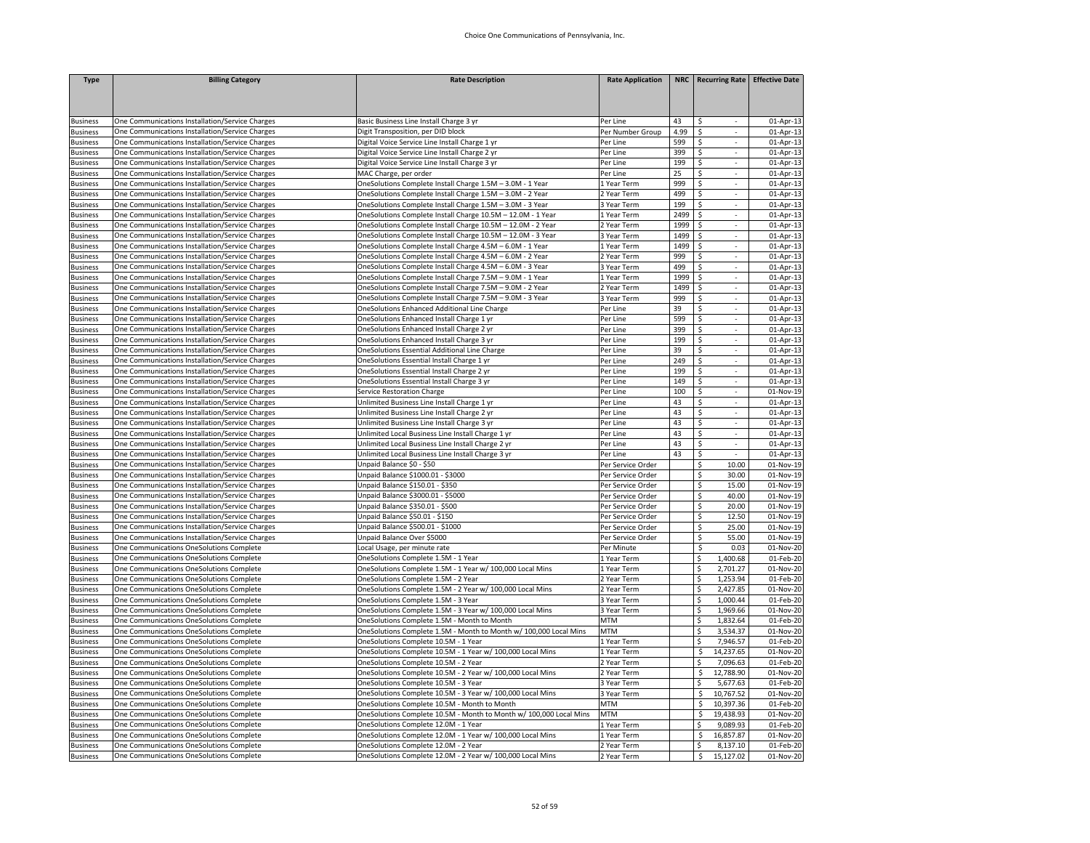| <b>Type</b>                        | <b>Billing Category</b>                                                                            | <b>Rate Description</b>                                                                    | <b>Rate Application</b> |            | NRC   Recurring Rate   Effective Date          |                        |
|------------------------------------|----------------------------------------------------------------------------------------------------|--------------------------------------------------------------------------------------------|-------------------------|------------|------------------------------------------------|------------------------|
|                                    |                                                                                                    |                                                                                            |                         |            |                                                |                        |
|                                    |                                                                                                    |                                                                                            |                         |            |                                                |                        |
| <b>Business</b>                    | One Communications Installation/Service Charges                                                    | Basic Business Line Install Charge 3 yr                                                    | Per Line                | 43         | Ŝ<br>$\overline{\phantom{a}}$                  | 01-Apr-13              |
| <b>Business</b>                    | One Communications Installation/Service Charges                                                    | Digit Transposition, per DID block                                                         | Per Number Group        | 4.99       | \$<br>$\sim$                                   | 01-Apr-13              |
| <b>Business</b>                    | One Communications Installation/Service Charges                                                    | Digital Voice Service Line Install Charge 1 yr                                             | Per Line                | 599        | \$<br>$\sim$                                   | 01-Apr-13              |
| <b>Business</b>                    | One Communications Installation/Service Charges                                                    | Digital Voice Service Line Install Charge 2 yr                                             | Per Line                | 399        | \$<br>٠                                        | 01-Apr-13              |
| <b>Business</b>                    | One Communications Installation/Service Charges                                                    | Digital Voice Service Line Install Charge 3 yr                                             | Per Line                | 199        | \$<br>$\sim$                                   | 01-Apr-13              |
| <b>Business</b>                    | One Communications Installation/Service Charges                                                    | MAC Charge, per order                                                                      | Per Line                | 25         | \$<br>÷.                                       | 01-Apr-13              |
| <b>Business</b>                    | One Communications Installation/Service Charges                                                    | OneSolutions Complete Install Charge 1.5M - 3.0M - 1 Year                                  | 1 Year Term             | 999        | \$<br>$\overline{\phantom{a}}$                 | 01-Apr-13              |
| <b>Business</b>                    | One Communications Installation/Service Charges                                                    | OneSolutions Complete Install Charge 1.5M - 3.0M - 2 Year                                  | 2 Year Term             | 499        | \$<br>$\overline{\phantom{a}}$                 | 01-Apr-13              |
| <b>Business</b>                    | One Communications Installation/Service Charges                                                    | OneSolutions Complete Install Charge 1.5M - 3.0M - 3 Year                                  | 3 Year Term             | 199        | Ŝ.<br>÷.                                       | 01-Apr-13              |
| <b>Business</b>                    | One Communications Installation/Service Charges                                                    | OneSolutions Complete Install Charge 10.5M - 12.0M - 1 Year                                | L Year Term             | 2499       | \$<br>$\overline{a}$                           | 01-Apr-13              |
| <b>Business</b>                    | One Communications Installation/Service Charges                                                    | OneSolutions Complete Install Charge 10.5M - 12.0M - 2 Year                                | 2 Year Term             | 1999       | \$<br>÷.                                       | 01-Apr-13              |
| <b>Business</b>                    | One Communications Installation/Service Charges                                                    | OneSolutions Complete Install Charge 10.5M - 12.0M - 3 Year                                | 3 Year Term             | 1499       | \$<br>$\sim$                                   | 01-Apr-13              |
| <b>Business</b>                    | One Communications Installation/Service Charges                                                    | OneSolutions Complete Install Charge 4.5M - 6.0M - 1 Year                                  | 1 Year Term             | 1499       | \$<br>÷.                                       | 01-Apr-13              |
| <b>Business</b>                    | One Communications Installation/Service Charges                                                    | OneSolutions Complete Install Charge 4.5M - 6.0M - 2 Year                                  | 2 Year Term             | 999        | \$<br>$\sim$                                   | 01-Apr-13              |
| <b>Business</b>                    | One Communications Installation/Service Charges                                                    | OneSolutions Complete Install Charge 4.5M - 6.0M - 3 Year                                  | 3 Year Term             | 499        | \$<br>$\overline{\phantom{a}}$                 | 01-Apr-13              |
| <b>Business</b>                    | One Communications Installation/Service Charges                                                    | OneSolutions Complete Install Charge 7.5M - 9.0M - 1 Year                                  | 1 Year Term             | 1999       | \$<br>$\mathcal{L}_{\mathcal{A}}$              | 01-Apr-13              |
| <b>Business</b>                    | One Communications Installation/Service Charges                                                    | OneSolutions Complete Install Charge 7.5M - 9.0M - 2 Year                                  | 2 Year Term             | 1499       | Ś<br>÷.                                        | 01-Apr-13              |
| <b>Business</b>                    | One Communications Installation/Service Charges                                                    | OneSolutions Complete Install Charge 7.5M - 9.0M - 3 Year                                  | 3 Year Term             | 999        | \$<br>÷.                                       | 01-Apr-13              |
| <b>Business</b>                    | One Communications Installation/Service Charges                                                    | OneSolutions Enhanced Additional Line Charge                                               | Per Line                | 39         | \$<br>$\overline{\phantom{a}}$                 | 01-Apr-13              |
| <b>Business</b>                    | One Communications Installation/Service Charges                                                    | OneSolutions Enhanced Install Charge 1 yr                                                  | Per Line                | 599        | \$<br>$\mathcal{L}_{\mathcal{A}}$              | 01-Apr-13              |
| <b>Business</b>                    | One Communications Installation/Service Charges                                                    | OneSolutions Enhanced Install Charge 2 yr                                                  | Per Line                | 399        | \$<br>ä,                                       | 01-Apr-13              |
| <b>Business</b>                    | One Communications Installation/Service Charges                                                    | OneSolutions Enhanced Install Charge 3 yr                                                  | Per Line                | 199        | \$<br>ä,                                       | 01-Apr-13              |
| <b>Business</b>                    | One Communications Installation/Service Charges                                                    | OneSolutions Essential Additional Line Charge                                              | Per Line                | 39         | \$<br>$\sim$                                   | 01-Apr-13              |
| <b>Business</b>                    | One Communications Installation/Service Charges                                                    | OneSolutions Essential Install Charge 1 yr                                                 | Per Line                | 249        | \$<br>ä,                                       | 01-Apr-13              |
| <b>Business</b>                    | One Communications Installation/Service Charges                                                    | OneSolutions Essential Install Charge 2 yr                                                 | Per Line                | 199<br>149 | \$<br>÷.                                       | 01-Apr-13              |
| <b>Business</b>                    | One Communications Installation/Service Charges<br>One Communications Installation/Service Charges | OneSolutions Essential Install Charge 3 yr<br>Service Restoration Charge                   | Per Line<br>Per Line    | 100        | \$<br>$\overline{\phantom{a}}$<br>\$<br>$\sim$ | 01-Apr-13<br>01-Nov-19 |
| <b>Business</b>                    |                                                                                                    |                                                                                            |                         |            | $\sim$                                         |                        |
| <b>Business</b>                    | One Communications Installation/Service Charges<br>One Communications Installation/Service Charges | Unlimited Business Line Install Charge 1 yr<br>Unlimited Business Line Install Charge 2 yr | Per Line<br>Per Line    | 43<br>43   | \$                                             | 01-Apr-13<br>01-Apr-13 |
| <b>Business</b>                    |                                                                                                    | Unlimited Business Line Install Charge 3 yr                                                | Per Line                | 43         | \$<br>\$<br>$\sim$                             | 01-Apr-13              |
| <b>Business</b><br><b>Business</b> | One Communications Installation/Service Charges<br>One Communications Installation/Service Charges | Unlimited Local Business Line Install Charge 1 yr                                          | Per Line                | 43         | \$<br>÷.                                       | 01-Apr-13              |
| <b>Business</b>                    | One Communications Installation/Service Charges                                                    | Unlimited Local Business Line Install Charge 2 yr                                          | Per Line                | 43         | \$<br>$\sim$                                   | 01-Apr-13              |
| <b>Business</b>                    | One Communications Installation/Service Charges                                                    | Unlimited Local Business Line Install Charge 3 yr                                          | Per Line                | 43         | \$<br>$\sim$                                   | 01-Apr-13              |
| <b>Business</b>                    | One Communications Installation/Service Charges                                                    | Unpaid Balance \$0 - \$50                                                                  | Per Service Order       |            | \$<br>10.00                                    | 01-Nov-19              |
| <b>Business</b>                    | One Communications Installation/Service Charges                                                    | Unpaid Balance \$1000.01 - \$3000                                                          | Per Service Order       |            | \$<br>30.00                                    | 01-Nov-19              |
| <b>Business</b>                    | One Communications Installation/Service Charges                                                    | Unpaid Balance \$150.01 - \$350                                                            | Per Service Order       |            | \$<br>15.00                                    | 01-Nov-19              |
| <b>Business</b>                    | One Communications Installation/Service Charges                                                    | Unpaid Balance \$3000.01 - \$5000                                                          | Per Service Order       |            | 40.00<br>\$                                    | 01-Nov-19              |
| <b>Business</b>                    | One Communications Installation/Service Charges                                                    | Unpaid Balance \$350.01 - \$500                                                            | Per Service Order       |            | 20.00<br>\$                                    | 01-Nov-19              |
| <b>Business</b>                    | One Communications Installation/Service Charges                                                    | Unpaid Balance \$50.01 - \$150                                                             | Per Service Order       |            | \$<br>12.50                                    | 01-Nov-19              |
| <b>Business</b>                    | One Communications Installation/Service Charges                                                    | Unpaid Balance \$500.01 - \$1000                                                           | Per Service Order       |            | \$<br>25.00                                    | 01-Nov-19              |
| <b>Business</b>                    | One Communications Installation/Service Charges                                                    | Unpaid Balance Over \$5000                                                                 | Per Service Order       |            | \$<br>55.00                                    | 01-Nov-19              |
| <b>Business</b>                    | One Communications OneSolutions Complete                                                           | Local Usage, per minute rate                                                               | Per Minute              |            | \$<br>0.03                                     | 01-Nov-20              |
| <b>Business</b>                    | One Communications OneSolutions Complete                                                           | OneSolutions Complete 1.5M - 1 Year                                                        | 1 Year Term             |            | \$<br>1,400.68                                 | 01-Feb-20              |
| <b>Business</b>                    | One Communications OneSolutions Complete                                                           | OneSolutions Complete 1.5M - 1 Year w/ 100,000 Local Mins                                  | 1 Year Term             |            | \$<br>2,701.27                                 | 01-Nov-20              |
| <b>Business</b>                    | One Communications OneSolutions Complete                                                           | OneSolutions Complete 1.5M - 2 Year                                                        | 2 Year Term             |            | \$<br>1,253.94                                 | 01-Feb-20              |
| <b>Business</b>                    | One Communications OneSolutions Complete                                                           | OneSolutions Complete 1.5M - 2 Year w/ 100,000 Local Mins                                  | 2 Year Term             |            | \$<br>2,427.85                                 | 01-Nov-20              |
| <b>Business</b>                    | One Communications OneSolutions Complete                                                           | OneSolutions Complete 1.5M - 3 Year                                                        | 3 Year Term             |            | \$<br>1,000.44                                 | 01-Feb-20              |
| <b>Business</b>                    | One Communications OneSolutions Complete                                                           | OneSolutions Complete 1.5M - 3 Year w/ 100,000 Local Mins                                  | 3 Year Term             |            | \$<br>1,969.66                                 | 01-Nov-20              |
| <b>Business</b>                    | One Communications OneSolutions Complete                                                           | OneSolutions Complete 1.5M - Month to Month                                                | <b>MTM</b>              |            | 1,832.64<br>\$                                 | 01-Feb-20              |
| <b>Business</b>                    | One Communications OneSolutions Complete                                                           | OneSolutions Complete 1.5M - Month to Month w/ 100,000 Local Mins                          | <b>MTM</b>              |            | \$<br>3,534.37                                 | 01-Nov-20              |
| <b>Business</b>                    | One Communications OneSolutions Complete                                                           | OneSolutions Complete 10.5M - 1 Year                                                       | 1 Year Term             |            | \$<br>7,946.57                                 | 01-Feb-20              |
| <b>Business</b>                    | One Communications OneSolutions Complete                                                           | OneSolutions Complete 10.5M - 1 Year w/ 100,000 Local Mins                                 | 1 Year Term             |            | \$<br>14,237.65                                | 01-Nov-20              |
| <b>Business</b>                    | One Communications OneSolutions Complete                                                           | OneSolutions Complete 10.5M - 2 Year                                                       | Year Term               |            | 7,096.63<br>Ś                                  | 01-Feb-20              |
| <b>Business</b>                    | One Communications OneSolutions Complete                                                           | OneSolutions Complete 10.5M - 2 Year w/ 100,000 Local Mins                                 | 2 Year Term             |            | \$<br>12,788.90                                | 01-Nov-20              |
| <b>Business</b>                    | One Communications OneSolutions Complete                                                           | OneSolutions Complete 10.5M - 3 Year                                                       | 3 Year Term             |            | \$<br>5,677.63                                 | 01-Feb-20              |
| <b>Business</b>                    | One Communications OneSolutions Complete                                                           | OneSolutions Complete 10.5M - 3 Year w/ 100,000 Local Mins                                 | 3 Year Term             |            | 10,767.52<br>\$                                | 01-Nov-20              |
| <b>Business</b>                    | One Communications OneSolutions Complete                                                           | OneSolutions Complete 10.5M - Month to Month                                               | MTM                     |            | 10,397.36<br>\$                                | 01-Feb-20              |
| <b>Business</b>                    | One Communications OneSolutions Complete                                                           | OneSolutions Complete 10.5M - Month to Month w/ 100,000 Local Mins                         | MTM                     |            | 19,438.93<br>\$                                | 01-Nov-20              |
| <b>Business</b>                    | One Communications OneSolutions Complete                                                           | OneSolutions Complete 12.0M - 1 Year                                                       | 1 Year Term             |            | \$<br>9,089.93                                 | 01-Feb-20              |
| <b>Business</b>                    | One Communications OneSolutions Complete                                                           | OneSolutions Complete 12.0M - 1 Year w/ 100,000 Local Mins                                 | 1 Year Term             |            | \$<br>16,857.87                                | 01-Nov-20              |
| <b>Business</b>                    | One Communications OneSolutions Complete                                                           | OneSolutions Complete 12.0M - 2 Year                                                       | 2 Year Term             |            | \$<br>8,137.10                                 | 01-Feb-20              |
| <b>Business</b>                    | One Communications OneSolutions Complete                                                           | OneSolutions Complete 12.0M - 2 Year w/ 100.000 Local Mins                                 | 2 Year Term             |            | Ś<br>15.127.02                                 | 01-Nov-20              |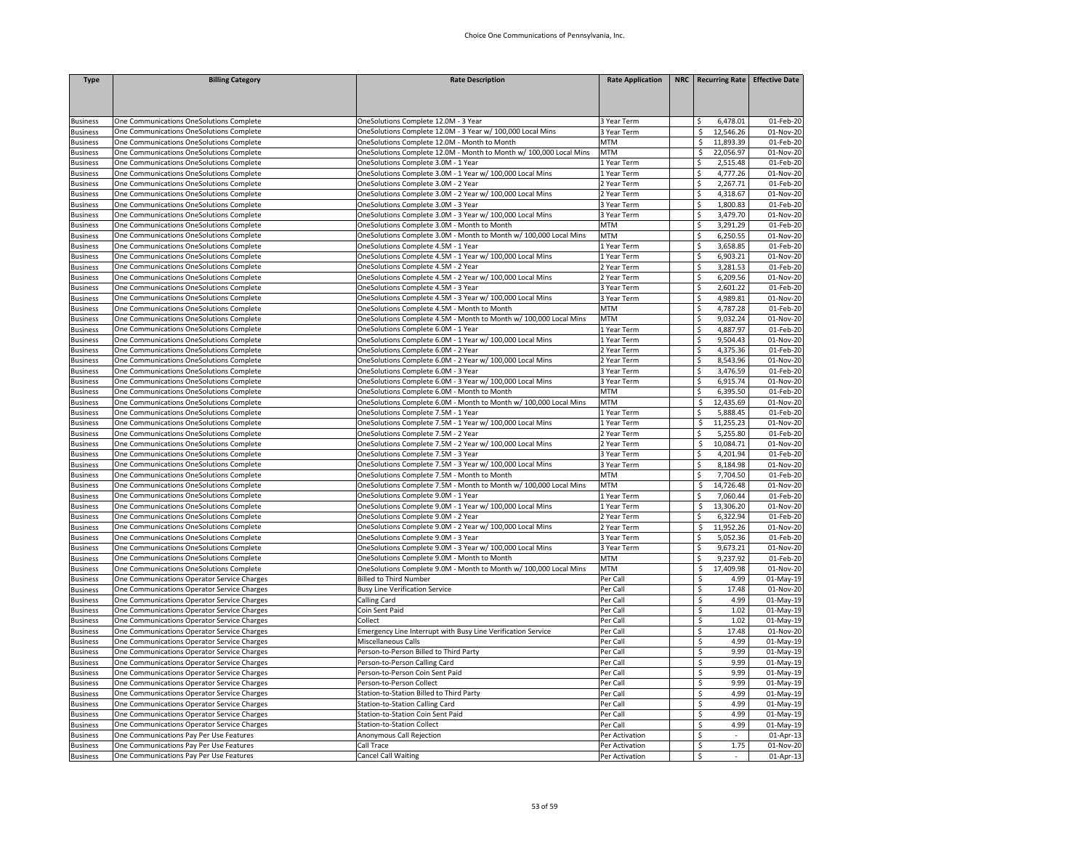| <b>Type</b>                 | <b>Billing Category</b>                                                              | <b>Rate Description</b>                                                                          | <b>Rate Application</b>  | NRC   Recurring Rate   Effective Date |                        |
|-----------------------------|--------------------------------------------------------------------------------------|--------------------------------------------------------------------------------------------------|--------------------------|---------------------------------------|------------------------|
|                             |                                                                                      |                                                                                                  |                          |                                       |                        |
|                             |                                                                                      |                                                                                                  |                          |                                       |                        |
|                             |                                                                                      |                                                                                                  |                          |                                       |                        |
| <b>Business</b>             | One Communications OneSolutions Complete                                             | OneSolutions Complete 12.0M - 3 Year                                                             | 3 Year Term              | 6,478.01<br>\$                        | 01-Feb-20              |
| <b>Business</b>             | One Communications OneSolutions Complete                                             | OneSolutions Complete 12.0M - 3 Year w/ 100,000 Local Mins                                       | 3 Year Term              | \$<br>12,546.26                       | 01-Nov-20              |
| <b>Business</b>             | One Communications OneSolutions Complete                                             | OneSolutions Complete 12.0M - Month to Month                                                     | MTM                      | \$<br>11,893.39                       | 01-Feb-20              |
| <b>Business</b>             | One Communications OneSolutions Complete                                             | OneSolutions Complete 12.0M - Month to Month w/ 100,000 Local Mins                               | MTM                      | 22,056.97<br>\$                       | 01-Nov-20              |
| Business                    | One Communications OneSolutions Complete                                             | OneSolutions Complete 3.0M - 1 Year                                                              | . Year Term              | \$<br>2,515.48                        | 01-Feb-20              |
| <b>Business</b>             | One Communications OneSolutions Complete                                             | OneSolutions Complete 3.0M - 1 Year w/ 100,000 Local Mins<br>OneSolutions Complete 3.0M - 2 Year | 1 Year Term              | 4,777.26<br>\$<br>2,267.71<br>\$      | 01-Nov-20<br>01-Feb-20 |
| Business<br><b>Business</b> | One Communications OneSolutions Complete<br>One Communications OneSolutions Complete | OneSolutions Complete 3.0M - 2 Year w/ 100,000 Local Mins                                        | Year Term<br>2 Year Term | \$<br>4,318.67                        | 01-Nov-20              |
| <b>Business</b>             | One Communications OneSolutions Complete                                             | OneSolutions Complete 3.0M - 3 Year                                                              | 3 Year Term              | \$<br>1,800.83                        | 01-Feb-20              |
| <b>Business</b>             | One Communications OneSolutions Complete                                             | OneSolutions Complete 3.0M - 3 Year w/ 100,000 Local Mins                                        | 3 Year Term              | \$<br>3,479.70                        | 01-Nov-20              |
| <b>Business</b>             | One Communications OneSolutions Complete                                             | OneSolutions Complete 3.0M - Month to Month                                                      | <b>MTM</b>               | \$<br>3,291.29                        | 01-Feb-20              |
| <b>Business</b>             | One Communications OneSolutions Complete                                             | OneSolutions Complete 3.0M - Month to Month w/ 100,000 Local Mins                                | MTM                      | \$<br>6,250.55                        | 01-Nov-20              |
| <b>Business</b>             | One Communications OneSolutions Complete                                             | OneSolutions Complete 4.5M - 1 Year                                                              | 1 Year Term              | 3,658.85<br>\$                        | 01-Feb-20              |
| Business                    | One Communications OneSolutions Complete                                             | OneSolutions Complete 4.5M - 1 Year w/ 100,000 Local Mins                                        | Year Term                | \$<br>6,903.21                        | 01-Nov-20              |
| <b>Business</b>             | One Communications OneSolutions Complete                                             | OneSolutions Complete 4.5M - 2 Year                                                              | Year Term                | \$<br>3,281.53                        | 01-Feb-20              |
| <b>Business</b>             | One Communications OneSolutions Complete                                             | OneSolutions Complete 4.5M - 2 Year w/ 100,000 Local Mins                                        | Year Term                | 6,209.56<br>\$                        | 01-Nov-20              |
| <b>Business</b>             | One Communications OneSolutions Complete                                             | OneSolutions Complete 4.5M - 3 Year                                                              | Year Term                | \$<br>2,601.22                        | 01-Feb-20              |
| <b>Business</b>             | One Communications OneSolutions Complete                                             | OneSolutions Complete 4.5M - 3 Year w/ 100,000 Local Mins                                        | 3 Year Term              | \$<br>4,989.81                        | 01-Nov-20              |
| <b>Business</b>             | One Communications OneSolutions Complete                                             | OneSolutions Complete 4.5M - Month to Month                                                      | MTM                      | \$<br>4,787.28                        | 01-Feb-20              |
| <b>Business</b>             | One Communications OneSolutions Complete                                             | OneSolutions Complete 4.5M - Month to Month w/ 100,000 Local Mins                                | MTM                      | \$<br>9,032.24                        | 01-Nov-20              |
| Business                    | One Communications OneSolutions Complete                                             | OneSolutions Complete 6.0M - 1 Year                                                              | . Year Term              | \$<br>4,887.97                        | 01-Feb-20              |
| <b>Business</b>             | One Communications OneSolutions Complete                                             | OneSolutions Complete 6.0M - 1 Year w/ 100,000 Local Mins                                        | 1 Year Term              | \$<br>9,504.43                        | 01-Nov-20              |
| <b>Business</b>             | One Communications OneSolutions Complete                                             | OneSolutions Complete 6.0M - 2 Year                                                              | Year Term                | \$<br>4,375.36                        | 01-Feb-20              |
| <b>Business</b>             | One Communications OneSolutions Complete                                             | OneSolutions Complete 6.0M - 2 Year w/ 100,000 Local Mins                                        | 2 Year Term              | 8,543.96<br>\$                        | 01-Nov-20              |
| <b>Business</b>             | One Communications OneSolutions Complete                                             | OneSolutions Complete 6.0M - 3 Year                                                              | Year Term                | \$<br>3,476.59                        | 01-Feb-20              |
| <b>Business</b>             | One Communications OneSolutions Complete                                             | OneSolutions Complete 6.0M - 3 Year w/ 100,000 Local Mins                                        | 3 Year Term              | \$<br>6,915.74                        | 01-Nov-20              |
| <b>Business</b>             | One Communications OneSolutions Complete                                             | OneSolutions Complete 6.0M - Month to Month                                                      | MTM                      | 6,395.50<br>\$                        | 01-Feb-20              |
| <b>Business</b>             | One Communications OneSolutions Complete                                             | OneSolutions Complete 6.0M - Month to Month w/ 100,000 Local Mins                                | <b>MTM</b>               | \$<br>12,435.69                       | 01-Nov-20              |
| <b>Business</b>             | One Communications OneSolutions Complete                                             | OneSolutions Complete 7.5M - 1 Year                                                              | 1 Year Term              | \$<br>5,888.45                        | 01-Feb-20              |
| <b>Business</b>             | One Communications OneSolutions Complete                                             | OneSolutions Complete 7.5M - 1 Year w/ 100,000 Local Mins                                        | 1 Year Term              | 11,255.23<br>\$                       | 01-Nov-20              |
| <b>Business</b>             | One Communications OneSolutions Complete                                             | OneSolutions Complete 7.5M - 2 Year                                                              | 2 Year Term              | \$<br>5,255.80                        | 01-Feb-20              |
| <b>Business</b>             | One Communications OneSolutions Complete                                             | OneSolutions Complete 7.5M - 2 Year w/ 100,000 Local Mins                                        | 2 Year Term              | \$<br>10,084.71                       | 01-Nov-20              |
| <b>Business</b>             | One Communications OneSolutions Complete                                             | OneSolutions Complete 7.5M - 3 Year                                                              | 3 Year Term              | \$<br>4,201.94                        | 01-Feb-20              |
| <b>Business</b>             | One Communications OneSolutions Complete                                             | OneSolutions Complete 7.5M - 3 Year w/ 100,000 Local Mins                                        | 3 Year Term              | \$<br>8,184.98                        | 01-Nov-20              |
| <b>Business</b>             | One Communications OneSolutions Complete                                             | OneSolutions Complete 7.5M - Month to Month                                                      | MTM                      | \$<br>7,704.50                        | 01-Feb-20              |
| <b>Business</b>             | One Communications OneSolutions Complete                                             | OneSolutions Complete 7.5M - Month to Month w/ 100,000 Local Mins                                | MTM                      | 14,726.48<br>Ŝ.                       | 01-Nov-20              |
| Business                    | One Communications OneSolutions Complete                                             | OneSolutions Complete 9.0M - 1 Year                                                              | Year Term                | \$<br>7,060.44                        | 01-Feb-20              |
| <b>Business</b>             | One Communications OneSolutions Complete                                             | OneSolutions Complete 9.0M - 1 Year w/ 100,000 Local Mins                                        | 1 Year Term              | \$<br>13,306.20                       | 01-Nov-20              |
| <b>Business</b>             | One Communications OneSolutions Complete                                             | OneSolutions Complete 9.0M - 2 Year                                                              | 2 Year Term              | \$<br>6,322.94                        | 01-Feb-20              |
| <b>Business</b>             | One Communications OneSolutions Complete                                             | OneSolutions Complete 9.0M - 2 Year w/ 100,000 Local Mins                                        | 2 Year Term              | \$<br>11,952.26                       | 01-Nov-20              |
| <b>Business</b>             | One Communications OneSolutions Complete                                             | OneSolutions Complete 9.0M - 3 Year                                                              | 3 Year Term              | \$<br>5,052.36                        | 01-Feb-20              |
| <b>Business</b>             | One Communications OneSolutions Complete                                             | OneSolutions Complete 9.0M - 3 Year w/ 100,000 Local Mins                                        | 3 Year Term              | Ś.<br>9,673.21                        | 01-Nov-20              |
| Business                    | One Communications OneSolutions Complete                                             | OneSolutions Complete 9.0M - Month to Month                                                      | MTM                      | 9,237.92<br>\$                        | 01-Feb-20              |
| <b>Business</b>             | One Communications OneSolutions Complete                                             | OneSolutions Complete 9.0M - Month to Month w/ 100,000 Local Mins                                | <b>MTM</b>               | 17,409.98<br>\$                       | 01-Nov-20              |
| <b>Business</b>             | One Communications Operator Service Charges                                          | <b>Billed to Third Number</b>                                                                    | Per Call                 | \$<br>4.99                            | 01-May-19              |
| <b>Business</b>             | One Communications Operator Service Charges                                          | <b>Busy Line Verification Service</b>                                                            | Per Call                 | \$<br>17.48                           | 01-Nov-20              |
| <b>Business</b>             | One Communications Operator Service Charges                                          | Calling Card                                                                                     | Per Call                 | \$<br>4.99                            | 01-May-19              |
| <b>Business</b>             | One Communications Operator Service Charges                                          | Coin Sent Paid                                                                                   | Per Call                 | \$<br>1.02                            | 01-May-19              |
| <b>Business</b>             | One Communications Operator Service Charges                                          | Collect                                                                                          | Per Call                 | \$<br>1.02                            | 01-May-19              |
| <b>Business</b>             | One Communications Operator Service Charges                                          | <b>Emergency Line Interrupt with Busy Line Verification Service</b>                              | Per Call                 | \$<br>17.48                           | 01-Nov-20              |
| <b>Business</b>             | One Communications Operator Service Charges                                          | Miscellaneous Calls                                                                              | Per Call                 | \$<br>4.99                            | 01-May-19              |
| <b>Business</b>             | One Communications Operator Service Charges                                          | Person-to-Person Billed to Third Party                                                           | Per Call                 | \$<br>9.99                            | 01-May-19              |
| <b>Business</b>             | One Communications Operator Service Charges                                          | Person-to-Person Calling Card                                                                    | Per Call                 | \$<br>9.99                            | 01-May-19              |
| <b>Business</b>             | One Communications Operator Service Charges                                          | Person-to-Person Coin Sent Paid                                                                  | Per Call                 | $\overline{\varsigma}$<br>9.99        | 01-May-19              |
| <b>Business</b>             | One Communications Operator Service Charges                                          | Person-to-Person Collect                                                                         | Per Call                 | \$<br>9.99                            | 01-May-19              |
| <b>Business</b>             | One Communications Operator Service Charges                                          | Station-to-Station Billed to Third Party                                                         | Per Call                 | \$<br>4.99                            | 01-May-19              |
| Business                    | One Communications Operator Service Charges                                          | Station-to-Station Calling Card                                                                  | Per Call                 | \$<br>4.99                            | $01$ -May-19           |
| <b>Business</b>             | One Communications Operator Service Charges                                          | Station-to-Station Coin Sent Paid                                                                | Per Call                 | \$<br>4.99                            | 01-May-19              |
| <b>Business</b>             | One Communications Operator Service Charges                                          | Station-to-Station Collect                                                                       | Per Call                 | \$<br>4.99                            | 01-May-19              |
| <b>Business</b>             | One Communications Pay Per Use Features                                              | Anonymous Call Rejection                                                                         | Per Activation           | Ŝ.                                    | 01-Apr-13              |
| <b>Business</b>             | One Communications Pay Per Use Features                                              | Call Trace                                                                                       | Per Activation           | \$<br>1.75                            | 01-Nov-20              |
| <b>Business</b>             | One Communications Pay Per Use Features                                              | <b>Cancel Call Waiting</b>                                                                       | Per Activation           | \$                                    | 01-Apr-13              |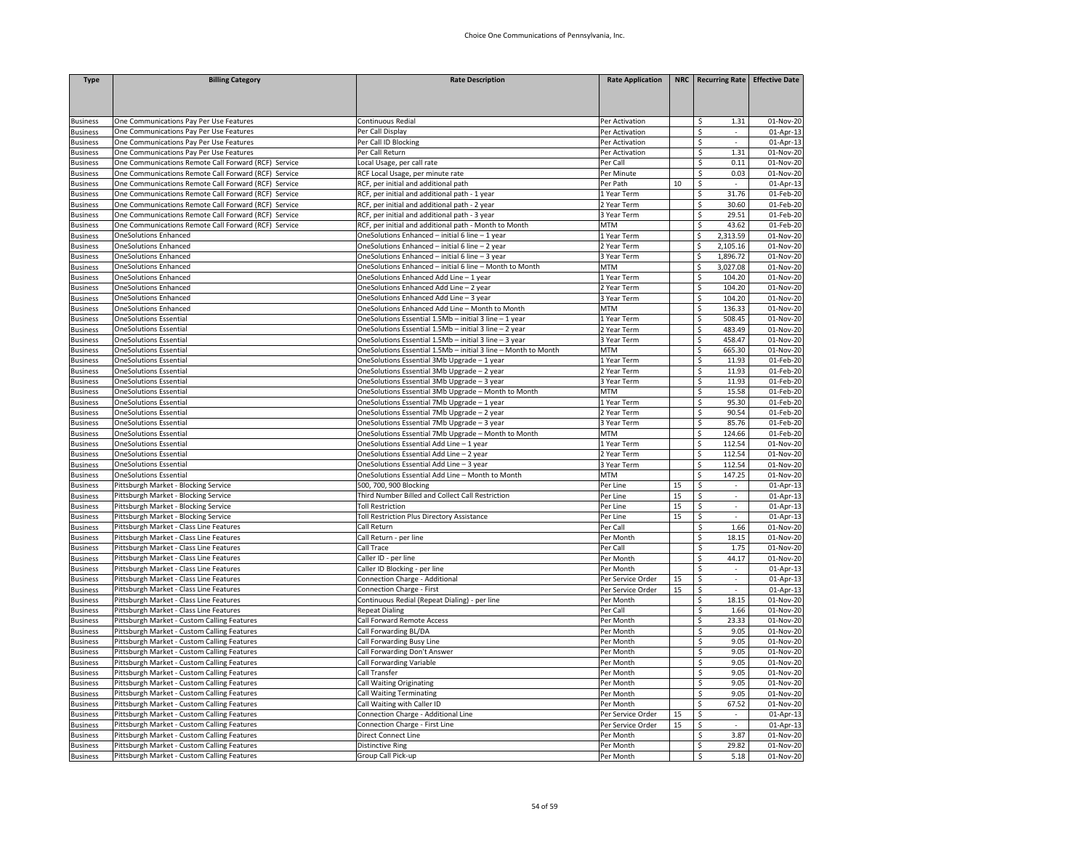| <b>Type</b>                        | <b>Billing Category</b>                                        | <b>Rate Description</b>                                                                    | <b>Rate Application</b>    |    |                                   | NRC   Recurring Rate   Effective Date |
|------------------------------------|----------------------------------------------------------------|--------------------------------------------------------------------------------------------|----------------------------|----|-----------------------------------|---------------------------------------|
|                                    |                                                                |                                                                                            |                            |    |                                   |                                       |
| <b>Business</b>                    | One Communications Pay Per Use Features                        | Continuous Redial                                                                          | Per Activation             |    | 1.31<br>Ŝ                         | 01-Nov-20                             |
| <b>Business</b>                    | One Communications Pay Per Use Features                        | Per Call Display                                                                           | Per Activation             |    | \$<br>$\overline{\phantom{a}}$    | 01-Apr-13                             |
| <b>Business</b>                    | One Communications Pay Per Use Features                        | Per Call ID Blocking                                                                       | Per Activation             |    | \$<br>$\mathcal{L}_{\mathcal{A}}$ | 01-Apr-13                             |
| <b>Business</b>                    | One Communications Pay Per Use Features                        | Per Call Return                                                                            | Per Activation             |    | 1.31<br>\$                        | 01-Nov-20                             |
| <b>Business</b>                    | One Communications Remote Call Forward (RCF) Service           | Local Usage, per call rate                                                                 | Per Call                   |    | 0.11<br>\$                        | 01-Nov-20                             |
| <b>Business</b>                    | One Communications Remote Call Forward (RCF) Service           | RCF Local Usage, per minute rate                                                           | Per Minute                 |    | \$<br>0.03                        | 01-Nov-20                             |
| <b>Business</b>                    | One Communications Remote Call Forward (RCF) Service           | RCF, per initial and additional path                                                       | Per Path                   | 10 | \$                                | 01-Apr-13                             |
| <b>Business</b>                    | One Communications Remote Call Forward (RCF) Service           | RCF, per initial and additional path - 1 year                                              | 1 Year Term                |    | 31.76<br>\$                       | 01-Feb-20                             |
| <b>Business</b>                    | One Communications Remote Call Forward (RCF) Service           | RCF, per initial and additional path - 2 year                                              | Year Term                  |    | \$<br>30.60                       | 01-Feb-20                             |
| <b>Business</b>                    | One Communications Remote Call Forward (RCF) Service           | RCF, per initial and additional path - 3 year                                              | 3 Year Term                |    | \$<br>29.51                       | 01-Feb-20                             |
| <b>Business</b>                    | One Communications Remote Call Forward (RCF) Service           | RCF, per initial and additional path - Month to Month                                      | MTM                        |    | \$<br>43.62                       | 01-Feb-20                             |
| <b>Business</b>                    | <b>OneSolutions Enhanced</b>                                   | OneSolutions Enhanced - initial 6 line - 1 year                                            | 1 Year Term                |    | \$<br>2,313.59                    | 01-Nov-20                             |
| <b>Business</b>                    | <b>OneSolutions Enhanced</b>                                   | OneSolutions Enhanced - initial 6 line - 2 year                                            | 2 Year Term                |    | \$<br>2,105.16                    | 01-Nov-20                             |
| <b>Business</b>                    | <b>OneSolutions Enhanced</b>                                   | OneSolutions Enhanced - initial 6 line - 3 year                                            | 3 Year Term                |    | \$<br>1,896.72                    | 01-Nov-20                             |
| <b>Business</b>                    | <b>OneSolutions Enhanced</b>                                   | OneSolutions Enhanced - initial 6 line - Month to Month                                    | MTM                        |    | \$<br>3,027.08                    | 01-Nov-20                             |
| <b>Business</b>                    | <b>OneSolutions Enhanced</b>                                   | OneSolutions Enhanced Add Line - 1 year                                                    | 1 Year Term                |    | \$<br>104.20                      | 01-Nov-20                             |
| <b>Business</b>                    | <b>OneSolutions Enhanced</b>                                   | OneSolutions Enhanced Add Line - 2 year                                                    | Year Term                  |    | \$<br>104.20                      | 01-Nov-20                             |
| <b>Business</b>                    | <b>OneSolutions Enhanced</b>                                   | OneSolutions Enhanced Add Line - 3 year                                                    | 3 Year Term                |    | \$<br>104.20                      | 01-Nov-20                             |
| <b>Business</b>                    | <b>OneSolutions Enhanced</b>                                   | OneSolutions Enhanced Add Line - Month to Month                                            | MTM                        |    | \$<br>136.33                      | 01-Nov-20                             |
| <b>Business</b>                    | <b>OneSolutions Essential</b>                                  | OneSolutions Essential 1.5Mb - initial 3 line - 1 year                                     | 1 Year Term                |    | \$<br>508.45                      | 01-Nov-20                             |
| <b>Business</b>                    | <b>OneSolutions Essential</b>                                  | OneSolutions Essential 1.5Mb - initial 3 line - 2 year                                     | 2 Year Term                |    | \$<br>483.49                      | 01-Nov-20                             |
| <b>Business</b>                    | <b>OneSolutions Essential</b>                                  | OneSolutions Essential 1.5Mb - initial 3 line - 3 year                                     | 3 Year Term                |    | \$<br>458.47                      | 01-Nov-20                             |
| <b>Business</b>                    | <b>OneSolutions Essential</b>                                  | OneSolutions Essential 1.5Mb - initial 3 line - Month to Month                             | <b>MTM</b>                 |    | \$<br>665.30                      | 01-Nov-20                             |
| <b>Business</b>                    | <b>OneSolutions Essential</b>                                  | OneSolutions Essential 3Mb Upgrade - 1 year                                                | 1 Year Term                |    | \$<br>11.93                       | 01-Feb-20                             |
| <b>Business</b>                    | <b>OneSolutions Essential</b>                                  | OneSolutions Essential 3Mb Upgrade - 2 year                                                | 2 Year Term                |    | \$<br>11.93                       | 01-Feb-20                             |
| <b>Business</b>                    | <b>OneSolutions Essential</b>                                  | OneSolutions Essential 3Mb Upgrade - 3 year                                                | 3 Year Term                |    | \$<br>11.93                       | 01-Feb-20                             |
| <b>Business</b>                    | <b>OneSolutions Essential</b>                                  | OneSolutions Essential 3Mb Upgrade - Month to Month                                        | <b>MTM</b>                 |    | 15.58<br>\$                       | 01-Feb-20                             |
| <b>Business</b>                    | <b>OneSolutions Essential</b><br><b>OneSolutions Essential</b> | OneSolutions Essential 7Mb Upgrade - 1 year<br>OneSolutions Essential 7Mb Upgrade - 2 year | 1 Year Term<br>2 Year Term |    | \$<br>95.30<br>\$<br>90.54        | 01-Feb-20<br>01-Feb-20                |
| <b>Business</b><br><b>Business</b> | <b>OneSolutions Essential</b>                                  | OneSolutions Essential 7Mb Upgrade - 3 year                                                | 3 Year Term                |    | \$<br>85.76                       | 01-Feb-20                             |
| <b>Business</b>                    | <b>OneSolutions Essential</b>                                  | OneSolutions Essential 7Mb Upgrade - Month to Month                                        | <b>MTM</b>                 |    | \$<br>124.66                      | 01-Feb-20                             |
| <b>Business</b>                    | <b>OneSolutions Essential</b>                                  | OneSolutions Essential Add Line - 1 year                                                   | 1 Year Term                |    | $\overline{\mathsf{S}}$<br>112.54 | 01-Nov-20                             |
| <b>Business</b>                    | <b>OneSolutions Essential</b>                                  | OneSolutions Essential Add Line - 2 year                                                   | 2 Year Term                |    | \$<br>112.54                      | 01-Nov-20                             |
| <b>Business</b>                    | <b>OneSolutions Essential</b>                                  | OneSolutions Essential Add Line - 3 year                                                   | 3 Year Term                |    | \$<br>112.54                      | $\overline{01}$ -Nov-20               |
| Business                           | <b>OneSolutions Essential</b>                                  | OneSolutions Essential Add Line - Month to Month                                           | MTM                        |    | \$<br>147.25                      | 01-Nov-20                             |
| <b>Business</b>                    | Pittsburgh Market - Blocking Service                           | 500, 700, 900 Blocking                                                                     | Per Line                   | 15 | \$                                | 01-Apr-13                             |
| <b>Business</b>                    | Pittsburgh Market - Blocking Service                           | Third Number Billed and Collect Call Restriction                                           | Per Line                   | 15 | \$<br>$\sim$                      | 01-Apr-13                             |
| <b>Business</b>                    | Pittsburgh Market - Blocking Service                           | <b>Toll Restriction</b>                                                                    | Per Line                   | 15 | \$<br>$\sim$                      | 01-Apr-13                             |
| <b>Business</b>                    | Pittsburgh Market - Blocking Service                           | Toll Restriction Plus Directory Assistance                                                 | Per Line                   | 15 | \$<br>÷.                          | 01-Apr-13                             |
| <b>Business</b>                    | Pittsburgh Market - Class Line Features                        | Call Return                                                                                | Per Call                   |    | \$<br>1.66                        | 01-Nov-20                             |
| <b>Business</b>                    | Pittsburgh Market - Class Line Features                        | Call Return - per line                                                                     | Per Month                  |    | \$<br>18.15                       | 01-Nov-20                             |
| <b>Business</b>                    | Pittsburgh Market - Class Line Features                        | Call Trace                                                                                 | Per Call                   |    | \$<br>1.75                        | 01-Nov-20                             |
| <b>Business</b>                    | Pittsburgh Market - Class Line Features                        | Caller ID - per line                                                                       | Per Month                  |    | \$<br>44.17                       | 01-Nov-20                             |
| <b>Business</b>                    | Pittsburgh Market - Class Line Features                        | Caller ID Blocking - per line                                                              | Per Month                  |    | \$<br>$\sim$                      | 01-Apr-13                             |
| <b>Business</b>                    | Pittsburgh Market - Class Line Features                        | Connection Charge - Additional                                                             | Per Service Order          | 15 | \$<br>$\sim$                      | 01-Apr-13                             |
| <b>Business</b>                    | Pittsburgh Market - Class Line Features                        | Connection Charge - First                                                                  | Per Service Order          | 15 | \$<br>$\overline{\phantom{a}}$    | 01-Apr-13                             |
| <b>Business</b>                    | Pittsburgh Market - Class Line Features                        | Continuous Redial (Repeat Dialing) - per line                                              | Per Month                  |    | \$<br>18.15                       | 01-Nov-20                             |
| <b>Business</b>                    | Pittsburgh Market - Class Line Features                        | <b>Repeat Dialing</b>                                                                      | Per Call                   |    | \$<br>1.66                        | 01-Nov-20                             |
| <b>Business</b>                    | Pittsburgh Market - Custom Calling Features                    | Call Forward Remote Access                                                                 | Per Month                  |    | \$<br>23.33                       | 01-Nov-20                             |
| <b>Business</b>                    | Pittsburgh Market - Custom Calling Features                    | Call Forwarding BL/DA                                                                      | Per Month                  |    | \$<br>9.05                        | 01-Nov-20                             |
| <b>Business</b>                    | Pittsburgh Market - Custom Calling Features                    | Call Forwarding Busy Line                                                                  | Per Month                  |    | \$<br>9.05                        | 01-Nov-20                             |
| <b>Business</b>                    | Pittsburgh Market - Custom Calling Features                    | Call Forwarding Don't Answer                                                               | Per Month                  |    | \$<br>9.05                        | 01-Nov-20                             |
| <b>Business</b>                    | Pittsburgh Market - Custom Calling Features                    | Call Forwarding Variable                                                                   | Per Month                  |    | 9.05<br>\$                        | 01-Nov-20                             |
| <b>Business</b>                    | Pittsburgh Market - Custom Calling Features                    | Call Transfer                                                                              | Per Month                  |    | \$<br>9.05                        | 01-Nov-20                             |
| <b>Business</b>                    | Pittsburgh Market - Custom Calling Features                    | Call Waiting Originating                                                                   | Per Month                  |    | \$<br>9.05                        | 01-Nov-20                             |
| <b>Business</b>                    | Pittsburgh Market - Custom Calling Features                    | Call Waiting Terminating                                                                   | Per Month                  |    | 9.05<br>\$                        | 01-Nov-20                             |
| <b>Business</b>                    | Pittsburgh Market - Custom Calling Features                    | Call Waiting with Caller ID                                                                | Per Month                  |    | \$<br>67.52                       | 01-Nov-20                             |
| <b>Business</b>                    | Pittsburgh Market - Custom Calling Features                    | Connection Charge - Additional Line                                                        | Per Service Order          | 15 | \$<br>$\blacksquare$              | 01-Apr-13                             |
| <b>Business</b>                    | Pittsburgh Market - Custom Calling Features                    | Connection Charge - First Line                                                             | Per Service Order          | 15 | \$<br>$\mathcal{L}_{\mathcal{A}}$ | 01-Apr-13                             |
| <b>Business</b>                    | Pittsburgh Market - Custom Calling Features                    | Direct Connect Line                                                                        | Per Month                  |    | Ś<br>3.87                         | 01-Nov-20                             |
| <b>Business</b>                    | Pittsburgh Market - Custom Calling Features                    | <b>Distinctive Ring</b><br>Group Call Pick-up                                              | Per Month                  |    | \$<br>29.82                       | 01-Nov-20<br>01-Nov-20                |
| <b>Business</b>                    | Pittsburgh Market - Custom Calling Features                    |                                                                                            | Per Month                  |    | 5.18                              |                                       |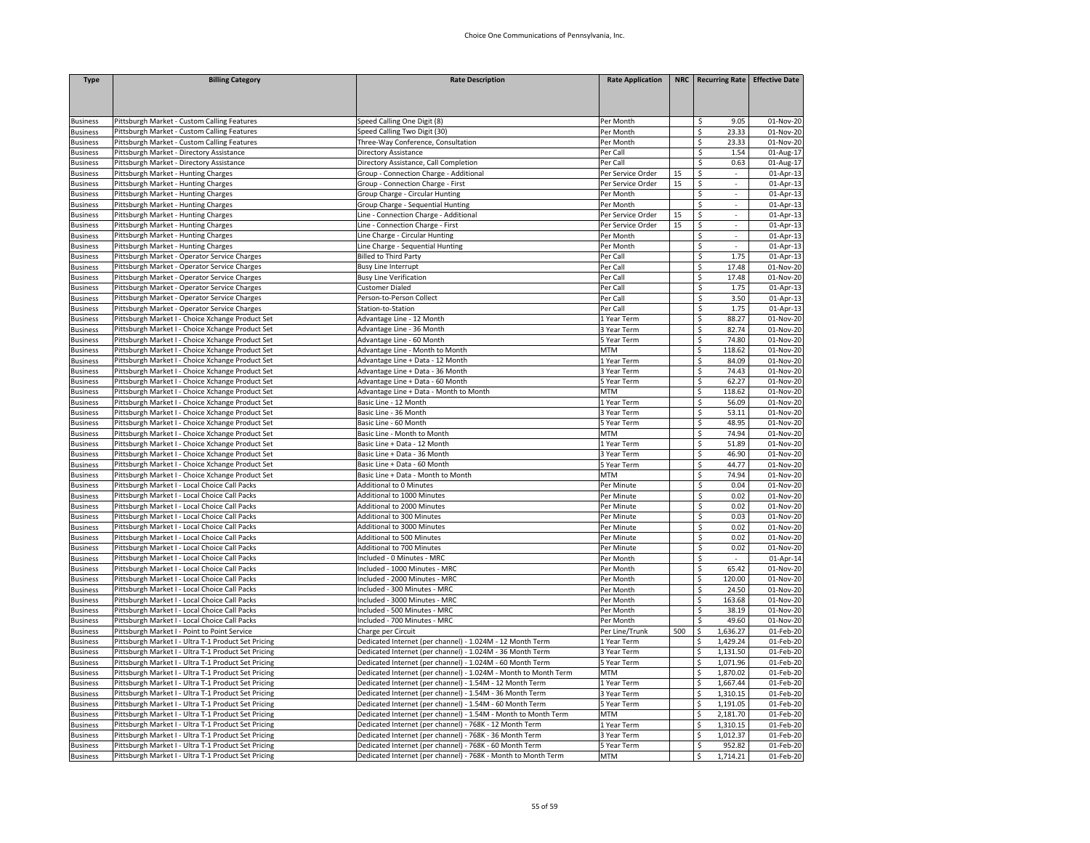| <b>Type</b>                        | <b>Billing Category</b>                                                                        | <b>Rate Description</b>                                         | <b>Rate Application</b> |     |                               |                             | NRC   Recurring Rate   Effective Date |
|------------------------------------|------------------------------------------------------------------------------------------------|-----------------------------------------------------------------|-------------------------|-----|-------------------------------|-----------------------------|---------------------------------------|
|                                    |                                                                                                |                                                                 |                         |     |                               |                             |                                       |
|                                    |                                                                                                |                                                                 | Per Month               |     |                               | 9.05                        |                                       |
| Business<br><b>Business</b>        | Pittsburgh Market - Custom Calling Features<br>Pittsburgh Market - Custom Calling Features     | Speed Calling One Digit (8)<br>Speed Calling Two Digit (30)     | Per Month               |     | \$<br>\$                      | 23.33                       | 01-Nov-20<br>01-Nov-20                |
| <b>Business</b>                    | Pittsburgh Market - Custom Calling Features                                                    | Three-Way Conference, Consultation                              | Per Month               |     | \$                            | 23.33                       | 01-Nov-20                             |
| <b>Business</b>                    | Pittsburgh Market - Directory Assistance                                                       | Directory Assistance                                            | Per Call                |     | \$                            | 1.54                        | 01-Aug-17                             |
| <b>Business</b>                    | Pittsburgh Market - Directory Assistance                                                       | Directory Assistance, Call Completion                           | Per Call                |     | \$                            | 0.63                        | 01-Aug-17                             |
| <b>Business</b>                    | Pittsburgh Market - Hunting Charges                                                            | Group - Connection Charge - Additional                          | Per Service Order       | 15  | \$                            |                             | 01-Apr-13                             |
| <b>Business</b>                    | Pittsburgh Market - Hunting Charges                                                            | Group - Connection Charge - First                               | Per Service Order       | 15  | \$                            | $\mathcal{L}_{\mathcal{A}}$ | 01-Apr-13                             |
| <b>Business</b>                    | Pittsburgh Market - Hunting Charges                                                            | Group Charge - Circular Hunting                                 | Per Month               |     | \$                            |                             | 01-Apr-13                             |
| <b>Business</b>                    | Pittsburgh Market - Hunting Charges                                                            | Group Charge - Sequential Hunting                               | Per Month               |     | \$                            | ÷.                          | 01-Apr-13                             |
| <b>Business</b>                    | Pittsburgh Market - Hunting Charges                                                            | Line - Connection Charge - Additional                           | Per Service Order       | 15  | \$                            | ä,                          | 01-Apr-13                             |
| <b>Business</b>                    | Pittsburgh Market - Hunting Charges                                                            | Line - Connection Charge - First                                | Per Service Order       | 15  | \$                            | $\sim$                      | 01-Apr-13                             |
| <b>Business</b>                    | Pittsburgh Market - Hunting Charges                                                            | Line Charge - Circular Hunting                                  | Per Month               |     | \$                            | $\sim$                      | 01-Apr-13                             |
| <b>Business</b>                    | Pittsburgh Market - Hunting Charges                                                            | Line Charge - Sequential Hunting                                | Per Month               |     | \$                            | $\mathcal{L}_{\mathcal{A}}$ | 01-Apr-13                             |
| Business                           | Pittsburgh Market - Operator Service Charges                                                   | <b>Billed to Third Party</b>                                    | Per Call                |     | \$                            | 1.75                        | 01-Apr-13                             |
| Business                           | Pittsburgh Market - Operator Service Charges                                                   | <b>Busy Line Interrupt</b>                                      | Per Call                |     | \$                            | 17.48                       | 01-Nov-20                             |
| <b>Business</b>                    | Pittsburgh Market - Operator Service Charges                                                   | Busy Line Verification                                          | Per Call                |     | \$                            | 17.48                       | 01-Nov-20                             |
| <b>Business</b>                    | Pittsburgh Market - Operator Service Charges                                                   | Customer Dialed                                                 | Per Call                |     | \$                            | 1.75                        | 01-Apr-13                             |
| <b>Business</b>                    | Pittsburgh Market - Operator Service Charges                                                   | Person-to-Person Collect                                        | Per Call                |     | \$                            | 3.50                        | 01-Apr-13                             |
| <b>Business</b>                    | Pittsburgh Market - Operator Service Charges                                                   | Station-to-Station                                              | Per Call                |     | \$                            | 1.75                        | 01-Apr-13                             |
| <b>Business</b>                    | Pittsburgh Market I - Choice Xchange Product Set                                               | Advantage Line - 12 Month                                       | 1 Year Term             |     | \$                            | 88.27                       | 01-Nov-20                             |
| <b>Business</b>                    | Pittsburgh Market I - Choice Xchange Product Set                                               | Advantage Line - 36 Month                                       | 3 Year Term             |     | \$                            | 82.74                       | 01-Nov-20                             |
| <b>Business</b>                    | Pittsburgh Market I - Choice Xchange Product Set                                               | Advantage Line - 60 Month                                       | S Year Term             |     | \$                            | 74.80                       | 01-Nov-20                             |
| <b>Business</b>                    | Pittsburgh Market I - Choice Xchange Product Set                                               | Advantage Line - Month to Month                                 | MTM                     |     | \$                            | 118.62                      | 01-Nov-20                             |
| <b>Business</b>                    | Pittsburgh Market I - Choice Xchange Product Set                                               | Advantage Line + Data - 12 Month                                | 1 Year Term             |     | \$                            | 84.09                       | 01-Nov-20                             |
| <b>Business</b>                    | Pittsburgh Market I - Choice Xchange Product Set                                               | Advantage Line + Data - 36 Month                                | 3 Year Term             |     | \$                            | 74.43                       | 01-Nov-20                             |
| <b>Business</b>                    | Pittsburgh Market I - Choice Xchange Product Set                                               | Advantage Line + Data - 60 Month                                | 5 Year Term             |     | \$                            | 62.27                       | 01-Nov-20                             |
| <b>Business</b>                    | Pittsburgh Market I - Choice Xchange Product Set                                               | Advantage Line + Data - Month to Month                          | MTM                     |     | \$                            | 118.62                      | 01-Nov-20                             |
| <b>Business</b>                    | Pittsburgh Market I - Choice Xchange Product Set                                               | Basic Line - 12 Month                                           | Year Term               |     | \$                            | 56.09                       | 01-Nov-20                             |
| <b>Business</b>                    | Pittsburgh Market I - Choice Xchange Product Set                                               | Basic Line - 36 Month                                           | 3 Year Term             |     | \$                            | 53.11                       | 01-Nov-20                             |
| <b>Business</b>                    | Pittsburgh Market I - Choice Xchange Product Set                                               | Basic Line - 60 Month                                           | 5 Year Term             |     | \$                            | 48.95                       | 01-Nov-20                             |
| <b>Business</b>                    | Pittsburgh Market I - Choice Xchange Product Set                                               | Basic Line - Month to Month                                     | MTM                     |     | \$                            | 74.94                       | 01-Nov-20                             |
| <b>Business</b>                    | Pittsburgh Market I - Choice Xchange Product Set                                               | Basic Line + Data - 12 Month                                    | l Year Term             |     | \$                            | 51.89                       | 01-Nov-20                             |
| <b>Business</b>                    | Pittsburgh Market I - Choice Xchange Product Set                                               | Basic Line + Data - 36 Month                                    | 3 Year Term             |     | \$                            | 46.90                       | 01-Nov-20                             |
| <b>Business</b>                    | Pittsburgh Market I - Choice Xchange Product Set                                               | Basic Line + Data - 60 Month                                    | 5 Year Term             |     | \$                            | 44.77                       | 01-Nov-20                             |
| Business                           | Pittsburgh Market I - Choice Xchange Product Set                                               | Basic Line + Data - Month to Month                              | <b>MTM</b>              |     | \$                            | 74.94                       | 01-Nov-20                             |
| <b>Business</b>                    | Pittsburgh Market I - Local Choice Call Packs                                                  | <b>Additional to 0 Minutes</b>                                  | Per Minute              |     | \$                            | 0.04                        | 01-Nov-20                             |
| <b>Business</b>                    | Pittsburgh Market I - Local Choice Call Packs                                                  | Additional to 1000 Minutes                                      | Per Minute              |     | \$                            | 0.02                        | 01-Nov-20                             |
| <b>Business</b>                    | Pittsburgh Market I - Local Choice Call Packs                                                  | <b>Additional to 2000 Minutes</b>                               | Per Minute              |     | \$                            | 0.02                        | 01-Nov-20                             |
| <b>Business</b>                    | Pittsburgh Market I - Local Choice Call Packs                                                  | Additional to 300 Minutes                                       | Per Minute              |     | \$                            | 0.03                        | 01-Nov-20                             |
| <b>Business</b>                    | Pittsburgh Market I - Local Choice Call Packs                                                  | Additional to 3000 Minutes                                      | Per Minute              |     | \$                            | 0.02                        | 01-Nov-20                             |
| <b>Business</b>                    | Pittsburgh Market I - Local Choice Call Packs                                                  | <b>Additional to 500 Minutes</b>                                | Per Minute              |     | \$                            | 0.02                        | 01-Nov-20                             |
| Business                           | Pittsburgh Market I - Local Choice Call Packs                                                  | <b>Additional to 700 Minutes</b>                                | Per Minute              |     | \$<br>$\overline{\mathsf{S}}$ | 0.02                        | 01-Nov-20                             |
| <b>Business</b>                    | Pittsburgh Market I - Local Choice Call Packs                                                  | ncluded - 0 Minutes - MRC<br>Included - 1000 Minutes - MRC      | Per Month               |     | \$                            | $\sim$<br>65.42             | 01-Apr-14                             |
| Business<br><b>Business</b>        | Pittsburgh Market I - Local Choice Call Packs<br>Pittsburgh Market I - Local Choice Call Packs | Included - 2000 Minutes - MRC                                   | Per Month<br>Per Month  |     | \$                            | 120.00                      | 01-Nov-20<br>01-Nov-20                |
|                                    | Pittsburgh Market I - Local Choice Call Packs                                                  | Included - 300 Minutes - MRC                                    |                         |     | \$                            | 24.50                       | 01-Nov-20                             |
| Business<br><b>Business</b>        | Pittsburgh Market I - Local Choice Call Packs                                                  | ncluded - 3000 Minutes - MRC                                    | Per Month<br>Per Month  |     | \$                            | 163.68                      | $\overline{01}$ -Nov-20               |
|                                    | Pittsburgh Market I - Local Choice Call Packs                                                  | Included - 500 Minutes - MRC                                    | Per Month               |     | \$                            | 38.19                       | 01-Nov-20                             |
| <b>Business</b><br><b>Business</b> | Pittsburgh Market I - Local Choice Call Packs                                                  | ncluded - 700 Minutes - MRC                                     | Per Month               |     | \$                            | 49.60                       | 01-Nov-20                             |
| <b>Business</b>                    | Pittsburgh Market I - Point to Point Service                                                   | Charge per Circuit                                              | Per Line/Trunk          | 500 | \$                            | 1,636.27                    | 01-Feb-20                             |
| <b>Business</b>                    | Pittsburgh Market I - Ultra T-1 Product Set Pricing                                            | Dedicated Internet (per channel) - 1.024M - 12 Month Term       | 1 Year Term             |     | \$                            | 1,429.24                    | 01-Feb-20                             |
| <b>Business</b>                    | Pittsburgh Market I - Ultra T-1 Product Set Pricing                                            | Dedicated Internet (per channel) - 1.024M - 36 Month Term       | 3 Year Term             |     | \$                            | 1,131.50                    | 01-Feb-20                             |
| <b>Business</b>                    | Pittsburgh Market I - Ultra T-1 Product Set Pricing                                            | Dedicated Internet (per channel) - 1.024M - 60 Month Term       | S Year Term             |     | \$                            | 1,071.96                    | 01-Feb-20                             |
| <b>Business</b>                    | Pittsburgh Market I - Ultra T-1 Product Set Pricing                                            | Dedicated Internet (per channel) - 1.024M - Month to Month Term | <b>MTM</b>              |     | \$                            | 1,870.02                    | 01-Feb-20                             |
| <b>Business</b>                    | Pittsburgh Market I - Ultra T-1 Product Set Pricing                                            | Dedicated Internet (per channel) - 1.54M - 12 Month Term        | 1 Year Term             |     | \$                            | 1,667.44                    | 01-Feb-20                             |
| <b>Business</b>                    | Pittsburgh Market I - Ultra T-1 Product Set Pricing                                            | Dedicated Internet (per channel) - 1.54M - 36 Month Term        | 3 Year Term             |     | \$                            | 1,310.15                    | 01-Feb-20                             |
| Business                           | Pittsburgh Market I - Ultra T-1 Product Set Pricing                                            | Dedicated Internet (per channel) - 1.54M - 60 Month Term        | 5 Year Term             |     | \$                            | 1,191.05                    | 01-Feb-20                             |
| <b>Business</b>                    | Pittsburgh Market I - Ultra T-1 Product Set Pricing                                            | Dedicated Internet (per channel) - 1.54M - Month to Month Term  | MTM                     |     | \$                            | 2,181.70                    | 01-Feb-20                             |
| <b>Business</b>                    | Pittsburgh Market I - Ultra T-1 Product Set Pricing                                            | Dedicated Internet (per channel) - 768K - 12 Month Term         | 1 Year Term             |     | \$                            | 1,310.15                    | 01-Feb-20                             |
| <b>Business</b>                    | Pittsburgh Market I - Ultra T-1 Product Set Pricing                                            | Dedicated Internet (per channel) - 768K - 36 Month Term         | 3 Year Term             |     | \$                            | 1,012.37                    | 01-Feb-20                             |
| <b>Business</b>                    | Pittsburgh Market I - Ultra T-1 Product Set Pricing                                            | Dedicated Internet (per channel) - 768K - 60 Month Term         | 5 Year Term             |     | \$                            | 952.82                      | 01-Feb-20                             |
| <b>Business</b>                    | Pittsburgh Market I - Ultra T-1 Product Set Pricing                                            | Dedicated Internet (per channel) - 768K - Month to Month Term   | <b>MTM</b>              |     | $\mathsf{\hat{S}}$            | 1.714.21                    | 01-Feb-20                             |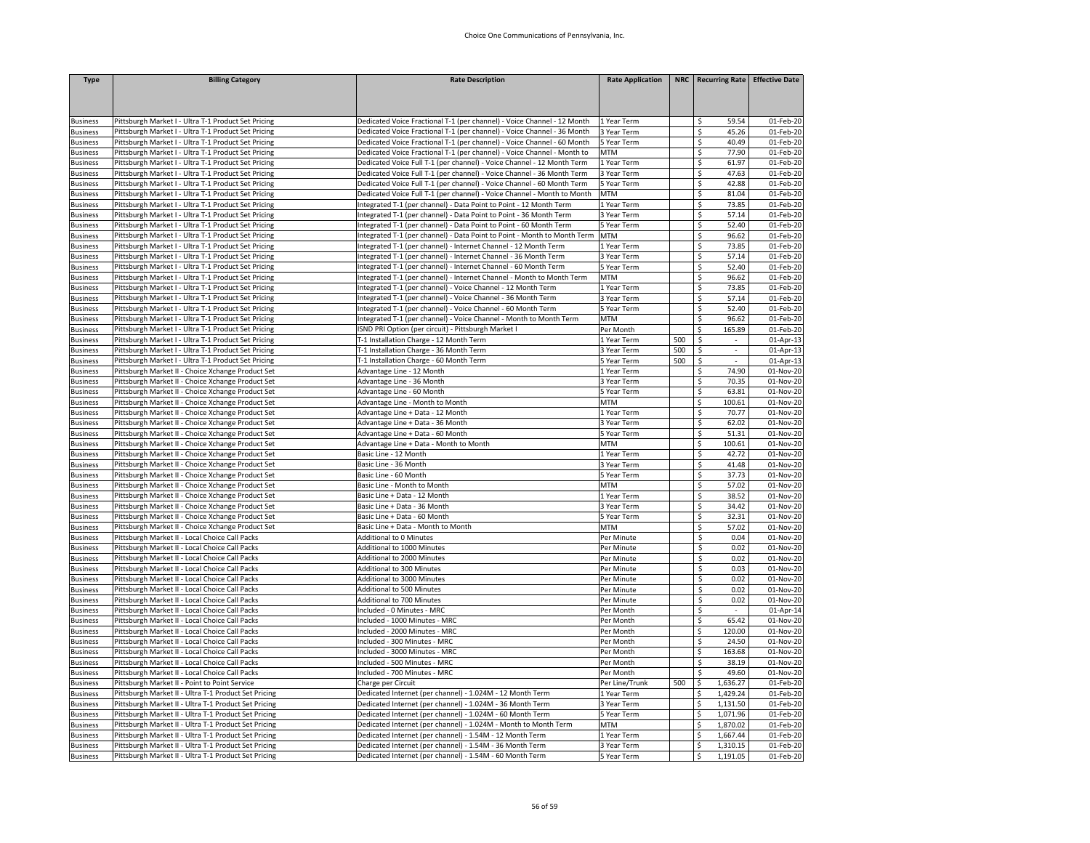| <b>Type</b>                        | <b>Billing Category</b>                                                                                      | <b>Rate Description</b>                                                                                                      | <b>Rate Application</b>    |     | NRC   Recurring Rate   Effective Date |                         |
|------------------------------------|--------------------------------------------------------------------------------------------------------------|------------------------------------------------------------------------------------------------------------------------------|----------------------------|-----|---------------------------------------|-------------------------|
|                                    |                                                                                                              |                                                                                                                              |                            |     |                                       |                         |
|                                    |                                                                                                              |                                                                                                                              |                            |     |                                       |                         |
|                                    | Pittsburgh Market I - Ultra T-1 Product Set Pricing                                                          | Dedicated Voice Fractional T-1 (per channel) - Voice Channel - 12 Month                                                      | 1 Year Term                |     | 59.54                                 | 01-Feb-20               |
| <b>Business</b><br><b>Business</b> | Pittsburgh Market I - Ultra T-1 Product Set Pricing                                                          | Dedicated Voice Fractional T-1 (per channel) - Voice Channel - 36 Month                                                      | 3 Year Term                |     | \$<br>45.26<br>\$                     | 01-Feb-20               |
| <b>Business</b>                    | Pittsburgh Market I - Ultra T-1 Product Set Pricing                                                          | Dedicated Voice Fractional T-1 (per channel) - Voice Channel - 60 Month                                                      | 5 Year Term                |     | \$<br>40.49                           | 01-Feb-20               |
| <b>Business</b>                    | Pittsburgh Market I - Ultra T-1 Product Set Pricing                                                          | Dedicated Voice Fractional T-1 (per channel) - Voice Channel - Month to                                                      | <b>MTM</b>                 |     | \$<br>77.90                           | 01-Feb-20               |
| <b>Business</b>                    | Pittsburgh Market I - Ultra T-1 Product Set Pricing                                                          | Dedicated Voice Full T-1 (per channel) - Voice Channel - 12 Month Term                                                       | 1 Year Term                |     | \$<br>61.97                           | 01-Feb-20               |
| <b>Business</b>                    | Pittsburgh Market I - Ultra T-1 Product Set Pricing                                                          | Dedicated Voice Full T-1 (per channel) - Voice Channel - 36 Month Term                                                       | 3 Year Term                |     | \$<br>47.63                           | 01-Feb-20               |
| <b>Business</b>                    | Pittsburgh Market I - Ultra T-1 Product Set Pricing                                                          | Dedicated Voice Full T-1 (per channel) - Voice Channel - 60 Month Term                                                       | 5 Year Term                |     | \$<br>42.88                           | 01-Feb-20               |
| <b>Business</b>                    | Pittsburgh Market I - Ultra T-1 Product Set Pricing                                                          | Dedicated Voice Full T-1 (per channel) - Voice Channel - Month to Month                                                      | MTM                        |     | \$<br>81.04                           | 01-Feb-20               |
| <b>Business</b>                    | Pittsburgh Market I - Ultra T-1 Product Set Pricing                                                          | Integrated T-1 (per channel) - Data Point to Point - 12 Month Term                                                           | 1 Year Term                |     | \$<br>73.85                           | 01-Feb-20               |
| <b>Business</b>                    | Pittsburgh Market I - Ultra T-1 Product Set Pricing                                                          | Integrated T-1 (per channel) - Data Point to Point - 36 Month Term                                                           | 3 Year Term                |     | \$<br>57.14                           | 01-Feb-20               |
| <b>Business</b>                    | Pittsburgh Market I - Ultra T-1 Product Set Pricing                                                          | Integrated T-1 (per channel) - Data Point to Point - 60 Month Term                                                           | 5 Year Term                |     | \$<br>52.40                           | $\overline{01}$ -Feb-20 |
| <b>Business</b>                    | Pittsburgh Market I - Ultra T-1 Product Set Pricing                                                          | Integrated T-1 (per channel) - Data Point to Point - Month to Month Term                                                     | <b>MTM</b>                 |     | \$<br>96.62                           | 01-Feb-20               |
| <b>Business</b>                    | Pittsburgh Market I - Ultra T-1 Product Set Pricing                                                          | Integrated T-1 (per channel) - Internet Channel - 12 Month Term                                                              | 1 Year Term                |     | \$<br>73.85                           | 01-Feb-20               |
| <b>Business</b>                    | Pittsburgh Market I - Ultra T-1 Product Set Pricing                                                          | Integrated T-1 (per channel) - Internet Channel - 36 Month Term                                                              | 3 Year Term                |     | \$<br>57.14                           | 01-Feb-20               |
| <b>Business</b>                    | Pittsburgh Market I - Ultra T-1 Product Set Pricing                                                          | Integrated T-1 (per channel) - Internet Channel - 60 Month Term                                                              | 5 Year Term                |     | \$<br>52.40                           | 01-Feb-20               |
| <b>Business</b>                    | Pittsburgh Market I - Ultra T-1 Product Set Pricing                                                          | Integrated T-1 (per channel) - Internet Channel - Month to Month Term                                                        | MTM                        |     | \$<br>96.62                           | 01-Feb-20               |
| <b>Business</b>                    | Pittsburgh Market I - Ultra T-1 Product Set Pricing                                                          | Integrated T-1 (per channel) - Voice Channel - 12 Month Term                                                                 | 1 Year Term                |     | \$<br>73.85<br>\$                     | 01-Feb-20               |
| <b>Business</b>                    | Pittsburgh Market I - Ultra T-1 Product Set Pricing<br>Pittsburgh Market I - Ultra T-1 Product Set Pricing   | Integrated T-1 (per channel) - Voice Channel - 36 Month Term<br>Integrated T-1 (per channel) - Voice Channel - 60 Month Term | 3 Year Term<br>5 Year Term |     | 57.14<br>\$<br>52.40                  | 01-Feb-20<br>01-Feb-20  |
| <b>Business</b><br><b>Business</b> | Pittsburgh Market I - Ultra T-1 Product Set Pricing                                                          | Integrated T-1 (per channel) - Voice Channel - Month to Month Term                                                           | <b>MTM</b>                 |     | \$<br>96.62                           | 01-Feb-20               |
| <b>Business</b>                    | Pittsburgh Market I - Ultra T-1 Product Set Pricing                                                          | ISND PRI Option (per circuit) - Pittsburgh Market I                                                                          | Per Month                  |     | \$<br>165.89                          | 01-Feb-20               |
| <b>Business</b>                    | Pittsburgh Market I - Ultra T-1 Product Set Pricing                                                          | T-1 Installation Charge - 12 Month Term                                                                                      | 1 Year Term                | 500 | \$<br>$\overline{\phantom{a}}$        | 01-Apr-13               |
| <b>Business</b>                    | Pittsburgh Market I - Ultra T-1 Product Set Pricing                                                          | T-1 Installation Charge - 36 Month Term                                                                                      | 3 Year Term                | 500 | \$<br>$\sim$                          | 01-Apr-13               |
| <b>Business</b>                    | Pittsburgh Market I - Ultra T-1 Product Set Pricing                                                          | T-1 Installation Charge - 60 Month Term                                                                                      | 5 Year Term                | 500 | \$                                    | 01-Apr-13               |
| <b>Business</b>                    | Pittsburgh Market II - Choice Xchange Product Set                                                            | Advantage Line - 12 Month                                                                                                    | 1 Year Term                |     | \$<br>74.90                           | 01-Nov-20               |
| <b>Business</b>                    | Pittsburgh Market II - Choice Xchange Product Set                                                            | Advantage Line - 36 Month                                                                                                    | 3 Year Term                |     | \$<br>70.35                           | 01-Nov-20               |
| <b>Business</b>                    | Pittsburgh Market II - Choice Xchange Product Set                                                            | Advantage Line - 60 Month                                                                                                    | 5 Year Term                |     | \$<br>63.81                           | 01-Nov-20               |
| <b>Business</b>                    | Pittsburgh Market II - Choice Xchange Product Set                                                            | Advantage Line - Month to Month                                                                                              | MTM                        |     | \$<br>100.61                          | 01-Nov-20               |
| <b>Business</b>                    | Pittsburgh Market II - Choice Xchange Product Set                                                            | Advantage Line + Data - 12 Month                                                                                             | 1 Year Term                |     | \$<br>70.77                           | 01-Nov-20               |
| <b>Business</b>                    | Pittsburgh Market II - Choice Xchange Product Set                                                            | Advantage Line + Data - 36 Month                                                                                             | 3 Year Term                |     | \$<br>62.02                           | 01-Nov-20               |
| <b>Business</b>                    | Pittsburgh Market II - Choice Xchange Product Set                                                            | Advantage Line + Data - 60 Month                                                                                             | 5 Year Term                |     | \$<br>51.31                           | 01-Nov-20               |
| <b>Business</b>                    | Pittsburgh Market II - Choice Xchange Product Set                                                            | Advantage Line + Data - Month to Month                                                                                       | MTM                        |     | \$<br>100.61                          | 01-Nov-20               |
| <b>Business</b>                    | Pittsburgh Market II - Choice Xchange Product Set                                                            | Basic Line - 12 Month                                                                                                        | 1 Year Term                |     | \$<br>42.72                           | $\overline{01}$ -Nov-20 |
| <b>Business</b>                    | Pittsburgh Market II - Choice Xchange Product Set                                                            | Basic Line - 36 Month                                                                                                        | 3 Year Term                |     | \$<br>41.48                           | 01-Nov-20               |
| <b>Business</b>                    | Pittsburgh Market II - Choice Xchange Product Set                                                            | Basic Line - 60 Month                                                                                                        | 5 Year Term                |     | \$<br>37.73                           | 01-Nov-20               |
| <b>Business</b>                    | Pittsburgh Market II - Choice Xchange Product Set                                                            | Basic Line - Month to Month                                                                                                  | <b>MTM</b>                 |     | \$<br>57.02                           | 01-Nov-20               |
| <b>Business</b>                    | Pittsburgh Market II - Choice Xchange Product Set                                                            | Basic Line + Data - 12 Month                                                                                                 | 1 Year Term                |     | \$<br>38.52                           | 01-Nov-20               |
| <b>Business</b>                    | Pittsburgh Market II - Choice Xchange Product Set                                                            | Basic Line + Data - 36 Month                                                                                                 | 3 Year Term                |     | \$<br>34.42                           | 01-Nov-20               |
| <b>Business</b>                    | Pittsburgh Market II - Choice Xchange Product Set<br>Pittsburgh Market II - Choice Xchange Product Set       | Basic Line + Data - 60 Month<br>Basic Line + Data - Month to Month                                                           | 5 Year Term                |     | \$<br>32.31                           | 01-Nov-20               |
| <b>Business</b>                    | Pittsburgh Market II - Local Choice Call Packs                                                               | Additional to 0 Minutes                                                                                                      | MTM                        |     | \$<br>57.02<br>0.04                   | 01-Nov-20<br>01-Nov-20  |
| <b>Business</b><br><b>Business</b> | Pittsburgh Market II - Local Choice Call Packs                                                               | Additional to 1000 Minutes                                                                                                   | Per Minute<br>Per Minute   |     | \$<br>\$<br>0.02                      | 01-Nov-20               |
| <b>Business</b>                    | Pittsburgh Market II - Local Choice Call Packs                                                               | <b>Additional to 2000 Minutes</b>                                                                                            | Per Minute                 |     | \$<br>0.02                            | 01-Nov-20               |
| <b>Business</b>                    | Pittsburgh Market II - Local Choice Call Packs                                                               | <b>Additional to 300 Minutes</b>                                                                                             | Per Minute                 |     | \$<br>0.03                            | 01-Nov-20               |
| <b>Business</b>                    | Pittsburgh Market II - Local Choice Call Packs                                                               | Additional to 3000 Minutes                                                                                                   | Per Minute                 |     | 0.02<br>\$                            | 01-Nov-20               |
| <b>Business</b>                    | Pittsburgh Market II - Local Choice Call Packs                                                               | <b>Additional to 500 Minutes</b>                                                                                             | Per Minute                 |     | \$<br>0.02                            | 01-Nov-20               |
| <b>Business</b>                    | Pittsburgh Market II - Local Choice Call Packs                                                               | <b>Additional to 700 Minutes</b>                                                                                             | Per Minute                 |     | \$<br>0.02                            | 01-Nov-20               |
| <b>Business</b>                    | Pittsburgh Market II - Local Choice Call Packs                                                               | Included - 0 Minutes - MRC                                                                                                   | Per Month                  |     | \$<br>$\sim$                          | 01-Apr-14               |
| <b>Business</b>                    | Pittsburgh Market II - Local Choice Call Packs                                                               | Included - 1000 Minutes - MRC                                                                                                | Per Month                  |     | \$<br>65.42                           | 01-Nov-20               |
| <b>Business</b>                    | Pittsburgh Market II - Local Choice Call Packs                                                               | Included - 2000 Minutes - MRC                                                                                                | Per Month                  |     | \$<br>120.00                          | 01-Nov-20               |
| <b>Business</b>                    | Pittsburgh Market II - Local Choice Call Packs                                                               | Included - 300 Minutes - MRC                                                                                                 | Per Month                  |     | \$<br>24.50                           | 01-Nov-20               |
| <b>Business</b>                    | Pittsburgh Market II - Local Choice Call Packs                                                               | Included - 3000 Minutes - MRC                                                                                                | Per Month                  |     | \$<br>163.68                          | 01-Nov-20               |
| <b>Business</b>                    | Pittsburgh Market II - Local Choice Call Packs                                                               | Included - 500 Minutes - MRC                                                                                                 | Per Month                  |     | \$<br>38.19                           | 01-Nov-20               |
| <b>Business</b>                    | Pittsburgh Market II - Local Choice Call Packs                                                               | Included - 700 Minutes - MRC                                                                                                 | Per Month                  |     | \$<br>49.60                           | 01-Nov-20               |
| <b>Business</b>                    | Pittsburgh Market II - Point to Point Service                                                                | Charge per Circuit                                                                                                           | Per Line/Trunk             | 500 | 1,636.27<br>\$                        | 01-Feb-20               |
| <b>Business</b>                    | Pittsburgh Market II - Ultra T-1 Product Set Pricing                                                         | Dedicated Internet (per channel) - 1.024M - 12 Month Term                                                                    | 1 Year Term                |     | \$<br>1,429.24                        | 01-Feb-20               |
| <b>Business</b>                    | Pittsburgh Market II - Ultra T-1 Product Set Pricing                                                         | Dedicated Internet (per channel) - 1.024M - 36 Month Term                                                                    | 3 Year Term                |     | \$<br>1,131.50                        | 01-Feb-20               |
| <b>Business</b>                    | Pittsburgh Market II - Ultra T-1 Product Set Pricing                                                         | Dedicated Internet (per channel) - 1.024M - 60 Month Term                                                                    | 5 Year Term                |     | \$<br>1,071.96                        | 01-Feb-20               |
| <b>Business</b>                    | Pittsburgh Market II - Ultra T-1 Product Set Pricing                                                         | Dedicated Internet (per channel) - 1.024M - Month to Month Term                                                              | MTM                        |     | 1,870.02<br>\$                        | 01-Feb-20               |
| <b>Business</b>                    | Pittsburgh Market II - Ultra T-1 Product Set Pricing                                                         | Dedicated Internet (per channel) - 1.54M - 12 Month Term                                                                     | 1 Year Term                |     | 1,667.44<br>\$<br>\$<br>1,310.15      | 01-Feb-20<br>01-Feb-20  |
| <b>Business</b><br><b>Business</b> | Pittsburgh Market II - Ultra T-1 Product Set Pricing<br>Pittsburgh Market II - Ultra T-1 Product Set Pricing | Dedicated Internet (per channel) - 1.54M - 36 Month Term<br>Dedicated Internet (per channel) - 1.54M - 60 Month Term         | 3 Year Term<br>5 Year Term |     | \$<br>1,191.05                        | 01-Feb-20               |
|                                    |                                                                                                              |                                                                                                                              |                            |     |                                       |                         |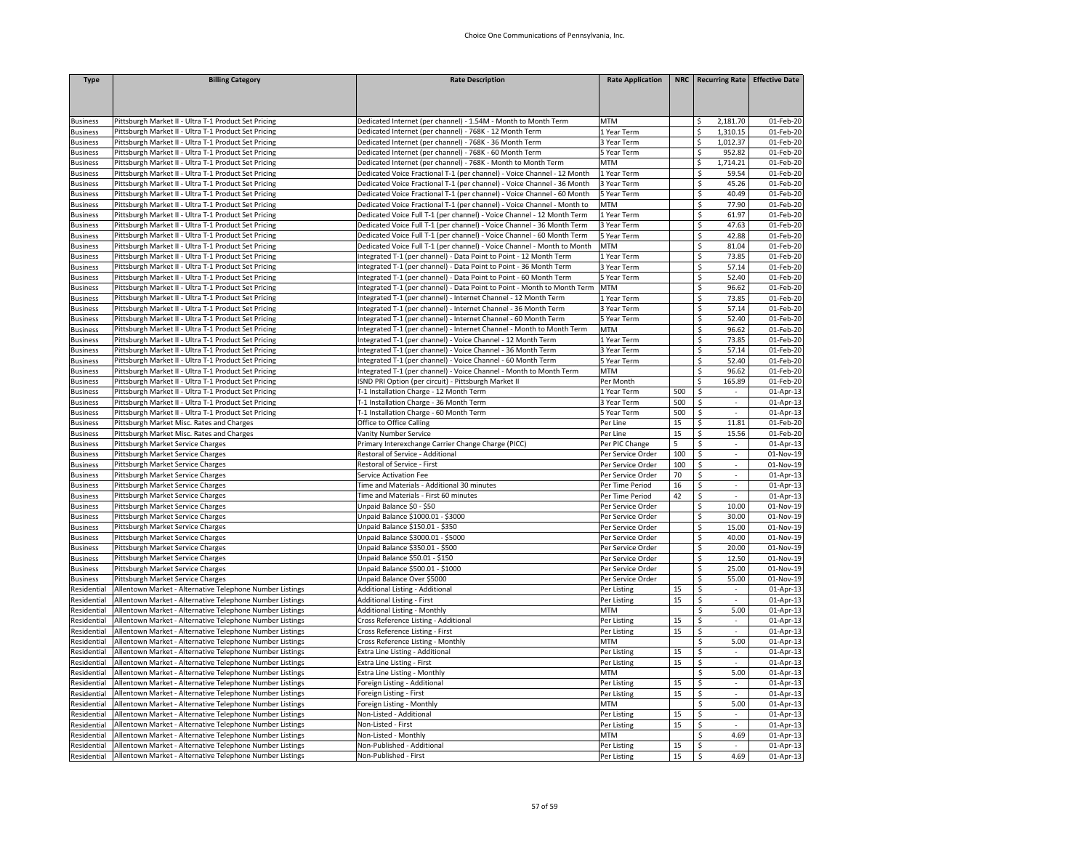| <b>Type</b>                        | <b>Billing Category</b>                                                                                              | <b>Rate Description</b>                                                                                                                           | <b>Rate Application</b>    |     | NRC   Recurring Rate   Effective Date |                                      |
|------------------------------------|----------------------------------------------------------------------------------------------------------------------|---------------------------------------------------------------------------------------------------------------------------------------------------|----------------------------|-----|---------------------------------------|--------------------------------------|
|                                    |                                                                                                                      |                                                                                                                                                   |                            |     |                                       |                                      |
|                                    |                                                                                                                      |                                                                                                                                                   |                            |     |                                       |                                      |
|                                    |                                                                                                                      |                                                                                                                                                   |                            |     |                                       |                                      |
| <b>Business</b>                    | Pittsburgh Market II - Ultra T-1 Product Set Pricing                                                                 | Dedicated Internet (per channel) - 1.54M - Month to Month Term                                                                                    | MTM                        |     | 2,181.70<br>Ś                         | 01-Feb-20                            |
| <b>Business</b>                    | Pittsburgh Market II - Ultra T-1 Product Set Pricing                                                                 | Dedicated Internet (per channel) - 768K - 12 Month Term                                                                                           | 1 Year Term                |     | Ś<br>1,310.15                         | 01-Feb-20                            |
| <b>Business</b>                    | Pittsburgh Market II - Ultra T-1 Product Set Pricing                                                                 | Dedicated Internet (per channel) - 768K - 36 Month Term                                                                                           | 3 Year Term                |     | \$<br>1,012.37                        | 01-Feb-20                            |
| <b>Business</b>                    | Pittsburgh Market II - Ultra T-1 Product Set Pricing                                                                 | Dedicated Internet (per channel) - 768K - 60 Month Term                                                                                           | 5 Year Term                |     | \$<br>952.82                          | 01-Feb-20                            |
| <b>Business</b>                    | Pittsburgh Market II - Ultra T-1 Product Set Pricing                                                                 | Dedicated Internet (per channel) - 768K - Month to Month Term                                                                                     | <b>MTM</b>                 |     | 1,714.21<br>\$                        | 01-Feb-20                            |
| <b>Business</b>                    | Pittsburgh Market II - Ultra T-1 Product Set Pricing                                                                 | Dedicated Voice Fractional T-1 (per channel) - Voice Channel - 12 Month                                                                           | 1 Year Term                |     | 59.54<br>Ś                            | 01-Feb-20                            |
| <b>Business</b>                    | Pittsburgh Market II - Ultra T-1 Product Set Pricing                                                                 | Dedicated Voice Fractional T-1 (per channel) - Voice Channel - 36 Month                                                                           | 3 Year Term                |     | \$<br>45.26                           | 01-Feb-20                            |
| <b>Business</b>                    | Pittsburgh Market II - Ultra T-1 Product Set Pricing<br>Pittsburgh Market II - Ultra T-1 Product Set Pricing         | Dedicated Voice Fractional T-1 (per channel) - Voice Channel - 60 Month                                                                           | 5 Year Term                |     | \$<br>40.49                           | 01-Feb-20                            |
| <b>Business</b>                    | Pittsburgh Market II - Ultra T-1 Product Set Pricing                                                                 | Dedicated Voice Fractional T-1 (per channel) - Voice Channel - Month to<br>Dedicated Voice Full T-1 (per channel) - Voice Channel - 12 Month Term | MTM                        |     | \$<br>77.90                           | 01-Feb-20                            |
| <b>Business</b>                    | Pittsburgh Market II - Ultra T-1 Product Set Pricing                                                                 | Dedicated Voice Full T-1 (per channel) - Voice Channel - 36 Month Term                                                                            | 1 Year Term<br>3 Year Term |     | \$<br>61.97<br>\$<br>47.63            | 01-Feb-20<br>$\overline{01}$ -Feb-20 |
| <b>Business</b><br><b>Business</b> | Pittsburgh Market II - Ultra T-1 Product Set Pricing                                                                 | Dedicated Voice Full T-1 (per channel) - Voice Channel - 60 Month Term                                                                            | 5 Year Term                |     | \$<br>42.88                           | 01-Feb-20                            |
| <b>Business</b>                    | Pittsburgh Market II - Ultra T-1 Product Set Pricing                                                                 | Dedicated Voice Full T-1 (per channel) - Voice Channel - Month to Month                                                                           | <b>MTM</b>                 |     | \$<br>81.04                           | 01-Feb-20                            |
| <b>Business</b>                    | Pittsburgh Market II - Ultra T-1 Product Set Pricing                                                                 | Integrated T-1 (per channel) - Data Point to Point - 12 Month Term                                                                                | Year Term                  |     | \$<br>73.85                           | 01-Feb-20                            |
| <b>Business</b>                    | Pittsburgh Market II - Ultra T-1 Product Set Pricing                                                                 | Integrated T-1 (per channel) - Data Point to Point - 36 Month Term                                                                                | 3 Year Term                |     | \$<br>57.14                           | 01-Feb-20                            |
| <b>Business</b>                    | Pittsburgh Market II - Ultra T-1 Product Set Pricing                                                                 | Integrated T-1 (per channel) - Data Point to Point - 60 Month Term                                                                                | 5 Year Term                |     | \$<br>52.40                           | 01-Feb-20                            |
| <b>Business</b>                    | Pittsburgh Market II - Ultra T-1 Product Set Pricing                                                                 | Integrated T-1 (per channel) - Data Point to Point - Month to Month Term                                                                          | <b>MTM</b>                 |     | \$<br>96.62                           | 01-Feb-20                            |
| <b>Business</b>                    | Pittsburgh Market II - Ultra T-1 Product Set Pricing                                                                 | Integrated T-1 (per channel) - Internet Channel - 12 Month Term                                                                                   | 1 Year Term                |     | \$<br>73.85                           | 01-Feb-20                            |
| <b>Business</b>                    | Pittsburgh Market II - Ultra T-1 Product Set Pricing                                                                 | Integrated T-1 (per channel) - Internet Channel - 36 Month Term                                                                                   | 3 Year Term                |     | \$<br>57.14                           | 01-Feb-20                            |
| <b>Business</b>                    | Pittsburgh Market II - Ultra T-1 Product Set Pricing                                                                 | Integrated T-1 (per channel) - Internet Channel - 60 Month Term                                                                                   | 5 Year Term                |     | \$<br>52.40                           | 01-Feb-20                            |
| <b>Business</b>                    | Pittsburgh Market II - Ultra T-1 Product Set Pricing                                                                 | Integrated T-1 (per channel) - Internet Channel - Month to Month Term                                                                             | MTM                        |     | \$<br>96.62                           | 01-Feb-20                            |
| <b>Business</b>                    | Pittsburgh Market II - Ultra T-1 Product Set Pricing                                                                 | Integrated T-1 (per channel) - Voice Channel - 12 Month Term                                                                                      | Year Term                  |     | \$<br>73.85                           | $\overline{01}$ -Feb-20              |
| <b>Business</b>                    | Pittsburgh Market II - Ultra T-1 Product Set Pricing                                                                 | Integrated T-1 (per channel) - Voice Channel - 36 Month Term                                                                                      | 3 Year Term                |     | \$<br>57.14                           | 01-Feb-20                            |
| <b>Business</b>                    | Pittsburgh Market II - Ultra T-1 Product Set Pricing                                                                 | Integrated T-1 (per channel) - Voice Channel - 60 Month Term                                                                                      | 5 Year Term                |     | \$<br>52.40                           | 01-Feb-20                            |
| <b>Business</b>                    | Pittsburgh Market II - Ultra T-1 Product Set Pricing                                                                 | Integrated T-1 (per channel) - Voice Channel - Month to Month Term                                                                                | MTM                        |     | \$<br>96.62                           | 01-Feb-20                            |
| <b>Business</b>                    | Pittsburgh Market II - Ultra T-1 Product Set Pricing                                                                 | ISND PRI Option (per circuit) - Pittsburgh Market II                                                                                              | Per Month                  |     | \$<br>165.89                          | 01-Feb-20                            |
| <b>Business</b>                    | Pittsburgh Market II - Ultra T-1 Product Set Pricing                                                                 | T-1 Installation Charge - 12 Month Term                                                                                                           | 1 Year Term                | 500 | \$<br>$\sim$                          | 01-Apr-13                            |
| <b>Business</b>                    | Pittsburgh Market II - Ultra T-1 Product Set Pricing                                                                 | T-1 Installation Charge - 36 Month Term                                                                                                           | 3 Year Term                | 500 | \$                                    | 01-Apr-13                            |
| <b>Business</b>                    | Pittsburgh Market II - Ultra T-1 Product Set Pricing                                                                 | T-1 Installation Charge - 60 Month Term                                                                                                           | Year Term                  | 500 | \$                                    | 01-Apr-13                            |
| <b>Business</b>                    | Pittsburgh Market Misc. Rates and Charges                                                                            | Office to Office Calling                                                                                                                          | Per Line                   | 15  | \$<br>11.81                           | 01-Feb-20                            |
| <b>Business</b>                    | Pittsburgh Market Misc. Rates and Charges                                                                            | Vanity Number Service                                                                                                                             | Per Line                   | 15  | \$<br>15.56                           | 01-Feb-20                            |
| <b>Business</b>                    | Pittsburgh Market Service Charges                                                                                    | Primary Interexchange Carrier Change Charge (PICC)                                                                                                | Per PIC Change             | 5   | \$<br>$\sim$                          | 01-Apr-13                            |
| <b>Business</b>                    | Pittsburgh Market Service Charges                                                                                    | Restoral of Service - Additional                                                                                                                  | Per Service Order          | 100 | \$                                    | 01-Nov-19                            |
| <b>Business</b>                    | Pittsburgh Market Service Charges                                                                                    | Restoral of Service - First                                                                                                                       | Per Service Order          | 100 | \$<br>$\sim$                          | 01-Nov-19                            |
| <b>Business</b>                    | Pittsburgh Market Service Charges                                                                                    | Service Activation Fee                                                                                                                            | Per Service Order          | 70  | \$                                    | 01-Apr-13                            |
| <b>Business</b>                    | Pittsburgh Market Service Charges                                                                                    | Time and Materials - Additional 30 minutes                                                                                                        | Per Time Period            | 16  | \$                                    | 01-Apr-13                            |
| <b>Business</b>                    | Pittsburgh Market Service Charges                                                                                    | Time and Materials - First 60 minutes                                                                                                             | Per Time Period            | 42  | \$<br>٠                               | 01-Apr-13                            |
| <b>Business</b>                    | Pittsburgh Market Service Charges                                                                                    | Unpaid Balance \$0 - \$50                                                                                                                         | Per Service Order          |     | \$<br>10.00                           | 01-Nov-19                            |
| <b>Business</b>                    | Pittsburgh Market Service Charges                                                                                    | Unpaid Balance \$1000.01 - \$3000                                                                                                                 | Per Service Order          |     | \$<br>30.00                           | 01-Nov-19                            |
| <b>Business</b>                    | Pittsburgh Market Service Charges                                                                                    | Unpaid Balance \$150.01 - \$350                                                                                                                   | Per Service Order          |     | \$<br>15.00                           | 01-Nov-19                            |
| <b>Business</b>                    | Pittsburgh Market Service Charges                                                                                    | Unpaid Balance \$3000.01 - \$5000                                                                                                                 | Per Service Order          |     | \$<br>40.00                           | 01-Nov-19                            |
| <b>Business</b>                    | Pittsburgh Market Service Charges                                                                                    | Unpaid Balance \$350.01 - \$500                                                                                                                   | Per Service Order          |     | \$<br>20.00                           | 01-Nov-19                            |
| <b>Business</b>                    | Pittsburgh Market Service Charges                                                                                    | Unpaid Balance \$50.01 - \$150                                                                                                                    | Per Service Order          |     | \$<br>12.50                           | 01-Nov-19                            |
| <b>Business</b>                    | Pittsburgh Market Service Charges                                                                                    | Unpaid Balance \$500.01 - \$1000                                                                                                                  | Per Service Order          |     | \$<br>25.00                           | 01-Nov-19                            |
| <b>Business</b>                    | Pittsburgh Market Service Charges                                                                                    | Unpaid Balance Over \$5000                                                                                                                        | Per Service Order          |     | \$<br>55.00                           | 01-Nov-19                            |
| Residential                        | Allentown Market - Alternative Telephone Number Listings                                                             | <b>Additional Listing - Additional</b>                                                                                                            | Per Listing                | 15  | \$<br>$\sim$                          | 01-Apr-13                            |
| Residential                        | Allentown Market - Alternative Telephone Number Listings                                                             | <b>Additional Listing - First</b>                                                                                                                 | Per Listing<br>MTM         | 15  | \$<br>\$<br>5.00                      | 01-Apr-13<br>01-Apr-13               |
| Residential                        | Allentown Market - Alternative Telephone Number Listings                                                             | Additional Listing - Monthly<br>Cross Reference Listing - Additional                                                                              |                            | 15  | \$<br>$\sim$                          |                                      |
| Residential<br>Residential         | Allentown Market - Alternative Telephone Number Listings<br>Allentown Market - Alternative Telephone Number Listings | Cross Reference Listing - First                                                                                                                   | Per Listing<br>Per Listing | 15  | \$                                    | 01-Apr-13<br>01-Apr-13               |
| Residential                        | Allentown Market - Alternative Telephone Number Listings                                                             | Cross Reference Listing - Monthly                                                                                                                 | MTM                        |     | \$<br>5.00                            | 01-Apr-13                            |
| Residential                        | Allentown Market - Alternative Telephone Number Listings                                                             | Extra Line Listing - Additional                                                                                                                   | Per Listing                | 15  | \$<br>$\sim$                          | 01-Apr-13                            |
| Residential                        | Allentown Market - Alternative Telephone Number Listings                                                             | Extra Line Listing - First                                                                                                                        | Per Listing                | 15  | \$<br>$\overline{a}$                  | 01-Apr-13                            |
| Residential                        | Allentown Market - Alternative Telephone Number Listings                                                             | Extra Line Listing - Monthly                                                                                                                      | MTM                        |     | \$<br>5.00                            | 01-Apr-13                            |
| Residential                        | Allentown Market - Alternative Telephone Number Listings                                                             | Foreign Listing - Additional                                                                                                                      | Per Listing                | 15  | \$<br>$\sim$                          | 01-Apr-13                            |
| Residential                        | Allentown Market - Alternative Telephone Number Listings                                                             | Foreign Listing - First                                                                                                                           | Per Listing                | 15  | \$<br>÷                               | 01-Apr-13                            |
| Residential                        | Allentown Market - Alternative Telephone Number Listings                                                             | Foreign Listing - Monthly                                                                                                                         | <b>MTM</b>                 |     | \$<br>5.00                            | 01-Apr-13                            |
| Residential                        | Allentown Market - Alternative Telephone Number Listings                                                             | Non-Listed - Additional                                                                                                                           | Per Listing                | 15  | \$<br>$\overline{\phantom{a}}$        | 01-Apr-13                            |
| Residential                        | Allentown Market - Alternative Telephone Number Listings                                                             | Non-Listed - First                                                                                                                                | Per Listing                | 15  | \$<br>$\sim$                          | 01-Apr-13                            |
| Residential                        | Allentown Market - Alternative Telephone Number Listings                                                             | Non-Listed - Monthly                                                                                                                              | <b>MTM</b>                 |     | 4.69<br>\$                            | 01-Apr-13                            |
| Residential                        | Allentown Market - Alternative Telephone Number Listings                                                             | Non-Published - Additional                                                                                                                        | Per Listing                | 15  | \$                                    | 01-Apr-13                            |
| Residential                        | Allentown Market - Alternative Telephone Number Listings                                                             | Non-Published - First                                                                                                                             | Per Listing                | 15  | $\mathsf{\hat{S}}$<br>4.69            | 01-Apr-13                            |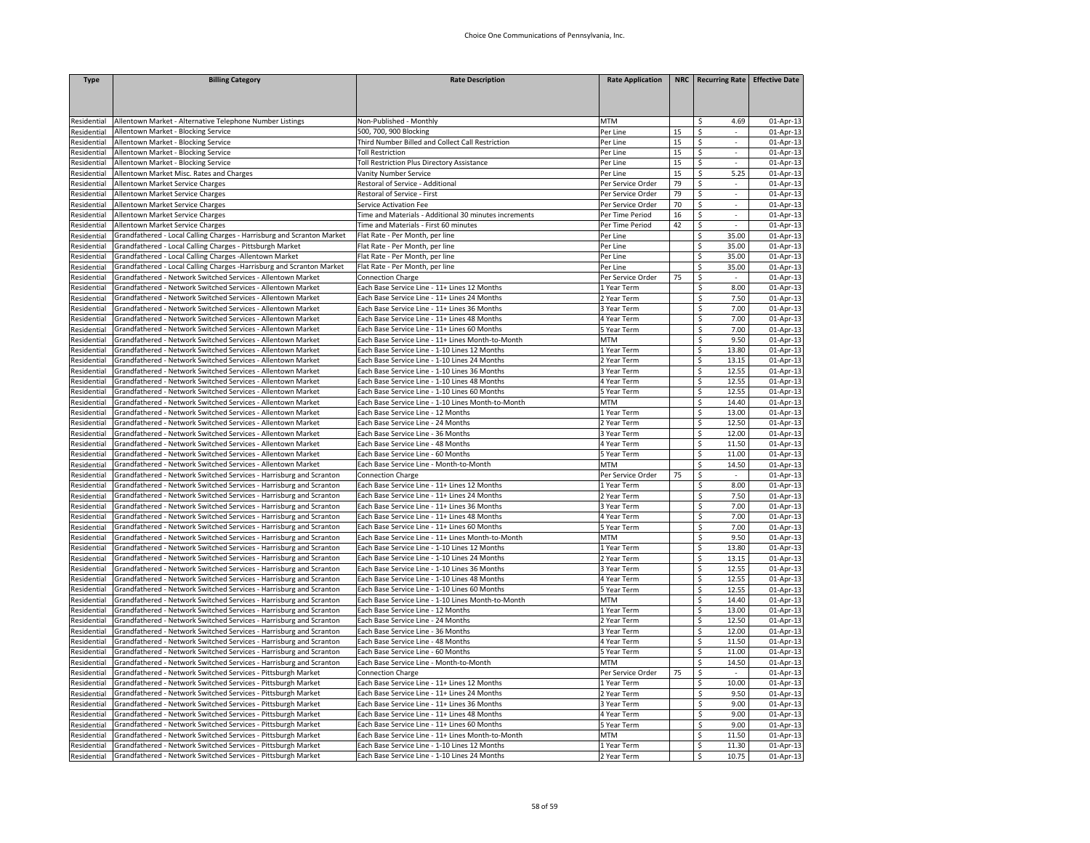| <b>Type</b>                | <b>Billing Category</b>                                                                                                             | <b>Rate Description</b>                                                  | <b>Rate Application</b>          |    | NRC   Recurring Rate   Effective Date |                        |
|----------------------------|-------------------------------------------------------------------------------------------------------------------------------------|--------------------------------------------------------------------------|----------------------------------|----|---------------------------------------|------------------------|
|                            |                                                                                                                                     |                                                                          |                                  |    |                                       |                        |
|                            |                                                                                                                                     |                                                                          |                                  |    |                                       |                        |
| Residential                | Allentown Market - Alternative Telephone Number Listings                                                                            | Non-Published - Monthly                                                  | MTM                              |    | 4.69<br>Ŝ.                            | 01-Apr-13              |
| Residential                | Allentown Market - Blocking Service                                                                                                 | 500, 700, 900 Blocking                                                   | Per Line                         | 15 | \$<br>$\overline{\phantom{a}}$        | 01-Apr-13              |
| Residential                | Allentown Market - Blocking Service                                                                                                 | Third Number Billed and Collect Call Restriction                         | Per Line                         | 15 | \$<br>$\sim$                          | 01-Apr-13              |
| Residential                | Allentown Market - Blocking Service                                                                                                 | <b>Toll Restriction</b>                                                  | Per Line                         | 15 | \$<br>$\overline{\phantom{a}}$        | 01-Apr-13              |
| Residential                | Allentown Market - Blocking Service                                                                                                 | Toll Restriction Plus Directory Assistance                               | Per Line                         | 15 | \$<br>$\sim$                          | 01-Apr-13              |
| Residential                | Allentown Market Misc. Rates and Charges                                                                                            | <b>Vanity Number Service</b>                                             | Per Line                         | 15 | \$<br>5.25                            | 01-Apr-13              |
| Residential                | Allentown Market Service Charges                                                                                                    | Restoral of Service - Additional                                         | Per Service Order                | 79 | \$                                    | 01-Apr-13              |
| Residential                | Allentown Market Service Charges                                                                                                    | Restoral of Service - First                                              | Per Service Order                | 79 | \$<br>$\overline{\phantom{a}}$        | 01-Apr-13              |
| Residential                | Allentown Market Service Charges                                                                                                    | Service Activation Fee                                                   | Per Service Order                | 70 | \$<br>÷.                              | 01-Apr-13              |
| Residential                | Allentown Market Service Charges                                                                                                    | Time and Materials - Additional 30 minutes increments                    | Per Time Period                  | 16 | \$<br>÷                               | 01-Apr-13              |
| Residential                | Allentown Market Service Charges                                                                                                    | Time and Materials - First 60 minutes                                    | Per Time Period                  | 42 | \$                                    | 01-Apr-13              |
| Residential                | Grandfathered - Local Calling Charges - Harrisburg and Scranton Market                                                              | Flat Rate - Per Month, per line                                          | Per Line                         |    | 35.00<br>\$                           | 01-Apr-13              |
| Residential                | Grandfathered - Local Calling Charges - Pittsburgh Market                                                                           | Flat Rate - Per Month, per line                                          | Per Line                         |    | \$<br>35.00                           | 01-Apr-13              |
| Residential                | Grandfathered - Local Calling Charges - Allentown Market                                                                            | Flat Rate - Per Month, per line                                          | Per Line                         |    | \$<br>35.00                           | 01-Apr-13              |
| Residential                | Grandfathered - Local Calling Charges - Harrisburg and Scranton Market                                                              | Flat Rate - Per Month, per line                                          | Per Line                         |    | 35.00<br>\$                           | 01-Apr-13              |
| Residential                | Grandfathered - Network Switched Services - Allentown Market                                                                        | <b>Connection Charge</b>                                                 | Per Service Order                | 75 | \$<br>$\mathcal{L}_{\mathcal{A}}$     | 01-Apr-13              |
| Residential                | Grandfathered - Network Switched Services - Allentown Market                                                                        | Each Base Service Line - 11+ Lines 12 Months                             | 1 Year Term                      |    | \$<br>8.00                            | 01-Apr-13              |
| Residential                | Grandfathered - Network Switched Services - Allentown Market                                                                        | Each Base Service Line - 11+ Lines 24 Months                             | 2 Year Term                      |    | \$<br>7.50                            | 01-Apr-13              |
| Residential                | Grandfathered - Network Switched Services - Allentown Market                                                                        | Each Base Service Line - 11+ Lines 36 Months                             | 3 Year Term                      |    | \$<br>7.00                            | 01-Apr-13              |
| Residential                | Grandfathered - Network Switched Services - Allentown Market                                                                        | Each Base Service Line - 11+ Lines 48 Months                             | 4 Year Term                      |    | \$<br>7.00                            | 01-Apr-13              |
| Residential                | Grandfathered - Network Switched Services - Allentown Market                                                                        | Each Base Service Line - 11+ Lines 60 Months                             | 5 Year Term                      |    | \$<br>7.00                            | 01-Apr-13              |
| Residential                | Grandfathered - Network Switched Services - Allentown Market                                                                        | ach Base Service Line - 11+ Lines Month-to-Month                         | <b>MTM</b>                       |    | \$<br>9.50                            | 01-Apr-13              |
| Residential                | Grandfathered - Network Switched Services - Allentown Market                                                                        | Each Base Service Line - 1-10 Lines 12 Months                            | 1 Year Term                      |    | 13.80<br>\$                           | 01-Apr-13              |
| Residential                | Grandfathered - Network Switched Services - Allentown Market                                                                        | Each Base Service Line - 1-10 Lines 24 Months                            | 2 Year Term                      |    | \$<br>13.15                           | 01-Apr-13              |
| Residential                | Grandfathered - Network Switched Services - Allentown Market                                                                        | Each Base Service Line - 1-10 Lines 36 Months                            | 3 Year Term                      |    | \$<br>12.55                           | 01-Apr-13              |
| Residential                | Grandfathered - Network Switched Services - Allentown Market                                                                        | ach Base Service Line - 1-10 Lines 48 Months                             | 4 Year Term                      |    | \$<br>12.55                           | 01-Apr-13              |
| Residential                | Grandfathered - Network Switched Services - Allentown Market                                                                        | Each Base Service Line - 1-10 Lines 60 Months                            | 5 Year Term                      |    | \$<br>12.55                           | 01-Apr-13              |
| Residential                | Grandfathered - Network Switched Services - Allentown Market                                                                        | Each Base Service Line - 1-10 Lines Month-to-Month                       | MTM                              |    | 14.40<br>\$                           | 01-Apr-13              |
| Residential                | Grandfathered - Network Switched Services - Allentown Market                                                                        | Each Base Service Line - 12 Months                                       | 1 Year Term                      |    | \$<br>13.00<br>12.50                  | 01-Apr-13              |
| Residential                | Grandfathered - Network Switched Services - Allentown Market                                                                        | Each Base Service Line - 24 Months                                       | 2 Year Term                      |    | \$<br>12.00                           | 01-Apr-13              |
| Residential                | Grandfathered - Network Switched Services - Allentown Market                                                                        | Each Base Service Line - 36 Months                                       | 3 Year Term                      |    | \$<br>\$<br>11.50                     | 01-Apr-13<br>01-Apr-13 |
| Residential<br>Residential | Grandfathered - Network Switched Services - Allentown Market<br>Grandfathered - Network Switched Services - Allentown Market        | Each Base Service Line - 48 Months<br>Each Base Service Line - 60 Months | 4 Year Term<br>5 Year Term       |    | \$<br>11.00                           | 01-Apr-13              |
|                            |                                                                                                                                     |                                                                          |                                  |    |                                       |                        |
| Residential                | Grandfathered - Network Switched Services - Allentown Market<br>Grandfathered - Network Switched Services - Harrisburg and Scranton | Each Base Service Line - Month-to-Month<br>Connection Charge             | <b>MTM</b>                       | 75 | \$<br>14.50<br>\$                     | 01-Apr-13              |
| Residential<br>Residential | Grandfathered - Network Switched Services - Harrisburg and Scranton                                                                 | ach Base Service Line - 11+ Lines 12 Months                              | Per Service Order<br>1 Year Term |    | \$<br>8.00                            | 01-Apr-13<br>01-Apr-13 |
| Residential                | Grandfathered - Network Switched Services - Harrisburg and Scranton                                                                 | Each Base Service Line - 11+ Lines 24 Months                             | 2 Year Term                      |    | 7.50<br>\$                            | 01-Apr-13              |
| Residential                | Grandfathered - Network Switched Services - Harrisburg and Scranton                                                                 | Each Base Service Line - 11+ Lines 36 Months                             | 3 Year Term                      |    | \$<br>7.00                            | 01-Apr-13              |
| Residential                | Grandfathered - Network Switched Services - Harrisburg and Scranton                                                                 | Each Base Service Line - 11+ Lines 48 Months                             | 4 Year Term                      |    | \$<br>7.00                            | 01-Apr-13              |
| Residential                | Grandfathered - Network Switched Services - Harrisburg and Scranton                                                                 | ach Base Service Line - 11+ Lines 60 Months                              | 5 Year Term                      |    | \$<br>7.00                            | 01-Apr-13              |
| Residential                | Grandfathered - Network Switched Services - Harrisburg and Scranton                                                                 | Each Base Service Line - 11+ Lines Month-to-Month                        | MTM                              |    | 9.50<br>\$                            | 01-Apr-13              |
| Residential                | Grandfathered - Network Switched Services - Harrisburg and Scranton                                                                 | Each Base Service Line - 1-10 Lines 12 Months                            | 1 Year Term                      |    | \$<br>13.80                           | 01-Apr-13              |
| Residential                | Grandfathered - Network Switched Services - Harrisburg and Scranton                                                                 | Each Base Service Line - 1-10 Lines 24 Months                            | 2 Year Term                      |    | \$<br>13.15                           | 01-Apr-13              |
| Residential                | Grandfathered - Network Switched Services - Harrisburg and Scranton                                                                 | ach Base Service Line - 1-10 Lines 36 Months                             | 3 Year Term                      |    | \$<br>12.55                           | 01-Apr-13              |
| Residential                | Grandfathered - Network Switched Services - Harrisburg and Scranton                                                                 | Each Base Service Line - 1-10 Lines 48 Months                            | 4 Year Term                      |    | \$<br>12.55                           | 01-Apr-13              |
| Residential                | Grandfathered - Network Switched Services - Harrisburg and Scranton                                                                 | Each Base Service Line - 1-10 Lines 60 Months                            | 5 Year Term                      |    | \$<br>12.55                           | 01-Apr-13              |
| Residential                | Grandfathered - Network Switched Services - Harrisburg and Scranton                                                                 | Each Base Service Line - 1-10 Lines Month-to-Month                       | MTM                              |    | \$<br>14.40                           | 01-Apr-13              |
| Residential                | Grandfathered - Network Switched Services - Harrisburg and Scranton                                                                 | Each Base Service Line - 12 Months                                       | 1 Year Term                      |    | \$<br>13.00                           | 01-Apr-13              |
| Residential                | Grandfathered - Network Switched Services - Harrisburg and Scranton                                                                 | Each Base Service Line - 24 Months                                       | 2 Year Term                      |    | 12.50<br>\$                           | 01-Apr-13              |
| Residential                | Grandfathered - Network Switched Services - Harrisburg and Scranton                                                                 | Each Base Service Line - 36 Months                                       | 3 Year Term                      |    | \$<br>12.00                           | 01-Apr-13              |
| Residential                | Grandfathered - Network Switched Services - Harrisburg and Scranton                                                                 | Each Base Service Line - 48 Months                                       | 4 Year Term                      |    | \$<br>11.50                           | 01-Apr-13              |
| Residential                | Grandfathered - Network Switched Services - Harrisburg and Scranton                                                                 | Each Base Service Line - 60 Months                                       | 5 Year Term                      |    | 11.00<br>\$                           | 01-Apr-13              |
| Residential                | Grandfathered - Network Switched Services - Harrisburg and Scranton                                                                 | Each Base Service Line - Month-to-Month                                  | MTM                              |    | \$<br>14.50                           | 01-Apr-13              |
| Residential                | Grandfathered - Network Switched Services - Pittsburgh Market                                                                       | <b>Connection Charge</b>                                                 | Per Service Order                | 75 | \$<br>$\sim$                          | 01-Apr-13              |
| Residential                | Grandfathered - Network Switched Services - Pittsburgh Market                                                                       | Each Base Service Line - 11+ Lines 12 Months                             | 1 Year Term                      |    | \$<br>10.00                           | 01-Apr-13              |
| Residential                | Grandfathered - Network Switched Services - Pittsburgh Market                                                                       | Each Base Service Line - 11+ Lines 24 Months                             | 2 Year Term                      |    | \$<br>9.50                            | 01-Apr-13              |
| Residential                | Grandfathered - Network Switched Services - Pittsburgh Market                                                                       | Each Base Service Line - 11+ Lines 36 Months                             | 3 Year Term                      |    | \$<br>9.00                            | 01-Apr-13              |
| Residential                | Grandfathered - Network Switched Services - Pittsburgh Market                                                                       | Each Base Service Line - 11+ Lines 48 Months                             | 4 Year Term                      |    | \$<br>9.00                            | 01-Apr-13              |
| Residential                | Grandfathered - Network Switched Services - Pittsburgh Market                                                                       | Each Base Service Line - 11+ Lines 60 Months                             | 5 Year Term                      |    | 9.00<br>\$                            | 01-Apr-13              |
| Residential                | Grandfathered - Network Switched Services - Pittsburgh Market                                                                       | Each Base Service Line - 11+ Lines Month-to-Month                        | <b>MTM</b>                       |    | 11.50<br>\$                           | 01-Apr-13              |
| Residential                | Grandfathered - Network Switched Services - Pittsburgh Market                                                                       | Each Base Service Line - 1-10 Lines 12 Months                            | 1 Year Term                      |    | 11.30<br>\$                           | 01-Apr-13              |
| Residential                | Grandfathered - Network Switched Services - Pittsburgh Market                                                                       | Each Base Service Line - 1-10 Lines 24 Months                            | 2 Year Term                      |    | <sup>s</sup><br>10.75                 | 01-Apr-13              |